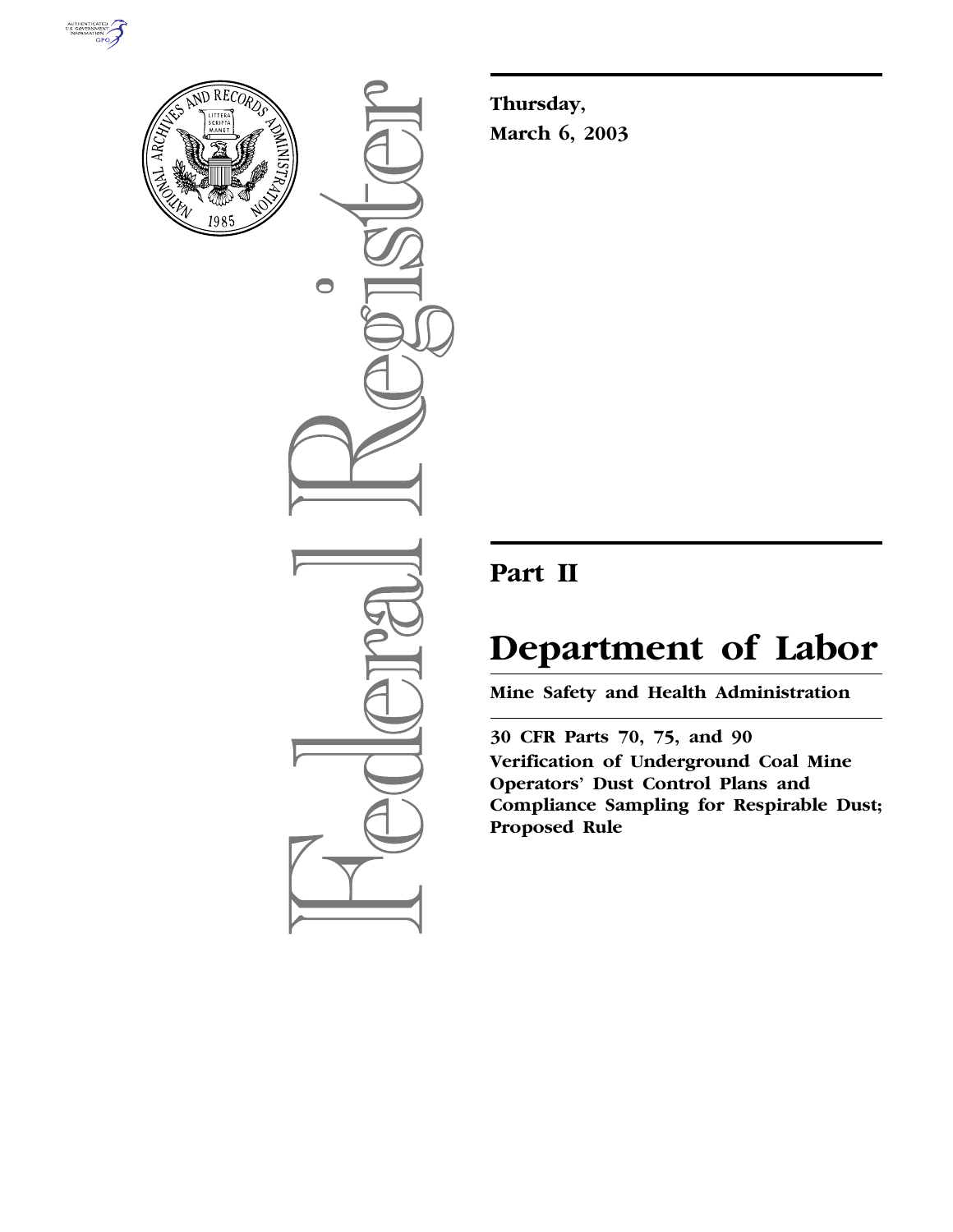



 $\bigcirc$ 

**Thursday, March 6, 2003**

## **Part II**

# **Department of Labor**

**Mine Safety and Health Administration** 

**30 CFR Parts 70, 75, and 90 Verification of Underground Coal Mine Operators' Dust Control Plans and Compliance Sampling for Respirable Dust; Proposed Rule**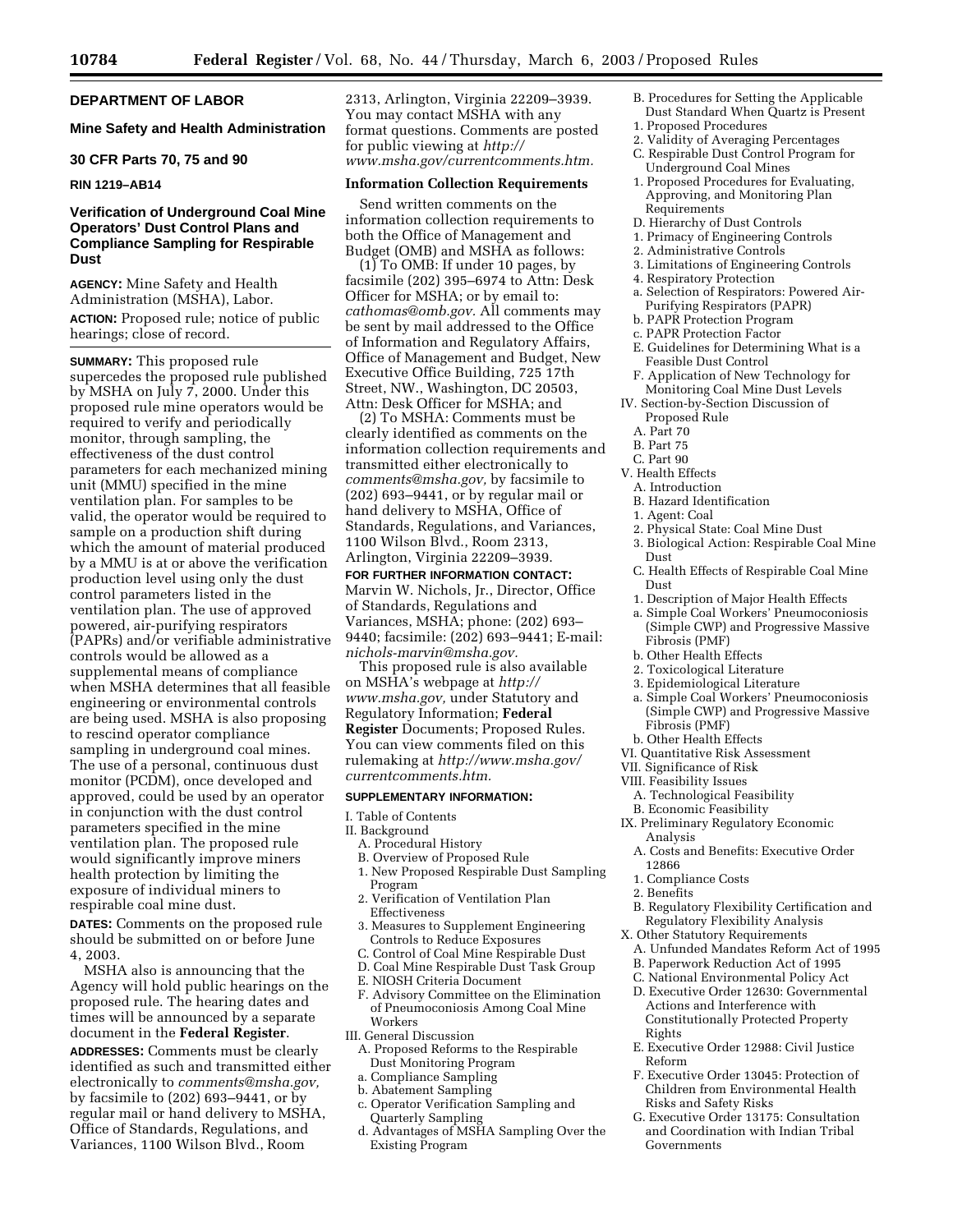## **DEPARTMENT OF LABOR**

## **Mine Safety and Health Administration**

#### **30 CFR Parts 70, 75 and 90**

## **RIN 1219–AB14**

## **Verification of Underground Coal Mine Operators' Dust Control Plans and Compliance Sampling for Respirable Dust**

**AGENCY:** Mine Safety and Health Administration (MSHA), Labor.

**ACTION:** Proposed rule; notice of public hearings; close of record.

**SUMMARY:** This proposed rule supercedes the proposed rule published by MSHA on July 7, 2000. Under this proposed rule mine operators would be required to verify and periodically monitor, through sampling, the effectiveness of the dust control parameters for each mechanized mining unit (MMU) specified in the mine ventilation plan. For samples to be valid, the operator would be required to sample on a production shift during which the amount of material produced by a MMU is at or above the verification production level using only the dust control parameters listed in the ventilation plan. The use of approved powered, air-purifying respirators (PAPRs) and/or verifiable administrative controls would be allowed as a supplemental means of compliance when MSHA determines that all feasible engineering or environmental controls are being used. MSHA is also proposing to rescind operator compliance sampling in underground coal mines. The use of a personal, continuous dust monitor (PCDM), once developed and approved, could be used by an operator in conjunction with the dust control parameters specified in the mine ventilation plan. The proposed rule would significantly improve miners health protection by limiting the exposure of individual miners to respirable coal mine dust.

**DATES:** Comments on the proposed rule should be submitted on or before June 4, 2003.

MSHA also is announcing that the Agency will hold public hearings on the proposed rule. The hearing dates and times will be announced by a separate document in the **Federal Register**.

**ADDRESSES:** Comments must be clearly identified as such and transmitted either electronically to *comments@msha.gov,* by facsimile to (202) 693–9441, or by regular mail or hand delivery to MSHA, Office of Standards, Regulations, and Variances, 1100 Wilson Blvd., Room

2313, Arlington, Virginia 22209–3939. You may contact MSHA with any format questions. Comments are posted for public viewing at *http:// www.msha.gov/currentcomments.htm.*

#### **Information Collection Requirements**

Send written comments on the information collection requirements to both the Office of Management and Budget (OMB) and MSHA as follows:

(1) To OMB: If under 10 pages, by facsimile (202) 395–6974 to Attn: Desk Officer for MSHA; or by email to: *cathomas@omb.gov.* All comments may be sent by mail addressed to the Office of Information and Regulatory Affairs, Office of Management and Budget, New Executive Office Building, 725 17th Street, NW., Washington, DC 20503, Attn: Desk Officer for MSHA; and

(2) To MSHA: Comments must be clearly identified as comments on the information collection requirements and transmitted either electronically to *comments@msha.gov,* by facsimile to (202) 693–9441, or by regular mail or hand delivery to MSHA, Office of Standards, Regulations, and Variances, 1100 Wilson Blvd., Room 2313, Arlington, Virginia 22209–3939. **FOR FURTHER INFORMATION CONTACT:**

Marvin W. Nichols, Jr., Director, Office of Standards, Regulations and Variances, MSHA; phone: (202) 693– 9440; facsimile: (202) 693–9441; E-mail: *nichols-marvin@msha.gov.*

This proposed rule is also available on MSHA's webpage at *http:// www.msha.gov,* under Statutory and Regulatory Information; **Federal Register** Documents; Proposed Rules. You can view comments filed on this rulemaking at *http://www.msha.gov/ currentcomments.htm.*

#### **SUPPLEMENTARY INFORMATION:**

I. Table of Contents

- II. Background
	- A. Procedural History
	- B. Overview of Proposed Rule
	- 1. New Proposed Respirable Dust Sampling Program
	- 2. Verification of Ventilation Plan Effectiveness
	- 3. Measures to Supplement Engineering Controls to Reduce Exposures
- C. Control of Coal Mine Respirable Dust
- D. Coal Mine Respirable Dust Task Group
- E. NIOSH Criteria Document
- F. Advisory Committee on the Elimination of Pneumoconiosis Among Coal Mine Workers
- III. General Discussion
	- A. Proposed Reforms to the Respirable Dust Monitoring Program
	- a. Compliance Sampling
	- b. Abatement Sampling
	- c. Operator Verification Sampling and Quarterly Sampling
	- d. Advantages of MSHA Sampling Over the Existing Program
- B. Procedures for Setting the Applicable Dust Standard When Quartz is Present
- 1. Proposed Procedures
- 2. Validity of Averaging Percentages
- C. Respirable Dust Control Program for Underground Coal Mines
- 1. Proposed Procedures for Evaluating, Approving, and Monitoring Plan Requirements
- D. Hierarchy of Dust Controls
- 1. Primacy of Engineering Controls
- 2. Administrative Controls
- 3. Limitations of Engineering Controls
- 4. Respiratory Protection
- a. Selection of Respirators: Powered Air-Purifying Respirators (PAPR)
- b. PAPR Protection Program
- c. PAPR Protection Factor
- E. Guidelines for Determining What is a Feasible Dust Control
- F. Application of New Technology for Monitoring Coal Mine Dust Levels
- IV. Section-by-Section Discussion of Proposed Rule
	- A. Part 70
	- B. Part 75
- C. Part 90
- V. Health Effects
- A. Introduction
- B. Hazard Identification
- 1. Agent: Coal
- 2. Physical State: Coal Mine Dust
- 3. Biological Action: Respirable Coal Mine Dust
- C. Health Effects of Respirable Coal Mine Dust
- 1. Description of Major Health Effects
- a. Simple Coal Workers' Pneumoconiosis (Simple CWP) and Progressive Massive Fibrosis (PMF)
- b. Other Health Effects
- 2. Toxicological Literature
- 3. Epidemiological Literature
- a. Simple Coal Workers' Pneumoconiosis (Simple CWP) and Progressive Massive Fibrosis (PMF)
- b. Other Health Effects
- VI. Quantitative Risk Assessment
- VII. Significance of Risk
- VIII. Feasibility Issues
- A. Technological Feasibility
- B. Economic Feasibility
- IX. Preliminary Regulatory Economic Analysis
	- A. Costs and Benefits: Executive Order 12866
	- 1. Compliance Costs
- 2. Benefits
- B. Regulatory Flexibility Certification and Regulatory Flexibility Analysis
- X. Other Statutory Requirements
	- A. Unfunded Mandates Reform Act of 1995
	- B. Paperwork Reduction Act of 1995
	- C. National Environmental Policy Act D. Executive Order 12630: Governmental Actions and Interference with Constitutionally Protected Property Rights
	- E. Executive Order 12988: Civil Justice Reform
	- F. Executive Order 13045: Protection of Children from Environmental Health Risks and Safety Risks
	- G. Executive Order 13175: Consultation and Coordination with Indian Tribal Governments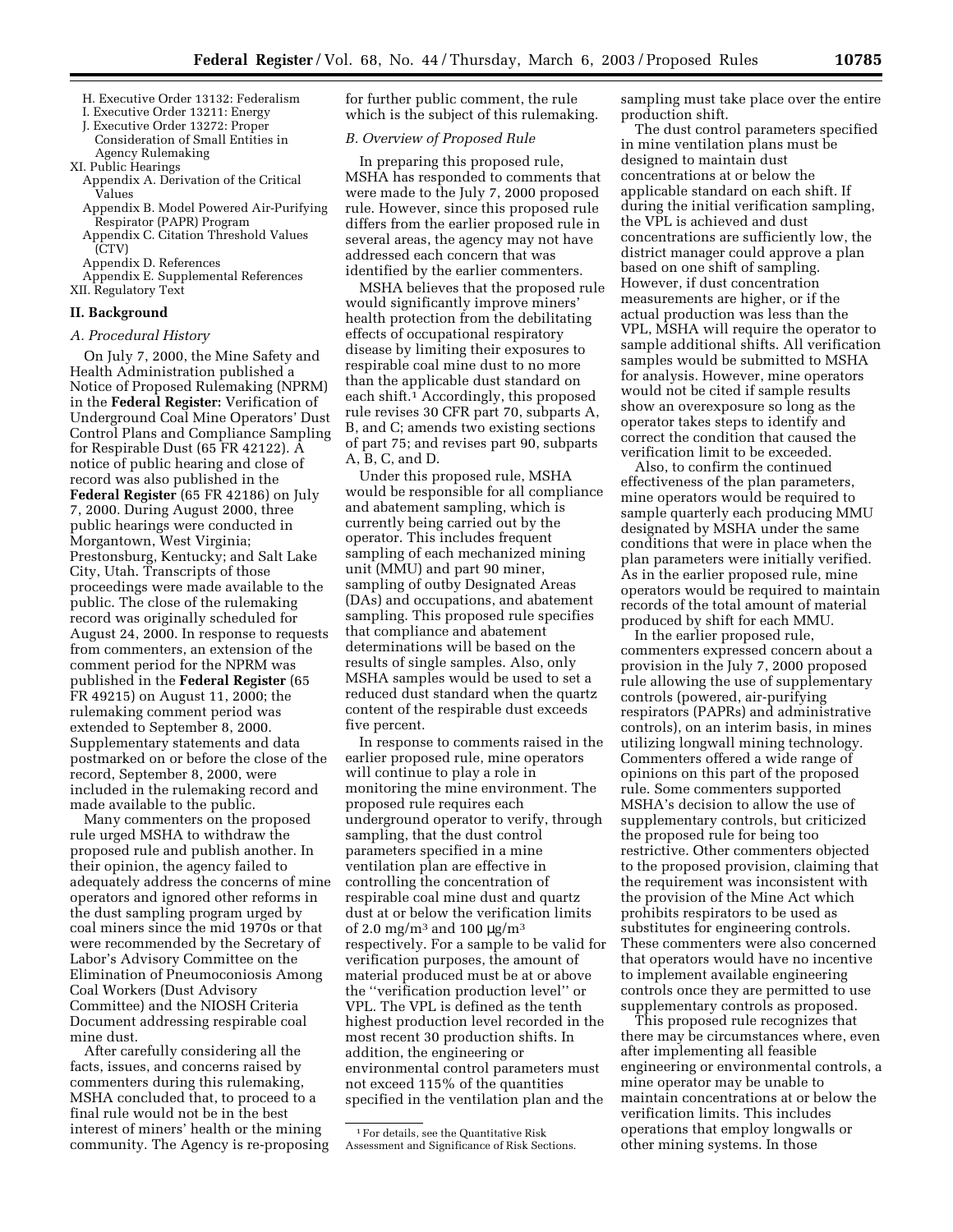- H. Executive Order 13132: Federalism
- I. Executive Order 13211: Energy
- J. Executive Order 13272: Proper
- Consideration of Small Entities in Agency Rulemaking

XI. Public Hearings

- Appendix A. Derivation of the Critical Values
- Appendix B. Model Powered Air-Purifying Respirator (PAPR) Program
- Appendix C. Citation Threshold Values (CTV)
- Appendix D. References
- Appendix E. Supplemental References
- XII. Regulatory Text

## **II. Background**

#### *A. Procedural History*

On July 7, 2000, the Mine Safety and Health Administration published a Notice of Proposed Rulemaking (NPRM) in the **Federal Register:** Verification of Underground Coal Mine Operators' Dust Control Plans and Compliance Sampling for Respirable Dust (65 FR 42122). A notice of public hearing and close of record was also published in the **Federal Register** (65 FR 42186) on July 7, 2000. During August 2000, three public hearings were conducted in Morgantown, West Virginia; Prestonsburg, Kentucky; and Salt Lake City, Utah. Transcripts of those proceedings were made available to the public. The close of the rulemaking record was originally scheduled for August 24, 2000. In response to requests from commenters, an extension of the comment period for the NPRM was published in the **Federal Register** (65 FR 49215) on August 11, 2000; the rulemaking comment period was extended to September 8, 2000. Supplementary statements and data postmarked on or before the close of the record, September 8, 2000, were included in the rulemaking record and made available to the public.

Many commenters on the proposed rule urged MSHA to withdraw the proposed rule and publish another. In their opinion, the agency failed to adequately address the concerns of mine operators and ignored other reforms in the dust sampling program urged by coal miners since the mid 1970s or that were recommended by the Secretary of Labor's Advisory Committee on the Elimination of Pneumoconiosis Among Coal Workers (Dust Advisory Committee) and the NIOSH Criteria Document addressing respirable coal mine dust.

After carefully considering all the facts, issues, and concerns raised by commenters during this rulemaking, MSHA concluded that, to proceed to a final rule would not be in the best interest of miners' health or the mining community. The Agency is re-proposing for further public comment, the rule which is the subject of this rulemaking.

## *B. Overview of Proposed Rule*

In preparing this proposed rule, MSHA has responded to comments that were made to the July 7, 2000 proposed rule. However, since this proposed rule differs from the earlier proposed rule in several areas, the agency may not have addressed each concern that was identified by the earlier commenters.

MSHA believes that the proposed rule would significantly improve miners' health protection from the debilitating effects of occupational respiratory disease by limiting their exposures to respirable coal mine dust to no more than the applicable dust standard on each shift.1 Accordingly, this proposed rule revises 30 CFR part 70, subparts A, B, and C; amends two existing sections of part 75; and revises part 90, subparts A, B, C, and D.

Under this proposed rule, MSHA would be responsible for all compliance and abatement sampling, which is currently being carried out by the operator. This includes frequent sampling of each mechanized mining unit (MMU) and part 90 miner, sampling of outby Designated Areas (DAs) and occupations, and abatement sampling. This proposed rule specifies that compliance and abatement determinations will be based on the results of single samples. Also, only MSHA samples would be used to set a reduced dust standard when the quartz content of the respirable dust exceeds five percent.

In response to comments raised in the earlier proposed rule, mine operators will continue to play a role in monitoring the mine environment. The proposed rule requires each underground operator to verify, through sampling, that the dust control parameters specified in a mine ventilation plan are effective in controlling the concentration of respirable coal mine dust and quartz dust at or below the verification limits of 2.0 mg/m<sup>3</sup> and 100  $\mu$ g/m<sup>3</sup> respectively. For a sample to be valid for verification purposes, the amount of material produced must be at or above the ''verification production level'' or VPL. The VPL is defined as the tenth highest production level recorded in the most recent 30 production shifts. In addition, the engineering or environmental control parameters must not exceed 115% of the quantities specified in the ventilation plan and the

sampling must take place over the entire production shift.

The dust control parameters specified in mine ventilation plans must be designed to maintain dust concentrations at or below the applicable standard on each shift. If during the initial verification sampling, the VPL is achieved and dust concentrations are sufficiently low, the district manager could approve a plan based on one shift of sampling. However, if dust concentration measurements are higher, or if the actual production was less than the VPL, MSHA will require the operator to sample additional shifts. All verification samples would be submitted to MSHA for analysis. However, mine operators would not be cited if sample results show an overexposure so long as the operator takes steps to identify and correct the condition that caused the verification limit to be exceeded.

Also, to confirm the continued effectiveness of the plan parameters, mine operators would be required to sample quarterly each producing MMU designated by MSHA under the same conditions that were in place when the plan parameters were initially verified. As in the earlier proposed rule, mine operators would be required to maintain records of the total amount of material produced by shift for each MMU.

In the earlier proposed rule, commenters expressed concern about a provision in the July 7, 2000 proposed rule allowing the use of supplementary controls (powered, air-purifying respirators (PAPRs) and administrative controls), on an interim basis, in mines utilizing longwall mining technology. Commenters offered a wide range of opinions on this part of the proposed rule. Some commenters supported MSHA's decision to allow the use of supplementary controls, but criticized the proposed rule for being too restrictive. Other commenters objected to the proposed provision, claiming that the requirement was inconsistent with the provision of the Mine Act which prohibits respirators to be used as substitutes for engineering controls. These commenters were also concerned that operators would have no incentive to implement available engineering controls once they are permitted to use supplementary controls as proposed.

This proposed rule recognizes that there may be circumstances where, even after implementing all feasible engineering or environmental controls, a mine operator may be unable to maintain concentrations at or below the verification limits. This includes operations that employ longwalls or other mining systems. In those

<sup>1</sup>For details, see the Quantitative Risk Assessment and Significance of Risk Sections.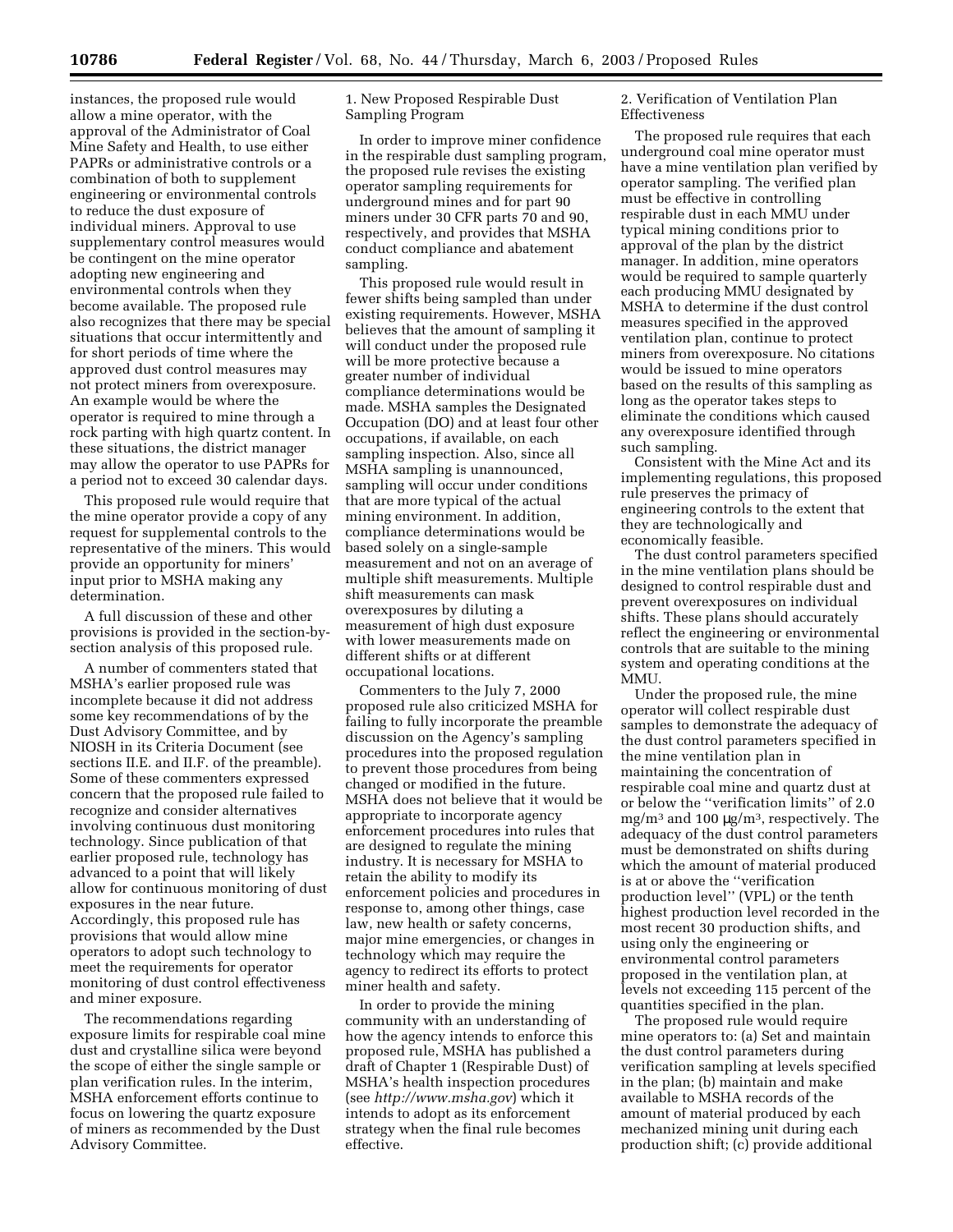instances, the proposed rule would allow a mine operator, with the approval of the Administrator of Coal Mine Safety and Health, to use either PAPRs or administrative controls or a combination of both to supplement engineering or environmental controls to reduce the dust exposure of individual miners. Approval to use supplementary control measures would be contingent on the mine operator adopting new engineering and environmental controls when they become available. The proposed rule also recognizes that there may be special situations that occur intermittently and for short periods of time where the approved dust control measures may not protect miners from overexposure. An example would be where the operator is required to mine through a rock parting with high quartz content. In these situations, the district manager may allow the operator to use PAPRs for a period not to exceed 30 calendar days.

This proposed rule would require that the mine operator provide a copy of any request for supplemental controls to the representative of the miners. This would provide an opportunity for miners' input prior to MSHA making any determination.

A full discussion of these and other provisions is provided in the section-bysection analysis of this proposed rule.

A number of commenters stated that MSHA's earlier proposed rule was incomplete because it did not address some key recommendations of by the Dust Advisory Committee, and by NIOSH in its Criteria Document (see sections II.E. and II.F. of the preamble). Some of these commenters expressed concern that the proposed rule failed to recognize and consider alternatives involving continuous dust monitoring technology. Since publication of that earlier proposed rule, technology has advanced to a point that will likely allow for continuous monitoring of dust exposures in the near future. Accordingly, this proposed rule has provisions that would allow mine operators to adopt such technology to meet the requirements for operator monitoring of dust control effectiveness and miner exposure.

The recommendations regarding exposure limits for respirable coal mine dust and crystalline silica were beyond the scope of either the single sample or plan verification rules. In the interim, MSHA enforcement efforts continue to focus on lowering the quartz exposure of miners as recommended by the Dust Advisory Committee.

1. New Proposed Respirable Dust Sampling Program

In order to improve miner confidence in the respirable dust sampling program, the proposed rule revises the existing operator sampling requirements for underground mines and for part 90 miners under 30 CFR parts 70 and 90, respectively, and provides that MSHA conduct compliance and abatement sampling.

This proposed rule would result in fewer shifts being sampled than under existing requirements. However, MSHA believes that the amount of sampling it will conduct under the proposed rule will be more protective because a greater number of individual compliance determinations would be made. MSHA samples the Designated Occupation (DO) and at least four other occupations, if available, on each sampling inspection. Also, since all MSHA sampling is unannounced, sampling will occur under conditions that are more typical of the actual mining environment. In addition, compliance determinations would be based solely on a single-sample measurement and not on an average of multiple shift measurements. Multiple shift measurements can mask overexposures by diluting a measurement of high dust exposure with lower measurements made on different shifts or at different occupational locations.

Commenters to the July 7, 2000 proposed rule also criticized MSHA for failing to fully incorporate the preamble discussion on the Agency's sampling procedures into the proposed regulation to prevent those procedures from being changed or modified in the future. MSHA does not believe that it would be appropriate to incorporate agency enforcement procedures into rules that are designed to regulate the mining industry. It is necessary for MSHA to retain the ability to modify its enforcement policies and procedures in response to, among other things, case law, new health or safety concerns, major mine emergencies, or changes in technology which may require the agency to redirect its efforts to protect miner health and safety.

In order to provide the mining community with an understanding of how the agency intends to enforce this proposed rule, MSHA has published a draft of Chapter 1 (Respirable Dust) of MSHA's health inspection procedures (see *http://www.msha.gov*) which it intends to adopt as its enforcement strategy when the final rule becomes effective.

2. Verification of Ventilation Plan Effectiveness

The proposed rule requires that each underground coal mine operator must have a mine ventilation plan verified by operator sampling. The verified plan must be effective in controlling respirable dust in each MMU under typical mining conditions prior to approval of the plan by the district manager. In addition, mine operators would be required to sample quarterly each producing MMU designated by MSHA to determine if the dust control measures specified in the approved ventilation plan, continue to protect miners from overexposure. No citations would be issued to mine operators based on the results of this sampling as long as the operator takes steps to eliminate the conditions which caused any overexposure identified through such sampling.

Consistent with the Mine Act and its implementing regulations, this proposed rule preserves the primacy of engineering controls to the extent that they are technologically and economically feasible.

The dust control parameters specified in the mine ventilation plans should be designed to control respirable dust and prevent overexposures on individual shifts. These plans should accurately reflect the engineering or environmental controls that are suitable to the mining system and operating conditions at the MMU.

Under the proposed rule, the mine operator will collect respirable dust samples to demonstrate the adequacy of the dust control parameters specified in the mine ventilation plan in maintaining the concentration of respirable coal mine and quartz dust at or below the ''verification limits'' of 2.0 mg/m3 and 100 µg/m3, respectively. The adequacy of the dust control parameters must be demonstrated on shifts during which the amount of material produced is at or above the ''verification production level'' (VPL) or the tenth highest production level recorded in the most recent 30 production shifts, and using only the engineering or environmental control parameters proposed in the ventilation plan, at levels not exceeding 115 percent of the quantities specified in the plan.

The proposed rule would require mine operators to: (a) Set and maintain the dust control parameters during verification sampling at levels specified in the plan; (b) maintain and make available to MSHA records of the amount of material produced by each mechanized mining unit during each production shift; (c) provide additional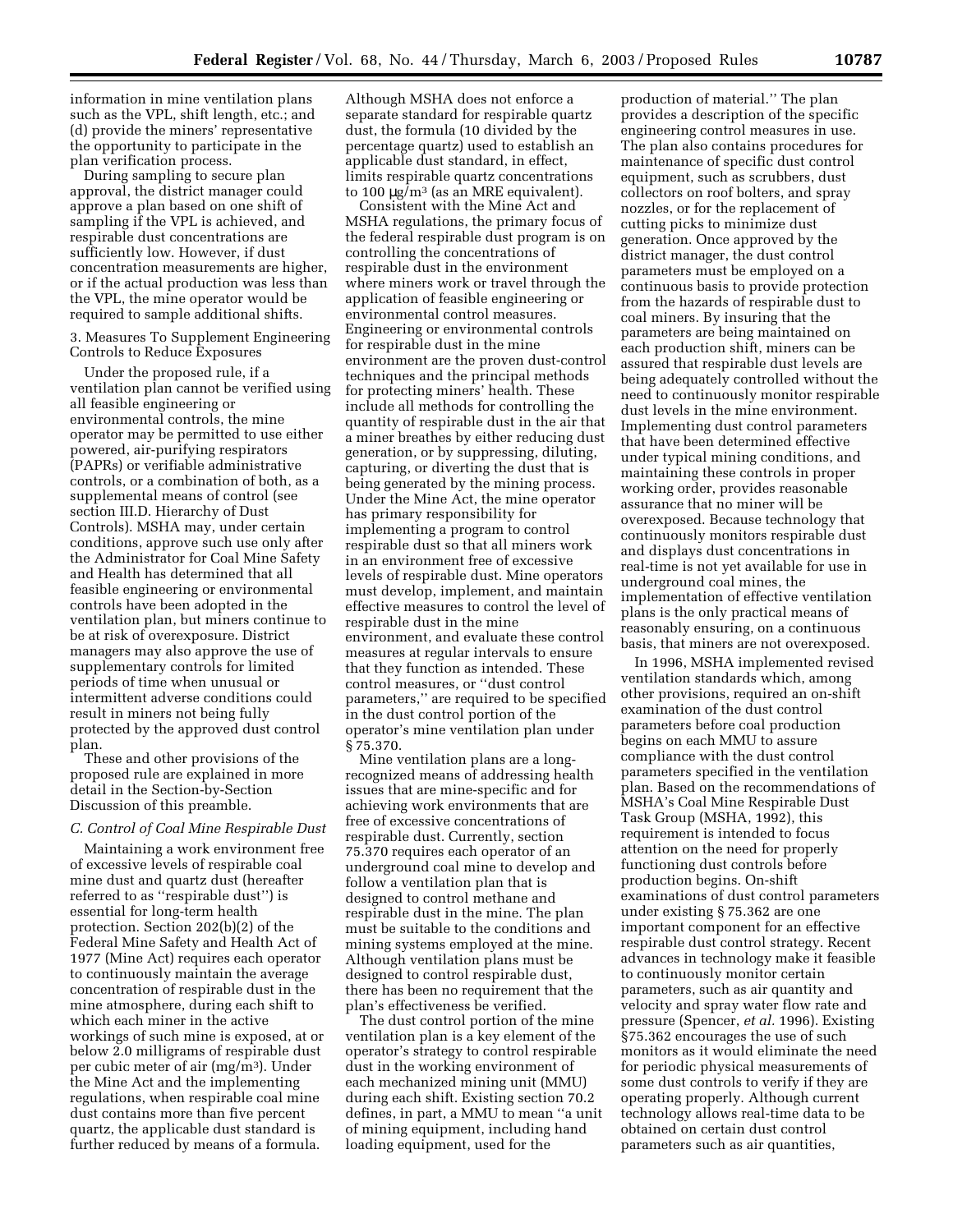information in mine ventilation plans such as the VPL, shift length, etc.; and (d) provide the miners' representative the opportunity to participate in the plan verification process.

During sampling to secure plan approval, the district manager could approve a plan based on one shift of sampling if the VPL is achieved, and respirable dust concentrations are sufficiently low. However, if dust concentration measurements are higher, or if the actual production was less than the VPL, the mine operator would be required to sample additional shifts.

3. Measures To Supplement Engineering Controls to Reduce Exposures

Under the proposed rule, if a ventilation plan cannot be verified using all feasible engineering or environmental controls, the mine operator may be permitted to use either powered, air-purifying respirators (PAPRs) or verifiable administrative controls, or a combination of both, as a supplemental means of control (see section III.D. Hierarchy of Dust Controls). MSHA may, under certain conditions, approve such use only after the Administrator for Coal Mine Safety and Health has determined that all feasible engineering or environmental controls have been adopted in the ventilation plan, but miners continue to be at risk of overexposure. District managers may also approve the use of supplementary controls for limited periods of time when unusual or intermittent adverse conditions could result in miners not being fully protected by the approved dust control plan.

These and other provisions of the proposed rule are explained in more detail in the Section-by-Section Discussion of this preamble.

## *C. Control of Coal Mine Respirable Dust*

Maintaining a work environment free of excessive levels of respirable coal mine dust and quartz dust (hereafter referred to as ''respirable dust'') is essential for long-term health protection. Section 202(b)(2) of the Federal Mine Safety and Health Act of 1977 (Mine Act) requires each operator to continuously maintain the average concentration of respirable dust in the mine atmosphere, during each shift to which each miner in the active workings of such mine is exposed, at or below 2.0 milligrams of respirable dust per cubic meter of air (mg/m3). Under the Mine Act and the implementing regulations, when respirable coal mine dust contains more than five percent quartz, the applicable dust standard is further reduced by means of a formula.

Although MSHA does not enforce a separate standard for respirable quartz dust, the formula (10 divided by the percentage quartz) used to establish an applicable dust standard, in effect, limits respirable quartz concentrations to 100  $\mu$ g/m<sup>3</sup> (as an MRE equivalent).

Consistent with the Mine Act and MSHA regulations, the primary focus of the federal respirable dust program is on controlling the concentrations of respirable dust in the environment where miners work or travel through the application of feasible engineering or environmental control measures. Engineering or environmental controls for respirable dust in the mine environment are the proven dust-control techniques and the principal methods for protecting miners' health. These include all methods for controlling the quantity of respirable dust in the air that a miner breathes by either reducing dust generation, or by suppressing, diluting, capturing, or diverting the dust that is being generated by the mining process. Under the Mine Act, the mine operator has primary responsibility for implementing a program to control respirable dust so that all miners work in an environment free of excessive levels of respirable dust. Mine operators must develop, implement, and maintain effective measures to control the level of respirable dust in the mine environment, and evaluate these control measures at regular intervals to ensure that they function as intended. These control measures, or ''dust control parameters,'' are required to be specified in the dust control portion of the operator's mine ventilation plan under § 75.370.

Mine ventilation plans are a longrecognized means of addressing health issues that are mine-specific and for achieving work environments that are free of excessive concentrations of respirable dust. Currently, section 75.370 requires each operator of an underground coal mine to develop and follow a ventilation plan that is designed to control methane and respirable dust in the mine. The plan must be suitable to the conditions and mining systems employed at the mine. Although ventilation plans must be designed to control respirable dust, there has been no requirement that the plan's effectiveness be verified.

The dust control portion of the mine ventilation plan is a key element of the operator's strategy to control respirable dust in the working environment of each mechanized mining unit (MMU) during each shift. Existing section 70.2 defines, in part, a MMU to mean ''a unit of mining equipment, including hand loading equipment, used for the

production of material.'' The plan provides a description of the specific engineering control measures in use. The plan also contains procedures for maintenance of specific dust control equipment, such as scrubbers, dust collectors on roof bolters, and spray nozzles, or for the replacement of cutting picks to minimize dust generation. Once approved by the district manager, the dust control parameters must be employed on a continuous basis to provide protection from the hazards of respirable dust to coal miners. By insuring that the parameters are being maintained on each production shift, miners can be assured that respirable dust levels are being adequately controlled without the need to continuously monitor respirable dust levels in the mine environment. Implementing dust control parameters that have been determined effective under typical mining conditions, and maintaining these controls in proper working order, provides reasonable assurance that no miner will be overexposed. Because technology that continuously monitors respirable dust and displays dust concentrations in real-time is not yet available for use in underground coal mines, the implementation of effective ventilation plans is the only practical means of reasonably ensuring, on a continuous basis, that miners are not overexposed.

In 1996, MSHA implemented revised ventilation standards which, among other provisions, required an on-shift examination of the dust control parameters before coal production begins on each MMU to assure compliance with the dust control parameters specified in the ventilation plan. Based on the recommendations of MSHA's Coal Mine Respirable Dust Task Group (MSHA, 1992), this requirement is intended to focus attention on the need for properly functioning dust controls before production begins. On-shift examinations of dust control parameters under existing § 75.362 are one important component for an effective respirable dust control strategy. Recent advances in technology make it feasible to continuously monitor certain parameters, such as air quantity and velocity and spray water flow rate and pressure (Spencer, *et al.* 1996). Existing §75.362 encourages the use of such monitors as it would eliminate the need for periodic physical measurements of some dust controls to verify if they are operating properly. Although current technology allows real-time data to be obtained on certain dust control parameters such as air quantities,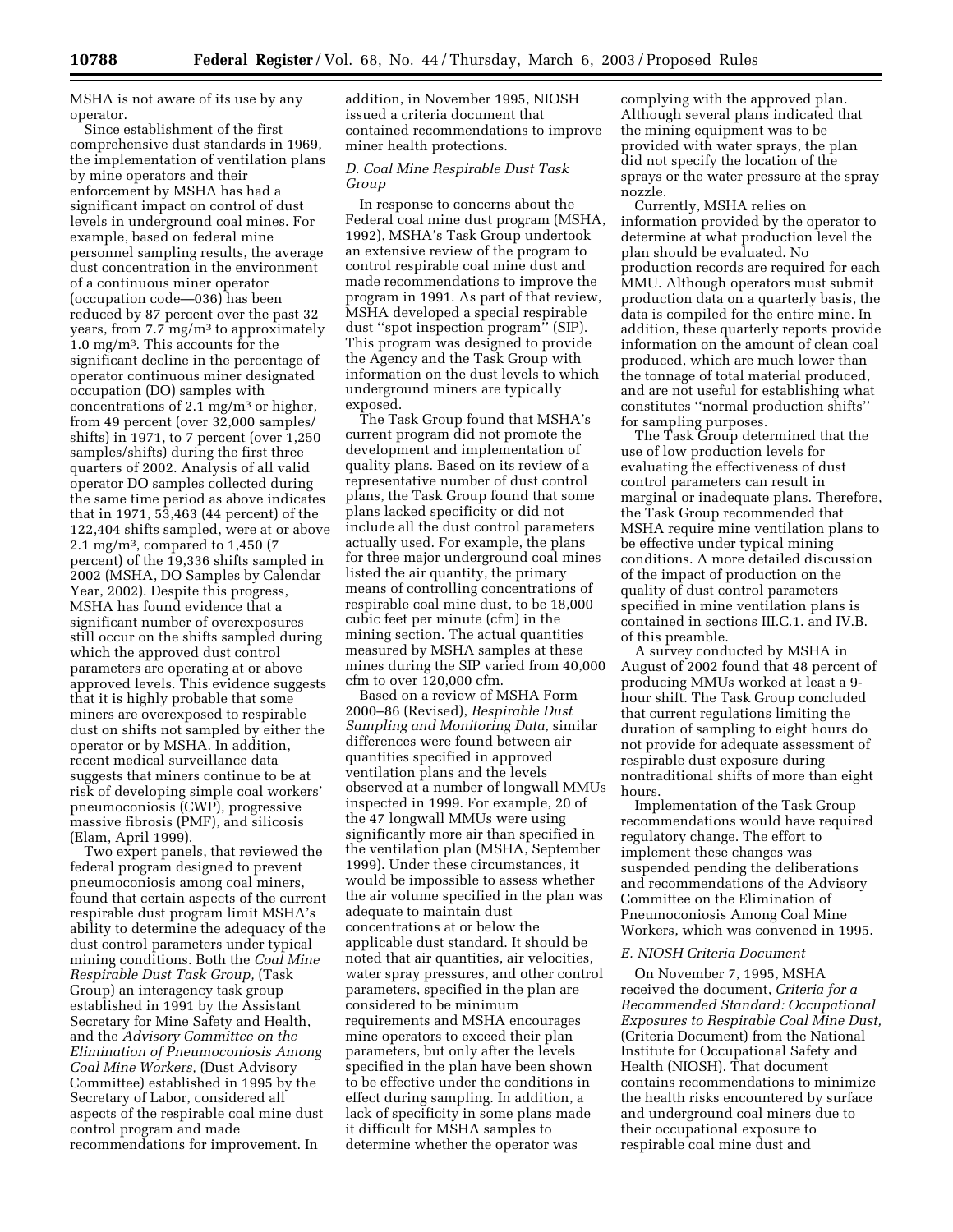MSHA is not aware of its use by any operator.

Since establishment of the first comprehensive dust standards in 1969, the implementation of ventilation plans by mine operators and their enforcement by MSHA has had a significant impact on control of dust levels in underground coal mines. For example, based on federal mine personnel sampling results, the average dust concentration in the environment of a continuous miner operator (occupation code—036) has been reduced by 87 percent over the past 32 years, from 7.7 mg/m3 to approximately 1.0 mg/m3. This accounts for the significant decline in the percentage of operator continuous miner designated occupation (DO) samples with concentrations of 2.1 mg/m<sup>3</sup> or higher, from 49 percent (over 32,000 samples/ shifts) in 1971, to 7 percent (over 1,250 samples/shifts) during the first three quarters of 2002. Analysis of all valid operator DO samples collected during the same time period as above indicates that in 1971, 53,463 (44 percent) of the 122,404 shifts sampled, were at or above 2.1 mg/m3, compared to 1,450 (7 percent) of the 19,336 shifts sampled in 2002 (MSHA, DO Samples by Calendar Year, 2002). Despite this progress, MSHA has found evidence that a significant number of overexposures still occur on the shifts sampled during which the approved dust control parameters are operating at or above approved levels. This evidence suggests that it is highly probable that some miners are overexposed to respirable dust on shifts not sampled by either the operator or by MSHA. In addition, recent medical surveillance data suggests that miners continue to be at risk of developing simple coal workers' pneumoconiosis (CWP), progressive massive fibrosis (PMF), and silicosis (Elam, April 1999).

Two expert panels, that reviewed the federal program designed to prevent pneumoconiosis among coal miners, found that certain aspects of the current respirable dust program limit MSHA's ability to determine the adequacy of the dust control parameters under typical mining conditions. Both the *Coal Mine Respirable Dust Task Group,* (Task Group) an interagency task group established in 1991 by the Assistant Secretary for Mine Safety and Health, and the *Advisory Committee on the Elimination of Pneumoconiosis Among Coal Mine Workers,* (Dust Advisory Committee) established in 1995 by the Secretary of Labor, considered all aspects of the respirable coal mine dust control program and made recommendations for improvement. In

addition, in November 1995, NIOSH issued a criteria document that contained recommendations to improve miner health protections.

## *D. Coal Mine Respirable Dust Task Group*

In response to concerns about the Federal coal mine dust program (MSHA, 1992), MSHA's Task Group undertook an extensive review of the program to control respirable coal mine dust and made recommendations to improve the program in 1991. As part of that review, MSHA developed a special respirable dust ''spot inspection program'' (SIP). This program was designed to provide the Agency and the Task Group with information on the dust levels to which underground miners are typically exposed.

The Task Group found that MSHA's current program did not promote the development and implementation of quality plans. Based on its review of a representative number of dust control plans, the Task Group found that some plans lacked specificity or did not include all the dust control parameters actually used. For example, the plans for three major underground coal mines listed the air quantity, the primary means of controlling concentrations of respirable coal mine dust, to be 18,000 cubic feet per minute (cfm) in the mining section. The actual quantities measured by MSHA samples at these mines during the SIP varied from 40,000 cfm to over 120,000 cfm.

Based on a review of MSHA Form 2000–86 (Revised), *Respirable Dust Sampling and Monitoring Data,* similar differences were found between air quantities specified in approved ventilation plans and the levels observed at a number of longwall MMUs inspected in 1999. For example, 20 of the 47 longwall MMUs were using significantly more air than specified in the ventilation plan (MSHA, September 1999). Under these circumstances, it would be impossible to assess whether the air volume specified in the plan was adequate to maintain dust concentrations at or below the applicable dust standard. It should be noted that air quantities, air velocities, water spray pressures, and other control parameters, specified in the plan are considered to be minimum requirements and MSHA encourages mine operators to exceed their plan parameters, but only after the levels specified in the plan have been shown to be effective under the conditions in effect during sampling. In addition, a lack of specificity in some plans made it difficult for MSHA samples to determine whether the operator was

complying with the approved plan. Although several plans indicated that the mining equipment was to be provided with water sprays, the plan did not specify the location of the sprays or the water pressure at the spray nozzle.

Currently, MSHA relies on information provided by the operator to determine at what production level the plan should be evaluated. No production records are required for each MMU. Although operators must submit production data on a quarterly basis, the data is compiled for the entire mine. In addition, these quarterly reports provide information on the amount of clean coal produced, which are much lower than the tonnage of total material produced, and are not useful for establishing what constitutes ''normal production shifts'' for sampling purposes.

The Task Group determined that the use of low production levels for evaluating the effectiveness of dust control parameters can result in marginal or inadequate plans. Therefore, the Task Group recommended that MSHA require mine ventilation plans to be effective under typical mining conditions. A more detailed discussion of the impact of production on the quality of dust control parameters specified in mine ventilation plans is contained in sections III.C.1. and IV.B. of this preamble.

A survey conducted by MSHA in August of 2002 found that 48 percent of producing MMUs worked at least a 9 hour shift. The Task Group concluded that current regulations limiting the duration of sampling to eight hours do not provide for adequate assessment of respirable dust exposure during nontraditional shifts of more than eight hours.

Implementation of the Task Group recommendations would have required regulatory change. The effort to implement these changes was suspended pending the deliberations and recommendations of the Advisory Committee on the Elimination of Pneumoconiosis Among Coal Mine Workers, which was convened in 1995.

#### *E. NIOSH Criteria Document*

On November 7, 1995, MSHA received the document, *Criteria for a Recommended Standard: Occupational Exposures to Respirable Coal Mine Dust,* (Criteria Document) from the National Institute for Occupational Safety and Health (NIOSH). That document contains recommendations to minimize the health risks encountered by surface and underground coal miners due to their occupational exposure to respirable coal mine dust and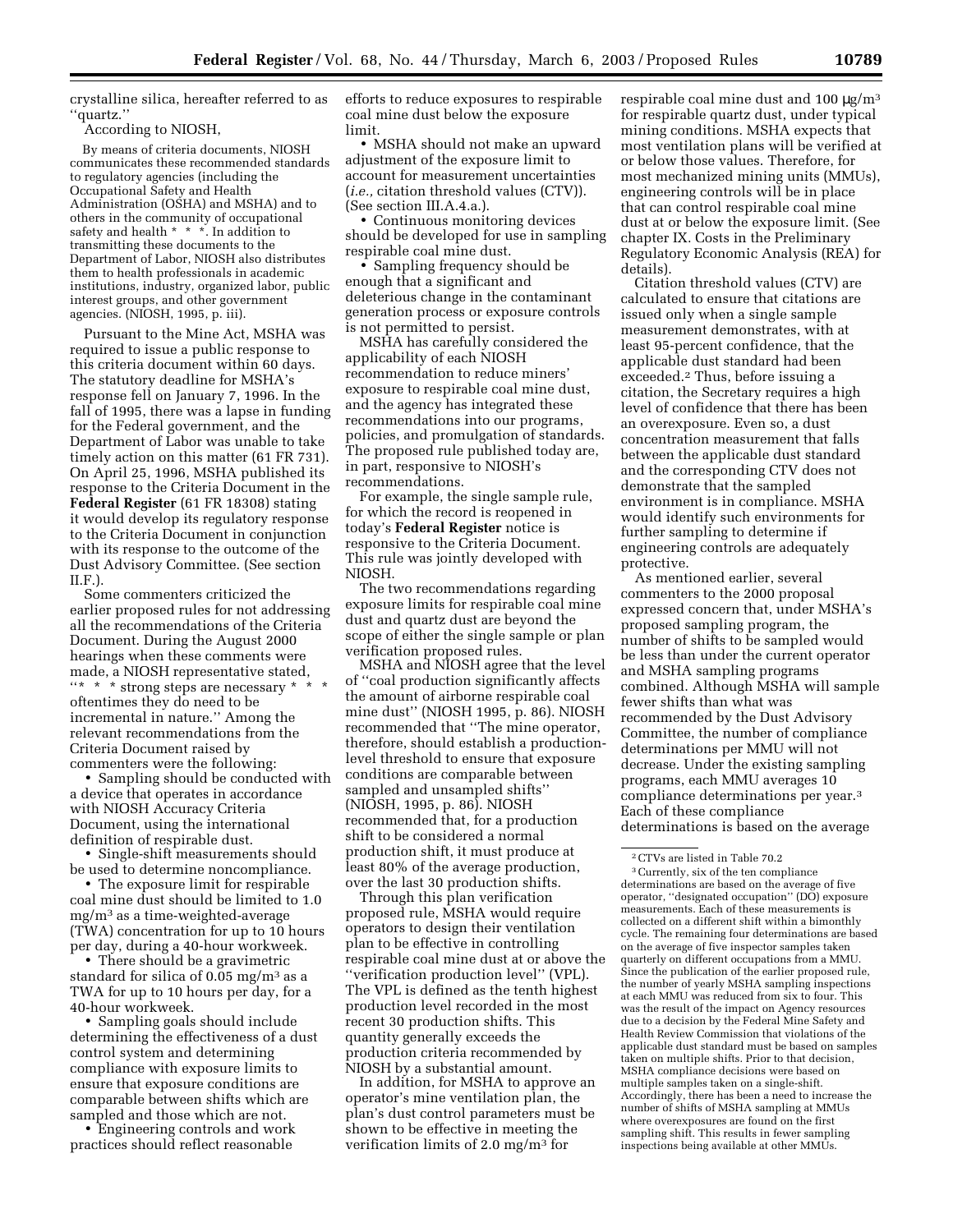crystalline silica, hereafter referred to as ''quartz.''

According to NIOSH,

By means of criteria documents, NIOSH communicates these recommended standards to regulatory agencies (including the Occupational Safety and Health Administration (OSHA) and MSHA) and to others in the community of occupational safety and health \* \* \*. In addition to transmitting these documents to the Department of Labor, NIOSH also distributes them to health professionals in academic institutions, industry, organized labor, public interest groups, and other government agencies. (NIOSH, 1995, p. iii).

Pursuant to the Mine Act, MSHA was required to issue a public response to this criteria document within 60 days. The statutory deadline for MSHA's response fell on January 7, 1996. In the fall of 1995, there was a lapse in funding for the Federal government, and the Department of Labor was unable to take timely action on this matter (61 FR 731). On April 25, 1996, MSHA published its response to the Criteria Document in the **Federal Register** (61 FR 18308) stating it would develop its regulatory response to the Criteria Document in conjunction with its response to the outcome of the Dust Advisory Committee. (See section  $IIF$ ).

Some commenters criticized the earlier proposed rules for not addressing all the recommendations of the Criteria Document. During the August 2000 hearings when these comments were made, a NIOSH representative stated,  $\lq\lq\lq*$  \* \* strong steps are necessary \* oftentimes they do need to be incremental in nature.'' Among the relevant recommendations from the Criteria Document raised by commenters were the following:

• Sampling should be conducted with a device that operates in accordance with NIOSH Accuracy Criteria Document, using the international definition of respirable dust.

• Single-shift measurements should be used to determine noncompliance.

• The exposure limit for respirable coal mine dust should be limited to 1.0 mg/m3 as a time-weighted-average (TWA) concentration for up to 10 hours per day, during a 40-hour workweek.

• There should be a gravimetric standard for silica of  $0.05$  mg/m<sup>3</sup> as a TWA for up to 10 hours per day, for a 40-hour workweek.

• Sampling goals should include determining the effectiveness of a dust control system and determining compliance with exposure limits to ensure that exposure conditions are comparable between shifts which are sampled and those which are not.

• Engineering controls and work practices should reflect reasonable

efforts to reduce exposures to respirable coal mine dust below the exposure limit.

• MSHA should not make an upward adjustment of the exposure limit to account for measurement uncertainties (*i.e.,* citation threshold values (CTV)). (See section III.A.4.a.).

• Continuous monitoring devices should be developed for use in sampling respirable coal mine dust.

• Sampling frequency should be enough that a significant and deleterious change in the contaminant generation process or exposure controls is not permitted to persist.

MSHA has carefully considered the applicability of each NIOSH recommendation to reduce miners' exposure to respirable coal mine dust, and the agency has integrated these recommendations into our programs, policies, and promulgation of standards. The proposed rule published today are, in part, responsive to NIOSH's recommendations.

For example, the single sample rule, for which the record is reopened in today's **Federal Register** notice is responsive to the Criteria Document. This rule was jointly developed with NIOSH.

The two recommendations regarding exposure limits for respirable coal mine dust and quartz dust are beyond the scope of either the single sample or plan verification proposed rules.

MSHA and NIOSH agree that the level of ''coal production significantly affects the amount of airborne respirable coal mine dust'' (NIOSH 1995, p. 86). NIOSH recommended that ''The mine operator, therefore, should establish a productionlevel threshold to ensure that exposure conditions are comparable between sampled and unsampled shifts'' (NIOSH, 1995, p. 86). NIOSH recommended that, for a production shift to be considered a normal production shift, it must produce at least 80% of the average production, over the last 30 production shifts.

Through this plan verification proposed rule, MSHA would require operators to design their ventilation plan to be effective in controlling respirable coal mine dust at or above the ''verification production level'' (VPL). The VPL is defined as the tenth highest production level recorded in the most recent 30 production shifts. This quantity generally exceeds the production criteria recommended by NIOSH by a substantial amount.

In addition, for MSHA to approve an operator's mine ventilation plan, the plan's dust control parameters must be shown to be effective in meeting the verification limits of 2.0 mg/m3 for

respirable coal mine dust and  $100 \mu g/m^3$ for respirable quartz dust, under typical mining conditions. MSHA expects that most ventilation plans will be verified at or below those values. Therefore, for most mechanized mining units (MMUs), engineering controls will be in place that can control respirable coal mine dust at or below the exposure limit. (See chapter IX. Costs in the Preliminary Regulatory Economic Analysis (REA) for details).

Citation threshold values (CTV) are calculated to ensure that citations are issued only when a single sample measurement demonstrates, with at least 95-percent confidence, that the applicable dust standard had been exceeded.2 Thus, before issuing a citation, the Secretary requires a high level of confidence that there has been an overexposure. Even so, a dust concentration measurement that falls between the applicable dust standard and the corresponding CTV does not demonstrate that the sampled environment is in compliance. MSHA would identify such environments for further sampling to determine if engineering controls are adequately protective.

As mentioned earlier, several commenters to the 2000 proposal expressed concern that, under MSHA's proposed sampling program, the number of shifts to be sampled would be less than under the current operator and MSHA sampling programs combined. Although MSHA will sample fewer shifts than what was recommended by the Dust Advisory Committee, the number of compliance determinations per MMU will not decrease. Under the existing sampling programs, each MMU averages 10 compliance determinations per year.3 Each of these compliance determinations is based on the average

3Currently, six of the ten compliance determinations are based on the average of five operator, ''designated occupation'' (DO) exposure measurements. Each of these measurements is collected on a different shift within a bimonthly cycle. The remaining four determinations are based on the average of five inspector samples taken quarterly on different occupations from a MMU. Since the publication of the earlier proposed rule, the number of yearly MSHA sampling inspections at each MMU was reduced from six to four. This was the result of the impact on Agency resources due to a decision by the Federal Mine Safety and Health Review Commission that violations of the applicable dust standard must be based on samples taken on multiple shifts. Prior to that decision, MSHA compliance decisions were based on multiple samples taken on a single-shift. Accordingly, there has been a need to increase the number of shifts of MSHA sampling at MMUs where overexposures are found on the first sampling shift. This results in fewer sampling inspections being available at other MMUs.

<sup>2</sup>CTVs are listed in Table 70.2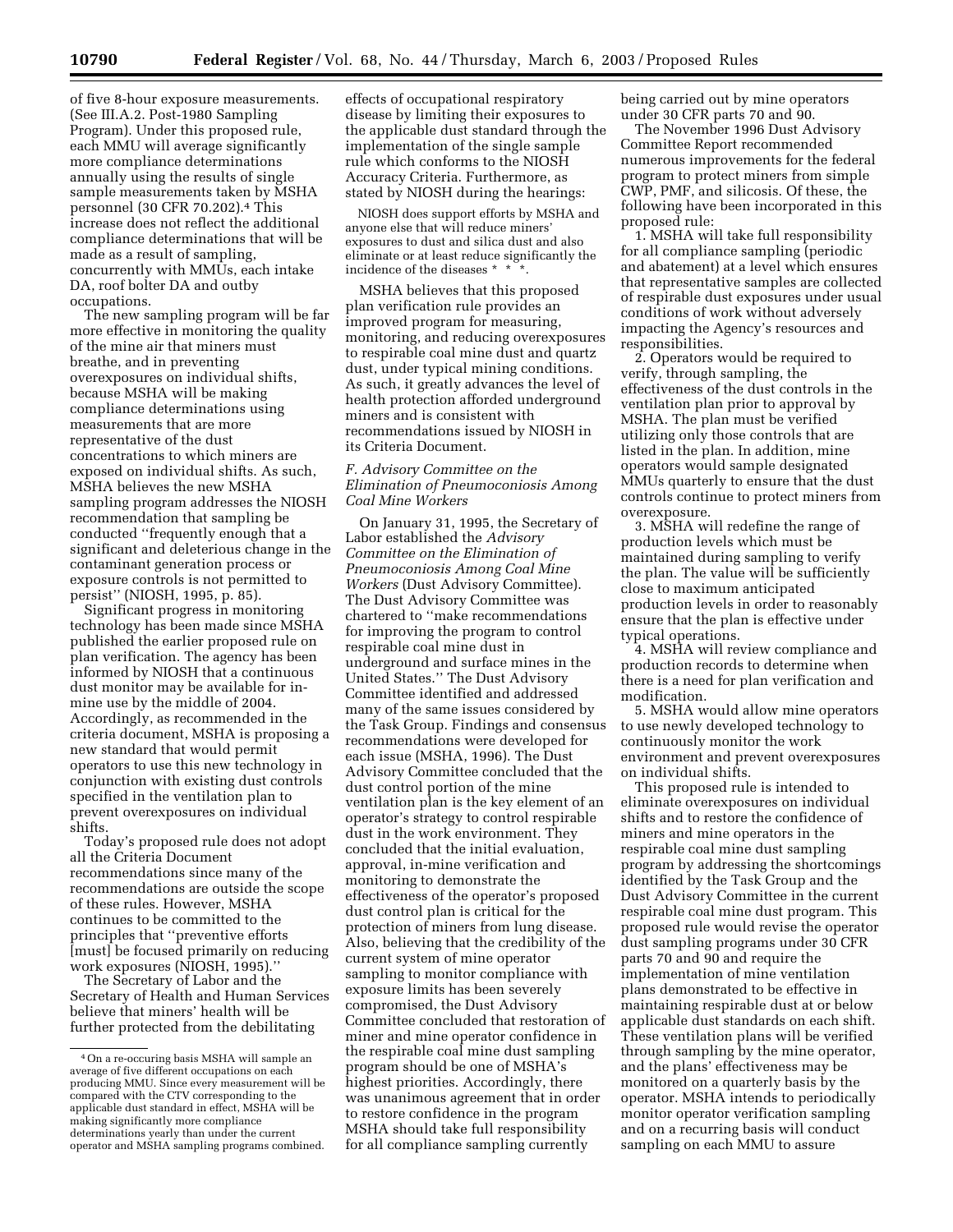of five 8-hour exposure measurements. (See III.A.2. Post-1980 Sampling Program). Under this proposed rule, each MMU will average significantly more compliance determinations annually using the results of single sample measurements taken by MSHA personnel (30 CFR 70.202).4 This increase does not reflect the additional compliance determinations that will be made as a result of sampling, concurrently with MMUs, each intake DA, roof bolter DA and outby occupations.

The new sampling program will be far more effective in monitoring the quality of the mine air that miners must breathe, and in preventing overexposures on individual shifts, because MSHA will be making compliance determinations using measurements that are more representative of the dust concentrations to which miners are exposed on individual shifts. As such, MSHA believes the new MSHA sampling program addresses the NIOSH recommendation that sampling be conducted ''frequently enough that a significant and deleterious change in the contaminant generation process or exposure controls is not permitted to persist'' (NIOSH, 1995, p. 85).

Significant progress in monitoring technology has been made since MSHA published the earlier proposed rule on plan verification. The agency has been informed by NIOSH that a continuous dust monitor may be available for inmine use by the middle of 2004. Accordingly, as recommended in the criteria document, MSHA is proposing a new standard that would permit operators to use this new technology in conjunction with existing dust controls specified in the ventilation plan to prevent overexposures on individual shifts.

Today's proposed rule does not adopt all the Criteria Document recommendations since many of the recommendations are outside the scope of these rules. However, MSHA continues to be committed to the principles that ''preventive efforts [must] be focused primarily on reducing work exposures (NIOSH, 1995).''

The Secretary of Labor and the Secretary of Health and Human Services believe that miners' health will be further protected from the debilitating

effects of occupational respiratory disease by limiting their exposures to the applicable dust standard through the implementation of the single sample rule which conforms to the NIOSH Accuracy Criteria. Furthermore, as stated by NIOSH during the hearings:

NIOSH does support efforts by MSHA and anyone else that will reduce miners' exposures to dust and silica dust and also eliminate or at least reduce significantly the incidence of the diseases  $*$   $*$ 

MSHA believes that this proposed plan verification rule provides an improved program for measuring, monitoring, and reducing overexposures to respirable coal mine dust and quartz dust, under typical mining conditions. As such, it greatly advances the level of health protection afforded underground miners and is consistent with recommendations issued by NIOSH in its Criteria Document.

## *F. Advisory Committee on the Elimination of Pneumoconiosis Among Coal Mine Workers*

On January 31, 1995, the Secretary of Labor established the *Advisory Committee on the Elimination of Pneumoconiosis Among Coal Mine Workers* (Dust Advisory Committee). The Dust Advisory Committee was chartered to ''make recommendations for improving the program to control respirable coal mine dust in underground and surface mines in the United States.'' The Dust Advisory Committee identified and addressed many of the same issues considered by the Task Group. Findings and consensus recommendations were developed for each issue (MSHA, 1996). The Dust Advisory Committee concluded that the dust control portion of the mine ventilation plan is the key element of an operator's strategy to control respirable dust in the work environment. They concluded that the initial evaluation, approval, in-mine verification and monitoring to demonstrate the effectiveness of the operator's proposed dust control plan is critical for the protection of miners from lung disease. Also, believing that the credibility of the current system of mine operator sampling to monitor compliance with exposure limits has been severely compromised, the Dust Advisory Committee concluded that restoration of miner and mine operator confidence in the respirable coal mine dust sampling program should be one of MSHA's highest priorities. Accordingly, there was unanimous agreement that in order to restore confidence in the program MSHA should take full responsibility for all compliance sampling currently

being carried out by mine operators under 30 CFR parts 70 and 90.

The November 1996 Dust Advisory Committee Report recommended numerous improvements for the federal program to protect miners from simple CWP, PMF, and silicosis. Of these, the following have been incorporated in this proposed rule:

1. MSHA will take full responsibility for all compliance sampling (periodic and abatement) at a level which ensures that representative samples are collected of respirable dust exposures under usual conditions of work without adversely impacting the Agency's resources and responsibilities.

2. Operators would be required to verify, through sampling, the effectiveness of the dust controls in the ventilation plan prior to approval by MSHA. The plan must be verified utilizing only those controls that are listed in the plan. In addition, mine operators would sample designated MMUs quarterly to ensure that the dust controls continue to protect miners from overexposure.

3. MSHA will redefine the range of production levels which must be maintained during sampling to verify the plan. The value will be sufficiently close to maximum anticipated production levels in order to reasonably ensure that the plan is effective under typical operations.

4. MSHA will review compliance and production records to determine when there is a need for plan verification and modification.

5. MSHA would allow mine operators to use newly developed technology to continuously monitor the work environment and prevent overexposures on individual shifts.

This proposed rule is intended to eliminate overexposures on individual shifts and to restore the confidence of miners and mine operators in the respirable coal mine dust sampling program by addressing the shortcomings identified by the Task Group and the Dust Advisory Committee in the current respirable coal mine dust program. This proposed rule would revise the operator dust sampling programs under 30 CFR parts 70 and 90 and require the implementation of mine ventilation plans demonstrated to be effective in maintaining respirable dust at or below applicable dust standards on each shift. These ventilation plans will be verified through sampling by the mine operator, and the plans' effectiveness may be monitored on a quarterly basis by the operator. MSHA intends to periodically monitor operator verification sampling and on a recurring basis will conduct sampling on each MMU to assure

<sup>4</sup>On a re-occuring basis MSHA will sample an average of five different occupations on each producing MMU. Since every measurement will be compared with the CTV corresponding to the applicable dust standard in effect, MSHA will be making significantly more compliance determinations yearly than under the current operator and MSHA sampling programs combined.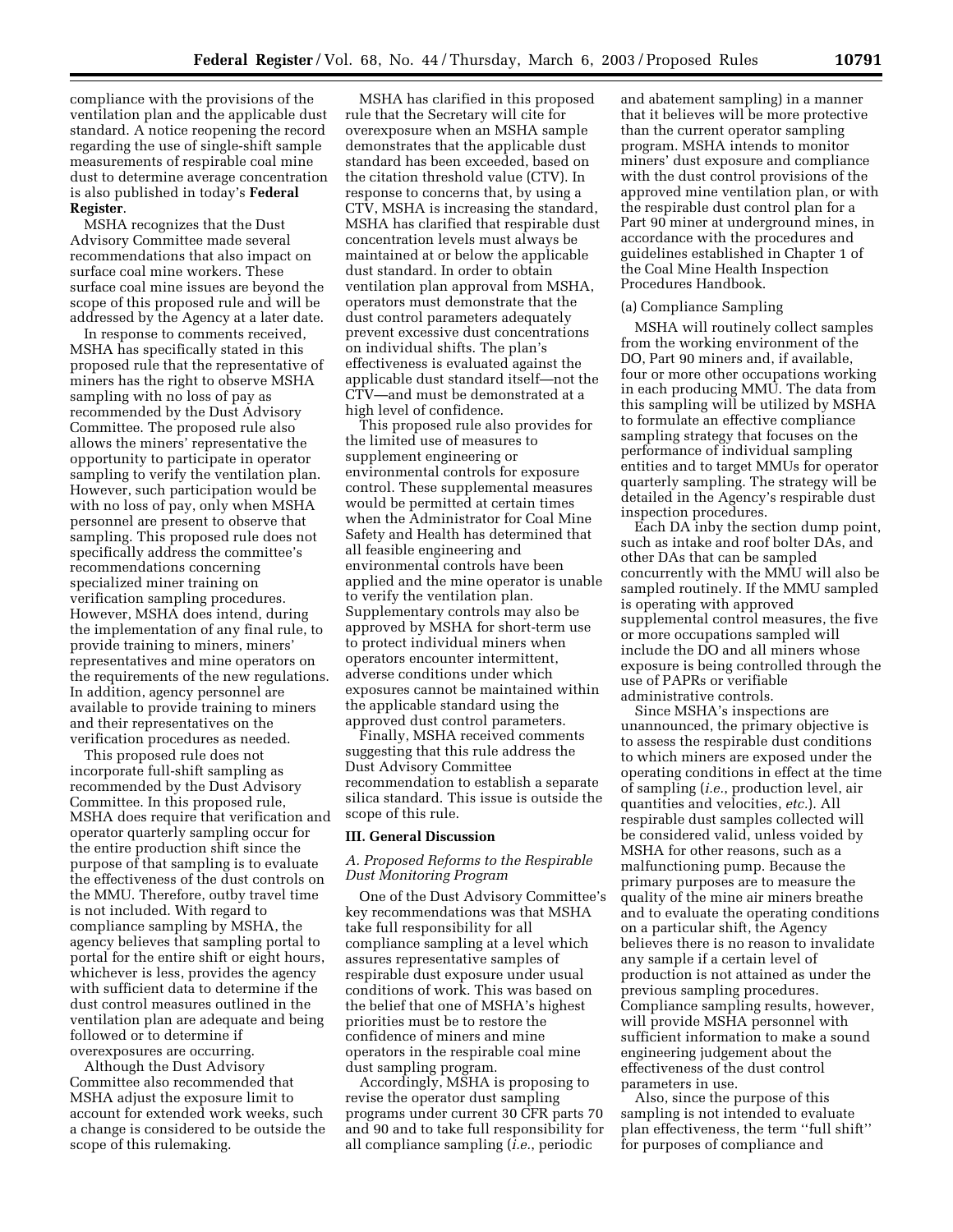compliance with the provisions of the ventilation plan and the applicable dust standard. A notice reopening the record regarding the use of single-shift sample measurements of respirable coal mine dust to determine average concentration is also published in today's **Federal Register**.

MSHA recognizes that the Dust Advisory Committee made several recommendations that also impact on surface coal mine workers. These surface coal mine issues are beyond the scope of this proposed rule and will be addressed by the Agency at a later date.

In response to comments received, MSHA has specifically stated in this proposed rule that the representative of miners has the right to observe MSHA sampling with no loss of pay as recommended by the Dust Advisory Committee. The proposed rule also allows the miners' representative the opportunity to participate in operator sampling to verify the ventilation plan. However, such participation would be with no loss of pay, only when MSHA personnel are present to observe that sampling. This proposed rule does not specifically address the committee's recommendations concerning specialized miner training on verification sampling procedures. However, MSHA does intend, during the implementation of any final rule, to provide training to miners, miners' representatives and mine operators on the requirements of the new regulations. In addition, agency personnel are available to provide training to miners and their representatives on the verification procedures as needed.

This proposed rule does not incorporate full-shift sampling as recommended by the Dust Advisory Committee. In this proposed rule, MSHA does require that verification and operator quarterly sampling occur for the entire production shift since the purpose of that sampling is to evaluate the effectiveness of the dust controls on the MMU. Therefore, outby travel time is not included. With regard to compliance sampling by MSHA, the agency believes that sampling portal to portal for the entire shift or eight hours, whichever is less, provides the agency with sufficient data to determine if the dust control measures outlined in the ventilation plan are adequate and being followed or to determine if overexposures are occurring.

Although the Dust Advisory Committee also recommended that MSHA adjust the exposure limit to account for extended work weeks, such a change is considered to be outside the scope of this rulemaking.

MSHA has clarified in this proposed rule that the Secretary will cite for overexposure when an MSHA sample demonstrates that the applicable dust standard has been exceeded, based on the citation threshold value (CTV). In response to concerns that, by using a CTV, MSHA is increasing the standard, MSHA has clarified that respirable dust concentration levels must always be maintained at or below the applicable dust standard. In order to obtain ventilation plan approval from MSHA, operators must demonstrate that the dust control parameters adequately prevent excessive dust concentrations on individual shifts. The plan's effectiveness is evaluated against the applicable dust standard itself—not the CTV—and must be demonstrated at a high level of confidence.

This proposed rule also provides for the limited use of measures to supplement engineering or environmental controls for exposure control. These supplemental measures would be permitted at certain times when the Administrator for Coal Mine Safety and Health has determined that all feasible engineering and environmental controls have been applied and the mine operator is unable to verify the ventilation plan. Supplementary controls may also be approved by MSHA for short-term use to protect individual miners when operators encounter intermittent, adverse conditions under which exposures cannot be maintained within the applicable standard using the approved dust control parameters.

Finally, MSHA received comments suggesting that this rule address the Dust Advisory Committee recommendation to establish a separate silica standard. This issue is outside the scope of this rule.

## **III. General Discussion**

## *A. Proposed Reforms to the Respirable Dust Monitoring Program*

One of the Dust Advisory Committee's key recommendations was that MSHA take full responsibility for all compliance sampling at a level which assures representative samples of respirable dust exposure under usual conditions of work. This was based on the belief that one of MSHA's highest priorities must be to restore the confidence of miners and mine operators in the respirable coal mine dust sampling program.

Accordingly, MSHA is proposing to revise the operator dust sampling programs under current 30 CFR parts 70 and 90 and to take full responsibility for all compliance sampling (*i.e.*, periodic

and abatement sampling) in a manner that it believes will be more protective than the current operator sampling program. MSHA intends to monitor miners' dust exposure and compliance with the dust control provisions of the approved mine ventilation plan, or with the respirable dust control plan for a Part 90 miner at underground mines, in accordance with the procedures and guidelines established in Chapter 1 of the Coal Mine Health Inspection Procedures Handbook.

#### (a) Compliance Sampling

MSHA will routinely collect samples from the working environment of the DO, Part 90 miners and, if available, four or more other occupations working in each producing MMU. The data from this sampling will be utilized by MSHA to formulate an effective compliance sampling strategy that focuses on the performance of individual sampling entities and to target MMUs for operator quarterly sampling. The strategy will be detailed in the Agency's respirable dust inspection procedures.

Each DA inby the section dump point, such as intake and roof bolter DAs, and other DAs that can be sampled concurrently with the MMU will also be sampled routinely. If the MMU sampled is operating with approved supplemental control measures, the five or more occupations sampled will include the DO and all miners whose exposure is being controlled through the use of PAPRs or verifiable administrative controls.

Since MSHA's inspections are unannounced, the primary objective is to assess the respirable dust conditions to which miners are exposed under the operating conditions in effect at the time of sampling (*i.e.*, production level, air quantities and velocities, *etc.*). All respirable dust samples collected will be considered valid, unless voided by MSHA for other reasons, such as a malfunctioning pump. Because the primary purposes are to measure the quality of the mine air miners breathe and to evaluate the operating conditions on a particular shift, the Agency believes there is no reason to invalidate any sample if a certain level of production is not attained as under the previous sampling procedures. Compliance sampling results, however, will provide MSHA personnel with sufficient information to make a sound engineering judgement about the effectiveness of the dust control parameters in use.

Also, since the purpose of this sampling is not intended to evaluate plan effectiveness, the term ''full shift'' for purposes of compliance and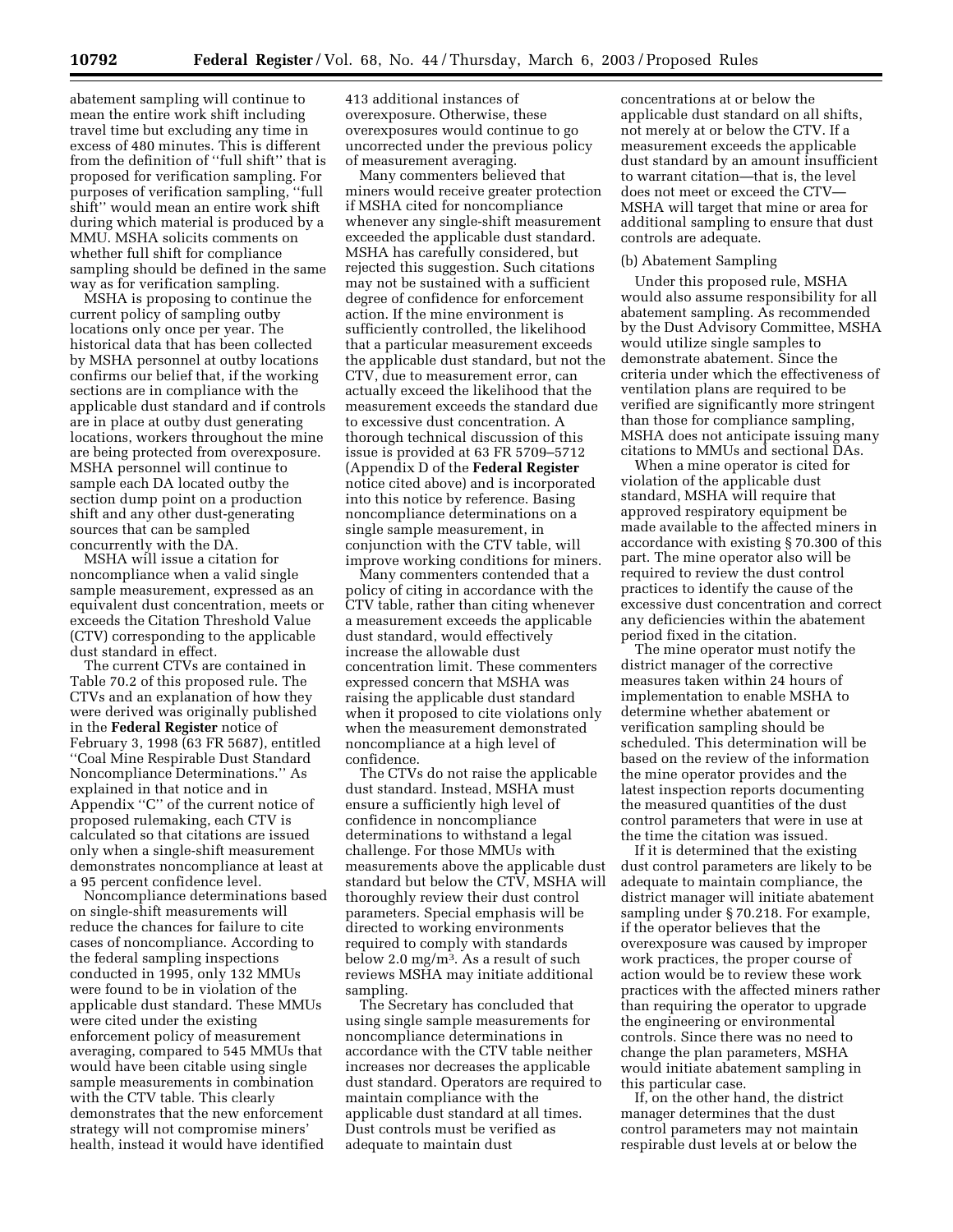abatement sampling will continue to mean the entire work shift including travel time but excluding any time in excess of 480 minutes. This is different from the definition of ''full shift'' that is proposed for verification sampling. For purposes of verification sampling, ''full shift'' would mean an entire work shift during which material is produced by a MMU. MSHA solicits comments on whether full shift for compliance sampling should be defined in the same way as for verification sampling.

MSHA is proposing to continue the current policy of sampling outby locations only once per year. The historical data that has been collected by MSHA personnel at outby locations confirms our belief that, if the working sections are in compliance with the applicable dust standard and if controls are in place at outby dust generating locations, workers throughout the mine are being protected from overexposure. MSHA personnel will continue to sample each DA located outby the section dump point on a production shift and any other dust-generating sources that can be sampled concurrently with the DA.

MSHA will issue a citation for noncompliance when a valid single sample measurement, expressed as an equivalent dust concentration, meets or exceeds the Citation Threshold Value (CTV) corresponding to the applicable dust standard in effect.

The current CTVs are contained in Table 70.2 of this proposed rule. The CTVs and an explanation of how they were derived was originally published in the **Federal Register** notice of February 3, 1998 (63 FR 5687), entitled ''Coal Mine Respirable Dust Standard Noncompliance Determinations.'' As explained in that notice and in Appendix ''C'' of the current notice of proposed rulemaking, each CTV is calculated so that citations are issued only when a single-shift measurement demonstrates noncompliance at least at a 95 percent confidence level.

Noncompliance determinations based on single-shift measurements will reduce the chances for failure to cite cases of noncompliance. According to the federal sampling inspections conducted in 1995, only 132 MMUs were found to be in violation of the applicable dust standard. These MMUs were cited under the existing enforcement policy of measurement averaging, compared to 545 MMUs that would have been citable using single sample measurements in combination with the CTV table. This clearly demonstrates that the new enforcement strategy will not compromise miners' health, instead it would have identified

413 additional instances of overexposure. Otherwise, these overexposures would continue to go uncorrected under the previous policy of measurement averaging.

Many commenters believed that miners would receive greater protection if MSHA cited for noncompliance whenever any single-shift measurement exceeded the applicable dust standard. MSHA has carefully considered, but rejected this suggestion. Such citations may not be sustained with a sufficient degree of confidence for enforcement action. If the mine environment is sufficiently controlled, the likelihood that a particular measurement exceeds the applicable dust standard, but not the CTV, due to measurement error, can actually exceed the likelihood that the measurement exceeds the standard due to excessive dust concentration. A thorough technical discussion of this issue is provided at 63 FR 5709–5712 (Appendix D of the **Federal Register** notice cited above) and is incorporated into this notice by reference. Basing noncompliance determinations on a single sample measurement, in conjunction with the CTV table, will improve working conditions for miners.

Many commenters contended that a policy of citing in accordance with the CTV table, rather than citing whenever a measurement exceeds the applicable dust standard, would effectively increase the allowable dust concentration limit. These commenters expressed concern that MSHA was raising the applicable dust standard when it proposed to cite violations only when the measurement demonstrated noncompliance at a high level of confidence.

The CTVs do not raise the applicable dust standard. Instead, MSHA must ensure a sufficiently high level of confidence in noncompliance determinations to withstand a legal challenge. For those MMUs with measurements above the applicable dust standard but below the CTV, MSHA will thoroughly review their dust control parameters. Special emphasis will be directed to working environments required to comply with standards below 2.0 mg/m<sup>3</sup>. As a result of such reviews MSHA may initiate additional sampling.

The Secretary has concluded that using single sample measurements for noncompliance determinations in accordance with the CTV table neither increases nor decreases the applicable dust standard. Operators are required to maintain compliance with the applicable dust standard at all times. Dust controls must be verified as adequate to maintain dust

concentrations at or below the applicable dust standard on all shifts, not merely at or below the CTV. If a measurement exceeds the applicable dust standard by an amount insufficient to warrant citation—that is, the level does not meet or exceed the CTV— MSHA will target that mine or area for additional sampling to ensure that dust controls are adequate.

#### (b) Abatement Sampling

Under this proposed rule, MSHA would also assume responsibility for all abatement sampling. As recommended by the Dust Advisory Committee, MSHA would utilize single samples to demonstrate abatement. Since the criteria under which the effectiveness of ventilation plans are required to be verified are significantly more stringent than those for compliance sampling, MSHA does not anticipate issuing many citations to MMUs and sectional DAs.

When a mine operator is cited for violation of the applicable dust standard, MSHA will require that approved respiratory equipment be made available to the affected miners in accordance with existing § 70.300 of this part. The mine operator also will be required to review the dust control practices to identify the cause of the excessive dust concentration and correct any deficiencies within the abatement period fixed in the citation.

The mine operator must notify the district manager of the corrective measures taken within 24 hours of implementation to enable MSHA to determine whether abatement or verification sampling should be scheduled. This determination will be based on the review of the information the mine operator provides and the latest inspection reports documenting the measured quantities of the dust control parameters that were in use at the time the citation was issued.

If it is determined that the existing dust control parameters are likely to be adequate to maintain compliance, the district manager will initiate abatement sampling under § 70.218. For example, if the operator believes that the overexposure was caused by improper work practices, the proper course of action would be to review these work practices with the affected miners rather than requiring the operator to upgrade the engineering or environmental controls. Since there was no need to change the plan parameters, MSHA would initiate abatement sampling in this particular case.

If, on the other hand, the district manager determines that the dust control parameters may not maintain respirable dust levels at or below the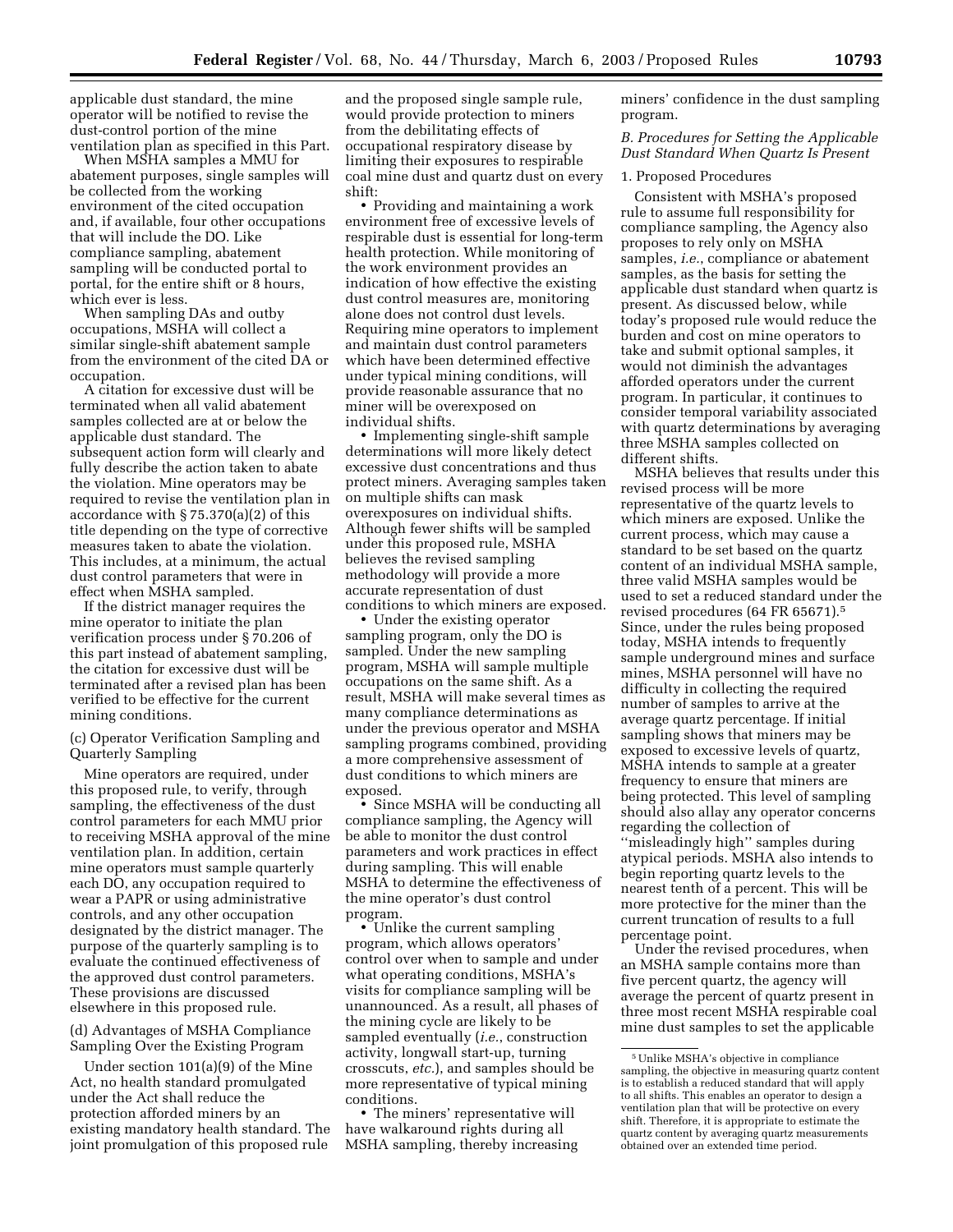applicable dust standard, the mine operator will be notified to revise the dust-control portion of the mine ventilation plan as specified in this Part.

When MSHA samples a MMU for abatement purposes, single samples will be collected from the working environment of the cited occupation and, if available, four other occupations that will include the DO. Like compliance sampling, abatement sampling will be conducted portal to portal, for the entire shift or 8 hours, which ever is less.

When sampling DAs and outby occupations, MSHA will collect a similar single-shift abatement sample from the environment of the cited DA or occupation.

A citation for excessive dust will be terminated when all valid abatement samples collected are at or below the applicable dust standard. The subsequent action form will clearly and fully describe the action taken to abate the violation. Mine operators may be required to revise the ventilation plan in accordance with § 75.370(a)(2) of this title depending on the type of corrective measures taken to abate the violation. This includes, at a minimum, the actual dust control parameters that were in effect when MSHA sampled.

If the district manager requires the mine operator to initiate the plan verification process under § 70.206 of this part instead of abatement sampling, the citation for excessive dust will be terminated after a revised plan has been verified to be effective for the current mining conditions.

(c) Operator Verification Sampling and Quarterly Sampling

Mine operators are required, under this proposed rule, to verify, through sampling, the effectiveness of the dust control parameters for each MMU prior to receiving MSHA approval of the mine ventilation plan. In addition, certain mine operators must sample quarterly each DO, any occupation required to wear a PAPR or using administrative controls, and any other occupation designated by the district manager. The purpose of the quarterly sampling is to evaluate the continued effectiveness of the approved dust control parameters. These provisions are discussed elsewhere in this proposed rule.

(d) Advantages of MSHA Compliance Sampling Over the Existing Program

Under section 101(a)(9) of the Mine Act, no health standard promulgated under the Act shall reduce the protection afforded miners by an existing mandatory health standard. The joint promulgation of this proposed rule

and the proposed single sample rule, would provide protection to miners from the debilitating effects of occupational respiratory disease by limiting their exposures to respirable coal mine dust and quartz dust on every shift:

• Providing and maintaining a work environment free of excessive levels of respirable dust is essential for long-term health protection. While monitoring of the work environment provides an indication of how effective the existing dust control measures are, monitoring alone does not control dust levels. Requiring mine operators to implement and maintain dust control parameters which have been determined effective under typical mining conditions, will provide reasonable assurance that no miner will be overexposed on individual shifts.

• Implementing single-shift sample determinations will more likely detect excessive dust concentrations and thus protect miners. Averaging samples taken on multiple shifts can mask overexposures on individual shifts. Although fewer shifts will be sampled under this proposed rule, MSHA believes the revised sampling methodology will provide a more accurate representation of dust conditions to which miners are exposed.

• Under the existing operator sampling program, only the DO is sampled. Under the new sampling program, MSHA will sample multiple occupations on the same shift. As a result, MSHA will make several times as many compliance determinations as under the previous operator and MSHA sampling programs combined, providing a more comprehensive assessment of dust conditions to which miners are exposed.

• Since MSHA will be conducting all compliance sampling, the Agency will be able to monitor the dust control parameters and work practices in effect during sampling. This will enable MSHA to determine the effectiveness of the mine operator's dust control program.

• Unlike the current sampling program, which allows operators' control over when to sample and under what operating conditions, MSHA's visits for compliance sampling will be unannounced. As a result, all phases of the mining cycle are likely to be sampled eventually (*i.e.*, construction activity, longwall start-up, turning crosscuts, *etc.*), and samples should be more representative of typical mining conditions.

• The miners' representative will have walkaround rights during all MSHA sampling, thereby increasing miners' confidence in the dust sampling program.

*B. Procedures for Setting the Applicable Dust Standard When Quartz Is Present* 

1. Proposed Procedures

Consistent with MSHA's proposed rule to assume full responsibility for compliance sampling, the Agency also proposes to rely only on MSHA samples, *i.e.*, compliance or abatement samples, as the basis for setting the applicable dust standard when quartz is present. As discussed below, while today's proposed rule would reduce the burden and cost on mine operators to take and submit optional samples, it would not diminish the advantages afforded operators under the current program. In particular, it continues to consider temporal variability associated with quartz determinations by averaging three MSHA samples collected on different shifts.

MSHA believes that results under this revised process will be more representative of the quartz levels to which miners are exposed. Unlike the current process, which may cause a standard to be set based on the quartz content of an individual MSHA sample, three valid MSHA samples would be used to set a reduced standard under the revised procedures (64 FR 65671).5 Since, under the rules being proposed today, MSHA intends to frequently sample underground mines and surface mines, MSHA personnel will have no difficulty in collecting the required number of samples to arrive at the average quartz percentage. If initial sampling shows that miners may be exposed to excessive levels of quartz, MSHA intends to sample at a greater frequency to ensure that miners are being protected. This level of sampling should also allay any operator concerns regarding the collection of ''misleadingly high'' samples during atypical periods. MSHA also intends to begin reporting quartz levels to the nearest tenth of a percent. This will be more protective for the miner than the current truncation of results to a full percentage point.

Under the revised procedures, when an MSHA sample contains more than five percent quartz, the agency will average the percent of quartz present in three most recent MSHA respirable coal mine dust samples to set the applicable

<sup>5</sup>Unlike MSHA's objective in compliance sampling, the objective in measuring quartz content is to establish a reduced standard that will apply to all shifts. This enables an operator to design a ventilation plan that will be protective on every shift. Therefore, it is appropriate to estimate the quartz content by averaging quartz measurements obtained over an extended time period.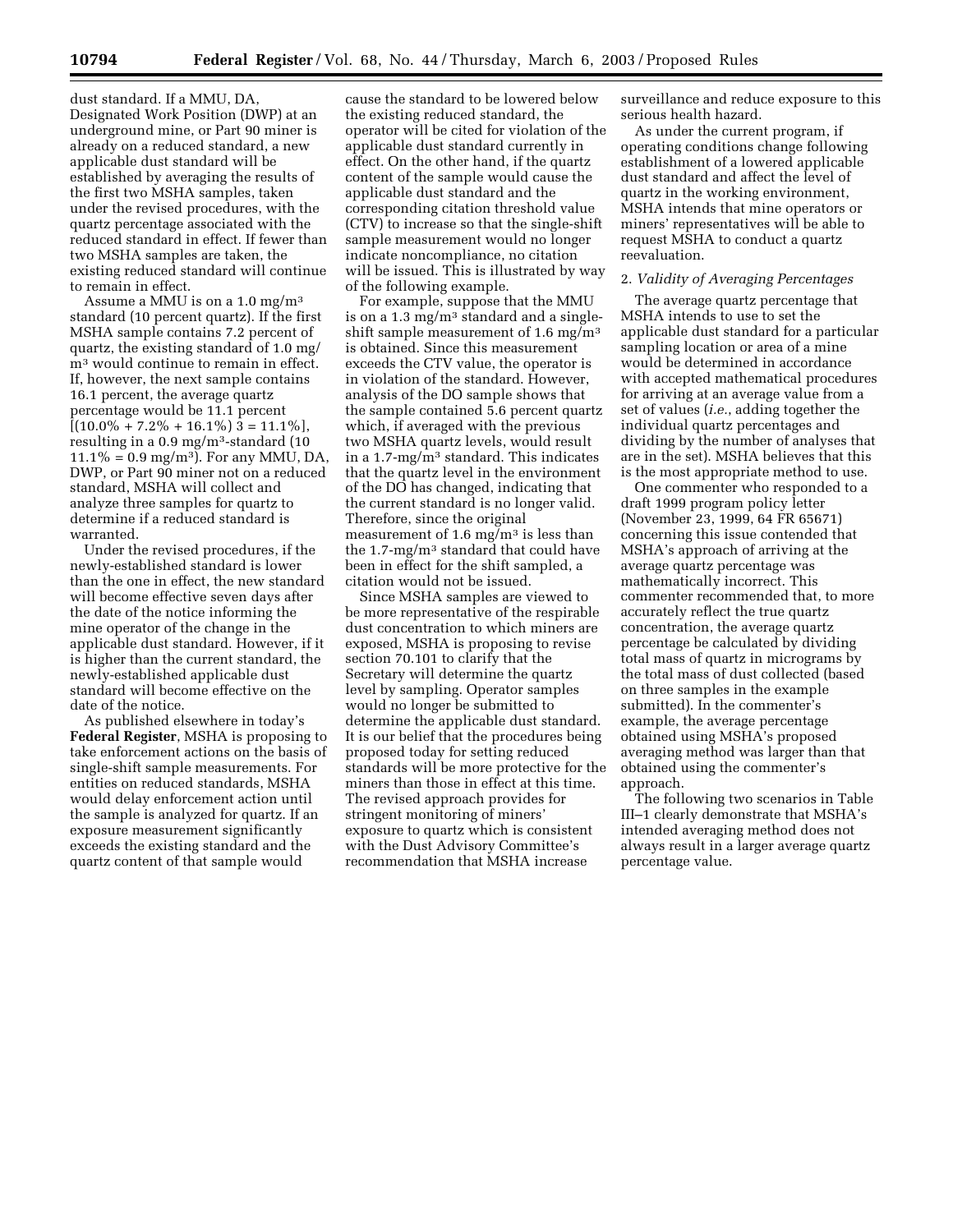dust standard. If a MMU, DA, Designated Work Position (DWP) at an underground mine, or Part 90 miner is already on a reduced standard, a new applicable dust standard will be established by averaging the results of the first two MSHA samples, taken under the revised procedures, with the quartz percentage associated with the reduced standard in effect. If fewer than two MSHA samples are taken, the existing reduced standard will continue to remain in effect.

Assume a MMU is on a 1.0 mg/m3 standard (10 percent quartz). If the first MSHA sample contains 7.2 percent of quartz, the existing standard of 1.0 mg/ m3 would continue to remain in effect. If, however, the next sample contains 16.1 percent, the average quartz percentage would be 11.1 percent  $[(10.0\% + 7.2\% + 16.1\%)]$  3 = 11.1\% resulting in a  $0.9 \text{ mg/m}^3$ -standard (10)  $11.1\% = 0.9$  mg/m<sup>3</sup>). For any MMU, DA, DWP, or Part 90 miner not on a reduced standard, MSHA will collect and analyze three samples for quartz to determine if a reduced standard is warranted.

Under the revised procedures, if the newly-established standard is lower than the one in effect, the new standard will become effective seven days after the date of the notice informing the mine operator of the change in the applicable dust standard. However, if it is higher than the current standard, the newly-established applicable dust standard will become effective on the date of the notice.

As published elsewhere in today's **Federal Register**, MSHA is proposing to take enforcement actions on the basis of single-shift sample measurements. For entities on reduced standards, MSHA would delay enforcement action until the sample is analyzed for quartz. If an exposure measurement significantly exceeds the existing standard and the quartz content of that sample would

cause the standard to be lowered below the existing reduced standard, the operator will be cited for violation of the applicable dust standard currently in effect. On the other hand, if the quartz content of the sample would cause the applicable dust standard and the corresponding citation threshold value (CTV) to increase so that the single-shift sample measurement would no longer indicate noncompliance, no citation will be issued. This is illustrated by way of the following example.

For example, suppose that the MMU is on a 1.3 mg/m3 standard and a singleshift sample measurement of 1.6 mg/m<sup>3</sup> is obtained. Since this measurement exceeds the CTV value, the operator is in violation of the standard. However, analysis of the DO sample shows that the sample contained 5.6 percent quartz which, if averaged with the previous two MSHA quartz levels, would result in a 1.7-mg/m<sup>3</sup> standard. This indicates that the quartz level in the environment of the DO has changed, indicating that the current standard is no longer valid. Therefore, since the original measurement of  $1.6 \text{ mg/m}^3$  is less than the 1.7-mg/m3 standard that could have been in effect for the shift sampled, a citation would not be issued.

Since MSHA samples are viewed to be more representative of the respirable dust concentration to which miners are exposed, MSHA is proposing to revise section 70.101 to clarify that the Secretary will determine the quartz level by sampling. Operator samples would no longer be submitted to determine the applicable dust standard. It is our belief that the procedures being proposed today for setting reduced standards will be more protective for the miners than those in effect at this time. The revised approach provides for stringent monitoring of miners' exposure to quartz which is consistent with the Dust Advisory Committee's recommendation that MSHA increase

surveillance and reduce exposure to this serious health hazard.

As under the current program, if operating conditions change following establishment of a lowered applicable dust standard and affect the level of quartz in the working environment, MSHA intends that mine operators or miners' representatives will be able to request MSHA to conduct a quartz reevaluation.

## 2. *Validity of Averaging Percentages*

The average quartz percentage that MSHA intends to use to set the applicable dust standard for a particular sampling location or area of a mine would be determined in accordance with accepted mathematical procedures for arriving at an average value from a set of values (*i.e.*, adding together the individual quartz percentages and dividing by the number of analyses that are in the set). MSHA believes that this is the most appropriate method to use.

One commenter who responded to a draft 1999 program policy letter (November 23, 1999, 64 FR 65671) concerning this issue contended that MSHA's approach of arriving at the average quartz percentage was mathematically incorrect. This commenter recommended that, to more accurately reflect the true quartz concentration, the average quartz percentage be calculated by dividing total mass of quartz in micrograms by the total mass of dust collected (based on three samples in the example submitted). In the commenter's example, the average percentage obtained using MSHA's proposed averaging method was larger than that obtained using the commenter's approach.

The following two scenarios in Table III–1 clearly demonstrate that MSHA's intended averaging method does not always result in a larger average quartz percentage value.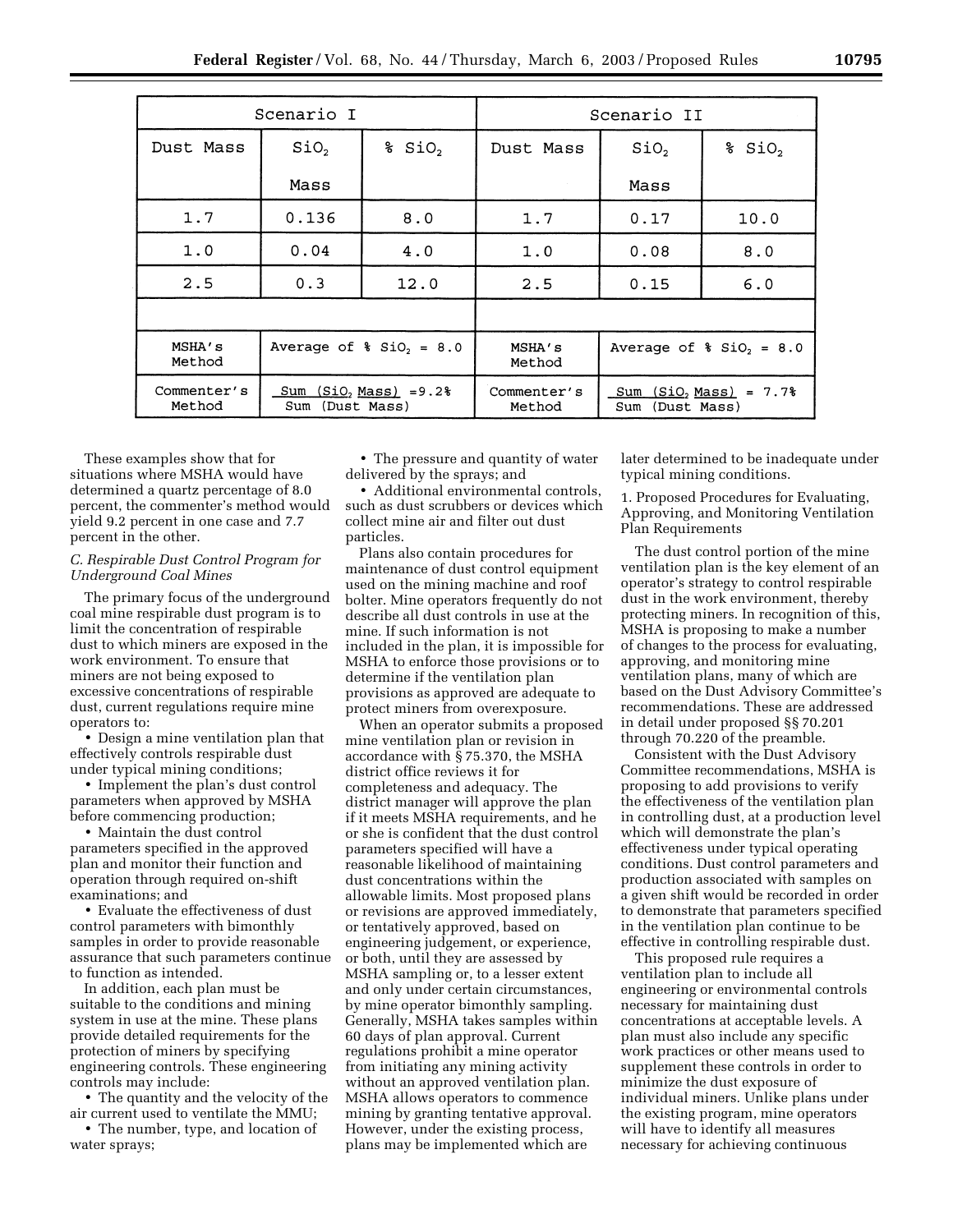| Scenario I            |                                                 |                      | Scenario II           |                                                   |                      |
|-----------------------|-------------------------------------------------|----------------------|-----------------------|---------------------------------------------------|----------------------|
| Dust Mass             | SiO <sub>2</sub>                                | $s$ SiO <sub>2</sub> | Dust Mass             | SiO <sub>2</sub>                                  | $s$ SiO <sub>2</sub> |
|                       | Mass                                            |                      |                       | Mass                                              |                      |
| 1.7                   | 0.136                                           | 8.0                  | 1.7                   | 0.17                                              | 10.0                 |
| 1.0                   | 0.04                                            | 4.0                  | 1.0                   | 0.08                                              | 8.0                  |
| 2.5                   | 0.3                                             | 12.0                 | 2.5                   | 0.15                                              | 6.0                  |
|                       |                                                 |                      |                       |                                                   |                      |
| MSHA's<br>Method      | Average of $\frac{1}{2}$ SiO <sub>2</sub> = 8.0 |                      | MSHA's<br>Method      | Average of $\frac{1}{2}$ SiO <sub>2</sub> = 8.0   |                      |
| Commenter's<br>Method | $Sum (SiO, Mass) = 9.2%$<br>(Dust Mass)<br>Sum  |                      | Commenter's<br>Method | $(SiO, Mass) = 7.7%$<br>Sum<br>(Dust Mass)<br>Sum |                      |

These examples show that for situations where MSHA would have determined a quartz percentage of 8.0 percent, the commenter's method would yield 9.2 percent in one case and 7.7 percent in the other.

## *C. Respirable Dust Control Program for Underground Coal Mines*

The primary focus of the underground coal mine respirable dust program is to limit the concentration of respirable dust to which miners are exposed in the work environment. To ensure that miners are not being exposed to excessive concentrations of respirable dust, current regulations require mine operators to:

• Design a mine ventilation plan that effectively controls respirable dust under typical mining conditions;

• Implement the plan's dust control parameters when approved by MSHA before commencing production;

• Maintain the dust control parameters specified in the approved plan and monitor their function and operation through required on-shift examinations; and

• Evaluate the effectiveness of dust control parameters with bimonthly samples in order to provide reasonable assurance that such parameters continue to function as intended.

In addition, each plan must be suitable to the conditions and mining system in use at the mine. These plans provide detailed requirements for the protection of miners by specifying engineering controls. These engineering controls may include:

• The quantity and the velocity of the air current used to ventilate the MMU;

• The number, type, and location of water sprays;

• The pressure and quantity of water delivered by the sprays; and

• Additional environmental controls, such as dust scrubbers or devices which collect mine air and filter out dust particles.

Plans also contain procedures for maintenance of dust control equipment used on the mining machine and roof bolter. Mine operators frequently do not describe all dust controls in use at the mine. If such information is not included in the plan, it is impossible for MSHA to enforce those provisions or to determine if the ventilation plan provisions as approved are adequate to protect miners from overexposure.

When an operator submits a proposed mine ventilation plan or revision in accordance with § 75.370, the MSHA district office reviews it for completeness and adequacy. The district manager will approve the plan if it meets MSHA requirements, and he or she is confident that the dust control parameters specified will have a reasonable likelihood of maintaining dust concentrations within the allowable limits. Most proposed plans or revisions are approved immediately, or tentatively approved, based on engineering judgement, or experience, or both, until they are assessed by MSHA sampling or, to a lesser extent and only under certain circumstances, by mine operator bimonthly sampling. Generally, MSHA takes samples within 60 days of plan approval. Current regulations prohibit a mine operator from initiating any mining activity without an approved ventilation plan. MSHA allows operators to commence mining by granting tentative approval. However, under the existing process, plans may be implemented which are

later determined to be inadequate under typical mining conditions.

1. Proposed Procedures for Evaluating, Approving, and Monitoring Ventilation Plan Requirements

The dust control portion of the mine ventilation plan is the key element of an operator's strategy to control respirable dust in the work environment, thereby protecting miners. In recognition of this, MSHA is proposing to make a number of changes to the process for evaluating, approving, and monitoring mine ventilation plans, many of which are based on the Dust Advisory Committee's recommendations. These are addressed in detail under proposed §§ 70.201 through 70.220 of the preamble.

Consistent with the Dust Advisory Committee recommendations, MSHA is proposing to add provisions to verify the effectiveness of the ventilation plan in controlling dust, at a production level which will demonstrate the plan's effectiveness under typical operating conditions. Dust control parameters and production associated with samples on a given shift would be recorded in order to demonstrate that parameters specified in the ventilation plan continue to be effective in controlling respirable dust.

This proposed rule requires a ventilation plan to include all engineering or environmental controls necessary for maintaining dust concentrations at acceptable levels. A plan must also include any specific work practices or other means used to supplement these controls in order to minimize the dust exposure of individual miners. Unlike plans under the existing program, mine operators will have to identify all measures necessary for achieving continuous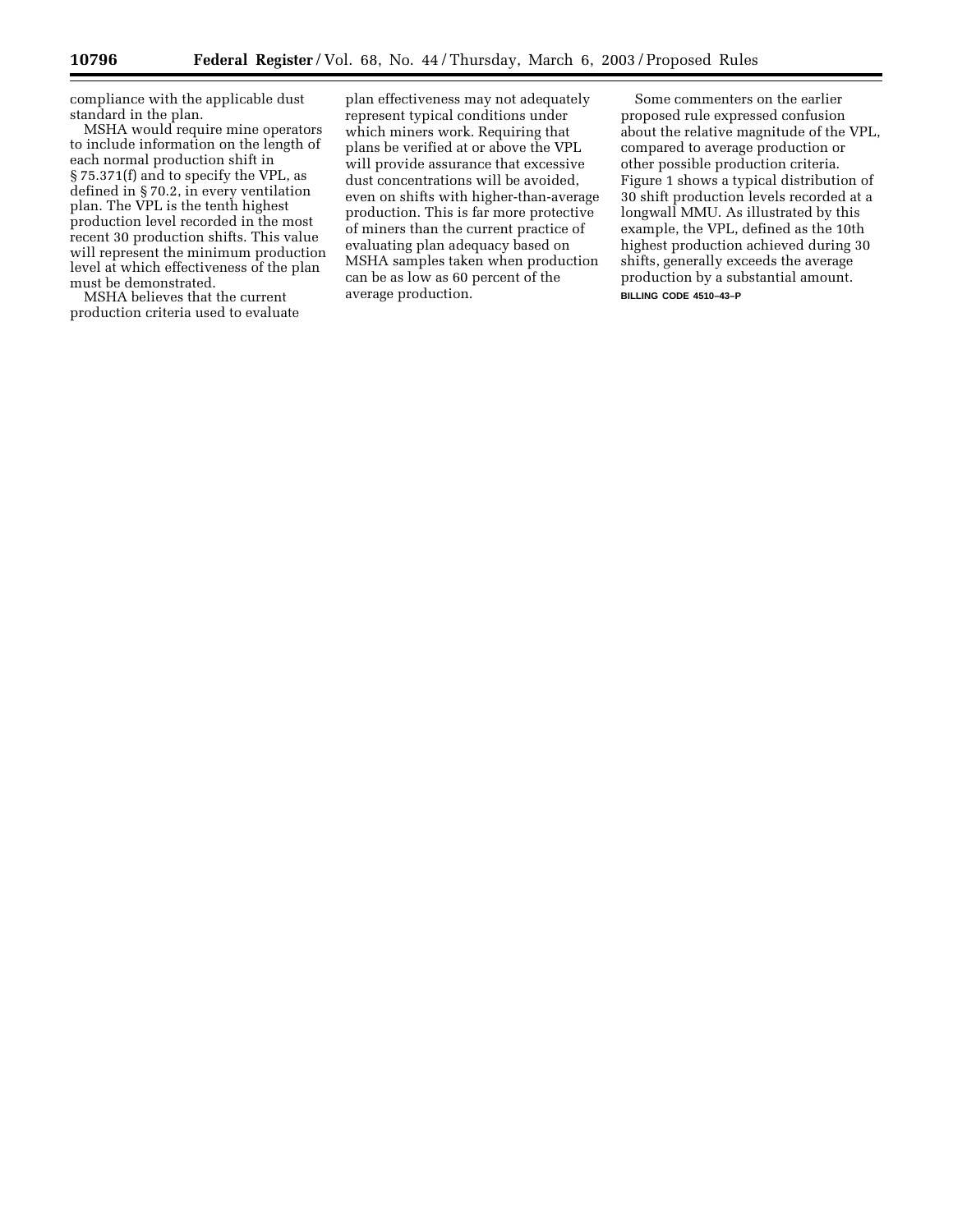compliance with the applicable dust standard in the plan.

MSHA would require mine operators to include information on the length of each normal production shift in § 75.371(f) and to specify the VPL, as defined in § 70.2, in every ventilation plan. The VPL is the tenth highest production level recorded in the most recent 30 production shifts. This value will represent the minimum production level at which effectiveness of the plan must be demonstrated.

MSHA believes that the current production criteria used to evaluate

plan effectiveness may not adequately represent typical conditions under which miners work. Requiring that plans be verified at or above the VPL will provide assurance that excessive dust concentrations will be avoided, even on shifts with higher-than-average production. This is far more protective of miners than the current practice of evaluating plan adequacy based on MSHA samples taken when production can be as low as 60 percent of the average production.

Some commenters on the earlier proposed rule expressed confusion about the relative magnitude of the VPL, compared to average production or other possible production criteria. Figure 1 shows a typical distribution of 30 shift production levels recorded at a longwall MMU. As illustrated by this example, the VPL, defined as the 10th highest production achieved during 30 shifts, generally exceeds the average production by a substantial amount. **BILLING CODE 4510–43–P**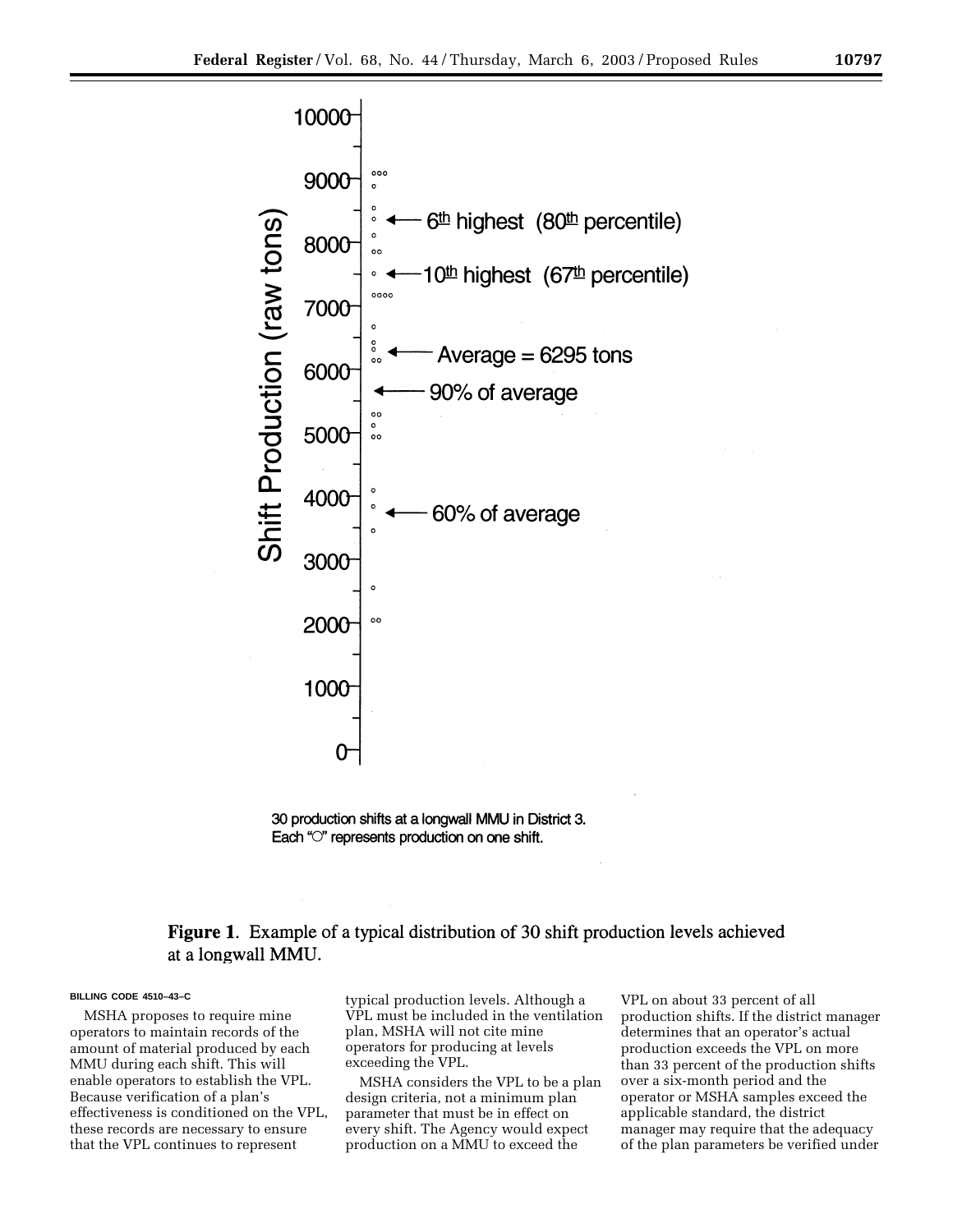



## **Figure 1.** Example of a typical distribution of 30 shift production levels achieved at a longwall MMU.

#### **BILLING CODE 4510–43–C**

MSHA proposes to require mine operators to maintain records of the amount of material produced by each MMU during each shift. This will enable operators to establish the VPL. Because verification of a plan's effectiveness is conditioned on the VPL, these records are necessary to ensure that the VPL continues to represent

typical production levels. Although a VPL must be included in the ventilation plan, MSHA will not cite mine operators for producing at levels exceeding the VPL.

MSHA considers the VPL to be a plan design criteria, not a minimum plan parameter that must be in effect on every shift. The Agency would expect production on a MMU to exceed the

VPL on about 33 percent of all production shifts. If the district manager determines that an operator's actual production exceeds the VPL on more than 33 percent of the production shifts over a six-month period and the operator or MSHA samples exceed the applicable standard, the district manager may require that the adequacy of the plan parameters be verified under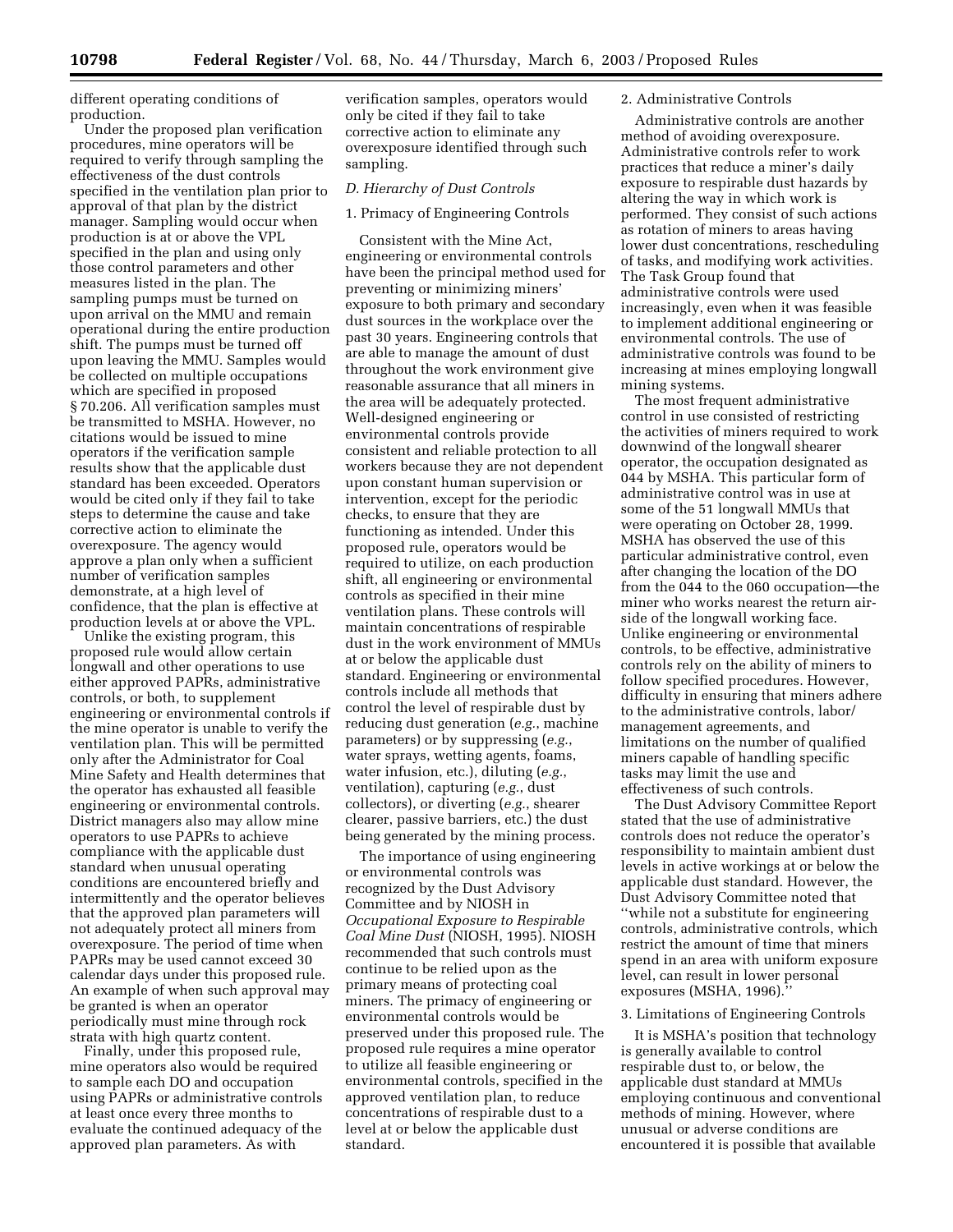different operating conditions of production.

Under the proposed plan verification procedures, mine operators will be required to verify through sampling the effectiveness of the dust controls specified in the ventilation plan prior to approval of that plan by the district manager. Sampling would occur when production is at or above the VPL specified in the plan and using only those control parameters and other measures listed in the plan. The sampling pumps must be turned on upon arrival on the MMU and remain operational during the entire production shift. The pumps must be turned off upon leaving the MMU. Samples would be collected on multiple occupations which are specified in proposed § 70.206. All verification samples must be transmitted to MSHA. However, no citations would be issued to mine operators if the verification sample results show that the applicable dust standard has been exceeded. Operators would be cited only if they fail to take steps to determine the cause and take corrective action to eliminate the overexposure. The agency would approve a plan only when a sufficient number of verification samples demonstrate, at a high level of confidence, that the plan is effective at production levels at or above the VPL.

Unlike the existing program, this proposed rule would allow certain longwall and other operations to use either approved PAPRs, administrative controls, or both, to supplement engineering or environmental controls if the mine operator is unable to verify the ventilation plan. This will be permitted only after the Administrator for Coal Mine Safety and Health determines that the operator has exhausted all feasible engineering or environmental controls. District managers also may allow mine operators to use PAPRs to achieve compliance with the applicable dust standard when unusual operating conditions are encountered briefly and intermittently and the operator believes that the approved plan parameters will not adequately protect all miners from overexposure. The period of time when PAPRs may be used cannot exceed 30 calendar days under this proposed rule. An example of when such approval may be granted is when an operator periodically must mine through rock strata with high quartz content.

Finally, under this proposed rule, mine operators also would be required to sample each DO and occupation using PAPRs or administrative controls at least once every three months to evaluate the continued adequacy of the approved plan parameters. As with

verification samples, operators would only be cited if they fail to take corrective action to eliminate any overexposure identified through such sampling.

## *D. Hierarchy of Dust Controls*

## 1. Primacy of Engineering Controls

Consistent with the Mine Act, engineering or environmental controls have been the principal method used for preventing or minimizing miners' exposure to both primary and secondary dust sources in the workplace over the past 30 years. Engineering controls that are able to manage the amount of dust throughout the work environment give reasonable assurance that all miners in the area will be adequately protected. Well-designed engineering or environmental controls provide consistent and reliable protection to all workers because they are not dependent upon constant human supervision or intervention, except for the periodic checks, to ensure that they are functioning as intended. Under this proposed rule, operators would be required to utilize, on each production shift, all engineering or environmental controls as specified in their mine ventilation plans. These controls will maintain concentrations of respirable dust in the work environment of MMUs at or below the applicable dust standard. Engineering or environmental controls include all methods that control the level of respirable dust by reducing dust generation (*e.g.*, machine parameters) or by suppressing (*e.g.*, water sprays, wetting agents, foams, water infusion, etc.), diluting (*e.g.*, ventilation), capturing (*e.g.*, dust collectors), or diverting (*e.g.*, shearer clearer, passive barriers, etc.) the dust being generated by the mining process.

The importance of using engineering or environmental controls was recognized by the Dust Advisory Committee and by NIOSH in *Occupational Exposure to Respirable Coal Mine Dust* (NIOSH, 1995). NIOSH recommended that such controls must continue to be relied upon as the primary means of protecting coal miners. The primacy of engineering or environmental controls would be preserved under this proposed rule. The proposed rule requires a mine operator to utilize all feasible engineering or environmental controls, specified in the approved ventilation plan, to reduce concentrations of respirable dust to a level at or below the applicable dust standard.

## 2. Administrative Controls

Administrative controls are another method of avoiding overexposure. Administrative controls refer to work practices that reduce a miner's daily exposure to respirable dust hazards by altering the way in which work is performed. They consist of such actions as rotation of miners to areas having lower dust concentrations, rescheduling of tasks, and modifying work activities. The Task Group found that administrative controls were used increasingly, even when it was feasible to implement additional engineering or environmental controls. The use of administrative controls was found to be increasing at mines employing longwall mining systems.

The most frequent administrative control in use consisted of restricting the activities of miners required to work downwind of the longwall shearer operator, the occupation designated as 044 by MSHA. This particular form of administrative control was in use at some of the 51 longwall MMUs that were operating on October 28, 1999. MSHA has observed the use of this particular administrative control, even after changing the location of the DO from the 044 to the 060 occupation—the miner who works nearest the return airside of the longwall working face. Unlike engineering or environmental controls, to be effective, administrative controls rely on the ability of miners to follow specified procedures. However, difficulty in ensuring that miners adhere to the administrative controls, labor/ management agreements, and limitations on the number of qualified miners capable of handling specific tasks may limit the use and effectiveness of such controls.

The Dust Advisory Committee Report stated that the use of administrative controls does not reduce the operator's responsibility to maintain ambient dust levels in active workings at or below the applicable dust standard. However, the Dust Advisory Committee noted that ''while not a substitute for engineering controls, administrative controls, which restrict the amount of time that miners spend in an area with uniform exposure level, can result in lower personal exposures (MSHA, 1996).''

#### 3. Limitations of Engineering Controls

It is MSHA's position that technology is generally available to control respirable dust to, or below, the applicable dust standard at MMUs employing continuous and conventional methods of mining. However, where unusual or adverse conditions are encountered it is possible that available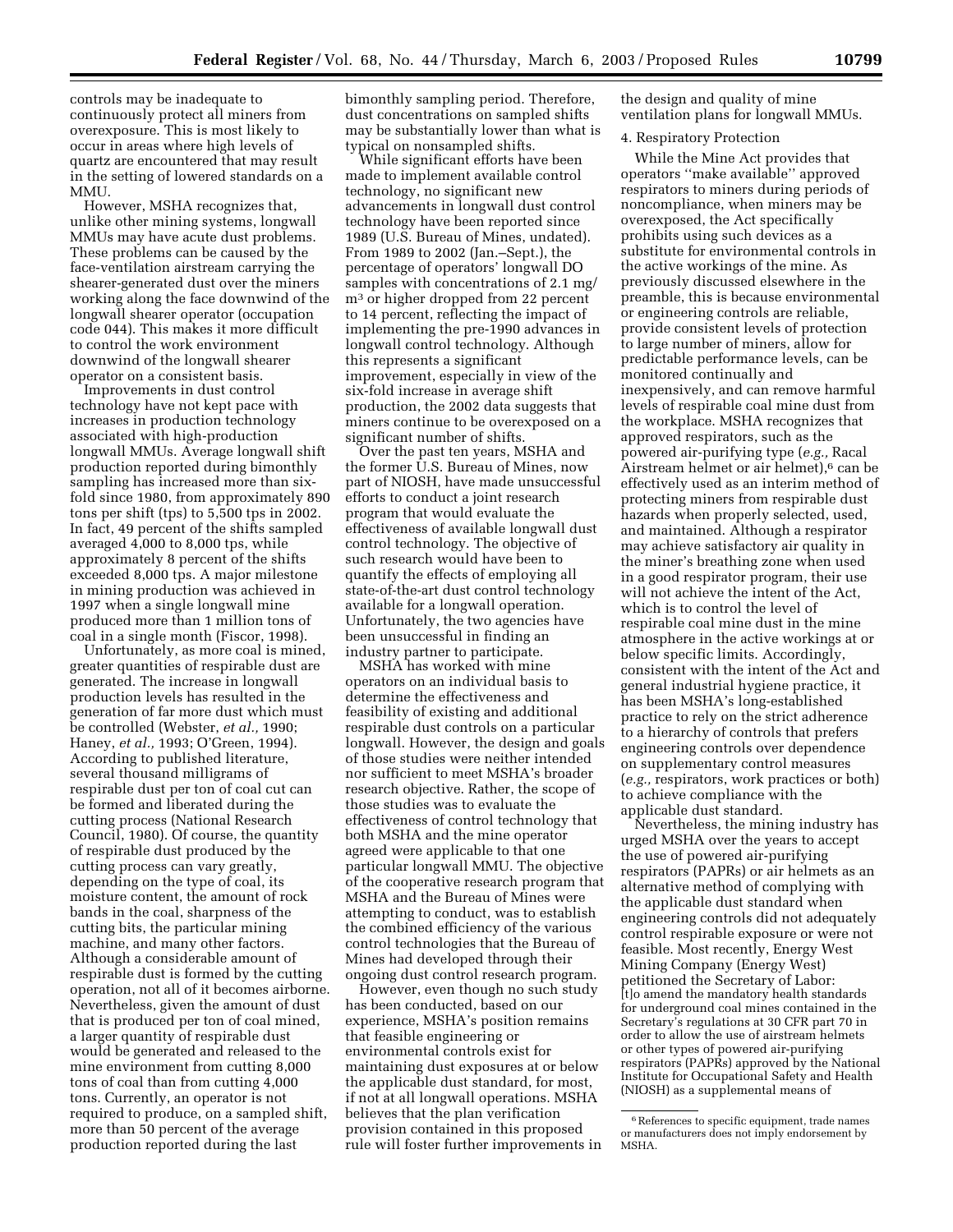controls may be inadequate to continuously protect all miners from overexposure. This is most likely to occur in areas where high levels of quartz are encountered that may result in the setting of lowered standards on a MMU.

However, MSHA recognizes that, unlike other mining systems, longwall MMUs may have acute dust problems. These problems can be caused by the face-ventilation airstream carrying the shearer-generated dust over the miners working along the face downwind of the longwall shearer operator (occupation code 044). This makes it more difficult to control the work environment downwind of the longwall shearer operator on a consistent basis.

Improvements in dust control technology have not kept pace with increases in production technology associated with high-production longwall MMUs. Average longwall shift production reported during bimonthly sampling has increased more than sixfold since 1980, from approximately 890 tons per shift (tps) to 5,500 tps in 2002. In fact, 49 percent of the shifts sampled averaged 4,000 to 8,000 tps, while approximately 8 percent of the shifts exceeded 8,000 tps. A major milestone in mining production was achieved in 1997 when a single longwall mine produced more than 1 million tons of coal in a single month (Fiscor, 1998).

Unfortunately, as more coal is mined, greater quantities of respirable dust are generated. The increase in longwall production levels has resulted in the generation of far more dust which must be controlled (Webster, *et al.,* 1990; Haney, *et al.,* 1993; O'Green, 1994). According to published literature, several thousand milligrams of respirable dust per ton of coal cut can be formed and liberated during the cutting process (National Research Council, 1980). Of course, the quantity of respirable dust produced by the cutting process can vary greatly, depending on the type of coal, its moisture content, the amount of rock bands in the coal, sharpness of the cutting bits, the particular mining machine, and many other factors. Although a considerable amount of respirable dust is formed by the cutting operation, not all of it becomes airborne. Nevertheless, given the amount of dust that is produced per ton of coal mined, a larger quantity of respirable dust would be generated and released to the mine environment from cutting 8,000 tons of coal than from cutting 4,000 tons. Currently, an operator is not required to produce, on a sampled shift, more than 50 percent of the average production reported during the last

bimonthly sampling period. Therefore, dust concentrations on sampled shifts may be substantially lower than what is typical on nonsampled shifts.

While significant efforts have been made to implement available control technology, no significant new advancements in longwall dust control technology have been reported since 1989 (U.S. Bureau of Mines, undated). From 1989 to 2002 (Jan.–Sept.), the percentage of operators' longwall DO samples with concentrations of 2.1 mg/ m3 or higher dropped from 22 percent to 14 percent, reflecting the impact of implementing the pre-1990 advances in longwall control technology. Although this represents a significant improvement, especially in view of the six-fold increase in average shift production, the 2002 data suggests that miners continue to be overexposed on a significant number of shifts.

Over the past ten years, MSHA and the former U.S. Bureau of Mines, now part of NIOSH, have made unsuccessful efforts to conduct a joint research program that would evaluate the effectiveness of available longwall dust control technology. The objective of such research would have been to quantify the effects of employing all state-of-the-art dust control technology available for a longwall operation. Unfortunately, the two agencies have been unsuccessful in finding an industry partner to participate.

MSHA has worked with mine operators on an individual basis to determine the effectiveness and feasibility of existing and additional respirable dust controls on a particular longwall. However, the design and goals of those studies were neither intended nor sufficient to meet MSHA's broader research objective. Rather, the scope of those studies was to evaluate the effectiveness of control technology that both MSHA and the mine operator agreed were applicable to that one particular longwall MMU. The objective of the cooperative research program that MSHA and the Bureau of Mines were attempting to conduct, was to establish the combined efficiency of the various control technologies that the Bureau of Mines had developed through their ongoing dust control research program.

However, even though no such study has been conducted, based on our experience, MSHA's position remains that feasible engineering or environmental controls exist for maintaining dust exposures at or below the applicable dust standard, for most, if not at all longwall operations. MSHA believes that the plan verification provision contained in this proposed rule will foster further improvements in the design and quality of mine ventilation plans for longwall MMUs.

## 4. Respiratory Protection

While the Mine Act provides that operators ''make available'' approved respirators to miners during periods of noncompliance, when miners may be overexposed, the Act specifically prohibits using such devices as a substitute for environmental controls in the active workings of the mine. As previously discussed elsewhere in the preamble, this is because environmental or engineering controls are reliable, provide consistent levels of protection to large number of miners, allow for predictable performance levels, can be monitored continually and inexpensively, and can remove harmful levels of respirable coal mine dust from the workplace. MSHA recognizes that approved respirators, such as the powered air-purifying type (*e.g.,* Racal Airstream helmet or air helmet),<sup>6</sup> can be effectively used as an interim method of protecting miners from respirable dust hazards when properly selected, used, and maintained. Although a respirator may achieve satisfactory air quality in the miner's breathing zone when used in a good respirator program, their use will not achieve the intent of the Act, which is to control the level of respirable coal mine dust in the mine atmosphere in the active workings at or below specific limits. Accordingly, consistent with the intent of the Act and general industrial hygiene practice, it has been MSHA's long-established practice to rely on the strict adherence to a hierarchy of controls that prefers engineering controls over dependence on supplementary control measures (*e.g.,* respirators, work practices or both) to achieve compliance with the applicable dust standard.

Nevertheless, the mining industry has urged MSHA over the years to accept the use of powered air-purifying respirators (PAPRs) or air helmets as an alternative method of complying with the applicable dust standard when engineering controls did not adequately control respirable exposure or were not feasible. Most recently, Energy West Mining Company (Energy West) petitioned the Secretary of Labor: [t]o amend the mandatory health standards for underground coal mines contained in the Secretary's regulations at 30 CFR part 70 in order to allow the use of airstream helmets or other types of powered air-purifying respirators (PAPRs) approved by the National Institute for Occupational Safety and Health (NIOSH) as a supplemental means of

<sup>6</sup>References to specific equipment, trade names or manufacturers does not imply endorsement by MSHA.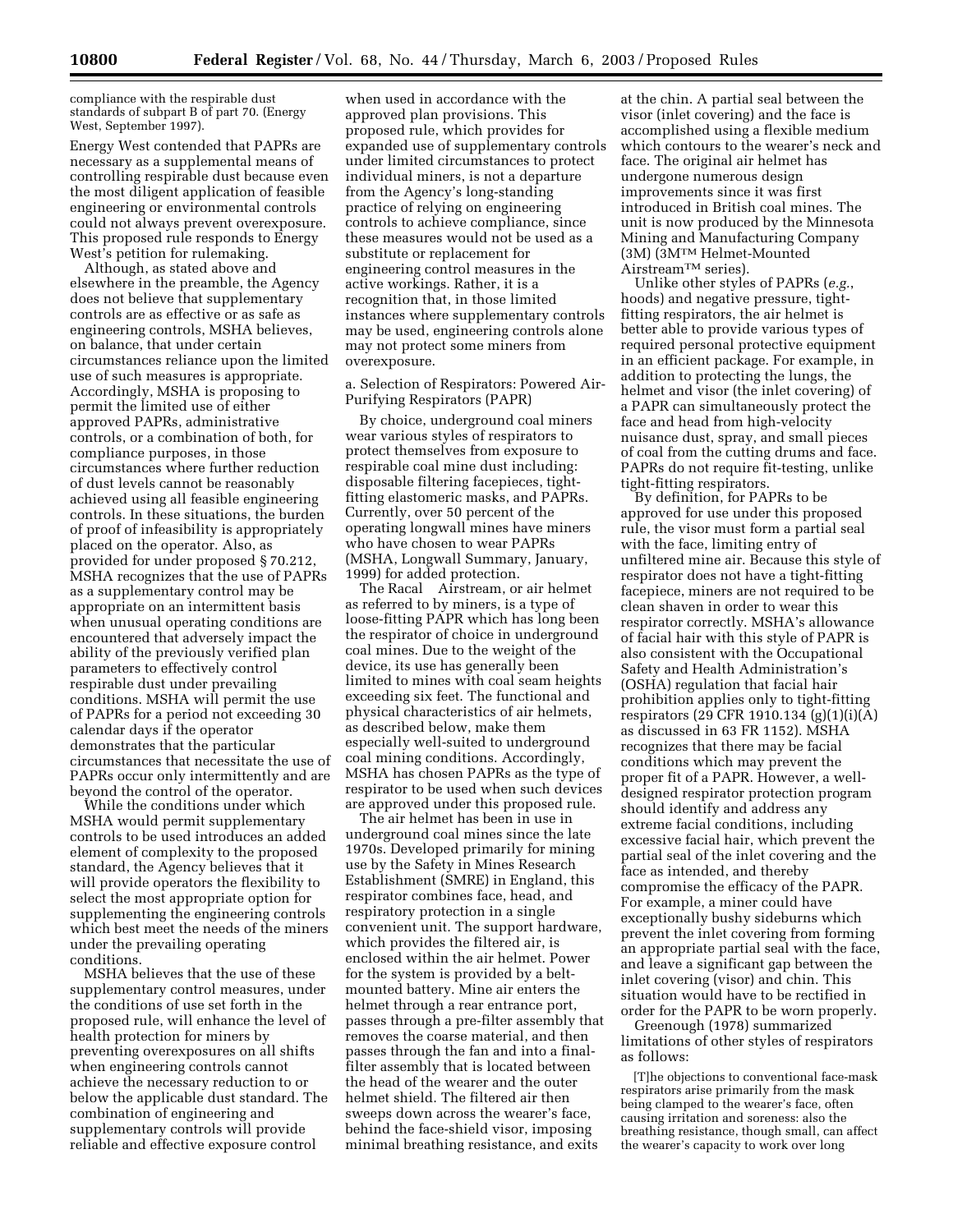compliance with the respirable dust standards of subpart B of part 70. (Energy West, September 1997).

Energy West contended that PAPRs are necessary as a supplemental means of controlling respirable dust because even the most diligent application of feasible engineering or environmental controls could not always prevent overexposure. This proposed rule responds to Energy West's petition for rulemaking.

Although, as stated above and elsewhere in the preamble, the Agency does not believe that supplementary controls are as effective or as safe as engineering controls, MSHA believes, on balance, that under certain circumstances reliance upon the limited use of such measures is appropriate. Accordingly, MSHA is proposing to permit the limited use of either approved PAPRs, administrative controls, or a combination of both, for compliance purposes, in those circumstances where further reduction of dust levels cannot be reasonably achieved using all feasible engineering controls. In these situations, the burden of proof of infeasibility is appropriately placed on the operator. Also, as provided for under proposed § 70.212, MSHA recognizes that the use of PAPRs as a supplementary control may be appropriate on an intermittent basis when unusual operating conditions are encountered that adversely impact the ability of the previously verified plan parameters to effectively control respirable dust under prevailing conditions. MSHA will permit the use of PAPRs for a period not exceeding 30 calendar days if the operator demonstrates that the particular circumstances that necessitate the use of PAPRs occur only intermittently and are beyond the control of the operator.

While the conditions under which MSHA would permit supplementary controls to be used introduces an added element of complexity to the proposed standard, the Agency believes that it will provide operators the flexibility to select the most appropriate option for supplementing the engineering controls which best meet the needs of the miners under the prevailing operating conditions.

MSHA believes that the use of these supplementary control measures, under the conditions of use set forth in the proposed rule, will enhance the level of health protection for miners by preventing overexposures on all shifts when engineering controls cannot achieve the necessary reduction to or below the applicable dust standard. The combination of engineering and supplementary controls will provide reliable and effective exposure control

when used in accordance with the approved plan provisions. This proposed rule, which provides for expanded use of supplementary controls under limited circumstances to protect individual miners, is not a departure from the Agency's long-standing practice of relying on engineering controls to achieve compliance, since these measures would not be used as a substitute or replacement for engineering control measures in the active workings. Rather, it is a recognition that, in those limited instances where supplementary controls may be used, engineering controls alone may not protect some miners from overexposure.

a. Selection of Respirators: Powered Air-Purifying Respirators (PAPR)

By choice, underground coal miners wear various styles of respirators to protect themselves from exposure to respirable coal mine dust including: disposable filtering facepieces, tightfitting elastomeric masks, and PAPRs. Currently, over 50 percent of the operating longwall mines have miners who have chosen to wear PAPRs (MSHA, Longwall Summary, January, 1999) for added protection.

The Racal® Airstream, or air helmet as referred to by miners, is a type of loose-fitting PAPR which has long been the respirator of choice in underground coal mines. Due to the weight of the device, its use has generally been limited to mines with coal seam heights exceeding six feet. The functional and physical characteristics of air helmets, as described below, make them especially well-suited to underground coal mining conditions. Accordingly, MSHA has chosen PAPRs as the type of respirator to be used when such devices are approved under this proposed rule.

The air helmet has been in use in underground coal mines since the late 1970s. Developed primarily for mining use by the Safety in Mines Research Establishment (SMRE) in England, this respirator combines face, head, and respiratory protection in a single convenient unit. The support hardware, which provides the filtered air, is enclosed within the air helmet. Power for the system is provided by a beltmounted battery. Mine air enters the helmet through a rear entrance port, passes through a pre-filter assembly that removes the coarse material, and then passes through the fan and into a finalfilter assembly that is located between the head of the wearer and the outer helmet shield. The filtered air then sweeps down across the wearer's face, behind the face-shield visor, imposing minimal breathing resistance, and exits

at the chin. A partial seal between the visor (inlet covering) and the face is accomplished using a flexible medium which contours to the wearer's neck and face. The original air helmet has undergone numerous design improvements since it was first introduced in British coal mines. The unit is now produced by the Minnesota Mining and Manufacturing Company (3M) (3MTM Helmet-Mounted AirstreamTM series).

Unlike other styles of PAPRs (*e.g.*, hoods) and negative pressure, tightfitting respirators, the air helmet is better able to provide various types of required personal protective equipment in an efficient package. For example, in addition to protecting the lungs, the helmet and visor (the inlet covering) of a PAPR can simultaneously protect the face and head from high-velocity nuisance dust, spray, and small pieces of coal from the cutting drums and face. PAPRs do not require fit-testing, unlike tight-fitting respirators.

By definition, for PAPRs to be approved for use under this proposed rule, the visor must form a partial seal with the face, limiting entry of unfiltered mine air. Because this style of respirator does not have a tight-fitting facepiece, miners are not required to be clean shaven in order to wear this respirator correctly. MSHA's allowance of facial hair with this style of PAPR is also consistent with the Occupational Safety and Health Administration's (OSHA) regulation that facial hair prohibition applies only to tight-fitting respirators (29 CFR 1910.134 (g)(1)(i)(A) as discussed in 63 FR 1152). MSHA recognizes that there may be facial conditions which may prevent the proper fit of a PAPR. However, a welldesigned respirator protection program should identify and address any extreme facial conditions, including excessive facial hair, which prevent the partial seal of the inlet covering and the face as intended, and thereby compromise the efficacy of the PAPR. For example, a miner could have exceptionally bushy sideburns which prevent the inlet covering from forming an appropriate partial seal with the face, and leave a significant gap between the inlet covering (visor) and chin. This situation would have to be rectified in order for the PAPR to be worn properly.

Greenough (1978) summarized limitations of other styles of respirators as follows:

[T]he objections to conventional face-mask respirators arise primarily from the mask being clamped to the wearer's face, often causing irritation and soreness: also the breathing resistance, though small, can affect the wearer's capacity to work over long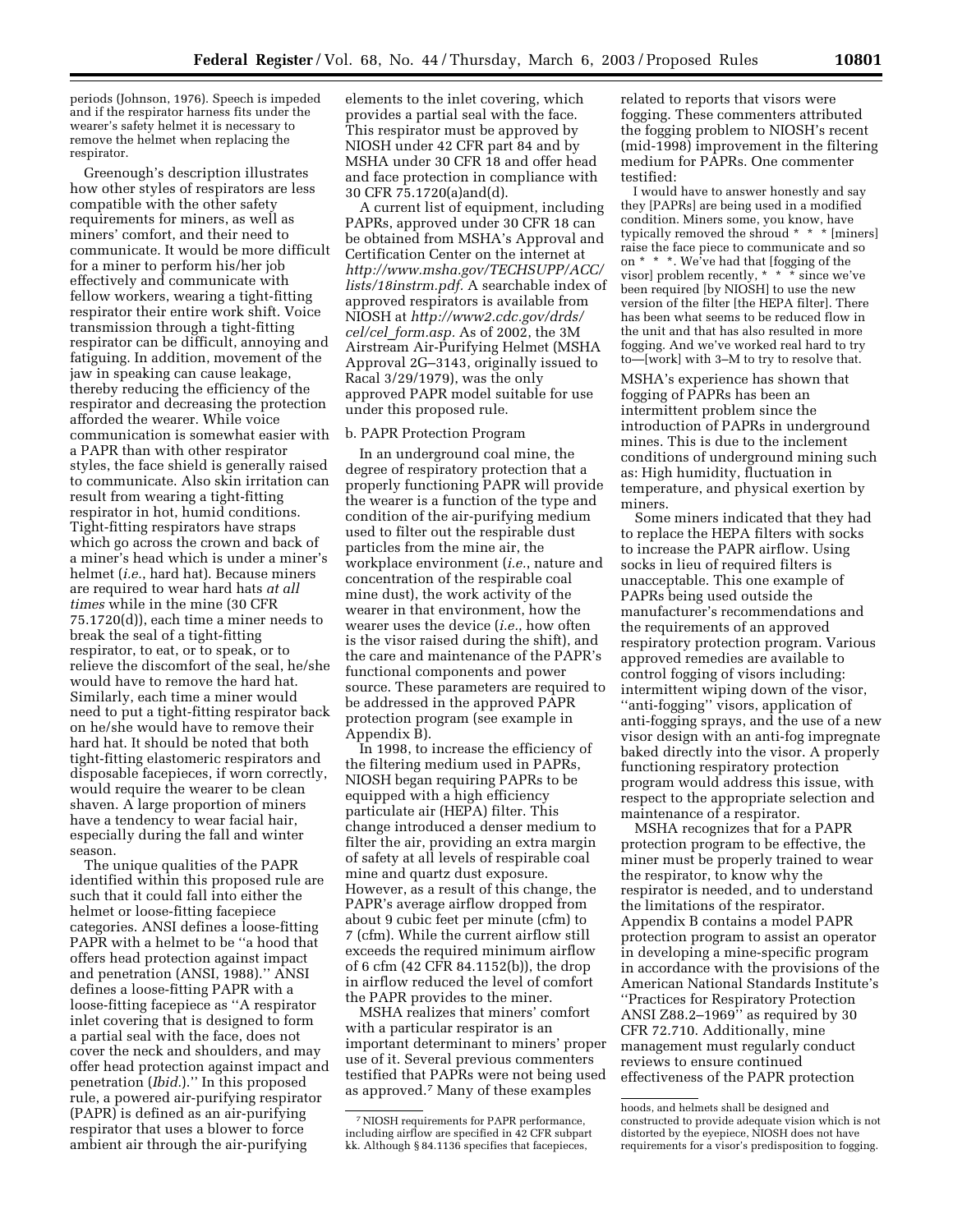periods (Johnson, 1976). Speech is impeded and if the respirator harness fits under the wearer's safety helmet it is necessary to remove the helmet when replacing the respirator.

Greenough's description illustrates how other styles of respirators are less compatible with the other safety requirements for miners, as well as miners' comfort, and their need to communicate. It would be more difficult for a miner to perform his/her job effectively and communicate with fellow workers, wearing a tight-fitting respirator their entire work shift. Voice transmission through a tight-fitting respirator can be difficult, annoying and fatiguing. In addition, movement of the jaw in speaking can cause leakage, thereby reducing the efficiency of the respirator and decreasing the protection afforded the wearer. While voice communication is somewhat easier with a PAPR than with other respirator styles, the face shield is generally raised to communicate. Also skin irritation can result from wearing a tight-fitting respirator in hot, humid conditions. Tight-fitting respirators have straps which go across the crown and back of a miner's head which is under a miner's helmet (*i.e.*, hard hat). Because miners are required to wear hard hats *at all times* while in the mine (30 CFR 75.1720(d)), each time a miner needs to break the seal of a tight-fitting respirator, to eat, or to speak, or to relieve the discomfort of the seal, he/she would have to remove the hard hat. Similarly, each time a miner would need to put a tight-fitting respirator back on he/she would have to remove their hard hat. It should be noted that both tight-fitting elastomeric respirators and disposable facepieces, if worn correctly, would require the wearer to be clean shaven. A large proportion of miners have a tendency to wear facial hair, especially during the fall and winter season.

The unique qualities of the PAPR identified within this proposed rule are such that it could fall into either the helmet or loose-fitting facepiece categories. ANSI defines a loose-fitting PAPR with a helmet to be ''a hood that offers head protection against impact and penetration (ANSI, 1988).'' ANSI defines a loose-fitting PAPR with a loose-fitting facepiece as ''A respirator inlet covering that is designed to form a partial seal with the face, does not cover the neck and shoulders, and may offer head protection against impact and penetration (*Ibid.*).'' In this proposed rule, a powered air-purifying respirator (PAPR) is defined as an air-purifying respirator that uses a blower to force ambient air through the air-purifying

elements to the inlet covering, which provides a partial seal with the face. This respirator must be approved by NIOSH under 42 CFR part 84 and by MSHA under 30 CFR 18 and offer head and face protection in compliance with 30 CFR 75.1720(a)and(d).

A current list of equipment, including PAPRs, approved under 30 CFR 18 can be obtained from MSHA's Approval and Certification Center on the internet at *http://www.msha.gov/TECHSUPP/ACC/ lists/18instrm.pdf.* A searchable index of approved respirators is available from NIOSH at *http://www2.cdc.gov/drds/ cel/cel*\_*form.asp.* As of 2002, the 3M Airstream Air-Purifying Helmet (MSHA Approval 2G–3143, originally issued to Racal 3/29/1979), was the only approved PAPR model suitable for use under this proposed rule.

## b. PAPR Protection Program

In an underground coal mine, the degree of respiratory protection that a properly functioning PAPR will provide the wearer is a function of the type and condition of the air-purifying medium used to filter out the respirable dust particles from the mine air, the workplace environment (*i.e.*, nature and concentration of the respirable coal mine dust), the work activity of the wearer in that environment, how the wearer uses the device (*i.e.*, how often is the visor raised during the shift), and the care and maintenance of the PAPR's functional components and power source. These parameters are required to be addressed in the approved PAPR protection program (see example in Appendix B).

In 1998, to increase the efficiency of the filtering medium used in PAPRs, NIOSH began requiring PAPRs to be equipped with a high efficiency particulate air (HEPA) filter. This change introduced a denser medium to filter the air, providing an extra margin of safety at all levels of respirable coal mine and quartz dust exposure. However, as a result of this change, the PAPR's average airflow dropped from about 9 cubic feet per minute (cfm) to 7 (cfm). While the current airflow still exceeds the required minimum airflow of 6 cfm (42 CFR 84.1152(b)), the drop in airflow reduced the level of comfort the PAPR provides to the miner.

MSHA realizes that miners' comfort with a particular respirator is an important determinant to miners' proper use of it. Several previous commenters testified that PAPRs were not being used as approved.7 Many of these examples

related to reports that visors were fogging. These commenters attributed the fogging problem to NIOSH's recent (mid-1998) improvement in the filtering medium for PAPRs. One commenter testified:

I would have to answer honestly and say they [PAPRs] are being used in a modified condition. Miners some, you know, have typically removed the shroud \* \* \* [miners] raise the face piece to communicate and so on \* \* \*. We've had that [fogging of the visor] problem recently, \* \* \* since we've been required [by NIOSH] to use the new version of the filter [the HEPA filter]. There has been what seems to be reduced flow in the unit and that has also resulted in more fogging. And we've worked real hard to try to—[work] with 3–M to try to resolve that.

MSHA's experience has shown that fogging of PAPRs has been an intermittent problem since the introduction of PAPRs in underground mines. This is due to the inclement conditions of underground mining such as: High humidity, fluctuation in temperature, and physical exertion by miners.

Some miners indicated that they had to replace the HEPA filters with socks to increase the PAPR airflow. Using socks in lieu of required filters is unacceptable. This one example of PAPRs being used outside the manufacturer's recommendations and the requirements of an approved respiratory protection program. Various approved remedies are available to control fogging of visors including: intermittent wiping down of the visor, ''anti-fogging'' visors, application of anti-fogging sprays, and the use of a new visor design with an anti-fog impregnate baked directly into the visor. A properly functioning respiratory protection program would address this issue, with respect to the appropriate selection and maintenance of a respirator.

MSHA recognizes that for a PAPR protection program to be effective, the miner must be properly trained to wear the respirator, to know why the respirator is needed, and to understand the limitations of the respirator. Appendix B contains a model PAPR protection program to assist an operator in developing a mine-specific program in accordance with the provisions of the American National Standards Institute's ''Practices for Respiratory Protection ANSI Z88.2–1969'' as required by 30 CFR 72.710. Additionally, mine management must regularly conduct reviews to ensure continued effectiveness of the PAPR protection

<sup>7</sup>NIOSH requirements for PAPR performance, including airflow are specified in 42 CFR subpart kk. Although § 84.1136 specifies that facepieces,

hoods, and helmets shall be designed and constructed to provide adequate vision which is not distorted by the eyepiece, NIOSH does not have requirements for a visor's predisposition to fogging.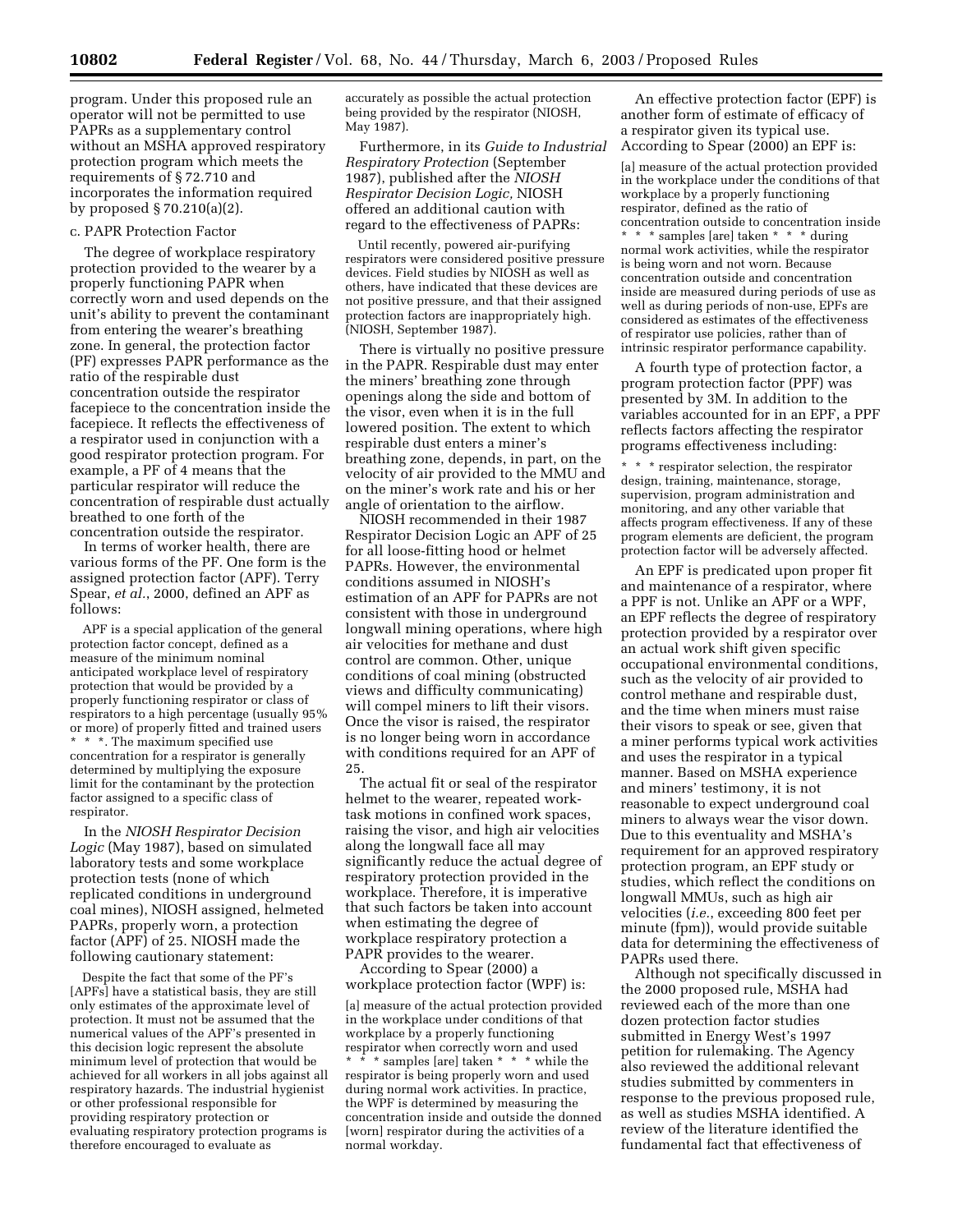program. Under this proposed rule an operator will not be permitted to use PAPRs as a supplementary control without an MSHA approved respiratory protection program which meets the requirements of § 72.710 and incorporates the information required by proposed § 70.210(a)(2).

#### c. PAPR Protection Factor

The degree of workplace respiratory protection provided to the wearer by a properly functioning PAPR when correctly worn and used depends on the unit's ability to prevent the contaminant from entering the wearer's breathing zone. In general, the protection factor (PF) expresses PAPR performance as the ratio of the respirable dust concentration outside the respirator facepiece to the concentration inside the facepiece. It reflects the effectiveness of a respirator used in conjunction with a good respirator protection program. For example, a PF of 4 means that the particular respirator will reduce the concentration of respirable dust actually breathed to one forth of the concentration outside the respirator.

In terms of worker health, there are various forms of the PF. One form is the assigned protection factor (APF). Terry Spear, *et al.*, 2000, defined an APF as follows:

APF is a special application of the general protection factor concept, defined as a measure of the minimum nominal anticipated workplace level of respiratory protection that would be provided by a properly functioning respirator or class of respirators to a high percentage (usually 95% or more) of properly fitted and trained users \* \* \*. The maximum specified use concentration for a respirator is generally determined by multiplying the exposure limit for the contaminant by the protection factor assigned to a specific class of respirator.

In the *NIOSH Respirator Decision Logic* (May 1987), based on simulated laboratory tests and some workplace protection tests (none of which replicated conditions in underground coal mines), NIOSH assigned, helmeted PAPRs, properly worn, a protection factor (APF) of 25. NIOSH made the following cautionary statement:

Despite the fact that some of the PF's [APFs] have a statistical basis, they are still only estimates of the approximate level of protection. It must not be assumed that the numerical values of the APF's presented in this decision logic represent the absolute minimum level of protection that would be achieved for all workers in all jobs against all respiratory hazards. The industrial hygienist or other professional responsible for providing respiratory protection or evaluating respiratory protection programs is therefore encouraged to evaluate as

accurately as possible the actual protection being provided by the respirator (NIOSH, May 1987).

Furthermore, in its *Guide to Industrial Respiratory Protection* (September 1987), published after the *NIOSH Respirator Decision Logic,* NIOSH offered an additional caution with regard to the effectiveness of PAPRs:

Until recently, powered air-purifying respirators were considered positive pressure devices. Field studies by NIOSH as well as others, have indicated that these devices are not positive pressure, and that their assigned protection factors are inappropriately high. (NIOSH, September 1987).

There is virtually no positive pressure in the PAPR. Respirable dust may enter the miners' breathing zone through openings along the side and bottom of the visor, even when it is in the full lowered position. The extent to which respirable dust enters a miner's breathing zone, depends, in part, on the velocity of air provided to the MMU and on the miner's work rate and his or her angle of orientation to the airflow.

NIOSH recommended in their 1987 Respirator Decision Logic an APF of 25 for all loose-fitting hood or helmet PAPRs. However, the environmental conditions assumed in NIOSH's estimation of an APF for PAPRs are not consistent with those in underground longwall mining operations, where high air velocities for methane and dust control are common. Other, unique conditions of coal mining (obstructed views and difficulty communicating) will compel miners to lift their visors. Once the visor is raised, the respirator is no longer being worn in accordance with conditions required for an APF of 25.

The actual fit or seal of the respirator helmet to the wearer, repeated worktask motions in confined work spaces, raising the visor, and high air velocities along the longwall face all may significantly reduce the actual degree of respiratory protection provided in the workplace. Therefore, it is imperative that such factors be taken into account when estimating the degree of workplace respiratory protection a PAPR provides to the wearer.

According to Spear (2000) a workplace protection factor (WPF) is: [a] measure of the actual protection provided in the workplace under conditions of that workplace by a properly functioning respirator when correctly worn and used \* \* \* samples [are] taken \* \* \* while the respirator is being properly worn and used during normal work activities. In practice, the WPF is determined by measuring the concentration inside and outside the donned [worn] respirator during the activities of a normal workday.

An effective protection factor (EPF) is another form of estimate of efficacy of a respirator given its typical use. According to Spear (2000) an EPF is:

[a] measure of the actual protection provided in the workplace under the conditions of that workplace by a properly functioning respirator, defined as the ratio of concentration outside to concentration inside \* \* \* samples [are] taken \* \* \* during normal work activities, while the respirator is being worn and not worn. Because concentration outside and concentration inside are measured during periods of use as well as during periods of non-use, EPFs are considered as estimates of the effectiveness of respirator use policies, rather than of intrinsic respirator performance capability.

A fourth type of protection factor, a program protection factor (PPF) was presented by 3M. In addition to the variables accounted for in an EPF, a PPF reflects factors affecting the respirator programs effectiveness including:

\* \* \* respirator selection, the respirator design, training, maintenance, storage, supervision, program administration and monitoring, and any other variable that affects program effectiveness. If any of these program elements are deficient, the program protection factor will be adversely affected.

An EPF is predicated upon proper fit and maintenance of a respirator, where a PPF is not. Unlike an APF or a WPF, an EPF reflects the degree of respiratory protection provided by a respirator over an actual work shift given specific occupational environmental conditions, such as the velocity of air provided to control methane and respirable dust, and the time when miners must raise their visors to speak or see, given that a miner performs typical work activities and uses the respirator in a typical manner. Based on MSHA experience and miners' testimony, it is not reasonable to expect underground coal miners to always wear the visor down. Due to this eventuality and MSHA's requirement for an approved respiratory protection program, an EPF study or studies, which reflect the conditions on longwall MMUs, such as high air velocities (*i.e.*, exceeding 800 feet per minute (fpm)), would provide suitable data for determining the effectiveness of PAPRs used there.

Although not specifically discussed in the 2000 proposed rule, MSHA had reviewed each of the more than one dozen protection factor studies submitted in Energy West's 1997 petition for rulemaking. The Agency also reviewed the additional relevant studies submitted by commenters in response to the previous proposed rule, as well as studies MSHA identified. A review of the literature identified the fundamental fact that effectiveness of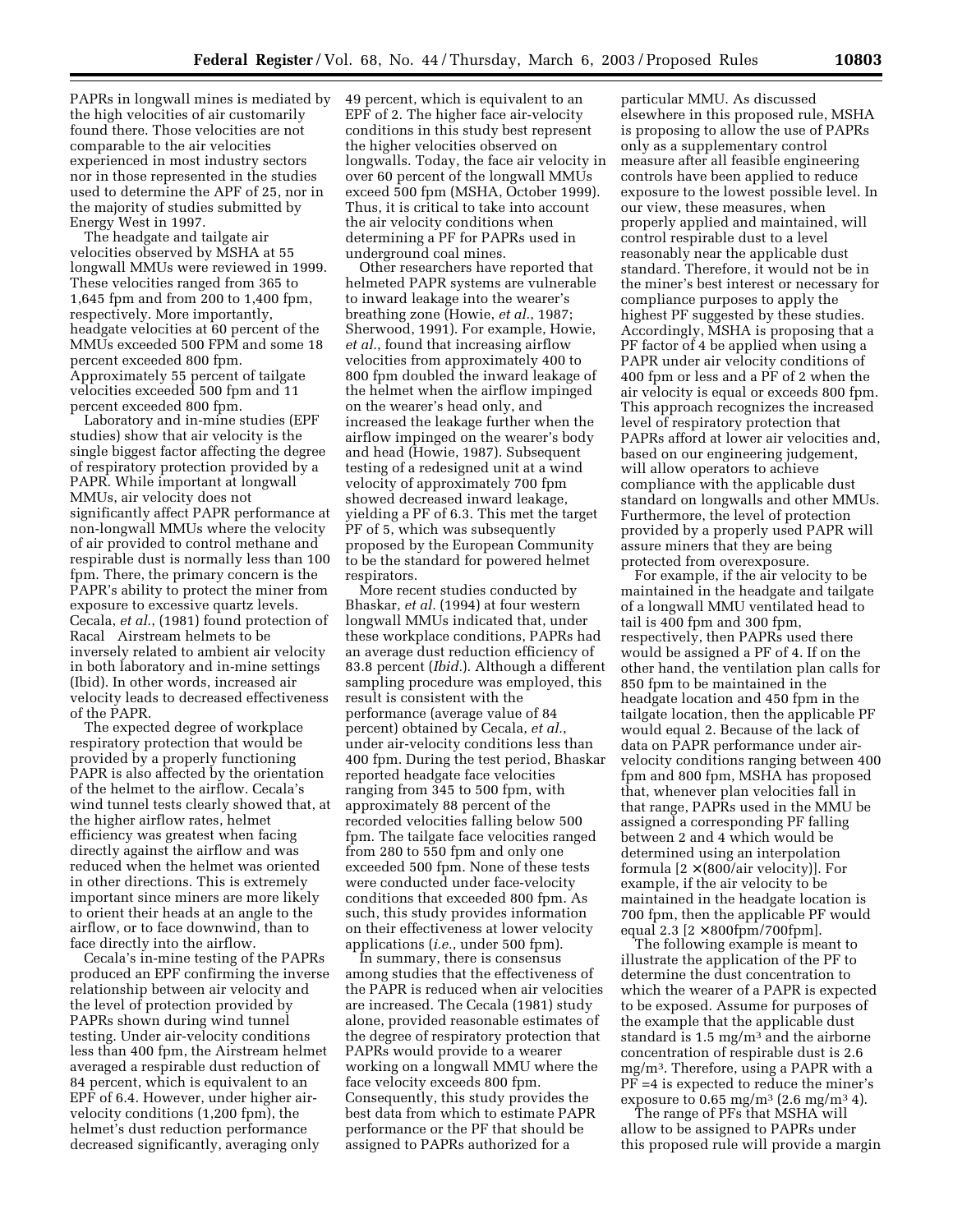PAPRs in longwall mines is mediated by the high velocities of air customarily found there. Those velocities are not comparable to the air velocities experienced in most industry sectors nor in those represented in the studies used to determine the APF of 25, nor in the majority of studies submitted by Energy West in 1997.

The headgate and tailgate air velocities observed by MSHA at 55 longwall MMUs were reviewed in 1999. These velocities ranged from 365 to 1,645 fpm and from 200 to 1,400 fpm, respectively. More importantly, headgate velocities at 60 percent of the MMUs exceeded 500 FPM and some 18 percent exceeded 800 fpm. Approximately 55 percent of tailgate velocities exceeded 500 fpm and 11 percent exceeded 800 fpm.

Laboratory and in-mine studies (EPF studies) show that air velocity is the single biggest factor affecting the degree of respiratory protection provided by a PAPR. While important at longwall MMUs, air velocity does not significantly affect PAPR performance at non-longwall MMUs where the velocity of air provided to control methane and respirable dust is normally less than 100 fpm. There, the primary concern is the PAPR's ability to protect the miner from exposure to excessive quartz levels. Cecala, *et al.*, (1981) found protection of Racal<sup>®</sup> Airstream helmets to be inversely related to ambient air velocity in both laboratory and in-mine settings (Ibid). In other words, increased air velocity leads to decreased effectiveness of the PAPR.

The expected degree of workplace respiratory protection that would be provided by a properly functioning PAPR is also affected by the orientation of the helmet to the airflow. Cecala's wind tunnel tests clearly showed that, at the higher airflow rates, helmet efficiency was greatest when facing directly against the airflow and was reduced when the helmet was oriented in other directions. This is extremely important since miners are more likely to orient their heads at an angle to the airflow, or to face downwind, than to face directly into the airflow.

Cecala's in-mine testing of the PAPRs produced an EPF confirming the inverse relationship between air velocity and the level of protection provided by PAPRs shown during wind tunnel testing. Under air-velocity conditions less than 400 fpm, the Airstream helmet averaged a respirable dust reduction of 84 percent, which is equivalent to an EPF of 6.4. However, under higher airvelocity conditions (1,200 fpm), the helmet's dust reduction performance decreased significantly, averaging only

49 percent, which is equivalent to an EPF of 2. The higher face air-velocity conditions in this study best represent the higher velocities observed on longwalls. Today, the face air velocity in over 60 percent of the longwall MMUs exceed 500 fpm (MSHA, October 1999). Thus, it is critical to take into account the air velocity conditions when determining a PF for PAPRs used in underground coal mines.

Other researchers have reported that helmeted PAPR systems are vulnerable to inward leakage into the wearer's breathing zone (Howie, *et al.*, 1987; Sherwood, 1991). For example, Howie, *et al.*, found that increasing airflow velocities from approximately 400 to 800 fpm doubled the inward leakage of the helmet when the airflow impinged on the wearer's head only, and increased the leakage further when the airflow impinged on the wearer's body and head (Howie, 1987). Subsequent testing of a redesigned unit at a wind velocity of approximately 700 fpm showed decreased inward leakage, yielding a PF of 6.3. This met the target PF of 5, which was subsequently proposed by the European Community to be the standard for powered helmet respirators.

More recent studies conducted by Bhaskar, *et al.* (1994) at four western longwall MMUs indicated that, under these workplace conditions, PAPRs had an average dust reduction efficiency of 83.8 percent (*Ibid.*). Although a different sampling procedure was employed, this result is consistent with the performance (average value of 84 percent) obtained by Cecala, *et al.*, under air-velocity conditions less than 400 fpm. During the test period, Bhaskar reported headgate face velocities ranging from 345 to 500 fpm, with approximately 88 percent of the recorded velocities falling below 500 fpm. The tailgate face velocities ranged from 280 to 550 fpm and only one exceeded 500 fpm. None of these tests were conducted under face-velocity conditions that exceeded 800 fpm. As such, this study provides information on their effectiveness at lower velocity applications (*i.e.*, under 500 fpm).

In summary, there is consensus among studies that the effectiveness of the PAPR is reduced when air velocities are increased. The Cecala (1981) study alone, provided reasonable estimates of the degree of respiratory protection that PAPRs would provide to a wearer working on a longwall MMU where the face velocity exceeds 800 fpm. Consequently, this study provides the best data from which to estimate PAPR performance or the PF that should be assigned to PAPRs authorized for a

particular MMU. As discussed elsewhere in this proposed rule, MSHA is proposing to allow the use of PAPRs only as a supplementary control measure after all feasible engineering controls have been applied to reduce exposure to the lowest possible level. In our view, these measures, when properly applied and maintained, will control respirable dust to a level reasonably near the applicable dust standard. Therefore, it would not be in the miner's best interest or necessary for compliance purposes to apply the highest PF suggested by these studies. Accordingly, MSHA is proposing that a PF factor of 4 be applied when using a PAPR under air velocity conditions of 400 fpm or less and a PF of 2 when the air velocity is equal or exceeds 800 fpm. This approach recognizes the increased level of respiratory protection that PAPRs afford at lower air velocities and, based on our engineering judgement, will allow operators to achieve compliance with the applicable dust standard on longwalls and other MMUs. Furthermore, the level of protection provided by a properly used PAPR will assure miners that they are being protected from overexposure.

For example, if the air velocity to be maintained in the headgate and tailgate of a longwall MMU ventilated head to tail is 400 fpm and 300 fpm, respectively, then PAPRs used there would be assigned a PF of 4. If on the other hand, the ventilation plan calls for 850 fpm to be maintained in the headgate location and 450 fpm in the tailgate location, then the applicable PF would equal 2. Because of the lack of data on PAPR performance under airvelocity conditions ranging between 400 fpm and 800 fpm, MSHA has proposed that, whenever plan velocities fall in that range, PAPRs used in the MMU be assigned a corresponding PF falling between 2 and 4 which would be determined using an interpolation formula  $[2 \times (800/air$  velocity]. For example, if the air velocity to be maintained in the headgate location is 700 fpm, then the applicable PF would equal 2.3 [2 × 800fpm/700fpm].

The following example is meant to illustrate the application of the PF to determine the dust concentration to which the wearer of a PAPR is expected to be exposed. Assume for purposes of the example that the applicable dust standard is 1.5 mg/m3 and the airborne concentration of respirable dust is 2.6 mg/m3. Therefore, using a PAPR with a PF =4 is expected to reduce the miner's exposure to  $0.65 \text{ mg/m}^3 \ (2.6 \text{ mg/m}^3 \ 4)$ .

The range of PFs that MSHA will allow to be assigned to PAPRs under this proposed rule will provide a margin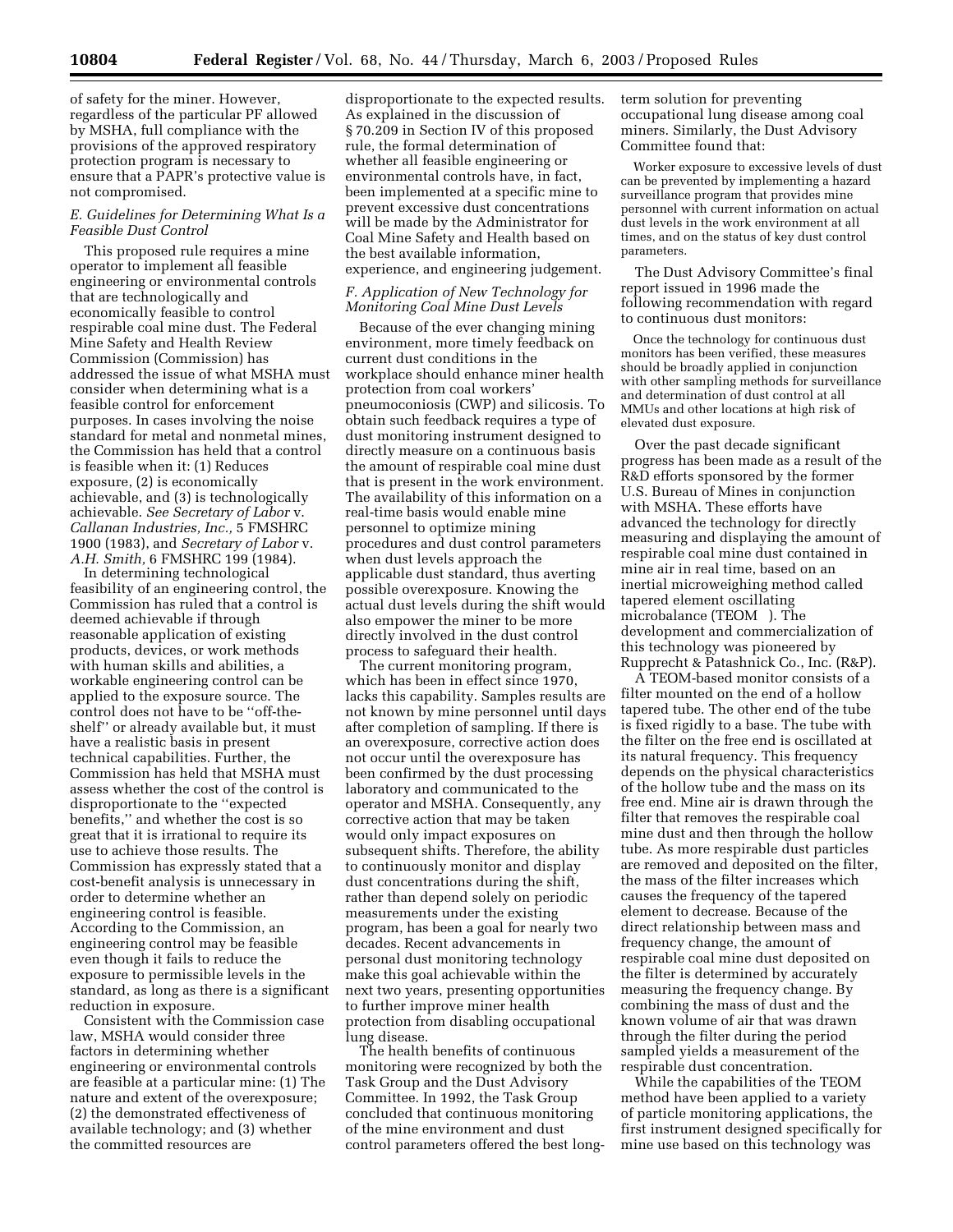of safety for the miner. However, regardless of the particular PF allowed by MSHA, full compliance with the provisions of the approved respiratory protection program is necessary to ensure that a PAPR's protective value is not compromised.

## *E. Guidelines for Determining What Is a Feasible Dust Control*

This proposed rule requires a mine operator to implement all feasible engineering or environmental controls that are technologically and economically feasible to control respirable coal mine dust. The Federal Mine Safety and Health Review Commission (Commission) has addressed the issue of what MSHA must consider when determining what is a feasible control for enforcement purposes. In cases involving the noise standard for metal and nonmetal mines, the Commission has held that a control is feasible when it: (1) Reduces exposure, (2) is economically achievable, and (3) is technologically achievable. *See Secretary of Labor* v. *Callanan Industries, Inc.,* 5 FMSHRC 1900 (1983), and *Secretary of Labor* v. *A.H. Smith,* 6 FMSHRC 199 (1984).

In determining technological feasibility of an engineering control, the Commission has ruled that a control is deemed achievable if through reasonable application of existing products, devices, or work methods with human skills and abilities, a workable engineering control can be applied to the exposure source. The control does not have to be ''off-theshelf'' or already available but, it must have a realistic basis in present technical capabilities. Further, the Commission has held that MSHA must assess whether the cost of the control is disproportionate to the ''expected benefits,'' and whether the cost is so great that it is irrational to require its use to achieve those results. The Commission has expressly stated that a cost-benefit analysis is unnecessary in order to determine whether an engineering control is feasible. According to the Commission, an engineering control may be feasible even though it fails to reduce the exposure to permissible levels in the standard, as long as there is a significant reduction in exposure.

Consistent with the Commission case law, MSHA would consider three factors in determining whether engineering or environmental controls are feasible at a particular mine: (1) The nature and extent of the overexposure; (2) the demonstrated effectiveness of available technology; and (3) whether the committed resources are

disproportionate to the expected results. As explained in the discussion of § 70.209 in Section IV of this proposed rule, the formal determination of whether all feasible engineering or environmental controls have, in fact, been implemented at a specific mine to prevent excessive dust concentrations will be made by the Administrator for Coal Mine Safety and Health based on the best available information, experience, and engineering judgement.

## *F. Application of New Technology for Monitoring Coal Mine Dust Levels*

Because of the ever changing mining environment, more timely feedback on current dust conditions in the workplace should enhance miner health protection from coal workers' pneumoconiosis (CWP) and silicosis. To obtain such feedback requires a type of dust monitoring instrument designed to directly measure on a continuous basis the amount of respirable coal mine dust that is present in the work environment. The availability of this information on a real-time basis would enable mine personnel to optimize mining procedures and dust control parameters when dust levels approach the applicable dust standard, thus averting possible overexposure. Knowing the actual dust levels during the shift would also empower the miner to be more directly involved in the dust control process to safeguard their health.

The current monitoring program, which has been in effect since 1970, lacks this capability. Samples results are not known by mine personnel until days after completion of sampling. If there is an overexposure, corrective action does not occur until the overexposure has been confirmed by the dust processing laboratory and communicated to the operator and MSHA. Consequently, any corrective action that may be taken would only impact exposures on subsequent shifts. Therefore, the ability to continuously monitor and display dust concentrations during the shift, rather than depend solely on periodic measurements under the existing program, has been a goal for nearly two decades. Recent advancements in personal dust monitoring technology make this goal achievable within the next two years, presenting opportunities to further improve miner health protection from disabling occupational lung disease.

The health benefits of continuous monitoring were recognized by both the Task Group and the Dust Advisory Committee. In 1992, the Task Group concluded that continuous monitoring of the mine environment and dust control parameters offered the best longterm solution for preventing occupational lung disease among coal miners. Similarly, the Dust Advisory Committee found that:

Worker exposure to excessive levels of dust can be prevented by implementing a hazard surveillance program that provides mine personnel with current information on actual dust levels in the work environment at all times, and on the status of key dust control parameters.

The Dust Advisory Committee's final report issued in 1996 made the following recommendation with regard to continuous dust monitors:

Once the technology for continuous dust monitors has been verified, these measures should be broadly applied in conjunction with other sampling methods for surveillance and determination of dust control at all MMUs and other locations at high risk of elevated dust exposure.

Over the past decade significant progress has been made as a result of the R&D efforts sponsored by the former U.S. Bureau of Mines in conjunction with MSHA. These efforts have advanced the technology for directly measuring and displaying the amount of respirable coal mine dust contained in mine air in real time, based on an inertial microweighing method called tapered element oscillating microbalance (TEOM®). The development and commercialization of this technology was pioneered by Rupprecht & Patashnick Co., Inc. (R&P).

A TEOM-based monitor consists of a filter mounted on the end of a hollow tapered tube. The other end of the tube is fixed rigidly to a base. The tube with the filter on the free end is oscillated at its natural frequency. This frequency depends on the physical characteristics of the hollow tube and the mass on its free end. Mine air is drawn through the filter that removes the respirable coal mine dust and then through the hollow tube. As more respirable dust particles are removed and deposited on the filter, the mass of the filter increases which causes the frequency of the tapered element to decrease. Because of the direct relationship between mass and frequency change, the amount of respirable coal mine dust deposited on the filter is determined by accurately measuring the frequency change. By combining the mass of dust and the known volume of air that was drawn through the filter during the period sampled yields a measurement of the respirable dust concentration.

While the capabilities of the TEOM method have been applied to a variety of particle monitoring applications, the first instrument designed specifically for mine use based on this technology was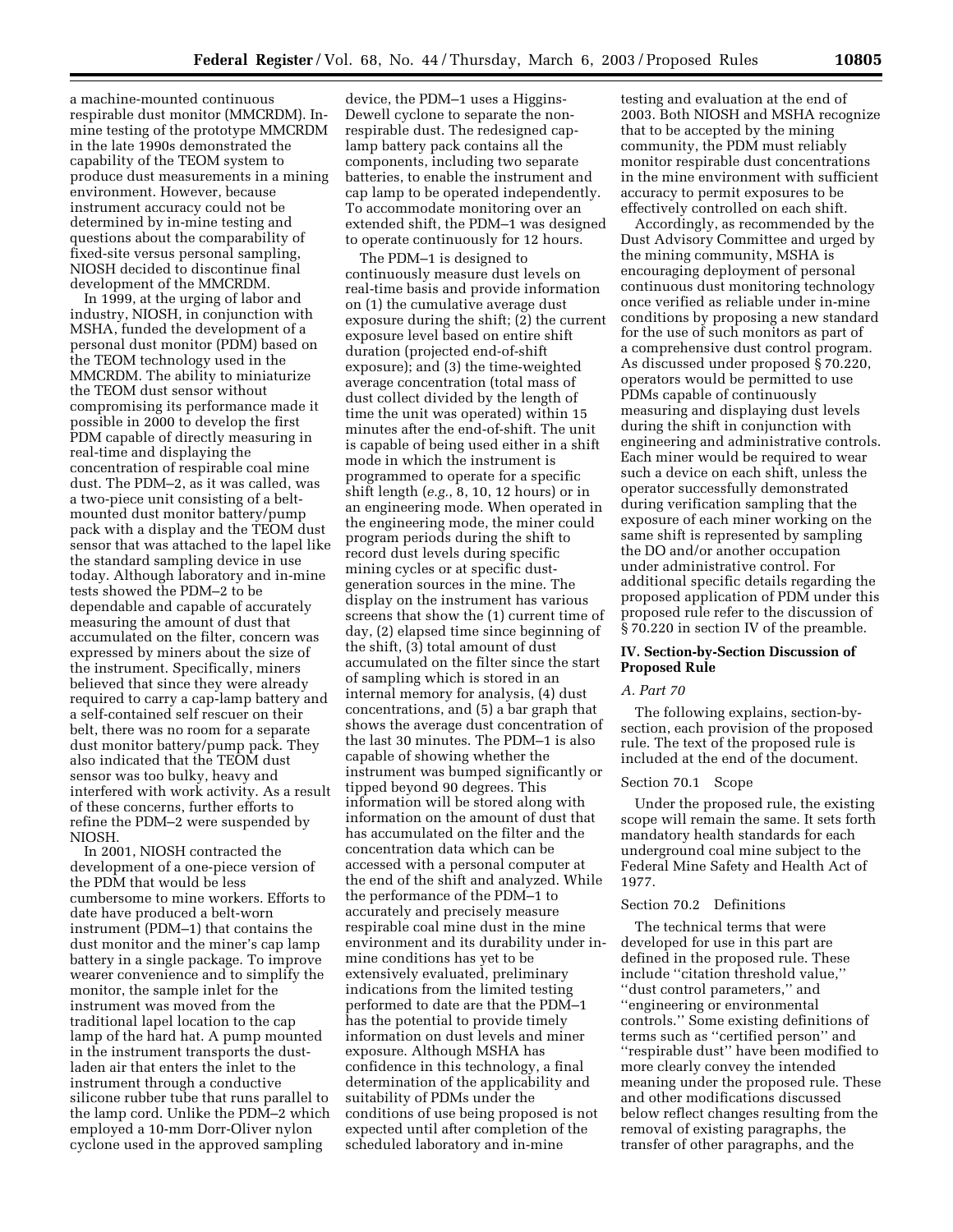a machine-mounted continuous respirable dust monitor (MMCRDM). Inmine testing of the prototype MMCRDM in the late 1990s demonstrated the capability of the TEOM system to produce dust measurements in a mining environment. However, because instrument accuracy could not be determined by in-mine testing and questions about the comparability of fixed-site versus personal sampling, NIOSH decided to discontinue final development of the MMCRDM.

In 1999, at the urging of labor and industry, NIOSH, in conjunction with MSHA, funded the development of a personal dust monitor (PDM) based on the TEOM technology used in the MMCRDM. The ability to miniaturize the TEOM dust sensor without compromising its performance made it possible in 2000 to develop the first PDM capable of directly measuring in real-time and displaying the concentration of respirable coal mine dust. The PDM–2, as it was called, was a two-piece unit consisting of a beltmounted dust monitor battery/pump pack with a display and the TEOM dust sensor that was attached to the lapel like the standard sampling device in use today. Although laboratory and in-mine tests showed the PDM–2 to be dependable and capable of accurately measuring the amount of dust that accumulated on the filter, concern was expressed by miners about the size of the instrument. Specifically, miners believed that since they were already required to carry a cap-lamp battery and a self-contained self rescuer on their belt, there was no room for a separate dust monitor battery/pump pack. They also indicated that the TEOM dust sensor was too bulky, heavy and interfered with work activity. As a result of these concerns, further efforts to refine the PDM–2 were suspended by NIOSH.

In 2001, NIOSH contracted the development of a one-piece version of the PDM that would be less cumbersome to mine workers. Efforts to date have produced a belt-worn instrument (PDM–1) that contains the dust monitor and the miner's cap lamp battery in a single package. To improve wearer convenience and to simplify the monitor, the sample inlet for the instrument was moved from the traditional lapel location to the cap lamp of the hard hat. A pump mounted in the instrument transports the dustladen air that enters the inlet to the instrument through a conductive silicone rubber tube that runs parallel to the lamp cord. Unlike the PDM–2 which employed a 10-mm Dorr-Oliver nylon cyclone used in the approved sampling

device, the PDM–1 uses a Higgins-Dewell cyclone to separate the nonrespirable dust. The redesigned caplamp battery pack contains all the components, including two separate batteries, to enable the instrument and cap lamp to be operated independently. To accommodate monitoring over an extended shift, the PDM–1 was designed to operate continuously for 12 hours.

The PDM–1 is designed to continuously measure dust levels on real-time basis and provide information on (1) the cumulative average dust exposure during the shift; (2) the current exposure level based on entire shift duration (projected end-of-shift exposure); and (3) the time-weighted average concentration (total mass of dust collect divided by the length of time the unit was operated) within 15 minutes after the end-of-shift. The unit is capable of being used either in a shift mode in which the instrument is programmed to operate for a specific shift length (*e.g.*, 8, 10, 12 hours) or in an engineering mode. When operated in the engineering mode, the miner could program periods during the shift to record dust levels during specific mining cycles or at specific dustgeneration sources in the mine. The display on the instrument has various screens that show the (1) current time of day, (2) elapsed time since beginning of the shift, (3) total amount of dust accumulated on the filter since the start of sampling which is stored in an internal memory for analysis, (4) dust concentrations, and (5) a bar graph that shows the average dust concentration of the last 30 minutes. The PDM–1 is also capable of showing whether the instrument was bumped significantly or tipped beyond 90 degrees. This information will be stored along with information on the amount of dust that has accumulated on the filter and the concentration data which can be accessed with a personal computer at the end of the shift and analyzed. While the performance of the PDM–1 to accurately and precisely measure respirable coal mine dust in the mine environment and its durability under inmine conditions has yet to be extensively evaluated, preliminary indications from the limited testing performed to date are that the PDM–1 has the potential to provide timely information on dust levels and miner exposure. Although MSHA has confidence in this technology, a final determination of the applicability and suitability of PDMs under the conditions of use being proposed is not expected until after completion of the scheduled laboratory and in-mine

testing and evaluation at the end of 2003. Both NIOSH and MSHA recognize that to be accepted by the mining community, the PDM must reliably monitor respirable dust concentrations in the mine environment with sufficient accuracy to permit exposures to be effectively controlled on each shift.

Accordingly, as recommended by the Dust Advisory Committee and urged by the mining community, MSHA is encouraging deployment of personal continuous dust monitoring technology once verified as reliable under in-mine conditions by proposing a new standard for the use of such monitors as part of a comprehensive dust control program. As discussed under proposed § 70.220, operators would be permitted to use PDMs capable of continuously measuring and displaying dust levels during the shift in conjunction with engineering and administrative controls. Each miner would be required to wear such a device on each shift, unless the operator successfully demonstrated during verification sampling that the exposure of each miner working on the same shift is represented by sampling the DO and/or another occupation under administrative control. For additional specific details regarding the proposed application of PDM under this proposed rule refer to the discussion of § 70.220 in section IV of the preamble.

## **IV. Section-by-Section Discussion of Proposed Rule**

## *A. Part 70*

The following explains, section-bysection, each provision of the proposed rule. The text of the proposed rule is included at the end of the document.

#### Section 70.1 Scope

Under the proposed rule, the existing scope will remain the same. It sets forth mandatory health standards for each underground coal mine subject to the Federal Mine Safety and Health Act of 1977.

## Section 70.2 Definitions

The technical terms that were developed for use in this part are defined in the proposed rule. These include ''citation threshold value,'' ''dust control parameters,'' and ''engineering or environmental controls.'' Some existing definitions of terms such as ''certified person'' and ''respirable dust'' have been modified to more clearly convey the intended meaning under the proposed rule. These and other modifications discussed below reflect changes resulting from the removal of existing paragraphs, the transfer of other paragraphs, and the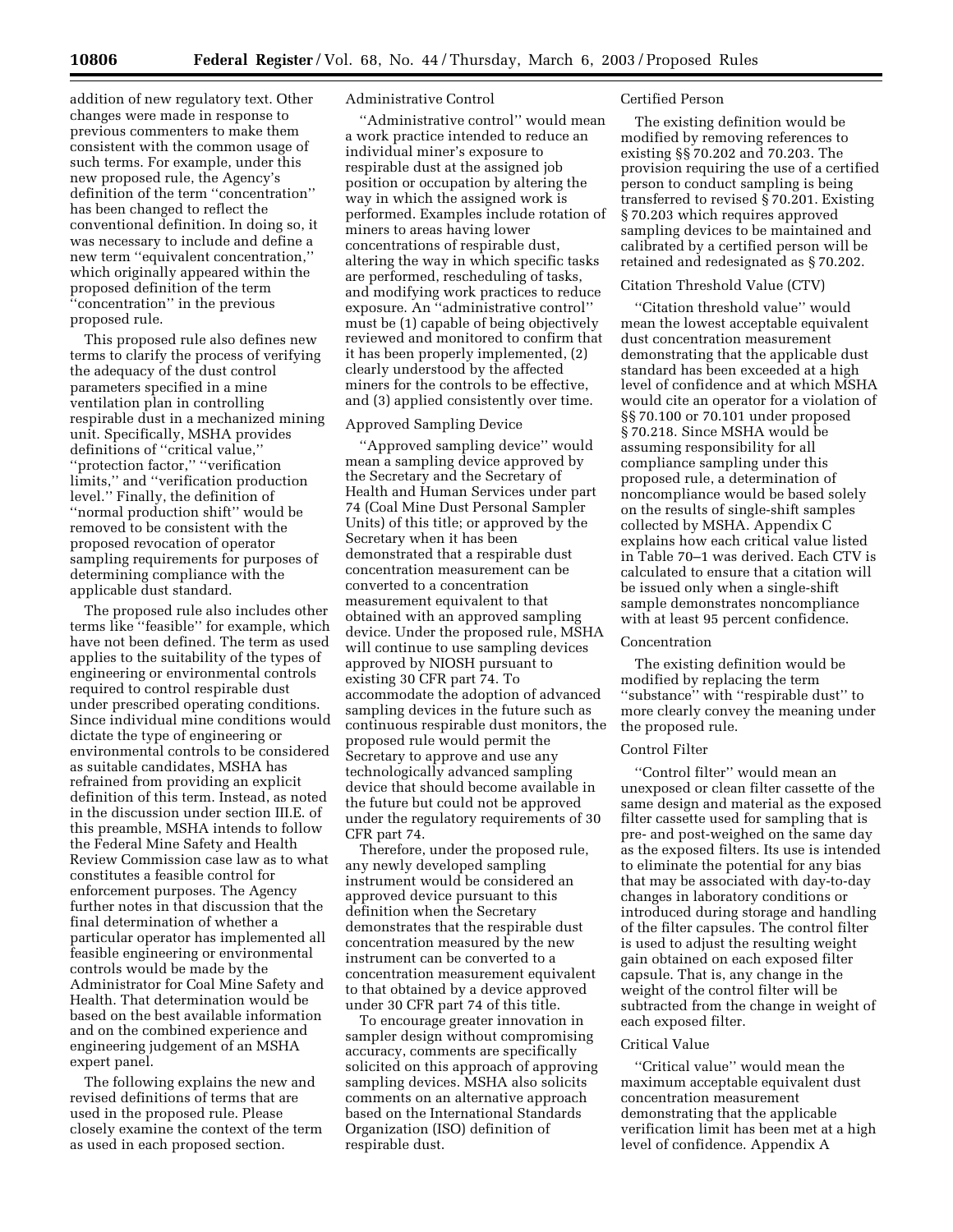addition of new regulatory text. Other changes were made in response to previous commenters to make them consistent with the common usage of such terms. For example, under this new proposed rule, the Agency's definition of the term ''concentration'' has been changed to reflect the conventional definition. In doing so, it was necessary to include and define a new term ''equivalent concentration,'' which originally appeared within the proposed definition of the term ''concentration'' in the previous proposed rule.

This proposed rule also defines new terms to clarify the process of verifying the adequacy of the dust control parameters specified in a mine ventilation plan in controlling respirable dust in a mechanized mining unit. Specifically, MSHA provides definitions of ''critical value,'' ''protection factor,'' ''verification limits,'' and ''verification production level.'' Finally, the definition of ''normal production shift'' would be removed to be consistent with the proposed revocation of operator sampling requirements for purposes of determining compliance with the applicable dust standard.

The proposed rule also includes other terms like ''feasible'' for example, which have not been defined. The term as used applies to the suitability of the types of engineering or environmental controls required to control respirable dust under prescribed operating conditions. Since individual mine conditions would dictate the type of engineering or environmental controls to be considered as suitable candidates, MSHA has refrained from providing an explicit definition of this term. Instead, as noted in the discussion under section III.E. of this preamble, MSHA intends to follow the Federal Mine Safety and Health Review Commission case law as to what constitutes a feasible control for enforcement purposes. The Agency further notes in that discussion that the final determination of whether a particular operator has implemented all feasible engineering or environmental controls would be made by the Administrator for Coal Mine Safety and Health. That determination would be based on the best available information and on the combined experience and engineering judgement of an MSHA expert panel.

The following explains the new and revised definitions of terms that are used in the proposed rule. Please closely examine the context of the term as used in each proposed section.

## Administrative Control

''Administrative control'' would mean a work practice intended to reduce an individual miner's exposure to respirable dust at the assigned job position or occupation by altering the way in which the assigned work is performed. Examples include rotation of miners to areas having lower concentrations of respirable dust, altering the way in which specific tasks are performed, rescheduling of tasks, and modifying work practices to reduce exposure. An ''administrative control'' must be (1) capable of being objectively reviewed and monitored to confirm that it has been properly implemented, (2) clearly understood by the affected miners for the controls to be effective, and (3) applied consistently over time.

## Approved Sampling Device

''Approved sampling device'' would mean a sampling device approved by the Secretary and the Secretary of Health and Human Services under part 74 (Coal Mine Dust Personal Sampler Units) of this title; or approved by the Secretary when it has been demonstrated that a respirable dust concentration measurement can be converted to a concentration measurement equivalent to that obtained with an approved sampling device. Under the proposed rule, MSHA will continue to use sampling devices approved by NIOSH pursuant to existing 30 CFR part 74. To accommodate the adoption of advanced sampling devices in the future such as continuous respirable dust monitors, the proposed rule would permit the Secretary to approve and use any technologically advanced sampling device that should become available in the future but could not be approved under the regulatory requirements of 30 CFR part 74.

Therefore, under the proposed rule, any newly developed sampling instrument would be considered an approved device pursuant to this definition when the Secretary demonstrates that the respirable dust concentration measured by the new instrument can be converted to a concentration measurement equivalent to that obtained by a device approved under 30 CFR part 74 of this title.

To encourage greater innovation in sampler design without compromising accuracy, comments are specifically solicited on this approach of approving sampling devices. MSHA also solicits comments on an alternative approach based on the International Standards Organization (ISO) definition of respirable dust.

#### Certified Person

The existing definition would be modified by removing references to existing §§ 70.202 and 70.203. The provision requiring the use of a certified person to conduct sampling is being transferred to revised § 70.201. Existing § 70.203 which requires approved sampling devices to be maintained and calibrated by a certified person will be retained and redesignated as § 70.202.

#### Citation Threshold Value (CTV)

''Citation threshold value'' would mean the lowest acceptable equivalent dust concentration measurement demonstrating that the applicable dust standard has been exceeded at a high level of confidence and at which MSHA would cite an operator for a violation of §§ 70.100 or 70.101 under proposed § 70.218. Since MSHA would be assuming responsibility for all compliance sampling under this proposed rule, a determination of noncompliance would be based solely on the results of single-shift samples collected by MSHA. Appendix C explains how each critical value listed in Table 70–1 was derived. Each CTV is calculated to ensure that a citation will be issued only when a single-shift sample demonstrates noncompliance with at least 95 percent confidence.

## Concentration

The existing definition would be modified by replacing the term ''substance'' with ''respirable dust'' to more clearly convey the meaning under the proposed rule.

#### Control Filter

''Control filter'' would mean an unexposed or clean filter cassette of the same design and material as the exposed filter cassette used for sampling that is pre- and post-weighed on the same day as the exposed filters. Its use is intended to eliminate the potential for any bias that may be associated with day-to-day changes in laboratory conditions or introduced during storage and handling of the filter capsules. The control filter is used to adjust the resulting weight gain obtained on each exposed filter capsule. That is, any change in the weight of the control filter will be subtracted from the change in weight of each exposed filter.

## Critical Value

''Critical value'' would mean the maximum acceptable equivalent dust concentration measurement demonstrating that the applicable verification limit has been met at a high level of confidence. Appendix A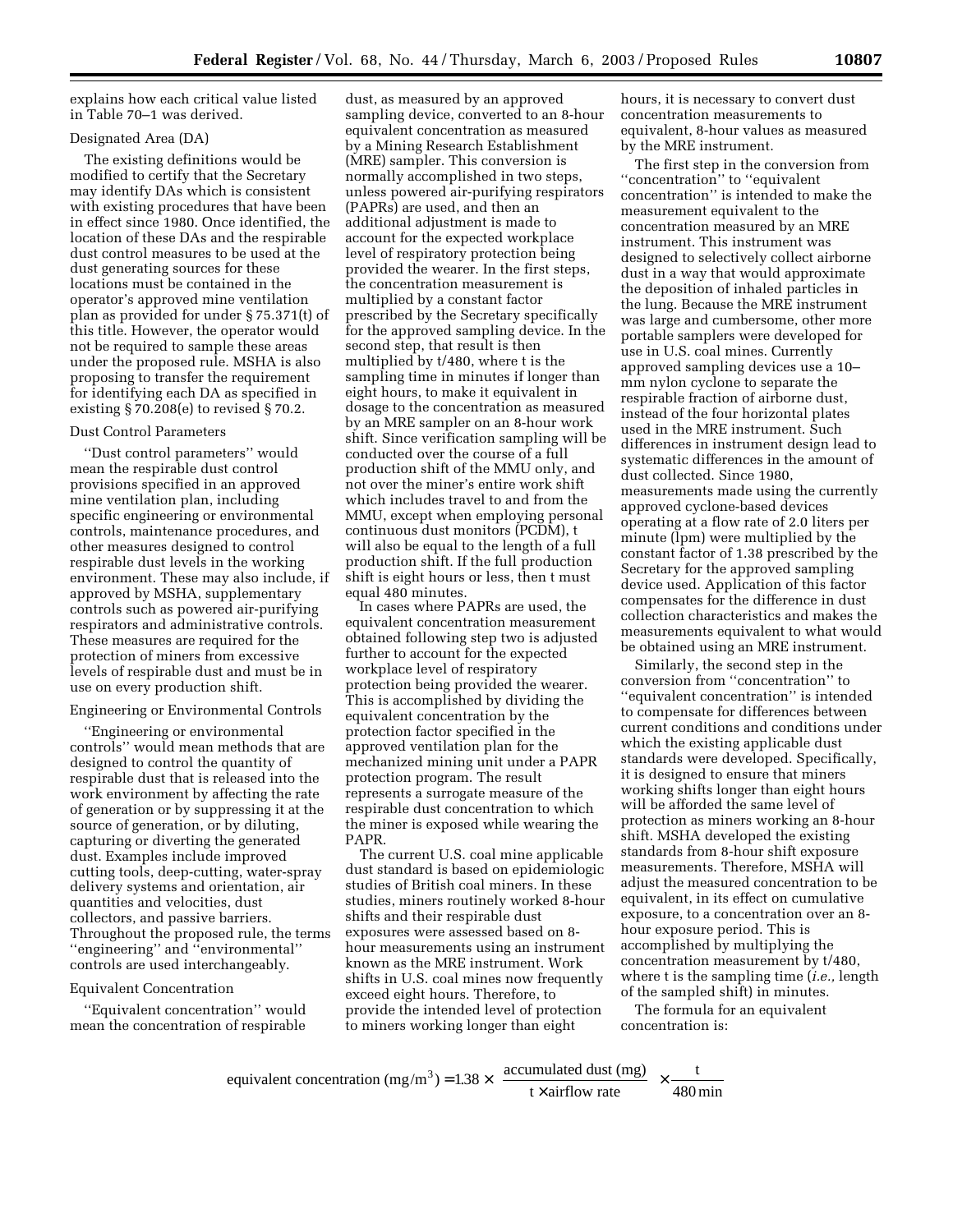explains how each critical value listed in Table 70–1 was derived.

## Designated Area (DA)

The existing definitions would be modified to certify that the Secretary may identify DAs which is consistent with existing procedures that have been in effect since 1980. Once identified, the location of these DAs and the respirable dust control measures to be used at the dust generating sources for these locations must be contained in the operator's approved mine ventilation plan as provided for under § 75.371(t) of this title. However, the operator would not be required to sample these areas under the proposed rule. MSHA is also proposing to transfer the requirement for identifying each DA as specified in existing § 70.208(e) to revised § 70.2.

#### Dust Control Parameters

''Dust control parameters'' would mean the respirable dust control provisions specified in an approved mine ventilation plan, including specific engineering or environmental controls, maintenance procedures, and other measures designed to control respirable dust levels in the working environment. These may also include, if approved by MSHA, supplementary controls such as powered air-purifying respirators and administrative controls. These measures are required for the protection of miners from excessive levels of respirable dust and must be in use on every production shift.

## Engineering or Environmental Controls

''Engineering or environmental controls'' would mean methods that are designed to control the quantity of respirable dust that is released into the work environment by affecting the rate of generation or by suppressing it at the source of generation, or by diluting, capturing or diverting the generated dust. Examples include improved cutting tools, deep-cutting, water-spray delivery systems and orientation, air quantities and velocities, dust collectors, and passive barriers. Throughout the proposed rule, the terms ''engineering'' and ''environmental'' controls are used interchangeably.

#### Equivalent Concentration

''Equivalent concentration'' would mean the concentration of respirable

dust, as measured by an approved sampling device, converted to an 8-hour equivalent concentration as measured by a Mining Research Establishment (MRE) sampler. This conversion is normally accomplished in two steps, unless powered air-purifying respirators (PAPRs) are used, and then an additional adjustment is made to account for the expected workplace level of respiratory protection being provided the wearer. In the first steps, the concentration measurement is multiplied by a constant factor prescribed by the Secretary specifically for the approved sampling device. In the second step, that result is then multiplied by t/480, where t is the sampling time in minutes if longer than eight hours, to make it equivalent in dosage to the concentration as measured by an MRE sampler on an 8-hour work shift. Since verification sampling will be conducted over the course of a full production shift of the MMU only, and not over the miner's entire work shift which includes travel to and from the MMU, except when employing personal continuous dust monitors (PCDM), t will also be equal to the length of a full production shift. If the full production shift is eight hours or less, then t must equal 480 minutes.

In cases where PAPRs are used, the equivalent concentration measurement obtained following step two is adjusted further to account for the expected workplace level of respiratory protection being provided the wearer. This is accomplished by dividing the equivalent concentration by the protection factor specified in the approved ventilation plan for the mechanized mining unit under a PAPR protection program. The result represents a surrogate measure of the respirable dust concentration to which the miner is exposed while wearing the PAPR.

The current U.S. coal mine applicable dust standard is based on epidemiologic studies of British coal miners. In these studies, miners routinely worked 8-hour shifts and their respirable dust exposures were assessed based on 8 hour measurements using an instrument known as the MRE instrument. Work shifts in U.S. coal mines now frequently exceed eight hours. Therefore, to provide the intended level of protection to miners working longer than eight

hours, it is necessary to convert dust concentration measurements to equivalent, 8-hour values as measured by the MRE instrument.

The first step in the conversion from "concentration" to "equivalent concentration'' is intended to make the measurement equivalent to the concentration measured by an MRE instrument. This instrument was designed to selectively collect airborne dust in a way that would approximate the deposition of inhaled particles in the lung. Because the MRE instrument was large and cumbersome, other more portable samplers were developed for use in U.S. coal mines. Currently approved sampling devices use a 10– mm nylon cyclone to separate the respirable fraction of airborne dust, instead of the four horizontal plates used in the MRE instrument. Such differences in instrument design lead to systematic differences in the amount of dust collected. Since 1980, measurements made using the currently approved cyclone-based devices operating at a flow rate of 2.0 liters per minute (lpm) were multiplied by the constant factor of 1.38 prescribed by the Secretary for the approved sampling device used. Application of this factor compensates for the difference in dust collection characteristics and makes the measurements equivalent to what would be obtained using an MRE instrument.

Similarly, the second step in the conversion from ''concentration'' to ''equivalent concentration'' is intended to compensate for differences between current conditions and conditions under which the existing applicable dust standards were developed. Specifically, it is designed to ensure that miners working shifts longer than eight hours will be afforded the same level of protection as miners working an 8-hour shift. MSHA developed the existing standards from 8-hour shift exposure measurements. Therefore, MSHA will adjust the measured concentration to be equivalent, in its effect on cumulative exposure, to a concentration over an 8 hour exposure period. This is accomplished by multiplying the concentration measurement by t/480, where t is the sampling time (*i.e.,* length of the sampled shift) in minutes.

The formula for an equivalent concentration is:

equivalent concentration (mg/m<sup>3</sup>) = 
$$
1.38 \times \left(\frac{\text{accumulated dust (mg)}}{\text{t} \times \text{airflow rate}}\right) \times \frac{\text{t}}{480 \text{ min}}
$$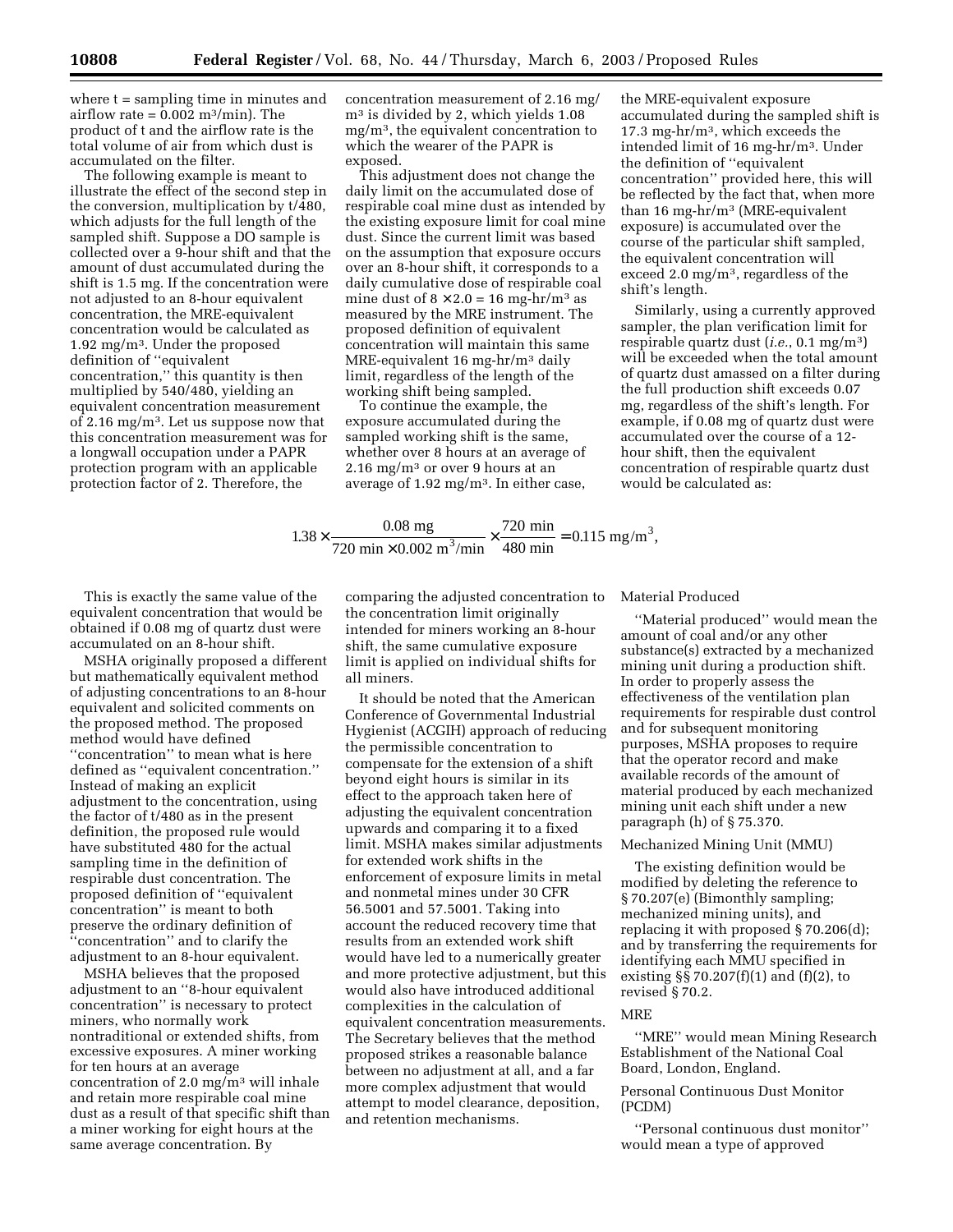where  $t =$  sampling time in minutes and airflow rate =  $0.002$  m<sup>3</sup>/min). The product of t and the airflow rate is the total volume of air from which dust is accumulated on the filter.

The following example is meant to illustrate the effect of the second step in the conversion, multiplication by t/480, which adjusts for the full length of the sampled shift. Suppose a DO sample is collected over a 9-hour shift and that the amount of dust accumulated during the shift is 1.5 mg. If the concentration were not adjusted to an 8-hour equivalent concentration, the MRE-equivalent concentration would be calculated as 1.92 mg/m3. Under the proposed definition of ''equivalent concentration,'' this quantity is then multiplied by 540/480, yielding an equivalent concentration measurement of 2.16 mg/m3. Let us suppose now that this concentration measurement was for a longwall occupation under a PAPR protection program with an applicable protection factor of 2. Therefore, the

concentration measurement of 2.16 mg/ m3 is divided by 2, which yields 1.08 mg/m3, the equivalent concentration to which the wearer of the PAPR is exposed.

This adjustment does not change the daily limit on the accumulated dose of respirable coal mine dust as intended by the existing exposure limit for coal mine dust. Since the current limit was based on the assumption that exposure occurs over an 8-hour shift, it corresponds to a daily cumulative dose of respirable coal mine dust of  $8 \times 2.0 = 16$  mg-hr/m<sup>3</sup> as measured by the MRE instrument. The proposed definition of equivalent concentration will maintain this same MRE-equivalent 16 mg-hr/m3 daily limit, regardless of the length of the working shift being sampled.

To continue the example, the exposure accumulated during the sampled working shift is the same, whether over 8 hours at an average of  $2.16 \text{ mg/m}^3$  or over 9 hours at an average of  $1.92 \text{ mg/m}^3$ . In either case, the MRE-equivalent exposure accumulated during the sampled shift is 17.3 mg-hr/m3, which exceeds the intended limit of 16 mg-hr/m3. Under the definition of ''equivalent concentration'' provided here, this will be reflected by the fact that, when more than 16 mg-hr/m3 (MRE-equivalent exposure) is accumulated over the course of the particular shift sampled, the equivalent concentration will exceed 2.0 mg/m3, regardless of the shift's length.

Similarly, using a currently approved sampler, the plan verification limit for respirable quartz dust (*i.e.*, 0.1 mg/m3) will be exceeded when the total amount of quartz dust amassed on a filter during the full production shift exceeds 0.07 mg, regardless of the shift's length. For example, if 0.08 mg of quartz dust were accumulated over the course of a 12 hour shift, then the equivalent concentration of respirable quartz dust would be calculated as:

 $1.38 \times \frac{0.08 \text{ mg}}{720 \text{ min} \times 0.002 \text{ m}^3/\text{min}} \times \frac{720 \text{ min}}{480 \text{ min}} = 0.115 \text{ mg/m}^3,$  $\frac{3}{4}$   $\times \frac{720 \text{ min}}{480 \text{ min}}$  = 0.115 mg/m

This is exactly the same value of the equivalent concentration that would be obtained if 0.08 mg of quartz dust were accumulated on an 8-hour shift.

MSHA originally proposed a different but mathematically equivalent method of adjusting concentrations to an 8-hour equivalent and solicited comments on the proposed method. The proposed method would have defined ''concentration'' to mean what is here defined as ''equivalent concentration.'' Instead of making an explicit adjustment to the concentration, using the factor of t/480 as in the present definition, the proposed rule would have substituted 480 for the actual sampling time in the definition of respirable dust concentration. The proposed definition of ''equivalent concentration'' is meant to both preserve the ordinary definition of ''concentration'' and to clarify the adjustment to an 8-hour equivalent.

MSHA believes that the proposed adjustment to an ''8-hour equivalent concentration'' is necessary to protect miners, who normally work nontraditional or extended shifts, from excessive exposures. A miner working for ten hours at an average concentration of 2.0 mg/m3 will inhale and retain more respirable coal mine dust as a result of that specific shift than a miner working for eight hours at the same average concentration. By

comparing the adjusted concentration to the concentration limit originally intended for miners working an 8-hour shift, the same cumulative exposure limit is applied on individual shifts for all miners.

It should be noted that the American Conference of Governmental Industrial Hygienist (ACGIH) approach of reducing the permissible concentration to compensate for the extension of a shift beyond eight hours is similar in its effect to the approach taken here of adjusting the equivalent concentration upwards and comparing it to a fixed limit. MSHA makes similar adjustments for extended work shifts in the enforcement of exposure limits in metal and nonmetal mines under 30 CFR 56.5001 and 57.5001. Taking into account the reduced recovery time that results from an extended work shift would have led to a numerically greater and more protective adjustment, but this would also have introduced additional complexities in the calculation of equivalent concentration measurements. The Secretary believes that the method proposed strikes a reasonable balance between no adjustment at all, and a far more complex adjustment that would attempt to model clearance, deposition, and retention mechanisms.

Material Produced

''Material produced'' would mean the amount of coal and/or any other substance(s) extracted by a mechanized mining unit during a production shift. In order to properly assess the effectiveness of the ventilation plan requirements for respirable dust control and for subsequent monitoring purposes, MSHA proposes to require that the operator record and make available records of the amount of material produced by each mechanized mining unit each shift under a new paragraph (h) of § 75.370.

## Mechanized Mining Unit (MMU)

The existing definition would be modified by deleting the reference to § 70.207(e) (Bimonthly sampling; mechanized mining units), and replacing it with proposed § 70.206(d); and by transferring the requirements for identifying each MMU specified in existing  $\S$  70.207(f)(1) and (f)(2), to revised § 70.2.

## **MRE**

''MRE'' would mean Mining Research Establishment of the National Coal Board, London, England.

## Personal Continuous Dust Monitor (PCDM)

''Personal continuous dust monitor'' would mean a type of approved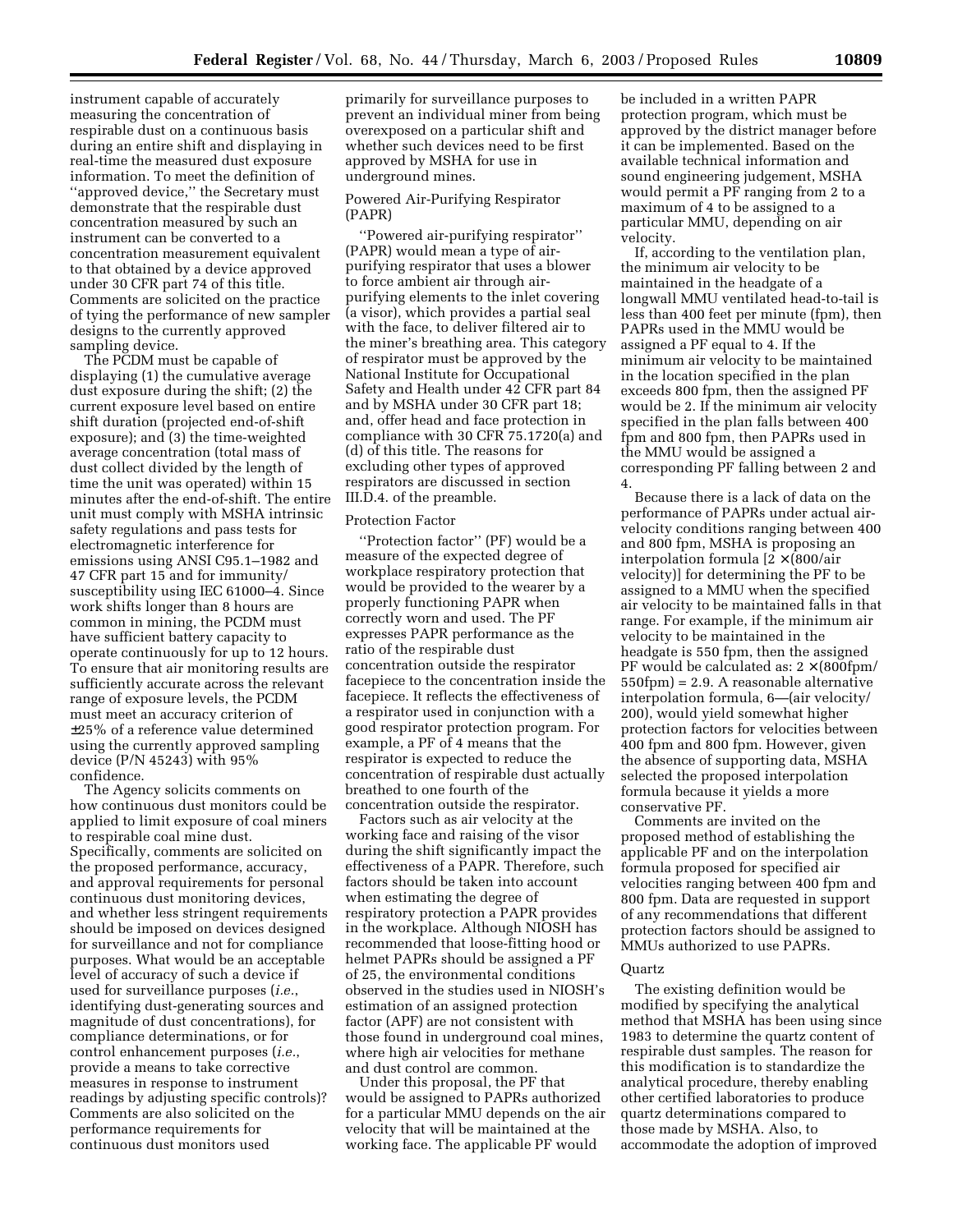instrument capable of accurately measuring the concentration of respirable dust on a continuous basis during an entire shift and displaying in real-time the measured dust exposure information. To meet the definition of ''approved device,'' the Secretary must demonstrate that the respirable dust concentration measured by such an instrument can be converted to a concentration measurement equivalent to that obtained by a device approved under 30 CFR part 74 of this title. Comments are solicited on the practice of tying the performance of new sampler designs to the currently approved sampling device.

The PCDM must be capable of displaying (1) the cumulative average dust exposure during the shift; (2) the current exposure level based on entire shift duration (projected end-of-shift exposure); and (3) the time-weighted average concentration (total mass of dust collect divided by the length of time the unit was operated) within 15 minutes after the end-of-shift. The entire unit must comply with MSHA intrinsic safety regulations and pass tests for electromagnetic interference for emissions using ANSI C95.1–1982 and 47 CFR part 15 and for immunity/ susceptibility using IEC 61000–4. Since work shifts longer than 8 hours are common in mining, the PCDM must have sufficient battery capacity to operate continuously for up to 12 hours. To ensure that air monitoring results are sufficiently accurate across the relevant range of exposure levels, the PCDM must meet an accuracy criterion of ±25% of a reference value determined using the currently approved sampling device (P/N 45243) with 95% confidence.

The Agency solicits comments on how continuous dust monitors could be applied to limit exposure of coal miners to respirable coal mine dust. Specifically, comments are solicited on the proposed performance, accuracy, and approval requirements for personal continuous dust monitoring devices, and whether less stringent requirements should be imposed on devices designed for surveillance and not for compliance purposes. What would be an acceptable level of accuracy of such a device if used for surveillance purposes (*i.e.*, identifying dust-generating sources and magnitude of dust concentrations), for compliance determinations, or for control enhancement purposes (*i.e.*, provide a means to take corrective measures in response to instrument readings by adjusting specific controls)? Comments are also solicited on the performance requirements for continuous dust monitors used

primarily for surveillance purposes to prevent an individual miner from being overexposed on a particular shift and whether such devices need to be first approved by MSHA for use in underground mines.

#### Powered Air-Purifying Respirator (PAPR)

''Powered air-purifying respirator'' (PAPR) would mean a type of airpurifying respirator that uses a blower to force ambient air through airpurifying elements to the inlet covering (a visor), which provides a partial seal with the face, to deliver filtered air to the miner's breathing area. This category of respirator must be approved by the National Institute for Occupational Safety and Health under 42 CFR part 84 and by MSHA under 30 CFR part 18; and, offer head and face protection in compliance with 30 CFR 75.1720(a) and (d) of this title. The reasons for excluding other types of approved respirators are discussed in section III.D.4. of the preamble.

#### Protection Factor

''Protection factor'' (PF) would be a measure of the expected degree of workplace respiratory protection that would be provided to the wearer by a properly functioning PAPR when correctly worn and used. The PF expresses PAPR performance as the ratio of the respirable dust concentration outside the respirator facepiece to the concentration inside the facepiece. It reflects the effectiveness of a respirator used in conjunction with a good respirator protection program. For example, a PF of 4 means that the respirator is expected to reduce the concentration of respirable dust actually breathed to one fourth of the concentration outside the respirator.

Factors such as air velocity at the working face and raising of the visor during the shift significantly impact the effectiveness of a PAPR. Therefore, such factors should be taken into account when estimating the degree of respiratory protection a PAPR provides in the workplace. Although NIOSH has recommended that loose-fitting hood or helmet PAPRs should be assigned a PF of 25, the environmental conditions observed in the studies used in NIOSH's estimation of an assigned protection factor (APF) are not consistent with those found in underground coal mines, where high air velocities for methane and dust control are common.

Under this proposal, the PF that would be assigned to PAPRs authorized for a particular MMU depends on the air velocity that will be maintained at the working face. The applicable PF would

be included in a written PAPR protection program, which must be approved by the district manager before it can be implemented. Based on the available technical information and sound engineering judgement, MSHA would permit a PF ranging from 2 to a maximum of 4 to be assigned to a particular MMU, depending on air velocity.

If, according to the ventilation plan, the minimum air velocity to be maintained in the headgate of a longwall MMU ventilated head-to-tail is less than 400 feet per minute (fpm), then PAPRs used in the MMU would be assigned a PF equal to 4. If the minimum air velocity to be maintained in the location specified in the plan exceeds 800 fpm, then the assigned PF would be 2. If the minimum air velocity specified in the plan falls between 400 fpm and 800 fpm, then PAPRs used in the MMU would be assigned a corresponding PF falling between 2 and 4.

Because there is a lack of data on the performance of PAPRs under actual airvelocity conditions ranging between 400 and 800 fpm, MSHA is proposing an interpolation formula  $[2 \times (800/\text{air})$ velocity)] for determining the PF to be assigned to a MMU when the specified air velocity to be maintained falls in that range. For example, if the minimum air velocity to be maintained in the headgate is 550 fpm, then the assigned PF would be calculated as:  $2 \times (800$ fpm/ 550fpm) = 2.9. A reasonable alternative interpolation formula, 6—(air velocity/ 200), would yield somewhat higher protection factors for velocities between 400 fpm and 800 fpm. However, given the absence of supporting data, MSHA selected the proposed interpolation formula because it yields a more conservative PF.

Comments are invited on the proposed method of establishing the applicable PF and on the interpolation formula proposed for specified air velocities ranging between 400 fpm and 800 fpm. Data are requested in support of any recommendations that different protection factors should be assigned to MMUs authorized to use PAPRs.

#### Quartz

The existing definition would be modified by specifying the analytical method that MSHA has been using since 1983 to determine the quartz content of respirable dust samples. The reason for this modification is to standardize the analytical procedure, thereby enabling other certified laboratories to produce quartz determinations compared to those made by MSHA. Also, to accommodate the adoption of improved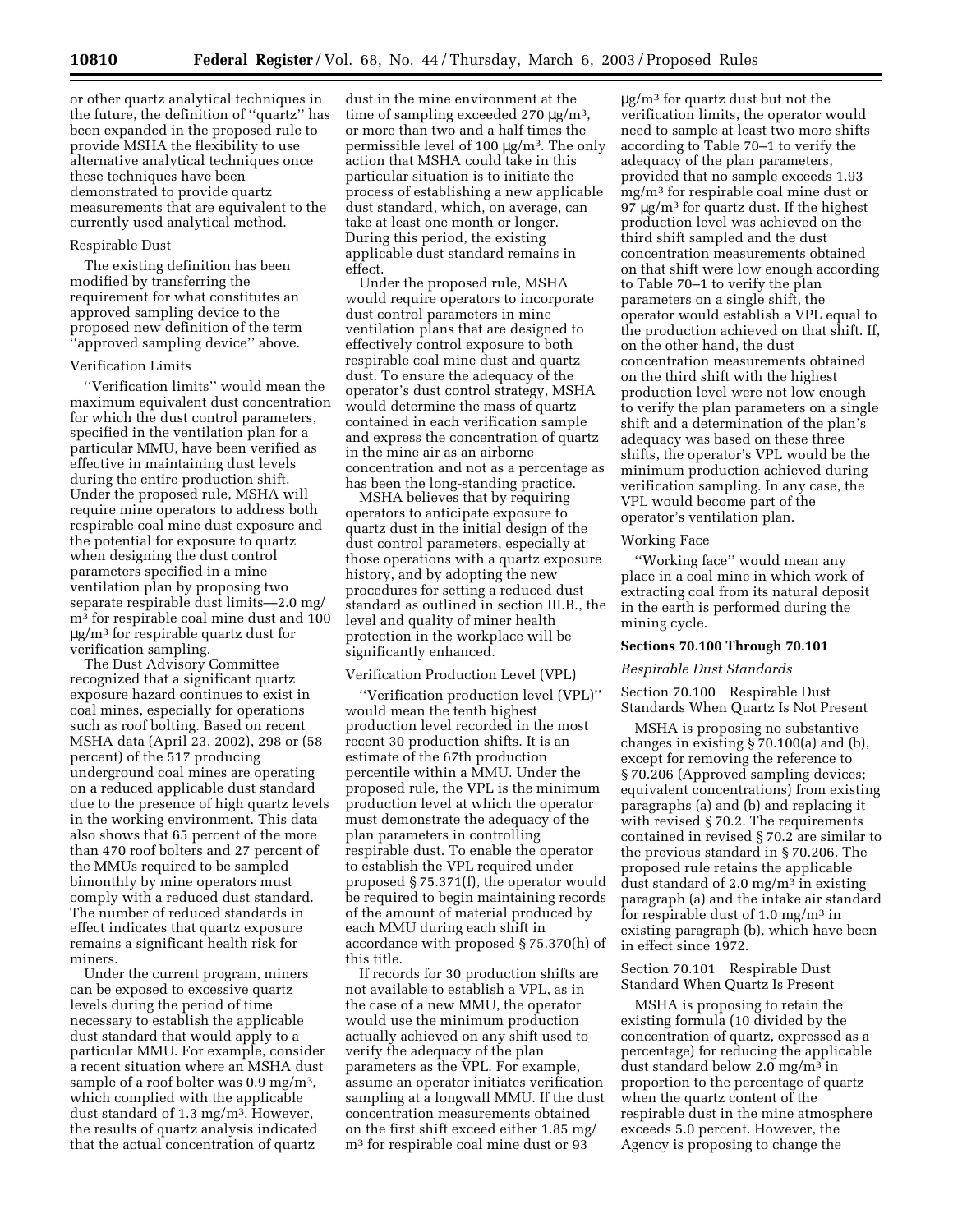or other quartz analytical techniques in the future, the definition of ''quartz'' has been expanded in the proposed rule to provide MSHA the flexibility to use alternative analytical techniques once these techniques have been demonstrated to provide quartz measurements that are equivalent to the currently used analytical method.

#### Respirable Dust

The existing definition has been modified by transferring the requirement for what constitutes an approved sampling device to the proposed new definition of the term ''approved sampling device'' above.

#### Verification Limits

''Verification limits'' would mean the maximum equivalent dust concentration for which the dust control parameters, specified in the ventilation plan for a particular MMU, have been verified as effective in maintaining dust levels during the entire production shift. Under the proposed rule, MSHA will require mine operators to address both respirable coal mine dust exposure and the potential for exposure to quartz when designing the dust control parameters specified in a mine ventilation plan by proposing two separate respirable dust limits—2.0 mg/ m3 for respirable coal mine dust and 100 µg/m3 for respirable quartz dust for verification sampling.

The Dust Advisory Committee recognized that a significant quartz exposure hazard continues to exist in coal mines, especially for operations such as roof bolting. Based on recent MSHA data (April 23, 2002), 298 or (58 percent) of the 517 producing underground coal mines are operating on a reduced applicable dust standard due to the presence of high quartz levels in the working environment. This data also shows that 65 percent of the more than 470 roof bolters and 27 percent of the MMUs required to be sampled bimonthly by mine operators must comply with a reduced dust standard. The number of reduced standards in effect indicates that quartz exposure remains a significant health risk for miners.

Under the current program, miners can be exposed to excessive quartz levels during the period of time necessary to establish the applicable dust standard that would apply to a particular MMU. For example, consider a recent situation where an MSHA dust sample of a roof bolter was 0.9 mg/m3, which complied with the applicable dust standard of 1.3 mg/m<sup>3</sup>. However, the results of quartz analysis indicated that the actual concentration of quartz

dust in the mine environment at the time of sampling exceeded  $270 \mu g/m^3$ , or more than two and a half times the permissible level of 100  $\mu$ g/m<sup>3</sup>. The only action that MSHA could take in this particular situation is to initiate the process of establishing a new applicable dust standard, which, on average, can take at least one month or longer. During this period, the existing applicable dust standard remains in effect.

Under the proposed rule, MSHA would require operators to incorporate dust control parameters in mine ventilation plans that are designed to effectively control exposure to both respirable coal mine dust and quartz dust. To ensure the adequacy of the operator's dust control strategy, MSHA would determine the mass of quartz contained in each verification sample and express the concentration of quartz in the mine air as an airborne concentration and not as a percentage as has been the long-standing practice.

MSHA believes that by requiring operators to anticipate exposure to quartz dust in the initial design of the dust control parameters, especially at those operations with a quartz exposure history, and by adopting the new procedures for setting a reduced dust standard as outlined in section III.B., the level and quality of miner health protection in the workplace will be significantly enhanced.

#### Verification Production Level (VPL)

''Verification production level (VPL)'' would mean the tenth highest production level recorded in the most recent 30 production shifts. It is an estimate of the 67th production percentile within a MMU. Under the proposed rule, the VPL is the minimum production level at which the operator must demonstrate the adequacy of the plan parameters in controlling respirable dust. To enable the operator to establish the VPL required under proposed § 75.371(f), the operator would be required to begin maintaining records of the amount of material produced by each MMU during each shift in accordance with proposed § 75.370(h) of this title.

If records for 30 production shifts are not available to establish a VPL, as in the case of a new MMU, the operator would use the minimum production actually achieved on any shift used to verify the adequacy of the plan parameters as the VPL. For example, assume an operator initiates verification sampling at a longwall MMU. If the dust concentration measurements obtained on the first shift exceed either 1.85 mg/ m3 for respirable coal mine dust or 93

µg/m3 for quartz dust but not the verification limits, the operator would need to sample at least two more shifts according to Table 70–1 to verify the adequacy of the plan parameters, provided that no sample exceeds 1.93 mg/m3 for respirable coal mine dust or 97 µg/m3 for quartz dust. If the highest production level was achieved on the third shift sampled and the dust concentration measurements obtained on that shift were low enough according to Table 70–1 to verify the plan parameters on a single shift, the operator would establish a VPL equal to the production achieved on that shift. If, on the other hand, the dust concentration measurements obtained on the third shift with the highest production level were not low enough to verify the plan parameters on a single shift and a determination of the plan's adequacy was based on these three shifts, the operator's VPL would be the minimum production achieved during verification sampling. In any case, the VPL would become part of the operator's ventilation plan.

#### Working Face

''Working face'' would mean any place in a coal mine in which work of extracting coal from its natural deposit in the earth is performed during the mining cycle.

#### **Sections 70.100 Through 70.101**

## *Respirable Dust Standards*

Section 70.100 Respirable Dust Standards When Quartz Is Not Present

MSHA is proposing no substantive changes in existing § 70.100(a) and (b), except for removing the reference to § 70.206 (Approved sampling devices; equivalent concentrations) from existing paragraphs (a) and (b) and replacing it with revised § 70.2. The requirements contained in revised § 70.2 are similar to the previous standard in § 70.206. The proposed rule retains the applicable dust standard of 2.0 mg/m<sup>3</sup> in existing paragraph (a) and the intake air standard for respirable dust of 1.0 mg/m<sup>3</sup> in existing paragraph (b), which have been in effect since 1972.

Section 70.101 Respirable Dust Standard When Quartz Is Present

MSHA is proposing to retain the existing formula (10 divided by the concentration of quartz, expressed as a percentage) for reducing the applicable dust standard below 2.0 mg/m3 in proportion to the percentage of quartz when the quartz content of the respirable dust in the mine atmosphere exceeds 5.0 percent. However, the Agency is proposing to change the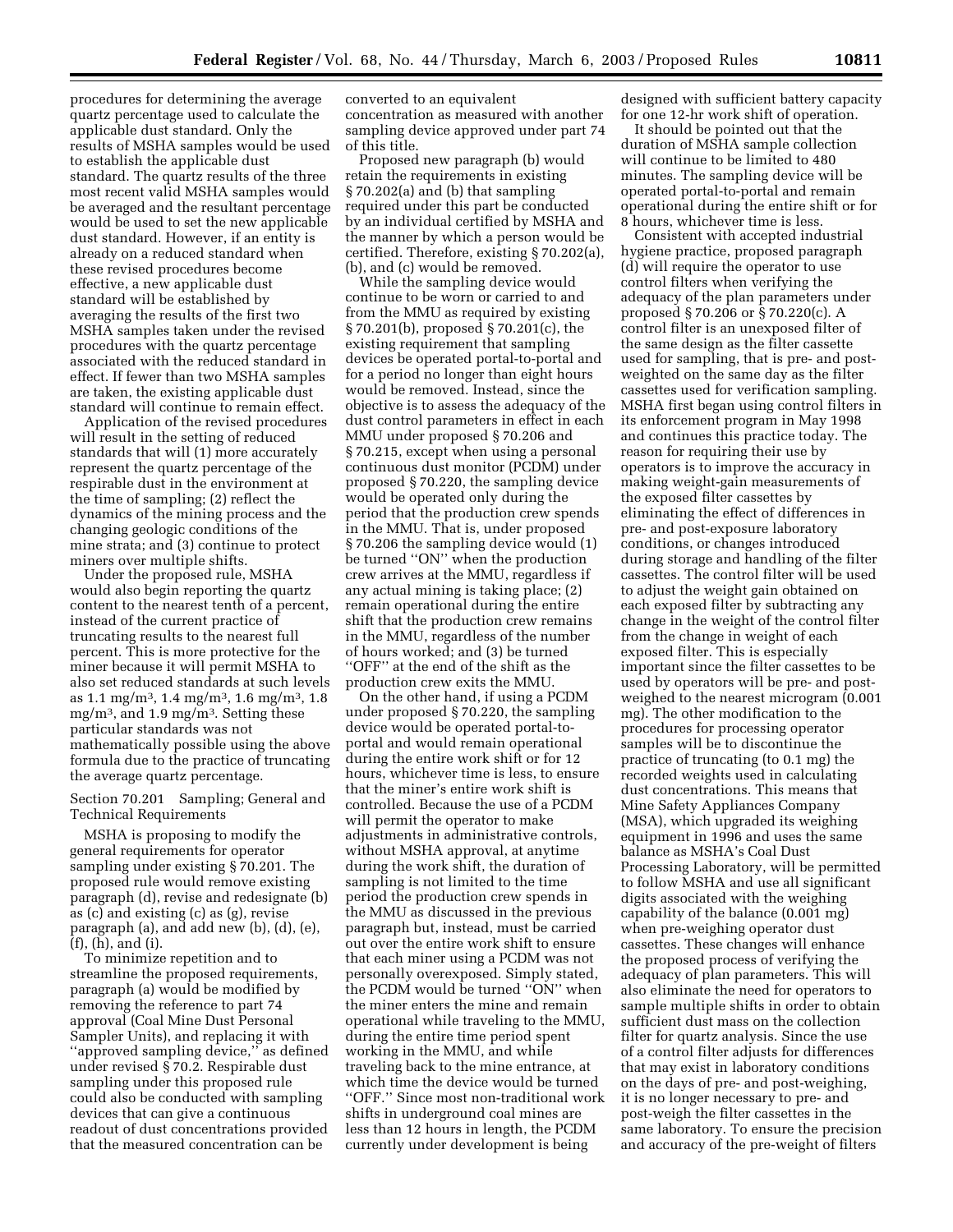procedures for determining the average quartz percentage used to calculate the applicable dust standard. Only the results of MSHA samples would be used to establish the applicable dust standard. The quartz results of the three most recent valid MSHA samples would be averaged and the resultant percentage would be used to set the new applicable dust standard. However, if an entity is already on a reduced standard when these revised procedures become effective, a new applicable dust standard will be established by averaging the results of the first two MSHA samples taken under the revised procedures with the quartz percentage associated with the reduced standard in effect. If fewer than two MSHA samples are taken, the existing applicable dust standard will continue to remain effect.

Application of the revised procedures will result in the setting of reduced standards that will (1) more accurately represent the quartz percentage of the respirable dust in the environment at the time of sampling; (2) reflect the dynamics of the mining process and the changing geologic conditions of the mine strata; and (3) continue to protect miners over multiple shifts.

Under the proposed rule, MSHA would also begin reporting the quartz content to the nearest tenth of a percent, instead of the current practice of truncating results to the nearest full percent. This is more protective for the miner because it will permit MSHA to also set reduced standards at such levels as 1.1 mg/m<sup>3</sup>, 1.4 mg/m<sup>3</sup>, 1.6 mg/m<sup>3</sup>, 1.8 mg/m3, and 1.9 mg/m3. Setting these particular standards was not mathematically possible using the above formula due to the practice of truncating the average quartz percentage.

#### Section 70.201 Sampling; General and Technical Requirements

MSHA is proposing to modify the general requirements for operator sampling under existing § 70.201. The proposed rule would remove existing paragraph (d), revise and redesignate (b) as (c) and existing (c) as (g), revise paragraph (a), and add new (b), (d), (e), (f), (h), and (i).

To minimize repetition and to streamline the proposed requirements, paragraph (a) would be modified by removing the reference to part 74 approval (Coal Mine Dust Personal Sampler Units), and replacing it with ''approved sampling device,'' as defined under revised § 70.2. Respirable dust sampling under this proposed rule could also be conducted with sampling devices that can give a continuous readout of dust concentrations provided that the measured concentration can be

converted to an equivalent concentration as measured with another sampling device approved under part 74 of this title.

Proposed new paragraph (b) would retain the requirements in existing § 70.202(a) and (b) that sampling required under this part be conducted by an individual certified by MSHA and the manner by which a person would be certified. Therefore, existing § 70.202(a), (b), and (c) would be removed.

While the sampling device would continue to be worn or carried to and from the MMU as required by existing § 70.201(b), proposed § 70.201(c), the existing requirement that sampling devices be operated portal-to-portal and for a period no longer than eight hours would be removed. Instead, since the objective is to assess the adequacy of the dust control parameters in effect in each MMU under proposed § 70.206 and § 70.215, except when using a personal continuous dust monitor (PCDM) under proposed § 70.220, the sampling device would be operated only during the period that the production crew spends in the MMU. That is, under proposed § 70.206 the sampling device would (1) be turned "ON" when the production crew arrives at the MMU, regardless if any actual mining is taking place; (2) remain operational during the entire shift that the production crew remains in the MMU, regardless of the number of hours worked; and (3) be turned ''OFF'' at the end of the shift as the production crew exits the MMU.

On the other hand, if using a PCDM under proposed § 70.220, the sampling device would be operated portal-toportal and would remain operational during the entire work shift or for 12 hours, whichever time is less, to ensure that the miner's entire work shift is controlled. Because the use of a PCDM will permit the operator to make adjustments in administrative controls, without MSHA approval, at anytime during the work shift, the duration of sampling is not limited to the time period the production crew spends in the MMU as discussed in the previous paragraph but, instead, must be carried out over the entire work shift to ensure that each miner using a PCDM was not personally overexposed. Simply stated, the PCDM would be turned ''ON'' when the miner enters the mine and remain operational while traveling to the MMU, during the entire time period spent working in the MMU, and while traveling back to the mine entrance, at which time the device would be turned ''OFF.'' Since most non-traditional work shifts in underground coal mines are less than 12 hours in length, the PCDM currently under development is being

designed with sufficient battery capacity for one 12-hr work shift of operation.

It should be pointed out that the duration of MSHA sample collection will continue to be limited to 480 minutes. The sampling device will be operated portal-to-portal and remain operational during the entire shift or for 8 hours, whichever time is less.

Consistent with accepted industrial hygiene practice, proposed paragraph (d) will require the operator to use control filters when verifying the adequacy of the plan parameters under proposed § 70.206 or § 70.220(c). A control filter is an unexposed filter of the same design as the filter cassette used for sampling, that is pre- and postweighted on the same day as the filter cassettes used for verification sampling. MSHA first began using control filters in its enforcement program in May 1998 and continues this practice today. The reason for requiring their use by operators is to improve the accuracy in making weight-gain measurements of the exposed filter cassettes by eliminating the effect of differences in pre- and post-exposure laboratory conditions, or changes introduced during storage and handling of the filter cassettes. The control filter will be used to adjust the weight gain obtained on each exposed filter by subtracting any change in the weight of the control filter from the change in weight of each exposed filter. This is especially important since the filter cassettes to be used by operators will be pre- and postweighed to the nearest microgram (0.001 mg). The other modification to the procedures for processing operator samples will be to discontinue the practice of truncating (to 0.1 mg) the recorded weights used in calculating dust concentrations. This means that Mine Safety Appliances Company (MSA), which upgraded its weighing equipment in 1996 and uses the same balance as MSHA's Coal Dust Processing Laboratory, will be permitted to follow MSHA and use all significant digits associated with the weighing capability of the balance (0.001 mg) when pre-weighing operator dust cassettes. These changes will enhance the proposed process of verifying the adequacy of plan parameters. This will also eliminate the need for operators to sample multiple shifts in order to obtain sufficient dust mass on the collection filter for quartz analysis. Since the use of a control filter adjusts for differences that may exist in laboratory conditions on the days of pre- and post-weighing, it is no longer necessary to pre- and post-weigh the filter cassettes in the same laboratory. To ensure the precision and accuracy of the pre-weight of filters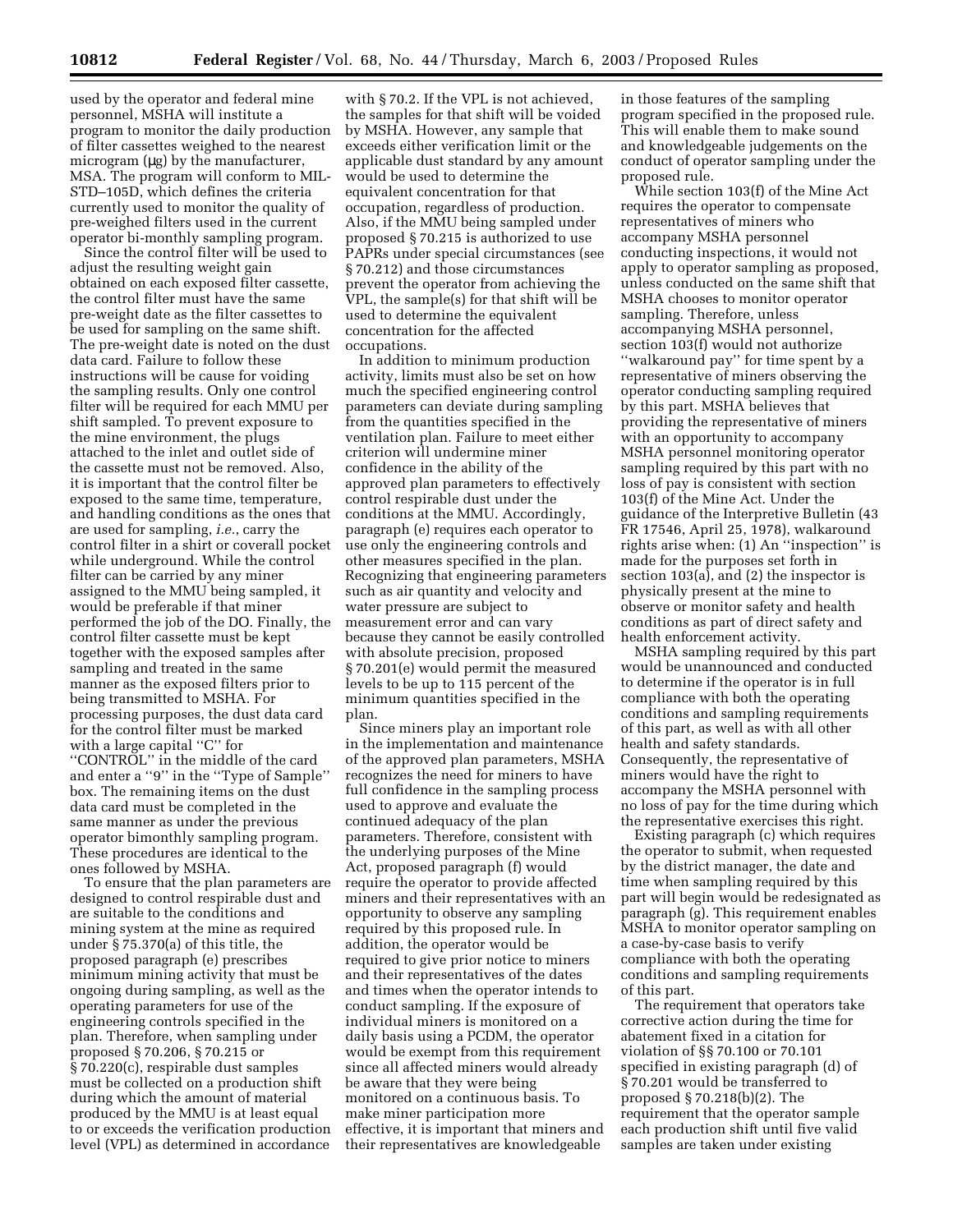used by the operator and federal mine personnel, MSHA will institute a program to monitor the daily production of filter cassettes weighed to the nearest microgram (µg) by the manufacturer, MSA. The program will conform to MIL-STD–105D, which defines the criteria currently used to monitor the quality of pre-weighed filters used in the current operator bi-monthly sampling program.

Since the control filter will be used to adjust the resulting weight gain obtained on each exposed filter cassette, the control filter must have the same pre-weight date as the filter cassettes to be used for sampling on the same shift. The pre-weight date is noted on the dust data card. Failure to follow these instructions will be cause for voiding the sampling results. Only one control filter will be required for each MMU per shift sampled. To prevent exposure to the mine environment, the plugs attached to the inlet and outlet side of the cassette must not be removed. Also, it is important that the control filter be exposed to the same time, temperature, and handling conditions as the ones that are used for sampling, *i.e.*, carry the control filter in a shirt or coverall pocket while underground. While the control filter can be carried by any miner assigned to the MMU being sampled, it would be preferable if that miner performed the job of the DO. Finally, the control filter cassette must be kept together with the exposed samples after sampling and treated in the same manner as the exposed filters prior to being transmitted to MSHA. For processing purposes, the dust data card for the control filter must be marked with a large capital ''C'' for "CONTROL" in the middle of the card and enter a ''9'' in the ''Type of Sample'' box. The remaining items on the dust data card must be completed in the same manner as under the previous operator bimonthly sampling program. These procedures are identical to the ones followed by MSHA.

To ensure that the plan parameters are designed to control respirable dust and are suitable to the conditions and mining system at the mine as required under § 75.370(a) of this title, the proposed paragraph (e) prescribes minimum mining activity that must be ongoing during sampling, as well as the operating parameters for use of the engineering controls specified in the plan. Therefore, when sampling under proposed § 70.206, § 70.215 or § 70.220(c), respirable dust samples must be collected on a production shift during which the amount of material produced by the MMU is at least equal to or exceeds the verification production level (VPL) as determined in accordance

with § 70.2. If the VPL is not achieved, the samples for that shift will be voided by MSHA. However, any sample that exceeds either verification limit or the applicable dust standard by any amount would be used to determine the equivalent concentration for that occupation, regardless of production. Also, if the MMU being sampled under proposed § 70.215 is authorized to use PAPRs under special circumstances (see § 70.212) and those circumstances prevent the operator from achieving the VPL, the sample(s) for that shift will be used to determine the equivalent concentration for the affected occupations.

In addition to minimum production activity, limits must also be set on how much the specified engineering control parameters can deviate during sampling from the quantities specified in the ventilation plan. Failure to meet either criterion will undermine miner confidence in the ability of the approved plan parameters to effectively control respirable dust under the conditions at the MMU. Accordingly, paragraph (e) requires each operator to use only the engineering controls and other measures specified in the plan. Recognizing that engineering parameters such as air quantity and velocity and water pressure are subject to measurement error and can vary because they cannot be easily controlled with absolute precision, proposed § 70.201(e) would permit the measured levels to be up to 115 percent of the minimum quantities specified in the plan.

Since miners play an important role in the implementation and maintenance of the approved plan parameters, MSHA recognizes the need for miners to have full confidence in the sampling process used to approve and evaluate the continued adequacy of the plan parameters. Therefore, consistent with the underlying purposes of the Mine Act, proposed paragraph (f) would require the operator to provide affected miners and their representatives with an opportunity to observe any sampling required by this proposed rule. In addition, the operator would be required to give prior notice to miners and their representatives of the dates and times when the operator intends to conduct sampling. If the exposure of individual miners is monitored on a daily basis using a PCDM, the operator would be exempt from this requirement since all affected miners would already be aware that they were being monitored on a continuous basis. To make miner participation more effective, it is important that miners and their representatives are knowledgeable

in those features of the sampling program specified in the proposed rule. This will enable them to make sound and knowledgeable judgements on the conduct of operator sampling under the proposed rule.

While section 103(f) of the Mine Act requires the operator to compensate representatives of miners who accompany MSHA personnel conducting inspections, it would not apply to operator sampling as proposed, unless conducted on the same shift that MSHA chooses to monitor operator sampling. Therefore, unless accompanying MSHA personnel, section 103(f) would not authorize ''walkaround pay'' for time spent by a representative of miners observing the operator conducting sampling required by this part. MSHA believes that providing the representative of miners with an opportunity to accompany MSHA personnel monitoring operator sampling required by this part with no loss of pay is consistent with section 103(f) of the Mine Act. Under the guidance of the Interpretive Bulletin (43 FR 17546, April 25, 1978), walkaround rights arise when: (1) An ''inspection'' is made for the purposes set forth in section 103(a), and (2) the inspector is physically present at the mine to observe or monitor safety and health conditions as part of direct safety and health enforcement activity.

MSHA sampling required by this part would be unannounced and conducted to determine if the operator is in full compliance with both the operating conditions and sampling requirements of this part, as well as with all other health and safety standards. Consequently, the representative of miners would have the right to accompany the MSHA personnel with no loss of pay for the time during which the representative exercises this right.

Existing paragraph (c) which requires the operator to submit, when requested by the district manager, the date and time when sampling required by this part will begin would be redesignated as paragraph (g). This requirement enables MSHA to monitor operator sampling on a case-by-case basis to verify compliance with both the operating conditions and sampling requirements of this part.

The requirement that operators take corrective action during the time for abatement fixed in a citation for violation of §§ 70.100 or 70.101 specified in existing paragraph (d) of § 70.201 would be transferred to proposed § 70.218(b)(2). The requirement that the operator sample each production shift until five valid samples are taken under existing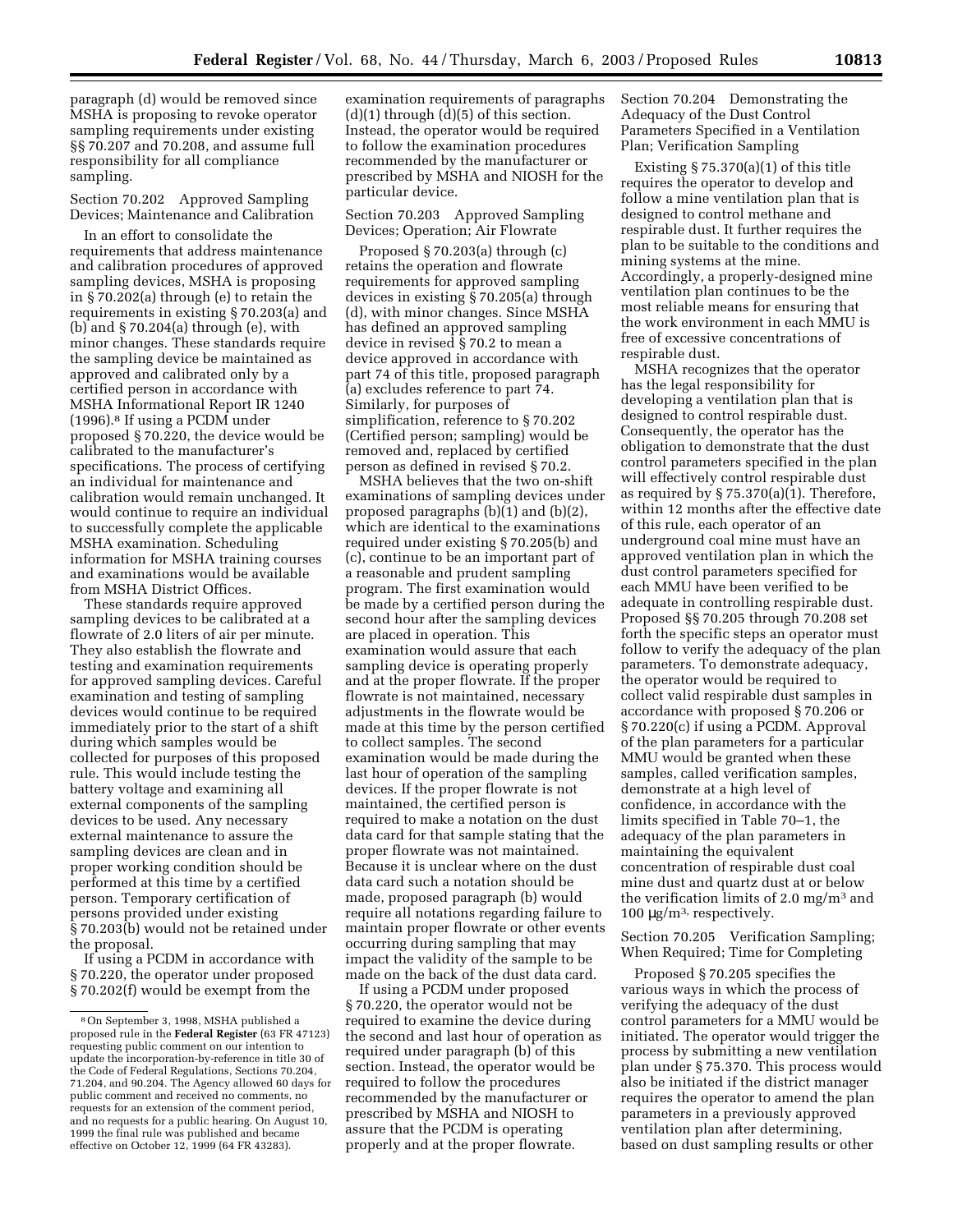paragraph (d) would be removed since MSHA is proposing to revoke operator sampling requirements under existing §§ 70.207 and 70.208, and assume full responsibility for all compliance sampling.

Section 70.202 Approved Sampling Devices; Maintenance and Calibration

In an effort to consolidate the requirements that address maintenance and calibration procedures of approved sampling devices, MSHA is proposing in § 70.202(a) through (e) to retain the requirements in existing § 70.203(a) and (b) and  $\S 70.204(a)$  through (e), with minor changes. These standards require the sampling device be maintained as approved and calibrated only by a certified person in accordance with MSHA Informational Report IR 1240 (1996).8 If using a PCDM under proposed § 70.220, the device would be calibrated to the manufacturer's specifications. The process of certifying an individual for maintenance and calibration would remain unchanged. It would continue to require an individual to successfully complete the applicable MSHA examination. Scheduling information for MSHA training courses and examinations would be available from MSHA District Offices.

These standards require approved sampling devices to be calibrated at a flowrate of 2.0 liters of air per minute. They also establish the flowrate and testing and examination requirements for approved sampling devices. Careful examination and testing of sampling devices would continue to be required immediately prior to the start of a shift during which samples would be collected for purposes of this proposed rule. This would include testing the battery voltage and examining all external components of the sampling devices to be used. Any necessary external maintenance to assure the sampling devices are clean and in proper working condition should be performed at this time by a certified person. Temporary certification of persons provided under existing § 70.203(b) would not be retained under the proposal.

If using a PCDM in accordance with § 70.220, the operator under proposed § 70.202(f) would be exempt from the

examination requirements of paragraphs  $(d)(1)$  through  $(d)(5)$  of this section. Instead, the operator would be required to follow the examination procedures recommended by the manufacturer or prescribed by MSHA and NIOSH for the particular device.

## Section 70.203 Approved Sampling Devices; Operation; Air Flowrate

Proposed § 70.203(a) through (c) retains the operation and flowrate requirements for approved sampling devices in existing § 70.205(a) through (d), with minor changes. Since MSHA has defined an approved sampling device in revised § 70.2 to mean a device approved in accordance with part 74 of this title, proposed paragraph (a) excludes reference to part 74. Similarly, for purposes of simplification, reference to § 70.202 (Certified person; sampling) would be removed and, replaced by certified person as defined in revised § 70.2.

MSHA believes that the two on-shift examinations of sampling devices under proposed paragraphs (b)(1) and (b)(2), which are identical to the examinations required under existing § 70.205(b) and (c), continue to be an important part of a reasonable and prudent sampling program. The first examination would be made by a certified person during the second hour after the sampling devices are placed in operation. This examination would assure that each sampling device is operating properly and at the proper flowrate. If the proper flowrate is not maintained, necessary adjustments in the flowrate would be made at this time by the person certified to collect samples. The second examination would be made during the last hour of operation of the sampling devices. If the proper flowrate is not maintained, the certified person is required to make a notation on the dust data card for that sample stating that the proper flowrate was not maintained. Because it is unclear where on the dust data card such a notation should be made, proposed paragraph (b) would require all notations regarding failure to maintain proper flowrate or other events occurring during sampling that may impact the validity of the sample to be made on the back of the dust data card.

If using a PCDM under proposed § 70.220, the operator would not be required to examine the device during the second and last hour of operation as required under paragraph (b) of this section. Instead, the operator would be required to follow the procedures recommended by the manufacturer or prescribed by MSHA and NIOSH to assure that the PCDM is operating properly and at the proper flowrate.

Section 70.204 Demonstrating the Adequacy of the Dust Control Parameters Specified in a Ventilation Plan; Verification Sampling

Existing  $\S 75.370(a)(1)$  of this title requires the operator to develop and follow a mine ventilation plan that is designed to control methane and respirable dust. It further requires the plan to be suitable to the conditions and mining systems at the mine. Accordingly, a properly-designed mine ventilation plan continues to be the most reliable means for ensuring that the work environment in each MMU is free of excessive concentrations of respirable dust.

MSHA recognizes that the operator has the legal responsibility for developing a ventilation plan that is designed to control respirable dust. Consequently, the operator has the obligation to demonstrate that the dust control parameters specified in the plan will effectively control respirable dust as required by § 75.370(a)(1). Therefore, within 12 months after the effective date of this rule, each operator of an underground coal mine must have an approved ventilation plan in which the dust control parameters specified for each MMU have been verified to be adequate in controlling respirable dust. Proposed §§ 70.205 through 70.208 set forth the specific steps an operator must follow to verify the adequacy of the plan parameters. To demonstrate adequacy, the operator would be required to collect valid respirable dust samples in accordance with proposed § 70.206 or § 70.220(c) if using a PCDM. Approval of the plan parameters for a particular MMU would be granted when these samples, called verification samples, demonstrate at a high level of confidence, in accordance with the limits specified in Table 70–1, the adequacy of the plan parameters in maintaining the equivalent concentration of respirable dust coal mine dust and quartz dust at or below the verification limits of 2.0 mg/m3 and 100  $\mu$ g/m<sup>3,</sup> respectively.

Section 70.205 Verification Sampling; When Required; Time for Completing

Proposed § 70.205 specifies the various ways in which the process of verifying the adequacy of the dust control parameters for a MMU would be initiated. The operator would trigger the process by submitting a new ventilation plan under § 75.370. This process would also be initiated if the district manager requires the operator to amend the plan parameters in a previously approved ventilation plan after determining, based on dust sampling results or other

<sup>8</sup>On September 3, 1998, MSHA published a proposed rule in the **Federal Register** (63 FR 47123) requesting public comment on our intention to update the incorporation-by-reference in title 30 of the Code of Federal Regulations, Sections 70.204, 71.204, and 90.204. The Agency allowed 60 days for public comment and received no comments, no requests for an extension of the comment period, and no requests for a public hearing. On August 10, 1999 the final rule was published and became effective on October 12, 1999 (64 FR 43283).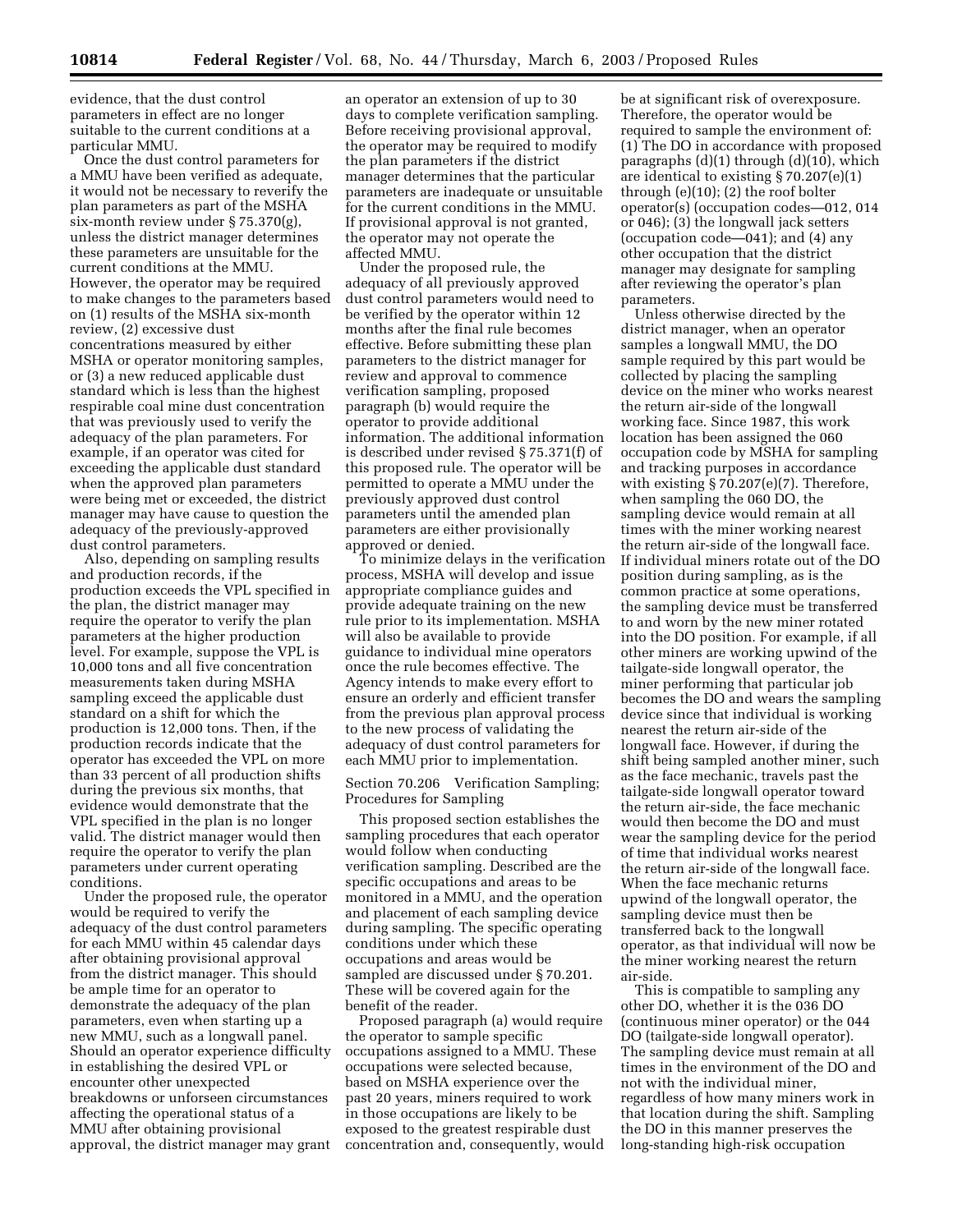evidence, that the dust control parameters in effect are no longer suitable to the current conditions at a particular MMU.

Once the dust control parameters for a MMU have been verified as adequate, it would not be necessary to reverify the plan parameters as part of the MSHA six-month review under § 75.370(g), unless the district manager determines these parameters are unsuitable for the current conditions at the MMU. However, the operator may be required to make changes to the parameters based on (1) results of the MSHA six-month review, (2) excessive dust concentrations measured by either MSHA or operator monitoring samples, or (3) a new reduced applicable dust standard which is less than the highest respirable coal mine dust concentration that was previously used to verify the adequacy of the plan parameters. For example, if an operator was cited for exceeding the applicable dust standard when the approved plan parameters were being met or exceeded, the district manager may have cause to question the adequacy of the previously-approved dust control parameters.

Also, depending on sampling results and production records, if the production exceeds the VPL specified in the plan, the district manager may require the operator to verify the plan parameters at the higher production level. For example, suppose the VPL is 10,000 tons and all five concentration measurements taken during MSHA sampling exceed the applicable dust standard on a shift for which the production is 12,000 tons. Then, if the production records indicate that the operator has exceeded the VPL on more than 33 percent of all production shifts during the previous six months, that evidence would demonstrate that the VPL specified in the plan is no longer valid. The district manager would then require the operator to verify the plan parameters under current operating conditions.

Under the proposed rule, the operator would be required to verify the adequacy of the dust control parameters for each MMU within 45 calendar days after obtaining provisional approval from the district manager. This should be ample time for an operator to demonstrate the adequacy of the plan parameters, even when starting up a new MMU, such as a longwall panel. Should an operator experience difficulty in establishing the desired VPL or encounter other unexpected breakdowns or unforseen circumstances affecting the operational status of a MMU after obtaining provisional approval, the district manager may grant

an operator an extension of up to 30 days to complete verification sampling. Before receiving provisional approval, the operator may be required to modify the plan parameters if the district manager determines that the particular parameters are inadequate or unsuitable for the current conditions in the MMU. If provisional approval is not granted, the operator may not operate the affected MMU.

Under the proposed rule, the adequacy of all previously approved dust control parameters would need to be verified by the operator within 12 months after the final rule becomes effective. Before submitting these plan parameters to the district manager for review and approval to commence verification sampling, proposed paragraph (b) would require the operator to provide additional information. The additional information is described under revised § 75.371(f) of this proposed rule. The operator will be permitted to operate a MMU under the previously approved dust control parameters until the amended plan parameters are either provisionally approved or denied.

To minimize delays in the verification process, MSHA will develop and issue appropriate compliance guides and provide adequate training on the new rule prior to its implementation. MSHA will also be available to provide guidance to individual mine operators once the rule becomes effective. The Agency intends to make every effort to ensure an orderly and efficient transfer from the previous plan approval process to the new process of validating the adequacy of dust control parameters for each MMU prior to implementation.

Section 70.206 Verification Sampling; Procedures for Sampling

This proposed section establishes the sampling procedures that each operator would follow when conducting verification sampling. Described are the specific occupations and areas to be monitored in a MMU, and the operation and placement of each sampling device during sampling. The specific operating conditions under which these occupations and areas would be sampled are discussed under § 70.201. These will be covered again for the benefit of the reader.

Proposed paragraph (a) would require the operator to sample specific occupations assigned to a MMU. These occupations were selected because, based on MSHA experience over the past 20 years, miners required to work in those occupations are likely to be exposed to the greatest respirable dust concentration and, consequently, would be at significant risk of overexposure. Therefore, the operator would be required to sample the environment of: (1) The DO in accordance with proposed paragraphs (d)(1) through (d)(10), which are identical to existing § 70.207(e)(1) through (e)(10); (2) the roof bolter operator(s) (occupation codes—012, 014 or 046); (3) the longwall jack setters (occupation code—041); and (4) any other occupation that the district manager may designate for sampling after reviewing the operator's plan parameters.

Unless otherwise directed by the district manager, when an operator samples a longwall MMU, the DO sample required by this part would be collected by placing the sampling device on the miner who works nearest the return air-side of the longwall working face. Since 1987, this work location has been assigned the 060 occupation code by MSHA for sampling and tracking purposes in accordance with existing § 70.207(e)(7). Therefore, when sampling the 060 DO, the sampling device would remain at all times with the miner working nearest the return air-side of the longwall face. If individual miners rotate out of the DO position during sampling, as is the common practice at some operations, the sampling device must be transferred to and worn by the new miner rotated into the DO position. For example, if all other miners are working upwind of the tailgate-side longwall operator, the miner performing that particular job becomes the DO and wears the sampling device since that individual is working nearest the return air-side of the longwall face. However, if during the shift being sampled another miner, such as the face mechanic, travels past the tailgate-side longwall operator toward the return air-side, the face mechanic would then become the DO and must wear the sampling device for the period of time that individual works nearest the return air-side of the longwall face. When the face mechanic returns upwind of the longwall operator, the sampling device must then be transferred back to the longwall operator, as that individual will now be the miner working nearest the return air-side.

This is compatible to sampling any other DO, whether it is the 036 DO (continuous miner operator) or the 044 DO (tailgate-side longwall operator). The sampling device must remain at all times in the environment of the DO and not with the individual miner, regardless of how many miners work in that location during the shift. Sampling the DO in this manner preserves the long-standing high-risk occupation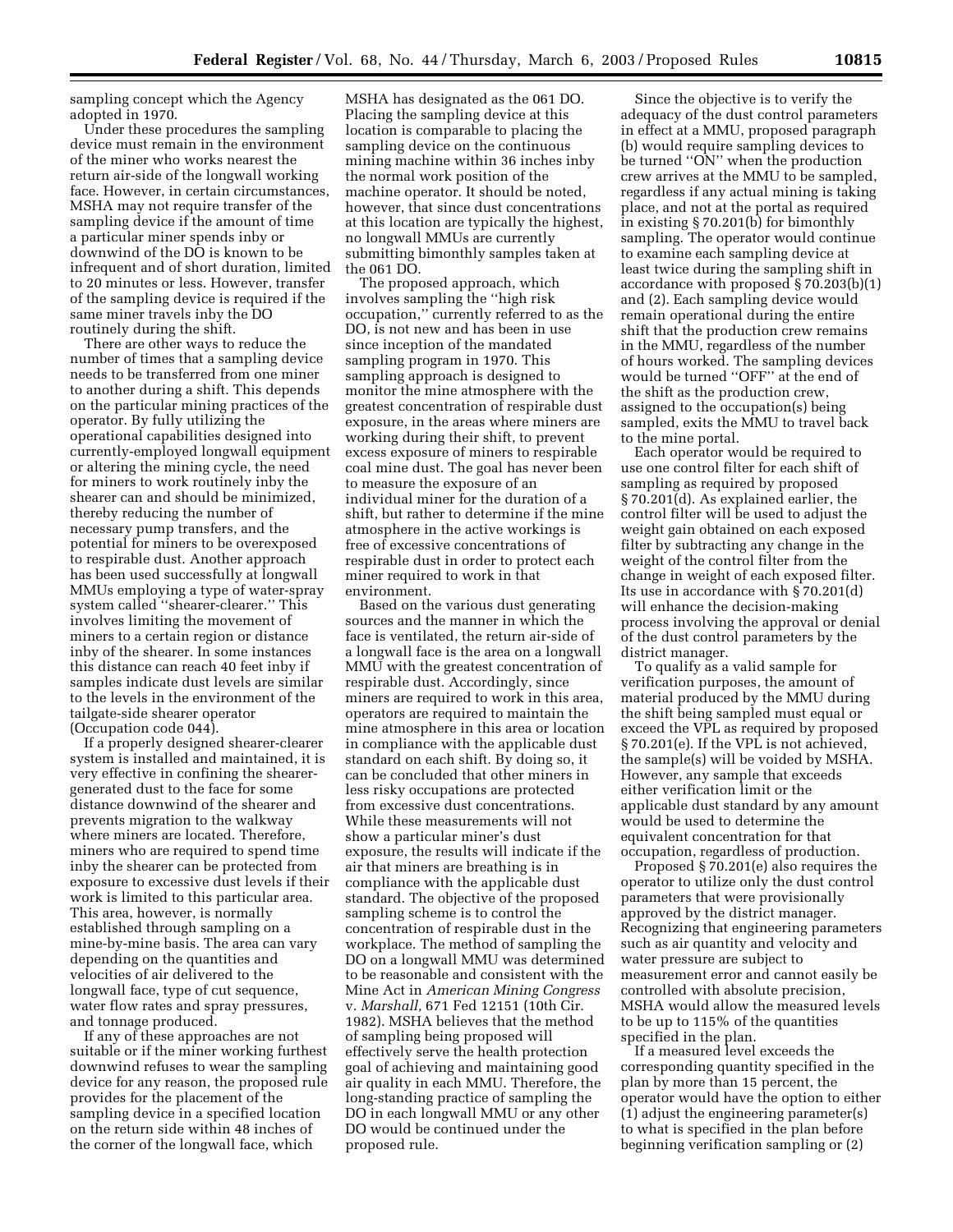sampling concept which the Agency adopted in 1970.

Under these procedures the sampling device must remain in the environment of the miner who works nearest the return air-side of the longwall working face. However, in certain circumstances, MSHA may not require transfer of the sampling device if the amount of time a particular miner spends inby or downwind of the DO is known to be infrequent and of short duration, limited to 20 minutes or less. However, transfer of the sampling device is required if the same miner travels inby the DO routinely during the shift.

There are other ways to reduce the number of times that a sampling device needs to be transferred from one miner to another during a shift. This depends on the particular mining practices of the operator. By fully utilizing the operational capabilities designed into currently-employed longwall equipment or altering the mining cycle, the need for miners to work routinely inby the shearer can and should be minimized, thereby reducing the number of necessary pump transfers, and the potential for miners to be overexposed to respirable dust. Another approach has been used successfully at longwall MMUs employing a type of water-spray system called ''shearer-clearer.'' This involves limiting the movement of miners to a certain region or distance inby of the shearer. In some instances this distance can reach 40 feet inby if samples indicate dust levels are similar to the levels in the environment of the tailgate-side shearer operator (Occupation code 044).

If a properly designed shearer-clearer system is installed and maintained, it is very effective in confining the shearergenerated dust to the face for some distance downwind of the shearer and prevents migration to the walkway where miners are located. Therefore, miners who are required to spend time inby the shearer can be protected from exposure to excessive dust levels if their work is limited to this particular area. This area, however, is normally established through sampling on a mine-by-mine basis. The area can vary depending on the quantities and velocities of air delivered to the longwall face, type of cut sequence, water flow rates and spray pressures, and tonnage produced.

If any of these approaches are not suitable or if the miner working furthest downwind refuses to wear the sampling device for any reason, the proposed rule provides for the placement of the sampling device in a specified location on the return side within 48 inches of the corner of the longwall face, which

MSHA has designated as the 061 DO. Placing the sampling device at this location is comparable to placing the sampling device on the continuous mining machine within 36 inches inby the normal work position of the machine operator. It should be noted, however, that since dust concentrations at this location are typically the highest, no longwall MMUs are currently submitting bimonthly samples taken at the 061 DO.

The proposed approach, which involves sampling the ''high risk occupation,'' currently referred to as the DO, is not new and has been in use since inception of the mandated sampling program in 1970. This sampling approach is designed to monitor the mine atmosphere with the greatest concentration of respirable dust exposure, in the areas where miners are working during their shift, to prevent excess exposure of miners to respirable coal mine dust. The goal has never been to measure the exposure of an individual miner for the duration of a shift, but rather to determine if the mine atmosphere in the active workings is free of excessive concentrations of respirable dust in order to protect each miner required to work in that environment.

Based on the various dust generating sources and the manner in which the face is ventilated, the return air-side of a longwall face is the area on a longwall MMU with the greatest concentration of respirable dust. Accordingly, since miners are required to work in this area, operators are required to maintain the mine atmosphere in this area or location in compliance with the applicable dust standard on each shift. By doing so, it can be concluded that other miners in less risky occupations are protected from excessive dust concentrations. While these measurements will not show a particular miner's dust exposure, the results will indicate if the air that miners are breathing is in compliance with the applicable dust standard. The objective of the proposed sampling scheme is to control the concentration of respirable dust in the workplace. The method of sampling the DO on a longwall MMU was determined to be reasonable and consistent with the Mine Act in *American Mining Congress* v. *Marshall,* 671 Fed 12151 (10th Cir. 1982). MSHA believes that the method of sampling being proposed will effectively serve the health protection goal of achieving and maintaining good air quality in each MMU. Therefore, the long-standing practice of sampling the DO in each longwall MMU or any other DO would be continued under the proposed rule.

Since the objective is to verify the adequacy of the dust control parameters in effect at a MMU, proposed paragraph (b) would require sampling devices to be turned "ON" when the production crew arrives at the MMU to be sampled, regardless if any actual mining is taking place, and not at the portal as required in existing § 70.201(b) for bimonthly sampling. The operator would continue to examine each sampling device at least twice during the sampling shift in accordance with proposed § 70.203(b)(1) and (2). Each sampling device would remain operational during the entire shift that the production crew remains in the MMU, regardless of the number of hours worked. The sampling devices would be turned ''OFF'' at the end of the shift as the production crew, assigned to the occupation(s) being sampled, exits the MMU to travel back to the mine portal.

Each operator would be required to use one control filter for each shift of sampling as required by proposed § 70.201(d). As explained earlier, the control filter will be used to adjust the weight gain obtained on each exposed filter by subtracting any change in the weight of the control filter from the change in weight of each exposed filter. Its use in accordance with § 70.201(d) will enhance the decision-making process involving the approval or denial of the dust control parameters by the district manager.

To qualify as a valid sample for verification purposes, the amount of material produced by the MMU during the shift being sampled must equal or exceed the VPL as required by proposed § 70.201(e). If the VPL is not achieved, the sample(s) will be voided by MSHA. However, any sample that exceeds either verification limit or the applicable dust standard by any amount would be used to determine the equivalent concentration for that occupation, regardless of production.

Proposed § 70.201(e) also requires the operator to utilize only the dust control parameters that were provisionally approved by the district manager. Recognizing that engineering parameters such as air quantity and velocity and water pressure are subject to measurement error and cannot easily be controlled with absolute precision, MSHA would allow the measured levels to be up to 115% of the quantities specified in the plan.

If a measured level exceeds the corresponding quantity specified in the plan by more than 15 percent, the operator would have the option to either (1) adjust the engineering parameter(s) to what is specified in the plan before beginning verification sampling or (2)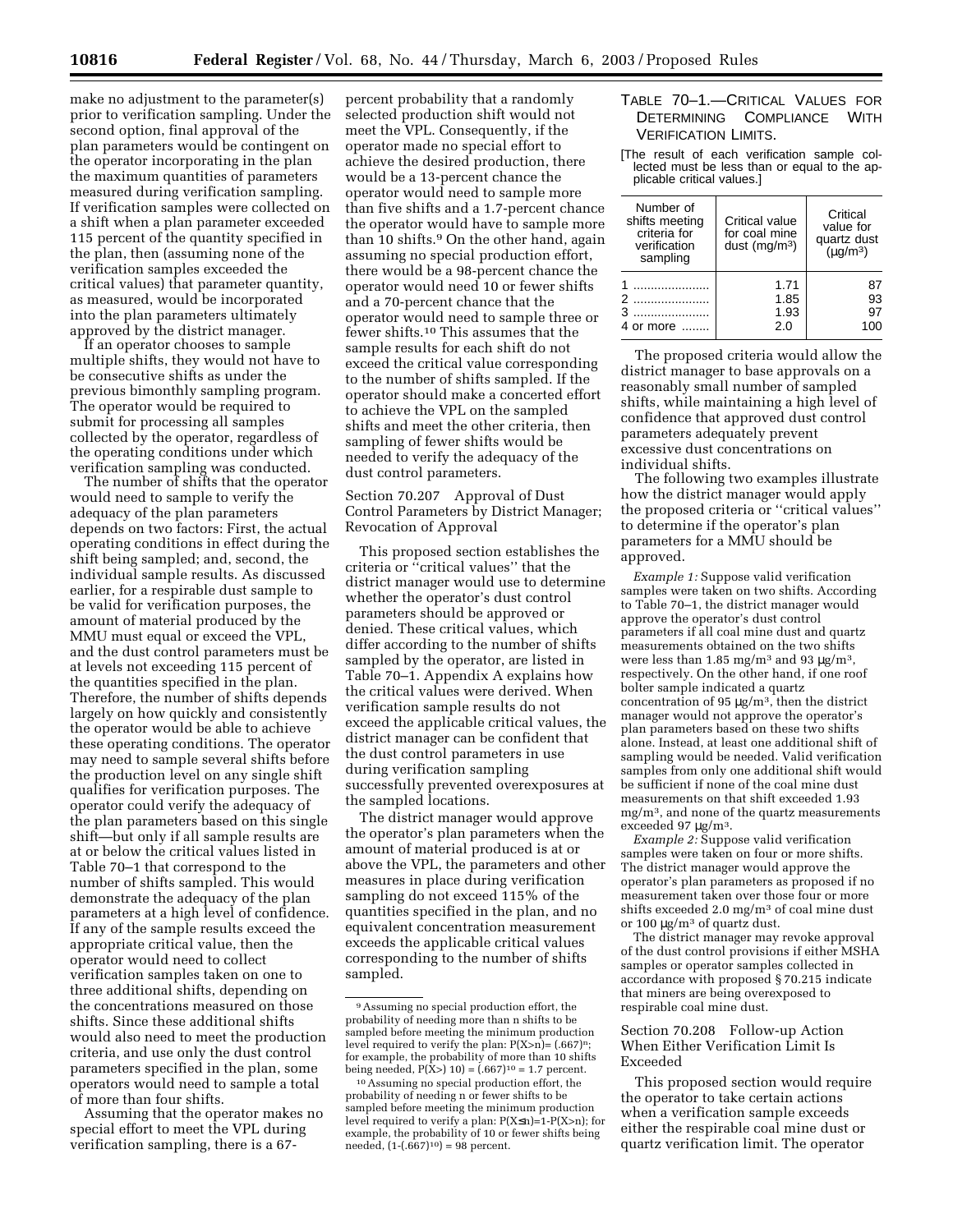make no adjustment to the parameter(s) prior to verification sampling. Under the second option, final approval of the plan parameters would be contingent on the operator incorporating in the plan the maximum quantities of parameters measured during verification sampling. If verification samples were collected on a shift when a plan parameter exceeded 115 percent of the quantity specified in the plan, then (assuming none of the verification samples exceeded the critical values) that parameter quantity, as measured, would be incorporated into the plan parameters ultimately approved by the district manager.

If an operator chooses to sample multiple shifts, they would not have to be consecutive shifts as under the previous bimonthly sampling program. The operator would be required to submit for processing all samples collected by the operator, regardless of the operating conditions under which verification sampling was conducted.

The number of shifts that the operator would need to sample to verify the adequacy of the plan parameters depends on two factors: First, the actual operating conditions in effect during the shift being sampled; and, second, the individual sample results. As discussed earlier, for a respirable dust sample to be valid for verification purposes, the amount of material produced by the MMU must equal or exceed the VPL, and the dust control parameters must be at levels not exceeding 115 percent of the quantities specified in the plan. Therefore, the number of shifts depends largely on how quickly and consistently the operator would be able to achieve these operating conditions. The operator may need to sample several shifts before the production level on any single shift qualifies for verification purposes. The operator could verify the adequacy of the plan parameters based on this single shift—but only if all sample results are at or below the critical values listed in Table 70–1 that correspond to the number of shifts sampled. This would demonstrate the adequacy of the plan parameters at a high level of confidence. If any of the sample results exceed the appropriate critical value, then the operator would need to collect verification samples taken on one to three additional shifts, depending on the concentrations measured on those shifts. Since these additional shifts would also need to meet the production criteria, and use only the dust control parameters specified in the plan, some operators would need to sample a total of more than four shifts.

Assuming that the operator makes no special effort to meet the VPL during verification sampling, there is a 67-

percent probability that a randomly selected production shift would not meet the VPL. Consequently, if the operator made no special effort to achieve the desired production, there would be a 13-percent chance the operator would need to sample more than five shifts and a 1.7-percent chance the operator would have to sample more than 10 shifts.<sup>9</sup> On the other hand, again assuming no special production effort, there would be a 98-percent chance the operator would need 10 or fewer shifts and a 70-percent chance that the operator would need to sample three or fewer shifts.10 This assumes that the sample results for each shift do not exceed the critical value corresponding to the number of shifts sampled. If the operator should make a concerted effort to achieve the VPL on the sampled shifts and meet the other criteria, then sampling of fewer shifts would be needed to verify the adequacy of the dust control parameters.

Section 70.207 Approval of Dust Control Parameters by District Manager; Revocation of Approval

This proposed section establishes the criteria or ''critical values'' that the district manager would use to determine whether the operator's dust control parameters should be approved or denied. These critical values, which differ according to the number of shifts sampled by the operator, are listed in Table 70–1. Appendix A explains how the critical values were derived. When verification sample results do not exceed the applicable critical values, the district manager can be confident that the dust control parameters in use during verification sampling successfully prevented overexposures at the sampled locations.

The district manager would approve the operator's plan parameters when the amount of material produced is at or above the VPL, the parameters and other measures in place during verification sampling do not exceed 115% of the quantities specified in the plan, and no equivalent concentration measurement exceeds the applicable critical values corresponding to the number of shifts sampled.

## TABLE 70–1.—CRITICAL VALUES FOR DETERMINING COMPLIANCE WITH VERIFICATION LIMITS.

[The result of each verification sample collected must be less than or equal to the applicable critical values.]

| Number of<br>shifts meeting<br>criteria for<br>verification<br>sampling | Critical value<br>for coal mine<br>dust ( $mq/m^3$ ) | Critical<br>value for<br>quartz dust<br>$(\mu q/m^3)$ |
|-------------------------------------------------------------------------|------------------------------------------------------|-------------------------------------------------------|
| .<br>4 or more                                                          | 1.71<br>1.85<br>1.93<br>2.0                          | 93<br>97<br>1 በበ                                      |

The proposed criteria would allow the district manager to base approvals on a reasonably small number of sampled shifts, while maintaining a high level of confidence that approved dust control parameters adequately prevent excessive dust concentrations on individual shifts.

The following two examples illustrate how the district manager would apply the proposed criteria or ''critical values'' to determine if the operator's plan parameters for a MMU should be approved.

*Example 1:* Suppose valid verification samples were taken on two shifts. According to Table 70–1, the district manager would approve the operator's dust control parameters if all coal mine dust and quartz measurements obtained on the two shifts were less than 1.85 mg/m<sup>3</sup> and 93  $\mu$ g/m<sup>3</sup>, respectively. On the other hand, if one roof bolter sample indicated a quartz concentration of 95  $\mu$ g/m<sup>3</sup>, then the district manager would not approve the operator's plan parameters based on these two shifts alone. Instead, at least one additional shift of sampling would be needed. Valid verification samples from only one additional shift would be sufficient if none of the coal mine dust measurements on that shift exceeded 1.93 mg/m3, and none of the quartz measurements exceeded 97 µg/m3.

*Example 2:* Suppose valid verification samples were taken on four or more shifts. The district manager would approve the operator's plan parameters as proposed if no measurement taken over those four or more shifts exceeded 2.0 mg/m3 of coal mine dust or 100 µg/m3 of quartz dust.

The district manager may revoke approval of the dust control provisions if either MSHA samples or operator samples collected in accordance with proposed § 70.215 indicate that miners are being overexposed to respirable coal mine dust.

## Section 70.208 Follow-up Action When Either Verification Limit Is Exceeded

This proposed section would require the operator to take certain actions when a verification sample exceeds either the respirable coal mine dust or quartz verification limit. The operator

<sup>9</sup>Assuming no special production effort, the probability of needing more than n shifts to be sampled before meeting the minimum production level required to verify the plan:  $P(X>n)=(.667)^n$ ; for example, the probability of more than 10 shifts being needed,  $P(X>10) = (.667)^{10} = 1.7$  percent.

<sup>10</sup>Assuming no special production effort, the probability of needing n or fewer shifts to be sampled before meeting the minimum production level required to verify a plan:  $P(X \le n)=1-P(X>n)$ ; for example, the probability of 10 or fewer shifts being needed,  $(1-(.667)^{10}) = 98$  percent.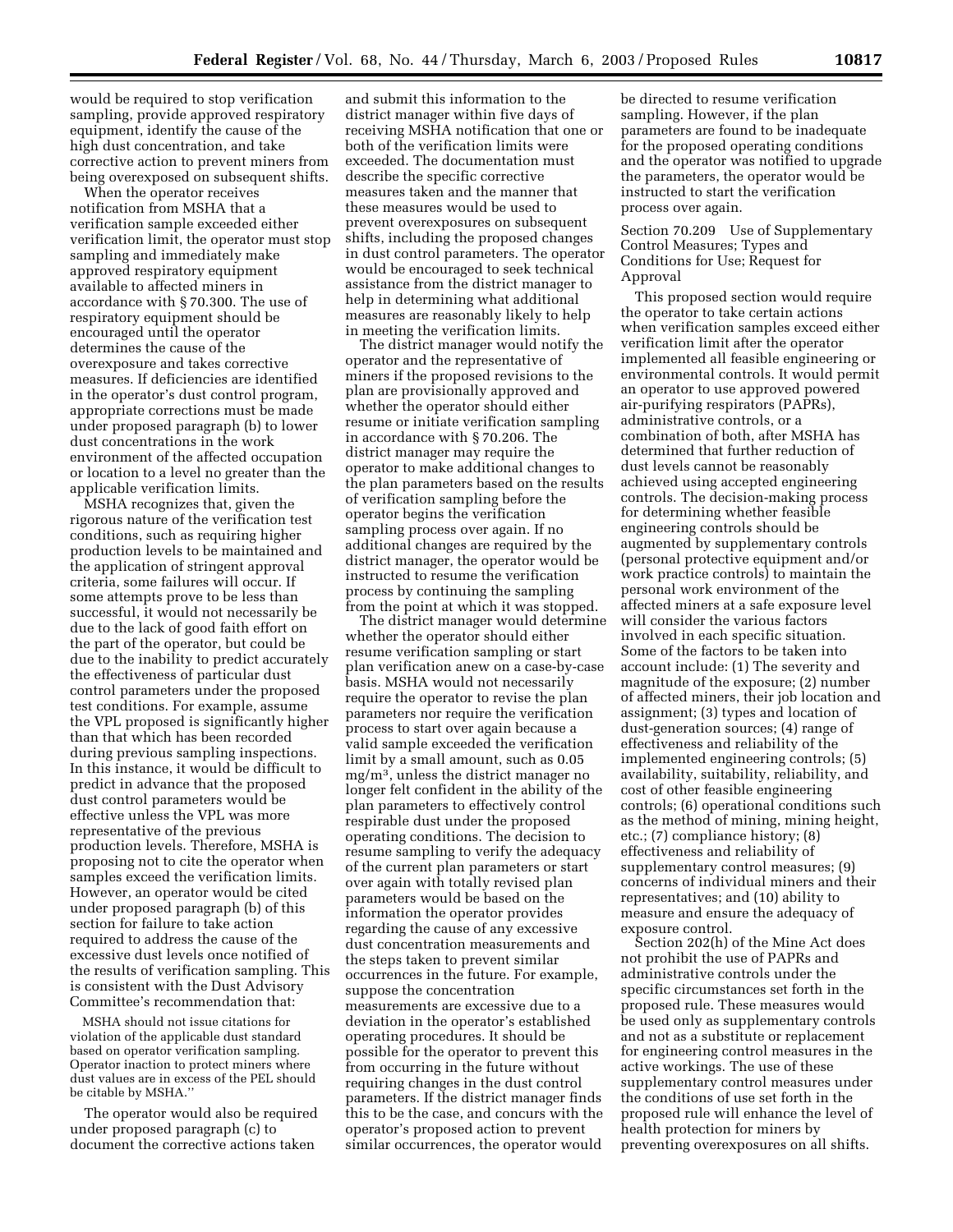would be required to stop verification sampling, provide approved respiratory equipment, identify the cause of the high dust concentration, and take corrective action to prevent miners from being overexposed on subsequent shifts.

When the operator receives notification from MSHA that a verification sample exceeded either verification limit, the operator must stop sampling and immediately make approved respiratory equipment available to affected miners in accordance with § 70.300. The use of respiratory equipment should be encouraged until the operator determines the cause of the overexposure and takes corrective measures. If deficiencies are identified in the operator's dust control program, appropriate corrections must be made under proposed paragraph (b) to lower dust concentrations in the work environment of the affected occupation or location to a level no greater than the applicable verification limits.

MSHA recognizes that, given the rigorous nature of the verification test conditions, such as requiring higher production levels to be maintained and the application of stringent approval criteria, some failures will occur. If some attempts prove to be less than successful, it would not necessarily be due to the lack of good faith effort on the part of the operator, but could be due to the inability to predict accurately the effectiveness of particular dust control parameters under the proposed test conditions. For example, assume the VPL proposed is significantly higher than that which has been recorded during previous sampling inspections. In this instance, it would be difficult to predict in advance that the proposed dust control parameters would be effective unless the VPL was more representative of the previous production levels. Therefore, MSHA is proposing not to cite the operator when samples exceed the verification limits. However, an operator would be cited under proposed paragraph (b) of this section for failure to take action required to address the cause of the excessive dust levels once notified of the results of verification sampling. This is consistent with the Dust Advisory Committee's recommendation that:

MSHA should not issue citations for violation of the applicable dust standard based on operator verification sampling. Operator inaction to protect miners where dust values are in excess of the PEL should be citable by MSHA.''

The operator would also be required under proposed paragraph (c) to document the corrective actions taken

and submit this information to the district manager within five days of receiving MSHA notification that one or both of the verification limits were exceeded. The documentation must describe the specific corrective measures taken and the manner that these measures would be used to prevent overexposures on subsequent shifts, including the proposed changes in dust control parameters. The operator would be encouraged to seek technical assistance from the district manager to help in determining what additional measures are reasonably likely to help in meeting the verification limits.

The district manager would notify the operator and the representative of miners if the proposed revisions to the plan are provisionally approved and whether the operator should either resume or initiate verification sampling in accordance with § 70.206. The district manager may require the operator to make additional changes to the plan parameters based on the results of verification sampling before the operator begins the verification sampling process over again. If no additional changes are required by the district manager, the operator would be instructed to resume the verification process by continuing the sampling from the point at which it was stopped.

The district manager would determine whether the operator should either resume verification sampling or start plan verification anew on a case-by-case basis. MSHA would not necessarily require the operator to revise the plan parameters nor require the verification process to start over again because a valid sample exceeded the verification limit by a small amount, such as 0.05 mg/m3, unless the district manager no longer felt confident in the ability of the plan parameters to effectively control respirable dust under the proposed operating conditions. The decision to resume sampling to verify the adequacy of the current plan parameters or start over again with totally revised plan parameters would be based on the information the operator provides regarding the cause of any excessive dust concentration measurements and the steps taken to prevent similar occurrences in the future. For example, suppose the concentration measurements are excessive due to a deviation in the operator's established operating procedures. It should be possible for the operator to prevent this from occurring in the future without requiring changes in the dust control parameters. If the district manager finds this to be the case, and concurs with the operator's proposed action to prevent similar occurrences, the operator would

be directed to resume verification sampling. However, if the plan parameters are found to be inadequate for the proposed operating conditions and the operator was notified to upgrade the parameters, the operator would be instructed to start the verification process over again.

Section 70.209 Use of Supplementary Control Measures; Types and Conditions for Use; Request for Approval

This proposed section would require the operator to take certain actions when verification samples exceed either verification limit after the operator implemented all feasible engineering or environmental controls. It would permit an operator to use approved powered air-purifying respirators (PAPRs), administrative controls, or a combination of both, after MSHA has determined that further reduction of dust levels cannot be reasonably achieved using accepted engineering controls. The decision-making process for determining whether feasible engineering controls should be augmented by supplementary controls (personal protective equipment and/or work practice controls) to maintain the personal work environment of the affected miners at a safe exposure level will consider the various factors involved in each specific situation. Some of the factors to be taken into account include: (1) The severity and magnitude of the exposure; (2) number of affected miners, their job location and assignment; (3) types and location of dust-generation sources; (4) range of effectiveness and reliability of the implemented engineering controls; (5) availability, suitability, reliability, and cost of other feasible engineering controls; (6) operational conditions such as the method of mining, mining height, etc.; (7) compliance history; (8) effectiveness and reliability of supplementary control measures; (9) concerns of individual miners and their representatives; and (10) ability to measure and ensure the adequacy of exposure control.

Section 202(h) of the Mine Act does not prohibit the use of PAPRs and administrative controls under the specific circumstances set forth in the proposed rule. These measures would be used only as supplementary controls and not as a substitute or replacement for engineering control measures in the active workings. The use of these supplementary control measures under the conditions of use set forth in the proposed rule will enhance the level of health protection for miners by preventing overexposures on all shifts.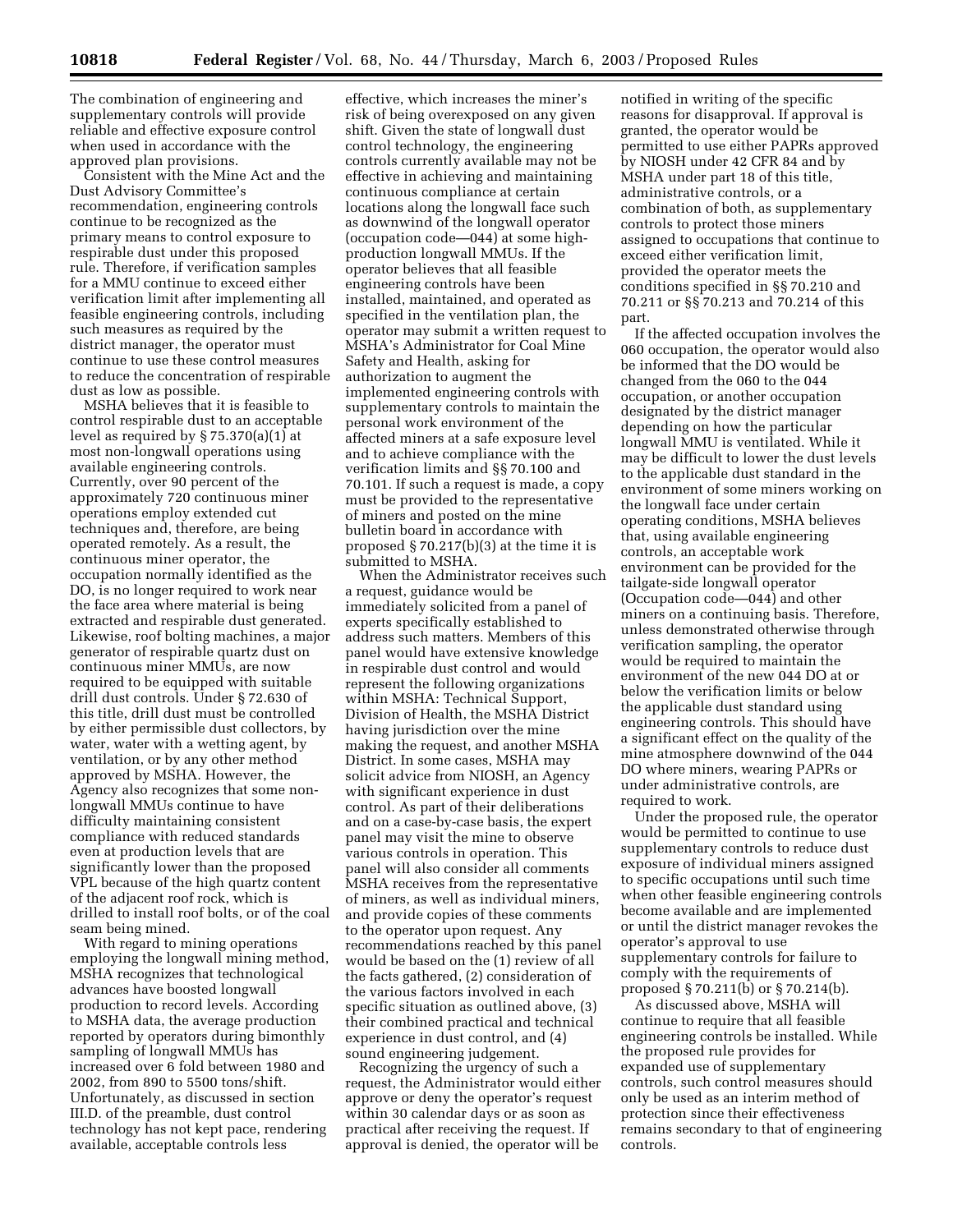The combination of engineering and supplementary controls will provide reliable and effective exposure control when used in accordance with the approved plan provisions.

Consistent with the Mine Act and the Dust Advisory Committee's recommendation, engineering controls continue to be recognized as the primary means to control exposure to respirable dust under this proposed rule. Therefore, if verification samples for a MMU continue to exceed either verification limit after implementing all feasible engineering controls, including such measures as required by the district manager, the operator must continue to use these control measures to reduce the concentration of respirable dust as low as possible.

MSHA believes that it is feasible to control respirable dust to an acceptable level as required by § 75.370(a)(1) at most non-longwall operations using available engineering controls. Currently, over 90 percent of the approximately 720 continuous miner operations employ extended cut techniques and, therefore, are being operated remotely. As a result, the continuous miner operator, the occupation normally identified as the DO, is no longer required to work near the face area where material is being extracted and respirable dust generated. Likewise, roof bolting machines, a major generator of respirable quartz dust on continuous miner MMUs, are now required to be equipped with suitable drill dust controls. Under § 72.630 of this title, drill dust must be controlled by either permissible dust collectors, by water, water with a wetting agent, by ventilation, or by any other method approved by MSHA. However, the Agency also recognizes that some nonlongwall MMUs continue to have difficulty maintaining consistent compliance with reduced standards even at production levels that are significantly lower than the proposed VPL because of the high quartz content of the adjacent roof rock, which is drilled to install roof bolts, or of the coal seam being mined.

With regard to mining operations employing the longwall mining method, MSHA recognizes that technological advances have boosted longwall production to record levels. According to MSHA data, the average production reported by operators during bimonthly sampling of longwall MMUs has increased over 6 fold between 1980 and 2002, from 890 to 5500 tons/shift. Unfortunately, as discussed in section III.D. of the preamble, dust control technology has not kept pace, rendering available, acceptable controls less

effective, which increases the miner's risk of being overexposed on any given shift. Given the state of longwall dust control technology, the engineering controls currently available may not be effective in achieving and maintaining continuous compliance at certain locations along the longwall face such as downwind of the longwall operator (occupation code—044) at some highproduction longwall MMUs. If the operator believes that all feasible engineering controls have been installed, maintained, and operated as specified in the ventilation plan, the operator may submit a written request to MSHA's Administrator for Coal Mine Safety and Health, asking for authorization to augment the implemented engineering controls with supplementary controls to maintain the personal work environment of the affected miners at a safe exposure level and to achieve compliance with the verification limits and §§ 70.100 and 70.101. If such a request is made, a copy must be provided to the representative of miners and posted on the mine bulletin board in accordance with proposed § 70.217(b)(3) at the time it is submitted to MSHA.

When the Administrator receives such a request, guidance would be immediately solicited from a panel of experts specifically established to address such matters. Members of this panel would have extensive knowledge in respirable dust control and would represent the following organizations within MSHA: Technical Support, Division of Health, the MSHA District having jurisdiction over the mine making the request, and another MSHA District. In some cases, MSHA may solicit advice from NIOSH, an Agency with significant experience in dust control. As part of their deliberations and on a case-by-case basis, the expert panel may visit the mine to observe various controls in operation. This panel will also consider all comments MSHA receives from the representative of miners, as well as individual miners, and provide copies of these comments to the operator upon request. Any recommendations reached by this panel would be based on the (1) review of all the facts gathered, (2) consideration of the various factors involved in each specific situation as outlined above, (3) their combined practical and technical experience in dust control, and (4) sound engineering judgement.

Recognizing the urgency of such a request, the Administrator would either approve or deny the operator's request within 30 calendar days or as soon as practical after receiving the request. If approval is denied, the operator will be

notified in writing of the specific reasons for disapproval. If approval is granted, the operator would be permitted to use either PAPRs approved by NIOSH under 42 CFR 84 and by MSHA under part 18 of this title, administrative controls, or a combination of both, as supplementary controls to protect those miners assigned to occupations that continue to exceed either verification limit, provided the operator meets the conditions specified in §§ 70.210 and 70.211 or §§ 70.213 and 70.214 of this part.

If the affected occupation involves the 060 occupation, the operator would also be informed that the DO would be changed from the 060 to the 044 occupation, or another occupation designated by the district manager depending on how the particular longwall MMU is ventilated. While it may be difficult to lower the dust levels to the applicable dust standard in the environment of some miners working on the longwall face under certain operating conditions, MSHA believes that, using available engineering controls, an acceptable work environment can be provided for the tailgate-side longwall operator (Occupation code—044) and other miners on a continuing basis. Therefore, unless demonstrated otherwise through verification sampling, the operator would be required to maintain the environment of the new 044 DO at or below the verification limits or below the applicable dust standard using engineering controls. This should have a significant effect on the quality of the mine atmosphere downwind of the 044 DO where miners, wearing PAPRs or under administrative controls, are required to work.

Under the proposed rule, the operator would be permitted to continue to use supplementary controls to reduce dust exposure of individual miners assigned to specific occupations until such time when other feasible engineering controls become available and are implemented or until the district manager revokes the operator's approval to use supplementary controls for failure to comply with the requirements of proposed § 70.211(b) or § 70.214(b).

As discussed above, MSHA will continue to require that all feasible engineering controls be installed. While the proposed rule provides for expanded use of supplementary controls, such control measures should only be used as an interim method of protection since their effectiveness remains secondary to that of engineering controls.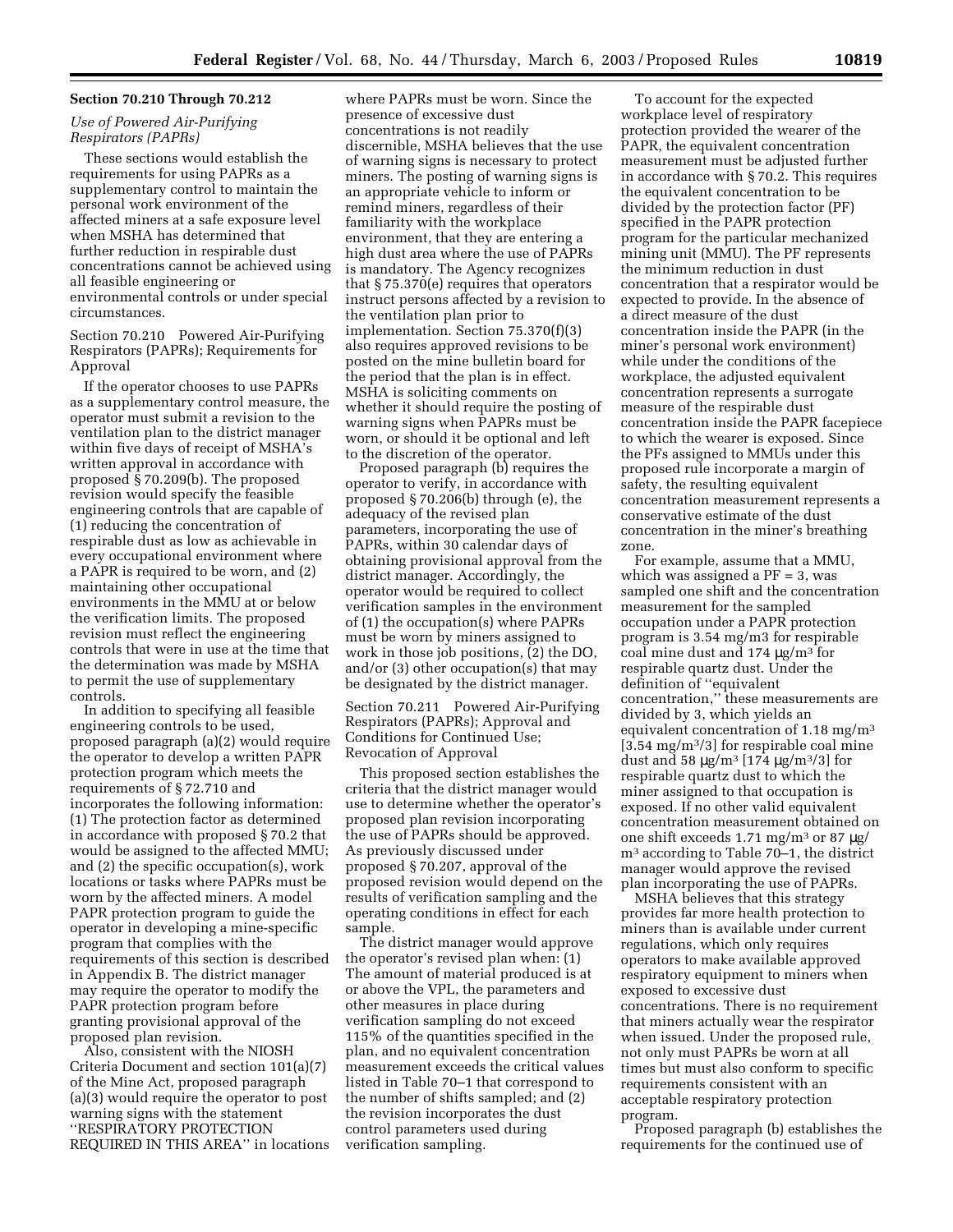# **Section 70.210 Through 70.212**

# *Use of Powered Air-Purifying Respirators (PAPRs)*

These sections would establish the requirements for using PAPRs as a supplementary control to maintain the personal work environment of the affected miners at a safe exposure level when MSHA has determined that further reduction in respirable dust concentrations cannot be achieved using all feasible engineering or environmental controls or under special circumstances.

Section 70.210 Powered Air-Purifying Respirators (PAPRs); Requirements for Approval

If the operator chooses to use PAPRs as a supplementary control measure, the operator must submit a revision to the ventilation plan to the district manager within five days of receipt of MSHA's written approval in accordance with proposed § 70.209(b). The proposed revision would specify the feasible engineering controls that are capable of (1) reducing the concentration of respirable dust as low as achievable in every occupational environment where a PAPR is required to be worn, and (2) maintaining other occupational environments in the MMU at or below the verification limits. The proposed revision must reflect the engineering controls that were in use at the time that the determination was made by MSHA to permit the use of supplementary controls.

In addition to specifying all feasible engineering controls to be used, proposed paragraph (a)(2) would require the operator to develop a written PAPR protection program which meets the requirements of § 72.710 and incorporates the following information: (1) The protection factor as determined in accordance with proposed § 70.2 that would be assigned to the affected MMU; and (2) the specific occupation(s), work locations or tasks where PAPRs must be worn by the affected miners. A model PAPR protection program to guide the operator in developing a mine-specific program that complies with the requirements of this section is described in Appendix B. The district manager may require the operator to modify the PAPR protection program before granting provisional approval of the proposed plan revision.

Also, consistent with the NIOSH Criteria Document and section 101(a)(7) of the Mine Act, proposed paragraph (a)(3) would require the operator to post warning signs with the statement ''RESPIRATORY PROTECTION REQUIRED IN THIS AREA'' in locations

where PAPRs must be worn. Since the presence of excessive dust concentrations is not readily discernible, MSHA believes that the use of warning signs is necessary to protect miners. The posting of warning signs is an appropriate vehicle to inform or remind miners, regardless of their familiarity with the workplace environment, that they are entering a high dust area where the use of PAPRs is mandatory. The Agency recognizes that § 75.370(e) requires that operators instruct persons affected by a revision to the ventilation plan prior to implementation. Section 75.370(f)(3) also requires approved revisions to be posted on the mine bulletin board for the period that the plan is in effect. MSHA is soliciting comments on whether it should require the posting of warning signs when PAPRs must be worn, or should it be optional and left to the discretion of the operator.

Proposed paragraph (b) requires the operator to verify, in accordance with proposed § 70.206(b) through (e), the adequacy of the revised plan parameters, incorporating the use of PAPRs, within 30 calendar days of obtaining provisional approval from the district manager. Accordingly, the operator would be required to collect verification samples in the environment of (1) the occupation(s) where PAPRs must be worn by miners assigned to work in those job positions, (2) the DO, and/or (3) other occupation(s) that may be designated by the district manager.

Section 70.211 Powered Air-Purifying Respirators (PAPRs); Approval and Conditions for Continued Use; Revocation of Approval

This proposed section establishes the criteria that the district manager would use to determine whether the operator's proposed plan revision incorporating the use of PAPRs should be approved. As previously discussed under proposed § 70.207, approval of the proposed revision would depend on the results of verification sampling and the operating conditions in effect for each sample.

The district manager would approve the operator's revised plan when: (1) The amount of material produced is at or above the VPL, the parameters and other measures in place during verification sampling do not exceed 115% of the quantities specified in the plan, and no equivalent concentration measurement exceeds the critical values listed in Table 70–1 that correspond to the number of shifts sampled; and (2) the revision incorporates the dust control parameters used during verification sampling.

To account for the expected workplace level of respiratory protection provided the wearer of the PAPR, the equivalent concentration measurement must be adjusted further in accordance with § 70.2. This requires the equivalent concentration to be divided by the protection factor (PF) specified in the PAPR protection program for the particular mechanized mining unit (MMU). The PF represents the minimum reduction in dust concentration that a respirator would be expected to provide. In the absence of a direct measure of the dust concentration inside the PAPR (in the miner's personal work environment) while under the conditions of the workplace, the adjusted equivalent concentration represents a surrogate measure of the respirable dust concentration inside the PAPR facepiece to which the wearer is exposed. Since the PFs assigned to MMUs under this proposed rule incorporate a margin of safety, the resulting equivalent concentration measurement represents a conservative estimate of the dust concentration in the miner's breathing zone.

For example, assume that a MMU, which was assigned a  $PF = 3$ , was sampled one shift and the concentration measurement for the sampled occupation under a PAPR protection program is 3.54 mg/m3 for respirable coal mine dust and  $174 \mu g/m^3$  for respirable quartz dust. Under the definition of ''equivalent concentration,'' these measurements are divided by 3, which yields an equivalent concentration of  $1.18 \text{ mg/m}^3$ [3.54 mg/m3/3] for respirable coal mine dust and 58  $\mu$ g/m<sup>3</sup> [174  $\mu$ g/m<sup>3</sup>/3] for respirable quartz dust to which the miner assigned to that occupation is exposed. If no other valid equivalent concentration measurement obtained on one shift exceeds 1.71 mg/m<sup>3</sup> or 87  $\mu$ g/ m3 according to Table 70–1, the district manager would approve the revised plan incorporating the use of PAPRs.

MSHA believes that this strategy provides far more health protection to miners than is available under current regulations, which only requires operators to make available approved respiratory equipment to miners when exposed to excessive dust concentrations. There is no requirement that miners actually wear the respirator when issued. Under the proposed rule, not only must PAPRs be worn at all times but must also conform to specific requirements consistent with an acceptable respiratory protection program.

Proposed paragraph (b) establishes the requirements for the continued use of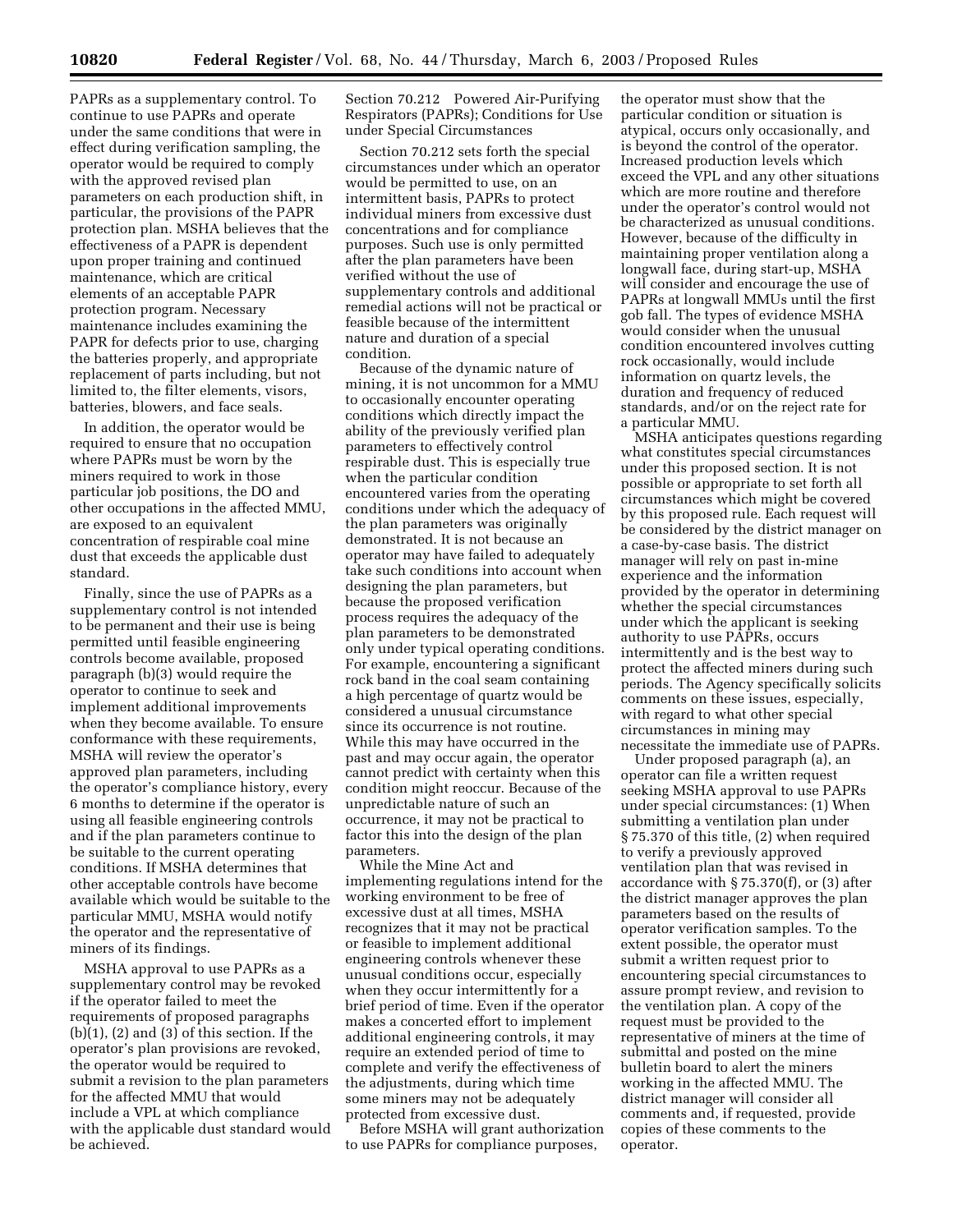PAPRs as a supplementary control. To continue to use PAPRs and operate under the same conditions that were in effect during verification sampling, the operator would be required to comply with the approved revised plan parameters on each production shift, in particular, the provisions of the PAPR protection plan. MSHA believes that the effectiveness of a PAPR is dependent upon proper training and continued maintenance, which are critical elements of an acceptable PAPR protection program. Necessary maintenance includes examining the PAPR for defects prior to use, charging the batteries properly, and appropriate replacement of parts including, but not limited to, the filter elements, visors, batteries, blowers, and face seals.

In addition, the operator would be required to ensure that no occupation where PAPRs must be worn by the miners required to work in those particular job positions, the DO and other occupations in the affected MMU, are exposed to an equivalent concentration of respirable coal mine dust that exceeds the applicable dust standard.

Finally, since the use of PAPRs as a supplementary control is not intended to be permanent and their use is being permitted until feasible engineering controls become available, proposed paragraph (b)(3) would require the operator to continue to seek and implement additional improvements when they become available. To ensure conformance with these requirements, MSHA will review the operator's approved plan parameters, including the operator's compliance history, every 6 months to determine if the operator is using all feasible engineering controls and if the plan parameters continue to be suitable to the current operating conditions. If MSHA determines that other acceptable controls have become available which would be suitable to the particular MMU, MSHA would notify the operator and the representative of miners of its findings.

MSHA approval to use PAPRs as a supplementary control may be revoked if the operator failed to meet the requirements of proposed paragraphs  $(b)(1)$ ,  $(2)$  and  $(3)$  of this section. If the operator's plan provisions are revoked, the operator would be required to submit a revision to the plan parameters for the affected MMU that would include a VPL at which compliance with the applicable dust standard would be achieved.

Section 70.212 Powered Air-Purifying Respirators (PAPRs); Conditions for Use under Special Circumstances

Section 70.212 sets forth the special circumstances under which an operator would be permitted to use, on an intermittent basis, PAPRs to protect individual miners from excessive dust concentrations and for compliance purposes. Such use is only permitted after the plan parameters have been verified without the use of supplementary controls and additional remedial actions will not be practical or feasible because of the intermittent nature and duration of a special condition.

Because of the dynamic nature of mining, it is not uncommon for a MMU to occasionally encounter operating conditions which directly impact the ability of the previously verified plan parameters to effectively control respirable dust. This is especially true when the particular condition encountered varies from the operating conditions under which the adequacy of the plan parameters was originally demonstrated. It is not because an operator may have failed to adequately take such conditions into account when designing the plan parameters, but because the proposed verification process requires the adequacy of the plan parameters to be demonstrated only under typical operating conditions. For example, encountering a significant rock band in the coal seam containing a high percentage of quartz would be considered a unusual circumstance since its occurrence is not routine. While this may have occurred in the past and may occur again, the operator cannot predict with certainty when this condition might reoccur. Because of the unpredictable nature of such an occurrence, it may not be practical to factor this into the design of the plan parameters.

While the Mine Act and implementing regulations intend for the working environment to be free of excessive dust at all times, MSHA recognizes that it may not be practical or feasible to implement additional engineering controls whenever these unusual conditions occur, especially when they occur intermittently for a brief period of time. Even if the operator makes a concerted effort to implement additional engineering controls, it may require an extended period of time to complete and verify the effectiveness of the adjustments, during which time some miners may not be adequately protected from excessive dust.

Before MSHA will grant authorization to use PAPRs for compliance purposes,

the operator must show that the particular condition or situation is atypical, occurs only occasionally, and is beyond the control of the operator. Increased production levels which exceed the VPL and any other situations which are more routine and therefore under the operator's control would not be characterized as unusual conditions. However, because of the difficulty in maintaining proper ventilation along a longwall face, during start-up, MSHA will consider and encourage the use of PAPRs at longwall MMUs until the first gob fall. The types of evidence MSHA would consider when the unusual condition encountered involves cutting rock occasionally, would include information on quartz levels, the duration and frequency of reduced standards, and/or on the reject rate for a particular MMU.

MSHA anticipates questions regarding what constitutes special circumstances under this proposed section. It is not possible or appropriate to set forth all circumstances which might be covered by this proposed rule. Each request will be considered by the district manager on a case-by-case basis. The district manager will rely on past in-mine experience and the information provided by the operator in determining whether the special circumstances under which the applicant is seeking authority to use PAPRs, occurs intermittently and is the best way to protect the affected miners during such periods. The Agency specifically solicits comments on these issues, especially, with regard to what other special circumstances in mining may necessitate the immediate use of PAPRs.

Under proposed paragraph (a), an operator can file a written request seeking MSHA approval to use PAPRs under special circumstances: (1) When submitting a ventilation plan under § 75.370 of this title, (2) when required to verify a previously approved ventilation plan that was revised in accordance with § 75.370(f), or (3) after the district manager approves the plan parameters based on the results of operator verification samples. To the extent possible, the operator must submit a written request prior to encountering special circumstances to assure prompt review, and revision to the ventilation plan. A copy of the request must be provided to the representative of miners at the time of submittal and posted on the mine bulletin board to alert the miners working in the affected MMU. The district manager will consider all comments and, if requested, provide copies of these comments to the operator.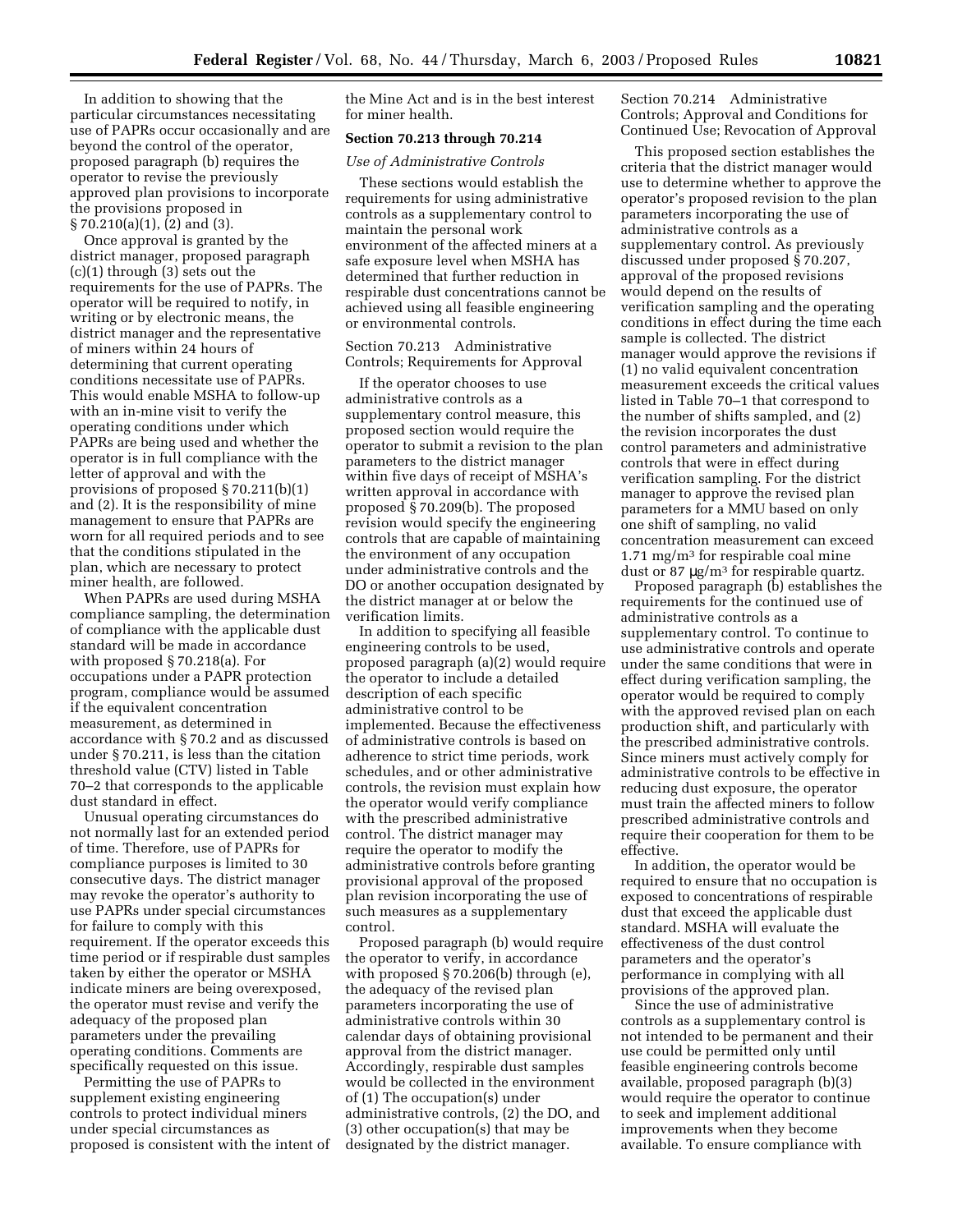In addition to showing that the particular circumstances necessitating use of PAPRs occur occasionally and are beyond the control of the operator, proposed paragraph (b) requires the operator to revise the previously approved plan provisions to incorporate the provisions proposed in § 70.210(a)(1), (2) and (3).

Once approval is granted by the district manager, proposed paragraph (c)(1) through (3) sets out the requirements for the use of PAPRs. The operator will be required to notify, in writing or by electronic means, the district manager and the representative of miners within 24 hours of determining that current operating conditions necessitate use of PAPRs. This would enable MSHA to follow-up with an in-mine visit to verify the operating conditions under which PAPRs are being used and whether the operator is in full compliance with the letter of approval and with the provisions of proposed § 70.211(b)(1) and (2). It is the responsibility of mine management to ensure that PAPRs are worn for all required periods and to see that the conditions stipulated in the plan, which are necessary to protect miner health, are followed.

When PAPRs are used during MSHA compliance sampling, the determination of compliance with the applicable dust standard will be made in accordance with proposed § 70.218(a). For occupations under a PAPR protection program, compliance would be assumed if the equivalent concentration measurement, as determined in accordance with § 70.2 and as discussed under § 70.211, is less than the citation threshold value (CTV) listed in Table 70–2 that corresponds to the applicable dust standard in effect.

Unusual operating circumstances do not normally last for an extended period of time. Therefore, use of PAPRs for compliance purposes is limited to 30 consecutive days. The district manager may revoke the operator's authority to use PAPRs under special circumstances for failure to comply with this requirement. If the operator exceeds this time period or if respirable dust samples taken by either the operator or MSHA indicate miners are being overexposed, the operator must revise and verify the adequacy of the proposed plan parameters under the prevailing operating conditions. Comments are specifically requested on this issue.

Permitting the use of PAPRs to supplement existing engineering controls to protect individual miners under special circumstances as proposed is consistent with the intent of the Mine Act and is in the best interest for miner health.

## **Section 70.213 through 70.214**

#### *Use of Administrative Controls*

These sections would establish the requirements for using administrative controls as a supplementary control to maintain the personal work environment of the affected miners at a safe exposure level when MSHA has determined that further reduction in respirable dust concentrations cannot be achieved using all feasible engineering or environmental controls.

Section 70.213 Administrative Controls; Requirements for Approval

If the operator chooses to use administrative controls as a supplementary control measure, this proposed section would require the operator to submit a revision to the plan parameters to the district manager within five days of receipt of MSHA's written approval in accordance with proposed § 70.209(b). The proposed revision would specify the engineering controls that are capable of maintaining the environment of any occupation under administrative controls and the DO or another occupation designated by the district manager at or below the verification limits.

In addition to specifying all feasible engineering controls to be used, proposed paragraph (a)(2) would require the operator to include a detailed description of each specific administrative control to be implemented. Because the effectiveness of administrative controls is based on adherence to strict time periods, work schedules, and or other administrative controls, the revision must explain how the operator would verify compliance with the prescribed administrative control. The district manager may require the operator to modify the administrative controls before granting provisional approval of the proposed plan revision incorporating the use of such measures as a supplementary control.

Proposed paragraph (b) would require the operator to verify, in accordance with proposed § 70.206(b) through (e), the adequacy of the revised plan parameters incorporating the use of administrative controls within 30 calendar days of obtaining provisional approval from the district manager. Accordingly, respirable dust samples would be collected in the environment of (1) The occupation(s) under administrative controls, (2) the DO, and (3) other occupation(s) that may be designated by the district manager.

Section 70.214 Administrative Controls; Approval and Conditions for Continued Use; Revocation of Approval

This proposed section establishes the criteria that the district manager would use to determine whether to approve the operator's proposed revision to the plan parameters incorporating the use of administrative controls as a supplementary control. As previously discussed under proposed § 70.207, approval of the proposed revisions would depend on the results of verification sampling and the operating conditions in effect during the time each sample is collected. The district manager would approve the revisions if (1) no valid equivalent concentration measurement exceeds the critical values listed in Table 70–1 that correspond to the number of shifts sampled, and (2) the revision incorporates the dust control parameters and administrative controls that were in effect during verification sampling. For the district manager to approve the revised plan parameters for a MMU based on only one shift of sampling, no valid concentration measurement can exceed  $1.71 \text{ mg/m}^3$  for respirable coal mine dust or 87 µg/m3 for respirable quartz.

Proposed paragraph (b) establishes the requirements for the continued use of administrative controls as a supplementary control. To continue to use administrative controls and operate under the same conditions that were in effect during verification sampling, the operator would be required to comply with the approved revised plan on each production shift, and particularly with the prescribed administrative controls. Since miners must actively comply for administrative controls to be effective in reducing dust exposure, the operator must train the affected miners to follow prescribed administrative controls and require their cooperation for them to be effective.

In addition, the operator would be required to ensure that no occupation is exposed to concentrations of respirable dust that exceed the applicable dust standard. MSHA will evaluate the effectiveness of the dust control parameters and the operator's performance in complying with all provisions of the approved plan.

Since the use of administrative controls as a supplementary control is not intended to be permanent and their use could be permitted only until feasible engineering controls become available, proposed paragraph (b)(3) would require the operator to continue to seek and implement additional improvements when they become available. To ensure compliance with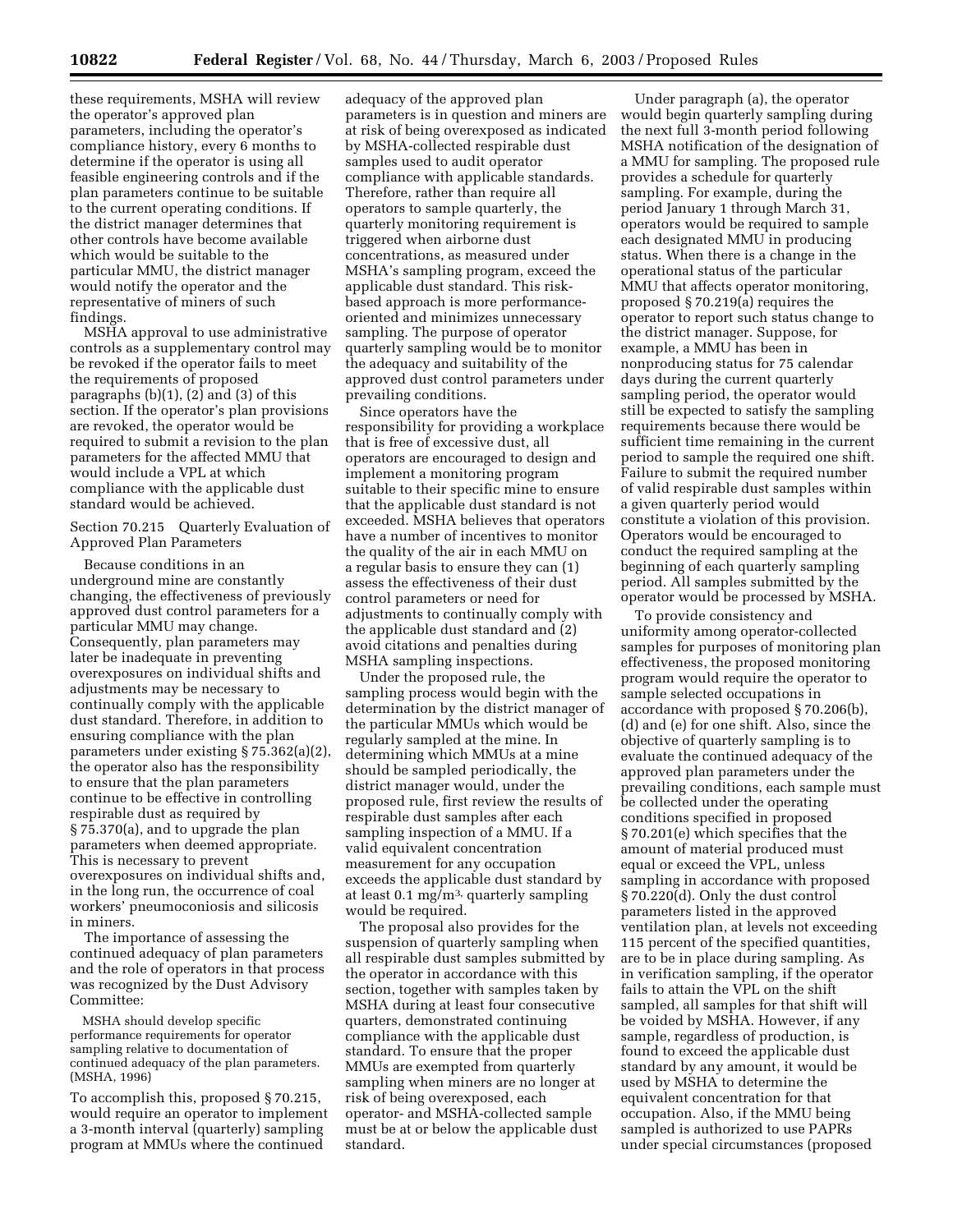these requirements, MSHA will review the operator's approved plan parameters, including the operator's compliance history, every 6 months to determine if the operator is using all feasible engineering controls and if the plan parameters continue to be suitable to the current operating conditions. If the district manager determines that other controls have become available which would be suitable to the particular MMU, the district manager would notify the operator and the representative of miners of such findings.

MSHA approval to use administrative controls as a supplementary control may be revoked if the operator fails to meet the requirements of proposed paragraphs (b)(1), (2) and (3) of this section. If the operator's plan provisions are revoked, the operator would be required to submit a revision to the plan parameters for the affected MMU that would include a VPL at which compliance with the applicable dust standard would be achieved.

Section 70.215 Quarterly Evaluation of Approved Plan Parameters

Because conditions in an underground mine are constantly changing, the effectiveness of previously approved dust control parameters for a particular MMU may change. Consequently, plan parameters may later be inadequate in preventing overexposures on individual shifts and adjustments may be necessary to continually comply with the applicable dust standard. Therefore, in addition to ensuring compliance with the plan parameters under existing § 75.362(a)(2), the operator also has the responsibility to ensure that the plan parameters continue to be effective in controlling respirable dust as required by § 75.370(a), and to upgrade the plan parameters when deemed appropriate. This is necessary to prevent overexposures on individual shifts and, in the long run, the occurrence of coal workers' pneumoconiosis and silicosis in miners.

The importance of assessing the continued adequacy of plan parameters and the role of operators in that process was recognized by the Dust Advisory Committee:

MSHA should develop specific performance requirements for operator sampling relative to documentation of continued adequacy of the plan parameters. (MSHA, 1996)

To accomplish this, proposed § 70.215, would require an operator to implement a 3-month interval (quarterly) sampling program at MMUs where the continued

adequacy of the approved plan parameters is in question and miners are at risk of being overexposed as indicated by MSHA-collected respirable dust samples used to audit operator compliance with applicable standards. Therefore, rather than require all operators to sample quarterly, the quarterly monitoring requirement is triggered when airborne dust concentrations, as measured under MSHA's sampling program, exceed the applicable dust standard. This riskbased approach is more performanceoriented and minimizes unnecessary sampling. The purpose of operator quarterly sampling would be to monitor the adequacy and suitability of the approved dust control parameters under prevailing conditions.

Since operators have the responsibility for providing a workplace that is free of excessive dust, all operators are encouraged to design and implement a monitoring program suitable to their specific mine to ensure that the applicable dust standard is not exceeded. MSHA believes that operators have a number of incentives to monitor the quality of the air in each MMU on a regular basis to ensure they can (1) assess the effectiveness of their dust control parameters or need for adjustments to continually comply with the applicable dust standard and (2) avoid citations and penalties during MSHA sampling inspections.

Under the proposed rule, the sampling process would begin with the determination by the district manager of the particular MMUs which would be regularly sampled at the mine. In determining which MMUs at a mine should be sampled periodically, the district manager would, under the proposed rule, first review the results of respirable dust samples after each sampling inspection of a MMU. If a valid equivalent concentration measurement for any occupation exceeds the applicable dust standard by at least  $0.1 \text{ mg/m}^3$ , quarterly sampling would be required.

The proposal also provides for the suspension of quarterly sampling when all respirable dust samples submitted by the operator in accordance with this section, together with samples taken by MSHA during at least four consecutive quarters, demonstrated continuing compliance with the applicable dust standard. To ensure that the proper MMUs are exempted from quarterly sampling when miners are no longer at risk of being overexposed, each operator- and MSHA-collected sample must be at or below the applicable dust standard.

Under paragraph (a), the operator would begin quarterly sampling during the next full 3-month period following MSHA notification of the designation of a MMU for sampling. The proposed rule provides a schedule for quarterly sampling. For example, during the period January 1 through March 31, operators would be required to sample each designated MMU in producing status. When there is a change in the operational status of the particular MMU that affects operator monitoring, proposed § 70.219(a) requires the operator to report such status change to the district manager. Suppose, for example, a MMU has been in nonproducing status for 75 calendar days during the current quarterly sampling period, the operator would still be expected to satisfy the sampling requirements because there would be sufficient time remaining in the current period to sample the required one shift. Failure to submit the required number of valid respirable dust samples within a given quarterly period would constitute a violation of this provision. Operators would be encouraged to conduct the required sampling at the beginning of each quarterly sampling period. All samples submitted by the operator would be processed by MSHA.

To provide consistency and uniformity among operator-collected samples for purposes of monitoring plan effectiveness, the proposed monitoring program would require the operator to sample selected occupations in accordance with proposed § 70.206(b), (d) and (e) for one shift. Also, since the objective of quarterly sampling is to evaluate the continued adequacy of the approved plan parameters under the prevailing conditions, each sample must be collected under the operating conditions specified in proposed § 70.201(e) which specifies that the amount of material produced must equal or exceed the VPL, unless sampling in accordance with proposed § 70.220(d). Only the dust control parameters listed in the approved ventilation plan, at levels not exceeding 115 percent of the specified quantities, are to be in place during sampling. As in verification sampling, if the operator fails to attain the VPL on the shift sampled, all samples for that shift will be voided by MSHA. However, if any sample, regardless of production, is found to exceed the applicable dust standard by any amount, it would be used by MSHA to determine the equivalent concentration for that occupation. Also, if the MMU being sampled is authorized to use PAPRs under special circumstances (proposed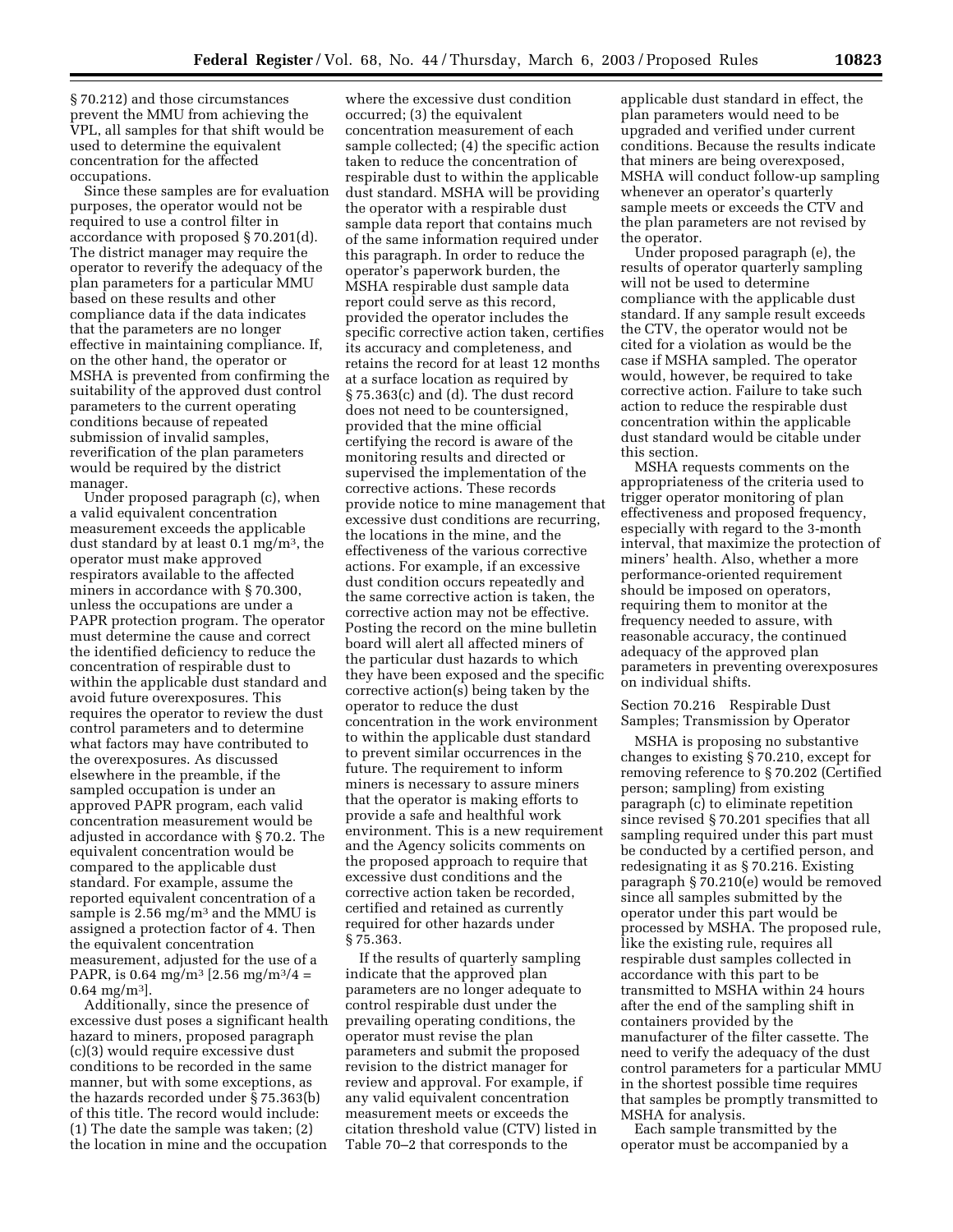§ 70.212) and those circumstances prevent the MMU from achieving the VPL, all samples for that shift would be used to determine the equivalent concentration for the affected occupations.

Since these samples are for evaluation purposes, the operator would not be required to use a control filter in accordance with proposed § 70.201(d). The district manager may require the operator to reverify the adequacy of the plan parameters for a particular MMU based on these results and other compliance data if the data indicates that the parameters are no longer effective in maintaining compliance. If, on the other hand, the operator or MSHA is prevented from confirming the suitability of the approved dust control parameters to the current operating conditions because of repeated submission of invalid samples, reverification of the plan parameters would be required by the district manager.

Under proposed paragraph (c), when a valid equivalent concentration measurement exceeds the applicable dust standard by at least 0.1 mg/m3, the operator must make approved respirators available to the affected miners in accordance with § 70.300, unless the occupations are under a PAPR protection program. The operator must determine the cause and correct the identified deficiency to reduce the concentration of respirable dust to within the applicable dust standard and avoid future overexposures. This requires the operator to review the dust control parameters and to determine what factors may have contributed to the overexposures. As discussed elsewhere in the preamble, if the sampled occupation is under an approved PAPR program, each valid concentration measurement would be adjusted in accordance with § 70.2. The equivalent concentration would be compared to the applicable dust standard. For example, assume the reported equivalent concentration of a sample is 2.56 mg/m<sup>3</sup> and the MMU is assigned a protection factor of 4. Then the equivalent concentration measurement, adjusted for the use of a PAPR, is 0.64 mg/m<sup>3</sup> [2.56 mg/m<sup>3</sup>/4 =  $0.64 \text{ m}$ g/m<sup>3</sup>l.

Additionally, since the presence of excessive dust poses a significant health hazard to miners, proposed paragraph (c)(3) would require excessive dust conditions to be recorded in the same manner, but with some exceptions, as the hazards recorded under § 75.363(b) of this title. The record would include: (1) The date the sample was taken; (2) the location in mine and the occupation

where the excessive dust condition occurred; (3) the equivalent concentration measurement of each sample collected; (4) the specific action taken to reduce the concentration of respirable dust to within the applicable dust standard. MSHA will be providing the operator with a respirable dust sample data report that contains much of the same information required under this paragraph. In order to reduce the operator's paperwork burden, the MSHA respirable dust sample data report could serve as this record, provided the operator includes the specific corrective action taken, certifies its accuracy and completeness, and retains the record for at least 12 months at a surface location as required by § 75.363(c) and (d). The dust record does not need to be countersigned, provided that the mine official certifying the record is aware of the monitoring results and directed or supervised the implementation of the corrective actions. These records provide notice to mine management that excessive dust conditions are recurring, the locations in the mine, and the effectiveness of the various corrective actions. For example, if an excessive dust condition occurs repeatedly and the same corrective action is taken, the corrective action may not be effective. Posting the record on the mine bulletin board will alert all affected miners of the particular dust hazards to which they have been exposed and the specific corrective action(s) being taken by the operator to reduce the dust concentration in the work environment to within the applicable dust standard to prevent similar occurrences in the future. The requirement to inform miners is necessary to assure miners that the operator is making efforts to provide a safe and healthful work environment. This is a new requirement and the Agency solicits comments on the proposed approach to require that excessive dust conditions and the corrective action taken be recorded, certified and retained as currently required for other hazards under § 75.363.

If the results of quarterly sampling indicate that the approved plan parameters are no longer adequate to control respirable dust under the prevailing operating conditions, the operator must revise the plan parameters and submit the proposed revision to the district manager for review and approval. For example, if any valid equivalent concentration measurement meets or exceeds the citation threshold value (CTV) listed in Table 70–2 that corresponds to the

applicable dust standard in effect, the plan parameters would need to be upgraded and verified under current conditions. Because the results indicate that miners are being overexposed, MSHA will conduct follow-up sampling whenever an operator's quarterly sample meets or exceeds the CTV and the plan parameters are not revised by the operator.

Under proposed paragraph (e), the results of operator quarterly sampling will not be used to determine compliance with the applicable dust standard. If any sample result exceeds the CTV, the operator would not be cited for a violation as would be the case if MSHA sampled. The operator would, however, be required to take corrective action. Failure to take such action to reduce the respirable dust concentration within the applicable dust standard would be citable under this section.

MSHA requests comments on the appropriateness of the criteria used to trigger operator monitoring of plan effectiveness and proposed frequency, especially with regard to the 3-month interval, that maximize the protection of miners' health. Also, whether a more performance-oriented requirement should be imposed on operators, requiring them to monitor at the frequency needed to assure, with reasonable accuracy, the continued adequacy of the approved plan parameters in preventing overexposures on individual shifts.

Section 70.216 Respirable Dust Samples; Transmission by Operator

MSHA is proposing no substantive changes to existing § 70.210, except for removing reference to § 70.202 (Certified person; sampling) from existing paragraph (c) to eliminate repetition since revised § 70.201 specifies that all sampling required under this part must be conducted by a certified person, and redesignating it as § 70.216. Existing paragraph § 70.210(e) would be removed since all samples submitted by the operator under this part would be processed by MSHA. The proposed rule, like the existing rule, requires all respirable dust samples collected in accordance with this part to be transmitted to MSHA within 24 hours after the end of the sampling shift in containers provided by the manufacturer of the filter cassette. The need to verify the adequacy of the dust control parameters for a particular MMU in the shortest possible time requires that samples be promptly transmitted to MSHA for analysis.

Each sample transmitted by the operator must be accompanied by a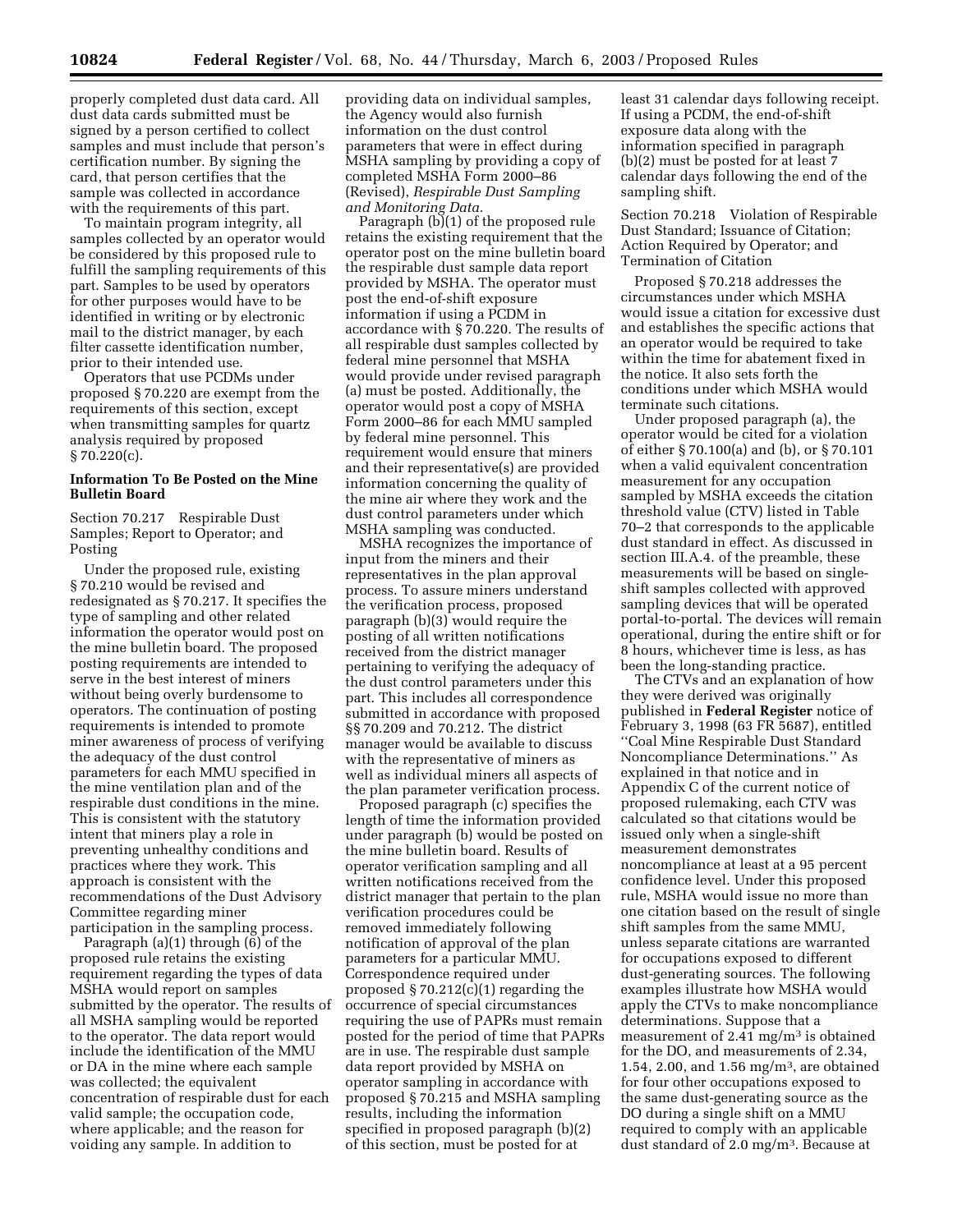properly completed dust data card. All dust data cards submitted must be signed by a person certified to collect samples and must include that person's certification number. By signing the card, that person certifies that the sample was collected in accordance with the requirements of this part.

To maintain program integrity, all samples collected by an operator would be considered by this proposed rule to fulfill the sampling requirements of this part. Samples to be used by operators for other purposes would have to be identified in writing or by electronic mail to the district manager, by each filter cassette identification number, prior to their intended use.

Operators that use PCDMs under proposed § 70.220 are exempt from the requirements of this section, except when transmitting samples for quartz analysis required by proposed  $§ 70.220(c).$ 

## **Information To Be Posted on the Mine Bulletin Board**

Section 70.217 Respirable Dust Samples; Report to Operator; and Posting

Under the proposed rule, existing § 70.210 would be revised and redesignated as § 70.217. It specifies the type of sampling and other related information the operator would post on the mine bulletin board. The proposed posting requirements are intended to serve in the best interest of miners without being overly burdensome to operators. The continuation of posting requirements is intended to promote miner awareness of process of verifying the adequacy of the dust control parameters for each MMU specified in the mine ventilation plan and of the respirable dust conditions in the mine. This is consistent with the statutory intent that miners play a role in preventing unhealthy conditions and practices where they work. This approach is consistent with the recommendations of the Dust Advisory Committee regarding miner participation in the sampling process.

Paragraph (a)(1) through (6) of the proposed rule retains the existing requirement regarding the types of data MSHA would report on samples submitted by the operator. The results of all MSHA sampling would be reported to the operator. The data report would include the identification of the MMU or DA in the mine where each sample was collected; the equivalent concentration of respirable dust for each valid sample; the occupation code, where applicable; and the reason for voiding any sample. In addition to

providing data on individual samples, the Agency would also furnish information on the dust control parameters that were in effect during MSHA sampling by providing a copy of completed MSHA Form 2000–86 (Revised), *Respirable Dust Sampling and Monitoring Data.*

Paragraph (b)(1) of the proposed rule retains the existing requirement that the operator post on the mine bulletin board the respirable dust sample data report provided by MSHA. The operator must post the end-of-shift exposure information if using a PCDM in accordance with § 70.220. The results of all respirable dust samples collected by federal mine personnel that MSHA would provide under revised paragraph (a) must be posted. Additionally, the operator would post a copy of MSHA Form 2000–86 for each MMU sampled by federal mine personnel. This requirement would ensure that miners and their representative(s) are provided information concerning the quality of the mine air where they work and the dust control parameters under which MSHA sampling was conducted.

MSHA recognizes the importance of input from the miners and their representatives in the plan approval process. To assure miners understand the verification process, proposed paragraph (b)(3) would require the posting of all written notifications received from the district manager pertaining to verifying the adequacy of the dust control parameters under this part. This includes all correspondence submitted in accordance with proposed §§ 70.209 and 70.212. The district manager would be available to discuss with the representative of miners as well as individual miners all aspects of the plan parameter verification process.

Proposed paragraph (c) specifies the length of time the information provided under paragraph (b) would be posted on the mine bulletin board. Results of operator verification sampling and all written notifications received from the district manager that pertain to the plan verification procedures could be removed immediately following notification of approval of the plan parameters for a particular MMU. Correspondence required under proposed  $\S 70.212(c)(1)$  regarding the occurrence of special circumstances requiring the use of PAPRs must remain posted for the period of time that PAPRs are in use. The respirable dust sample data report provided by MSHA on operator sampling in accordance with proposed § 70.215 and MSHA sampling results, including the information specified in proposed paragraph (b)(2) of this section, must be posted for at

least 31 calendar days following receipt. If using a PCDM, the end-of-shift exposure data along with the information specified in paragraph (b)(2) must be posted for at least 7 calendar days following the end of the sampling shift.

Section 70.218 Violation of Respirable Dust Standard; Issuance of Citation; Action Required by Operator; and Termination of Citation

Proposed § 70.218 addresses the circumstances under which MSHA would issue a citation for excessive dust and establishes the specific actions that an operator would be required to take within the time for abatement fixed in the notice. It also sets forth the conditions under which MSHA would terminate such citations.

Under proposed paragraph (a), the operator would be cited for a violation of either § 70.100(a) and (b), or § 70.101 when a valid equivalent concentration measurement for any occupation sampled by MSHA exceeds the citation threshold value (CTV) listed in Table 70–2 that corresponds to the applicable dust standard in effect. As discussed in section III.A.4. of the preamble, these measurements will be based on singleshift samples collected with approved sampling devices that will be operated portal-to-portal. The devices will remain operational, during the entire shift or for 8 hours, whichever time is less, as has been the long-standing practice.

The CTVs and an explanation of how they were derived was originally published in **Federal Register** notice of February 3, 1998 (63 FR 5687), entitled ''Coal Mine Respirable Dust Standard Noncompliance Determinations.'' As explained in that notice and in Appendix C of the current notice of proposed rulemaking, each CTV was calculated so that citations would be issued only when a single-shift measurement demonstrates noncompliance at least at a 95 percent confidence level. Under this proposed rule, MSHA would issue no more than one citation based on the result of single shift samples from the same MMU, unless separate citations are warranted for occupations exposed to different dust-generating sources. The following examples illustrate how MSHA would apply the CTVs to make noncompliance determinations. Suppose that a measurement of 2.41 mg/m3 is obtained for the DO, and measurements of 2.34, 1.54, 2.00, and 1.56 mg/m3, are obtained for four other occupations exposed to the same dust-generating source as the DO during a single shift on a MMU required to comply with an applicable dust standard of 2.0 mg/m3. Because at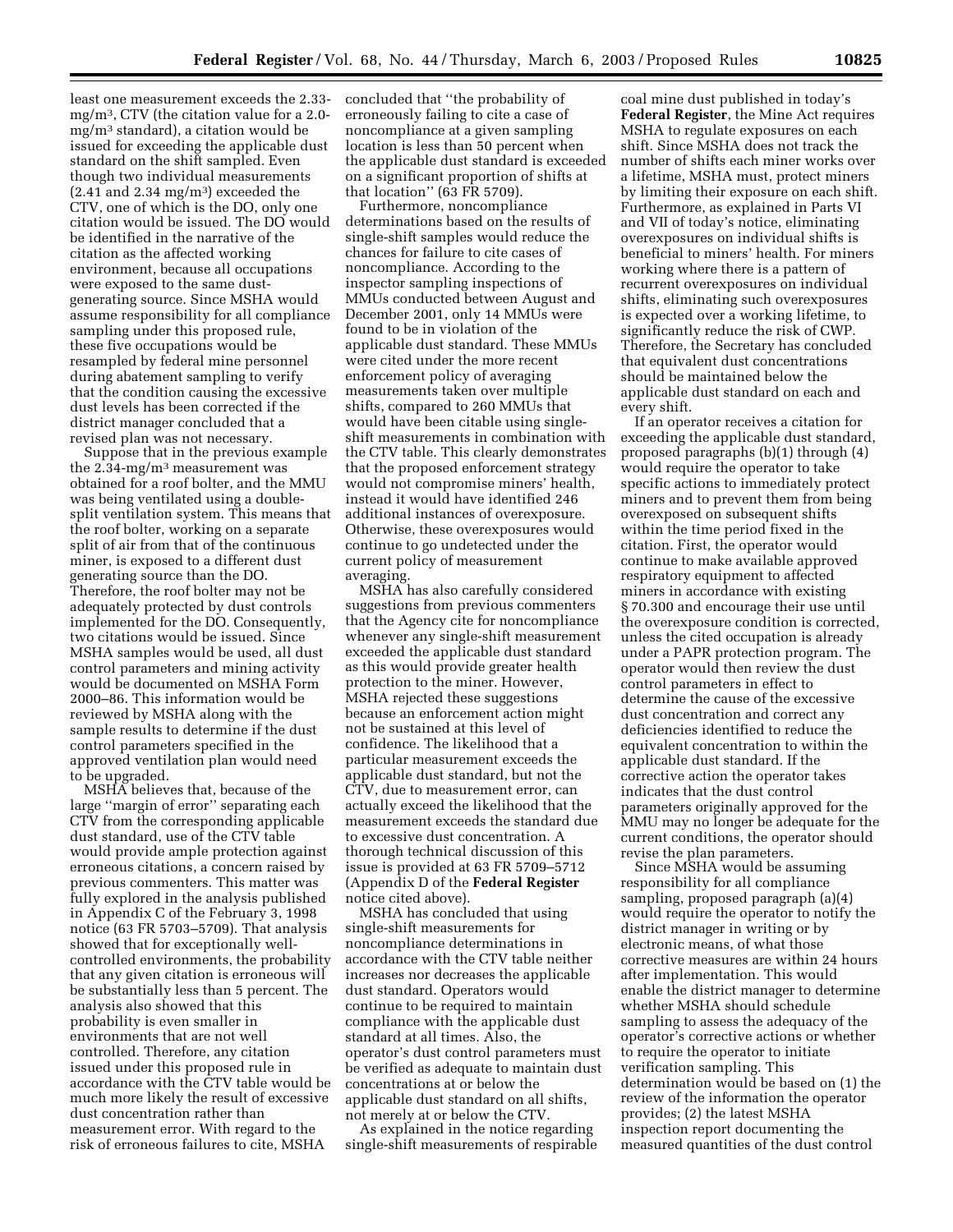least one measurement exceeds the 2.33 mg/m3, CTV (the citation value for a 2.0 mg/m3 standard), a citation would be issued for exceeding the applicable dust standard on the shift sampled. Even though two individual measurements  $(2.41$  and  $2.34$  mg/m<sup>3</sup>) exceeded the CTV, one of which is the DO, only one citation would be issued. The DO would be identified in the narrative of the citation as the affected working environment, because all occupations were exposed to the same dustgenerating source. Since MSHA would assume responsibility for all compliance sampling under this proposed rule, these five occupations would be resampled by federal mine personnel during abatement sampling to verify that the condition causing the excessive dust levels has been corrected if the district manager concluded that a revised plan was not necessary.

Suppose that in the previous example the  $2.34$ -mg/m<sup>3</sup> measurement was obtained for a roof bolter, and the MMU was being ventilated using a doublesplit ventilation system. This means that the roof bolter, working on a separate split of air from that of the continuous miner, is exposed to a different dust generating source than the DO. Therefore, the roof bolter may not be adequately protected by dust controls implemented for the DO. Consequently, two citations would be issued. Since MSHA samples would be used, all dust control parameters and mining activity would be documented on MSHA Form 2000–86. This information would be reviewed by MSHA along with the sample results to determine if the dust control parameters specified in the approved ventilation plan would need to be upgraded.

MSHA believes that, because of the large ''margin of error'' separating each CTV from the corresponding applicable dust standard, use of the CTV table would provide ample protection against erroneous citations, a concern raised by previous commenters. This matter was fully explored in the analysis published in Appendix C of the February 3, 1998 notice (63 FR 5703–5709). That analysis showed that for exceptionally wellcontrolled environments, the probability that any given citation is erroneous will be substantially less than 5 percent. The analysis also showed that this probability is even smaller in environments that are not well controlled. Therefore, any citation issued under this proposed rule in accordance with the CTV table would be much more likely the result of excessive dust concentration rather than measurement error. With regard to the risk of erroneous failures to cite, MSHA

concluded that ''the probability of erroneously failing to cite a case of noncompliance at a given sampling location is less than 50 percent when the applicable dust standard is exceeded on a significant proportion of shifts at that location'' (63 FR 5709).

Furthermore, noncompliance determinations based on the results of single-shift samples would reduce the chances for failure to cite cases of noncompliance. According to the inspector sampling inspections of MMUs conducted between August and December 2001, only 14 MMUs were found to be in violation of the applicable dust standard. These MMUs were cited under the more recent enforcement policy of averaging measurements taken over multiple shifts, compared to 260 MMUs that would have been citable using singleshift measurements in combination with the CTV table. This clearly demonstrates that the proposed enforcement strategy would not compromise miners' health, instead it would have identified 246 additional instances of overexposure. Otherwise, these overexposures would continue to go undetected under the current policy of measurement averaging.

MSHA has also carefully considered suggestions from previous commenters that the Agency cite for noncompliance whenever any single-shift measurement exceeded the applicable dust standard as this would provide greater health protection to the miner. However, MSHA rejected these suggestions because an enforcement action might not be sustained at this level of confidence. The likelihood that a particular measurement exceeds the applicable dust standard, but not the CTV, due to measurement error, can actually exceed the likelihood that the measurement exceeds the standard due to excessive dust concentration. A thorough technical discussion of this issue is provided at 63 FR 5709–5712 (Appendix D of the **Federal Register** notice cited above).

MSHA has concluded that using single-shift measurements for noncompliance determinations in accordance with the CTV table neither increases nor decreases the applicable dust standard. Operators would continue to be required to maintain compliance with the applicable dust standard at all times. Also, the operator's dust control parameters must be verified as adequate to maintain dust concentrations at or below the applicable dust standard on all shifts, not merely at or below the CTV.

As explained in the notice regarding single-shift measurements of respirable

coal mine dust published in today's **Federal Register**, the Mine Act requires MSHA to regulate exposures on each shift. Since MSHA does not track the number of shifts each miner works over a lifetime, MSHA must, protect miners by limiting their exposure on each shift. Furthermore, as explained in Parts VI and VII of today's notice, eliminating overexposures on individual shifts is beneficial to miners' health. For miners working where there is a pattern of recurrent overexposures on individual shifts, eliminating such overexposures is expected over a working lifetime, to significantly reduce the risk of CWP. Therefore, the Secretary has concluded that equivalent dust concentrations should be maintained below the applicable dust standard on each and every shift.

If an operator receives a citation for exceeding the applicable dust standard, proposed paragraphs (b)(1) through (4) would require the operator to take specific actions to immediately protect miners and to prevent them from being overexposed on subsequent shifts within the time period fixed in the citation. First, the operator would continue to make available approved respiratory equipment to affected miners in accordance with existing § 70.300 and encourage their use until the overexposure condition is corrected, unless the cited occupation is already under a PAPR protection program. The operator would then review the dust control parameters in effect to determine the cause of the excessive dust concentration and correct any deficiencies identified to reduce the equivalent concentration to within the applicable dust standard. If the corrective action the operator takes indicates that the dust control parameters originally approved for the MMU may no longer be adequate for the current conditions, the operator should revise the plan parameters.

Since MSHA would be assuming responsibility for all compliance sampling, proposed paragraph (a)(4) would require the operator to notify the district manager in writing or by electronic means, of what those corrective measures are within 24 hours after implementation. This would enable the district manager to determine whether MSHA should schedule sampling to assess the adequacy of the operator's corrective actions or whether to require the operator to initiate verification sampling. This determination would be based on (1) the review of the information the operator provides; (2) the latest MSHA inspection report documenting the measured quantities of the dust control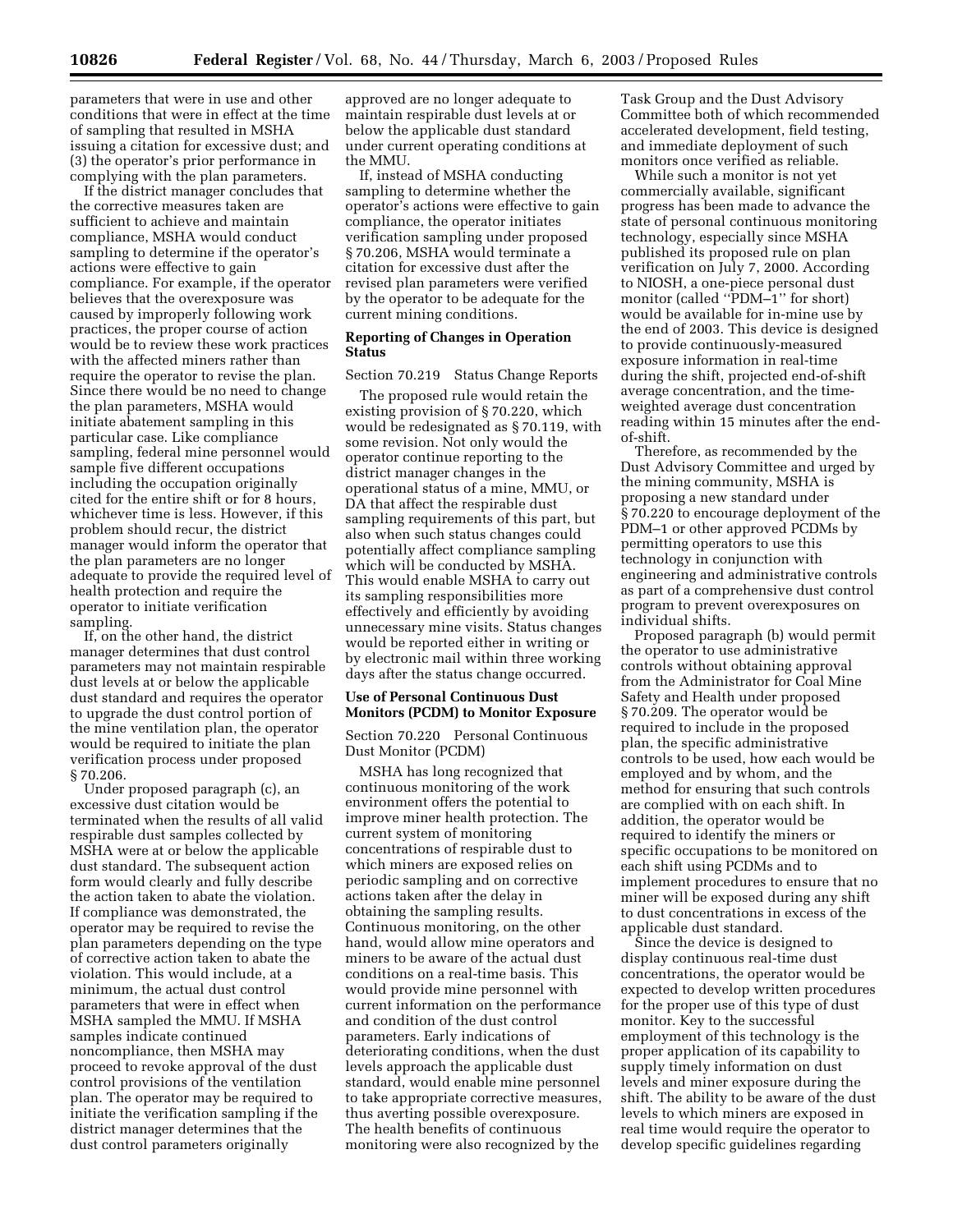parameters that were in use and other conditions that were in effect at the time of sampling that resulted in MSHA issuing a citation for excessive dust; and (3) the operator's prior performance in complying with the plan parameters.

If the district manager concludes that the corrective measures taken are sufficient to achieve and maintain compliance, MSHA would conduct sampling to determine if the operator's actions were effective to gain compliance. For example, if the operator believes that the overexposure was caused by improperly following work practices, the proper course of action would be to review these work practices with the affected miners rather than require the operator to revise the plan. Since there would be no need to change the plan parameters, MSHA would initiate abatement sampling in this particular case. Like compliance sampling, federal mine personnel would sample five different occupations including the occupation originally cited for the entire shift or for 8 hours, whichever time is less. However, if this problem should recur, the district manager would inform the operator that the plan parameters are no longer adequate to provide the required level of health protection and require the operator to initiate verification sampling.

If, on the other hand, the district manager determines that dust control parameters may not maintain respirable dust levels at or below the applicable dust standard and requires the operator to upgrade the dust control portion of the mine ventilation plan, the operator would be required to initiate the plan verification process under proposed § 70.206.

Under proposed paragraph (c), an excessive dust citation would be terminated when the results of all valid respirable dust samples collected by MSHA were at or below the applicable dust standard. The subsequent action form would clearly and fully describe the action taken to abate the violation. If compliance was demonstrated, the operator may be required to revise the plan parameters depending on the type of corrective action taken to abate the violation. This would include, at a minimum, the actual dust control parameters that were in effect when MSHA sampled the MMU. If MSHA samples indicate continued noncompliance, then MSHA may proceed to revoke approval of the dust control provisions of the ventilation plan. The operator may be required to initiate the verification sampling if the district manager determines that the dust control parameters originally

approved are no longer adequate to maintain respirable dust levels at or below the applicable dust standard under current operating conditions at the MMU.

If, instead of MSHA conducting sampling to determine whether the operator's actions were effective to gain compliance, the operator initiates verification sampling under proposed § 70.206, MSHA would terminate a citation for excessive dust after the revised plan parameters were verified by the operator to be adequate for the current mining conditions.

# **Reporting of Changes in Operation Status**

Section 70.219 Status Change Reports

The proposed rule would retain the existing provision of § 70.220, which would be redesignated as § 70.119, with some revision. Not only would the operator continue reporting to the district manager changes in the operational status of a mine, MMU, or DA that affect the respirable dust sampling requirements of this part, but also when such status changes could potentially affect compliance sampling which will be conducted by MSHA. This would enable MSHA to carry out its sampling responsibilities more effectively and efficiently by avoiding unnecessary mine visits. Status changes would be reported either in writing or by electronic mail within three working days after the status change occurred.

# **Use of Personal Continuous Dust Monitors (PCDM) to Monitor Exposure**

Section 70.220 Personal Continuous Dust Monitor (PCDM)

MSHA has long recognized that continuous monitoring of the work environment offers the potential to improve miner health protection. The current system of monitoring concentrations of respirable dust to which miners are exposed relies on periodic sampling and on corrective actions taken after the delay in obtaining the sampling results. Continuous monitoring, on the other hand, would allow mine operators and miners to be aware of the actual dust conditions on a real-time basis. This would provide mine personnel with current information on the performance and condition of the dust control parameters. Early indications of deteriorating conditions, when the dust levels approach the applicable dust standard, would enable mine personnel to take appropriate corrective measures, thus averting possible overexposure. The health benefits of continuous monitoring were also recognized by the

Task Group and the Dust Advisory Committee both of which recommended accelerated development, field testing, and immediate deployment of such monitors once verified as reliable.

While such a monitor is not yet commercially available, significant progress has been made to advance the state of personal continuous monitoring technology, especially since MSHA published its proposed rule on plan verification on July 7, 2000. According to NIOSH, a one-piece personal dust monitor (called "PDM-1" for short) would be available for in-mine use by the end of 2003. This device is designed to provide continuously-measured exposure information in real-time during the shift, projected end-of-shift average concentration, and the timeweighted average dust concentration reading within 15 minutes after the endof-shift.

Therefore, as recommended by the Dust Advisory Committee and urged by the mining community, MSHA is proposing a new standard under § 70.220 to encourage deployment of the PDM–1 or other approved PCDMs by permitting operators to use this technology in conjunction with engineering and administrative controls as part of a comprehensive dust control program to prevent overexposures on individual shifts.

Proposed paragraph (b) would permit the operator to use administrative controls without obtaining approval from the Administrator for Coal Mine Safety and Health under proposed § 70.209. The operator would be required to include in the proposed plan, the specific administrative controls to be used, how each would be employed and by whom, and the method for ensuring that such controls are complied with on each shift. In addition, the operator would be required to identify the miners or specific occupations to be monitored on each shift using PCDMs and to implement procedures to ensure that no miner will be exposed during any shift to dust concentrations in excess of the applicable dust standard.

Since the device is designed to display continuous real-time dust concentrations, the operator would be expected to develop written procedures for the proper use of this type of dust monitor. Key to the successful employment of this technology is the proper application of its capability to supply timely information on dust levels and miner exposure during the shift. The ability to be aware of the dust levels to which miners are exposed in real time would require the operator to develop specific guidelines regarding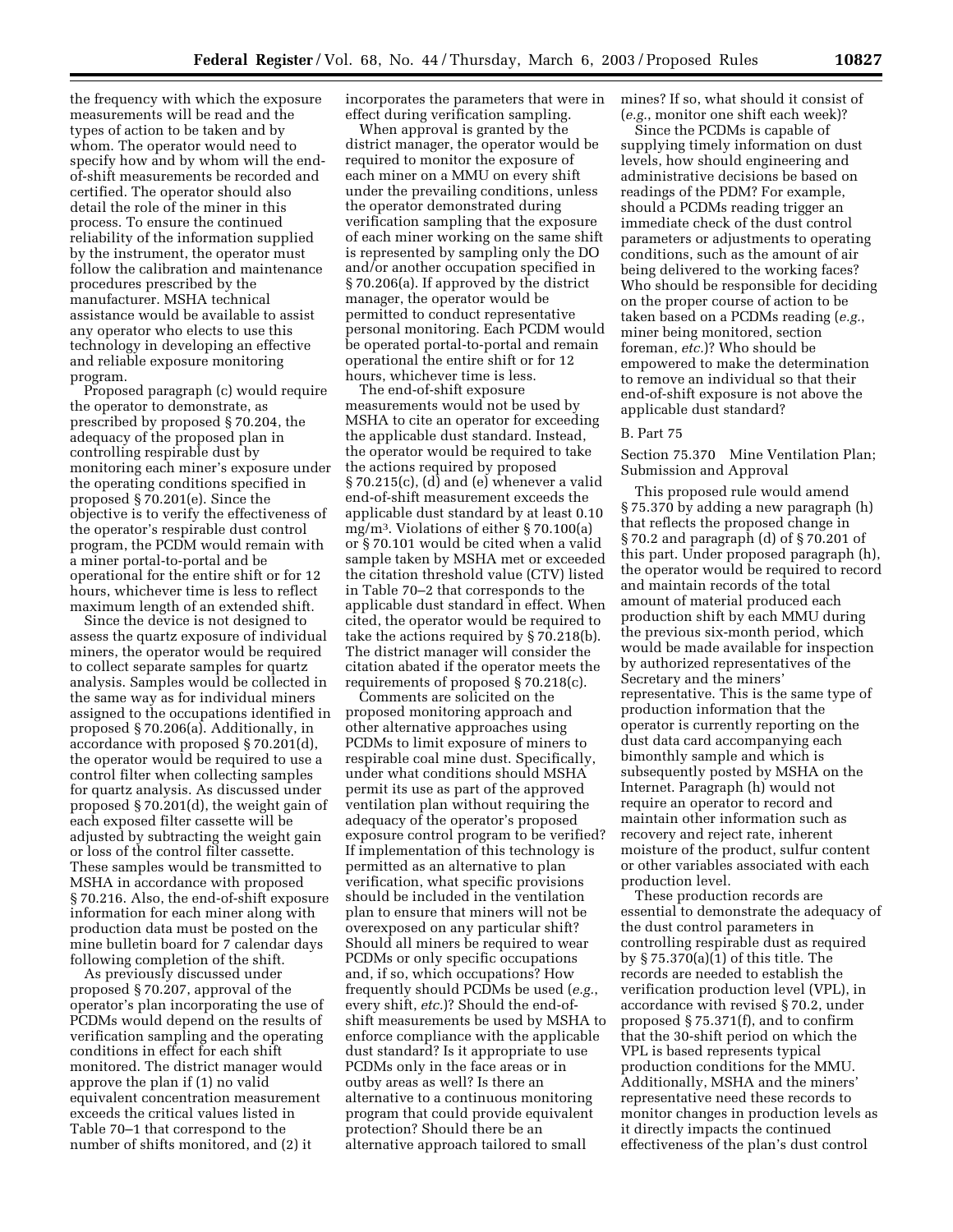the frequency with which the exposure measurements will be read and the types of action to be taken and by whom. The operator would need to specify how and by whom will the endof-shift measurements be recorded and certified. The operator should also detail the role of the miner in this process. To ensure the continued reliability of the information supplied by the instrument, the operator must follow the calibration and maintenance procedures prescribed by the manufacturer. MSHA technical assistance would be available to assist any operator who elects to use this technology in developing an effective and reliable exposure monitoring program.

Proposed paragraph (c) would require the operator to demonstrate, as prescribed by proposed § 70.204, the adequacy of the proposed plan in controlling respirable dust by monitoring each miner's exposure under the operating conditions specified in proposed § 70.201(e). Since the objective is to verify the effectiveness of the operator's respirable dust control program, the PCDM would remain with a miner portal-to-portal and be operational for the entire shift or for 12 hours, whichever time is less to reflect maximum length of an extended shift.

Since the device is not designed to assess the quartz exposure of individual miners, the operator would be required to collect separate samples for quartz analysis. Samples would be collected in the same way as for individual miners assigned to the occupations identified in proposed § 70.206(a). Additionally, in accordance with proposed § 70.201(d), the operator would be required to use a control filter when collecting samples for quartz analysis. As discussed under proposed § 70.201(d), the weight gain of each exposed filter cassette will be adjusted by subtracting the weight gain or loss of the control filter cassette. These samples would be transmitted to MSHA in accordance with proposed § 70.216. Also, the end-of-shift exposure information for each miner along with production data must be posted on the mine bulletin board for 7 calendar days following completion of the shift.

As previously discussed under proposed § 70.207, approval of the operator's plan incorporating the use of PCDMs would depend on the results of verification sampling and the operating conditions in effect for each shift monitored. The district manager would approve the plan if (1) no valid equivalent concentration measurement exceeds the critical values listed in Table 70–1 that correspond to the number of shifts monitored, and (2) it

incorporates the parameters that were in effect during verification sampling.

When approval is granted by the district manager, the operator would be required to monitor the exposure of each miner on a MMU on every shift under the prevailing conditions, unless the operator demonstrated during verification sampling that the exposure of each miner working on the same shift is represented by sampling only the DO and/or another occupation specified in § 70.206(a). If approved by the district manager, the operator would be permitted to conduct representative personal monitoring. Each PCDM would be operated portal-to-portal and remain operational the entire shift or for 12 hours, whichever time is less.

The end-of-shift exposure measurements would not be used by MSHA to cite an operator for exceeding the applicable dust standard. Instead, the operator would be required to take the actions required by proposed § 70.215(c), (d) and (e) whenever a valid end-of-shift measurement exceeds the applicable dust standard by at least 0.10 mg/m3. Violations of either § 70.100(a) or § 70.101 would be cited when a valid sample taken by MSHA met or exceeded the citation threshold value (CTV) listed in Table 70–2 that corresponds to the applicable dust standard in effect. When cited, the operator would be required to take the actions required by § 70.218(b). The district manager will consider the citation abated if the operator meets the requirements of proposed § 70.218(c).

Comments are solicited on the proposed monitoring approach and other alternative approaches using PCDMs to limit exposure of miners to respirable coal mine dust. Specifically, under what conditions should MSHA permit its use as part of the approved ventilation plan without requiring the adequacy of the operator's proposed exposure control program to be verified? If implementation of this technology is permitted as an alternative to plan verification, what specific provisions should be included in the ventilation plan to ensure that miners will not be overexposed on any particular shift? Should all miners be required to wear PCDMs or only specific occupations and, if so, which occupations? How frequently should PCDMs be used (*e.g.*, every shift, *etc.*)? Should the end-ofshift measurements be used by MSHA to enforce compliance with the applicable dust standard? Is it appropriate to use PCDMs only in the face areas or in outby areas as well? Is there an alternative to a continuous monitoring program that could provide equivalent protection? Should there be an alternative approach tailored to small

mines? If so, what should it consist of (*e.g.*, monitor one shift each week)?

Since the PCDMs is capable of supplying timely information on dust levels, how should engineering and administrative decisions be based on readings of the PDM? For example, should a PCDMs reading trigger an immediate check of the dust control parameters or adjustments to operating conditions, such as the amount of air being delivered to the working faces? Who should be responsible for deciding on the proper course of action to be taken based on a PCDMs reading (*e.g.*, miner being monitored, section foreman, *etc.*)? Who should be empowered to make the determination to remove an individual so that their end-of-shift exposure is not above the applicable dust standard?

### B. Part 75

Section 75.370 Mine Ventilation Plan; Submission and Approval

This proposed rule would amend § 75.370 by adding a new paragraph (h) that reflects the proposed change in § 70.2 and paragraph (d) of § 70.201 of this part. Under proposed paragraph (h), the operator would be required to record and maintain records of the total amount of material produced each production shift by each MMU during the previous six-month period, which would be made available for inspection by authorized representatives of the Secretary and the miners' representative. This is the same type of production information that the operator is currently reporting on the dust data card accompanying each bimonthly sample and which is subsequently posted by MSHA on the Internet. Paragraph (h) would not require an operator to record and maintain other information such as recovery and reject rate, inherent moisture of the product, sulfur content or other variables associated with each production level.

These production records are essential to demonstrate the adequacy of the dust control parameters in controlling respirable dust as required by § 75.370(a)(1) of this title. The records are needed to establish the verification production level (VPL), in accordance with revised § 70.2, under proposed § 75.371(f), and to confirm that the 30-shift period on which the VPL is based represents typical production conditions for the MMU. Additionally, MSHA and the miners' representative need these records to monitor changes in production levels as it directly impacts the continued effectiveness of the plan's dust control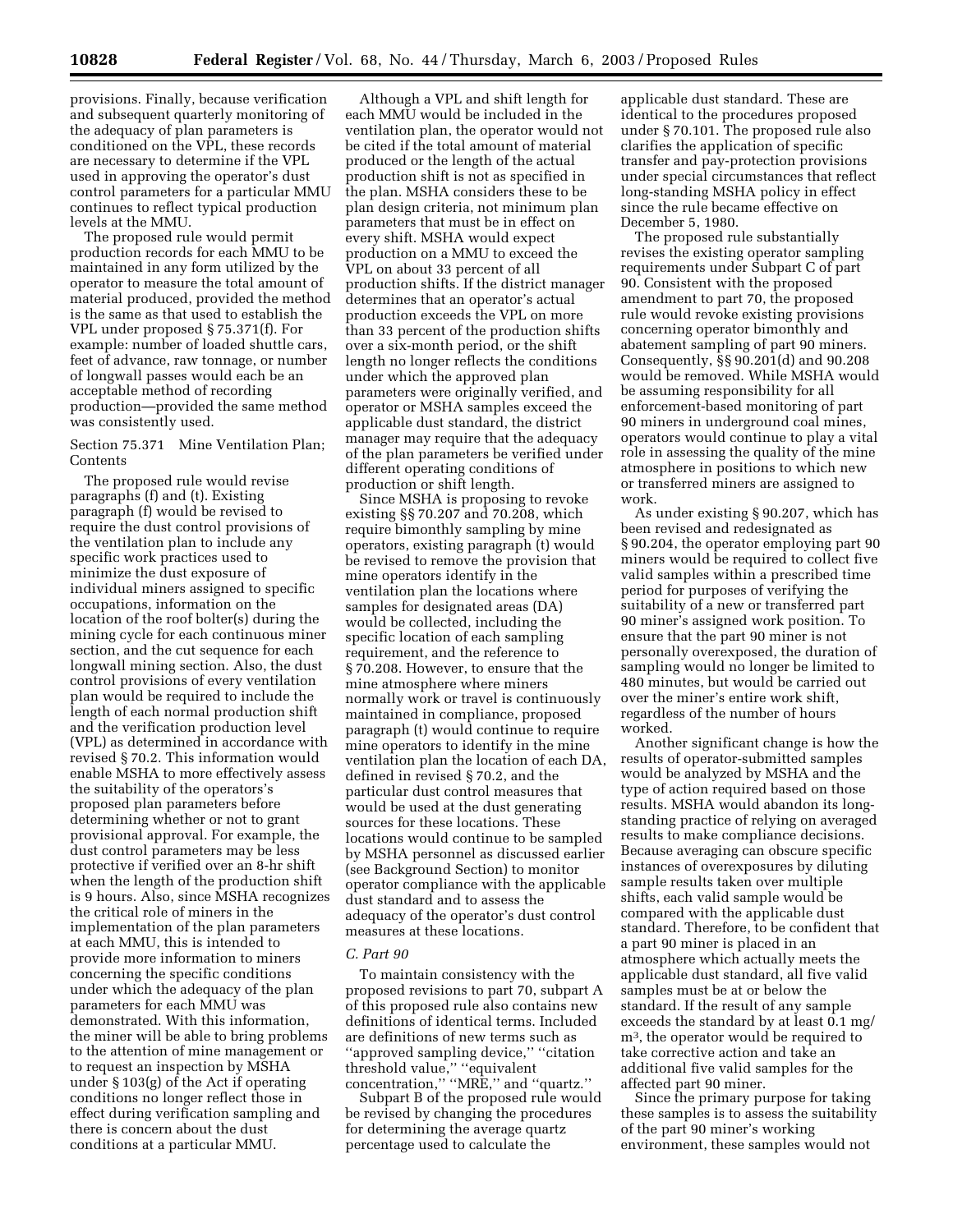provisions. Finally, because verification and subsequent quarterly monitoring of the adequacy of plan parameters is conditioned on the VPL, these records are necessary to determine if the VPL used in approving the operator's dust control parameters for a particular MMU continues to reflect typical production levels at the MMU.

The proposed rule would permit production records for each MMU to be maintained in any form utilized by the operator to measure the total amount of material produced, provided the method is the same as that used to establish the VPL under proposed § 75.371(f). For example: number of loaded shuttle cars, feet of advance, raw tonnage, or number of longwall passes would each be an acceptable method of recording production—provided the same method was consistently used.

# Section 75.371 Mine Ventilation Plan; **Contents**

The proposed rule would revise paragraphs (f) and (t). Existing paragraph (f) would be revised to require the dust control provisions of the ventilation plan to include any specific work practices used to minimize the dust exposure of individual miners assigned to specific occupations, information on the location of the roof bolter(s) during the mining cycle for each continuous miner section, and the cut sequence for each longwall mining section. Also, the dust control provisions of every ventilation plan would be required to include the length of each normal production shift and the verification production level (VPL) as determined in accordance with revised § 70.2. This information would enable MSHA to more effectively assess the suitability of the operators's proposed plan parameters before determining whether or not to grant provisional approval. For example, the dust control parameters may be less protective if verified over an 8-hr shift when the length of the production shift is 9 hours. Also, since MSHA recognizes the critical role of miners in the implementation of the plan parameters at each MMU, this is intended to provide more information to miners concerning the specific conditions under which the adequacy of the plan parameters for each MMU was demonstrated. With this information, the miner will be able to bring problems to the attention of mine management or to request an inspection by MSHA under § 103(g) of the Act if operating conditions no longer reflect those in effect during verification sampling and there is concern about the dust conditions at a particular MMU.

Although a VPL and shift length for each MMU would be included in the ventilation plan, the operator would not be cited if the total amount of material produced or the length of the actual production shift is not as specified in the plan. MSHA considers these to be plan design criteria, not minimum plan parameters that must be in effect on every shift. MSHA would expect production on a MMU to exceed the VPL on about 33 percent of all production shifts. If the district manager determines that an operator's actual production exceeds the VPL on more than 33 percent of the production shifts over a six-month period, or the shift length no longer reflects the conditions under which the approved plan parameters were originally verified, and operator or MSHA samples exceed the applicable dust standard, the district manager may require that the adequacy of the plan parameters be verified under different operating conditions of production or shift length.

Since MSHA is proposing to revoke existing §§ 70.207 and 70.208, which require bimonthly sampling by mine operators, existing paragraph (t) would be revised to remove the provision that mine operators identify in the ventilation plan the locations where samples for designated areas (DA) would be collected, including the specific location of each sampling requirement, and the reference to § 70.208. However, to ensure that the mine atmosphere where miners normally work or travel is continuously maintained in compliance, proposed paragraph (t) would continue to require mine operators to identify in the mine ventilation plan the location of each DA, defined in revised § 70.2, and the particular dust control measures that would be used at the dust generating sources for these locations. These locations would continue to be sampled by MSHA personnel as discussed earlier (see Background Section) to monitor operator compliance with the applicable dust standard and to assess the adequacy of the operator's dust control measures at these locations.

#### *C. Part 90*

To maintain consistency with the proposed revisions to part 70, subpart A of this proposed rule also contains new definitions of identical terms. Included are definitions of new terms such as ''approved sampling device,'' ''citation threshold value,'' ''equivalent concentration,'' ''MRE,'' and ''quartz.''

Subpart B of the proposed rule would be revised by changing the procedures for determining the average quartz percentage used to calculate the

applicable dust standard. These are identical to the procedures proposed under § 70.101. The proposed rule also clarifies the application of specific transfer and pay-protection provisions under special circumstances that reflect long-standing MSHA policy in effect since the rule became effective on December 5, 1980.

The proposed rule substantially revises the existing operator sampling requirements under Subpart C of part 90. Consistent with the proposed amendment to part 70, the proposed rule would revoke existing provisions concerning operator bimonthly and abatement sampling of part 90 miners. Consequently, §§ 90.201(d) and 90.208 would be removed. While MSHA would be assuming responsibility for all enforcement-based monitoring of part 90 miners in underground coal mines, operators would continue to play a vital role in assessing the quality of the mine atmosphere in positions to which new or transferred miners are assigned to work.

As under existing § 90.207, which has been revised and redesignated as § 90.204, the operator employing part 90 miners would be required to collect five valid samples within a prescribed time period for purposes of verifying the suitability of a new or transferred part 90 miner's assigned work position. To ensure that the part 90 miner is not personally overexposed, the duration of sampling would no longer be limited to 480 minutes, but would be carried out over the miner's entire work shift, regardless of the number of hours worked.

Another significant change is how the results of operator-submitted samples would be analyzed by MSHA and the type of action required based on those results. MSHA would abandon its longstanding practice of relying on averaged results to make compliance decisions. Because averaging can obscure specific instances of overexposures by diluting sample results taken over multiple shifts, each valid sample would be compared with the applicable dust standard. Therefore, to be confident that a part 90 miner is placed in an atmosphere which actually meets the applicable dust standard, all five valid samples must be at or below the standard. If the result of any sample exceeds the standard by at least 0.1 mg/ m3, the operator would be required to take corrective action and take an additional five valid samples for the affected part 90 miner.

Since the primary purpose for taking these samples is to assess the suitability of the part 90 miner's working environment, these samples would not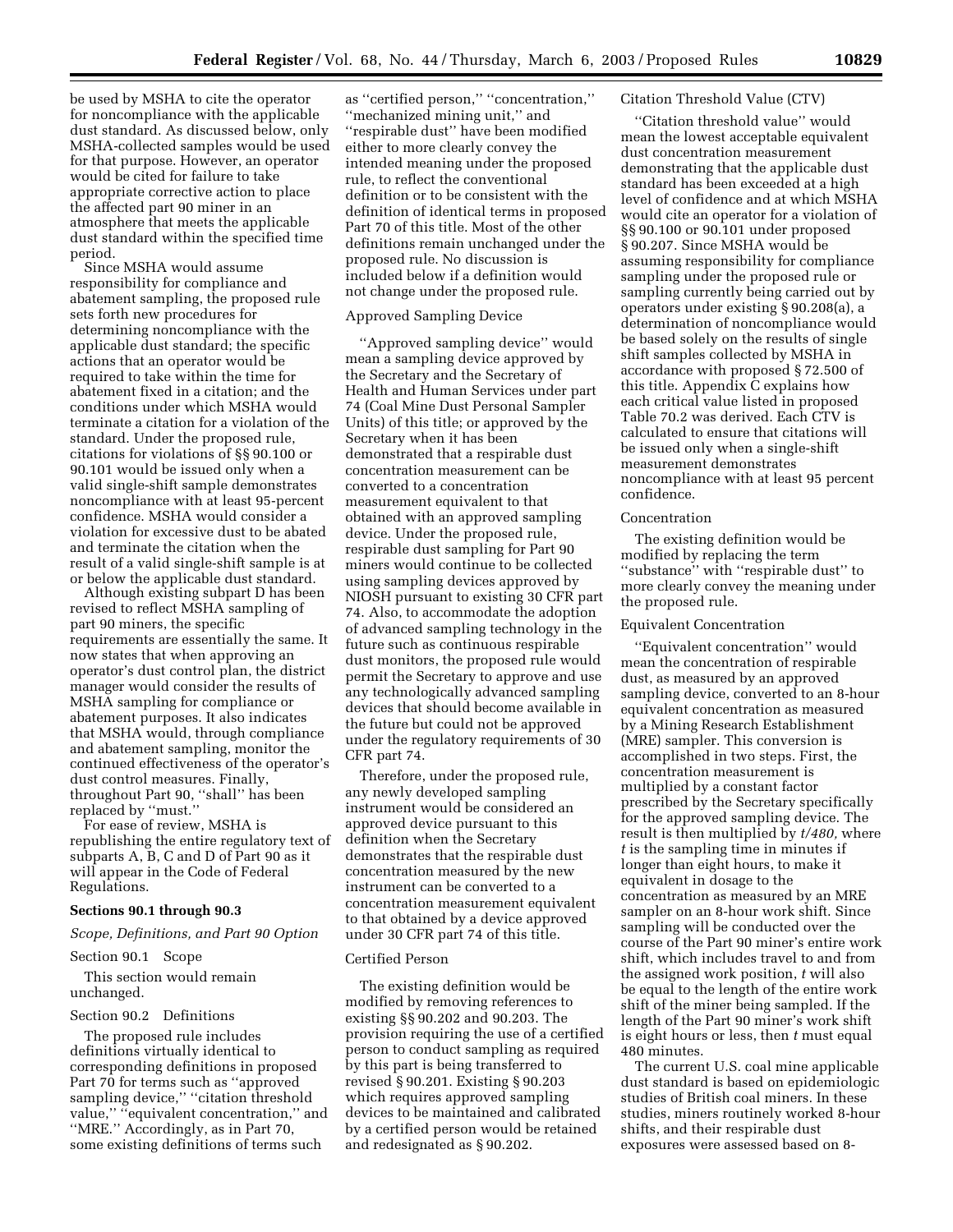be used by MSHA to cite the operator for noncompliance with the applicable dust standard. As discussed below, only MSHA-collected samples would be used for that purpose. However, an operator would be cited for failure to take appropriate corrective action to place the affected part 90 miner in an atmosphere that meets the applicable dust standard within the specified time period.

Since MSHA would assume responsibility for compliance and abatement sampling, the proposed rule sets forth new procedures for determining noncompliance with the applicable dust standard; the specific actions that an operator would be required to take within the time for abatement fixed in a citation; and the conditions under which MSHA would terminate a citation for a violation of the standard. Under the proposed rule, citations for violations of §§ 90.100 or 90.101 would be issued only when a valid single-shift sample demonstrates noncompliance with at least 95-percent confidence. MSHA would consider a violation for excessive dust to be abated and terminate the citation when the result of a valid single-shift sample is at or below the applicable dust standard.

Although existing subpart D has been revised to reflect MSHA sampling of part 90 miners, the specific requirements are essentially the same. It now states that when approving an operator's dust control plan, the district manager would consider the results of MSHA sampling for compliance or abatement purposes. It also indicates that MSHA would, through compliance and abatement sampling, monitor the continued effectiveness of the operator's dust control measures. Finally, throughout Part 90, ''shall'' has been replaced by ''must.''

For ease of review, MSHA is republishing the entire regulatory text of subparts A, B, C and D of Part 90 as it will appear in the Code of Federal Regulations.

## **Sections 90.1 through 90.3**

*Scope, Definitions, and Part 90 Option* 

#### Section 90.1 Scope

This section would remain unchanged.

#### Section 90.2 Definitions

The proposed rule includes definitions virtually identical to corresponding definitions in proposed Part 70 for terms such as ''approved sampling device," "citation threshold value," "equivalent concentration," and ''MRE.'' Accordingly, as in Part 70, some existing definitions of terms such

as ''certified person,'' ''concentration,'' ''mechanized mining unit,'' and ''respirable dust'' have been modified either to more clearly convey the intended meaning under the proposed rule, to reflect the conventional definition or to be consistent with the definition of identical terms in proposed Part 70 of this title. Most of the other definitions remain unchanged under the proposed rule. No discussion is included below if a definition would not change under the proposed rule.

# Approved Sampling Device

''Approved sampling device'' would mean a sampling device approved by the Secretary and the Secretary of Health and Human Services under part 74 (Coal Mine Dust Personal Sampler Units) of this title; or approved by the Secretary when it has been demonstrated that a respirable dust concentration measurement can be converted to a concentration measurement equivalent to that obtained with an approved sampling device. Under the proposed rule, respirable dust sampling for Part 90 miners would continue to be collected using sampling devices approved by NIOSH pursuant to existing 30 CFR part 74. Also, to accommodate the adoption of advanced sampling technology in the future such as continuous respirable dust monitors, the proposed rule would permit the Secretary to approve and use any technologically advanced sampling devices that should become available in the future but could not be approved under the regulatory requirements of 30 CFR part 74.

Therefore, under the proposed rule, any newly developed sampling instrument would be considered an approved device pursuant to this definition when the Secretary demonstrates that the respirable dust concentration measured by the new instrument can be converted to a concentration measurement equivalent to that obtained by a device approved under 30 CFR part 74 of this title.

#### Certified Person

The existing definition would be modified by removing references to existing §§ 90.202 and 90.203. The provision requiring the use of a certified person to conduct sampling as required by this part is being transferred to revised § 90.201. Existing § 90.203 which requires approved sampling devices to be maintained and calibrated by a certified person would be retained and redesignated as § 90.202.

#### Citation Threshold Value (CTV)

''Citation threshold value'' would mean the lowest acceptable equivalent dust concentration measurement demonstrating that the applicable dust standard has been exceeded at a high level of confidence and at which MSHA would cite an operator for a violation of §§ 90.100 or 90.101 under proposed § 90.207. Since MSHA would be assuming responsibility for compliance sampling under the proposed rule or sampling currently being carried out by operators under existing § 90.208(a), a determination of noncompliance would be based solely on the results of single shift samples collected by MSHA in accordance with proposed § 72.500 of this title. Appendix C explains how each critical value listed in proposed Table 70.2 was derived. Each CTV is calculated to ensure that citations will be issued only when a single-shift measurement demonstrates noncompliance with at least 95 percent confidence.

#### Concentration

The existing definition would be modified by replacing the term ''substance'' with ''respirable dust'' to more clearly convey the meaning under the proposed rule.

#### Equivalent Concentration

''Equivalent concentration'' would mean the concentration of respirable dust, as measured by an approved sampling device, converted to an 8-hour equivalent concentration as measured by a Mining Research Establishment (MRE) sampler. This conversion is accomplished in two steps. First, the concentration measurement is multiplied by a constant factor prescribed by the Secretary specifically for the approved sampling device. The result is then multiplied by *t/480,* where *t* is the sampling time in minutes if longer than eight hours, to make it equivalent in dosage to the concentration as measured by an MRE sampler on an 8-hour work shift. Since sampling will be conducted over the course of the Part 90 miner's entire work shift, which includes travel to and from the assigned work position, *t* will also be equal to the length of the entire work shift of the miner being sampled. If the length of the Part 90 miner's work shift is eight hours or less, then *t* must equal 480 minutes.

The current U.S. coal mine applicable dust standard is based on epidemiologic studies of British coal miners. In these studies, miners routinely worked 8-hour shifts, and their respirable dust exposures were assessed based on 8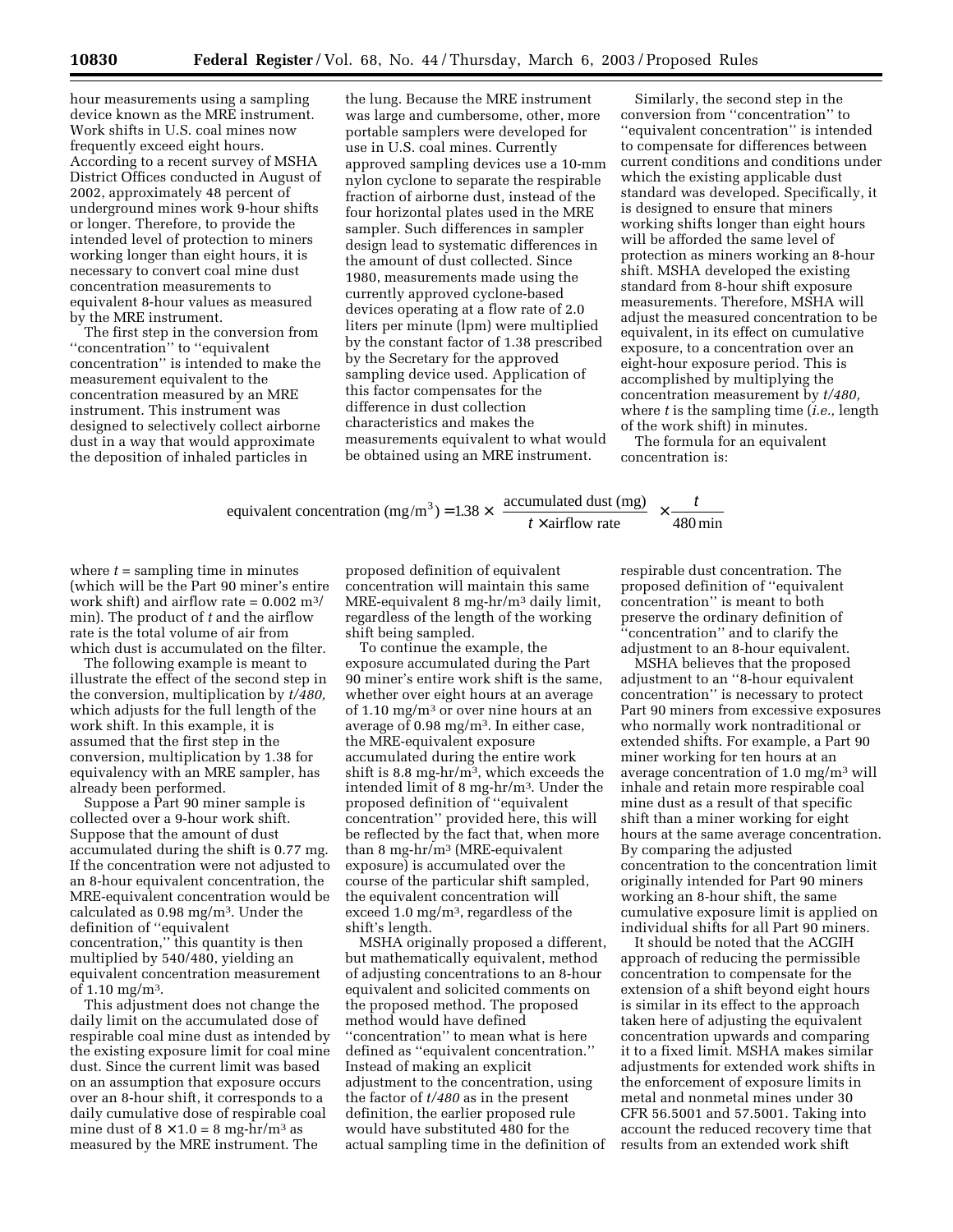hour measurements using a sampling device known as the MRE instrument. Work shifts in U.S. coal mines now frequently exceed eight hours. According to a recent survey of MSHA District Offices conducted in August of 2002, approximately 48 percent of underground mines work 9-hour shifts or longer. Therefore, to provide the intended level of protection to miners working longer than eight hours, it is necessary to convert coal mine dust concentration measurements to equivalent 8-hour values as measured by the MRE instrument.

The first step in the conversion from ''concentration'' to ''equivalent concentration'' is intended to make the measurement equivalent to the concentration measured by an MRE instrument. This instrument was designed to selectively collect airborne dust in a way that would approximate the deposition of inhaled particles in

the lung. Because the MRE instrument was large and cumbersome, other, more portable samplers were developed for use in U.S. coal mines. Currently approved sampling devices use a 10-mm nylon cyclone to separate the respirable fraction of airborne dust, instead of the four horizontal plates used in the MRE sampler. Such differences in sampler design lead to systematic differences in the amount of dust collected. Since 1980, measurements made using the currently approved cyclone-based devices operating at a flow rate of 2.0 liters per minute (lpm) were multiplied by the constant factor of 1.38 prescribed by the Secretary for the approved sampling device used. Application of this factor compensates for the difference in dust collection characteristics and makes the measurements equivalent to what would be obtained using an MRE instrument.

Similarly, the second step in the conversion from ''concentration'' to ''equivalent concentration'' is intended to compensate for differences between current conditions and conditions under which the existing applicable dust standard was developed. Specifically, it is designed to ensure that miners working shifts longer than eight hours will be afforded the same level of protection as miners working an 8-hour shift. MSHA developed the existing standard from 8-hour shift exposure measurements. Therefore, MSHA will adjust the measured concentration to be equivalent, in its effect on cumulative exposure, to a concentration over an eight-hour exposure period. This is accomplished by multiplying the concentration measurement by *t/480,* where *t* is the sampling time (*i.e.,* length of the work shift) in minutes.

The formula for an equivalent concentration is:

equivalent concentration (mg/m<sup>3</sup>) = 1.38 × 
$$
\left(\frac{\text{accumulated dust (mg)}}{t \times \text{airflow rate}}\right) \times \frac{t}{480 \text{ min}}
$$

where  $t =$  sampling time in minutes (which will be the Part 90 miner's entire work shift) and airflow rate =  $0.002 \text{ m}^3$ / min). The product of *t* and the airflow rate is the total volume of air from which dust is accumulated on the filter.

The following example is meant to illustrate the effect of the second step in the conversion, multiplication by *t/480,* which adjusts for the full length of the work shift. In this example, it is assumed that the first step in the conversion, multiplication by 1.38 for equivalency with an MRE sampler, has already been performed.

Suppose a Part 90 miner sample is collected over a 9-hour work shift. Suppose that the amount of dust accumulated during the shift is 0.77 mg. If the concentration were not adjusted to an 8-hour equivalent concentration, the MRE-equivalent concentration would be calculated as 0.98 mg/m3. Under the definition of ''equivalent concentration,'' this quantity is then multiplied by 540/480, yielding an equivalent concentration measurement of 1.10 mg/m3.

This adjustment does not change the daily limit on the accumulated dose of respirable coal mine dust as intended by the existing exposure limit for coal mine dust. Since the current limit was based on an assumption that exposure occurs over an 8-hour shift, it corresponds to a daily cumulative dose of respirable coal mine dust of  $8 \times 1.0 = 8$  mg-hr/m<sup>3</sup> as measured by the MRE instrument. The

proposed definition of equivalent concentration will maintain this same MRE-equivalent 8 mg-hr/m3 daily limit, regardless of the length of the working shift being sampled.

To continue the example, the exposure accumulated during the Part 90 miner's entire work shift is the same, whether over eight hours at an average of 1.10 mg/ $m<sup>3</sup>$  or over nine hours at an average of 0.98 mg/m3. In either case, the MRE-equivalent exposure accumulated during the entire work shift is 8.8 mg-hr/m3, which exceeds the intended limit of 8 mg-hr/m3. Under the proposed definition of ''equivalent concentration'' provided here, this will be reflected by the fact that, when more than 8 mg-hr/m3 (MRE-equivalent exposure) is accumulated over the course of the particular shift sampled, the equivalent concentration will exceed 1.0 mg/m3, regardless of the shift's length.

MSHA originally proposed a different, but mathematically equivalent, method of adjusting concentrations to an 8-hour equivalent and solicited comments on the proposed method. The proposed method would have defined ''concentration'' to mean what is here defined as ''equivalent concentration.'' Instead of making an explicit adjustment to the concentration, using the factor of *t/480* as in the present definition, the earlier proposed rule would have substituted 480 for the actual sampling time in the definition of respirable dust concentration. The proposed definition of ''equivalent concentration'' is meant to both preserve the ordinary definition of ''concentration'' and to clarify the adjustment to an 8-hour equivalent.

MSHA believes that the proposed adjustment to an ''8-hour equivalent concentration'' is necessary to protect Part 90 miners from excessive exposures who normally work nontraditional or extended shifts. For example, a Part 90 miner working for ten hours at an average concentration of 1.0 mg/m3 will inhale and retain more respirable coal mine dust as a result of that specific shift than a miner working for eight hours at the same average concentration. By comparing the adjusted concentration to the concentration limit originally intended for Part 90 miners working an 8-hour shift, the same cumulative exposure limit is applied on individual shifts for all Part 90 miners.

It should be noted that the ACGIH approach of reducing the permissible concentration to compensate for the extension of a shift beyond eight hours is similar in its effect to the approach taken here of adjusting the equivalent concentration upwards and comparing it to a fixed limit. MSHA makes similar adjustments for extended work shifts in the enforcement of exposure limits in metal and nonmetal mines under 30 CFR 56.5001 and 57.5001. Taking into account the reduced recovery time that results from an extended work shift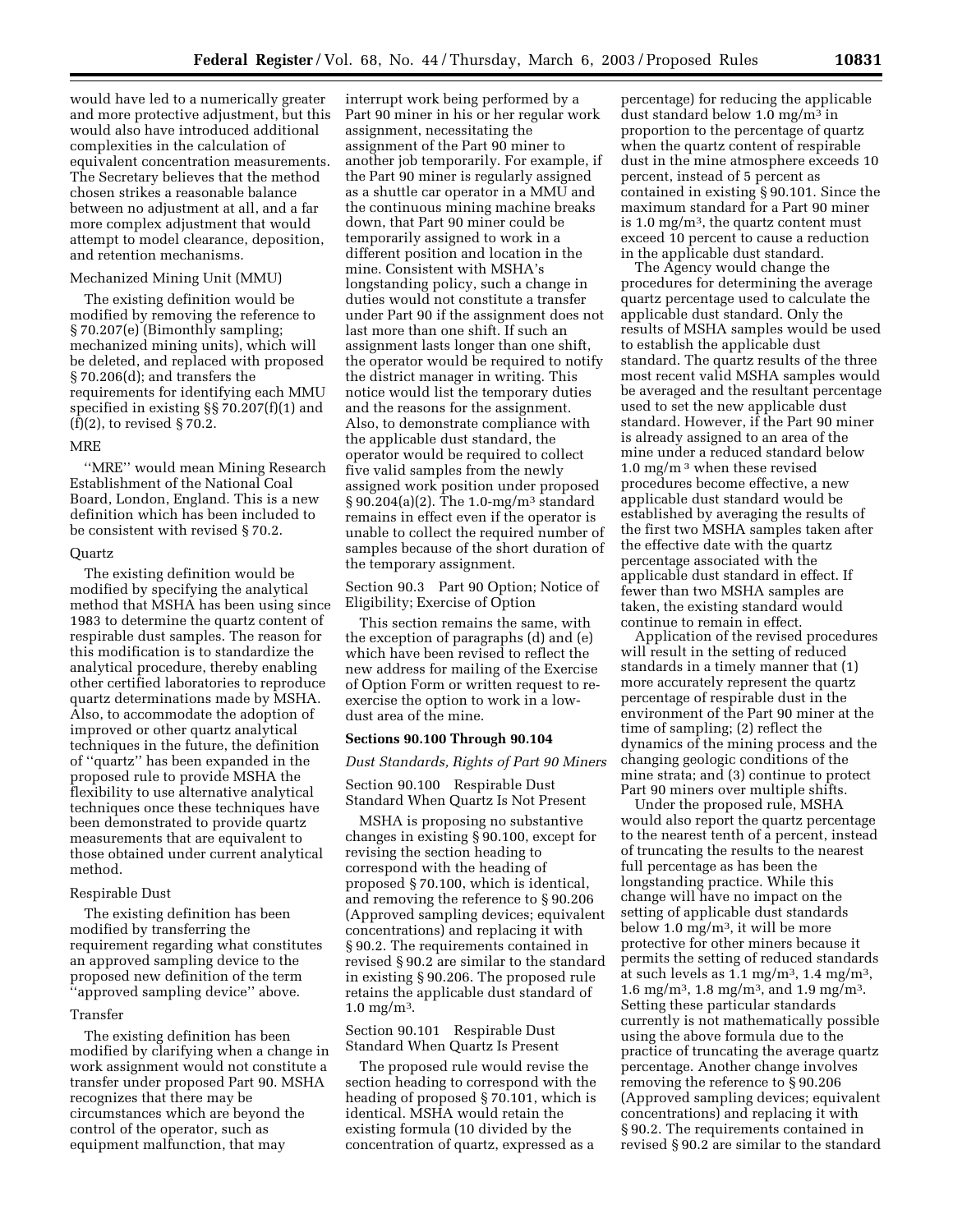would have led to a numerically greater and more protective adjustment, but this would also have introduced additional complexities in the calculation of equivalent concentration measurements. The Secretary believes that the method chosen strikes a reasonable balance between no adjustment at all, and a far more complex adjustment that would attempt to model clearance, deposition, and retention mechanisms.

#### Mechanized Mining Unit (MMU)

The existing definition would be modified by removing the reference to § 70.207(e) (Bimonthly sampling; mechanized mining units), which will be deleted, and replaced with proposed § 70.206(d); and transfers the requirements for identifying each MMU specified in existing §§ 70.207(f)(1) and  $(f)(2)$ , to revised § 70.2.

#### MRE

''MRE'' would mean Mining Research Establishment of the National Coal Board, London, England. This is a new definition which has been included to be consistent with revised § 70.2.

#### Quartz

The existing definition would be modified by specifying the analytical method that MSHA has been using since 1983 to determine the quartz content of respirable dust samples. The reason for this modification is to standardize the analytical procedure, thereby enabling other certified laboratories to reproduce quartz determinations made by MSHA. Also, to accommodate the adoption of improved or other quartz analytical techniques in the future, the definition of ''quartz'' has been expanded in the proposed rule to provide MSHA the flexibility to use alternative analytical techniques once these techniques have been demonstrated to provide quartz measurements that are equivalent to those obtained under current analytical method.

#### Respirable Dust

The existing definition has been modified by transferring the requirement regarding what constitutes an approved sampling device to the proposed new definition of the term ''approved sampling device'' above.

## Transfer

The existing definition has been modified by clarifying when a change in work assignment would not constitute a transfer under proposed Part 90. MSHA recognizes that there may be circumstances which are beyond the control of the operator, such as equipment malfunction, that may

interrupt work being performed by a Part 90 miner in his or her regular work assignment, necessitating the assignment of the Part 90 miner to another job temporarily. For example, if the Part 90 miner is regularly assigned as a shuttle car operator in a MMU and the continuous mining machine breaks down, that Part 90 miner could be temporarily assigned to work in a different position and location in the mine. Consistent with MSHA's longstanding policy, such a change in duties would not constitute a transfer under Part 90 if the assignment does not last more than one shift. If such an assignment lasts longer than one shift, the operator would be required to notify the district manager in writing. This notice would list the temporary duties and the reasons for the assignment. Also, to demonstrate compliance with the applicable dust standard, the operator would be required to collect five valid samples from the newly assigned work position under proposed § 90.204(a)(2). The 1.0-mg/m3 standard remains in effect even if the operator is unable to collect the required number of samples because of the short duration of the temporary assignment.

Section 90.3 Part 90 Option; Notice of Eligibility; Exercise of Option

This section remains the same, with the exception of paragraphs (d) and (e) which have been revised to reflect the new address for mailing of the Exercise of Option Form or written request to reexercise the option to work in a lowdust area of the mine.

### **Sections 90.100 Through 90.104**

*Dust Standards, Rights of Part 90 Miners* 

Section 90.100 Respirable Dust Standard When Quartz Is Not Present

MSHA is proposing no substantive changes in existing § 90.100, except for revising the section heading to correspond with the heading of proposed § 70.100, which is identical, and removing the reference to § 90.206 (Approved sampling devices; equivalent concentrations) and replacing it with § 90.2. The requirements contained in revised § 90.2 are similar to the standard in existing § 90.206. The proposed rule retains the applicable dust standard of  $1.0 \text{ mg/m}^3$ .

Section 90.101 Respirable Dust Standard When Quartz Is Present

The proposed rule would revise the section heading to correspond with the heading of proposed § 70.101, which is identical. MSHA would retain the existing formula (10 divided by the concentration of quartz, expressed as a

percentage) for reducing the applicable dust standard below 1.0 mg/m3 in proportion to the percentage of quartz when the quartz content of respirable dust in the mine atmosphere exceeds 10 percent, instead of 5 percent as contained in existing § 90.101. Since the maximum standard for a Part 90 miner is 1.0 mg/ $m^3$ , the quartz content must exceed 10 percent to cause a reduction in the applicable dust standard.

The Agency would change the procedures for determining the average quartz percentage used to calculate the applicable dust standard. Only the results of MSHA samples would be used to establish the applicable dust standard. The quartz results of the three most recent valid MSHA samples would be averaged and the resultant percentage used to set the new applicable dust standard. However, if the Part 90 miner is already assigned to an area of the mine under a reduced standard below 1.0 mg/m<sup>3</sup> when these revised procedures become effective, a new applicable dust standard would be established by averaging the results of the first two MSHA samples taken after the effective date with the quartz percentage associated with the applicable dust standard in effect. If fewer than two MSHA samples are taken, the existing standard would continue to remain in effect.

Application of the revised procedures will result in the setting of reduced standards in a timely manner that (1) more accurately represent the quartz percentage of respirable dust in the environment of the Part 90 miner at the time of sampling; (2) reflect the dynamics of the mining process and the changing geologic conditions of the mine strata; and (3) continue to protect Part 90 miners over multiple shifts.

Under the proposed rule, MSHA would also report the quartz percentage to the nearest tenth of a percent, instead of truncating the results to the nearest full percentage as has been the longstanding practice. While this change will have no impact on the setting of applicable dust standards below 1.0 mg/m3, it will be more protective for other miners because it permits the setting of reduced standards at such levels as  $1.1 \text{ mg/m}^3$ ,  $1.4 \text{ mg/m}^3$ , 1.6 mg/m<sup>3</sup>, 1.8 mg/m<sup>3</sup>, and 1.9 mg/m<sup>3</sup>. Setting these particular standards currently is not mathematically possible using the above formula due to the practice of truncating the average quartz percentage. Another change involves removing the reference to § 90.206 (Approved sampling devices; equivalent concentrations) and replacing it with § 90.2. The requirements contained in revised § 90.2 are similar to the standard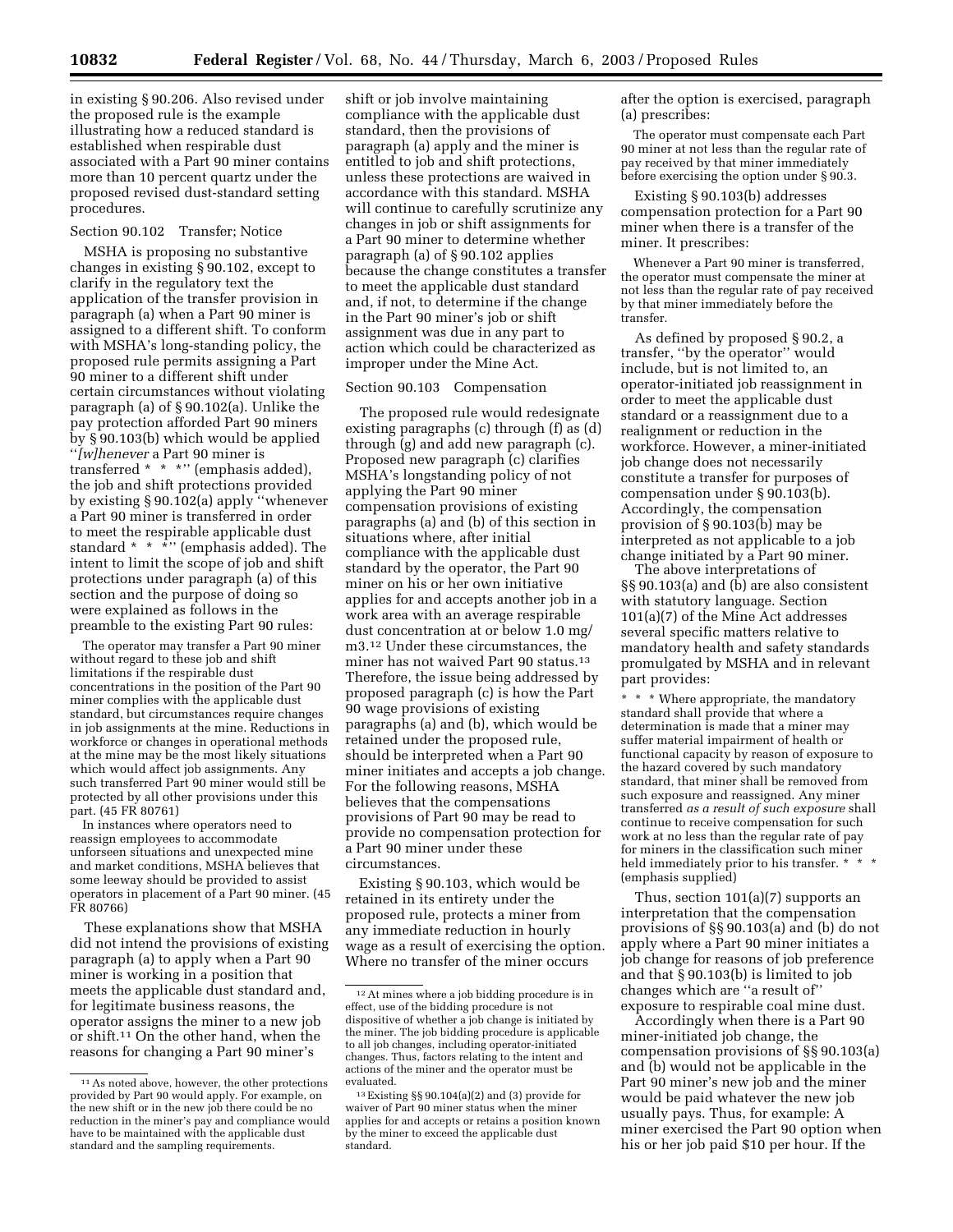in existing § 90.206. Also revised under the proposed rule is the example illustrating how a reduced standard is established when respirable dust associated with a Part 90 miner contains more than 10 percent quartz under the proposed revised dust-standard setting procedures.

# Section 90.102 Transfer; Notice

MSHA is proposing no substantive changes in existing § 90.102, except to clarify in the regulatory text the application of the transfer provision in paragraph (a) when a Part 90 miner is assigned to a different shift. To conform with MSHA's long-standing policy, the proposed rule permits assigning a Part 90 miner to a different shift under certain circumstances without violating paragraph (a) of § 90.102(a). Unlike the pay protection afforded Part 90 miners by § 90.103(b) which would be applied ''*[w]henever* a Part 90 miner is transferred \* \* \*'' (emphasis added), the job and shift protections provided by existing § 90.102(a) apply ''whenever a Part 90 miner is transferred in order to meet the respirable applicable dust standard  $* * *$ " (emphasis added). The intent to limit the scope of job and shift protections under paragraph (a) of this section and the purpose of doing so were explained as follows in the preamble to the existing Part 90 rules:

The operator may transfer a Part 90 miner without regard to these job and shift limitations if the respirable dust concentrations in the position of the Part 90 miner complies with the applicable dust standard, but circumstances require changes in job assignments at the mine. Reductions in workforce or changes in operational methods at the mine may be the most likely situations which would affect job assignments. Any such transferred Part 90 miner would still be protected by all other provisions under this part. (45 FR 80761)

In instances where operators need to reassign employees to accommodate unforseen situations and unexpected mine and market conditions, MSHA believes that some leeway should be provided to assist operators in placement of a Part 90 miner. (45 FR 80766)

These explanations show that MSHA did not intend the provisions of existing paragraph (a) to apply when a Part 90 miner is working in a position that meets the applicable dust standard and, for legitimate business reasons, the operator assigns the miner to a new job or shift.11 On the other hand, when the reasons for changing a Part 90 miner's

shift or job involve maintaining compliance with the applicable dust standard, then the provisions of paragraph (a) apply and the miner is entitled to job and shift protections, unless these protections are waived in accordance with this standard. MSHA will continue to carefully scrutinize any changes in job or shift assignments for a Part 90 miner to determine whether paragraph (a) of § 90.102 applies because the change constitutes a transfer to meet the applicable dust standard and, if not, to determine if the change in the Part 90 miner's job or shift assignment was due in any part to action which could be characterized as improper under the Mine Act.

# Section 90.103 Compensation

The proposed rule would redesignate existing paragraphs (c) through (f) as (d) through (g) and add new paragraph (c). Proposed new paragraph (c) clarifies MSHA's longstanding policy of not applying the Part 90 miner compensation provisions of existing paragraphs (a) and (b) of this section in situations where, after initial compliance with the applicable dust standard by the operator, the Part 90 miner on his or her own initiative applies for and accepts another job in a work area with an average respirable dust concentration at or below 1.0 mg/ m3.12 Under these circumstances, the miner has not waived Part 90 status.<sup>13</sup> Therefore, the issue being addressed by proposed paragraph (c) is how the Part 90 wage provisions of existing paragraphs (a) and (b), which would be retained under the proposed rule, should be interpreted when a Part 90 miner initiates and accepts a job change. For the following reasons, MSHA believes that the compensations provisions of Part 90 may be read to provide no compensation protection for a Part 90 miner under these circumstances.

Existing § 90.103, which would be retained in its entirety under the proposed rule, protects a miner from any immediate reduction in hourly wage as a result of exercising the option. Where no transfer of the miner occurs

after the option is exercised, paragraph (a) prescribes:

The operator must compensate each Part 90 miner at not less than the regular rate of pay received by that miner immediately before exercising the option under § 90.3.

Existing § 90.103(b) addresses compensation protection for a Part 90 miner when there is a transfer of the miner. It prescribes:

Whenever a Part 90 miner is transferred, the operator must compensate the miner at not less than the regular rate of pay received by that miner immediately before the transfer.

As defined by proposed § 90.2, a transfer, ''by the operator'' would include, but is not limited to, an operator-initiated job reassignment in order to meet the applicable dust standard or a reassignment due to a realignment or reduction in the workforce. However, a miner-initiated job change does not necessarily constitute a transfer for purposes of compensation under § 90.103(b). Accordingly, the compensation provision of § 90.103(b) may be interpreted as not applicable to a job change initiated by a Part 90 miner.

The above interpretations of §§ 90.103(a) and (b) are also consistent with statutory language. Section 101(a)(7) of the Mine Act addresses several specific matters relative to mandatory health and safety standards promulgated by MSHA and in relevant part provides:

\* \* \* Where appropriate, the mandatory standard shall provide that where a determination is made that a miner may suffer material impairment of health or functional capacity by reason of exposure to the hazard covered by such mandatory standard, that miner shall be removed from such exposure and reassigned. Any miner transferred *as a result of such exposure* shall continue to receive compensation for such work at no less than the regular rate of pay for miners in the classification such miner held immediately prior to his transfer. \* \* \* (emphasis supplied)

Thus, section 101(a)(7) supports an interpretation that the compensation provisions of §§ 90.103(a) and (b) do not apply where a Part 90 miner initiates a job change for reasons of job preference and that § 90.103(b) is limited to job changes which are ''a result of'' exposure to respirable coal mine dust.

Accordingly when there is a Part 90 miner-initiated job change, the compensation provisions of §§ 90.103(a) and (b) would not be applicable in the Part 90 miner's new job and the miner would be paid whatever the new job usually pays. Thus, for example: A miner exercised the Part 90 option when his or her job paid \$10 per hour. If the

<sup>11</sup>As noted above, however, the other protections provided by Part 90 would apply. For example, on the new shift or in the new job there could be no reduction in the miner's pay and compliance would have to be maintained with the applicable dust standard and the sampling requirements.

 $12\,\mathrm{At}$  mines where a job bidding procedure is in effect, use of the bidding procedure is not dispositive of whether a job change is initiated by the miner. The job bidding procedure is applicable to all job changes, including operator-initiated changes. Thus, factors relating to the intent and actions of the miner and the operator must be evaluated.

<sup>13</sup>Existing §§ 90.104(a)(2) and (3) provide for waiver of Part 90 miner status when the miner applies for and accepts or retains a position known by the miner to exceed the applicable dust standard.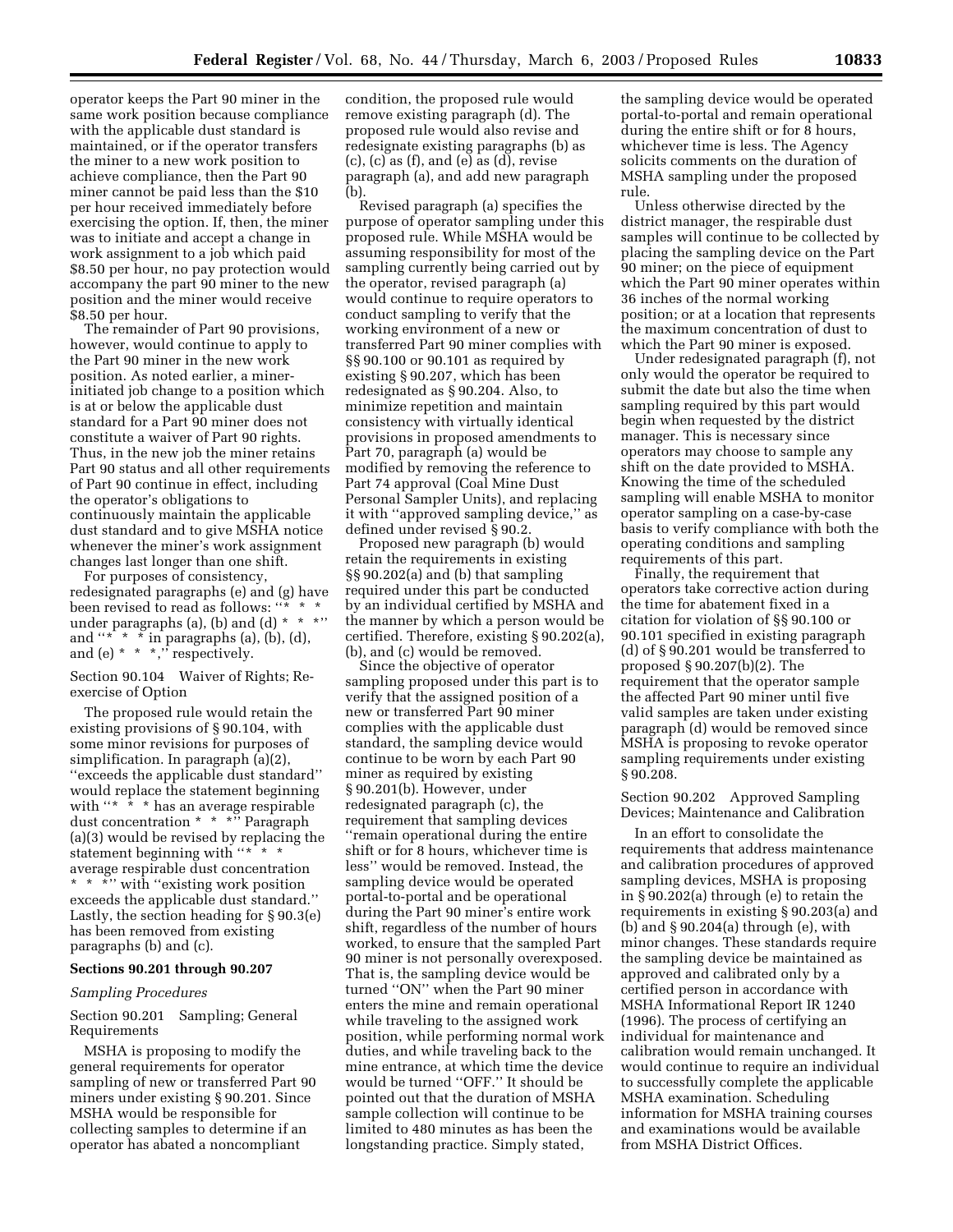operator keeps the Part 90 miner in the same work position because compliance with the applicable dust standard is maintained, or if the operator transfers the miner to a new work position to achieve compliance, then the Part 90 miner cannot be paid less than the \$10 per hour received immediately before exercising the option. If, then, the miner was to initiate and accept a change in work assignment to a job which paid \$8.50 per hour, no pay protection would accompany the part 90 miner to the new position and the miner would receive \$8.50 per hour.

The remainder of Part 90 provisions, however, would continue to apply to the Part 90 miner in the new work position. As noted earlier, a minerinitiated job change to a position which is at or below the applicable dust standard for a Part 90 miner does not constitute a waiver of Part 90 rights. Thus, in the new job the miner retains Part 90 status and all other requirements of Part 90 continue in effect, including the operator's obligations to continuously maintain the applicable dust standard and to give MSHA notice whenever the miner's work assignment changes last longer than one shift.

For purposes of consistency, redesignated paragraphs (e) and (g) have been revised to read as follows: " under paragraphs (a), (b) and (d) \* \* \*'' and " $*$ "  $*$ " in paragraphs (a), (b), (d), and (e)  $* * *$ ," respectively.

Section 90.104 Waiver of Rights; Reexercise of Option

The proposed rule would retain the existing provisions of § 90.104, with some minor revisions for purposes of simplification. In paragraph (a)(2), ''exceeds the applicable dust standard'' would replace the statement beginning with " $*$  \*  $*$  has an average respirable dust concentration \* \* \*'' Paragraph (a)(3) would be revised by replacing the statement beginning with "\* \* \* average respirable dust concentration \* \* \*" with "existing work position exceeds the applicable dust standard.'' Lastly, the section heading for § 90.3(e) has been removed from existing paragraphs (b) and (c).

### **Sections 90.201 through 90.207**

### *Sampling Procedures*

Section 90.201 Sampling; General Requirements

MSHA is proposing to modify the general requirements for operator sampling of new or transferred Part 90 miners under existing § 90.201. Since MSHA would be responsible for collecting samples to determine if an operator has abated a noncompliant

condition, the proposed rule would remove existing paragraph (d). The proposed rule would also revise and redesignate existing paragraphs (b) as  $(c)$ ,  $(c)$  as  $(f)$ , and  $(e)$  as  $(d)$ , revise paragraph (a), and add new paragraph (b).

Revised paragraph (a) specifies the purpose of operator sampling under this proposed rule. While MSHA would be assuming responsibility for most of the sampling currently being carried out by the operator, revised paragraph (a) would continue to require operators to conduct sampling to verify that the working environment of a new or transferred Part 90 miner complies with §§ 90.100 or 90.101 as required by existing § 90.207, which has been redesignated as § 90.204. Also, to minimize repetition and maintain consistency with virtually identical provisions in proposed amendments to Part 70, paragraph (a) would be modified by removing the reference to Part 74 approval (Coal Mine Dust Personal Sampler Units), and replacing it with ''approved sampling device,'' as defined under revised § 90.2.

Proposed new paragraph (b) would retain the requirements in existing §§ 90.202(a) and (b) that sampling required under this part be conducted by an individual certified by MSHA and the manner by which a person would be certified. Therefore, existing § 90.202(a), (b), and (c) would be removed.

Since the objective of operator sampling proposed under this part is to verify that the assigned position of a new or transferred Part 90 miner complies with the applicable dust standard, the sampling device would continue to be worn by each Part 90 miner as required by existing § 90.201(b). However, under redesignated paragraph (c), the requirement that sampling devices ''remain operational during the entire shift or for 8 hours, whichever time is less'' would be removed. Instead, the sampling device would be operated portal-to-portal and be operational during the Part 90 miner's entire work shift, regardless of the number of hours worked, to ensure that the sampled Part 90 miner is not personally overexposed. That is, the sampling device would be turned ''ON'' when the Part 90 miner enters the mine and remain operational while traveling to the assigned work position, while performing normal work duties, and while traveling back to the mine entrance, at which time the device would be turned ''OFF.'' It should be pointed out that the duration of MSHA sample collection will continue to be limited to 480 minutes as has been the longstanding practice. Simply stated,

the sampling device would be operated portal-to-portal and remain operational during the entire shift or for 8 hours, whichever time is less. The Agency solicits comments on the duration of MSHA sampling under the proposed rule.

Unless otherwise directed by the district manager, the respirable dust samples will continue to be collected by placing the sampling device on the Part 90 miner; on the piece of equipment which the Part 90 miner operates within 36 inches of the normal working position; or at a location that represents the maximum concentration of dust to which the Part 90 miner is exposed.

Under redesignated paragraph (f), not only would the operator be required to submit the date but also the time when sampling required by this part would begin when requested by the district manager. This is necessary since operators may choose to sample any shift on the date provided to MSHA. Knowing the time of the scheduled sampling will enable MSHA to monitor operator sampling on a case-by-case basis to verify compliance with both the operating conditions and sampling requirements of this part.

Finally, the requirement that operators take corrective action during the time for abatement fixed in a citation for violation of §§ 90.100 or 90.101 specified in existing paragraph (d) of § 90.201 would be transferred to proposed § 90.207(b)(2). The requirement that the operator sample the affected Part 90 miner until five valid samples are taken under existing paragraph (d) would be removed since MSHA is proposing to revoke operator sampling requirements under existing § 90.208.

Section 90.202 Approved Sampling Devices; Maintenance and Calibration

In an effort to consolidate the requirements that address maintenance and calibration procedures of approved sampling devices, MSHA is proposing in § 90.202(a) through (e) to retain the requirements in existing § 90.203(a) and (b) and  $\S 90.204$  (a) through (e), with minor changes. These standards require the sampling device be maintained as approved and calibrated only by a certified person in accordance with MSHA Informational Report IR 1240 (1996). The process of certifying an individual for maintenance and calibration would remain unchanged. It would continue to require an individual to successfully complete the applicable MSHA examination. Scheduling information for MSHA training courses and examinations would be available from MSHA District Offices.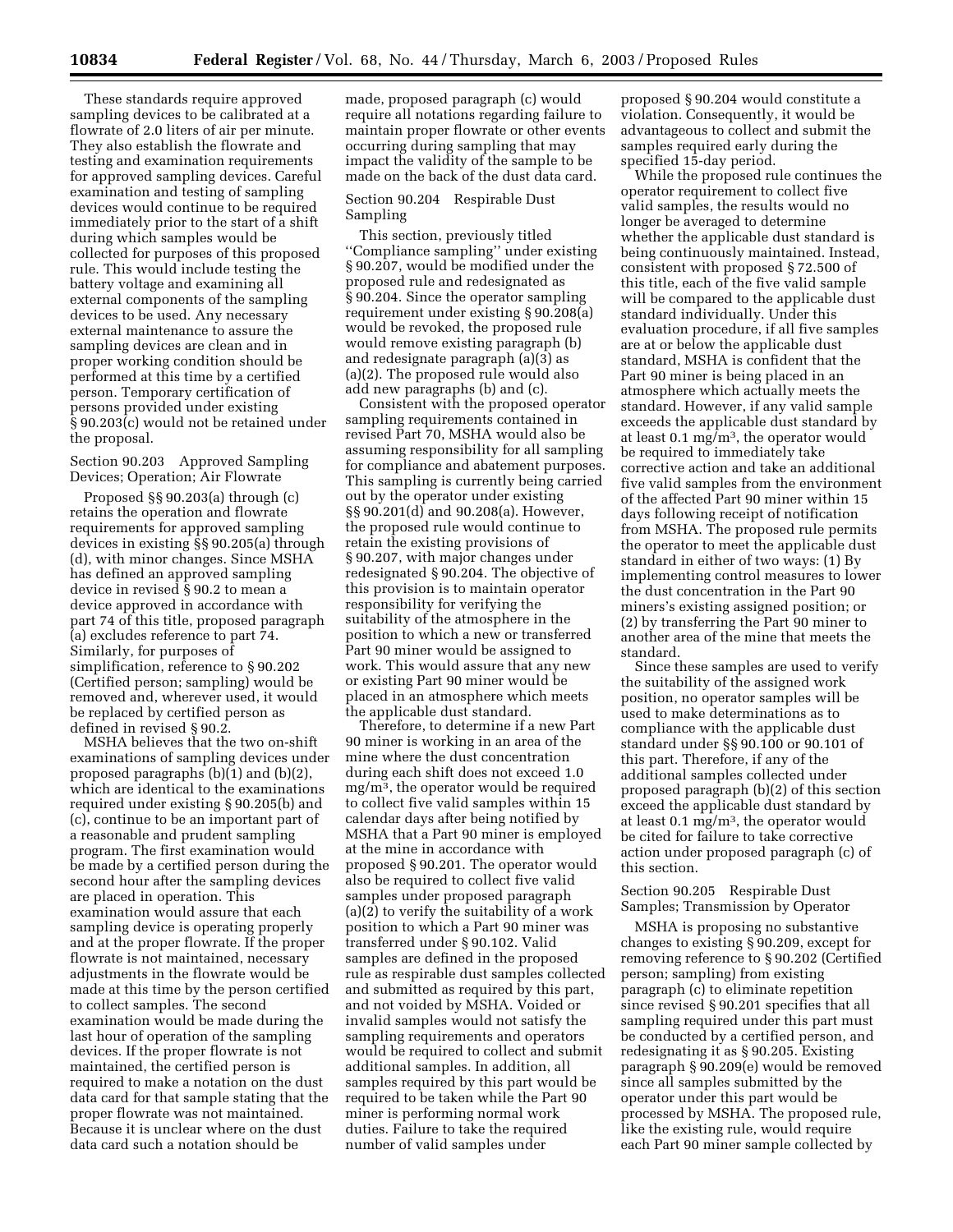These standards require approved sampling devices to be calibrated at a flowrate of 2.0 liters of air per minute. They also establish the flowrate and testing and examination requirements for approved sampling devices. Careful examination and testing of sampling devices would continue to be required immediately prior to the start of a shift during which samples would be collected for purposes of this proposed rule. This would include testing the battery voltage and examining all external components of the sampling devices to be used. Any necessary external maintenance to assure the sampling devices are clean and in proper working condition should be performed at this time by a certified person. Temporary certification of persons provided under existing § 90.203(c) would not be retained under the proposal.

# Section 90.203 Approved Sampling Devices; Operation; Air Flowrate

Proposed §§ 90.203(a) through (c) retains the operation and flowrate requirements for approved sampling devices in existing §§ 90.205(a) through (d), with minor changes. Since MSHA has defined an approved sampling device in revised § 90.2 to mean a device approved in accordance with part 74 of this title, proposed paragraph (a) excludes reference to part 74. Similarly, for purposes of simplification, reference to § 90.202 (Certified person; sampling) would be removed and, wherever used, it would be replaced by certified person as defined in revised § 90.2.

MSHA believes that the two on-shift examinations of sampling devices under proposed paragraphs (b)(1) and (b)(2), which are identical to the examinations required under existing § 90.205(b) and (c), continue to be an important part of a reasonable and prudent sampling program. The first examination would be made by a certified person during the second hour after the sampling devices are placed in operation. This examination would assure that each sampling device is operating properly and at the proper flowrate. If the proper flowrate is not maintained, necessary adjustments in the flowrate would be made at this time by the person certified to collect samples. The second examination would be made during the last hour of operation of the sampling devices. If the proper flowrate is not maintained, the certified person is required to make a notation on the dust data card for that sample stating that the proper flowrate was not maintained. Because it is unclear where on the dust data card such a notation should be

made, proposed paragraph (c) would require all notations regarding failure to maintain proper flowrate or other events occurring during sampling that may impact the validity of the sample to be made on the back of the dust data card.

### Section 90.204 Respirable Dust Sampling

This section, previously titled ''Compliance sampling'' under existing § 90.207, would be modified under the proposed rule and redesignated as § 90.204. Since the operator sampling requirement under existing § 90.208(a) would be revoked, the proposed rule would remove existing paragraph (b) and redesignate paragraph (a)(3) as (a)(2). The proposed rule would also add new paragraphs (b) and (c).

Consistent with the proposed operator sampling requirements contained in revised Part 70, MSHA would also be assuming responsibility for all sampling for compliance and abatement purposes. This sampling is currently being carried out by the operator under existing §§ 90.201(d) and 90.208(a). However, the proposed rule would continue to retain the existing provisions of § 90.207, with major changes under redesignated § 90.204. The objective of this provision is to maintain operator responsibility for verifying the suitability of the atmosphere in the position to which a new or transferred Part 90 miner would be assigned to work. This would assure that any new or existing Part 90 miner would be placed in an atmosphere which meets the applicable dust standard.

Therefore, to determine if a new Part 90 miner is working in an area of the mine where the dust concentration during each shift does not exceed 1.0 mg/m3, the operator would be required to collect five valid samples within 15 calendar days after being notified by MSHA that a Part 90 miner is employed at the mine in accordance with proposed § 90.201. The operator would also be required to collect five valid samples under proposed paragraph (a)(2) to verify the suitability of a work position to which a Part 90 miner was transferred under § 90.102. Valid samples are defined in the proposed rule as respirable dust samples collected and submitted as required by this part, and not voided by MSHA. Voided or invalid samples would not satisfy the sampling requirements and operators would be required to collect and submit additional samples. In addition, all samples required by this part would be required to be taken while the Part 90 miner is performing normal work duties. Failure to take the required number of valid samples under

proposed § 90.204 would constitute a violation. Consequently, it would be advantageous to collect and submit the samples required early during the specified 15-day period.

While the proposed rule continues the operator requirement to collect five valid samples, the results would no longer be averaged to determine whether the applicable dust standard is being continuously maintained. Instead, consistent with proposed § 72.500 of this title, each of the five valid sample will be compared to the applicable dust standard individually. Under this evaluation procedure, if all five samples are at or below the applicable dust standard, MSHA is confident that the Part 90 miner is being placed in an atmosphere which actually meets the standard. However, if any valid sample exceeds the applicable dust standard by at least 0.1 mg/m3, the operator would be required to immediately take corrective action and take an additional five valid samples from the environment of the affected Part 90 miner within 15 days following receipt of notification from MSHA. The proposed rule permits the operator to meet the applicable dust standard in either of two ways: (1) By implementing control measures to lower the dust concentration in the Part 90 miners's existing assigned position; or (2) by transferring the Part 90 miner to another area of the mine that meets the standard.

Since these samples are used to verify the suitability of the assigned work position, no operator samples will be used to make determinations as to compliance with the applicable dust standard under §§ 90.100 or 90.101 of this part. Therefore, if any of the additional samples collected under proposed paragraph (b)(2) of this section exceed the applicable dust standard by at least 0.1 mg/m3, the operator would be cited for failure to take corrective action under proposed paragraph (c) of this section.

# Section 90.205 Respirable Dust Samples; Transmission by Operator

MSHA is proposing no substantive changes to existing § 90.209, except for removing reference to § 90.202 (Certified person; sampling) from existing paragraph (c) to eliminate repetition since revised § 90.201 specifies that all sampling required under this part must be conducted by a certified person, and redesignating it as § 90.205. Existing paragraph § 90.209(e) would be removed since all samples submitted by the operator under this part would be processed by MSHA. The proposed rule, like the existing rule, would require each Part 90 miner sample collected by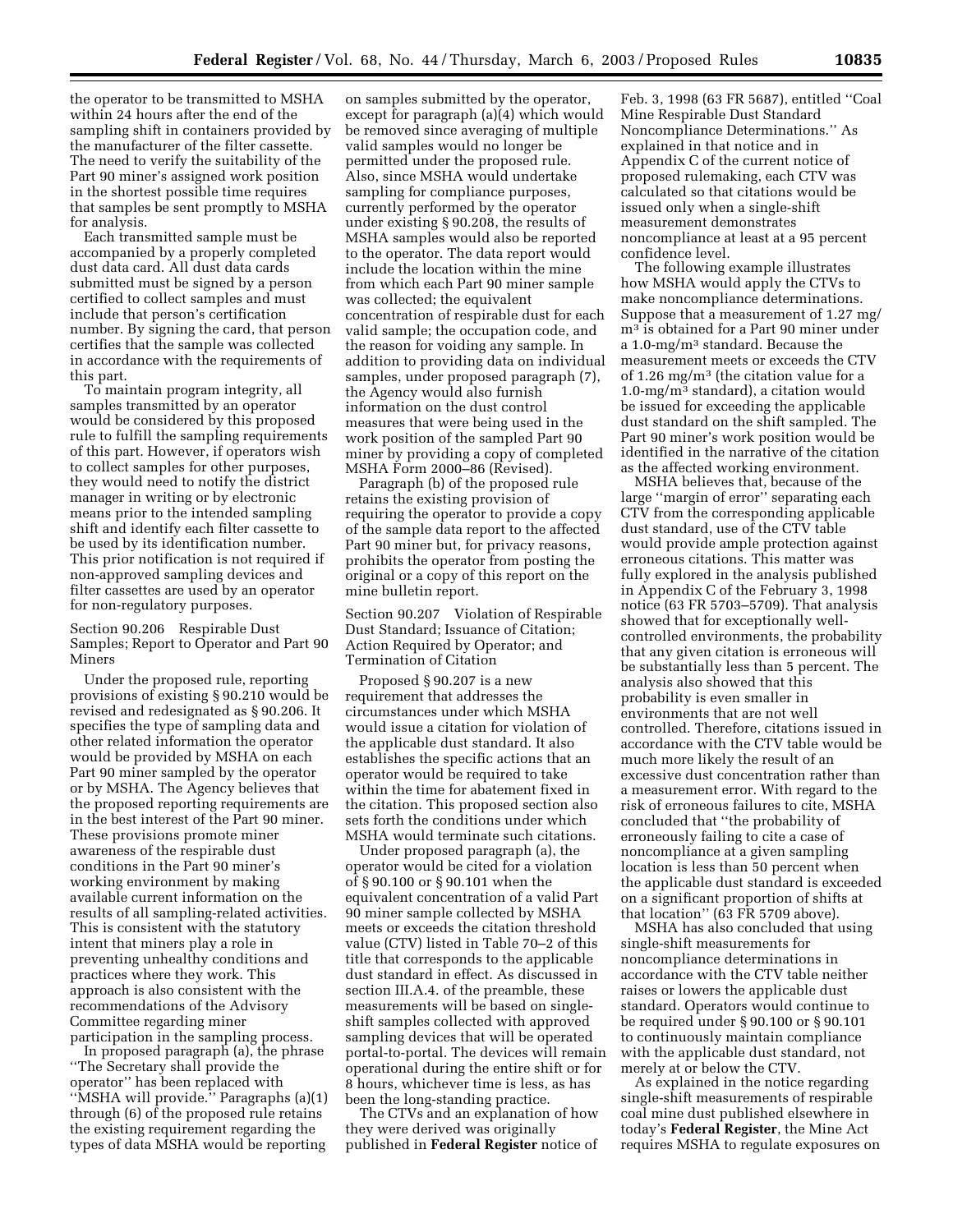the operator to be transmitted to MSHA within 24 hours after the end of the sampling shift in containers provided by the manufacturer of the filter cassette. The need to verify the suitability of the Part 90 miner's assigned work position in the shortest possible time requires that samples be sent promptly to MSHA for analysis.

Each transmitted sample must be accompanied by a properly completed dust data card. All dust data cards submitted must be signed by a person certified to collect samples and must include that person's certification number. By signing the card, that person certifies that the sample was collected in accordance with the requirements of this part.

To maintain program integrity, all samples transmitted by an operator would be considered by this proposed rule to fulfill the sampling requirements of this part. However, if operators wish to collect samples for other purposes, they would need to notify the district manager in writing or by electronic means prior to the intended sampling shift and identify each filter cassette to be used by its identification number. This prior notification is not required if non-approved sampling devices and filter cassettes are used by an operator for non-regulatory purposes.

Section 90.206 Respirable Dust Samples; Report to Operator and Part 90 Miners

Under the proposed rule, reporting provisions of existing § 90.210 would be revised and redesignated as § 90.206. It specifies the type of sampling data and other related information the operator would be provided by MSHA on each Part 90 miner sampled by the operator or by MSHA. The Agency believes that the proposed reporting requirements are in the best interest of the Part 90 miner. These provisions promote miner awareness of the respirable dust conditions in the Part 90 miner's working environment by making available current information on the results of all sampling-related activities. This is consistent with the statutory intent that miners play a role in preventing unhealthy conditions and practices where they work. This approach is also consistent with the recommendations of the Advisory Committee regarding miner participation in the sampling process.

In proposed paragraph (a), the phrase ''The Secretary shall provide the operator'' has been replaced with "MSHA will provide." Paragraphs (a)(1) through (6) of the proposed rule retains the existing requirement regarding the types of data MSHA would be reporting

on samples submitted by the operator, except for paragraph (a)(4) which would be removed since averaging of multiple valid samples would no longer be permitted under the proposed rule. Also, since MSHA would undertake sampling for compliance purposes, currently performed by the operator under existing § 90.208, the results of MSHA samples would also be reported to the operator. The data report would include the location within the mine from which each Part 90 miner sample was collected; the equivalent concentration of respirable dust for each valid sample; the occupation code, and the reason for voiding any sample. In addition to providing data on individual samples, under proposed paragraph (7), the Agency would also furnish information on the dust control measures that were being used in the work position of the sampled Part 90 miner by providing a copy of completed MSHA Form 2000–86 (Revised).

Paragraph (b) of the proposed rule retains the existing provision of requiring the operator to provide a copy of the sample data report to the affected Part 90 miner but, for privacy reasons, prohibits the operator from posting the original or a copy of this report on the mine bulletin report.

Section 90.207 Violation of Respirable Dust Standard; Issuance of Citation; Action Required by Operator; and Termination of Citation

Proposed § 90.207 is a new requirement that addresses the circumstances under which MSHA would issue a citation for violation of the applicable dust standard. It also establishes the specific actions that an operator would be required to take within the time for abatement fixed in the citation. This proposed section also sets forth the conditions under which MSHA would terminate such citations.

Under proposed paragraph (a), the operator would be cited for a violation of § 90.100 or § 90.101 when the equivalent concentration of a valid Part 90 miner sample collected by MSHA meets or exceeds the citation threshold value (CTV) listed in Table 70–2 of this title that corresponds to the applicable dust standard in effect. As discussed in section III.A.4. of the preamble, these measurements will be based on singleshift samples collected with approved sampling devices that will be operated portal-to-portal. The devices will remain operational during the entire shift or for 8 hours, whichever time is less, as has been the long-standing practice.

The CTVs and an explanation of how they were derived was originally published in **Federal Register** notice of

Feb. 3, 1998 (63 FR 5687), entitled ''Coal Mine Respirable Dust Standard Noncompliance Determinations.'' As explained in that notice and in Appendix C of the current notice of proposed rulemaking, each CTV was calculated so that citations would be issued only when a single-shift measurement demonstrates noncompliance at least at a 95 percent confidence level.

The following example illustrates how MSHA would apply the CTVs to make noncompliance determinations. Suppose that a measurement of 1.27 mg/ m3 is obtained for a Part 90 miner under a 1.0-mg/m3 standard. Because the measurement meets or exceeds the CTV of 1.26 mg/m3 (the citation value for a 1.0-mg/m3 standard), a citation would be issued for exceeding the applicable dust standard on the shift sampled. The Part 90 miner's work position would be identified in the narrative of the citation as the affected working environment.

MSHA believes that, because of the large ''margin of error'' separating each CTV from the corresponding applicable dust standard, use of the CTV table would provide ample protection against erroneous citations. This matter was fully explored in the analysis published in Appendix C of the February 3, 1998 notice (63 FR 5703–5709). That analysis showed that for exceptionally wellcontrolled environments, the probability that any given citation is erroneous will be substantially less than 5 percent. The analysis also showed that this probability is even smaller in environments that are not well controlled. Therefore, citations issued in accordance with the CTV table would be much more likely the result of an excessive dust concentration rather than a measurement error. With regard to the risk of erroneous failures to cite, MSHA concluded that ''the probability of erroneously failing to cite a case of noncompliance at a given sampling location is less than 50 percent when the applicable dust standard is exceeded on a significant proportion of shifts at that location'' (63 FR 5709 above).

MSHA has also concluded that using single-shift measurements for noncompliance determinations in accordance with the CTV table neither raises or lowers the applicable dust standard. Operators would continue to be required under § 90.100 or § 90.101 to continuously maintain compliance with the applicable dust standard, not merely at or below the CTV.

As explained in the notice regarding single-shift measurements of respirable coal mine dust published elsewhere in today's **Federal Register**, the Mine Act requires MSHA to regulate exposures on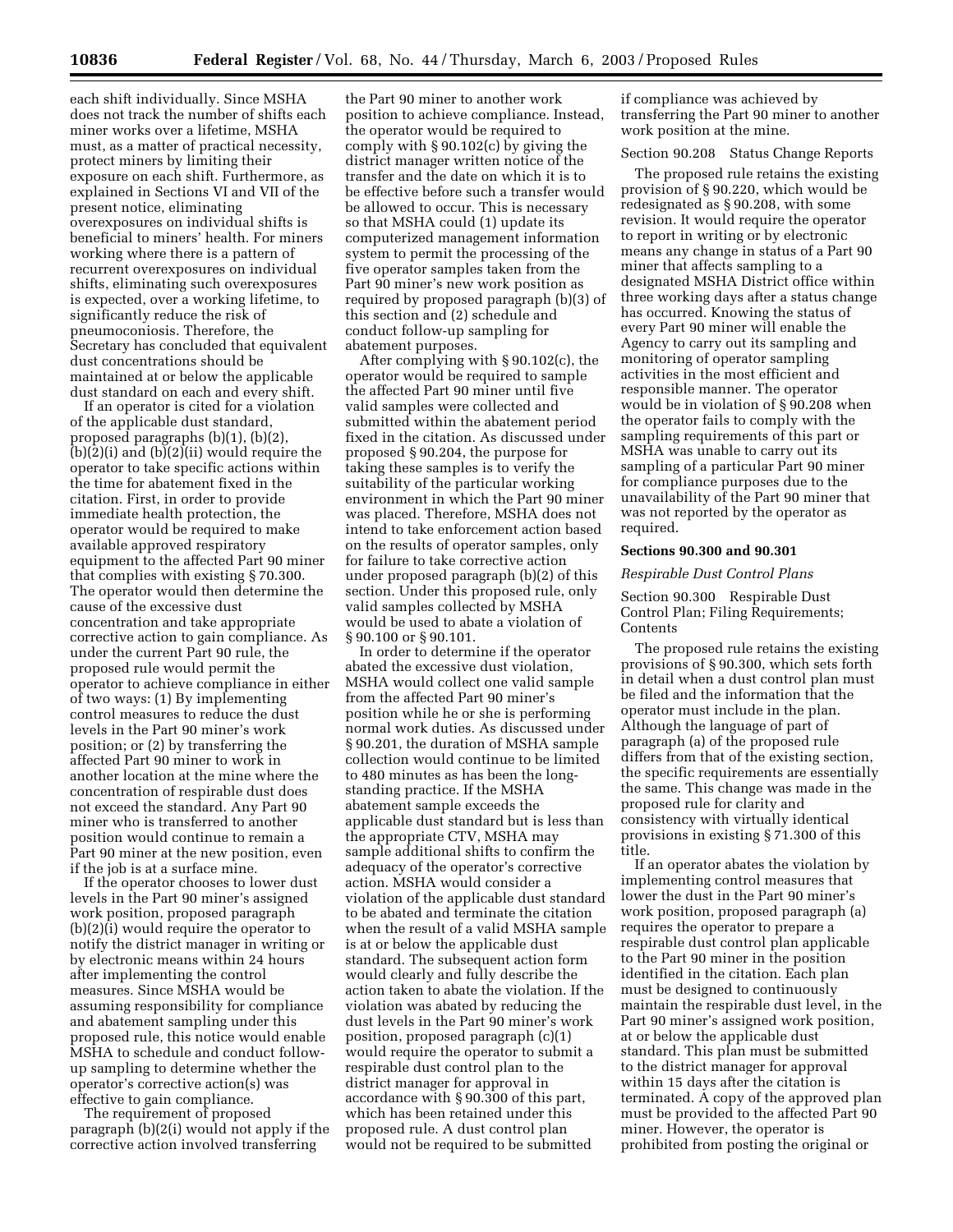each shift individually. Since MSHA does not track the number of shifts each miner works over a lifetime, MSHA must, as a matter of practical necessity, protect miners by limiting their exposure on each shift. Furthermore, as explained in Sections VI and VII of the present notice, eliminating overexposures on individual shifts is beneficial to miners' health. For miners working where there is a pattern of recurrent overexposures on individual shifts, eliminating such overexposures is expected, over a working lifetime, to significantly reduce the risk of pneumoconiosis. Therefore, the Secretary has concluded that equivalent dust concentrations should be maintained at or below the applicable dust standard on each and every shift.

If an operator is cited for a violation of the applicable dust standard, proposed paragraphs (b)(1), (b)(2), (b)(2)(i) and (b)(2)(ii) would require the operator to take specific actions within the time for abatement fixed in the citation. First, in order to provide immediate health protection, the operator would be required to make available approved respiratory equipment to the affected Part 90 miner that complies with existing § 70.300. The operator would then determine the cause of the excessive dust concentration and take appropriate corrective action to gain compliance. As under the current Part 90 rule, the proposed rule would permit the operator to achieve compliance in either of two ways: (1) By implementing control measures to reduce the dust levels in the Part 90 miner's work position; or (2) by transferring the affected Part 90 miner to work in another location at the mine where the concentration of respirable dust does not exceed the standard. Any Part 90 miner who is transferred to another position would continue to remain a Part 90 miner at the new position, even if the job is at a surface mine.

If the operator chooses to lower dust levels in the Part 90 miner's assigned work position, proposed paragraph (b)(2)(i) would require the operator to notify the district manager in writing or by electronic means within 24 hours after implementing the control measures. Since MSHA would be assuming responsibility for compliance and abatement sampling under this proposed rule, this notice would enable MSHA to schedule and conduct followup sampling to determine whether the operator's corrective action(s) was effective to gain compliance.

The requirement of proposed paragraph (b)(2(i) would not apply if the corrective action involved transferring

the Part 90 miner to another work position to achieve compliance. Instead, the operator would be required to comply with § 90.102(c) by giving the district manager written notice of the transfer and the date on which it is to be effective before such a transfer would be allowed to occur. This is necessary so that MSHA could (1) update its computerized management information system to permit the processing of the five operator samples taken from the Part 90 miner's new work position as required by proposed paragraph (b)(3) of this section and (2) schedule and conduct follow-up sampling for abatement purposes.

After complying with § 90.102(c), the operator would be required to sample the affected Part 90 miner until five valid samples were collected and submitted within the abatement period fixed in the citation. As discussed under proposed § 90.204, the purpose for taking these samples is to verify the suitability of the particular working environment in which the Part 90 miner was placed. Therefore, MSHA does not intend to take enforcement action based on the results of operator samples, only for failure to take corrective action under proposed paragraph (b)(2) of this section. Under this proposed rule, only valid samples collected by MSHA would be used to abate a violation of § 90.100 or § 90.101.

In order to determine if the operator abated the excessive dust violation, MSHA would collect one valid sample from the affected Part 90 miner's position while he or she is performing normal work duties. As discussed under § 90.201, the duration of MSHA sample collection would continue to be limited to 480 minutes as has been the longstanding practice. If the MSHA abatement sample exceeds the applicable dust standard but is less than the appropriate CTV, MSHA may sample additional shifts to confirm the adequacy of the operator's corrective action. MSHA would consider a violation of the applicable dust standard to be abated and terminate the citation when the result of a valid MSHA sample is at or below the applicable dust standard. The subsequent action form would clearly and fully describe the action taken to abate the violation. If the violation was abated by reducing the dust levels in the Part 90 miner's work position, proposed paragraph (c)(1) would require the operator to submit a respirable dust control plan to the district manager for approval in accordance with § 90.300 of this part, which has been retained under this proposed rule. A dust control plan would not be required to be submitted

if compliance was achieved by transferring the Part 90 miner to another work position at the mine.

Section 90.208 Status Change Reports

The proposed rule retains the existing provision of § 90.220, which would be redesignated as § 90.208, with some revision. It would require the operator to report in writing or by electronic means any change in status of a Part 90 miner that affects sampling to a designated MSHA District office within three working days after a status change has occurred. Knowing the status of every Part 90 miner will enable the Agency to carry out its sampling and monitoring of operator sampling activities in the most efficient and responsible manner. The operator would be in violation of § 90.208 when the operator fails to comply with the sampling requirements of this part or MSHA was unable to carry out its sampling of a particular Part 90 miner for compliance purposes due to the unavailability of the Part 90 miner that was not reported by the operator as required.

#### **Sections 90.300 and 90.301**

## *Respirable Dust Control Plans*

Section 90.300 Respirable Dust Control Plan; Filing Requirements; **Contents** 

The proposed rule retains the existing provisions of § 90.300, which sets forth in detail when a dust control plan must be filed and the information that the operator must include in the plan. Although the language of part of paragraph (a) of the proposed rule differs from that of the existing section, the specific requirements are essentially the same. This change was made in the proposed rule for clarity and consistency with virtually identical provisions in existing § 71.300 of this title.

If an operator abates the violation by implementing control measures that lower the dust in the Part 90 miner's work position, proposed paragraph (a) requires the operator to prepare a respirable dust control plan applicable to the Part 90 miner in the position identified in the citation. Each plan must be designed to continuously maintain the respirable dust level, in the Part 90 miner's assigned work position, at or below the applicable dust standard. This plan must be submitted to the district manager for approval within 15 days after the citation is terminated. A copy of the approved plan must be provided to the affected Part 90 miner. However, the operator is prohibited from posting the original or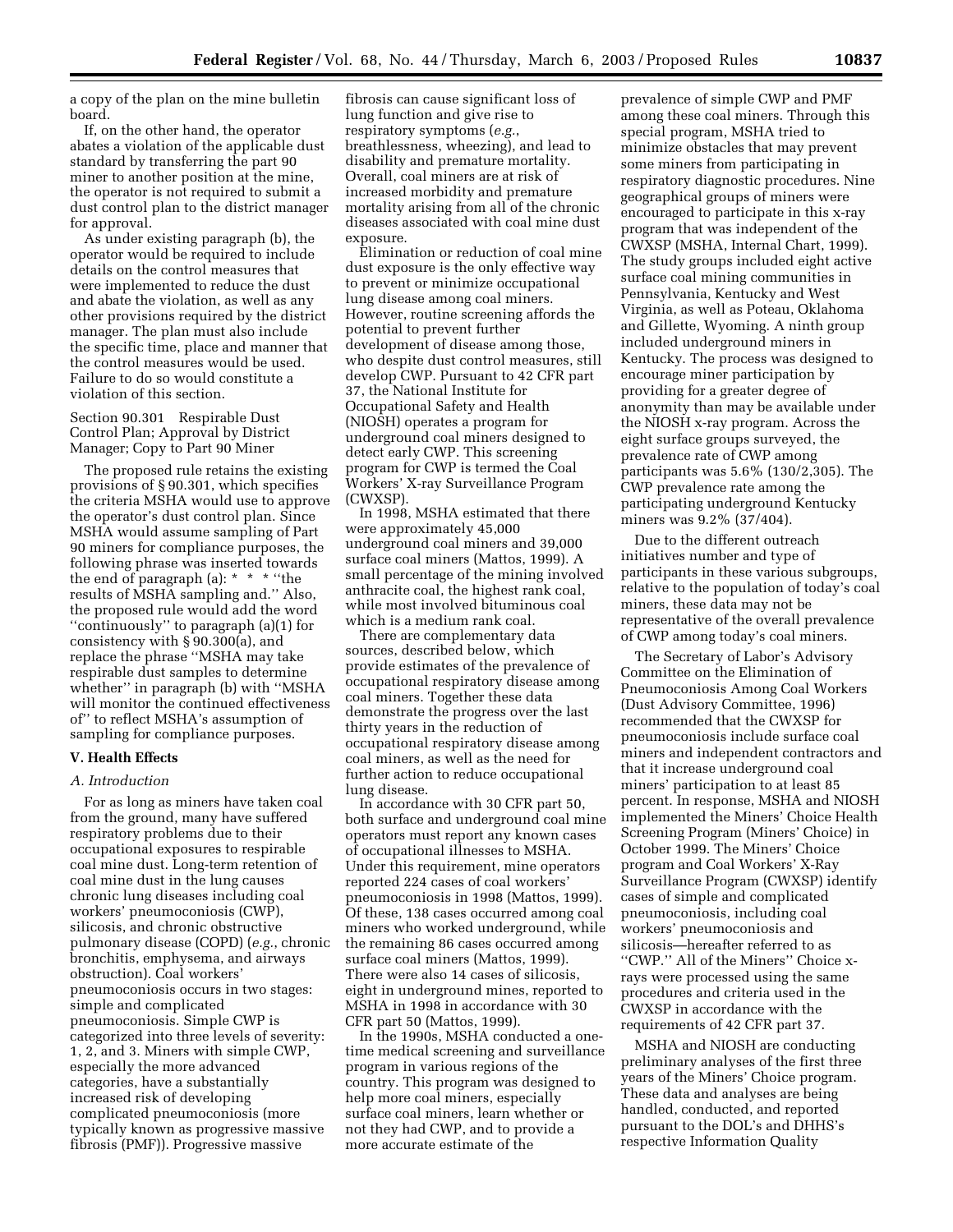a copy of the plan on the mine bulletin board.

If, on the other hand, the operator abates a violation of the applicable dust standard by transferring the part 90 miner to another position at the mine, the operator is not required to submit a dust control plan to the district manager for approval.

As under existing paragraph (b), the operator would be required to include details on the control measures that were implemented to reduce the dust and abate the violation, as well as any other provisions required by the district manager. The plan must also include the specific time, place and manner that the control measures would be used. Failure to do so would constitute a violation of this section.

Section 90.301 Respirable Dust Control Plan; Approval by District Manager; Copy to Part 90 Miner

The proposed rule retains the existing provisions of § 90.301, which specifies the criteria MSHA would use to approve the operator's dust control plan. Since MSHA would assume sampling of Part 90 miners for compliance purposes, the following phrase was inserted towards the end of paragraph (a): \* \* \* ''the results of MSHA sampling and.'' Also, the proposed rule would add the word ''continuously'' to paragraph (a)(1) for consistency with § 90.300(a), and replace the phrase ''MSHA may take respirable dust samples to determine whether'' in paragraph (b) with ''MSHA will monitor the continued effectiveness of'' to reflect MSHA's assumption of sampling for compliance purposes.

### **V. Health Effects**

#### *A. Introduction*

For as long as miners have taken coal from the ground, many have suffered respiratory problems due to their occupational exposures to respirable coal mine dust. Long-term retention of coal mine dust in the lung causes chronic lung diseases including coal workers' pneumoconiosis (CWP), silicosis, and chronic obstructive pulmonary disease (COPD) (*e.g.*, chronic bronchitis, emphysema, and airways obstruction). Coal workers' pneumoconiosis occurs in two stages: simple and complicated pneumoconiosis. Simple CWP is categorized into three levels of severity: 1, 2, and 3. Miners with simple CWP, especially the more advanced categories, have a substantially increased risk of developing complicated pneumoconiosis (more typically known as progressive massive fibrosis (PMF)). Progressive massive

fibrosis can cause significant loss of lung function and give rise to respiratory symptoms (*e.g.*, breathlessness, wheezing), and lead to disability and premature mortality. Overall, coal miners are at risk of increased morbidity and premature mortality arising from all of the chronic diseases associated with coal mine dust exposure.

Elimination or reduction of coal mine dust exposure is the only effective way to prevent or minimize occupational lung disease among coal miners. However, routine screening affords the potential to prevent further development of disease among those, who despite dust control measures, still develop CWP. Pursuant to 42 CFR part 37, the National Institute for Occupational Safety and Health (NIOSH) operates a program for underground coal miners designed to detect early CWP. This screening program for CWP is termed the Coal Workers' X-ray Surveillance Program (CWXSP).

In 1998, MSHA estimated that there were approximately 45,000 underground coal miners and 39,000 surface coal miners (Mattos, 1999). A small percentage of the mining involved anthracite coal, the highest rank coal, while most involved bituminous coal which is a medium rank coal.

There are complementary data sources, described below, which provide estimates of the prevalence of occupational respiratory disease among coal miners. Together these data demonstrate the progress over the last thirty years in the reduction of occupational respiratory disease among coal miners, as well as the need for further action to reduce occupational lung disease.

In accordance with 30 CFR part 50, both surface and underground coal mine operators must report any known cases of occupational illnesses to MSHA. Under this requirement, mine operators reported 224 cases of coal workers' pneumoconiosis in 1998 (Mattos, 1999). Of these, 138 cases occurred among coal miners who worked underground, while the remaining 86 cases occurred among surface coal miners (Mattos, 1999). There were also 14 cases of silicosis, eight in underground mines, reported to MSHA in 1998 in accordance with 30 CFR part 50 (Mattos, 1999).

In the 1990s, MSHA conducted a onetime medical screening and surveillance program in various regions of the country. This program was designed to help more coal miners, especially surface coal miners, learn whether or not they had CWP, and to provide a more accurate estimate of the

prevalence of simple CWP and PMF among these coal miners. Through this special program, MSHA tried to minimize obstacles that may prevent some miners from participating in respiratory diagnostic procedures. Nine geographical groups of miners were encouraged to participate in this x-ray program that was independent of the CWXSP (MSHA, Internal Chart, 1999). The study groups included eight active surface coal mining communities in Pennsylvania, Kentucky and West Virginia, as well as Poteau, Oklahoma and Gillette, Wyoming. A ninth group included underground miners in Kentucky. The process was designed to encourage miner participation by providing for a greater degree of anonymity than may be available under the NIOSH x-ray program. Across the eight surface groups surveyed, the prevalence rate of CWP among participants was 5.6% (130/2,305). The CWP prevalence rate among the participating underground Kentucky miners was 9.2% (37/404).

Due to the different outreach initiatives number and type of participants in these various subgroups, relative to the population of today's coal miners, these data may not be representative of the overall prevalence of CWP among today's coal miners.

The Secretary of Labor's Advisory Committee on the Elimination of Pneumoconiosis Among Coal Workers (Dust Advisory Committee, 1996) recommended that the CWXSP for pneumoconiosis include surface coal miners and independent contractors and that it increase underground coal miners' participation to at least 85 percent. In response, MSHA and NIOSH implemented the Miners' Choice Health Screening Program (Miners' Choice) in October 1999. The Miners' Choice program and Coal Workers' X-Ray Surveillance Program (CWXSP) identify cases of simple and complicated pneumoconiosis, including coal workers' pneumoconiosis and silicosis—hereafter referred to as ''CWP.'' All of the Miners'' Choice xrays were processed using the same procedures and criteria used in the CWXSP in accordance with the requirements of 42 CFR part 37.

MSHA and NIOSH are conducting preliminary analyses of the first three years of the Miners' Choice program. These data and analyses are being handled, conducted, and reported pursuant to the DOL's and DHHS's respective Information Quality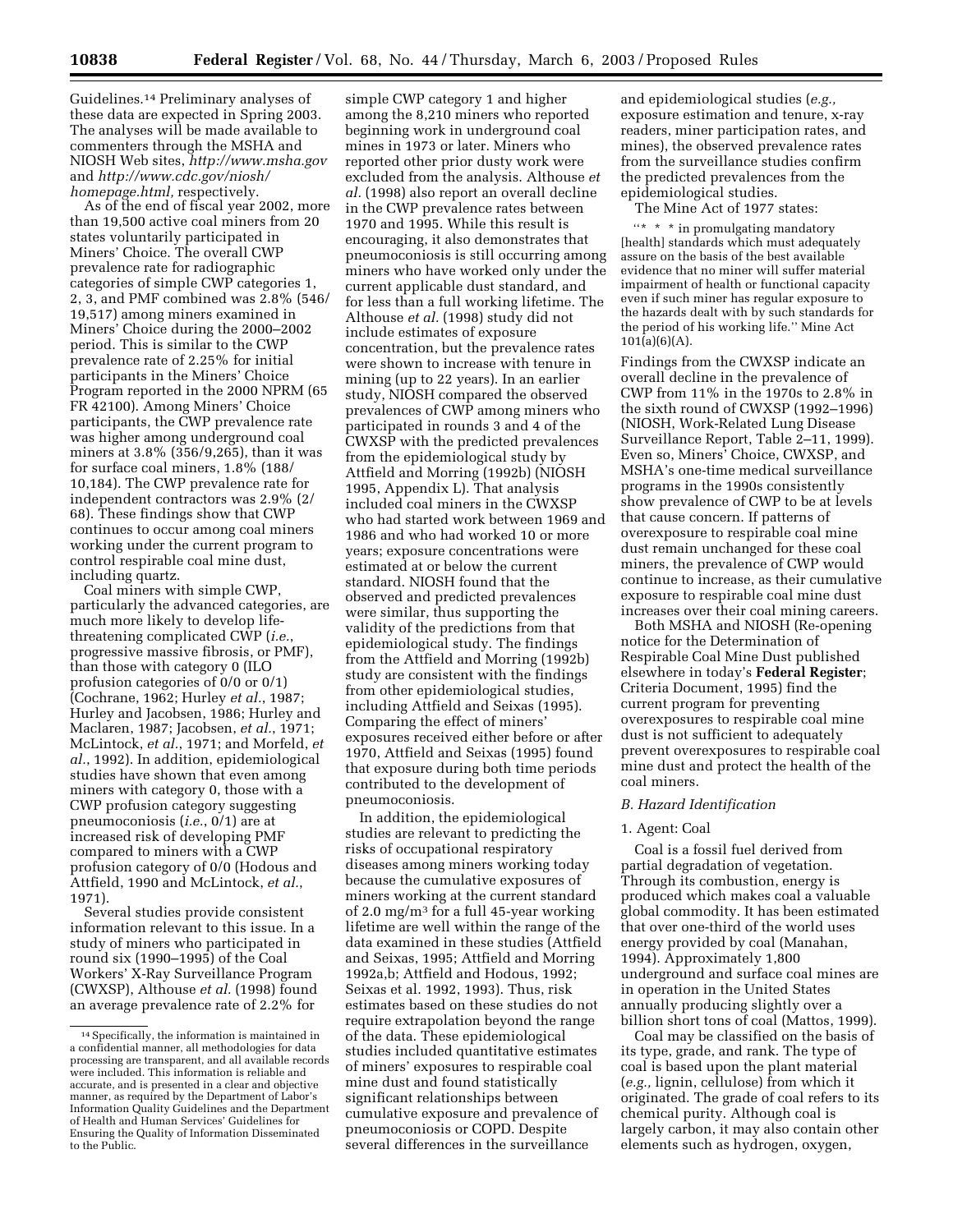Guidelines.14 Preliminary analyses of these data are expected in Spring 2003. The analyses will be made available to commenters through the MSHA and NIOSH Web sites, *http://www.msha.gov* and *http://www.cdc.gov/niosh/ homepage.html,* respectively.

As of the end of fiscal year 2002, more than 19,500 active coal miners from 20 states voluntarily participated in Miners' Choice. The overall CWP prevalence rate for radiographic categories of simple CWP categories 1, 2, 3, and PMF combined was 2.8% (546/ 19,517) among miners examined in Miners' Choice during the 2000–2002 period. This is similar to the CWP prevalence rate of 2.25% for initial participants in the Miners' Choice Program reported in the 2000 NPRM (65 FR 42100). Among Miners' Choice participants, the CWP prevalence rate was higher among underground coal miners at 3.8% (356/9,265), than it was for surface coal miners, 1.8% (188/ 10,184). The CWP prevalence rate for independent contractors was 2.9% (2/ 68). These findings show that CWP continues to occur among coal miners working under the current program to control respirable coal mine dust, including quartz.

Coal miners with simple CWP, particularly the advanced categories, are much more likely to develop lifethreatening complicated CWP (*i.e.*, progressive massive fibrosis, or PMF), than those with category 0 (ILO profusion categories of 0/0 or 0/1) (Cochrane, 1962; Hurley *et al.*, 1987; Hurley and Jacobsen, 1986; Hurley and Maclaren, 1987; Jacobsen, *et al.*, 1971; McLintock, *et al.*, 1971; and Morfeld, *et al.*, 1992). In addition, epidemiological studies have shown that even among miners with category 0, those with a CWP profusion category suggesting pneumoconiosis (*i.e.*, 0/1) are at increased risk of developing PMF compared to miners with a CWP profusion category of 0/0 (Hodous and Attfield, 1990 and McLintock, *et al.*, 1971).

Several studies provide consistent information relevant to this issue. In a study of miners who participated in round six (1990–1995) of the Coal Workers' X-Ray Surveillance Program (CWXSP), Althouse *et al.* (1998) found an average prevalence rate of 2.2% for

simple CWP category 1 and higher among the 8,210 miners who reported beginning work in underground coal mines in 1973 or later. Miners who reported other prior dusty work were excluded from the analysis. Althouse *et al.* (1998) also report an overall decline in the CWP prevalence rates between 1970 and 1995. While this result is encouraging, it also demonstrates that pneumoconiosis is still occurring among miners who have worked only under the current applicable dust standard, and for less than a full working lifetime. The Althouse *et al.* (1998) study did not include estimates of exposure concentration, but the prevalence rates were shown to increase with tenure in mining (up to 22 years). In an earlier study, NIOSH compared the observed prevalences of CWP among miners who participated in rounds 3 and 4 of the CWXSP with the predicted prevalences from the epidemiological study by Attfield and Morring (1992b) (NIOSH 1995, Appendix L). That analysis included coal miners in the CWXSP who had started work between 1969 and 1986 and who had worked 10 or more years; exposure concentrations were estimated at or below the current standard. NIOSH found that the observed and predicted prevalences were similar, thus supporting the validity of the predictions from that epidemiological study. The findings from the Attfield and Morring (1992b) study are consistent with the findings from other epidemiological studies, including Attfield and Seixas (1995). Comparing the effect of miners' exposures received either before or after 1970, Attfield and Seixas (1995) found that exposure during both time periods contributed to the development of pneumoconiosis.

In addition, the epidemiological studies are relevant to predicting the risks of occupational respiratory diseases among miners working today because the cumulative exposures of miners working at the current standard of 2.0 mg/m3 for a full 45-year working lifetime are well within the range of the data examined in these studies (Attfield and Seixas, 1995; Attfield and Morring 1992a,b; Attfield and Hodous, 1992; Seixas et al. 1992, 1993). Thus, risk estimates based on these studies do not require extrapolation beyond the range of the data. These epidemiological studies included quantitative estimates of miners' exposures to respirable coal mine dust and found statistically significant relationships between cumulative exposure and prevalence of pneumoconiosis or COPD. Despite several differences in the surveillance

and epidemiological studies (*e.g.,* exposure estimation and tenure, x-ray readers, miner participation rates, and mines), the observed prevalence rates from the surveillance studies confirm the predicted prevalences from the epidemiological studies.

The Mine Act of 1977 states:

 $\lq{**}$   $\ast$  in promulgating mandatory [health] standards which must adequately assure on the basis of the best available evidence that no miner will suffer material impairment of health or functional capacity even if such miner has regular exposure to the hazards dealt with by such standards for the period of his working life.'' Mine Act 101(a)(6)(A).

Findings from the CWXSP indicate an overall decline in the prevalence of CWP from 11% in the 1970s to 2.8% in the sixth round of CWXSP (1992–1996) (NIOSH, Work-Related Lung Disease Surveillance Report, Table 2–11, 1999). Even so, Miners' Choice, CWXSP, and MSHA's one-time medical surveillance programs in the 1990s consistently show prevalence of CWP to be at levels that cause concern. If patterns of overexposure to respirable coal mine dust remain unchanged for these coal miners, the prevalence of CWP would continue to increase, as their cumulative exposure to respirable coal mine dust increases over their coal mining careers.

Both MSHA and NIOSH (Re-opening notice for the Determination of Respirable Coal Mine Dust published elsewhere in today's **Federal Register**; Criteria Document, 1995) find the current program for preventing overexposures to respirable coal mine dust is not sufficient to adequately prevent overexposures to respirable coal mine dust and protect the health of the coal miners.

#### *B. Hazard Identification*

### 1. Agent: Coal

Coal is a fossil fuel derived from partial degradation of vegetation. Through its combustion, energy is produced which makes coal a valuable global commodity. It has been estimated that over one-third of the world uses energy provided by coal (Manahan, 1994). Approximately 1,800 underground and surface coal mines are in operation in the United States annually producing slightly over a billion short tons of coal (Mattos, 1999).

Coal may be classified on the basis of its type, grade, and rank. The type of coal is based upon the plant material (*e.g.,* lignin, cellulose) from which it originated. The grade of coal refers to its chemical purity. Although coal is largely carbon, it may also contain other elements such as hydrogen, oxygen,

<sup>14</sup>Specifically, the information is maintained in a confidential manner, all methodologies for data processing are transparent, and all available records were included. This information is reliable and accurate, and is presented in a clear and objective manner, as required by the Department of Labor's Information Quality Guidelines and the Department of Health and Human Services' Guidelines for Ensuring the Quality of Information Disseminated to the Public.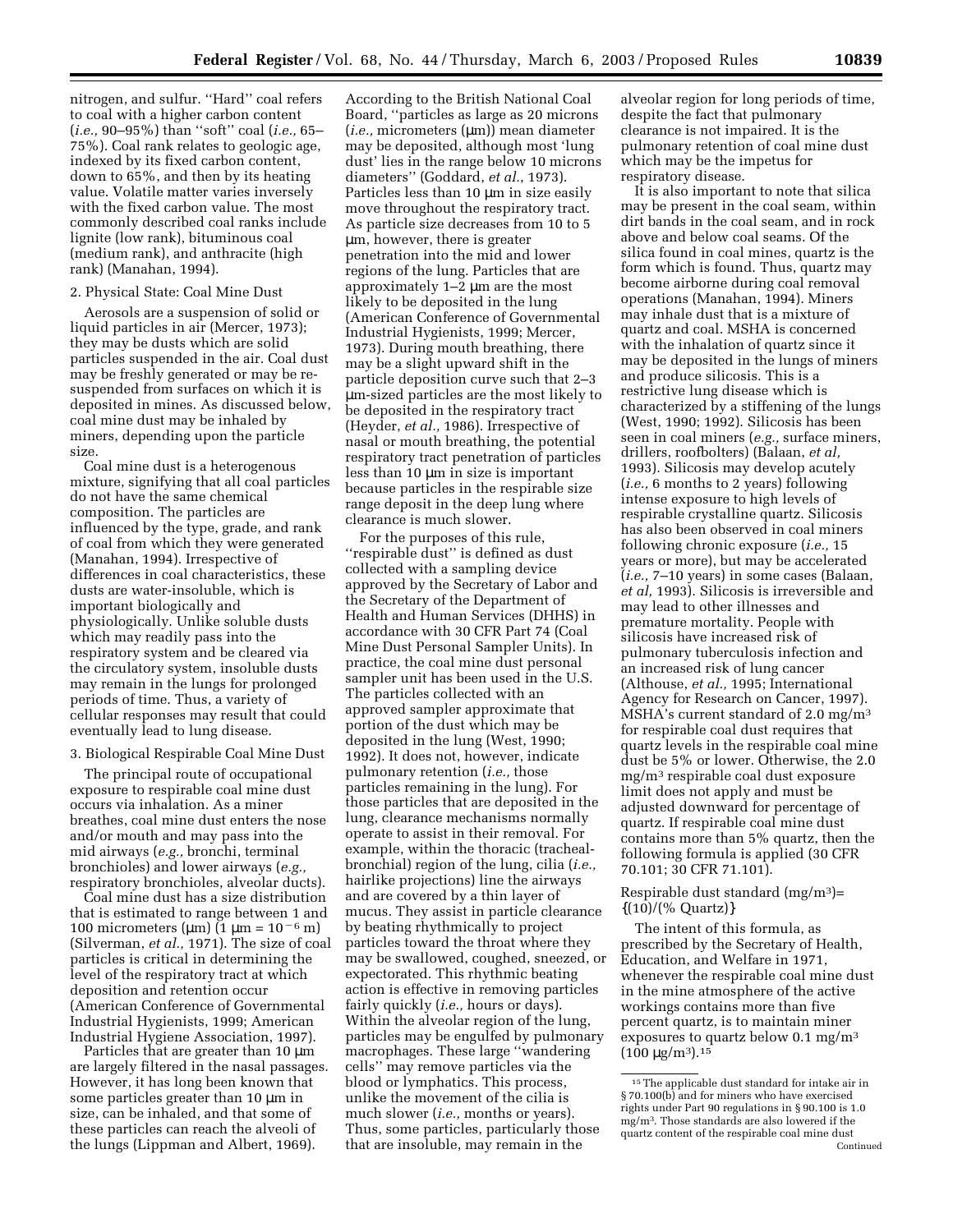nitrogen, and sulfur. ''Hard'' coal refers to coal with a higher carbon content (*i.e.,* 90–95%) than ''soft'' coal (*i.e.,* 65– 75%). Coal rank relates to geologic age, indexed by its fixed carbon content, down to 65%, and then by its heating value. Volatile matter varies inversely with the fixed carbon value. The most commonly described coal ranks include lignite (low rank), bituminous coal (medium rank), and anthracite (high rank) (Manahan, 1994).

# 2. Physical State: Coal Mine Dust

Aerosols are a suspension of solid or liquid particles in air (Mercer, 1973); they may be dusts which are solid particles suspended in the air. Coal dust may be freshly generated or may be resuspended from surfaces on which it is deposited in mines. As discussed below, coal mine dust may be inhaled by miners, depending upon the particle size.

Coal mine dust is a heterogenous mixture, signifying that all coal particles do not have the same chemical composition. The particles are influenced by the type, grade, and rank of coal from which they were generated (Manahan, 1994). Irrespective of differences in coal characteristics, these dusts are water-insoluble, which is important biologically and physiologically. Unlike soluble dusts which may readily pass into the respiratory system and be cleared via the circulatory system, insoluble dusts may remain in the lungs for prolonged periods of time. Thus, a variety of cellular responses may result that could eventually lead to lung disease.

3. Biological Respirable Coal Mine Dust

The principal route of occupational exposure to respirable coal mine dust occurs via inhalation. As a miner breathes, coal mine dust enters the nose and/or mouth and may pass into the mid airways (*e.g.,* bronchi, terminal bronchioles) and lower airways (*e.g.,* respiratory bronchioles, alveolar ducts).

Coal mine dust has a size distribution that is estimated to range between 1 and 100 micrometers (μm) (1 μm =  $10^{-6}$  m) (Silverman, *et al.,* 1971). The size of coal particles is critical in determining the level of the respiratory tract at which deposition and retention occur (American Conference of Governmental Industrial Hygienists, 1999; American Industrial Hygiene Association, 1997).

Particles that are greater than 10  $\mu$ m are largely filtered in the nasal passages. However, it has long been known that some particles greater than 10 µm in size, can be inhaled, and that some of these particles can reach the alveoli of the lungs (Lippman and Albert, 1969).

According to the British National Coal Board, ''particles as large as 20 microns (*i.e.,* micrometers (µm)) mean diameter may be deposited, although most 'lung dust' lies in the range below 10 microns diameters'' (Goddard, *et al.*, 1973). Particles less than 10 µm in size easily move throughout the respiratory tract. As particle size decreases from 10 to 5 µm, however, there is greater penetration into the mid and lower regions of the lung. Particles that are approximately 1–2 µm are the most likely to be deposited in the lung (American Conference of Governmental Industrial Hygienists, 1999; Mercer, 1973). During mouth breathing, there may be a slight upward shift in the particle deposition curve such that 2–3 µm-sized particles are the most likely to be deposited in the respiratory tract (Heyder, *et al.,* 1986). Irrespective of nasal or mouth breathing, the potential respiratory tract penetration of particles less than 10 µm in size is important because particles in the respirable size range deposit in the deep lung where clearance is much slower.

For the purposes of this rule, ''respirable dust'' is defined as dust collected with a sampling device approved by the Secretary of Labor and the Secretary of the Department of Health and Human Services (DHHS) in accordance with 30 CFR Part 74 (Coal Mine Dust Personal Sampler Units). In practice, the coal mine dust personal sampler unit has been used in the U.S. The particles collected with an approved sampler approximate that portion of the dust which may be deposited in the lung (West, 1990; 1992). It does not, however, indicate pulmonary retention (*i.e.,* those particles remaining in the lung). For those particles that are deposited in the lung, clearance mechanisms normally operate to assist in their removal. For example, within the thoracic (trachealbronchial) region of the lung, cilia (*i.e.,* hairlike projections) line the airways and are covered by a thin layer of mucus. They assist in particle clearance by beating rhythmically to project particles toward the throat where they may be swallowed, coughed, sneezed, or expectorated. This rhythmic beating action is effective in removing particles fairly quickly (*i.e.,* hours or days). Within the alveolar region of the lung, particles may be engulfed by pulmonary macrophages. These large ''wandering cells'' may remove particles via the blood or lymphatics. This process, unlike the movement of the cilia is much slower (*i.e.,* months or years). Thus, some particles, particularly those that are insoluble, may remain in the

alveolar region for long periods of time, despite the fact that pulmonary clearance is not impaired. It is the pulmonary retention of coal mine dust which may be the impetus for respiratory disease.

It is also important to note that silica may be present in the coal seam, within dirt bands in the coal seam, and in rock above and below coal seams. Of the silica found in coal mines, quartz is the form which is found. Thus, quartz may become airborne during coal removal operations (Manahan, 1994). Miners may inhale dust that is a mixture of quartz and coal. MSHA is concerned with the inhalation of quartz since it may be deposited in the lungs of miners and produce silicosis. This is a restrictive lung disease which is characterized by a stiffening of the lungs (West, 1990; 1992). Silicosis has been seen in coal miners (*e.g.,* surface miners, drillers, roofbolters) (Balaan, *et al,* 1993). Silicosis may develop acutely (*i.e.,* 6 months to 2 years) following intense exposure to high levels of respirable crystalline quartz. Silicosis has also been observed in coal miners following chronic exposure (*i.e.,* 15 years or more), but may be accelerated (*i.e.,* 7–10 years) in some cases (Balaan, *et al,* 1993). Silicosis is irreversible and may lead to other illnesses and premature mortality. People with silicosis have increased risk of pulmonary tuberculosis infection and an increased risk of lung cancer (Althouse, *et al.,* 1995; International Agency for Research on Cancer, 1997). MSHA's current standard of 2.0 mg/m<sup>3</sup> for respirable coal dust requires that quartz levels in the respirable coal mine dust be 5% or lower. Otherwise, the 2.0 mg/m3 respirable coal dust exposure limit does not apply and must be adjusted downward for percentage of quartz. If respirable coal mine dust contains more than 5% quartz, then the following formula is applied (30 CFR 70.101; 30 CFR 71.101).

Respirable dust standard  $(mg/m<sup>3</sup>)$ =  $\{(10)/(\% \text{ Quartz})\}$ 

The intent of this formula, as prescribed by the Secretary of Health, Education, and Welfare in 1971, whenever the respirable coal mine dust in the mine atmosphere of the active workings contains more than five percent quartz, is to maintain miner exposures to quartz below 0.1 mg/m3  $(100 \ \mu g/m^3).$ <sup>15</sup>

<sup>&</sup>lt;sup>15</sup>The applicable dust standard for intake air in § 70.100(b) and for miners who have exercised rights under Part 90 regulations in § 90.100 is 1.0 mg/m3. Those standards are also lowered if the quartz content of the respirable coal mine dust Continued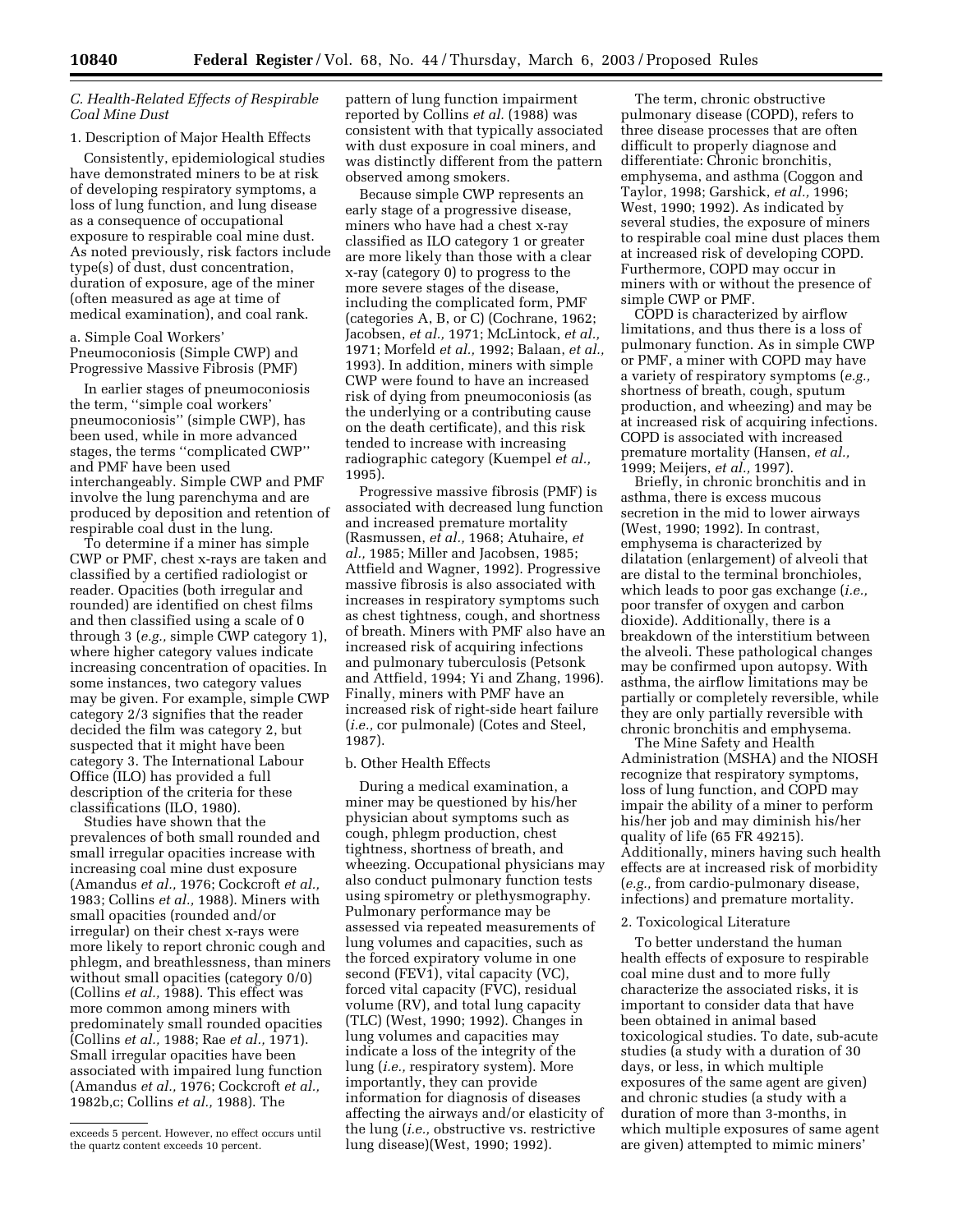# *C. Health-Related Effects of Respirable Coal Mine Dust*

#### 1. Description of Major Health Effects

Consistently, epidemiological studies have demonstrated miners to be at risk of developing respiratory symptoms, a loss of lung function, and lung disease as a consequence of occupational exposure to respirable coal mine dust. As noted previously, risk factors include type(s) of dust, dust concentration, duration of exposure, age of the miner (often measured as age at time of medical examination), and coal rank.

a. Simple Coal Workers' Pneumoconiosis (Simple CWP) and Progressive Massive Fibrosis (PMF)

In earlier stages of pneumoconiosis the term, ''simple coal workers' pneumoconiosis'' (simple CWP), has been used, while in more advanced stages, the terms ''complicated CWP'' and PMF have been used interchangeably. Simple CWP and PMF involve the lung parenchyma and are produced by deposition and retention of respirable coal dust in the lung.

To determine if a miner has simple CWP or PMF, chest x-rays are taken and classified by a certified radiologist or reader. Opacities (both irregular and rounded) are identified on chest films and then classified using a scale of 0 through 3 (*e.g.,* simple CWP category 1), where higher category values indicate increasing concentration of opacities. In some instances, two category values may be given. For example, simple CWP category 2/3 signifies that the reader decided the film was category 2, but suspected that it might have been category 3. The International Labour Office (ILO) has provided a full description of the criteria for these classifications (ILO, 1980).

Studies have shown that the prevalences of both small rounded and small irregular opacities increase with increasing coal mine dust exposure (Amandus *et al.,* 1976; Cockcroft *et al.,* 1983; Collins *et al.,* 1988). Miners with small opacities (rounded and/or irregular) on their chest x-rays were more likely to report chronic cough and phlegm, and breathlessness, than miners without small opacities (category 0/0) (Collins *et al.,* 1988). This effect was more common among miners with predominately small rounded opacities (Collins *et al.,* 1988; Rae *et al.,* 1971). Small irregular opacities have been associated with impaired lung function (Amandus *et al.,* 1976; Cockcroft *et al.,* 1982b,c; Collins *et al.,* 1988). The

pattern of lung function impairment reported by Collins *et al.* (1988) was consistent with that typically associated with dust exposure in coal miners, and was distinctly different from the pattern observed among smokers.

Because simple CWP represents an early stage of a progressive disease, miners who have had a chest x-ray classified as ILO category 1 or greater are more likely than those with a clear x-ray (category 0) to progress to the more severe stages of the disease, including the complicated form, PMF (categories A, B, or C) (Cochrane, 1962; Jacobsen, *et al.,* 1971; McLintock, *et al.,* 1971; Morfeld *et al.,* 1992; Balaan, *et al.,* 1993). In addition, miners with simple CWP were found to have an increased risk of dying from pneumoconiosis (as the underlying or a contributing cause on the death certificate), and this risk tended to increase with increasing radiographic category (Kuempel *et al.,* 1995).

Progressive massive fibrosis (PMF) is associated with decreased lung function and increased premature mortality (Rasmussen, *et al.,* 1968; Atuhaire, *et al.,* 1985; Miller and Jacobsen, 1985; Attfield and Wagner, 1992). Progressive massive fibrosis is also associated with increases in respiratory symptoms such as chest tightness, cough, and shortness of breath. Miners with PMF also have an increased risk of acquiring infections and pulmonary tuberculosis (Petsonk and Attfield, 1994; Yi and Zhang, 1996). Finally, miners with PMF have an increased risk of right-side heart failure (*i.e.,* cor pulmonale) (Cotes and Steel, 1987).

#### b. Other Health Effects

During a medical examination, a miner may be questioned by his/her physician about symptoms such as cough, phlegm production, chest tightness, shortness of breath, and wheezing. Occupational physicians may also conduct pulmonary function tests using spirometry or plethysmography. Pulmonary performance may be assessed via repeated measurements of lung volumes and capacities, such as the forced expiratory volume in one second (FEV1), vital capacity (VC), forced vital capacity (FVC), residual volume (RV), and total lung capacity (TLC) (West, 1990; 1992). Changes in lung volumes and capacities may indicate a loss of the integrity of the lung (*i.e.,* respiratory system). More importantly, they can provide information for diagnosis of diseases affecting the airways and/or elasticity of the lung (*i.e.,* obstructive vs. restrictive lung disease)(West, 1990; 1992).

The term, chronic obstructive pulmonary disease (COPD), refers to three disease processes that are often difficult to properly diagnose and differentiate: Chronic bronchitis, emphysema, and asthma (Coggon and Taylor, 1998; Garshick, *et al.,* 1996; West, 1990; 1992). As indicated by several studies, the exposure of miners to respirable coal mine dust places them at increased risk of developing COPD. Furthermore, COPD may occur in miners with or without the presence of simple CWP or PMF.

COPD is characterized by airflow limitations, and thus there is a loss of pulmonary function. As in simple CWP or PMF, a miner with COPD may have a variety of respiratory symptoms (*e.g.,* shortness of breath, cough, sputum production, and wheezing) and may be at increased risk of acquiring infections. COPD is associated with increased premature mortality (Hansen, *et al.,* 1999; Meijers, *et al.,* 1997).

Briefly, in chronic bronchitis and in asthma, there is excess mucous secretion in the mid to lower airways (West, 1990; 1992). In contrast, emphysema is characterized by dilatation (enlargement) of alveoli that are distal to the terminal bronchioles, which leads to poor gas exchange (*i.e.,* poor transfer of oxygen and carbon dioxide). Additionally, there is a breakdown of the interstitium between the alveoli. These pathological changes may be confirmed upon autopsy. With asthma, the airflow limitations may be partially or completely reversible, while they are only partially reversible with chronic bronchitis and emphysema.

The Mine Safety and Health Administration (MSHA) and the NIOSH recognize that respiratory symptoms, loss of lung function, and COPD may impair the ability of a miner to perform his/her job and may diminish his/her quality of life (65 FR 49215). Additionally, miners having such health effects are at increased risk of morbidity (*e.g.,* from cardio-pulmonary disease, infections) and premature mortality.

# 2. Toxicological Literature

To better understand the human health effects of exposure to respirable coal mine dust and to more fully characterize the associated risks, it is important to consider data that have been obtained in animal based toxicological studies. To date, sub-acute studies (a study with a duration of 30 days, or less, in which multiple exposures of the same agent are given) and chronic studies (a study with a duration of more than 3-months, in which multiple exposures of same agent are given) attempted to mimic miners'

exceeds 5 percent. However, no effect occurs until the quartz content exceeds 10 percent.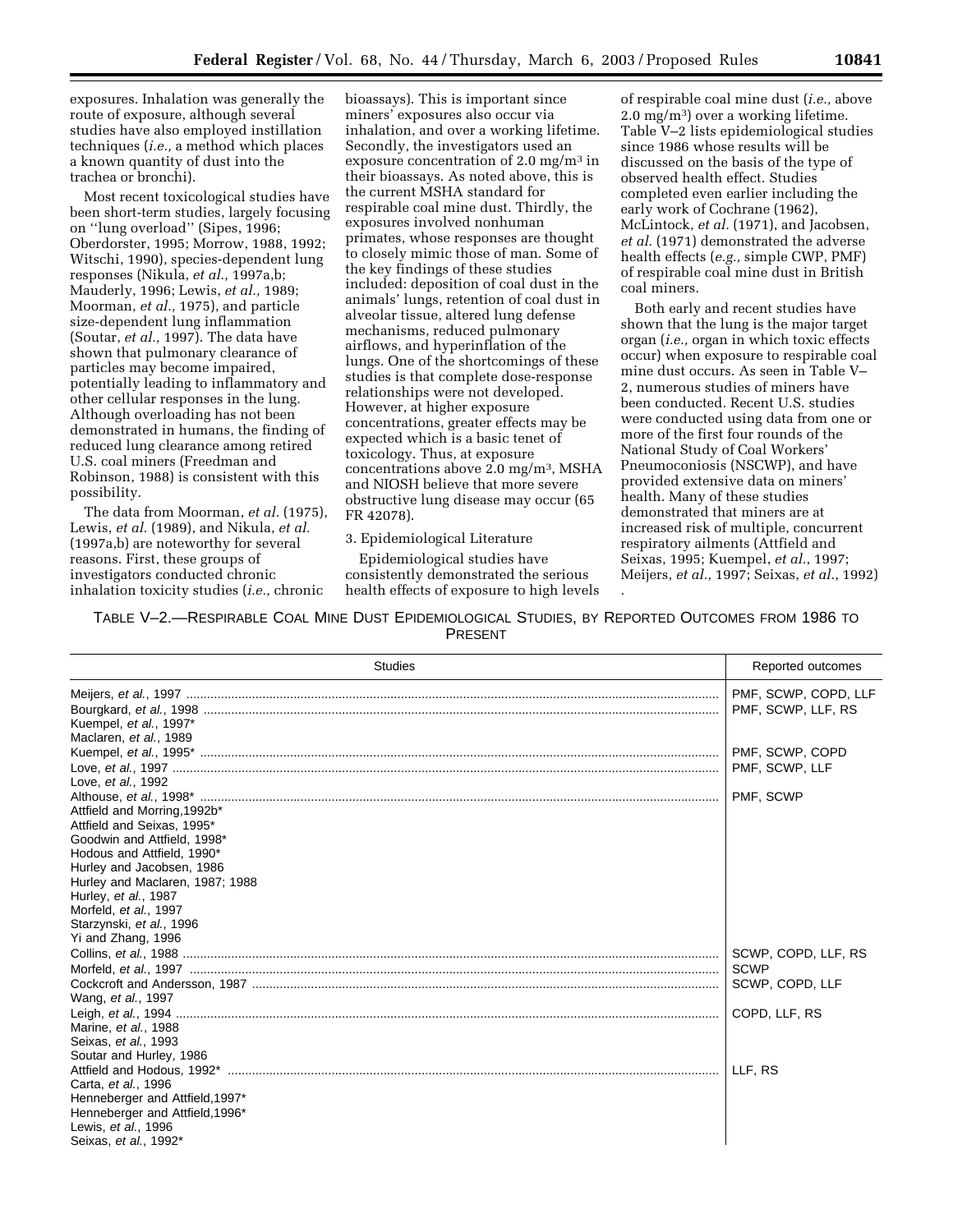exposures. Inhalation was generally the route of exposure, although several studies have also employed instillation techniques (*i.e.,* a method which places a known quantity of dust into the trachea or bronchi).

Most recent toxicological studies have been short-term studies, largely focusing on ''lung overload'' (Sipes, 1996; Oberdorster, 1995; Morrow, 1988, 1992; Witschi, 1990), species-dependent lung responses (Nikula, *et al.,* 1997a,b; Mauderly, 1996; Lewis, *et al.,* 1989; Moorman, *et al.,* 1975), and particle size-dependent lung inflammation (Soutar, *et al.,* 1997). The data have shown that pulmonary clearance of particles may become impaired, potentially leading to inflammatory and other cellular responses in the lung. Although overloading has not been demonstrated in humans, the finding of reduced lung clearance among retired U.S. coal miners (Freedman and Robinson, 1988) is consistent with this possibility.

The data from Moorman, *et al.* (1975), Lewis, *et al.* (1989), and Nikula, *et al.* (1997a,b) are noteworthy for several reasons. First, these groups of investigators conducted chronic inhalation toxicity studies (*i.e.,* chronic

bioassays). This is important since miners' exposures also occur via inhalation, and over a working lifetime. Secondly, the investigators used an exposure concentration of 2.0 mg/m3 in their bioassays. As noted above, this is the current MSHA standard for respirable coal mine dust. Thirdly, the exposures involved nonhuman primates, whose responses are thought to closely mimic those of man. Some of the key findings of these studies included: deposition of coal dust in the animals' lungs, retention of coal dust in alveolar tissue, altered lung defense mechanisms, reduced pulmonary airflows, and hyperinflation of the lungs. One of the shortcomings of these studies is that complete dose-response relationships were not developed. However, at higher exposure concentrations, greater effects may be expected which is a basic tenet of toxicology. Thus, at exposure concentrations above 2.0 mg/m3, MSHA and NIOSH believe that more severe obstructive lung disease may occur (65 FR 42078).

3. Epidemiological Literature

Epidemiological studies have consistently demonstrated the serious health effects of exposure to high levels

of respirable coal mine dust (*i.e.,* above 2.0 mg/m3) over a working lifetime. Table V–2 lists epidemiological studies since 1986 whose results will be discussed on the basis of the type of observed health effect. Studies completed even earlier including the early work of Cochrane (1962), McLintock, *et al.* (1971), and Jacobsen, *et al.* (1971) demonstrated the adverse health effects (*e.g.,* simple CWP, PMF) of respirable coal mine dust in British coal miners.

Both early and recent studies have shown that the lung is the major target organ (*i.e.,* organ in which toxic effects occur) when exposure to respirable coal mine dust occurs. As seen in Table V– 2, numerous studies of miners have been conducted. Recent U.S. studies were conducted using data from one or more of the first four rounds of the National Study of Coal Workers' Pneumoconiosis (NSCWP), and have provided extensive data on miners' health. Many of these studies demonstrated that miners are at increased risk of multiple, concurrent respiratory ailments (Attfield and Seixas, 1995; Kuempel, *et al.*, 1997; Meijers, *et al.,* 1997; Seixas, *et al.*, 1992) .

TABLE V–2.—RESPIRABLE COAL MINE DUST EPIDEMIOLOGICAL STUDIES, BY REPORTED OUTCOMES FROM 1986 TO PRESENT

| <b>Studies</b>                                                                                                                            | Reported outcomes                          |  |
|-------------------------------------------------------------------------------------------------------------------------------------------|--------------------------------------------|--|
| Kuempel, et al., 1997*                                                                                                                    | PMF, SCWP, COPD, LLF<br>PMF, SCWP, LLF, RS |  |
| Maclaren, et al., 1989<br>Love, et al., 1992                                                                                              | PMF, SCWP, COPD<br>PMF, SCWP, LLF          |  |
| Attfield and Morring, 1992b*<br>Attfield and Seixas, 1995*<br>Goodwin and Attfield, 1998*                                                 | PMF, SCWP                                  |  |
| Hodous and Attfield, 1990*<br>Hurley and Jacobsen, 1986<br>Hurley and Maclaren, 1987; 1988<br>Hurley, et al., 1987                        |                                            |  |
| Morfeld, et al., 1997<br>Starzynski, et al., 1996<br>Yi and Zhang, 1996                                                                   | SCWP, COPD, LLF, RS                        |  |
| Wang, et al., 1997                                                                                                                        | SCWP<br>SCWP, COPD, LLF                    |  |
| Marine, et al., 1988<br>Seixas, et al., 1993<br>Soutar and Hurley, 1986                                                                   | COPD, LLF, RS                              |  |
| Carta, et al., 1996<br>Henneberger and Attfield, 1997*<br>Henneberger and Attfield, 1996*<br>Lewis, et al., 1996<br>Seixas, et al., 1992* | LLF. RS                                    |  |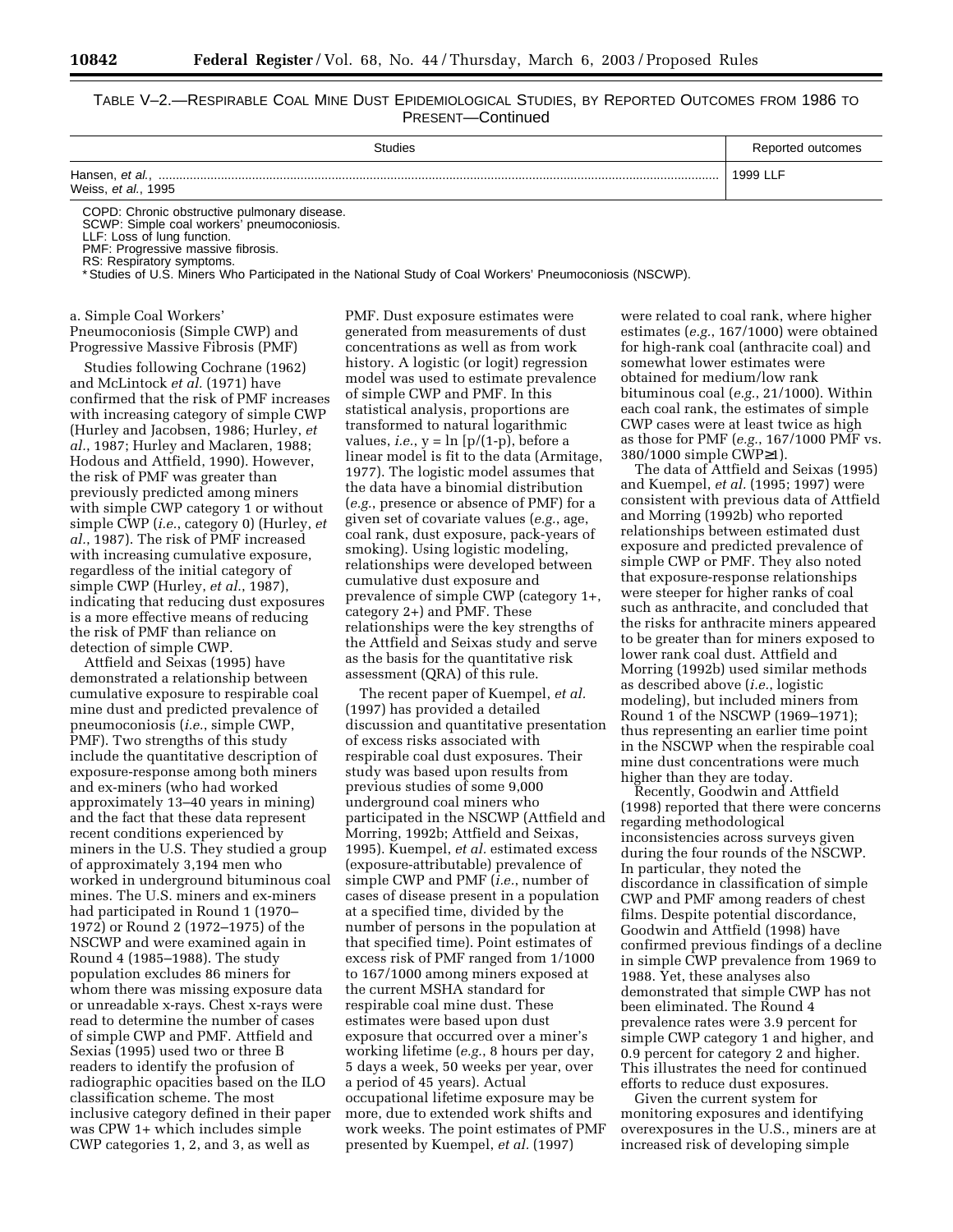# TABLE V–2.—RESPIRABLE COAL MINE DUST EPIDEMIOLOGICAL STUDIES, BY REPORTED OUTCOMES FROM 1986 TO PRESENT—Continued

| <b>Studies</b>                              | Reported outcomes |
|---------------------------------------------|-------------------|
| Weiss, et al., 1995                         | 1999 LLF          |
| COPD, Chronic obetructive pulmonary disease |                   |

umonary di SCWP: Simple coal workers' pneumoconiosis.

LLF: Loss of lung function.

PMF: Progressive massive fibrosis.

RS: Respiratory symptoms.

\* Studies of U.S. Miners Who Participated in the National Study of Coal Workers' Pneumoconiosis (NSCWP).

# a. Simple Coal Workers' Pneumoconiosis (Simple CWP) and Progressive Massive Fibrosis (PMF)

Studies following Cochrane (1962) and McLintock *et al.* (1971) have confirmed that the risk of PMF increases with increasing category of simple CWP (Hurley and Jacobsen, 1986; Hurley, *et al.*, 1987; Hurley and Maclaren, 1988; Hodous and Attfield, 1990). However, the risk of PMF was greater than previously predicted among miners with simple CWP category 1 or without simple CWP (*i.e.*, category 0) (Hurley, *et al.*, 1987). The risk of PMF increased with increasing cumulative exposure, regardless of the initial category of simple CWP (Hurley, *et al.*, 1987), indicating that reducing dust exposures is a more effective means of reducing the risk of PMF than reliance on detection of simple CWP.

Attfield and Seixas (1995) have demonstrated a relationship between cumulative exposure to respirable coal mine dust and predicted prevalence of pneumoconiosis (*i.e.*, simple CWP, PMF). Two strengths of this study include the quantitative description of exposure-response among both miners and ex-miners (who had worked approximately 13–40 years in mining) and the fact that these data represent recent conditions experienced by miners in the U.S. They studied a group of approximately 3,194 men who worked in underground bituminous coal mines. The U.S. miners and ex-miners had participated in Round 1 (1970– 1972) or Round 2 (1972–1975) of the NSCWP and were examined again in Round 4 (1985–1988). The study population excludes 86 miners for whom there was missing exposure data or unreadable x-rays. Chest x-rays were read to determine the number of cases of simple CWP and PMF. Attfield and Sexias (1995) used two or three B readers to identify the profusion of radiographic opacities based on the ILO classification scheme. The most inclusive category defined in their paper was CPW 1+ which includes simple CWP categories 1, 2, and 3, as well as

PMF. Dust exposure estimates were generated from measurements of dust concentrations as well as from work history. A logistic (or logit) regression model was used to estimate prevalence of simple CWP and PMF. In this statistical analysis, proportions are transformed to natural logarithmic values, *i.e.*,  $y = \ln [p/(1-p)]$ , before a linear model is fit to the data (Armitage, 1977). The logistic model assumes that the data have a binomial distribution (*e.g.*, presence or absence of PMF) for a given set of covariate values (*e.g.*, age, coal rank, dust exposure, pack-years of smoking). Using logistic modeling, relationships were developed between cumulative dust exposure and prevalence of simple CWP (category 1+, category 2+) and PMF. These relationships were the key strengths of the Attfield and Seixas study and serve as the basis for the quantitative risk assessment (QRA) of this rule.

The recent paper of Kuempel, *et al.* (1997) has provided a detailed discussion and quantitative presentation of excess risks associated with respirable coal dust exposures. Their study was based upon results from previous studies of some 9,000 underground coal miners who participated in the NSCWP (Attfield and Morring, 1992b; Attfield and Seixas, 1995). Kuempel, *et al.* estimated excess (exposure-attributable) prevalence of simple CWP and PMF (*i.e.*, number of cases of disease present in a population at a specified time, divided by the number of persons in the population at that specified time). Point estimates of excess risk of PMF ranged from 1/1000 to 167/1000 among miners exposed at the current MSHA standard for respirable coal mine dust. These estimates were based upon dust exposure that occurred over a miner's working lifetime (*e.g.*, 8 hours per day, 5 days a week, 50 weeks per year, over a period of 45 years). Actual occupational lifetime exposure may be more, due to extended work shifts and work weeks. The point estimates of PMF presented by Kuempel, *et al.* (1997)

were related to coal rank, where higher estimates (*e.g.*, 167/1000) were obtained for high-rank coal (anthracite coal) and somewhat lower estimates were obtained for medium/low rank bituminous coal (*e.g.*, 21/1000). Within each coal rank, the estimates of simple CWP cases were at least twice as high as those for PMF (*e.g.*, 167/1000 PMF vs. 380/1000 simple CWP≥1).

The data of Attfield and Seixas (1995) and Kuempel, *et al.* (1995; 1997) were consistent with previous data of Attfield and Morring (1992b) who reported relationships between estimated dust exposure and predicted prevalence of simple CWP or PMF. They also noted that exposure-response relationships were steeper for higher ranks of coal such as anthracite, and concluded that the risks for anthracite miners appeared to be greater than for miners exposed to lower rank coal dust. Attfield and Morring (1992b) used similar methods as described above (*i.e.*, logistic modeling), but included miners from Round 1 of the NSCWP (1969–1971); thus representing an earlier time point in the NSCWP when the respirable coal mine dust concentrations were much higher than they are today.

Recently, Goodwin and Attfield (1998) reported that there were concerns regarding methodological inconsistencies across surveys given during the four rounds of the NSCWP. In particular, they noted the discordance in classification of simple CWP and PMF among readers of chest films. Despite potential discordance, Goodwin and Attfield (1998) have confirmed previous findings of a decline in simple CWP prevalence from 1969 to 1988. Yet, these analyses also demonstrated that simple CWP has not been eliminated. The Round 4 prevalence rates were 3.9 percent for simple CWP category 1 and higher, and 0.9 percent for category 2 and higher. This illustrates the need for continued efforts to reduce dust exposures.

Given the current system for monitoring exposures and identifying overexposures in the U.S., miners are at increased risk of developing simple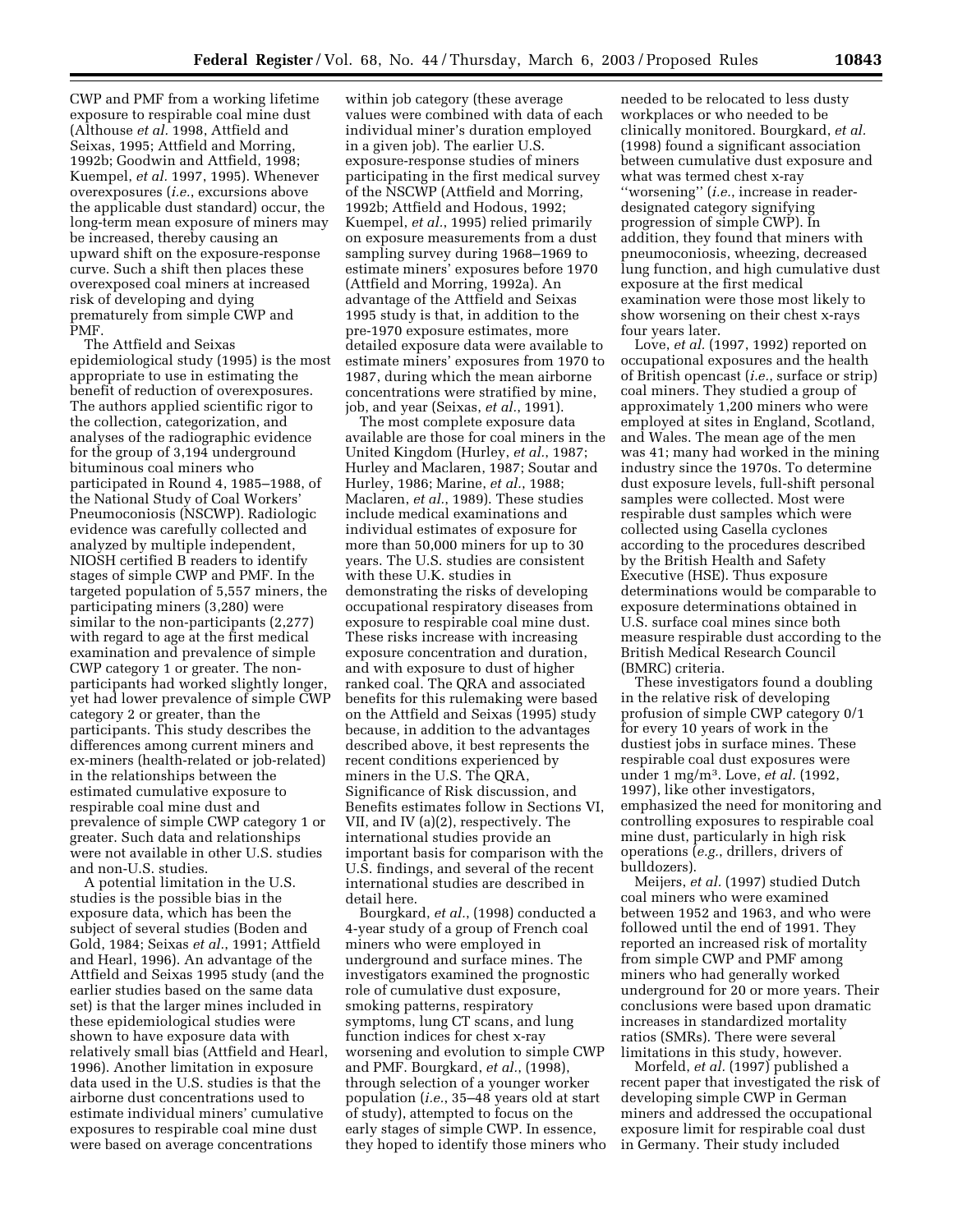CWP and PMF from a working lifetime exposure to respirable coal mine dust (Althouse *et al.* 1998, Attfield and Seixas, 1995; Attfield and Morring, 1992b; Goodwin and Attfield, 1998; Kuempel, *et al.* 1997, 1995). Whenever overexposures (*i.e.*, excursions above the applicable dust standard) occur, the long-term mean exposure of miners may be increased, thereby causing an upward shift on the exposure-response curve. Such a shift then places these overexposed coal miners at increased risk of developing and dying prematurely from simple CWP and PMF.

The Attfield and Seixas epidemiological study (1995) is the most appropriate to use in estimating the benefit of reduction of overexposures. The authors applied scientific rigor to the collection, categorization, and analyses of the radiographic evidence for the group of 3,194 underground bituminous coal miners who participated in Round 4, 1985–1988, of the National Study of Coal Workers' Pneumoconiosis (NSCWP). Radiologic evidence was carefully collected and analyzed by multiple independent, NIOSH certified B readers to identify stages of simple CWP and PMF. In the targeted population of 5,557 miners, the participating miners (3,280) were similar to the non-participants (2,277) with regard to age at the first medical examination and prevalence of simple CWP category 1 or greater. The nonparticipants had worked slightly longer, yet had lower prevalence of simple CWP category 2 or greater, than the participants. This study describes the differences among current miners and ex-miners (health-related or job-related) in the relationships between the estimated cumulative exposure to respirable coal mine dust and prevalence of simple CWP category 1 or greater. Such data and relationships were not available in other U.S. studies and non-U.S. studies.

A potential limitation in the U.S. studies is the possible bias in the exposure data, which has been the subject of several studies (Boden and Gold, 1984; Seixas *et al.*, 1991; Attfield and Hearl, 1996). An advantage of the Attfield and Seixas 1995 study (and the earlier studies based on the same data set) is that the larger mines included in these epidemiological studies were shown to have exposure data with relatively small bias (Attfield and Hearl, 1996). Another limitation in exposure data used in the U.S. studies is that the airborne dust concentrations used to estimate individual miners' cumulative exposures to respirable coal mine dust were based on average concentrations

within job category (these average values were combined with data of each individual miner's duration employed in a given job). The earlier U.S. exposure-response studies of miners participating in the first medical survey of the NSCWP (Attfield and Morring, 1992b; Attfield and Hodous, 1992; Kuempel, *et al.*, 1995) relied primarily on exposure measurements from a dust sampling survey during 1968–1969 to estimate miners' exposures before 1970 (Attfield and Morring, 1992a). An advantage of the Attfield and Seixas 1995 study is that, in addition to the pre-1970 exposure estimates, more detailed exposure data were available to estimate miners' exposures from 1970 to 1987, during which the mean airborne concentrations were stratified by mine, job, and year (Seixas, *et al.*, 1991).

The most complete exposure data available are those for coal miners in the United Kingdom (Hurley, *et al.*, 1987; Hurley and Maclaren, 1987; Soutar and Hurley, 1986; Marine, *et al.*, 1988; Maclaren, *et al.*, 1989). These studies include medical examinations and individual estimates of exposure for more than 50,000 miners for up to 30 years. The U.S. studies are consistent with these U.K. studies in demonstrating the risks of developing occupational respiratory diseases from exposure to respirable coal mine dust. These risks increase with increasing exposure concentration and duration, and with exposure to dust of higher ranked coal. The QRA and associated benefits for this rulemaking were based on the Attfield and Seixas (1995) study because, in addition to the advantages described above, it best represents the recent conditions experienced by miners in the U.S. The QRA, Significance of Risk discussion, and Benefits estimates follow in Sections VI, VII, and IV (a)(2), respectively. The international studies provide an important basis for comparison with the U.S. findings, and several of the recent international studies are described in detail here.

Bourgkard, *et al.*, (1998) conducted a 4-year study of a group of French coal miners who were employed in underground and surface mines. The investigators examined the prognostic role of cumulative dust exposure, smoking patterns, respiratory symptoms, lung CT scans, and lung function indices for chest x-ray worsening and evolution to simple CWP and PMF. Bourgkard, *et al.*, (1998), through selection of a younger worker population (*i.e.*, 35–48 years old at start of study), attempted to focus on the early stages of simple CWP. In essence, they hoped to identify those miners who

needed to be relocated to less dusty workplaces or who needed to be clinically monitored. Bourgkard, *et al.* (1998) found a significant association between cumulative dust exposure and what was termed chest x-ray ''worsening'' (*i.e.*, increase in readerdesignated category signifying progression of simple CWP). In addition, they found that miners with pneumoconiosis, wheezing, decreased lung function, and high cumulative dust exposure at the first medical examination were those most likely to show worsening on their chest x-rays four years later.

Love, *et al.* (1997, 1992) reported on occupational exposures and the health of British opencast (*i.e.*, surface or strip) coal miners. They studied a group of approximately 1,200 miners who were employed at sites in England, Scotland, and Wales. The mean age of the men was 41; many had worked in the mining industry since the 1970s. To determine dust exposure levels, full-shift personal samples were collected. Most were respirable dust samples which were collected using Casella cyclones according to the procedures described by the British Health and Safety Executive (HSE). Thus exposure determinations would be comparable to exposure determinations obtained in U.S. surface coal mines since both measure respirable dust according to the British Medical Research Council (BMRC) criteria.

These investigators found a doubling in the relative risk of developing profusion of simple CWP category 0/1 for every 10 years of work in the dustiest jobs in surface mines. These respirable coal dust exposures were under 1 mg/m3. Love, *et al.* (1992, 1997), like other investigators, emphasized the need for monitoring and controlling exposures to respirable coal mine dust, particularly in high risk operations (*e.g.*, drillers, drivers of bulldozers).

Meijers, *et al.* (1997) studied Dutch coal miners who were examined between 1952 and 1963, and who were followed until the end of 1991. They reported an increased risk of mortality from simple CWP and PMF among miners who had generally worked underground for 20 or more years. Their conclusions were based upon dramatic increases in standardized mortality ratios (SMRs). There were several limitations in this study, however.

Morfeld, *et al.* (1997) published a recent paper that investigated the risk of developing simple CWP in German miners and addressed the occupational exposure limit for respirable coal dust in Germany. Their study included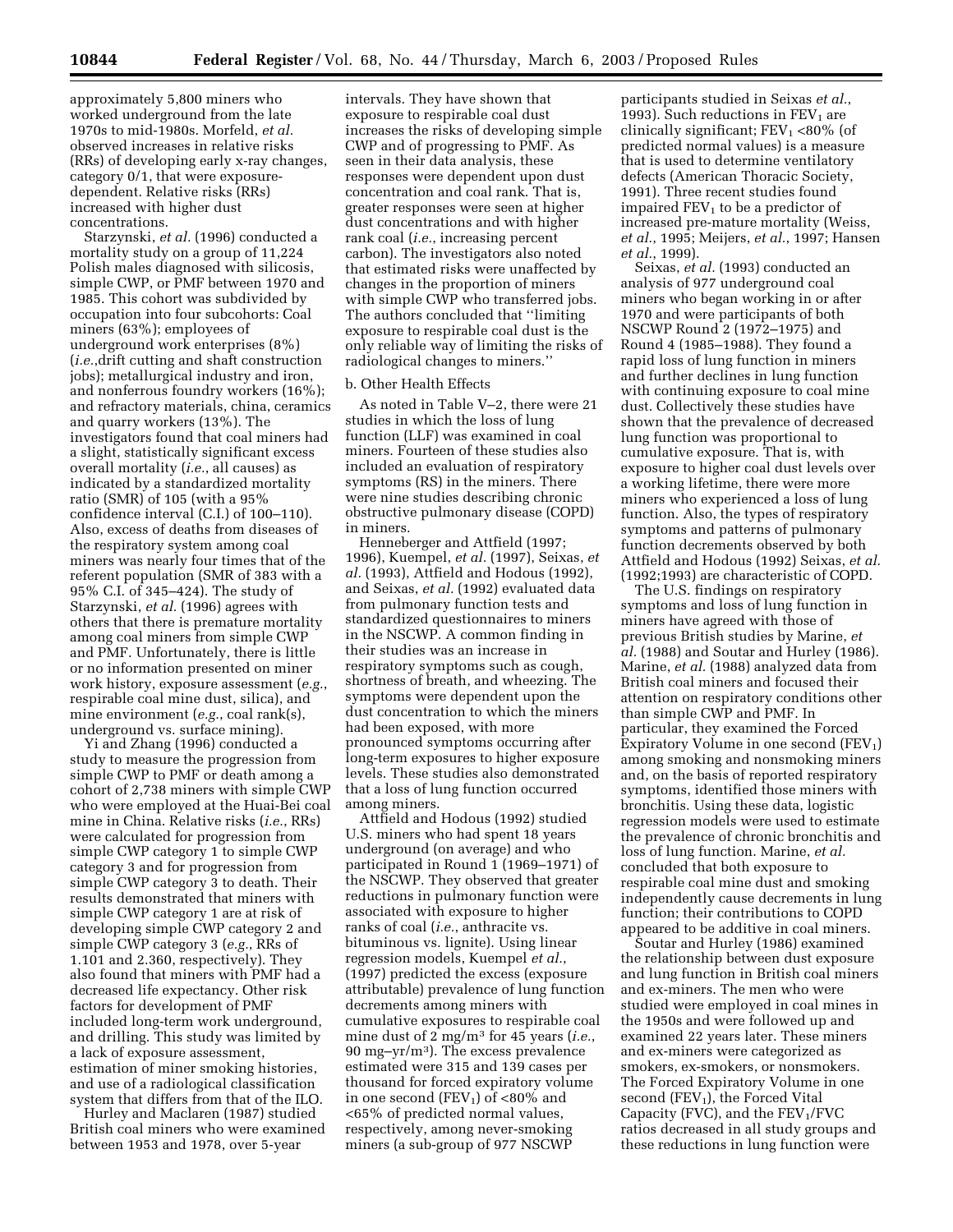approximately 5,800 miners who worked underground from the late 1970s to mid-1980s. Morfeld, *et al.* observed increases in relative risks (RRs) of developing early x-ray changes, category 0/1, that were exposuredependent. Relative risks (RRs) increased with higher dust concentrations.

Starzynski, *et al.* (1996) conducted a mortality study on a group of 11,224 Polish males diagnosed with silicosis, simple CWP, or PMF between 1970 and 1985. This cohort was subdivided by occupation into four subcohorts: Coal miners (63%); employees of underground work enterprises (8%) (*i.e.*,drift cutting and shaft construction jobs); metallurgical industry and iron, and nonferrous foundry workers (16%); and refractory materials, china, ceramics and quarry workers (13%). The investigators found that coal miners had a slight, statistically significant excess overall mortality (*i.e.*, all causes) as indicated by a standardized mortality ratio (SMR) of 105 (with a 95% confidence interval (C.I.) of 100–110). Also, excess of deaths from diseases of the respiratory system among coal miners was nearly four times that of the referent population (SMR of 383 with a 95% C.I. of 345–424). The study of Starzynski, *et al.* (1996) agrees with others that there is premature mortality among coal miners from simple CWP and PMF. Unfortunately, there is little or no information presented on miner work history, exposure assessment (*e.g.*, respirable coal mine dust, silica), and mine environment (*e.g.*, coal rank(s), underground vs. surface mining).

Yi and Zhang (1996) conducted a study to measure the progression from simple CWP to PMF or death among a cohort of 2,738 miners with simple CWP who were employed at the Huai-Bei coal mine in China. Relative risks (*i.e.*, RRs) were calculated for progression from simple CWP category 1 to simple CWP category 3 and for progression from simple CWP category 3 to death. Their results demonstrated that miners with simple CWP category 1 are at risk of developing simple CWP category 2 and simple CWP category 3 (*e.g.*, RRs of 1.101 and 2.360, respectively). They also found that miners with PMF had a decreased life expectancy. Other risk factors for development of PMF included long-term work underground, and drilling. This study was limited by a lack of exposure assessment, estimation of miner smoking histories, and use of a radiological classification system that differs from that of the ILO.

Hurley and Maclaren (1987) studied British coal miners who were examined between 1953 and 1978, over 5-year

intervals. They have shown that exposure to respirable coal dust increases the risks of developing simple CWP and of progressing to PMF. As seen in their data analysis, these responses were dependent upon dust concentration and coal rank. That is, greater responses were seen at higher dust concentrations and with higher rank coal (*i.e.*, increasing percent carbon). The investigators also noted that estimated risks were unaffected by changes in the proportion of miners with simple CWP who transferred jobs. The authors concluded that ''limiting exposure to respirable coal dust is the only reliable way of limiting the risks of radiological changes to miners.''

# b. Other Health Effects

As noted in Table V–2, there were 21 studies in which the loss of lung function (LLF) was examined in coal miners. Fourteen of these studies also included an evaluation of respiratory symptoms (RS) in the miners. There were nine studies describing chronic obstructive pulmonary disease (COPD) in miners.

Henneberger and Attfield (1997; 1996), Kuempel, *et al.* (1997), Seixas, *et al.* (1993), Attfield and Hodous (1992), and Seixas, *et al.* (1992) evaluated data from pulmonary function tests and standardized questionnaires to miners in the NSCWP. A common finding in their studies was an increase in respiratory symptoms such as cough, shortness of breath, and wheezing. The symptoms were dependent upon the dust concentration to which the miners had been exposed, with more pronounced symptoms occurring after long-term exposures to higher exposure levels. These studies also demonstrated that a loss of lung function occurred among miners.

Attfield and Hodous (1992) studied U.S. miners who had spent 18 years underground (on average) and who participated in Round 1 (1969–1971) of the NSCWP. They observed that greater reductions in pulmonary function were associated with exposure to higher ranks of coal (*i.e.*, anthracite vs. bituminous vs. lignite). Using linear regression models, Kuempel *et al.*, (1997) predicted the excess (exposure attributable) prevalence of lung function decrements among miners with cumulative exposures to respirable coal mine dust of 2 mg/m3 for 45 years (*i.e.*, 90 mg–yr/m3). The excess prevalence estimated were 315 and 139 cases per thousand for forced expiratory volume in one second ( $FEV<sub>1</sub>$ ) of <80% and <65% of predicted normal values, respectively, among never-smoking miners (a sub-group of 977 NSCWP

participants studied in Seixas *et al.*, 1993). Such reductions in  $FEV<sub>1</sub>$  are clinically significant;  $FEV_1 < 80\%$  (of predicted normal values) is a measure that is used to determine ventilatory defects (American Thoracic Society, 1991). Three recent studies found impaired  $FEV<sub>1</sub>$  to be a predictor of increased pre-mature mortality (Weiss, *et al.*, 1995; Meijers, *et al.*, 1997; Hansen *et al.*, 1999).

Seixas, *et al.* (1993) conducted an analysis of 977 underground coal miners who began working in or after 1970 and were participants of both NSCWP Round 2 (1972–1975) and Round 4 (1985–1988). They found a rapid loss of lung function in miners and further declines in lung function with continuing exposure to coal mine dust. Collectively these studies have shown that the prevalence of decreased lung function was proportional to cumulative exposure. That is, with exposure to higher coal dust levels over a working lifetime, there were more miners who experienced a loss of lung function. Also, the types of respiratory symptoms and patterns of pulmonary function decrements observed by both Attfield and Hodous (1992) Seixas, *et al.* (1992;1993) are characteristic of COPD.

The U.S. findings on respiratory symptoms and loss of lung function in miners have agreed with those of previous British studies by Marine, *et al.* (1988) and Soutar and Hurley (1986). Marine, *et al.* (1988) analyzed data from British coal miners and focused their attention on respiratory conditions other than simple CWP and PMF. In particular, they examined the Forced Expiratory Volume in one second  $(FEV<sub>1</sub>)$ among smoking and nonsmoking miners and, on the basis of reported respiratory symptoms, identified those miners with bronchitis. Using these data, logistic regression models were used to estimate the prevalence of chronic bronchitis and loss of lung function. Marine, *et al.* concluded that both exposure to respirable coal mine dust and smoking independently cause decrements in lung function; their contributions to COPD appeared to be additive in coal miners.

Soutar and Hurley (1986) examined the relationship between dust exposure and lung function in British coal miners and ex-miners. The men who were studied were employed in coal mines in the 1950s and were followed up and examined 22 years later. These miners and ex-miners were categorized as smokers, ex-smokers, or nonsmokers. The Forced Expiratory Volume in one second ( $FEV<sub>1</sub>$ ), the Forced Vital Capacity (FVC), and the  $FEV<sub>1</sub>/FVC$ ratios decreased in all study groups and these reductions in lung function were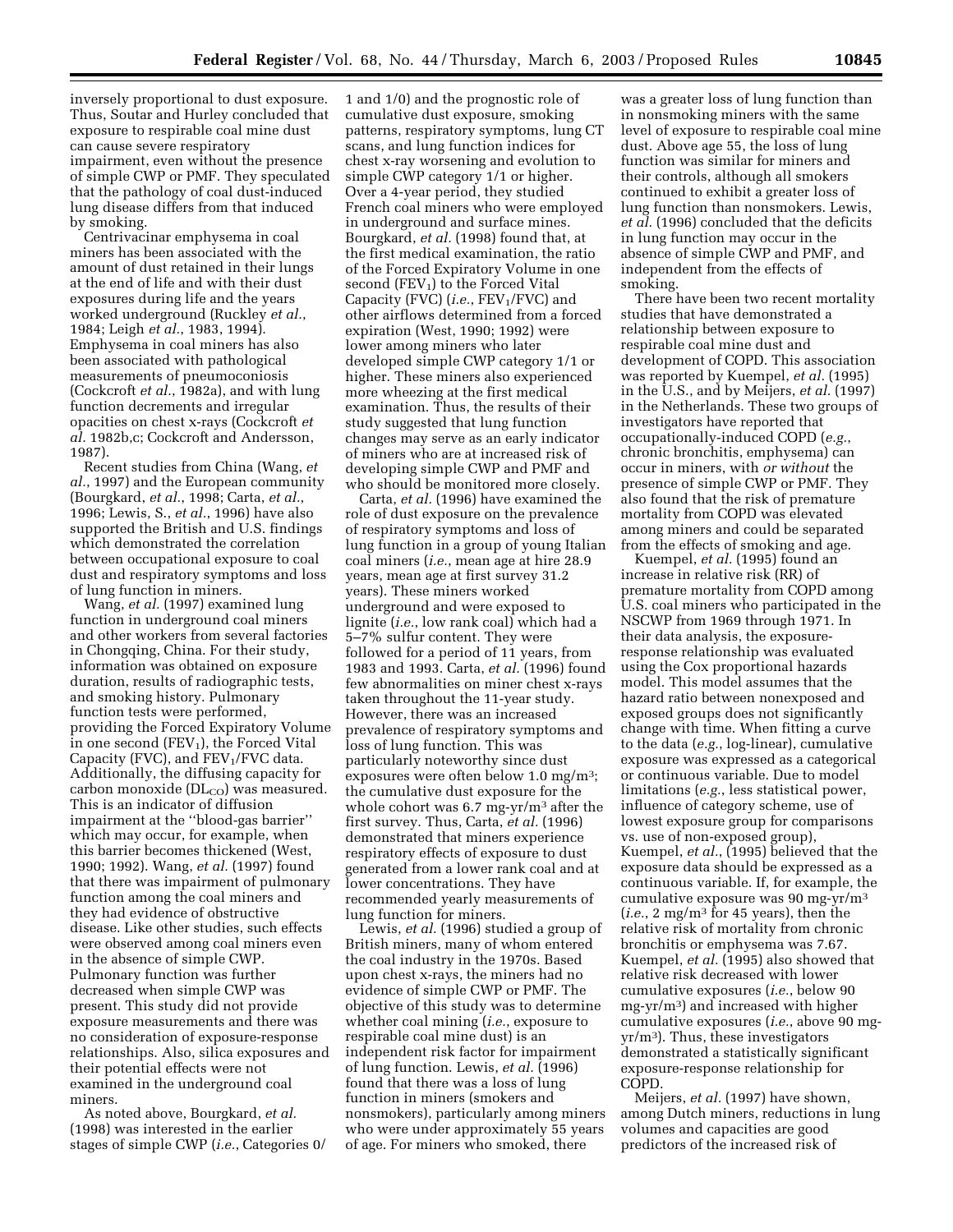inversely proportional to dust exposure. Thus, Soutar and Hurley concluded that exposure to respirable coal mine dust can cause severe respiratory impairment, even without the presence of simple CWP or PMF. They speculated that the pathology of coal dust-induced lung disease differs from that induced by smoking.

Centrivacinar emphysema in coal miners has been associated with the amount of dust retained in their lungs at the end of life and with their dust exposures during life and the years worked underground (Ruckley *et al.*, 1984; Leigh *et al.*, 1983, 1994). Emphysema in coal miners has also been associated with pathological measurements of pneumoconiosis (Cockcroft *et al.*, 1982a), and with lung function decrements and irregular opacities on chest x-rays (Cockcroft *et al.* 1982b,c; Cockcroft and Andersson, 1987).

Recent studies from China (Wang, *et al.*, 1997) and the European community (Bourgkard, *et al.*, 1998; Carta, *et al.*, 1996; Lewis, S., *et al.*, 1996) have also supported the British and U.S. findings which demonstrated the correlation between occupational exposure to coal dust and respiratory symptoms and loss of lung function in miners.

Wang, *et al.* (1997) examined lung function in underground coal miners and other workers from several factories in Chongqing, China. For their study, information was obtained on exposure duration, results of radiographic tests, and smoking history. Pulmonary function tests were performed, providing the Forced Expiratory Volume in one second  $(FEV_1)$ , the Forced Vital Capacity (FVC), and  $FEV<sub>1</sub>/FVC$  data. Additionally, the diffusing capacity for carbon monoxide  $(DL<sub>CO</sub>)$  was measured. This is an indicator of diffusion impairment at the ''blood-gas barrier'' which may occur, for example, when this barrier becomes thickened (West, 1990; 1992). Wang, *et al.* (1997) found that there was impairment of pulmonary function among the coal miners and they had evidence of obstructive disease. Like other studies, such effects were observed among coal miners even in the absence of simple CWP. Pulmonary function was further decreased when simple CWP was present. This study did not provide exposure measurements and there was no consideration of exposure-response relationships. Also, silica exposures and their potential effects were not examined in the underground coal miners.

As noted above, Bourgkard, *et al.* (1998) was interested in the earlier stages of simple CWP (*i.e.*, Categories 0/

1 and 1/0) and the prognostic role of cumulative dust exposure, smoking patterns, respiratory symptoms, lung CT scans, and lung function indices for chest x-ray worsening and evolution to simple CWP category 1/1 or higher. Over a 4-year period, they studied French coal miners who were employed in underground and surface mines. Bourgkard, *et al.* (1998) found that, at the first medical examination, the ratio of the Forced Expiratory Volume in one second  $(FEV_1)$  to the Forced Vital Capacity (FVC) (*i.e.*, FEV<sub>1</sub>/FVC) and other airflows determined from a forced expiration (West, 1990; 1992) were lower among miners who later developed simple CWP category 1/1 or higher. These miners also experienced more wheezing at the first medical examination. Thus, the results of their study suggested that lung function changes may serve as an early indicator of miners who are at increased risk of developing simple CWP and PMF and who should be monitored more closely.

Carta, *et al.* (1996) have examined the role of dust exposure on the prevalence of respiratory symptoms and loss of lung function in a group of young Italian coal miners (*i.e.*, mean age at hire 28.9 years, mean age at first survey 31.2 years). These miners worked underground and were exposed to lignite (*i.e.*, low rank coal) which had a 5–7% sulfur content. They were followed for a period of 11 years, from 1983 and 1993. Carta, *et al.* (1996) found few abnormalities on miner chest x-rays taken throughout the 11-year study. However, there was an increased prevalence of respiratory symptoms and loss of lung function. This was particularly noteworthy since dust exposures were often below 1.0 mg/m3; the cumulative dust exposure for the whole cohort was 6.7 mg-yr/m3 after the first survey. Thus, Carta, *et al.* (1996) demonstrated that miners experience respiratory effects of exposure to dust generated from a lower rank coal and at lower concentrations. They have recommended yearly measurements of lung function for miners.

Lewis, *et al.* (1996) studied a group of British miners, many of whom entered the coal industry in the 1970s. Based upon chest x-rays, the miners had no evidence of simple CWP or PMF. The objective of this study was to determine whether coal mining (*i.e.*, exposure to respirable coal mine dust) is an independent risk factor for impairment of lung function. Lewis, *et al.* (1996) found that there was a loss of lung function in miners (smokers and nonsmokers), particularly among miners who were under approximately 55 years of age. For miners who smoked, there

was a greater loss of lung function than in nonsmoking miners with the same level of exposure to respirable coal mine dust. Above age 55, the loss of lung function was similar for miners and their controls, although all smokers continued to exhibit a greater loss of lung function than nonsmokers. Lewis, *et al.* (1996) concluded that the deficits in lung function may occur in the absence of simple CWP and PMF, and independent from the effects of smoking.

There have been two recent mortality studies that have demonstrated a relationship between exposure to respirable coal mine dust and development of COPD. This association was reported by Kuempel, *et al.* (1995) in the U.S., and by Meijers, *et al.* (1997) in the Netherlands. These two groups of investigators have reported that occupationally-induced COPD (*e.g.*, chronic bronchitis, emphysema) can occur in miners, with *or without* the presence of simple CWP or PMF. They also found that the risk of premature mortality from COPD was elevated among miners and could be separated from the effects of smoking and age.

Kuempel, *et al.* (1995) found an increase in relative risk (RR) of premature mortality from COPD among U.S. coal miners who participated in the NSCWP from 1969 through 1971. In their data analysis, the exposureresponse relationship was evaluated using the Cox proportional hazards model. This model assumes that the hazard ratio between nonexposed and exposed groups does not significantly change with time. When fitting a curve to the data (*e.g.*, log-linear), cumulative exposure was expressed as a categorical or continuous variable. Due to model limitations (*e.g.*, less statistical power, influence of category scheme, use of lowest exposure group for comparisons vs. use of non-exposed group), Kuempel, *et al.*, (1995) believed that the exposure data should be expressed as a continuous variable. If, for example, the cumulative exposure was 90 mg-yr/m3 (*i.e.*, 2 mg/m3 for 45 years), then the relative risk of mortality from chronic bronchitis or emphysema was 7.67. Kuempel, *et al.* (1995) also showed that relative risk decreased with lower cumulative exposures (*i.e.*, below 90 mg-yr/m3) and increased with higher cumulative exposures (*i.e.*, above 90 mgyr/m3). Thus, these investigators demonstrated a statistically significant exposure-response relationship for COPD.

Meijers, *et al.* (1997) have shown, among Dutch miners, reductions in lung volumes and capacities are good predictors of the increased risk of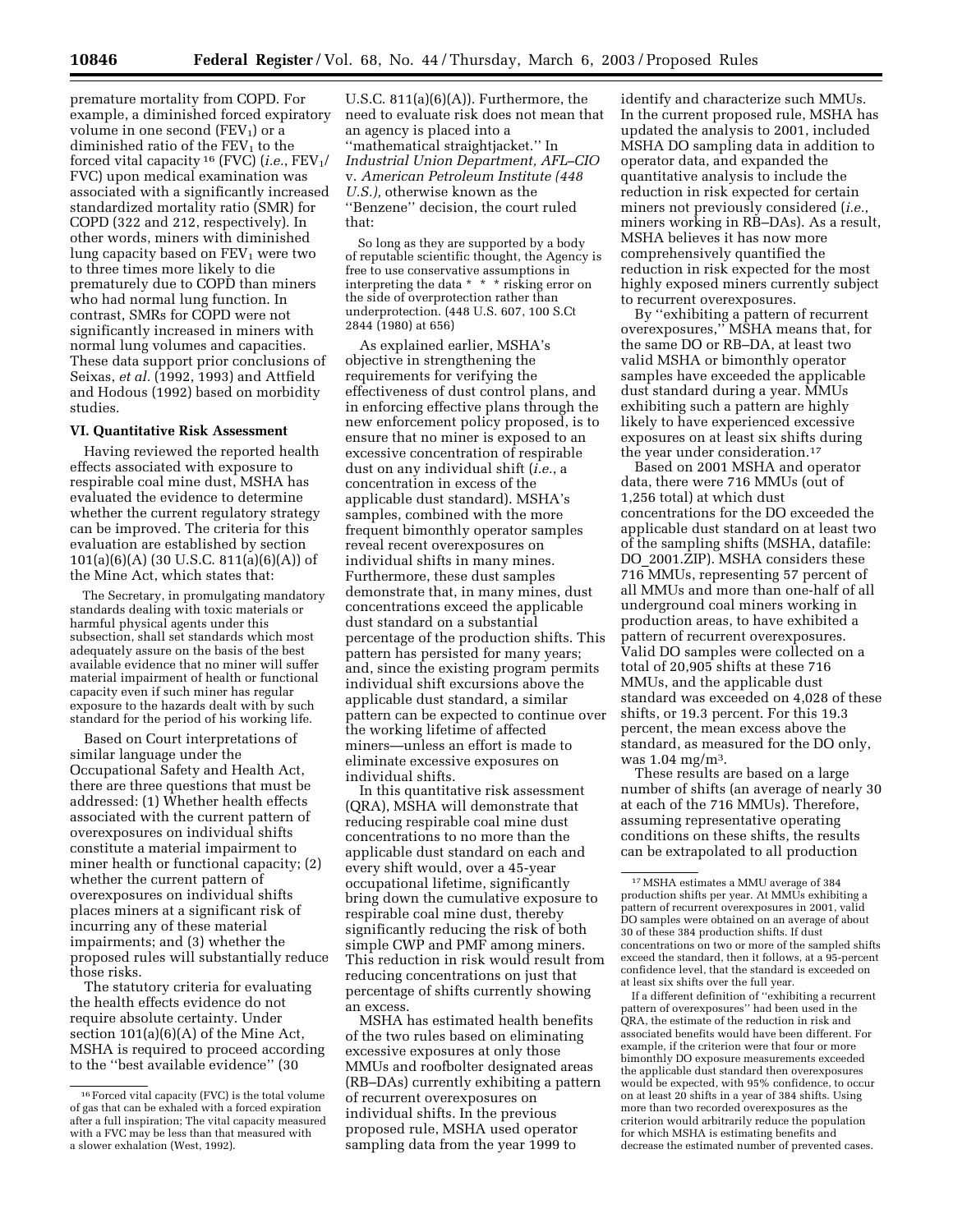premature mortality from COPD. For example, a diminished forced expiratory volume in one second  $(FEV_1)$  or a diminished ratio of the  $FEV<sub>1</sub>$  to the forced vital capacity <sup>16</sup> (FVC) (*i.e.*, FEV1/ FVC) upon medical examination was associated with a significantly increased standardized mortality ratio (SMR) for COPD (322 and 212, respectively). In other words, miners with diminished lung capacity based on  $FEV<sub>1</sub>$  were two to three times more likely to die prematurely due to COPD than miners who had normal lung function. In contrast, SMRs for COPD were not significantly increased in miners with normal lung volumes and capacities. These data support prior conclusions of Seixas, *et al.* (1992, 1993) and Attfield and Hodous (1992) based on morbidity studies.

## **VI. Quantitative Risk Assessment**

Having reviewed the reported health effects associated with exposure to respirable coal mine dust, MSHA has evaluated the evidence to determine whether the current regulatory strategy can be improved. The criteria for this evaluation are established by section 101(a)(6)(A) (30 U.S.C. 811(a)(6)(A)) of the Mine Act, which states that:

The Secretary, in promulgating mandatory standards dealing with toxic materials or harmful physical agents under this subsection, shall set standards which most adequately assure on the basis of the best available evidence that no miner will suffer material impairment of health or functional capacity even if such miner has regular exposure to the hazards dealt with by such standard for the period of his working life.

Based on Court interpretations of similar language under the Occupational Safety and Health Act, there are three questions that must be addressed: (1) Whether health effects associated with the current pattern of overexposures on individual shifts constitute a material impairment to miner health or functional capacity; (2) whether the current pattern of overexposures on individual shifts places miners at a significant risk of incurring any of these material impairments; and (3) whether the proposed rules will substantially reduce those risks.

The statutory criteria for evaluating the health effects evidence do not require absolute certainty. Under section 101(a)(6)(A) of the Mine Act, MSHA is required to proceed according to the ''best available evidence'' (30

U.S.C.  $811(a)(6)(A)$ . Furthermore, the need to evaluate risk does not mean that an agency is placed into a ''mathematical straightjacket.'' In *Industrial Union Department, AFL–CIO* v. *American Petroleum Institute (448 U.S.),* otherwise known as the ''Benzene'' decision, the court ruled that:

So long as they are supported by a body of reputable scientific thought, the Agency is free to use conservative assumptions in interpreting the data \* \* \* risking error on the side of overprotection rather than underprotection. (448 U.S. 607, 100 S.Ct 2844 (1980) at 656)

As explained earlier, MSHA's objective in strengthening the requirements for verifying the effectiveness of dust control plans, and in enforcing effective plans through the new enforcement policy proposed, is to ensure that no miner is exposed to an excessive concentration of respirable dust on any individual shift (*i.e.*, a concentration in excess of the applicable dust standard). MSHA's samples, combined with the more frequent bimonthly operator samples reveal recent overexposures on individual shifts in many mines. Furthermore, these dust samples demonstrate that, in many mines, dust concentrations exceed the applicable dust standard on a substantial percentage of the production shifts. This pattern has persisted for many years; and, since the existing program permits individual shift excursions above the applicable dust standard, a similar pattern can be expected to continue over the working lifetime of affected miners—unless an effort is made to eliminate excessive exposures on individual shifts.

In this quantitative risk assessment (QRA), MSHA will demonstrate that reducing respirable coal mine dust concentrations to no more than the applicable dust standard on each and every shift would, over a 45-year occupational lifetime, significantly bring down the cumulative exposure to respirable coal mine dust, thereby significantly reducing the risk of both simple CWP and PMF among miners. This reduction in risk would result from reducing concentrations on just that percentage of shifts currently showing an excess.

MSHA has estimated health benefits of the two rules based on eliminating excessive exposures at only those MMUs and roofbolter designated areas (RB–DAs) currently exhibiting a pattern of recurrent overexposures on individual shifts. In the previous proposed rule, MSHA used operator sampling data from the year 1999 to

identify and characterize such MMUs. In the current proposed rule, MSHA has updated the analysis to 2001, included MSHA DO sampling data in addition to operator data, and expanded the quantitative analysis to include the reduction in risk expected for certain miners not previously considered (*i.e.*, miners working in RB–DAs). As a result, MSHA believes it has now more comprehensively quantified the reduction in risk expected for the most highly exposed miners currently subject to recurrent overexposures.

By ''exhibiting a pattern of recurrent overexposures,'' MSHA means that, for the same DO or RB–DA, at least two valid MSHA or bimonthly operator samples have exceeded the applicable dust standard during a year. MMUs exhibiting such a pattern are highly likely to have experienced excessive exposures on at least six shifts during the year under consideration.<sup>17</sup>

Based on 2001 MSHA and operator data, there were 716 MMUs (out of 1,256 total) at which dust concentrations for the DO exceeded the applicable dust standard on at least two of the sampling shifts (MSHA, datafile: DO\_2001.ZIP). MSHA considers these 716 MMUs, representing 57 percent of all MMUs and more than one-half of all underground coal miners working in production areas, to have exhibited a pattern of recurrent overexposures. Valid DO samples were collected on a total of 20,905 shifts at these 716 MMUs, and the applicable dust standard was exceeded on 4,028 of these shifts, or 19.3 percent. For this 19.3 percent, the mean excess above the standard, as measured for the DO only, was 1.04 mg/m3.

These results are based on a large number of shifts (an average of nearly 30 at each of the 716 MMUs). Therefore, assuming representative operating conditions on these shifts, the results can be extrapolated to all production

If a different definition of ''exhibiting a recurrent pattern of overexposures'' had been used in the QRA, the estimate of the reduction in risk and associated benefits would have been different. For example, if the criterion were that four or more bimonthly DO exposure measurements exceeded the applicable dust standard then overexposures would be expected, with 95% confidence, to occur on at least 20 shifts in a year of 384 shifts. Using more than two recorded overexposures as the criterion would arbitrarily reduce the population for which MSHA is estimating benefits and decrease the estimated number of prevented cases.

<sup>16</sup>Forced vital capacity (FVC) is the total volume of gas that can be exhaled with a forced expiration after a full inspiration; The vital capacity measured with a FVC may be less than that measured with a slower exhalation (West, 1992).

<sup>17</sup>MSHA estimates a MMU average of 384 production shifts per year. At MMUs exhibiting a pattern of recurrent overexposures in 2001, valid DO samples were obtained on an average of about 30 of these 384 production shifts. If dust concentrations on two or more of the sampled shifts exceed the standard, then it follows, at a 95-percent confidence level, that the standard is exceeded on at least six shifts over the full year.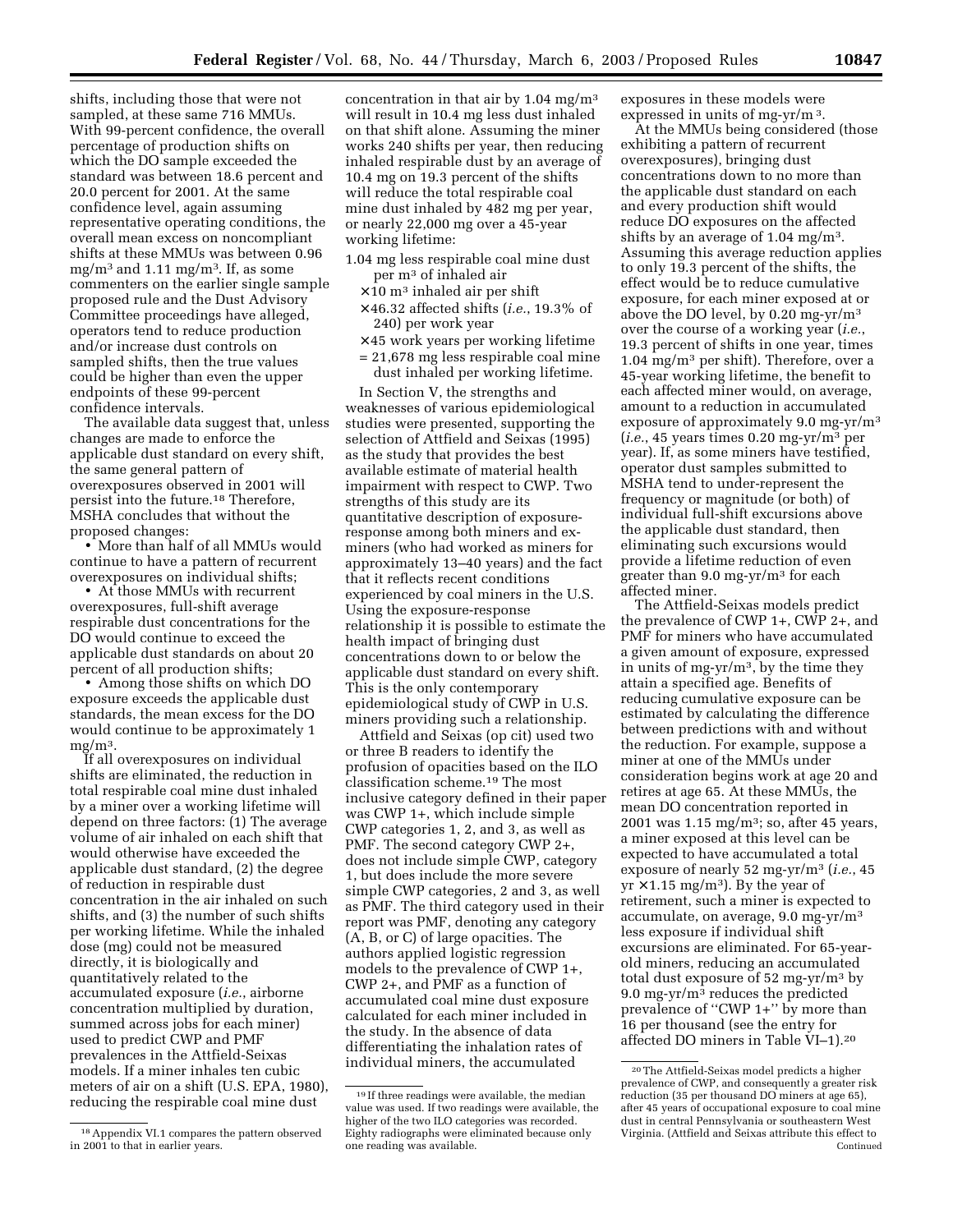shifts, including those that were not sampled, at these same 716 MMUs. With 99-percent confidence, the overall percentage of production shifts on which the DO sample exceeded the standard was between 18.6 percent and 20.0 percent for 2001. At the same confidence level, again assuming representative operating conditions, the overall mean excess on noncompliant shifts at these MMUs was between 0.96 mg/m<sup>3</sup> and 1.11 mg/m<sup>3</sup>. If, as some commenters on the earlier single sample proposed rule and the Dust Advisory Committee proceedings have alleged, operators tend to reduce production and/or increase dust controls on sampled shifts, then the true values could be higher than even the upper endpoints of these 99-percent confidence intervals.

The available data suggest that, unless changes are made to enforce the applicable dust standard on every shift, the same general pattern of overexposures observed in 2001 will persist into the future.18 Therefore, MSHA concludes that without the proposed changes:

• More than half of all MMUs would continue to have a pattern of recurrent overexposures on individual shifts;

• At those MMUs with recurrent overexposures, full-shift average respirable dust concentrations for the DO would continue to exceed the applicable dust standards on about 20 percent of all production shifts;

• Among those shifts on which DO exposure exceeds the applicable dust standards, the mean excess for the DO would continue to be approximately 1  $mg/m<sup>3</sup>$ .

If all overexposures on individual shifts are eliminated, the reduction in total respirable coal mine dust inhaled by a miner over a working lifetime will depend on three factors: (1) The average volume of air inhaled on each shift that would otherwise have exceeded the applicable dust standard, (2) the degree of reduction in respirable dust concentration in the air inhaled on such shifts, and (3) the number of such shifts per working lifetime. While the inhaled dose (mg) could not be measured directly, it is biologically and quantitatively related to the accumulated exposure (*i.e.*, airborne concentration multiplied by duration, summed across jobs for each miner) used to predict CWP and PMF prevalences in the Attfield-Seixas models. If a miner inhales ten cubic meters of air on a shift (U.S. EPA, 1980), reducing the respirable coal mine dust

concentration in that air by  $1.04 \text{ mg/m}^3$ will result in 10.4 mg less dust inhaled on that shift alone. Assuming the miner works 240 shifts per year, then reducing inhaled respirable dust by an average of 10.4 mg on 19.3 percent of the shifts will reduce the total respirable coal mine dust inhaled by 482 mg per year, or nearly 22,000 mg over a 45-year working lifetime:

- 1.04 mg less respirable coal mine dust per m3 of inhaled air
	- $\times$  10 m<sup>3</sup> inhaled air per shift
	- × 46.32 affected shifts (*i.e.*, 19.3% of 240) per work year
	- $\times$  45 work years per working lifetime
	- = 21,678 mg less respirable coal mine dust inhaled per working lifetime.

In Section V, the strengths and weaknesses of various epidemiological studies were presented, supporting the selection of Attfield and Seixas (1995) as the study that provides the best available estimate of material health impairment with respect to CWP. Two strengths of this study are its quantitative description of exposureresponse among both miners and exminers (who had worked as miners for approximately 13–40 years) and the fact that it reflects recent conditions experienced by coal miners in the U.S. Using the exposure-response relationship it is possible to estimate the health impact of bringing dust concentrations down to or below the applicable dust standard on every shift. This is the only contemporary epidemiological study of CWP in U.S. miners providing such a relationship.

Attfield and Seixas (op cit) used two or three B readers to identify the profusion of opacities based on the ILO classification scheme.19 The most inclusive category defined in their paper was CWP 1+, which include simple CWP categories 1, 2, and 3, as well as PMF. The second category CWP 2+, does not include simple CWP, category 1, but does include the more severe simple CWP categories, 2 and 3, as well as PMF. The third category used in their report was PMF, denoting any category (A, B, or C) of large opacities. The authors applied logistic regression models to the prevalence of CWP 1+, CWP 2+, and PMF as a function of accumulated coal mine dust exposure calculated for each miner included in the study. In the absence of data differentiating the inhalation rates of individual miners, the accumulated

exposures in these models were expressed in units of mg-yr/m 3.

At the MMUs being considered (those exhibiting a pattern of recurrent overexposures), bringing dust concentrations down to no more than the applicable dust standard on each and every production shift would reduce DO exposures on the affected shifts by an average of 1.04 mg/m3. Assuming this average reduction applies to only 19.3 percent of the shifts, the effect would be to reduce cumulative exposure, for each miner exposed at or above the DO level, by 0.20 mg-yr/m3 over the course of a working year (*i.e.*, 19.3 percent of shifts in one year, times 1.04 mg/m3 per shift). Therefore, over a 45-year working lifetime, the benefit to each affected miner would, on average, amount to a reduction in accumulated exposure of approximately 9.0 mg-yr/m3 (*i.e.*, 45 years times 0.20 mg-yr/m3 per year). If, as some miners have testified, operator dust samples submitted to MSHA tend to under-represent the frequency or magnitude (or both) of individual full-shift excursions above the applicable dust standard, then eliminating such excursions would provide a lifetime reduction of even greater than 9.0 mg-yr/m3 for each affected miner.

The Attfield-Seixas models predict the prevalence of CWP 1+, CWP 2+, and PMF for miners who have accumulated a given amount of exposure, expressed in units of mg-yr/m3, by the time they attain a specified age. Benefits of reducing cumulative exposure can be estimated by calculating the difference between predictions with and without the reduction. For example, suppose a miner at one of the MMUs under consideration begins work at age 20 and retires at age 65. At these MMUs, the mean DO concentration reported in 2001 was  $1.15 \text{ mg/m}^3$ ; so, after 45 years, a miner exposed at this level can be expected to have accumulated a total exposure of nearly 52 mg-yr/m3 (*i.e.*, 45  $yr \times 1.15$  mg/m<sup>3</sup>). By the year of retirement, such a miner is expected to accumulate, on average, 9.0 mg-yr/m3 less exposure if individual shift excursions are eliminated. For 65-yearold miners, reducing an accumulated total dust exposure of 52 mg-yr/m3 by 9.0 mg-yr/m3 reduces the predicted prevalence of "CWP 1+" by more than 16 per thousand (see the entry for affected DO miners in Table VI–1).20

<sup>18</sup>Appendix VI.1 compares the pattern observed in 2001 to that in earlier years.

<sup>19</sup> If three readings were available, the median value was used. If two readings were available, the higher of the two ILO categories was recorded. Eighty radiographs were eliminated because only one reading was available.

<sup>20</sup>The Attfield-Seixas model predicts a higher prevalence of CWP, and consequently a greater risk reduction (35 per thousand DO miners at age 65), after 45 years of occupational exposure to coal mine dust in central Pennsylvania or southeastern West Virginia. (Attfield and Seixas attribute this effect to Continued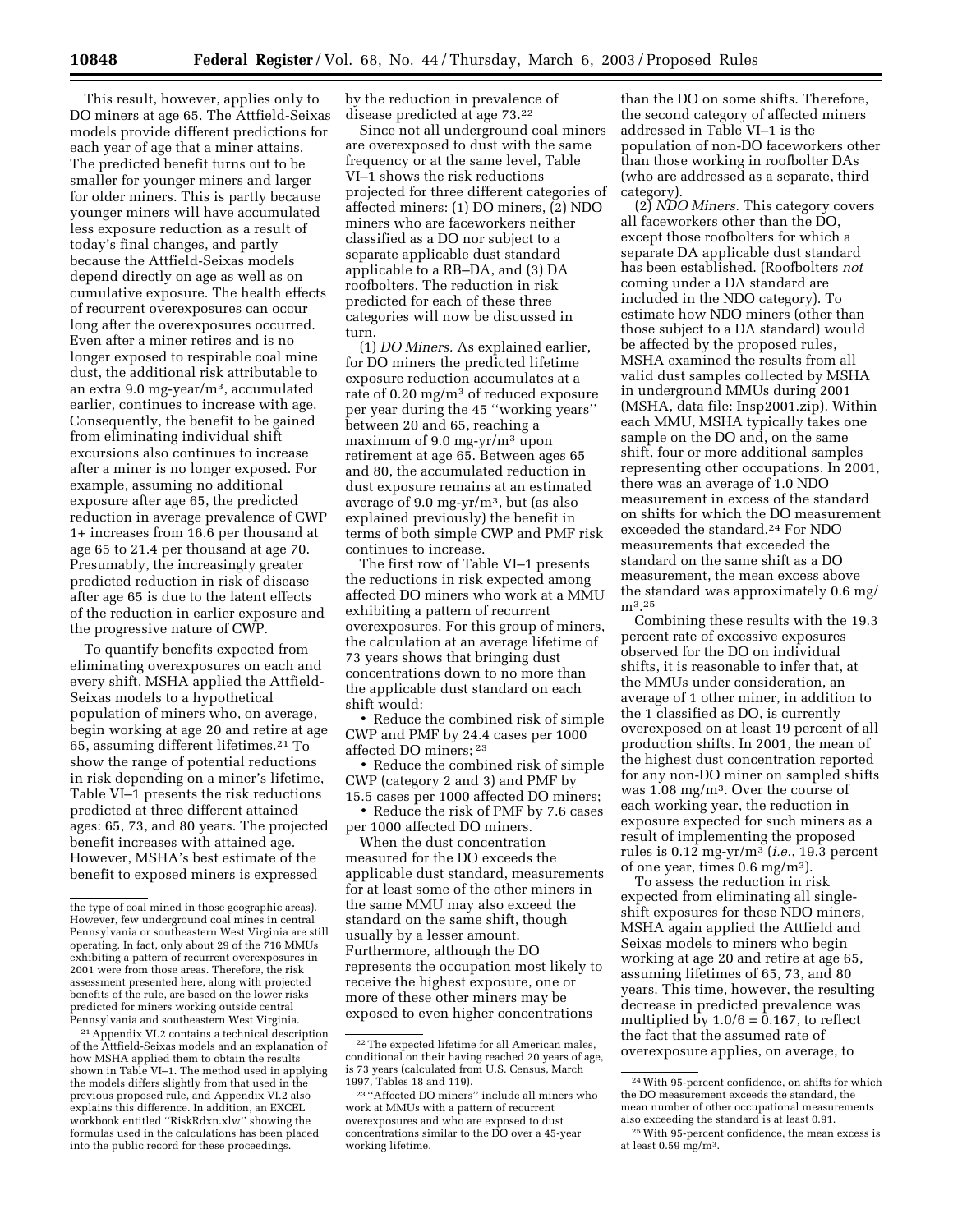This result, however, applies only to DO miners at age 65. The Attfield-Seixas models provide different predictions for each year of age that a miner attains. The predicted benefit turns out to be smaller for younger miners and larger for older miners. This is partly because younger miners will have accumulated less exposure reduction as a result of today's final changes, and partly because the Attfield-Seixas models depend directly on age as well as on cumulative exposure. The health effects of recurrent overexposures can occur long after the overexposures occurred. Even after a miner retires and is no longer exposed to respirable coal mine dust, the additional risk attributable to an extra 9.0 mg-year/m3, accumulated earlier, continues to increase with age. Consequently, the benefit to be gained from eliminating individual shift excursions also continues to increase after a miner is no longer exposed. For example, assuming no additional exposure after age 65, the predicted reduction in average prevalence of CWP 1+ increases from 16.6 per thousand at age 65 to 21.4 per thousand at age 70. Presumably, the increasingly greater predicted reduction in risk of disease after age 65 is due to the latent effects of the reduction in earlier exposure and the progressive nature of CWP.

To quantify benefits expected from eliminating overexposures on each and every shift, MSHA applied the Attfield-Seixas models to a hypothetical population of miners who, on average, begin working at age 20 and retire at age 65, assuming different lifetimes.21 To show the range of potential reductions in risk depending on a miner's lifetime, Table VI–1 presents the risk reductions predicted at three different attained ages: 65, 73, and 80 years. The projected benefit increases with attained age. However, MSHA's best estimate of the benefit to exposed miners is expressed

21Appendix VI.2 contains a technical description of the Attfield-Seixas models and an explanation of how MSHA applied them to obtain the results shown in Table VI–1. The method used in applying the models differs slightly from that used in the previous proposed rule, and Appendix VI.2 also explains this difference. In addition, an EXCEL workbook entitled ''RiskRdxn.xlw'' showing the formulas used in the calculations has been placed into the public record for these proceedings.

by the reduction in prevalence of disease predicted at age 73.22

Since not all underground coal miners are overexposed to dust with the same frequency or at the same level, Table VI–1 shows the risk reductions projected for three different categories of affected miners: (1) DO miners, (2) NDO miners who are faceworkers neither classified as a DO nor subject to a separate applicable dust standard applicable to a RB–DA, and (3) DA roofbolters. The reduction in risk predicted for each of these three categories will now be discussed in turn.

(1) *DO Miners.* As explained earlier, for DO miners the predicted lifetime exposure reduction accumulates at a rate of 0.20 mg/m3 of reduced exposure per year during the 45 ''working years'' between 20 and 65, reaching a maximum of 9.0 mg-yr/m3 upon retirement at age 65. Between ages 65 and 80, the accumulated reduction in dust exposure remains at an estimated average of 9.0 mg-yr/m3, but (as also explained previously) the benefit in terms of both simple CWP and PMF risk continues to increase.

The first row of Table VI–1 presents the reductions in risk expected among affected DO miners who work at a MMU exhibiting a pattern of recurrent overexposures. For this group of miners, the calculation at an average lifetime of 73 years shows that bringing dust concentrations down to no more than the applicable dust standard on each shift would:

• Reduce the combined risk of simple CWP and PMF by 24.4 cases per 1000 affected DO miners; 23

• Reduce the combined risk of simple CWP (category 2 and 3) and PMF by 15.5 cases per 1000 affected DO miners;

• Reduce the risk of PMF by 7.6 cases per 1000 affected DO miners.

When the dust concentration measured for the DO exceeds the applicable dust standard, measurements for at least some of the other miners in the same MMU may also exceed the standard on the same shift, though usually by a lesser amount. Furthermore, although the DO represents the occupation most likely to receive the highest exposure, one or more of these other miners may be exposed to even higher concentrations

than the DO on some shifts. Therefore, the second category of affected miners addressed in Table VI–1 is the population of non-DO faceworkers other than those working in roofbolter DAs (who are addressed as a separate, third category).

(2) *NDO Miners.* This category covers all faceworkers other than the DO, except those roofbolters for which a separate DA applicable dust standard has been established. (Roofbolters *not* coming under a DA standard are included in the NDO category). To estimate how NDO miners (other than those subject to a DA standard) would be affected by the proposed rules, MSHA examined the results from all valid dust samples collected by MSHA in underground MMUs during 2001 (MSHA, data file: Insp2001.zip). Within each MMU, MSHA typically takes one sample on the DO and, on the same shift, four or more additional samples representing other occupations. In 2001, there was an average of 1.0 NDO measurement in excess of the standard on shifts for which the DO measurement exceeded the standard.24 For NDO measurements that exceeded the standard on the same shift as a DO measurement, the mean excess above the standard was approximately 0.6 mg/ m3.25

Combining these results with the 19.3 percent rate of excessive exposures observed for the DO on individual shifts, it is reasonable to infer that, at the MMUs under consideration, an average of 1 other miner, in addition to the 1 classified as DO, is currently overexposed on at least 19 percent of all production shifts. In 2001, the mean of the highest dust concentration reported for any non-DO miner on sampled shifts was 1.08 mg/m3. Over the course of each working year, the reduction in exposure expected for such miners as a result of implementing the proposed rules is 0.12 mg-yr/m3 (*i.e.*, 19.3 percent of one year, times 0.6 mg/m3).

To assess the reduction in risk expected from eliminating all singleshift exposures for these NDO miners, MSHA again applied the Attfield and Seixas models to miners who begin working at age 20 and retire at age 65, assuming lifetimes of 65, 73, and 80 years. This time, however, the resulting decrease in predicted prevalence was multiplied by  $1.0/6 = 0.167$ , to reflect the fact that the assumed rate of overexposure applies, on average, to

the type of coal mined in those geographic areas). However, few underground coal mines in central Pennsylvania or southeastern West Virginia are still operating. In fact, only about 29 of the 716 MMUs exhibiting a pattern of recurrent overexposures in 2001 were from those areas. Therefore, the risk assessment presented here, along with projected benefits of the rule, are based on the lower risks predicted for miners working outside central Pennsylvania and southeastern West Virginia.

<sup>22</sup>The expected lifetime for all American males, conditional on their having reached 20 years of age, is 73 years (calculated from U.S. Census, March 1997, Tables 18 and 119).

<sup>23</sup> ''Affected DO miners'' include all miners who work at MMUs with a pattern of recurrent overexposures and who are exposed to dust concentrations similar to the DO over a 45-year working lifetime.

<sup>24</sup>With 95-percent confidence, on shifts for which the DO measurement exceeds the standard, the mean number of other occupational measurements also exceeding the standard is at least 0.91.

<sup>25</sup>With 95-percent confidence, the mean excess is at least 0.59 mg/m3.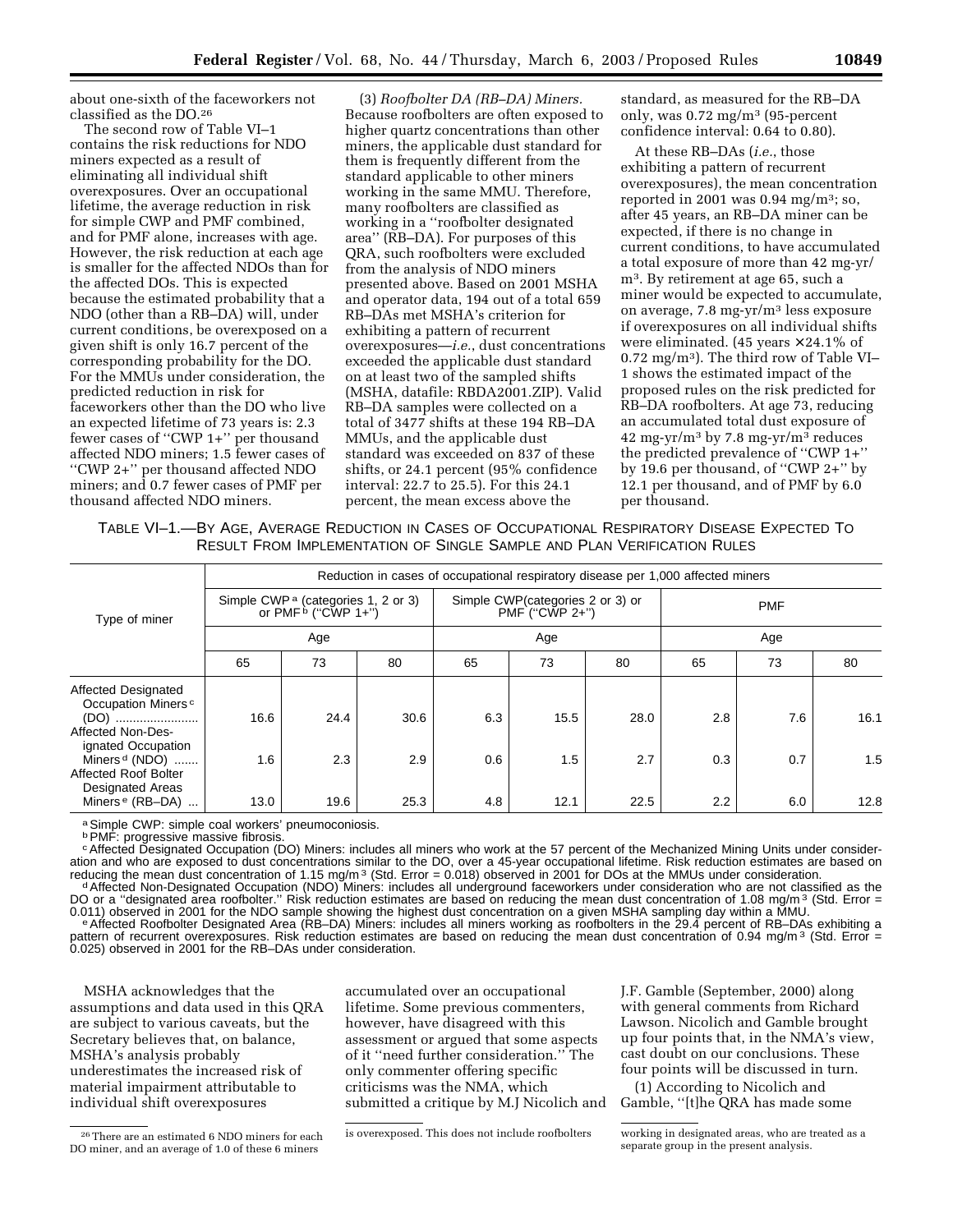about one-sixth of the faceworkers not classified as the DO.26

The second row of Table VI–1 contains the risk reductions for NDO miners expected as a result of eliminating all individual shift overexposures. Over an occupational lifetime, the average reduction in risk for simple CWP and PMF combined, and for PMF alone, increases with age. However, the risk reduction at each age is smaller for the affected NDOs than for the affected DOs. This is expected because the estimated probability that a NDO (other than a RB–DA) will, under current conditions, be overexposed on a given shift is only 16.7 percent of the corresponding probability for the DO. For the MMUs under consideration, the predicted reduction in risk for faceworkers other than the DO who live an expected lifetime of 73 years is: 2.3 fewer cases of ''CWP 1+'' per thousand affected NDO miners; 1.5 fewer cases of ''CWP 2+'' per thousand affected NDO miners; and 0.7 fewer cases of PMF per thousand affected NDO miners.

(3) *Roofbolter DA (RB–DA) Miners.* Because roofbolters are often exposed to higher quartz concentrations than other miners, the applicable dust standard for them is frequently different from the standard applicable to other miners working in the same MMU. Therefore, many roofbolters are classified as working in a ''roofbolter designated area'' (RB–DA). For purposes of this QRA, such roofbolters were excluded from the analysis of NDO miners presented above. Based on 2001 MSHA and operator data, 194 out of a total 659 RB–DAs met MSHA's criterion for exhibiting a pattern of recurrent overexposures—*i.e.*, dust concentrations exceeded the applicable dust standard on at least two of the sampled shifts (MSHA, datafile: RBDA2001.ZIP). Valid RB–DA samples were collected on a total of 3477 shifts at these 194 RB–DA MMUs, and the applicable dust standard was exceeded on 837 of these shifts, or 24.1 percent (95% confidence interval: 22.7 to 25.5). For this 24.1 percent, the mean excess above the

standard, as measured for the RB–DA only, was 0.72 mg/m3 (95-percent confidence interval: 0.64 to 0.80).

At these RB–DAs (*i.e.*, those exhibiting a pattern of recurrent overexposures), the mean concentration reported in 2001 was 0.94 mg/m3; so, after 45 years, an RB–DA miner can be expected, if there is no change in current conditions, to have accumulated a total exposure of more than 42 mg-yr/ m3. By retirement at age 65, such a miner would be expected to accumulate, on average, 7.8 mg-yr/m3 less exposure if overexposures on all individual shifts were eliminated. (45 years  $\times$  24.1% of 0.72 mg/m3). The third row of Table VI– 1 shows the estimated impact of the proposed rules on the risk predicted for RB–DA roofbolters. At age 73, reducing an accumulated total dust exposure of 42 mg-yr/m<sup>3</sup> by 7.8 mg-yr/m<sup>3</sup> reduces the predicted prevalence of ''CWP 1+'' by 19.6 per thousand, of ''CWP 2+'' by 12.1 per thousand, and of PMF by 6.0 per thousand.

| TABLE VI-1.- BY AGE, AVERAGE REDUCTION IN CASES OF OCCUPATIONAL RESPIRATORY DISEASE EXPECTED TO |                                                                         |  |  |  |
|-------------------------------------------------------------------------------------------------|-------------------------------------------------------------------------|--|--|--|
|                                                                                                 | RESULT FROM IMPLEMENTATION OF SINGLE SAMPLE AND PLAN VERIFICATION RULES |  |  |  |

| Reduction in cases of occupational respiratory disease per 1,000 affected miners    |      |      |                                                        |      |      |            |     |             |
|-------------------------------------------------------------------------------------|------|------|--------------------------------------------------------|------|------|------------|-----|-------------|
| Simple CWP <sup>a</sup> (categories 1, 2 or 3)<br>or PMF <sup>b</sup> ("CWP $1+$ ") |      |      | Simple CWP (categories 2 or 3) or<br>$PMF'(''CWP 2+")$ |      |      | <b>PMF</b> |     |             |
| Age                                                                                 |      |      | Age                                                    |      |      | Age        |     |             |
| 65                                                                                  | 73   | 80   | 65                                                     | 73   | 80   | 65         | 73  | 80          |
| 16.6                                                                                | 24.4 | 30.6 | 6.3                                                    | 15.5 | 28.0 | 2.8        | 7.6 | 16.1        |
| 13.0                                                                                | 19.6 | 25.3 | 4.8                                                    | 12.1 | 22.5 | 2.2        | 6.0 | 1.5<br>12.8 |
|                                                                                     | 1.6  | 2.3  | 2.9                                                    | 0.6  | 1.5  | 2.7        | 0.3 | 0.7         |

a Simple CWP: simple coal workers' pneumoconiosis.<br><sup>b</sup> PMF: progressive massive fibrosis.

cAffected Designated Occupation (DO) Miners: includes all miners who work at the 57 percent of the Mechanized Mining Units under consideration and who are exposed to dust concentrations similar to the DO, over a 45-year occupational lifetime. Risk reduction estimates are based on<br>reducing the mean dust concentration of 1.15 mg/m<sup>3</sup> (Std. Error = 0.018) obse

DO or a "designated area roofbolter." Risk reduction estimates are based on reducing the mean dust concentration of 1.08 mg/m<sup>3</sup> (Std. Error = 0.011) observed in 2001 for the NDO sample showing the highest dust concentrati

e Affected Roofbolter Designated Area (RB-DA) Miners: includes all miners working as roofbolters in the 29.4 percent of RB-DAs exhibiting a pattern of recurrent overexposures. Risk reduction estimates are based on reducing the mean dust concentration of 0.94 mg/m<sup>3</sup> (Std. Error = 0.025) observed in 2001 for the RB–DAs under consideration.

MSHA acknowledges that the assumptions and data used in this QRA are subject to various caveats, but the Secretary believes that, on balance, MSHA's analysis probably underestimates the increased risk of material impairment attributable to individual shift overexposures

26There are an estimated 6 NDO miners for each DO miner, and an average of 1.0 of these 6 miners

J.F. Gamble (September, 2000) along with general comments from Richard Lawson. Nicolich and Gamble brought up four points that, in the NMA's view, cast doubt on our conclusions. These four points will be discussed in turn.

(1) According to Nicolich and Gamble, ''[t]he QRA has made some

accumulated over an occupational lifetime. Some previous commenters, however, have disagreed with this assessment or argued that some aspects of it ''need further consideration.'' The only commenter offering specific criticisms was the NMA, which submitted a critique by M.J Nicolich and

is overexposed. This does not include roofbolters working in designated areas, who are treated as a separate group in the present analysis.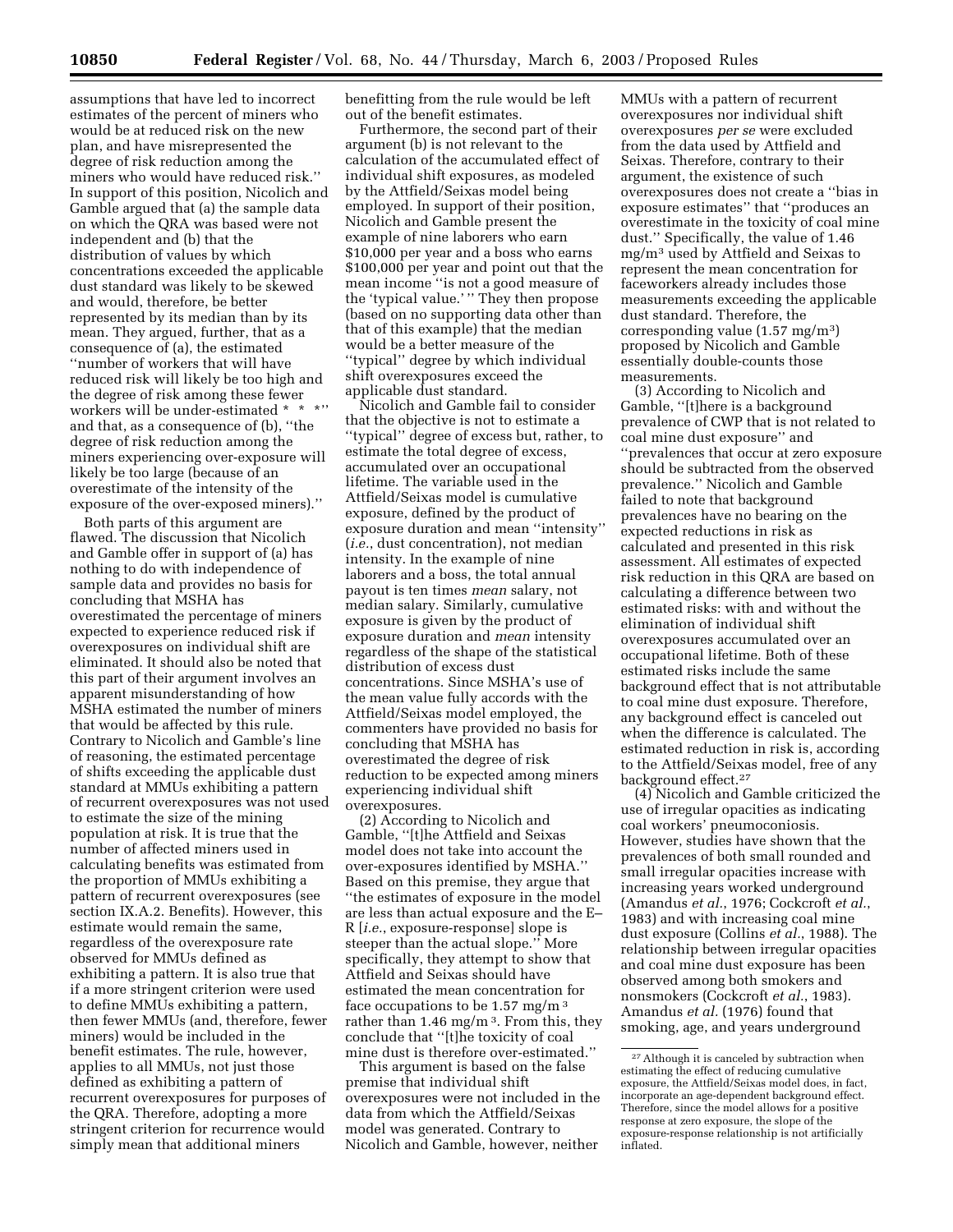assumptions that have led to incorrect estimates of the percent of miners who would be at reduced risk on the new plan, and have misrepresented the degree of risk reduction among the miners who would have reduced risk.'' In support of this position, Nicolich and Gamble argued that (a) the sample data on which the QRA was based were not independent and (b) that the distribution of values by which concentrations exceeded the applicable dust standard was likely to be skewed and would, therefore, be better represented by its median than by its mean. They argued, further, that as a consequence of (a), the estimated ''number of workers that will have reduced risk will likely be too high and the degree of risk among these fewer workers will be under-estimated \* \* \*" and that, as a consequence of (b), ''the degree of risk reduction among the miners experiencing over-exposure will likely be too large (because of an overestimate of the intensity of the exposure of the over-exposed miners).''

Both parts of this argument are flawed. The discussion that Nicolich and Gamble offer in support of (a) has nothing to do with independence of sample data and provides no basis for concluding that MSHA has overestimated the percentage of miners expected to experience reduced risk if overexposures on individual shift are eliminated. It should also be noted that this part of their argument involves an apparent misunderstanding of how MSHA estimated the number of miners that would be affected by this rule. Contrary to Nicolich and Gamble's line of reasoning, the estimated percentage of shifts exceeding the applicable dust standard at MMUs exhibiting a pattern of recurrent overexposures was not used to estimate the size of the mining population at risk. It is true that the number of affected miners used in calculating benefits was estimated from the proportion of MMUs exhibiting a pattern of recurrent overexposures (see section IX.A.2. Benefits). However, this estimate would remain the same, regardless of the overexposure rate observed for MMUs defined as exhibiting a pattern. It is also true that if a more stringent criterion were used to define MMUs exhibiting a pattern, then fewer MMUs (and, therefore, fewer miners) would be included in the benefit estimates. The rule, however, applies to all MMUs, not just those defined as exhibiting a pattern of recurrent overexposures for purposes of the QRA. Therefore, adopting a more stringent criterion for recurrence would simply mean that additional miners

benefitting from the rule would be left out of the benefit estimates.

Furthermore, the second part of their argument (b) is not relevant to the calculation of the accumulated effect of individual shift exposures, as modeled by the Attfield/Seixas model being employed. In support of their position, Nicolich and Gamble present the example of nine laborers who earn \$10,000 per year and a boss who earns \$100,000 per year and point out that the mean income ''is not a good measure of the 'typical value.' '' They then propose (based on no supporting data other than that of this example) that the median would be a better measure of the ''typical'' degree by which individual shift overexposures exceed the applicable dust standard.

Nicolich and Gamble fail to consider that the objective is not to estimate a ''typical'' degree of excess but, rather, to estimate the total degree of excess, accumulated over an occupational lifetime. The variable used in the Attfield/Seixas model is cumulative exposure, defined by the product of exposure duration and mean ''intensity'' (*i.e.*, dust concentration), not median intensity. In the example of nine laborers and a boss, the total annual payout is ten times *mean* salary, not median salary. Similarly, cumulative exposure is given by the product of exposure duration and *mean* intensity regardless of the shape of the statistical distribution of excess dust concentrations. Since MSHA's use of the mean value fully accords with the Attfield/Seixas model employed, the commenters have provided no basis for concluding that MSHA has overestimated the degree of risk reduction to be expected among miners experiencing individual shift overexposures.

(2) According to Nicolich and Gamble, ''[t]he Attfield and Seixas model does not take into account the over-exposures identified by MSHA.'' Based on this premise, they argue that ''the estimates of exposure in the model are less than actual exposure and the E– R [*i.e.*, exposure-response] slope is steeper than the actual slope.'' More specifically, they attempt to show that Attfield and Seixas should have estimated the mean concentration for face occupations to be  $1.57 \text{ mg/m}^3$ rather than  $1.46$  mg/m<sup>3</sup>. From this, they conclude that ''[t]he toxicity of coal mine dust is therefore over-estimated.''

This argument is based on the false premise that individual shift overexposures were not included in the data from which the Atffield/Seixas model was generated. Contrary to Nicolich and Gamble, however, neither

MMUs with a pattern of recurrent overexposures nor individual shift overexposures *per se* were excluded from the data used by Attfield and Seixas. Therefore, contrary to their argument, the existence of such overexposures does not create a ''bias in exposure estimates'' that ''produces an overestimate in the toxicity of coal mine dust.'' Specifically, the value of 1.46 mg/m3 used by Attfield and Seixas to represent the mean concentration for faceworkers already includes those measurements exceeding the applicable dust standard. Therefore, the corresponding value (1.57 mg/m3) proposed by Nicolich and Gamble essentially double-counts those measurements.

(3) According to Nicolich and Gamble, ''[t]here is a background prevalence of CWP that is not related to coal mine dust exposure'' and ''prevalences that occur at zero exposure should be subtracted from the observed prevalence.'' Nicolich and Gamble failed to note that background prevalences have no bearing on the expected reductions in risk as calculated and presented in this risk assessment. All estimates of expected risk reduction in this QRA are based on calculating a difference between two estimated risks: with and without the elimination of individual shift overexposures accumulated over an occupational lifetime. Both of these estimated risks include the same background effect that is not attributable to coal mine dust exposure. Therefore, any background effect is canceled out when the difference is calculated. The estimated reduction in risk is, according to the Attfield/Seixas model, free of any background effect.27

(4) Nicolich and Gamble criticized the use of irregular opacities as indicating coal workers' pneumoconiosis. However, studies have shown that the prevalences of both small rounded and small irregular opacities increase with increasing years worked underground (Amandus *et al.*, 1976; Cockcroft *et al.*, 1983) and with increasing coal mine dust exposure (Collins *et al.*, 1988). The relationship between irregular opacities and coal mine dust exposure has been observed among both smokers and nonsmokers (Cockcroft *et al.*, 1983). Amandus *et al.* (1976) found that smoking, age, and years underground

 $^\mathrm{27}$  Although it is canceled by subtraction when estimating the effect of reducing cumulative exposure, the Attfield/Seixas model does, in fact, incorporate an age-dependent background effect. Therefore, since the model allows for a positive response at zero exposure, the slope of the exposure-response relationship is not artificially inflated.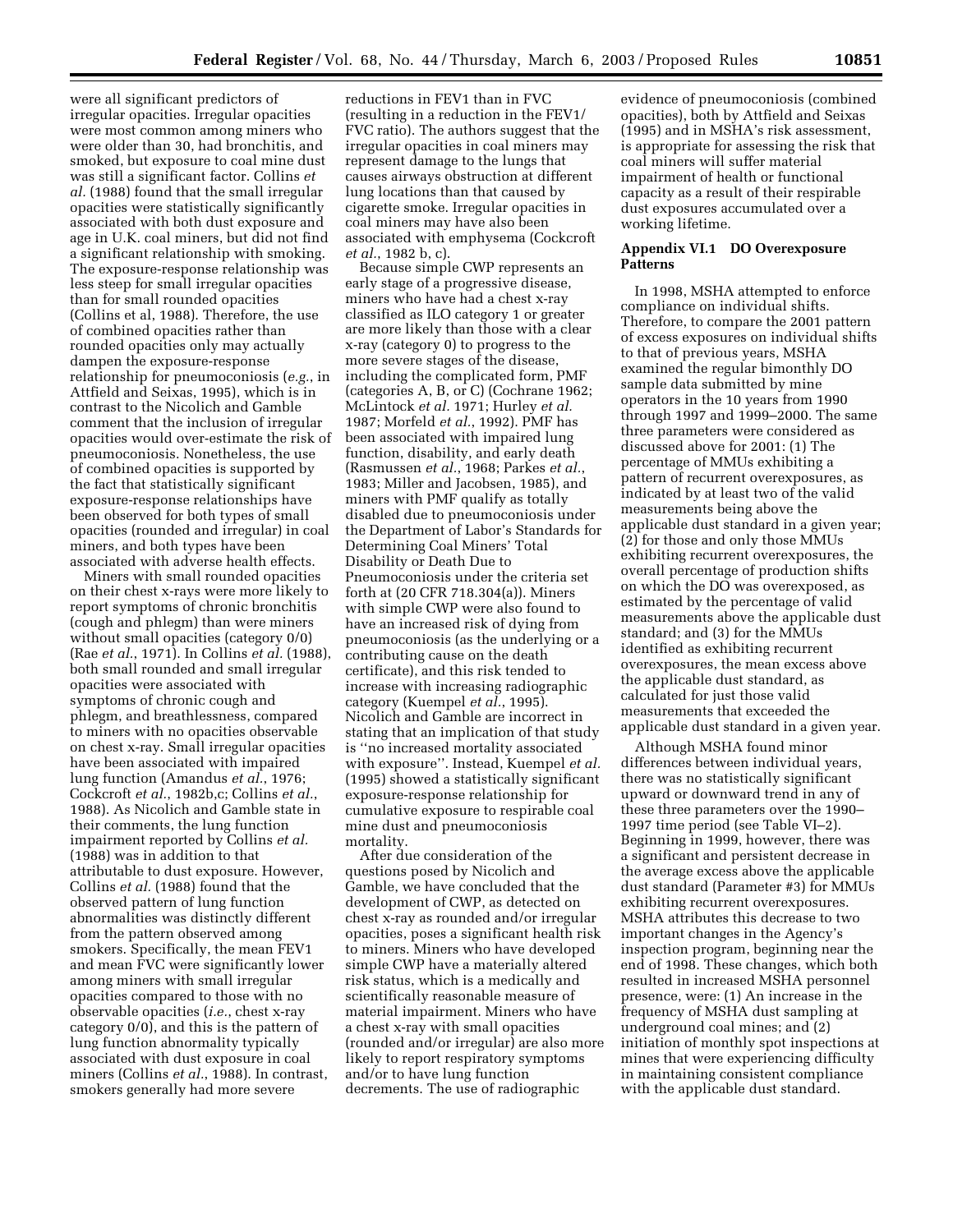were all significant predictors of irregular opacities. Irregular opacities were most common among miners who were older than 30, had bronchitis, and smoked, but exposure to coal mine dust was still a significant factor. Collins *et al.* (1988) found that the small irregular opacities were statistically significantly associated with both dust exposure and age in U.K. coal miners, but did not find a significant relationship with smoking. The exposure-response relationship was less steep for small irregular opacities than for small rounded opacities (Collins et al, 1988). Therefore, the use of combined opacities rather than rounded opacities only may actually dampen the exposure-response relationship for pneumoconiosis (*e.g.*, in Attfield and Seixas, 1995), which is in contrast to the Nicolich and Gamble comment that the inclusion of irregular opacities would over-estimate the risk of pneumoconiosis. Nonetheless, the use of combined opacities is supported by the fact that statistically significant exposure-response relationships have been observed for both types of small opacities (rounded and irregular) in coal miners, and both types have been associated with adverse health effects.

Miners with small rounded opacities on their chest x-rays were more likely to report symptoms of chronic bronchitis (cough and phlegm) than were miners without small opacities (category 0/0) (Rae *et al.*, 1971). In Collins *et al.* (1988), both small rounded and small irregular opacities were associated with symptoms of chronic cough and phlegm, and breathlessness, compared to miners with no opacities observable on chest x-ray. Small irregular opacities have been associated with impaired lung function (Amandus *et al.*, 1976; Cockcroft *et al.*, 1982b,c; Collins *et al.*, 1988). As Nicolich and Gamble state in their comments, the lung function impairment reported by Collins *et al.* (1988) was in addition to that attributable to dust exposure. However, Collins *et al.* (1988) found that the observed pattern of lung function abnormalities was distinctly different from the pattern observed among smokers. Specifically, the mean FEV1 and mean FVC were significantly lower among miners with small irregular opacities compared to those with no observable opacities (*i.e.*, chest x-ray category 0/0), and this is the pattern of lung function abnormality typically associated with dust exposure in coal miners (Collins *et al.*, 1988). In contrast, smokers generally had more severe

reductions in FEV1 than in FVC (resulting in a reduction in the FEV1/ FVC ratio). The authors suggest that the irregular opacities in coal miners may represent damage to the lungs that causes airways obstruction at different lung locations than that caused by cigarette smoke. Irregular opacities in coal miners may have also been associated with emphysema (Cockcroft *et al.*, 1982 b, c).

Because simple CWP represents an early stage of a progressive disease, miners who have had a chest x-ray classified as ILO category 1 or greater are more likely than those with a clear x-ray (category 0) to progress to the more severe stages of the disease, including the complicated form, PMF (categories A, B, or C) (Cochrane 1962; McLintock *et al.* 1971; Hurley *et al.* 1987; Morfeld *et al.*, 1992). PMF has been associated with impaired lung function, disability, and early death (Rasmussen *et al.*, 1968; Parkes *et al.*, 1983; Miller and Jacobsen, 1985), and miners with PMF qualify as totally disabled due to pneumoconiosis under the Department of Labor's Standards for Determining Coal Miners' Total Disability or Death Due to Pneumoconiosis under the criteria set forth at (20 CFR 718.304(a)). Miners with simple CWP were also found to have an increased risk of dying from pneumoconiosis (as the underlying or a contributing cause on the death certificate), and this risk tended to increase with increasing radiographic category (Kuempel *et al.*, 1995). Nicolich and Gamble are incorrect in stating that an implication of that study is ''no increased mortality associated with exposure''. Instead, Kuempel *et al.* (1995) showed a statistically significant exposure-response relationship for cumulative exposure to respirable coal mine dust and pneumoconiosis mortality.

After due consideration of the questions posed by Nicolich and Gamble, we have concluded that the development of CWP, as detected on chest x-ray as rounded and/or irregular opacities, poses a significant health risk to miners. Miners who have developed simple CWP have a materially altered risk status, which is a medically and scientifically reasonable measure of material impairment. Miners who have a chest x-ray with small opacities (rounded and/or irregular) are also more likely to report respiratory symptoms and/or to have lung function decrements. The use of radiographic

evidence of pneumoconiosis (combined opacities), both by Attfield and Seixas (1995) and in MSHA's risk assessment, is appropriate for assessing the risk that coal miners will suffer material impairment of health or functional capacity as a result of their respirable dust exposures accumulated over a working lifetime.

# **Appendix VI.1 DO Overexposure Patterns**

In 1998, MSHA attempted to enforce compliance on individual shifts. Therefore, to compare the 2001 pattern of excess exposures on individual shifts to that of previous years, MSHA examined the regular bimonthly DO sample data submitted by mine operators in the 10 years from 1990 through 1997 and 1999–2000. The same three parameters were considered as discussed above for 2001: (1) The percentage of MMUs exhibiting a pattern of recurrent overexposures, as indicated by at least two of the valid measurements being above the applicable dust standard in a given year; (2) for those and only those MMUs exhibiting recurrent overexposures, the overall percentage of production shifts on which the DO was overexposed, as estimated by the percentage of valid measurements above the applicable dust standard; and (3) for the MMUs identified as exhibiting recurrent overexposures, the mean excess above the applicable dust standard, as calculated for just those valid measurements that exceeded the applicable dust standard in a given year.

Although MSHA found minor differences between individual years, there was no statistically significant upward or downward trend in any of these three parameters over the 1990– 1997 time period (see Table VI–2). Beginning in 1999, however, there was a significant and persistent decrease in the average excess above the applicable dust standard (Parameter #3) for MMUs exhibiting recurrent overexposures. MSHA attributes this decrease to two important changes in the Agency's inspection program, beginning near the end of 1998. These changes, which both resulted in increased MSHA personnel presence, were: (1) An increase in the frequency of MSHA dust sampling at underground coal mines; and (2) initiation of monthly spot inspections at mines that were experiencing difficulty in maintaining consistent compliance with the applicable dust standard.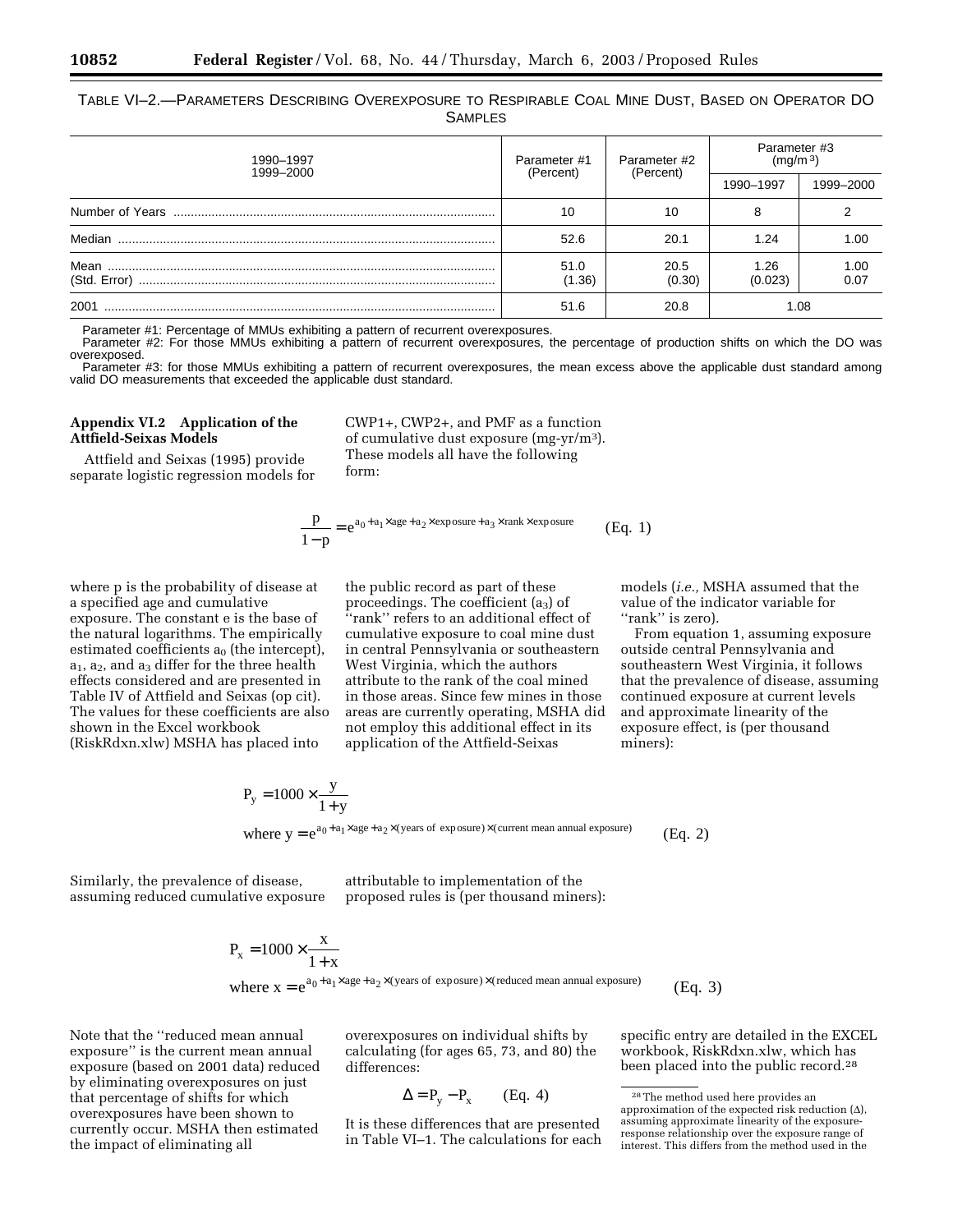TABLE VI–2.—PARAMETERS DESCRIBING OVEREXPOSURE TO RESPIRABLE COAL MINE DUST, BASED ON OPERATOR DO SAMPLES

| 1990-1997<br>1999-2000 | Parameter #1<br>(Percent) | Parameter #2<br>(Percent) | Parameter #3<br>(mq/m <sup>3</sup> ) |              |
|------------------------|---------------------------|---------------------------|--------------------------------------|--------------|
|                        |                           |                           | 1990-1997                            | 1999-2000    |
|                        | 10                        | 10                        |                                      |              |
| Median                 | 52.6                      | 20.1                      | 1.24                                 | 1.00         |
| Mean<br>(Std. Error)   | 51.0<br>(1.36)            | 20.5<br>(0.30)            | 1.26<br>(0.023)                      | 1.00<br>0.07 |
| 2001                   | 51.6                      | 20.8                      |                                      | 1.08         |

Parameter #1: Percentage of MMUs exhibiting a pattern of recurrent overexposures.

Parameter #2: For those MMUs exhibiting a pattern of recurrent overexposures, the percentage of production shifts on which the DO was overexposed.

Parameter #3: for those MMUs exhibiting a pattern of recurrent overexposures, the mean excess above the applicable dust standard among valid DO measurements that exceeded the applicable dust standard.

### **Appendix VI.2 Application of the Attfield-Seixas Models**

Attfield and Seixas (1995) provide separate logistic regression models for

CWP1+, CWP2+, and PMF as a function of cumulative dust exposure (mg-yr/m3). These models all have the following form:

$$
\frac{p}{1-p} = e^{a_0 + a_1 \times age + a_2 \times exposure + a_3 \times rank \times exposure}
$$
 (Eq. 1)

where p is the probability of disease at a specified age and cumulative exposure. The constant e is the base of the natural logarithms. The empirically estimated coefficients  $a_0$  (the intercept),  $a_1$ ,  $a_2$ , and  $a_3$  differ for the three health effects considered and are presented in Table IV of Attfield and Seixas (op cit). The values for these coefficients are also shown in the Excel workbook (RiskRdxn.xlw) MSHA has placed into

the public record as part of these proceedings. The coefficient (a3) of ''rank'' refers to an additional effect of cumulative exposure to coal mine dust in central Pennsylvania or southeastern West Virginia, which the authors attribute to the rank of the coal mined in those areas. Since few mines in those areas are currently operating, MSHA did not employ this additional effect in its application of the Attfield-Seixas

models (*i.e.,* MSHA assumed that the value of the indicator variable for ''rank'' is zero).

From equation 1, assuming exposure outside central Pennsylvania and southeastern West Virginia, it follows that the prevalence of disease, assuming continued exposure at current levels and approximate linearity of the exposure effect, is (per thousand miners):

$$
P_y = 1000 \times \frac{y}{1+y}
$$
  
where  $y = e^{a_0 + a_1 \times age + a_2 \times (years \text{ of exposure}) \times (current mean annual exposure)}$  (Eq. 2)

Similarly, the prevalence of disease,

assuming reduced cumulative exposure

attributable to implementation of the proposed rules is (per thousand miners):

$$
P_x = 1000 \times \frac{x}{1+x}
$$
  
where  $x = e^{a_0 + a_1 \times age + a_2 \times (years \text{ of exposure}) \times (reduced mean annual exposure)}$  (Eq. 3)

Note that the ''reduced mean annual exposure'' is the current mean annual exposure (based on 2001 data) reduced by eliminating overexposures on just that percentage of shifts for which overexposures have been shown to currently occur. MSHA then estimated the impact of eliminating all

overexposures on individual shifts by calculating (for ages 65, 73, and 80) the differences:

$$
\Delta = P_y - P_x \qquad (Eq. 4)
$$

It is these differences that are presented in Table VI–1. The calculations for each

specific entry are detailed in the EXCEL workbook, RiskRdxn.xlw, which has been placed into the public record.28

<sup>28</sup>The method used here provides an approximation of the expected risk reduction  $(\Delta)$ , assuming approximate linearity of the exposureresponse relationship over the exposure range of interest. This differs from the method used in the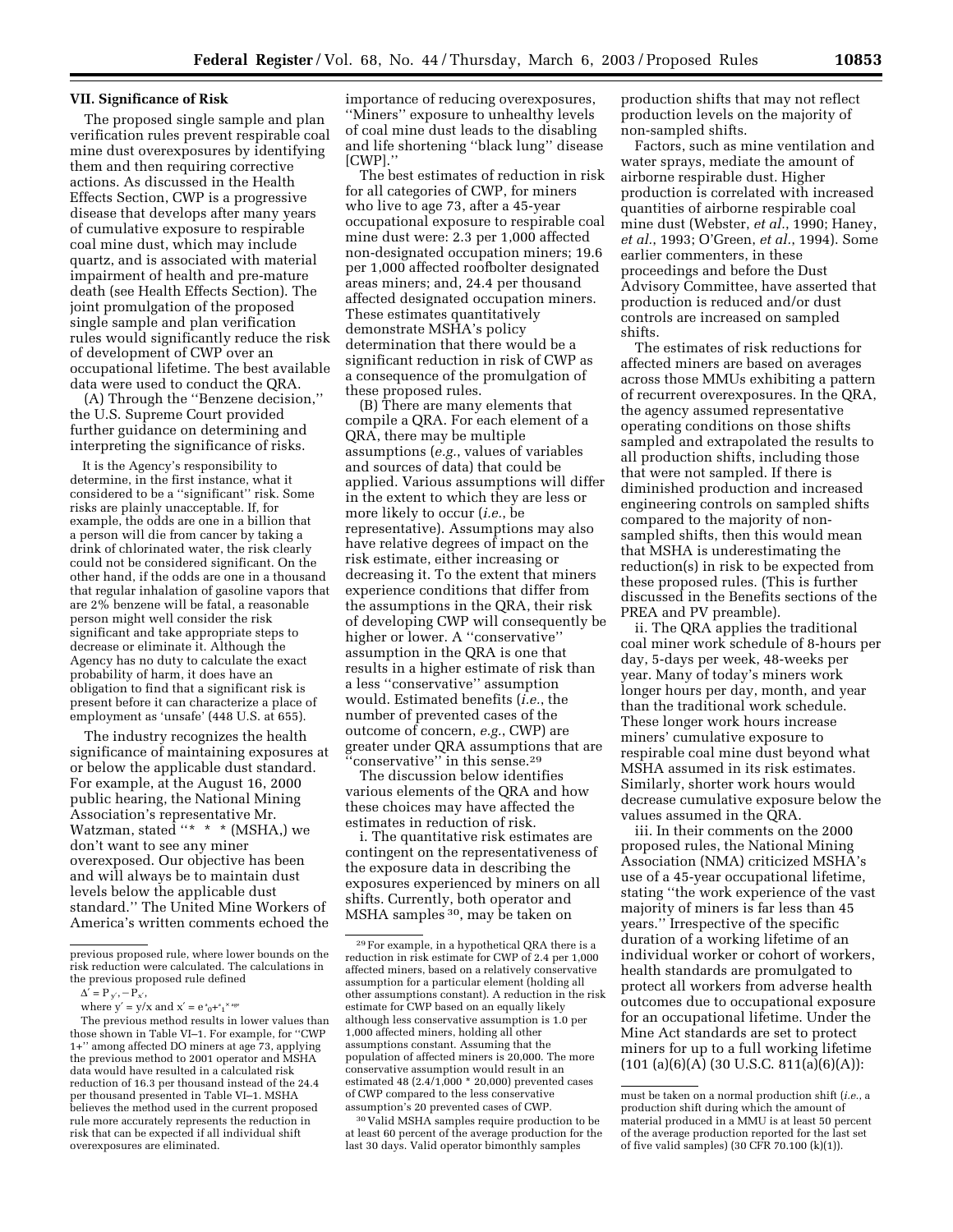#### **VII. Significance of Risk**

The proposed single sample and plan verification rules prevent respirable coal mine dust overexposures by identifying them and then requiring corrective actions. As discussed in the Health Effects Section, CWP is a progressive disease that develops after many years of cumulative exposure to respirable coal mine dust, which may include quartz, and is associated with material impairment of health and pre-mature death (see Health Effects Section). The joint promulgation of the proposed single sample and plan verification rules would significantly reduce the risk of development of CWP over an occupational lifetime. The best available data were used to conduct the QRA.

(A) Through the ''Benzene decision,'' the U.S. Supreme Court provided further guidance on determining and interpreting the significance of risks.

It is the Agency's responsibility to determine, in the first instance, what it considered to be a ''significant'' risk. Some risks are plainly unacceptable. If, for example, the odds are one in a billion that a person will die from cancer by taking a drink of chlorinated water, the risk clearly could not be considered significant. On the other hand, if the odds are one in a thousand that regular inhalation of gasoline vapors that are 2% benzene will be fatal, a reasonable person might well consider the risk significant and take appropriate steps to decrease or eliminate it. Although the Agency has no duty to calculate the exact probability of harm, it does have an obligation to find that a significant risk is present before it can characterize a place of employment as 'unsafe' (448 U.S. at 655).

The industry recognizes the health significance of maintaining exposures at or below the applicable dust standard. For example, at the August 16, 2000 public hearing, the National Mining Association's representative Mr. Watzman, stated "\* \* \* (MSHA,) we don't want to see any miner overexposed. Our objective has been and will always be to maintain dust levels below the applicable dust standard.'' The United Mine Workers of America's written comments echoed the importance of reducing overexposures, ''Miners'' exposure to unhealthy levels of coal mine dust leads to the disabling and life shortening ''black lung'' disease [CWP].''

The best estimates of reduction in risk for all categories of CWP, for miners who live to age 73, after a 45-year occupational exposure to respirable coal mine dust were: 2.3 per 1,000 affected non-designated occupation miners; 19.6 per 1,000 affected roofbolter designated areas miners; and, 24.4 per thousand affected designated occupation miners. These estimates quantitatively demonstrate MSHA's policy determination that there would be a significant reduction in risk of CWP as a consequence of the promulgation of these proposed rules.

(B) There are many elements that compile a QRA. For each element of a QRA, there may be multiple assumptions (*e.g.*, values of variables and sources of data) that could be applied. Various assumptions will differ in the extent to which they are less or more likely to occur (*i.e.*, be representative). Assumptions may also have relative degrees of impact on the risk estimate, either increasing or decreasing it. To the extent that miners experience conditions that differ from the assumptions in the QRA, their risk of developing CWP will consequently be higher or lower. A ''conservative'' assumption in the QRA is one that results in a higher estimate of risk than a less ''conservative'' assumption would. Estimated benefits (*i.e.*, the number of prevented cases of the outcome of concern, *e.g.*, CWP) are greater under QRA assumptions that are conservative" in this sense.<sup>29</sup>

The discussion below identifies various elements of the QRA and how these choices may have affected the estimates in reduction of risk.

i. The quantitative risk estimates are contingent on the representativeness of the exposure data in describing the exposures experienced by miners on all shifts. Currently, both operator and MSHA samples 30, may be taken on

30 Valid MSHA samples require production to be at least 60 percent of the average production for the last 30 days. Valid operator bimonthly samples

production shifts that may not reflect production levels on the majority of non-sampled shifts.

Factors, such as mine ventilation and water sprays, mediate the amount of airborne respirable dust. Higher production is correlated with increased quantities of airborne respirable coal mine dust (Webster, *et al.*, 1990; Haney, *et al.*, 1993; O'Green, *et al.*, 1994). Some earlier commenters, in these proceedings and before the Dust Advisory Committee, have asserted that production is reduced and/or dust controls are increased on sampled shifts.

The estimates of risk reductions for affected miners are based on averages across those MMUs exhibiting a pattern of recurrent overexposures. In the QRA, the agency assumed representative operating conditions on those shifts sampled and extrapolated the results to all production shifts, including those that were not sampled. If there is diminished production and increased engineering controls on sampled shifts compared to the majority of nonsampled shifts, then this would mean that MSHA is underestimating the reduction(s) in risk to be expected from these proposed rules. (This is further discussed in the Benefits sections of the PREA and PV preamble).

ii. The QRA applies the traditional coal miner work schedule of 8-hours per day, 5-days per week, 48-weeks per year. Many of today's miners work longer hours per day, month, and year than the traditional work schedule. These longer work hours increase miners' cumulative exposure to respirable coal mine dust beyond what MSHA assumed in its risk estimates. Similarly, shorter work hours would decrease cumulative exposure below the values assumed in the QRA.

iii. In their comments on the 2000 proposed rules, the National Mining Association (NMA) criticized MSHA's use of a 45-year occupational lifetime, stating ''the work experience of the vast majority of miners is far less than 45 years.'' Irrespective of the specific duration of a working lifetime of an individual worker or cohort of workers, health standards are promulgated to protect all workers from adverse health outcomes due to occupational exposure for an occupational lifetime. Under the Mine Act standards are set to protect miners for up to a full working lifetime  $(101 (a)(6)(A) (30 U.S.C. 811(a)(6)(A))$ :

previous proposed rule, where lower bounds on the risk reduction were calculated. The calculations in the previous proposed rule defined

 $\Delta' = P_{y'}, -P_{x'},$ 

where  $y' = y/x$  and  $x' = e^x e^{x} + e^{x}$ 

The previous method results in lower values than those shown in Table VI–1. For example, for ''CWP 1+'' among affected DO miners at age 73, applying the previous method to 2001 operator and MSHA data would have resulted in a calculated risk reduction of 16.3 per thousand instead of the 24.4 per thousand presented in Table VI–1. MSHA believes the method used in the current proposed rule more accurately represents the reduction in risk that can be expected if all individual shift overexposures are eliminated.

<sup>29</sup>For example, in a hypothetical QRA there is a reduction in risk estimate for CWP of 2.4 per 1,000 affected miners, based on a relatively conservative assumption for a particular element (holding all other assumptions constant). A reduction in the risk estimate for CWP based on an equally likely although less conservative assumption is 1.0 per 1,000 affected miners, holding all other assumptions constant. Assuming that the population of affected miners is 20,000. The more conservative assumption would result in an estimated 48 (2.4/1,000 \* 20,000) prevented cases of CWP compared to the less conservative assumption's 20 prevented cases of CWP.

must be taken on a normal production shift (*i.e.*, a production shift during which the amount of material produced in a MMU is at least 50 percent of the average production reported for the last set of five valid samples) (30 CFR 70.100  $(k)(1)$ ).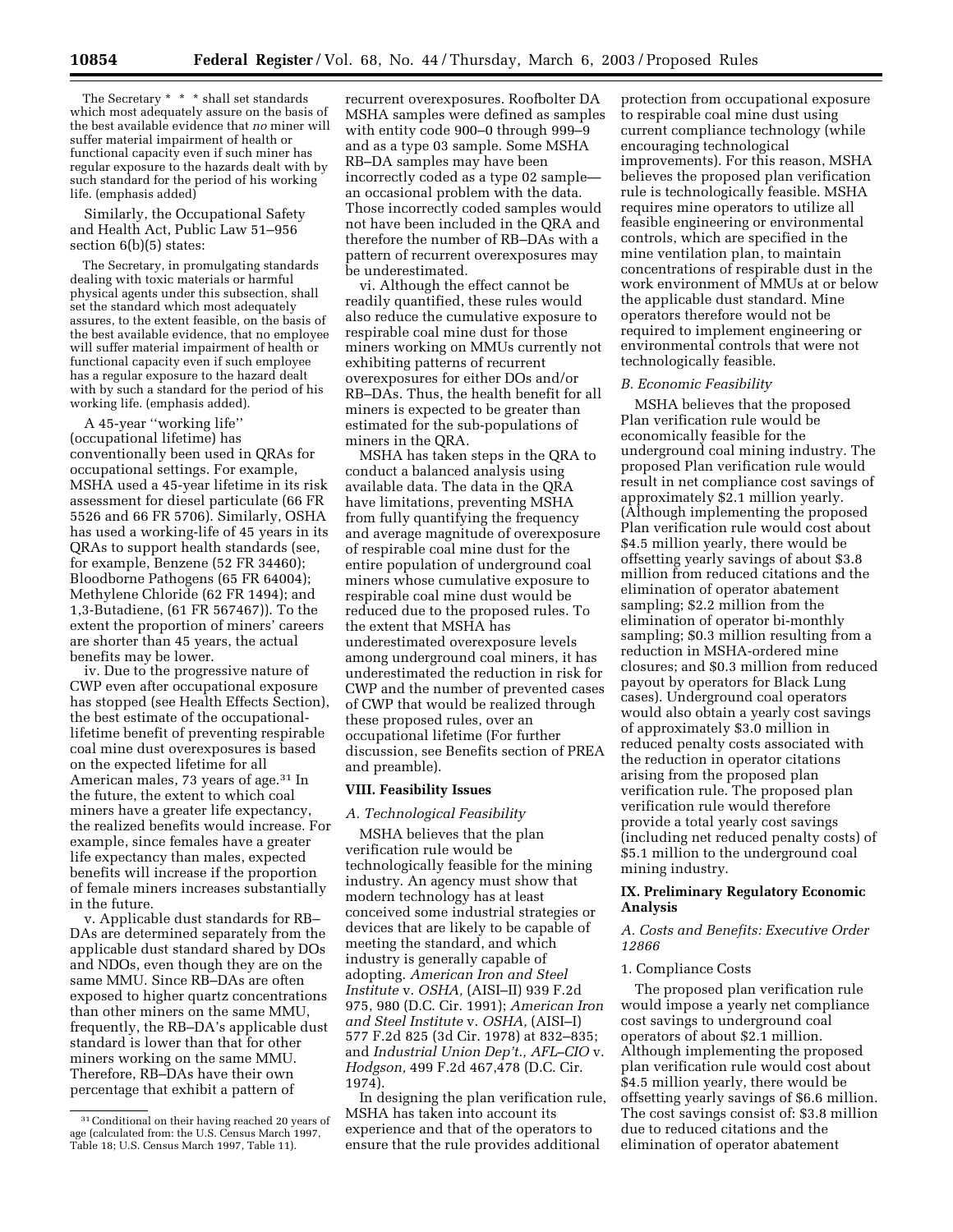The Secretary \* \* \* shall set standards which most adequately assure on the basis of the best available evidence that *no* miner will suffer material impairment of health or functional capacity even if such miner has regular exposure to the hazards dealt with by such standard for the period of his working life. (emphasis added)

Similarly, the Occupational Safety and Health Act, Public Law 51–956 section 6(b)(5) states:

The Secretary, in promulgating standards dealing with toxic materials or harmful physical agents under this subsection, shall set the standard which most adequately assures, to the extent feasible, on the basis of the best available evidence, that no employee will suffer material impairment of health or functional capacity even if such employee has a regular exposure to the hazard dealt with by such a standard for the period of his working life. (emphasis added).

A 45-year ''working life'' (occupational lifetime) has conventionally been used in QRAs for occupational settings. For example, MSHA used a 45-year lifetime in its risk assessment for diesel particulate (66 FR 5526 and 66 FR 5706). Similarly, OSHA has used a working-life of 45 years in its QRAs to support health standards (see, for example, Benzene (52 FR 34460); Bloodborne Pathogens (65 FR 64004); Methylene Chloride (62 FR 1494); and 1,3-Butadiene, (61 FR 567467)). To the extent the proportion of miners' careers are shorter than 45 years, the actual benefits may be lower.

iv. Due to the progressive nature of CWP even after occupational exposure has stopped (see Health Effects Section), the best estimate of the occupationallifetime benefit of preventing respirable coal mine dust overexposures is based on the expected lifetime for all American males, 73 years of age.31 In the future, the extent to which coal miners have a greater life expectancy, the realized benefits would increase. For example, since females have a greater life expectancy than males, expected benefits will increase if the proportion of female miners increases substantially in the future.

v. Applicable dust standards for RB– DAs are determined separately from the applicable dust standard shared by DOs and NDOs, even though they are on the same MMU. Since RB–DAs are often exposed to higher quartz concentrations than other miners on the same MMU, frequently, the RB–DA's applicable dust standard is lower than that for other miners working on the same MMU. Therefore, RB–DAs have their own percentage that exhibit a pattern of

recurrent overexposures. Roofbolter DA MSHA samples were defined as samples with entity code 900–0 through 999–9 and as a type 03 sample. Some MSHA RB–DA samples may have been incorrectly coded as a type 02 sample an occasional problem with the data. Those incorrectly coded samples would not have been included in the QRA and therefore the number of RB–DAs with a pattern of recurrent overexposures may be underestimated.

vi. Although the effect cannot be readily quantified, these rules would also reduce the cumulative exposure to respirable coal mine dust for those miners working on MMUs currently not exhibiting patterns of recurrent overexposures for either DOs and/or RB–DAs. Thus, the health benefit for all miners is expected to be greater than estimated for the sub-populations of miners in the QRA.

MSHA has taken steps in the QRA to conduct a balanced analysis using available data. The data in the QRA have limitations, preventing MSHA from fully quantifying the frequency and average magnitude of overexposure of respirable coal mine dust for the entire population of underground coal miners whose cumulative exposure to respirable coal mine dust would be reduced due to the proposed rules. To the extent that MSHA has underestimated overexposure levels among underground coal miners, it has underestimated the reduction in risk for CWP and the number of prevented cases of CWP that would be realized through these proposed rules, over an occupational lifetime (For further discussion, see Benefits section of PREA and preamble).

#### **VIII. Feasibility Issues**

### *A. Technological Feasibility*

MSHA believes that the plan verification rule would be technologically feasible for the mining industry. An agency must show that modern technology has at least conceived some industrial strategies or devices that are likely to be capable of meeting the standard, and which industry is generally capable of adopting. *American Iron and Steel Institute* v. *OSHA,* (AISI–II) 939 F.2d 975, 980 (D.C. Cir. 1991); *American Iron and Steel Institute* v. *OSHA,* (AISI–I) 577 F.2d 825 (3d Cir. 1978) at 832–835; and *Industrial Union Dep't., AFL–CIO* v. *Hodgson,* 499 F.2d 467,478 (D.C. Cir. 1974).

In designing the plan verification rule, MSHA has taken into account its experience and that of the operators to ensure that the rule provides additional

protection from occupational exposure to respirable coal mine dust using current compliance technology (while encouraging technological improvements). For this reason, MSHA believes the proposed plan verification rule is technologically feasible. MSHA requires mine operators to utilize all feasible engineering or environmental controls, which are specified in the mine ventilation plan, to maintain concentrations of respirable dust in the work environment of MMUs at or below the applicable dust standard. Mine operators therefore would not be required to implement engineering or environmental controls that were not technologically feasible.

#### *B. Economic Feasibility*

MSHA believes that the proposed Plan verification rule would be economically feasible for the underground coal mining industry. The proposed Plan verification rule would result in net compliance cost savings of approximately \$2.1 million yearly. (Although implementing the proposed Plan verification rule would cost about \$4.5 million yearly, there would be offsetting yearly savings of about \$3.8 million from reduced citations and the elimination of operator abatement sampling; \$2.2 million from the elimination of operator bi-monthly sampling; \$0.3 million resulting from a reduction in MSHA-ordered mine closures; and \$0.3 million from reduced payout by operators for Black Lung cases). Underground coal operators would also obtain a yearly cost savings of approximately \$3.0 million in reduced penalty costs associated with the reduction in operator citations arising from the proposed plan verification rule. The proposed plan verification rule would therefore provide a total yearly cost savings (including net reduced penalty costs) of \$5.1 million to the underground coal mining industry.

# **IX. Preliminary Regulatory Economic Analysis**

*A. Costs and Benefits: Executive Order 12866* 

#### 1. Compliance Costs

The proposed plan verification rule would impose a yearly net compliance cost savings to underground coal operators of about \$2.1 million. Although implementing the proposed plan verification rule would cost about \$4.5 million yearly, there would be offsetting yearly savings of \$6.6 million. The cost savings consist of: \$3.8 million due to reduced citations and the elimination of operator abatement

<sup>31</sup>Conditional on their having reached 20 years of age (calculated from: the U.S. Census March 1997, Table 18; U.S. Census March 1997, Table 11).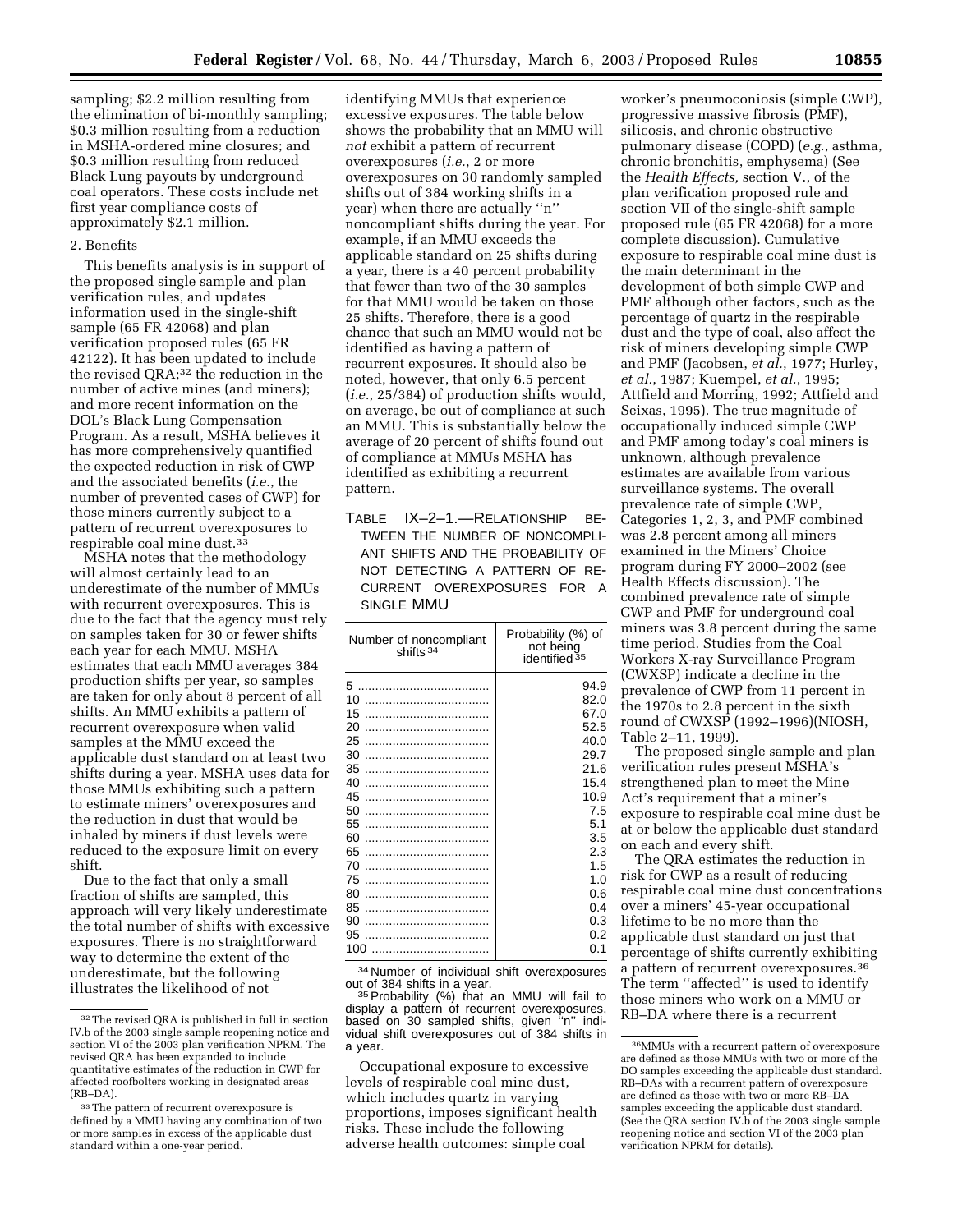sampling; \$2.2 million resulting from the elimination of bi-monthly sampling; \$0.3 million resulting from a reduction in MSHA-ordered mine closures; and \$0.3 million resulting from reduced Black Lung payouts by underground coal operators. These costs include net first year compliance costs of approximately \$2.1 million.

# 2. Benefits

This benefits analysis is in support of the proposed single sample and plan verification rules, and updates information used in the single-shift sample (65 FR 42068) and plan verification proposed rules (65 FR 42122). It has been updated to include the revised QRA;32 the reduction in the number of active mines (and miners); and more recent information on the DOL's Black Lung Compensation Program. As a result, MSHA believes it has more comprehensively quantified the expected reduction in risk of CWP and the associated benefits (*i.e.*, the number of prevented cases of CWP) for those miners currently subject to a pattern of recurrent overexposures to respirable coal mine dust.33

MSHA notes that the methodology will almost certainly lead to an underestimate of the number of MMUs with recurrent overexposures. This is due to the fact that the agency must rely on samples taken for 30 or fewer shifts each year for each MMU. MSHA estimates that each MMU averages 384 production shifts per year, so samples are taken for only about 8 percent of all shifts. An MMU exhibits a pattern of recurrent overexposure when valid samples at the MMU exceed the applicable dust standard on at least two shifts during a year. MSHA uses data for those MMUs exhibiting such a pattern to estimate miners' overexposures and the reduction in dust that would be inhaled by miners if dust levels were reduced to the exposure limit on every shift.

Due to the fact that only a small fraction of shifts are sampled, this approach will very likely underestimate the total number of shifts with excessive exposures. There is no straightforward way to determine the extent of the underestimate, but the following illustrates the likelihood of not

identifying MMUs that experience excessive exposures. The table below shows the probability that an MMU will *not* exhibit a pattern of recurrent overexposures (*i.e.*, 2 or more overexposures on 30 randomly sampled shifts out of 384 working shifts in a year) when there are actually ''n'' noncompliant shifts during the year. For example, if an MMU exceeds the applicable standard on 25 shifts during a year, there is a 40 percent probability that fewer than two of the 30 samples for that MMU would be taken on those 25 shifts. Therefore, there is a good chance that such an MMU would not be identified as having a pattern of recurrent exposures. It should also be noted, however, that only 6.5 percent (*i.e.*, 25/384) of production shifts would, on average, be out of compliance at such an MMU. This is substantially below the average of 20 percent of shifts found out of compliance at MMUs MSHA has identified as exhibiting a recurrent pattern.

TABLE IX–2–1.—RELATIONSHIP BE-TWEEN THE NUMBER OF NONCOMPLI-ANT SHIFTS AND THE PROBABILITY OF NOT DETECTING A PATTERN OF RE-CURRENT OVEREXPOSURES FOR A SINGLE MMU

| Number of noncompliant<br>shifts <sup>34</sup> | Probability (%) of<br>not being<br>identified <sup>35</sup> |
|------------------------------------------------|-------------------------------------------------------------|
| 5                                              | 94.9                                                        |
| 10                                             | 82.0                                                        |
| 15                                             | 67.0                                                        |
| 20                                             | 52.5                                                        |
| 25                                             | 40.0                                                        |
| 30                                             | 29.7                                                        |
| 35                                             | 21.6                                                        |
| 40                                             | 15.4                                                        |
| 45                                             | 10.9                                                        |
| 50                                             | 7.5                                                         |
| 55                                             | 5.1                                                         |
| 60                                             | 3.5                                                         |
| 65                                             | 2.3                                                         |
| 70                                             | 1.5                                                         |
| 75                                             | 1.0                                                         |
| 80                                             | 0.6                                                         |
| 85                                             | 0.4                                                         |
| 90                                             | 0.3                                                         |
| 95                                             | 0.2                                                         |
| 100                                            | 0.1                                                         |

<sup>34</sup> Number of individual shift overexposures<br>out of 384 shifts in a year.

 $35$  Probability (%) that an MMU will fail to display a pattern of recurrent overexposures, based on 30 sampled shifts, given ''n'' individual shift overexposures out of 384 shifts in a year.

Occupational exposure to excessive levels of respirable coal mine dust, which includes quartz in varying proportions, imposes significant health risks. These include the following adverse health outcomes: simple coal

worker's pneumoconiosis (simple CWP), progressive massive fibrosis (PMF), silicosis, and chronic obstructive pulmonary disease (COPD) (*e.g.*, asthma, chronic bronchitis, emphysema) (See the *Health Effects,* section V., of the plan verification proposed rule and section VII of the single-shift sample proposed rule (65 FR 42068) for a more complete discussion). Cumulative exposure to respirable coal mine dust is the main determinant in the development of both simple CWP and PMF although other factors, such as the percentage of quartz in the respirable dust and the type of coal, also affect the risk of miners developing simple CWP and PMF (Jacobsen, *et al.*, 1977; Hurley, *et al.*, 1987; Kuempel, *et al.*, 1995; Attfield and Morring, 1992; Attfield and Seixas, 1995). The true magnitude of occupationally induced simple CWP and PMF among today's coal miners is unknown, although prevalence estimates are available from various surveillance systems. The overall prevalence rate of simple CWP, Categories 1, 2, 3, and PMF combined was 2.8 percent among all miners examined in the Miners' Choice program during FY 2000–2002 (see Health Effects discussion). The combined prevalence rate of simple CWP and PMF for underground coal miners was 3.8 percent during the same time period. Studies from the Coal Workers X-ray Surveillance Program (CWXSP) indicate a decline in the prevalence of CWP from 11 percent in the 1970s to 2.8 percent in the sixth round of CWXSP (1992–1996)(NIOSH, Table 2–11, 1999).

The proposed single sample and plan verification rules present MSHA's strengthened plan to meet the Mine Act's requirement that a miner's exposure to respirable coal mine dust be at or below the applicable dust standard on each and every shift.

The QRA estimates the reduction in risk for CWP as a result of reducing respirable coal mine dust concentrations over a miners' 45-year occupational lifetime to be no more than the applicable dust standard on just that percentage of shifts currently exhibiting a pattern of recurrent overexposures.36 The term ''affected'' is used to identify those miners who work on a MMU or RB–DA where there is a recurrent

<sup>32</sup>The revised QRA is published in full in section IV.b of the 2003 single sample reopening notice and section VI of the 2003 plan verification NPRM. The revised QRA has been expanded to include quantitative estimates of the reduction in CWP for affected roofbolters working in designated areas (RB–DA).

<sup>&</sup>lt;sup>33</sup>The pattern of recurrent overexposure is defined by a MMU having any combination of two or more samples in excess of the applicable dust standard within a one-year period.

<sup>36</sup>MMUs with a recurrent pattern of overexposure are defined as those MMUs with two or more of the DO samples exceeding the applicable dust standard. RB–DAs with a recurrent pattern of overexposure are defined as those with two or more RB–DA samples exceeding the applicable dust standard. (See the QRA section IV.b of the 2003 single sample reopening notice and section VI of the 2003 plan verification NPRM for details).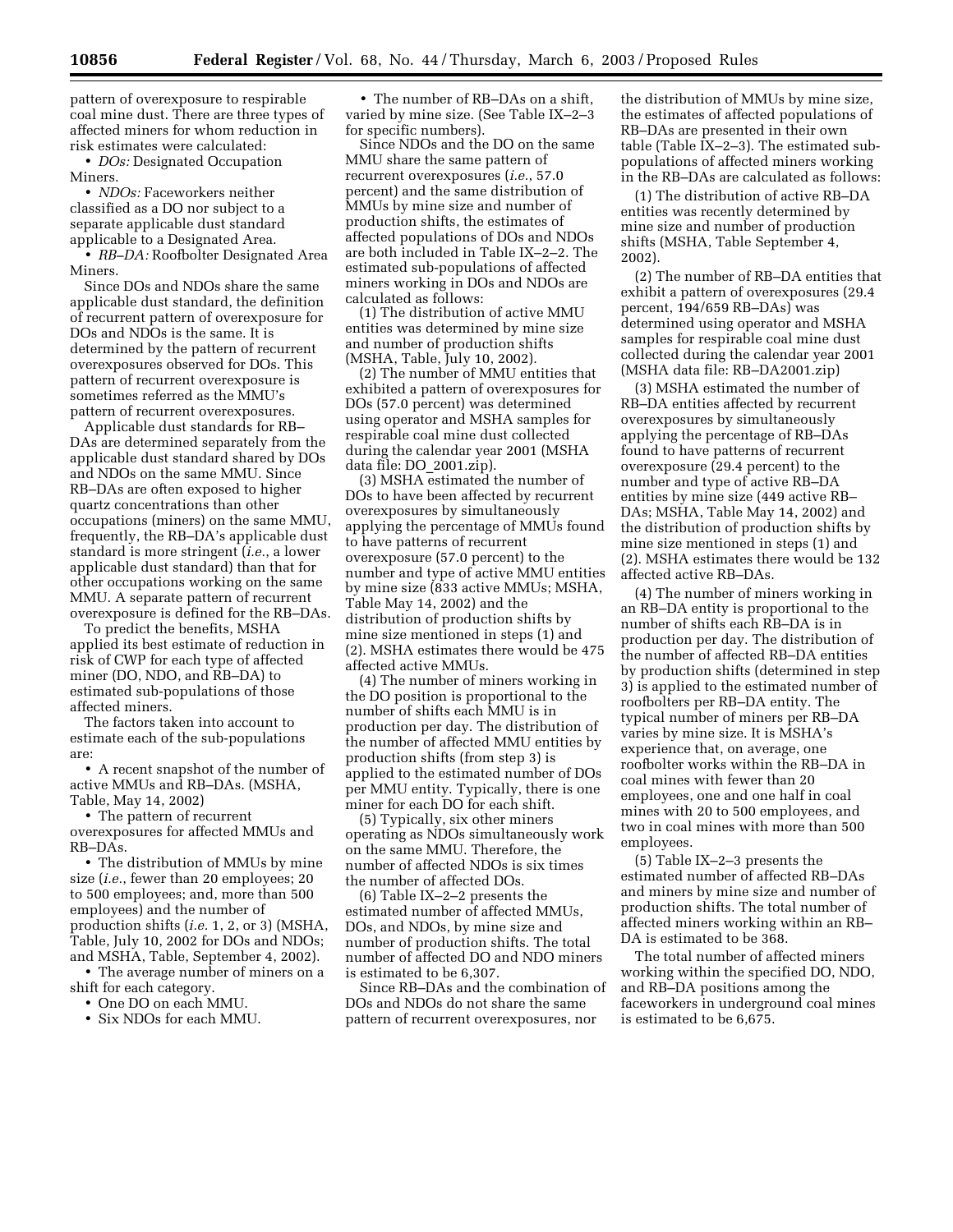pattern of overexposure to respirable coal mine dust. There are three types of affected miners for whom reduction in risk estimates were calculated:

• *DOs:* Designated Occupation Miners.

• *NDOs:* Faceworkers neither classified as a DO nor subject to a separate applicable dust standard applicable to a Designated Area.

• *RB-DA:* Roofbolter Designated Area **Miners** 

Since DOs and NDOs share the same applicable dust standard, the definition of recurrent pattern of overexposure for DOs and NDOs is the same. It is determined by the pattern of recurrent overexposures observed for DOs. This pattern of recurrent overexposure is sometimes referred as the MMU's pattern of recurrent overexposures.

Applicable dust standards for RB– DAs are determined separately from the applicable dust standard shared by DOs and NDOs on the same MMU. Since RB–DAs are often exposed to higher quartz concentrations than other occupations (miners) on the same MMU, frequently, the RB–DA's applicable dust standard is more stringent (*i.e.*, a lower applicable dust standard) than that for other occupations working on the same MMU. A separate pattern of recurrent overexposure is defined for the RB–DAs.

To predict the benefits, MSHA applied its best estimate of reduction in risk of CWP for each type of affected miner (DO, NDO, and RB–DA) to estimated sub-populations of those affected miners.

The factors taken into account to estimate each of the sub-populations are:

• A recent snapshot of the number of active MMUs and RB–DAs. (MSHA, Table, May 14, 2002)

• The pattern of recurrent overexposures for affected MMUs and RB–DAs.

• The distribution of MMUs by mine size (*i.e.*, fewer than 20 employees; 20 to 500 employees; and, more than 500 employees) and the number of production shifts (*i.e.* 1, 2, or 3) (MSHA, Table, July 10, 2002 for DOs and NDOs; and MSHA, Table, September 4, 2002).

• The average number of miners on a shift for each category.

- One DO on each MMU.
- Six NDOs for each MMU.

• The number of RB–DAs on a shift, varied by mine size. (See Table IX–2–3 for specific numbers).

Since NDOs and the DO on the same MMU share the same pattern of recurrent overexposures (*i.e.*, 57.0 percent) and the same distribution of MMUs by mine size and number of production shifts, the estimates of affected populations of DOs and NDOs are both included in Table IX–2–2. The estimated sub-populations of affected miners working in DOs and NDOs are calculated as follows:

(1) The distribution of active MMU entities was determined by mine size and number of production shifts (MSHA, Table, July 10, 2002).

(2) The number of MMU entities that exhibited a pattern of overexposures for DOs (57.0 percent) was determined using operator and MSHA samples for respirable coal mine dust collected during the calendar year 2001 (MSHA data file: DO\_2001.zip).

(3) MSHA estimated the number of DOs to have been affected by recurrent overexposures by simultaneously applying the percentage of MMUs found to have patterns of recurrent overexposure (57.0 percent) to the number and type of active MMU entities by mine size (833 active MMUs; MSHA, Table May 14, 2002) and the distribution of production shifts by mine size mentioned in steps (1) and (2). MSHA estimates there would be 475 affected active MMUs.

(4) The number of miners working in the DO position is proportional to the number of shifts each MMU is in production per day. The distribution of the number of affected MMU entities by production shifts (from step 3) is applied to the estimated number of DOs per MMU entity. Typically, there is one miner for each DO for each shift.

(5) Typically, six other miners operating as NDOs simultaneously work on the same MMU. Therefore, the number of affected NDOs is six times the number of affected DOs.

(6) Table IX–2–2 presents the estimated number of affected MMUs, DOs, and NDOs, by mine size and number of production shifts. The total number of affected DO and NDO miners is estimated to be 6,307.

Since RB–DAs and the combination of DOs and NDOs do not share the same pattern of recurrent overexposures, nor

the distribution of MMUs by mine size, the estimates of affected populations of RB–DAs are presented in their own table (Table IX–2–3). The estimated subpopulations of affected miners working in the RB–DAs are calculated as follows:

(1) The distribution of active RB–DA entities was recently determined by mine size and number of production shifts (MSHA, Table September 4, 2002).

(2) The number of RB–DA entities that exhibit a pattern of overexposures (29.4 percent, 194/659 RB–DAs) was determined using operator and MSHA samples for respirable coal mine dust collected during the calendar year 2001 (MSHA data file: RB–DA2001.zip)

(3) MSHA estimated the number of RB–DA entities affected by recurrent overexposures by simultaneously applying the percentage of RB–DAs found to have patterns of recurrent overexposure (29.4 percent) to the number and type of active RB–DA entities by mine size (449 active RB– DAs; MSHA, Table May 14, 2002) and the distribution of production shifts by mine size mentioned in steps (1) and (2). MSHA estimates there would be 132 affected active RB–DAs.

(4) The number of miners working in an RB–DA entity is proportional to the number of shifts each RB–DA is in production per day. The distribution of the number of affected RB–DA entities by production shifts (determined in step 3) is applied to the estimated number of roofbolters per RB–DA entity. The typical number of miners per RB–DA varies by mine size. It is MSHA's experience that, on average, one roofbolter works within the RB–DA in coal mines with fewer than 20 employees, one and one half in coal mines with 20 to 500 employees, and two in coal mines with more than 500 employees.

(5) Table IX–2–3 presents the estimated number of affected RB–DAs and miners by mine size and number of production shifts. The total number of affected miners working within an RB– DA is estimated to be 368.

The total number of affected miners working within the specified DO, NDO, and RB–DA positions among the faceworkers in underground coal mines is estimated to be 6,675.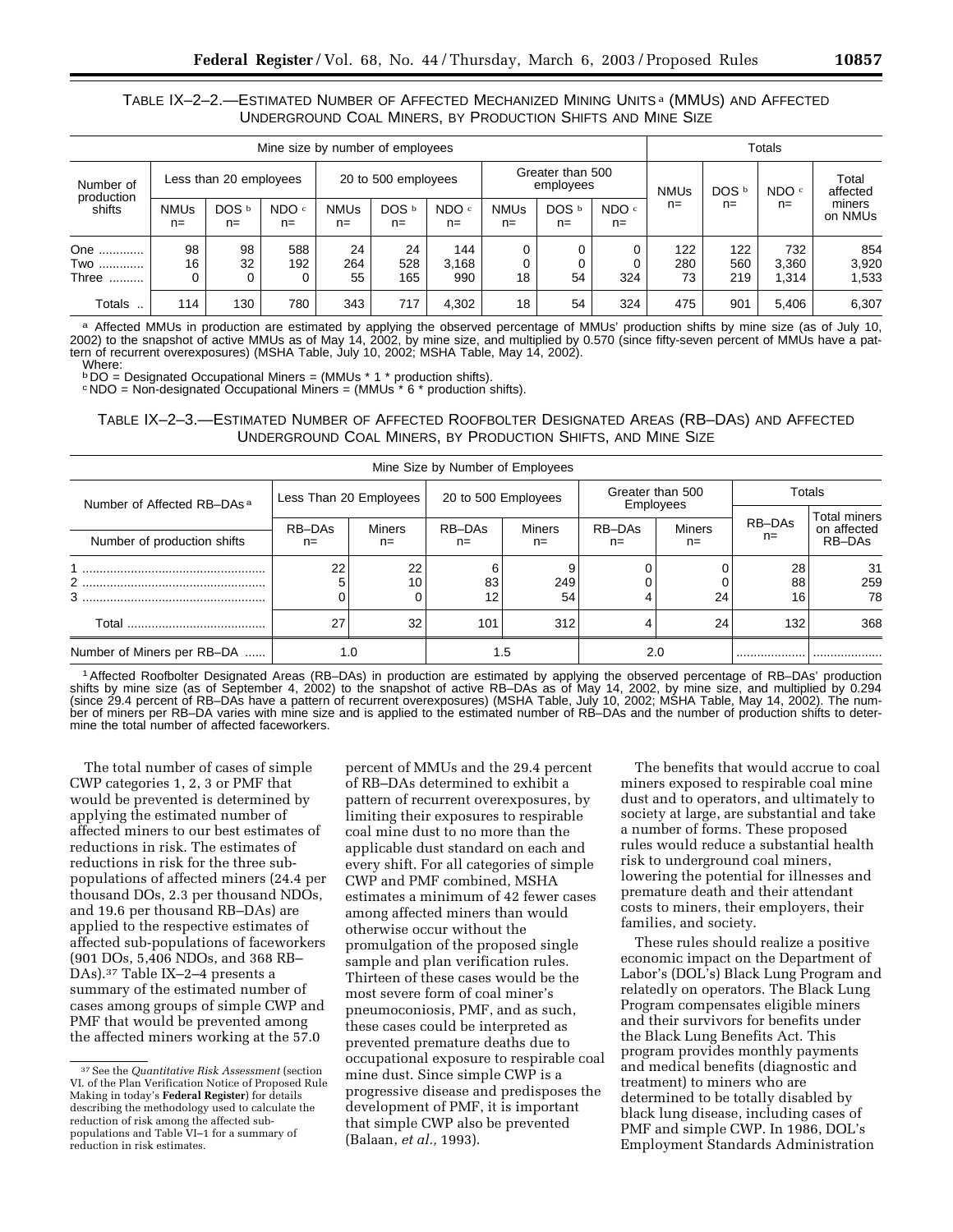# TABLE IX–2–2.—ESTIMATED NUMBER OF AFFECTED MECHANIZED MINING UNITS a (MMUS) AND AFFECTED UNDERGROUND COAL MINERS, BY PRODUCTION SHIFTS AND MINE SIZE

| Mine size by number of employees |                     |                        |                           |                      |                     |                           |                               |                           |                           | Totals           |                   |                       |                       |
|----------------------------------|---------------------|------------------------|---------------------------|----------------------|---------------------|---------------------------|-------------------------------|---------------------------|---------------------------|------------------|-------------------|-----------------------|-----------------------|
| Number of                        |                     | Less than 20 employees |                           |                      | 20 to 500 employees |                           | Greater than 500<br>employees |                           | <b>NMUs</b>               | DOS <sup>b</sup> | NDO <sup>c</sup>  | Total<br>affected     |                       |
| production<br>shifts             | <b>NMUs</b><br>$n=$ | DOS b<br>$n =$         | NDO <sup>c</sup><br>$n =$ | <b>NMUs</b><br>$n =$ | DOS b<br>$n =$      | NDO <sup>c</sup><br>$n =$ | <b>NMUs</b><br>$n =$          | DOS <sup>b</sup><br>$n =$ | NDO <sup>c</sup><br>$n =$ | $n =$            | $n=$              | $n=$                  | miners<br>on NMUs     |
| One<br>Two<br>Three<br>          | 98<br>16            | 98<br>32<br>0          | 588<br>192                | 24<br>264<br>55      | 24<br>528<br>165    | 144<br>3,168<br>990       | 18                            | 54                        | 0<br>324                  | 122<br>280<br>73 | 122<br>560<br>219 | 732<br>3.360<br>1.314 | 854<br>3,920<br>1,533 |
| Totals                           | 114                 | 130                    | 780                       | 343                  | 717                 | 4.302                     | 18                            | 54                        | 324                       | 475              | 901               | 5.406                 | 6,307                 |

a Affected MMUs in production are estimated by applying the observed percentage of MMUs' production shifts by mine size (as of July 10, 2002) to the snapshot of active MMUs as of May 14, 2002, by mine size, and multiplied by 0.570 (since fifty-seven percent of MMUs have a pattern of recurrent overexposures) (MSHA Table, July 10, 2002; MSHA Table, May 14, 2002). Where:

 $b$  DO = Designated Occupational Miners = (MMUs  $*$  1  $*$  production shifts).

 $\text{C} \text{NDO} = \text{Non-designed Cocupational, Mineis} = (\text{MMUs}^* \text{6}^*) \text{ production (shifts)}$ .

TABLE IX–2–3.—ESTIMATED NUMBER OF AFFECTED ROOFBOLTER DESIGNATED AREAS (RB–DAS) AND AFFECTED UNDERGROUND COAL MINERS, BY PRODUCTION SHIFTS, AND MINE SIZE

| Mine Size by Number of Employees       |                 |                        |               |                     |              |                               |                |                                              |
|----------------------------------------|-----------------|------------------------|---------------|---------------------|--------------|-------------------------------|----------------|----------------------------------------------|
| Number of Affected RB-DAs <sup>a</sup> |                 | Less Than 20 Employees |               | 20 to 500 Employees |              | Greater than 500<br>Employees | Totals         |                                              |
| Number of production shifts            | RB-DAs<br>$n =$ | <b>Miners</b><br>$n=$  | RB-DAs<br>n=  | <b>Miners</b><br>n= | RB-DAs<br>n= | <b>Miners</b><br>n=           | RB-DAs<br>n=   | <b>Total miners</b><br>on affected<br>RB-DAs |
| 3                                      | 22              | 22<br>10               | 6<br>83<br>12 | 9<br>249<br>54      |              | 24                            | 28<br>88<br>16 | -31<br>259<br>78                             |
| Total                                  | 27              | 32                     | 101           | 312                 |              | 24                            | 132            | 368                                          |
| Number of Miners per RB-DA             |                 | 1.0                    |               | 1.5                 | 2.0          |                               |                |                                              |

1Affected Roofbolter Designated Areas (RB–DAs) in production are estimated by applying the observed percentage of RB–DAs' production shifts by mine size (as of September 4, 2002) to the snapshot of active RB–DAs as of May 14, 2002, by mine size, and multiplied by 0.294 (since 29.4 percent of RB–DAs have a pattern of recurrent overexposures) (MSHA Table, July 10, 2002; MSHA Table, May 14, 2002). The number of miners per RB–DA varies with mine size and is applied to the estimated number of RB–DAs and the number of production shifts to determine the total number of affected faceworkers.

The total number of cases of simple CWP categories 1, 2, 3 or PMF that would be prevented is determined by applying the estimated number of affected miners to our best estimates of reductions in risk. The estimates of reductions in risk for the three subpopulations of affected miners (24.4 per thousand DOs, 2.3 per thousand NDOs, and 19.6 per thousand RB–DAs) are applied to the respective estimates of affected sub-populations of faceworkers (901 DOs, 5,406 NDOs, and 368 RB– DAs).37 Table IX–2–4 presents a summary of the estimated number of cases among groups of simple CWP and PMF that would be prevented among the affected miners working at the 57.0

percent of MMUs and the 29.4 percent of RB–DAs determined to exhibit a pattern of recurrent overexposures, by limiting their exposures to respirable coal mine dust to no more than the applicable dust standard on each and every shift. For all categories of simple CWP and PMF combined, MSHA estimates a minimum of 42 fewer cases among affected miners than would otherwise occur without the promulgation of the proposed single sample and plan verification rules. Thirteen of these cases would be the most severe form of coal miner's pneumoconiosis, PMF, and as such, these cases could be interpreted as prevented premature deaths due to occupational exposure to respirable coal mine dust. Since simple CWP is a progressive disease and predisposes the development of PMF, it is important that simple CWP also be prevented (Balaan, *et al.,* 1993).

The benefits that would accrue to coal miners exposed to respirable coal mine dust and to operators, and ultimately to society at large, are substantial and take a number of forms. These proposed rules would reduce a substantial health risk to underground coal miners, lowering the potential for illnesses and premature death and their attendant costs to miners, their employers, their families, and society.

These rules should realize a positive economic impact on the Department of Labor's (DOL's) Black Lung Program and relatedly on operators. The Black Lung Program compensates eligible miners and their survivors for benefits under the Black Lung Benefits Act. This program provides monthly payments and medical benefits (diagnostic and treatment) to miners who are determined to be totally disabled by black lung disease, including cases of PMF and simple CWP. In 1986, DOL's Employment Standards Administration

<sup>37</sup>See the *Quantitative Risk Assessment* (section VI. of the Plan Verification Notice of Proposed Rule Making in today's **Federal Register**) for details describing the methodology used to calculate the reduction of risk among the affected subpopulations and Table VI–1 for a summary of reduction in risk estimates.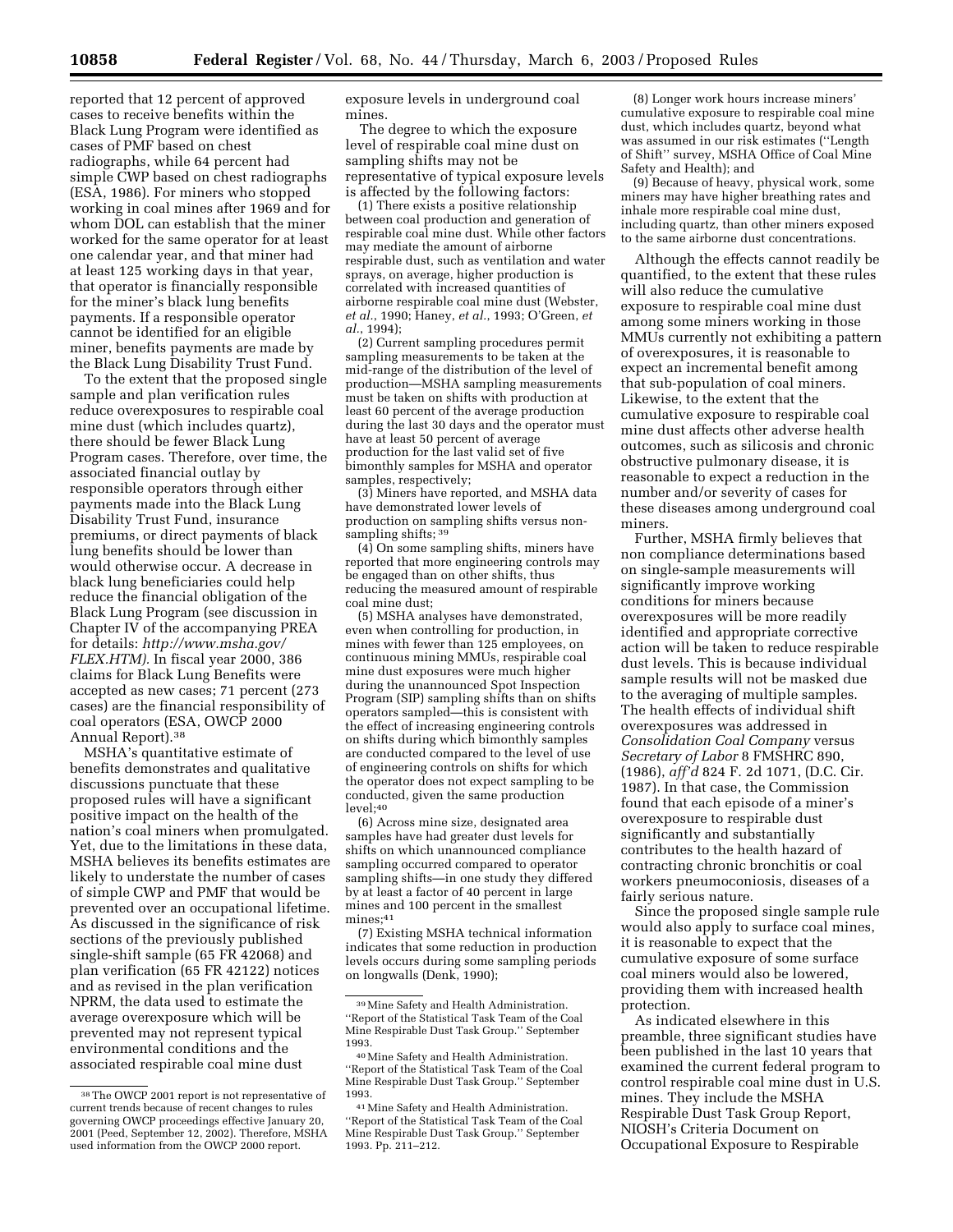reported that 12 percent of approved cases to receive benefits within the Black Lung Program were identified as cases of PMF based on chest radiographs, while 64 percent had simple CWP based on chest radiographs (ESA, 1986). For miners who stopped working in coal mines after 1969 and for whom DOL can establish that the miner worked for the same operator for at least one calendar year, and that miner had at least 125 working days in that year, that operator is financially responsible for the miner's black lung benefits payments. If a responsible operator cannot be identified for an eligible miner, benefits payments are made by the Black Lung Disability Trust Fund.

To the extent that the proposed single sample and plan verification rules reduce overexposures to respirable coal mine dust (which includes quartz), there should be fewer Black Lung Program cases. Therefore, over time, the associated financial outlay by responsible operators through either payments made into the Black Lung Disability Trust Fund, insurance premiums, or direct payments of black lung benefits should be lower than would otherwise occur. A decrease in black lung beneficiaries could help reduce the financial obligation of the Black Lung Program (see discussion in Chapter IV of the accompanying PREA for details: *http://www.msha.gov/ FLEX.HTM).* In fiscal year 2000, 386 claims for Black Lung Benefits were accepted as new cases; 71 percent (273 cases) are the financial responsibility of coal operators (ESA, OWCP 2000 Annual Report).38

MSHA's quantitative estimate of benefits demonstrates and qualitative discussions punctuate that these proposed rules will have a significant positive impact on the health of the nation's coal miners when promulgated. Yet, due to the limitations in these data, MSHA believes its benefits estimates are likely to understate the number of cases of simple CWP and PMF that would be prevented over an occupational lifetime. As discussed in the significance of risk sections of the previously published single-shift sample (65 FR 42068) and plan verification (65 FR 42122) notices and as revised in the plan verification NPRM, the data used to estimate the average overexposure which will be prevented may not represent typical environmental conditions and the associated respirable coal mine dust

exposure levels in underground coal mines.

The degree to which the exposure level of respirable coal mine dust on sampling shifts may not be representative of typical exposure levels is affected by the following factors:

(1) There exists a positive relationship between coal production and generation of respirable coal mine dust. While other factors may mediate the amount of airborne respirable dust, such as ventilation and water sprays, on average, higher production is correlated with increased quantities of airborne respirable coal mine dust (Webster, *et al.*, 1990; Haney, *et al.*, 1993; O'Green, *et al.*, 1994);

(2) Current sampling procedures permit sampling measurements to be taken at the mid-range of the distribution of the level of production—MSHA sampling measurements must be taken on shifts with production at least 60 percent of the average production during the last 30 days and the operator must have at least 50 percent of average production for the last valid set of five bimonthly samples for MSHA and operator samples, respectively;

(3) Miners have reported, and MSHA data have demonstrated lower levels of production on sampling shifts versus nonsampling shifts; 39

(4) On some sampling shifts, miners have reported that more engineering controls may be engaged than on other shifts, thus reducing the measured amount of respirable coal mine dust;

(5) MSHA analyses have demonstrated, even when controlling for production, in mines with fewer than 125 employees, on continuous mining MMUs, respirable coal mine dust exposures were much higher during the unannounced Spot Inspection Program (SIP) sampling shifts than on shifts operators sampled—this is consistent with the effect of increasing engineering controls on shifts during which bimonthly samples are conducted compared to the level of use of engineering controls on shifts for which the operator does not expect sampling to be conducted, given the same production  $level:40$ 

(6) Across mine size, designated area samples have had greater dust levels for shifts on which unannounced compliance sampling occurred compared to operator sampling shifts—in one study they differed by at least a factor of 40 percent in large mines and 100 percent in the smallest mines;<sup>41</sup>

(7) Existing MSHA technical information indicates that some reduction in production levels occurs during some sampling periods on longwalls (Denk, 1990);

(8) Longer work hours increase miners' cumulative exposure to respirable coal mine dust, which includes quartz, beyond what was assumed in our risk estimates (''Length of Shift'' survey, MSHA Office of Coal Mine Safety and Health); and

(9) Because of heavy, physical work, some miners may have higher breathing rates and inhale more respirable coal mine dust, including quartz, than other miners exposed to the same airborne dust concentrations.

Although the effects cannot readily be quantified, to the extent that these rules will also reduce the cumulative exposure to respirable coal mine dust among some miners working in those MMUs currently not exhibiting a pattern of overexposures, it is reasonable to expect an incremental benefit among that sub-population of coal miners. Likewise, to the extent that the cumulative exposure to respirable coal mine dust affects other adverse health outcomes, such as silicosis and chronic obstructive pulmonary disease, it is reasonable to expect a reduction in the number and/or severity of cases for these diseases among underground coal miners.

Further, MSHA firmly believes that non compliance determinations based on single-sample measurements will significantly improve working conditions for miners because overexposures will be more readily identified and appropriate corrective action will be taken to reduce respirable dust levels. This is because individual sample results will not be masked due to the averaging of multiple samples. The health effects of individual shift overexposures was addressed in *Consolidation Coal Company* versus *Secretary of Labor* 8 FMSHRC 890, (1986), *aff'd* 824 F. 2d 1071, (D.C. Cir. 1987). In that case, the Commission found that each episode of a miner's overexposure to respirable dust significantly and substantially contributes to the health hazard of contracting chronic bronchitis or coal workers pneumoconiosis, diseases of a fairly serious nature.

Since the proposed single sample rule would also apply to surface coal mines, it is reasonable to expect that the cumulative exposure of some surface coal miners would also be lowered, providing them with increased health protection.

As indicated elsewhere in this preamble, three significant studies have been published in the last 10 years that examined the current federal program to control respirable coal mine dust in U.S. mines. They include the MSHA Respirable Dust Task Group Report, NIOSH's Criteria Document on Occupational Exposure to Respirable

<sup>38</sup>The OWCP 2001 report is not representative of current trends because of recent changes to rules governing OWCP proceedings effective January 20, 2001 (Peed, September 12, 2002). Therefore, MSHA used information from the OWCP 2000 report.

<sup>39</sup>Mine Safety and Health Administration. ''Report of the Statistical Task Team of the Coal Mine Respirable Dust Task Group.'' September 1993.

<sup>40</sup>Mine Safety and Health Administration. ''Report of the Statistical Task Team of the Coal Mine Respirable Dust Task Group.'' September 1993.

<sup>41</sup>Mine Safety and Health Administration. ''Report of the Statistical Task Team of the Coal Mine Respirable Dust Task Group.'' September 1993. Pp. 211–212.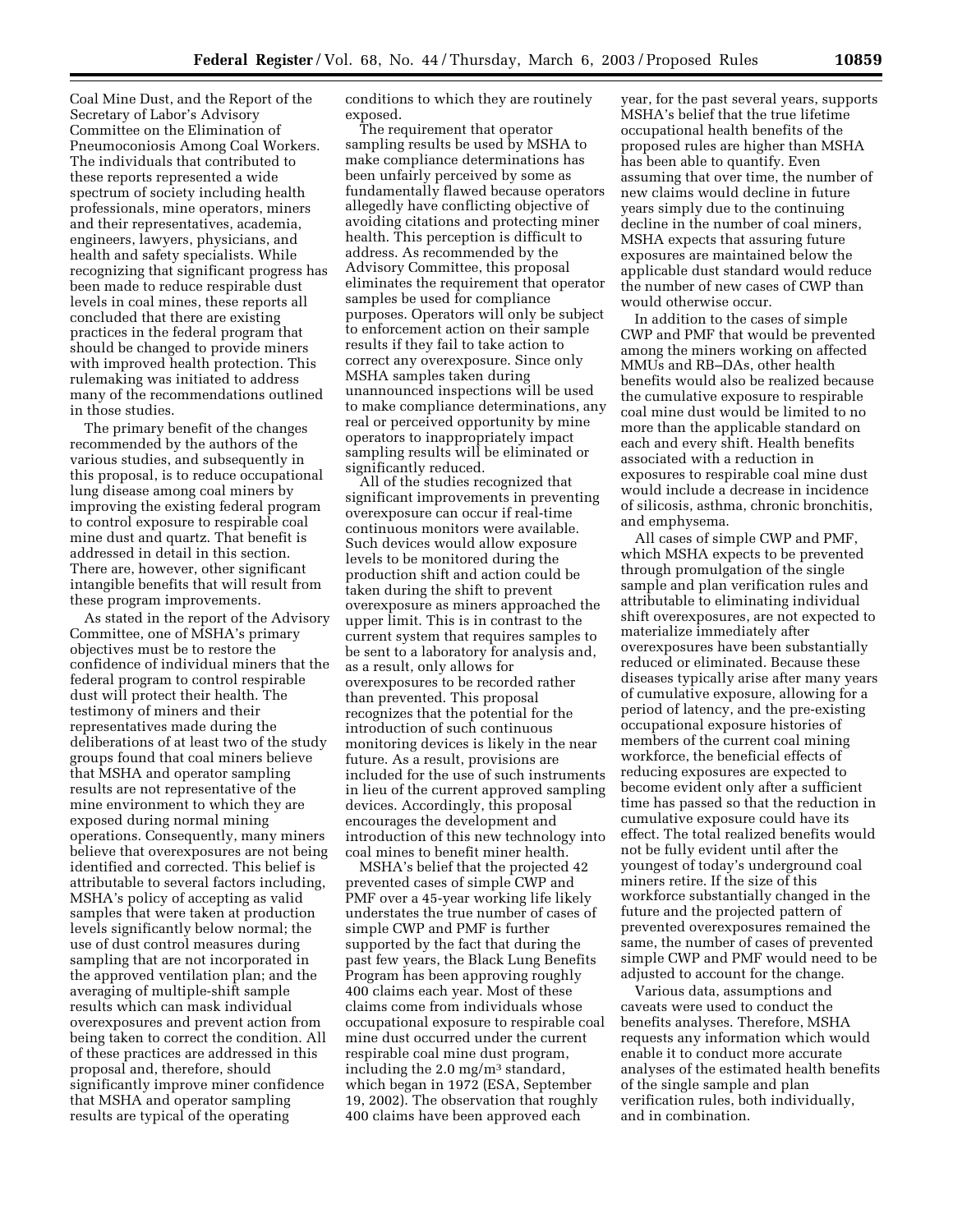Coal Mine Dust, and the Report of the Secretary of Labor's Advisory Committee on the Elimination of Pneumoconiosis Among Coal Workers. The individuals that contributed to these reports represented a wide spectrum of society including health professionals, mine operators, miners and their representatives, academia, engineers, lawyers, physicians, and health and safety specialists. While recognizing that significant progress has been made to reduce respirable dust levels in coal mines, these reports all concluded that there are existing practices in the federal program that should be changed to provide miners with improved health protection. This rulemaking was initiated to address many of the recommendations outlined in those studies.

The primary benefit of the changes recommended by the authors of the various studies, and subsequently in this proposal, is to reduce occupational lung disease among coal miners by improving the existing federal program to control exposure to respirable coal mine dust and quartz. That benefit is addressed in detail in this section. There are, however, other significant intangible benefits that will result from these program improvements.

As stated in the report of the Advisory Committee, one of MSHA's primary objectives must be to restore the confidence of individual miners that the federal program to control respirable dust will protect their health. The testimony of miners and their representatives made during the deliberations of at least two of the study groups found that coal miners believe that MSHA and operator sampling results are not representative of the mine environment to which they are exposed during normal mining operations. Consequently, many miners believe that overexposures are not being identified and corrected. This belief is attributable to several factors including, MSHA's policy of accepting as valid samples that were taken at production levels significantly below normal; the use of dust control measures during sampling that are not incorporated in the approved ventilation plan; and the averaging of multiple-shift sample results which can mask individual overexposures and prevent action from being taken to correct the condition. All of these practices are addressed in this proposal and, therefore, should significantly improve miner confidence that MSHA and operator sampling results are typical of the operating

conditions to which they are routinely exposed.

The requirement that operator sampling results be used by MSHA to make compliance determinations has been unfairly perceived by some as fundamentally flawed because operators allegedly have conflicting objective of avoiding citations and protecting miner health. This perception is difficult to address. As recommended by the Advisory Committee, this proposal eliminates the requirement that operator samples be used for compliance purposes. Operators will only be subject to enforcement action on their sample results if they fail to take action to correct any overexposure. Since only MSHA samples taken during unannounced inspections will be used to make compliance determinations, any real or perceived opportunity by mine operators to inappropriately impact sampling results will be eliminated or significantly reduced.

All of the studies recognized that significant improvements in preventing overexposure can occur if real-time continuous monitors were available. Such devices would allow exposure levels to be monitored during the production shift and action could be taken during the shift to prevent overexposure as miners approached the upper limit. This is in contrast to the current system that requires samples to be sent to a laboratory for analysis and, as a result, only allows for overexposures to be recorded rather than prevented. This proposal recognizes that the potential for the introduction of such continuous monitoring devices is likely in the near future. As a result, provisions are included for the use of such instruments in lieu of the current approved sampling devices. Accordingly, this proposal encourages the development and introduction of this new technology into coal mines to benefit miner health.

MSHA's belief that the projected 42 prevented cases of simple CWP and PMF over a 45-year working life likely understates the true number of cases of simple CWP and PMF is further supported by the fact that during the past few years, the Black Lung Benefits Program has been approving roughly 400 claims each year. Most of these claims come from individuals whose occupational exposure to respirable coal mine dust occurred under the current respirable coal mine dust program, including the 2.0 mg/ $m<sup>3</sup>$  standard, which began in 1972 (ESA, September 19, 2002). The observation that roughly 400 claims have been approved each

year, for the past several years, supports MSHA's belief that the true lifetime occupational health benefits of the proposed rules are higher than MSHA has been able to quantify. Even assuming that over time, the number of new claims would decline in future years simply due to the continuing decline in the number of coal miners, MSHA expects that assuring future exposures are maintained below the applicable dust standard would reduce the number of new cases of CWP than would otherwise occur.

In addition to the cases of simple CWP and PMF that would be prevented among the miners working on affected MMUs and RB–DAs, other health benefits would also be realized because the cumulative exposure to respirable coal mine dust would be limited to no more than the applicable standard on each and every shift. Health benefits associated with a reduction in exposures to respirable coal mine dust would include a decrease in incidence of silicosis, asthma, chronic bronchitis, and emphysema.

All cases of simple CWP and PMF, which MSHA expects to be prevented through promulgation of the single sample and plan verification rules and attributable to eliminating individual shift overexposures, are not expected to materialize immediately after overexposures have been substantially reduced or eliminated. Because these diseases typically arise after many years of cumulative exposure, allowing for a period of latency, and the pre-existing occupational exposure histories of members of the current coal mining workforce, the beneficial effects of reducing exposures are expected to become evident only after a sufficient time has passed so that the reduction in cumulative exposure could have its effect. The total realized benefits would not be fully evident until after the youngest of today's underground coal miners retire. If the size of this workforce substantially changed in the future and the projected pattern of prevented overexposures remained the same, the number of cases of prevented simple CWP and PMF would need to be adjusted to account for the change.

Various data, assumptions and caveats were used to conduct the benefits analyses. Therefore, MSHA requests any information which would enable it to conduct more accurate analyses of the estimated health benefits of the single sample and plan verification rules, both individually, and in combination.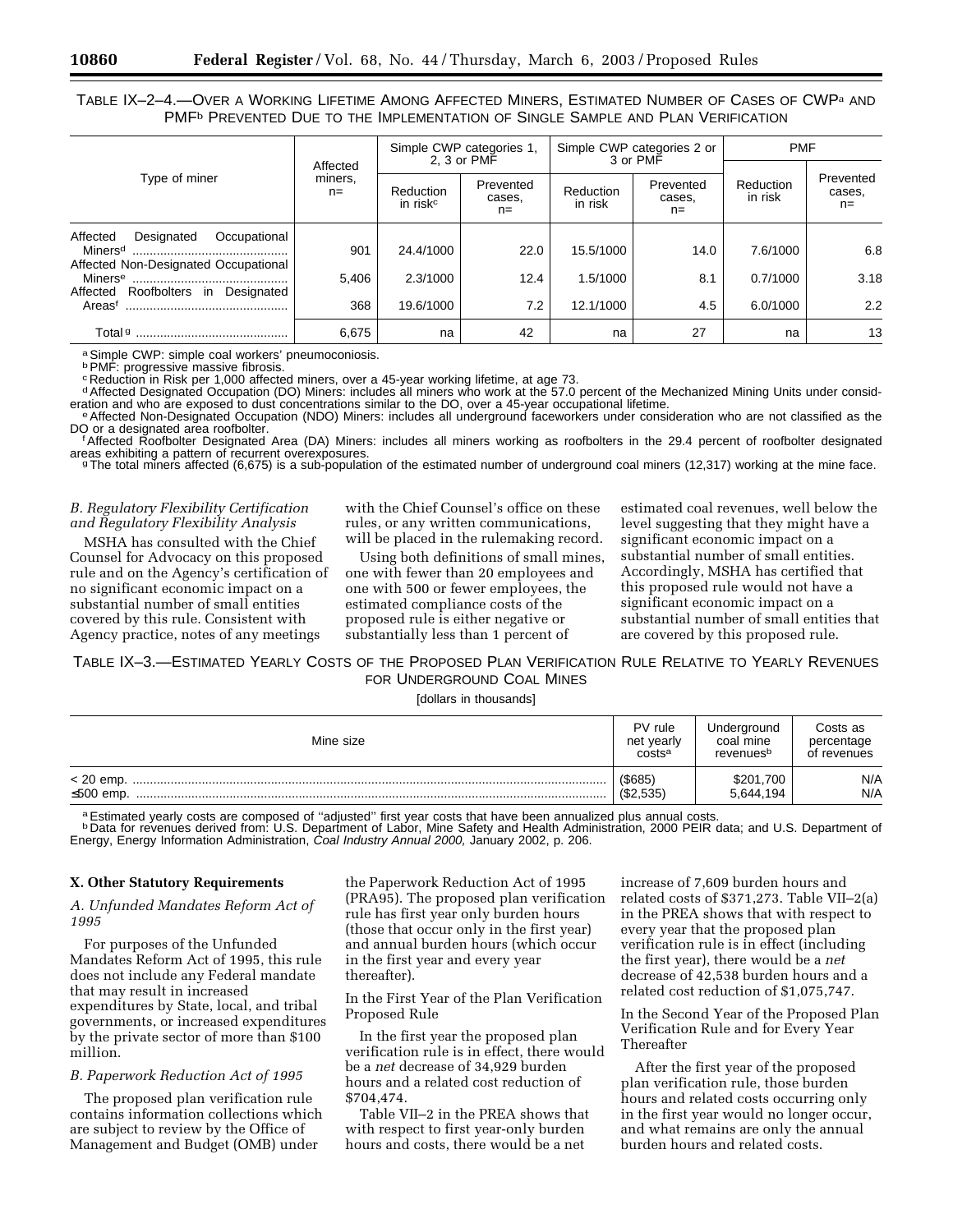TABLE IX–2–4.—OVER A WORKING LIFETIME AMONG AFFECTED MINERS, ESTIMATED NUMBER OF CASES OF CWPa AND PMF<sup>b</sup> PREVENTED DUE TO THE IMPLEMENTATION OF SINGLE SAMPLE AND PLAN VERIFICATION

|                                                                                |                              |                                   | Simple CWP categories 1,<br>2, 3 or PMF |                      | Simple CWP categories 2 or<br>3 or PMF | <b>PMF</b>           |                              |
|--------------------------------------------------------------------------------|------------------------------|-----------------------------------|-----------------------------------------|----------------------|----------------------------------------|----------------------|------------------------------|
| Type of miner                                                                  | Affected<br>miners,<br>$n =$ | Reduction<br>in risk <sup>c</sup> | Prevented<br>cases.<br>$n=$             | Reduction<br>in risk | Prevented<br>cases.<br>$n =$           | Reduction<br>in risk | Prevented<br>cases,<br>$n =$ |
| Affected<br>Occupational<br>Designated<br>Affected Non-Designated Occupational | 901                          | 24.4/1000                         | 22.0                                    | 15.5/1000            | 14.0                                   | 7.6/1000             | 6.8                          |
| Affected Roofbolters in Designated                                             | 5.406                        | 2.3/1000                          | 12.4                                    | 1.5/1000             | 8.1                                    | 0.7/1000             | 3.18                         |
| Areast                                                                         | 368                          | 19.6/1000                         | 7.2                                     | 12.1/1000            | 4.5                                    | 6.0/1000             | 2.2                          |
| Total <sup>g</sup>                                                             | 6,675                        | na                                | 42                                      | na                   | 27                                     | na                   | 13                           |

a Simple CWP: simple coal workers' pneumoconiosis.<br><sup>b</sup> PMF: progressive massive fibrosis.

°Reduction in Risk per 1,000 affected miners, over a 45-year working lifetime, at age 73.<br>ªAffected Designated Occupation (DO) Miners: includes all miners who work at the 57.0 percent of the Mechanized Mining Units under

eration and who are exposed to dust concentrations similar to the DO, over a 45-year occupational lifetime.<br><sup>e</sup> Affected Non-Designated Occupation (NDO) Miners: includes all underground faceworkers under consideration who

<sup>f</sup>Affected Roofbolter Designated Area (DA) Miners: includes all miners working as roofbolters in the 29.4 percent of roofbolter designated areas exhibiting a pattern of recurrent overexposures.<br>The total miners affected (6,675) is a sub-population of the estimated number of underground coal miners (12,317) working at the mine face.

# *B. Regulatory Flexibility Certification and Regulatory Flexibility Analysis*

MSHA has consulted with the Chief Counsel for Advocacy on this proposed rule and on the Agency's certification of no significant economic impact on a substantial number of small entities covered by this rule. Consistent with Agency practice, notes of any meetings

with the Chief Counsel's office on these rules, or any written communications, will be placed in the rulemaking record.

Using both definitions of small mines, one with fewer than 20 employees and one with 500 or fewer employees, the estimated compliance costs of the proposed rule is either negative or substantially less than 1 percent of

estimated coal revenues, well below the level suggesting that they might have a significant economic impact on a substantial number of small entities. Accordingly, MSHA has certified that this proposed rule would not have a significant economic impact on a substantial number of small entities that are covered by this proposed rule.

# TABLE IX–3.—ESTIMATED YEARLY COSTS OF THE PROPOSED PLAN VERIFICATION RULE RELATIVE TO YEARLY REVENUES FOR UNDERGROUND COAL MINES

[dollars in thousands]

| Mine size | PV rule                | Underground            | Costs as    |
|-----------|------------------------|------------------------|-------------|
|           | net vearly             | coal mine              | percentage  |
|           | costsa                 | revenuesb              | of revenues |
| ≤500 emp. | $($ \$685)<br>(S2.535) | \$201,700<br>5.644.194 | N/A<br>N/A  |

a Estimated yearly costs are composed of "adjusted" first year costs that have been annualized plus annual costs.<br>b Data for revenues derived from: U.S. Department of Labor, Mine Safety and Health Administration, 2000 PEIR Energy, Energy Information Administration, Coal Industry Annual 2000, January 2002, p. 206.

#### **X. Other Statutory Requirements**

*A. Unfunded Mandates Reform Act of 1995* 

For purposes of the Unfunded Mandates Reform Act of 1995, this rule does not include any Federal mandate that may result in increased expenditures by State, local, and tribal governments, or increased expenditures by the private sector of more than \$100 million.

# *B. Paperwork Reduction Act of 1995*

The proposed plan verification rule contains information collections which are subject to review by the Office of Management and Budget (OMB) under

the Paperwork Reduction Act of 1995 (PRA95). The proposed plan verification rule has first year only burden hours (those that occur only in the first year) and annual burden hours (which occur in the first year and every year thereafter).

In the First Year of the Plan Verification Proposed Rule

In the first year the proposed plan verification rule is in effect, there would be a *net* decrease of 34,929 burden hours and a related cost reduction of \$704,474.

Table VII–2 in the PREA shows that with respect to first year-only burden hours and costs, there would be a net

increase of 7,609 burden hours and related costs of \$371,273. Table VII–2(a) in the PREA shows that with respect to every year that the proposed plan verification rule is in effect (including the first year), there would be a *net* decrease of 42,538 burden hours and a related cost reduction of \$1,075,747.

In the Second Year of the Proposed Plan Verification Rule and for Every Year Thereafter

After the first year of the proposed plan verification rule, those burden hours and related costs occurring only in the first year would no longer occur, and what remains are only the annual burden hours and related costs.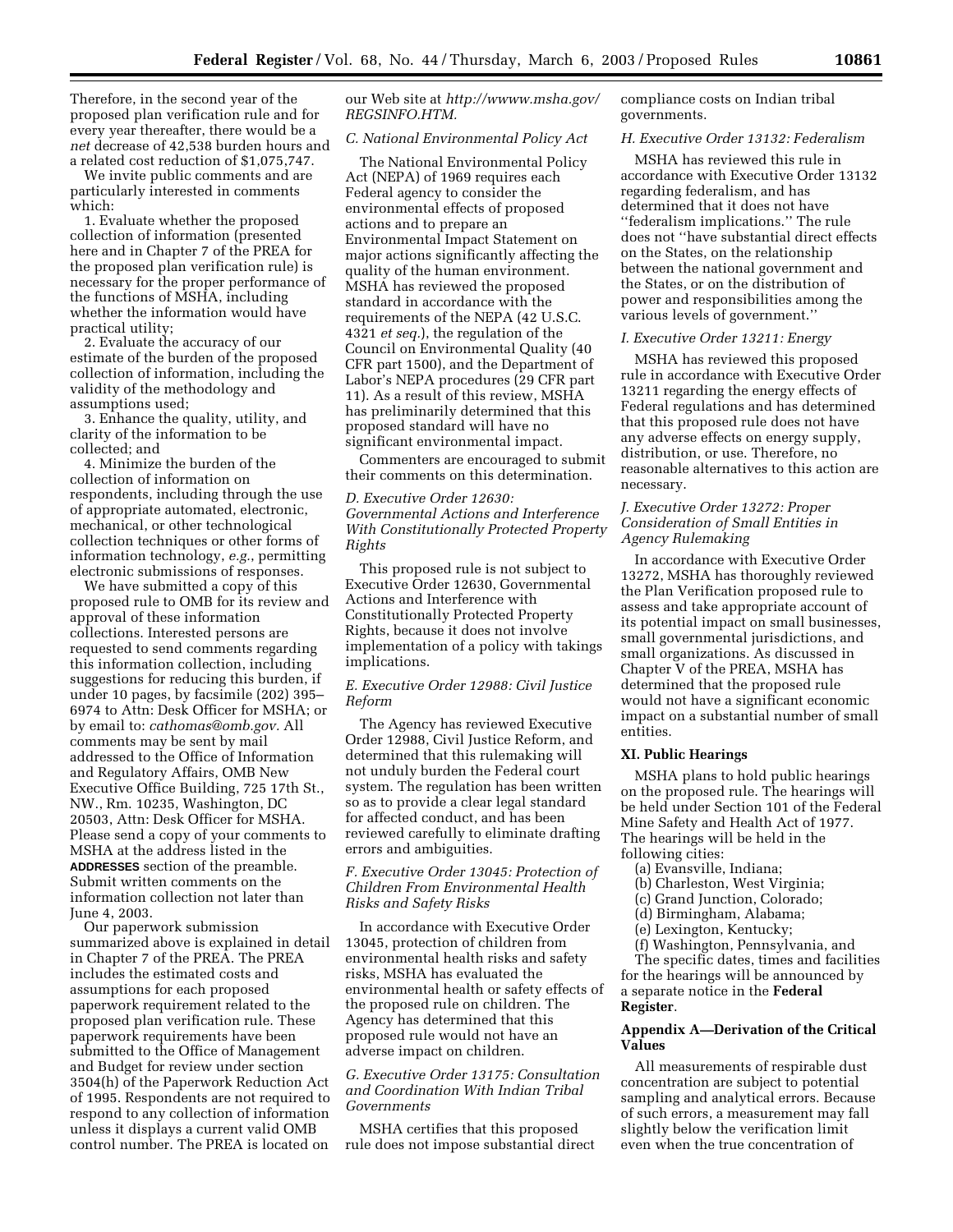Therefore, in the second year of the proposed plan verification rule and for every year thereafter, there would be a *net* decrease of 42,538 burden hours and a related cost reduction of \$1,075,747.

We invite public comments and are particularly interested in comments which:

1. Evaluate whether the proposed collection of information (presented here and in Chapter 7 of the PREA for the proposed plan verification rule) is necessary for the proper performance of the functions of MSHA, including whether the information would have practical utility;

2. Evaluate the accuracy of our estimate of the burden of the proposed collection of information, including the validity of the methodology and assumptions used;

3. Enhance the quality, utility, and clarity of the information to be collected; and

4. Minimize the burden of the collection of information on respondents, including through the use of appropriate automated, electronic, mechanical, or other technological collection techniques or other forms of information technology, *e.g.*, permitting electronic submissions of responses.

We have submitted a copy of this proposed rule to OMB for its review and approval of these information collections. Interested persons are requested to send comments regarding this information collection, including suggestions for reducing this burden, if under 10 pages, by facsimile (202) 395– 6974 to Attn: Desk Officer for MSHA; or by email to: *cathomas@omb.gov.* All comments may be sent by mail addressed to the Office of Information and Regulatory Affairs, OMB New Executive Office Building, 725 17th St., NW., Rm. 10235, Washington, DC 20503, Attn: Desk Officer for MSHA. Please send a copy of your comments to MSHA at the address listed in the **ADDRESSES** section of the preamble. Submit written comments on the information collection not later than June 4, 2003.

Our paperwork submission summarized above is explained in detail in Chapter 7 of the PREA. The PREA includes the estimated costs and assumptions for each proposed paperwork requirement related to the proposed plan verification rule. These paperwork requirements have been submitted to the Office of Management and Budget for review under section 3504(h) of the Paperwork Reduction Act of 1995. Respondents are not required to respond to any collection of information unless it displays a current valid OMB control number. The PREA is located on

our Web site at *http://wwww.msha.gov/ REGSINFO.HTM.*

#### *C. National Environmental Policy Act*

The National Environmental Policy Act (NEPA) of 1969 requires each Federal agency to consider the environmental effects of proposed actions and to prepare an Environmental Impact Statement on major actions significantly affecting the quality of the human environment. MSHA has reviewed the proposed standard in accordance with the requirements of the NEPA (42 U.S.C. 4321 *et seq.*), the regulation of the Council on Environmental Quality (40 CFR part 1500), and the Department of Labor's NEPA procedures (29 CFR part 11). As a result of this review, MSHA has preliminarily determined that this proposed standard will have no significant environmental impact.

Commenters are encouraged to submit their comments on this determination.

# *D. Executive Order 12630: Governmental Actions and Interference With Constitutionally Protected Property Rights*

This proposed rule is not subject to Executive Order 12630, Governmental Actions and Interference with Constitutionally Protected Property Rights, because it does not involve implementation of a policy with takings implications.

# *E. Executive Order 12988: Civil Justice Reform*

The Agency has reviewed Executive Order 12988, Civil Justice Reform, and determined that this rulemaking will not unduly burden the Federal court system. The regulation has been written so as to provide a clear legal standard for affected conduct, and has been reviewed carefully to eliminate drafting errors and ambiguities.

# *F. Executive Order 13045: Protection of Children From Environmental Health Risks and Safety Risks*

In accordance with Executive Order 13045, protection of children from environmental health risks and safety risks, MSHA has evaluated the environmental health or safety effects of the proposed rule on children. The Agency has determined that this proposed rule would not have an adverse impact on children.

# *G. Executive Order 13175: Consultation and Coordination With Indian Tribal Governments*

MSHA certifies that this proposed rule does not impose substantial direct compliance costs on Indian tribal governments.

# *H. Executive Order 13132: Federalism*

MSHA has reviewed this rule in accordance with Executive Order 13132 regarding federalism, and has determined that it does not have ''federalism implications.'' The rule does not ''have substantial direct effects on the States, on the relationship between the national government and the States, or on the distribution of power and responsibilities among the various levels of government.''

#### *I. Executive Order 13211: Energy*

MSHA has reviewed this proposed rule in accordance with Executive Order 13211 regarding the energy effects of Federal regulations and has determined that this proposed rule does not have any adverse effects on energy supply, distribution, or use. Therefore, no reasonable alternatives to this action are necessary.

# *J. Executive Order 13272: Proper Consideration of Small Entities in Agency Rulemaking*

In accordance with Executive Order 13272, MSHA has thoroughly reviewed the Plan Verification proposed rule to assess and take appropriate account of its potential impact on small businesses, small governmental jurisdictions, and small organizations. As discussed in Chapter V of the PREA, MSHA has determined that the proposed rule would not have a significant economic impact on a substantial number of small entities.

# **XI. Public Hearings**

MSHA plans to hold public hearings on the proposed rule. The hearings will be held under Section 101 of the Federal Mine Safety and Health Act of 1977. The hearings will be held in the following cities:

- (a) Evansville, Indiana;
- (b) Charleston, West Virginia;
- (c) Grand Junction, Colorado;
- (d) Birmingham, Alabama;
- (e) Lexington, Kentucky;
- (f) Washington, Pennsylvania, and

The specific dates, times and facilities for the hearings will be announced by a separate notice in the **Federal Register**.

#### **Appendix A—Derivation of the Critical Values**

All measurements of respirable dust concentration are subject to potential sampling and analytical errors. Because of such errors, a measurement may fall slightly below the verification limit even when the true concentration of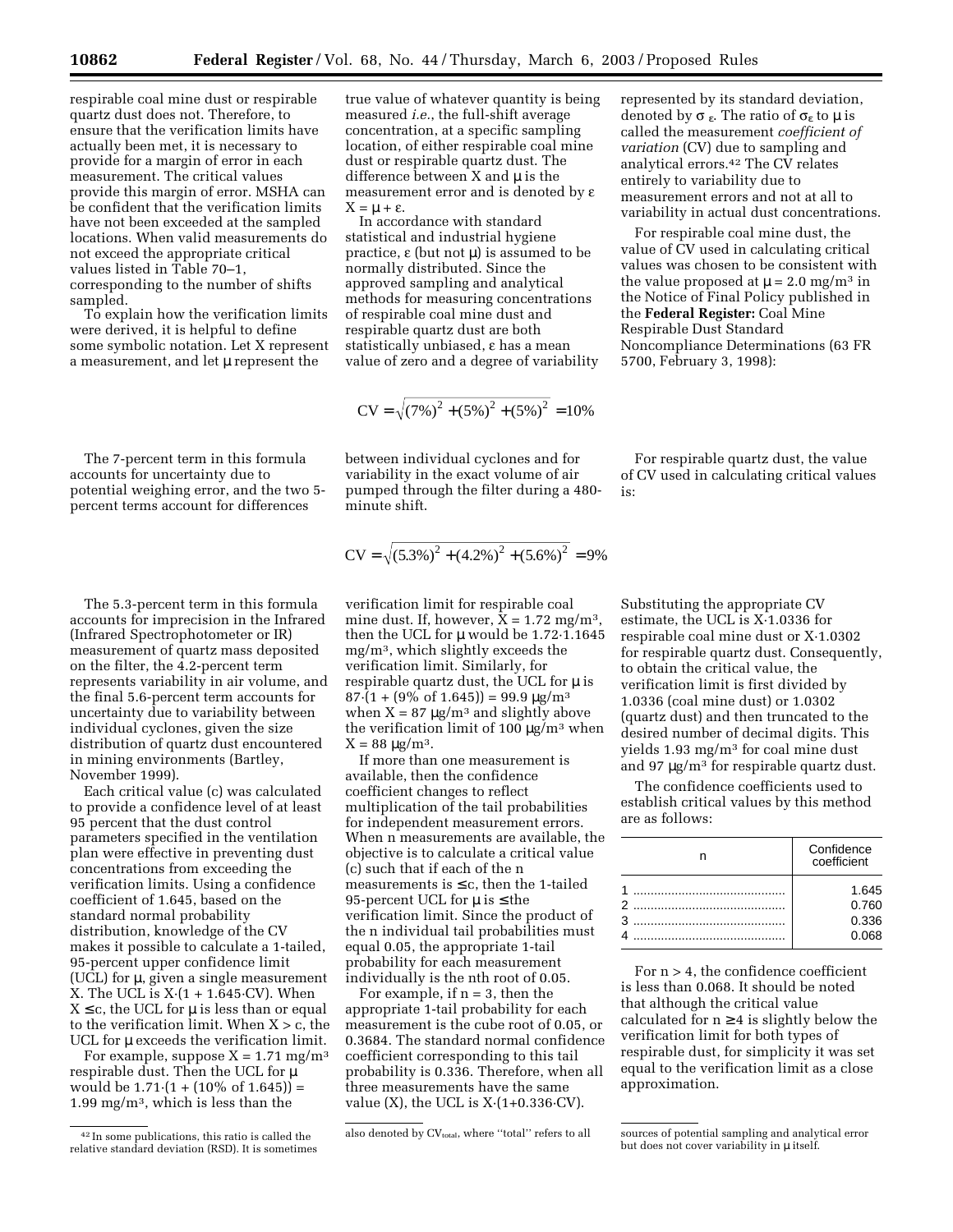respirable coal mine dust or respirable quartz dust does not. Therefore, to ensure that the verification limits have actually been met, it is necessary to provide for a margin of error in each measurement. The critical values provide this margin of error. MSHA can be confident that the verification limits have not been exceeded at the sampled locations. When valid measurements do not exceed the appropriate critical values listed in Table 70–1, corresponding to the number of shifts sampled.

To explain how the verification limits were derived, it is helpful to define some symbolic notation. Let X represent a measurement, and let  $\mu$  represent the

The 7-percent term in this formula accounts for uncertainty due to potential weighing error, and the two 5 percent terms account for differences

The 5.3-percent term in this formula accounts for imprecision in the Infrared (Infrared Spectrophotometer or IR) measurement of quartz mass deposited on the filter, the 4.2-percent term represents variability in air volume, and the final 5.6-percent term accounts for uncertainty due to variability between individual cyclones, given the size distribution of quartz dust encountered in mining environments (Bartley, November 1999).

Each critical value (c) was calculated to provide a confidence level of at least 95 percent that the dust control parameters specified in the ventilation plan were effective in preventing dust concentrations from exceeding the verification limits. Using a confidence coefficient of 1.645, based on the standard normal probability distribution, knowledge of the CV makes it possible to calculate a 1-tailed, 95-percent upper confidence limit (UCL) for µ, given a single measurement X. The UCL is  $X(1 + 1.645 \cdot CV)$ . When  $X \leq c$ , the UCL for  $\mu$  is less than or equal to the verification limit. When  $X > c$ , the UCL for  $\mu$  exceeds the verification limit.

For example, suppose  $X = 1.71$  mg/m<sup>3</sup> respirable dust. Then the UCL for  $\mu$ would be  $1.71 \cdot (1 + (10\% \text{ of } 1.645)) =$ 1.99 mg/m3, which is less than the

true value of whatever quantity is being measured *i.e.*, the full-shift average concentration, at a specific sampling location, of either respirable coal mine dust or respirable quartz dust. The difference between  $X$  and  $\mu$  is the measurement error and is denoted by e  $X = \mu + \varepsilon$ .

In accordance with standard statistical and industrial hygiene practice,  $\varepsilon$  (but not  $\mu$ ) is assumed to be normally distributed. Since the approved sampling and analytical methods for measuring concentrations of respirable coal mine dust and respirable quartz dust are both statistically unbiased, e has a mean value of zero and a degree of variability

$$
CV = \sqrt{(7\%)^2 + (5\%)^2 + (5\%)^2} = 10\%
$$

between individual cyclones and for variability in the exact volume of air pumped through the filter during a 480 minute shift.

$$
CV = \sqrt{(5.3\%)^{2} + (4.2\%)^{2} + (5.6\%)^{2}} = 9\%
$$

verification limit for respirable coal mine dust. If, however,  $X = 1.72$  mg/m<sup>3</sup>, then the UCL for  $\mu$  would be 1.72 $\cdot$ 1.1645 mg/m3, which slightly exceeds the verification limit. Similarly, for respirable quartz dust, the UCL for  $\mu$  is  $87 \cdot (1 + (9\% \text{ of } 1.645)) = 99.9 \text{ µg/m}^3$ when  $X = 87 \mu g/m^3$  and slightly above the verification limit of 100  $\mu$ g/m<sup>3</sup> when  $X = 88 \mu g/m^3$ .

If more than one measurement is available, then the confidence coefficient changes to reflect multiplication of the tail probabilities for independent measurement errors. When n measurements are available, the objective is to calculate a critical value (c) such that if each of the n measurements is  $\leq$  c, then the 1-tailed 95-percent UCL for  $\mu$  is  $\leq$  the verification limit. Since the product of the n individual tail probabilities must equal 0.05, the appropriate 1-tail probability for each measurement individually is the nth root of 0.05.

For example, if  $n = 3$ , then the appropriate 1-tail probability for each measurement is the cube root of 0.05, or 0.3684. The standard normal confidence coefficient corresponding to this tail probability is 0.336. Therefore, when all three measurements have the same value  $(X)$ , the UCL is  $X(1+0.336\text{-}CV)$ .

represented by its standard deviation, denoted by  $\sigma_{\varepsilon}$ . The ratio of  $\sigma_{\varepsilon}$  to  $\mu$  is called the measurement *coefficient of variation* (CV) due to sampling and analytical errors.42 The CV relates entirely to variability due to measurement errors and not at all to variability in actual dust concentrations.

For respirable coal mine dust, the value of CV used in calculating critical values was chosen to be consistent with the value proposed at  $\mu = 2.0$  mg/m<sup>3</sup> in the Notice of Final Policy published in the **Federal Register:** Coal Mine Respirable Dust Standard Noncompliance Determinations (63 FR 5700, February 3, 1998):

For respirable quartz dust, the value of CV used in calculating critical values is:

Substituting the appropriate CV estimate, the UCL is X·1.0336 for respirable coal mine dust or X·1.0302 for respirable quartz dust. Consequently, to obtain the critical value, the verification limit is first divided by 1.0336 (coal mine dust) or 1.0302 (quartz dust) and then truncated to the desired number of decimal digits. This yields 1.93 mg/m3 for coal mine dust and 97 µg/m3 for respirable quartz dust.

The confidence coefficients used to establish critical values by this method are as follows:

|  | Confidence<br>coefficient |
|--|---------------------------|
|  | 1.645<br>0.760            |
|  |                           |
|  | 0.336                     |
|  | 0.068                     |

For  $n > 4$ , the confidence coefficient is less than 0.068. It should be noted that although the critical value calculated for  $n \geq 4$  is slightly below the verification limit for both types of respirable dust, for simplicity it was set equal to the verification limit as a close approximation.

<sup>42</sup> In some publications, this ratio is called the relative standard deviation (RSD). It is sometimes

also denoted by CV<sub>total</sub>, where "total" refers to all sources of potential sampling and analytical error but does not cover variability in  $\mu$  itself.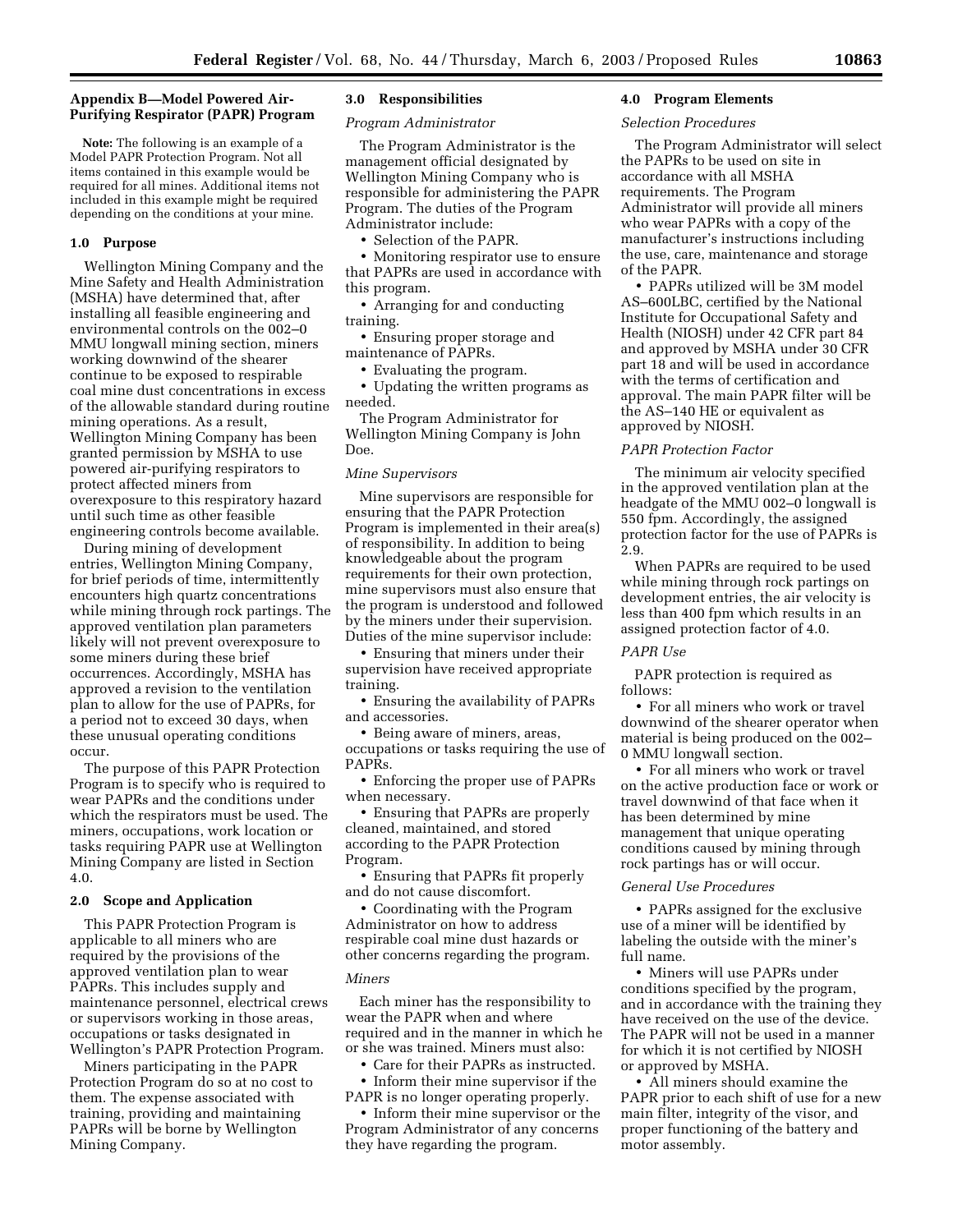# **Appendix B—Model Powered Air-Purifying Respirator (PAPR) Program**

**Note:** The following is an example of a Model PAPR Protection Program. Not all items contained in this example would be required for all mines. Additional items not included in this example might be required depending on the conditions at your mine.

## **1.0 Purpose**

Wellington Mining Company and the Mine Safety and Health Administration (MSHA) have determined that, after installing all feasible engineering and environmental controls on the 002–0 MMU longwall mining section, miners working downwind of the shearer continue to be exposed to respirable coal mine dust concentrations in excess of the allowable standard during routine mining operations. As a result, Wellington Mining Company has been granted permission by MSHA to use powered air-purifying respirators to protect affected miners from overexposure to this respiratory hazard until such time as other feasible engineering controls become available.

During mining of development entries, Wellington Mining Company, for brief periods of time, intermittently encounters high quartz concentrations while mining through rock partings. The approved ventilation plan parameters likely will not prevent overexposure to some miners during these brief occurrences. Accordingly, MSHA has approved a revision to the ventilation plan to allow for the use of PAPRs, for a period not to exceed 30 days, when these unusual operating conditions occur.

The purpose of this PAPR Protection Program is to specify who is required to wear PAPRs and the conditions under which the respirators must be used. The miners, occupations, work location or tasks requiring PAPR use at Wellington Mining Company are listed in Section 4.0.

#### **2.0 Scope and Application**

This PAPR Protection Program is applicable to all miners who are required by the provisions of the approved ventilation plan to wear PAPRs. This includes supply and maintenance personnel, electrical crews or supervisors working in those areas, occupations or tasks designated in Wellington's PAPR Protection Program.

Miners participating in the PAPR Protection Program do so at no cost to them. The expense associated with training, providing and maintaining PAPRs will be borne by Wellington Mining Company.

# **3.0 Responsibilities**

*Program Administrator* 

The Program Administrator is the management official designated by Wellington Mining Company who is responsible for administering the PAPR Program. The duties of the Program Administrator include:

• Selection of the PAPR.

• Monitoring respirator use to ensure that PAPRs are used in accordance with this program.

• Arranging for and conducting training.

• Ensuring proper storage and maintenance of PAPRs.

• Evaluating the program.

• Updating the written programs as needed.

The Program Administrator for Wellington Mining Company is John Doe.

### *Mine Supervisors*

Mine supervisors are responsible for ensuring that the PAPR Protection Program is implemented in their area(s) of responsibility. In addition to being knowledgeable about the program requirements for their own protection, mine supervisors must also ensure that the program is understood and followed by the miners under their supervision. Duties of the mine supervisor include:

• Ensuring that miners under their supervision have received appropriate training.

• Ensuring the availability of PAPRs and accessories.

• Being aware of miners, areas, occupations or tasks requiring the use of PAPRs.

• Enforcing the proper use of PAPRs when necessary.

• Ensuring that PAPRs are properly cleaned, maintained, and stored according to the PAPR Protection Program.

• Ensuring that PAPRs fit properly and do not cause discomfort.

• Coordinating with the Program Administrator on how to address respirable coal mine dust hazards or other concerns regarding the program.

#### *Miners*

Each miner has the responsibility to wear the PAPR when and where required and in the manner in which he or she was trained. Miners must also:

• Care for their PAPRs as instructed.

• Inform their mine supervisor if the PAPR is no longer operating properly.

• Inform their mine supervisor or the Program Administrator of any concerns they have regarding the program.

# **4.0 Program Elements**

#### *Selection Procedures*

The Program Administrator will select the PAPRs to be used on site in accordance with all MSHA requirements. The Program Administrator will provide all miners who wear PAPRs with a copy of the manufacturer's instructions including the use, care, maintenance and storage of the PAPR.

• PAPRs utilized will be 3M model AS–600LBC, certified by the National Institute for Occupational Safety and Health (NIOSH) under 42 CFR part 84 and approved by MSHA under 30 CFR part 18 and will be used in accordance with the terms of certification and approval. The main PAPR filter will be the AS–140 HE or equivalent as approved by NIOSH.

#### *PAPR Protection Factor*

The minimum air velocity specified in the approved ventilation plan at the headgate of the MMU 002–0 longwall is 550 fpm. Accordingly, the assigned protection factor for the use of PAPRs is 2.9.

When PAPRs are required to be used while mining through rock partings on development entries, the air velocity is less than 400 fpm which results in an assigned protection factor of 4.0.

# *PAPR Use*

PAPR protection is required as follows:

• For all miners who work or travel downwind of the shearer operator when material is being produced on the 002– 0 MMU longwall section.

• For all miners who work or travel on the active production face or work or travel downwind of that face when it has been determined by mine management that unique operating conditions caused by mining through rock partings has or will occur.

#### *General Use Procedures*

• PAPRs assigned for the exclusive use of a miner will be identified by labeling the outside with the miner's full name.

• Miners will use PAPRs under conditions specified by the program, and in accordance with the training they have received on the use of the device. The PAPR will not be used in a manner for which it is not certified by NIOSH or approved by MSHA.

• All miners should examine the PAPR prior to each shift of use for a new main filter, integrity of the visor, and proper functioning of the battery and motor assembly.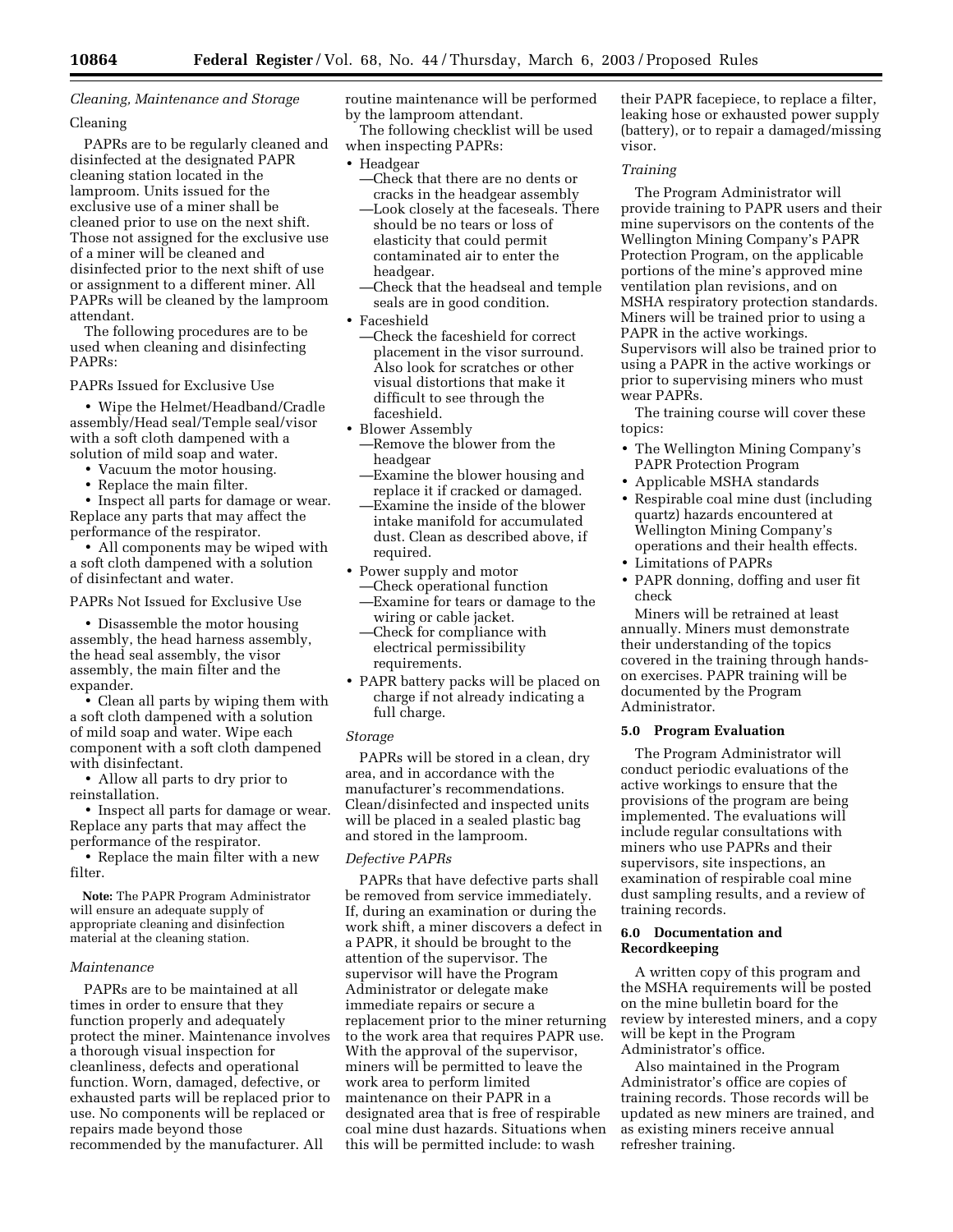# *Cleaning, Maintenance and Storage*

# Cleaning

PAPRs are to be regularly cleaned and disinfected at the designated PAPR cleaning station located in the lamproom. Units issued for the exclusive use of a miner shall be cleaned prior to use on the next shift. Those not assigned for the exclusive use of a miner will be cleaned and disinfected prior to the next shift of use or assignment to a different miner. All PAPRs will be cleaned by the lamproom attendant.

The following procedures are to be used when cleaning and disinfecting PAPRs:

PAPRs Issued for Exclusive Use

• Wipe the Helmet/Headband/Cradle assembly/Head seal/Temple seal/visor with a soft cloth dampened with a solution of mild soap and water.

- Vacuum the motor housing.
- Replace the main filter.

• Inspect all parts for damage or wear. Replace any parts that may affect the performance of the respirator.

• All components may be wiped with a soft cloth dampened with a solution of disinfectant and water.

PAPRs Not Issued for Exclusive Use

• Disassemble the motor housing assembly, the head harness assembly, the head seal assembly, the visor assembly, the main filter and the expander.

• Clean all parts by wiping them with a soft cloth dampened with a solution of mild soap and water. Wipe each component with a soft cloth dampened with disinfectant.

• Allow all parts to dry prior to reinstallation.

• Inspect all parts for damage or wear. Replace any parts that may affect the performance of the respirator.

• Replace the main filter with a new filter.

**Note:** The PAPR Program Administrator will ensure an adequate supply of appropriate cleaning and disinfection material at the cleaning station.

## *Maintenance*

PAPRs are to be maintained at all times in order to ensure that they function properly and adequately protect the miner. Maintenance involves a thorough visual inspection for cleanliness, defects and operational function. Worn, damaged, defective, or exhausted parts will be replaced prior to use. No components will be replaced or repairs made beyond those recommended by the manufacturer. All

routine maintenance will be performed by the lamproom attendant.

The following checklist will be used when inspecting PAPRs:

- Headgear
	- —Check that there are no dents or cracks in the headgear assembly
	- —Look closely at the faceseals. There should be no tears or loss of elasticity that could permit contaminated air to enter the headgear.
	- —Check that the headseal and temple seals are in good condition.
- Faceshield
	- —Check the faceshield for correct placement in the visor surround. Also look for scratches or other visual distortions that make it difficult to see through the faceshield.
- Blower Assembly
- —Remove the blower from the headgear
- —Examine the blower housing and replace it if cracked or damaged.
- —Examine the inside of the blower intake manifold for accumulated dust. Clean as described above, if required.
- Power supply and motor —Check operational function
	- —Examine for tears or damage to the wiring or cable jacket.
	- —Check for compliance with electrical permissibility requirements.
- PAPR battery packs will be placed on charge if not already indicating a full charge.

#### *Storage*

PAPRs will be stored in a clean, dry area, and in accordance with the manufacturer's recommendations. Clean/disinfected and inspected units will be placed in a sealed plastic bag and stored in the lamproom.

# *Defective PAPRs*

PAPRs that have defective parts shall be removed from service immediately. If, during an examination or during the work shift, a miner discovers a defect in a PAPR, it should be brought to the attention of the supervisor. The supervisor will have the Program Administrator or delegate make immediate repairs or secure a replacement prior to the miner returning to the work area that requires PAPR use. With the approval of the supervisor, miners will be permitted to leave the work area to perform limited maintenance on their PAPR in a designated area that is free of respirable coal mine dust hazards. Situations when this will be permitted include: to wash

their PAPR facepiece, to replace a filter, leaking hose or exhausted power supply (battery), or to repair a damaged/missing visor.

# *Training*

The Program Administrator will provide training to PAPR users and their mine supervisors on the contents of the Wellington Mining Company's PAPR Protection Program, on the applicable portions of the mine's approved mine ventilation plan revisions, and on MSHA respiratory protection standards. Miners will be trained prior to using a PAPR in the active workings. Supervisors will also be trained prior to using a PAPR in the active workings or prior to supervising miners who must wear PAPRs.

The training course will cover these topics:

- The Wellington Mining Company's PAPR Protection Program
- Applicable MSHA standards
- Respirable coal mine dust (including quartz) hazards encountered at Wellington Mining Company's operations and their health effects.
- Limitations of PAPRs
- PAPR donning, doffing and user fit check

Miners will be retrained at least annually. Miners must demonstrate their understanding of the topics covered in the training through handson exercises. PAPR training will be documented by the Program Administrator.

# **5.0 Program Evaluation**

The Program Administrator will conduct periodic evaluations of the active workings to ensure that the provisions of the program are being implemented. The evaluations will include regular consultations with miners who use PAPRs and their supervisors, site inspections, an examination of respirable coal mine dust sampling results, and a review of training records.

# **6.0 Documentation and Recordkeeping**

A written copy of this program and the MSHA requirements will be posted on the mine bulletin board for the review by interested miners, and a copy will be kept in the Program Administrator's office.

Also maintained in the Program Administrator's office are copies of training records. Those records will be updated as new miners are trained, and as existing miners receive annual refresher training.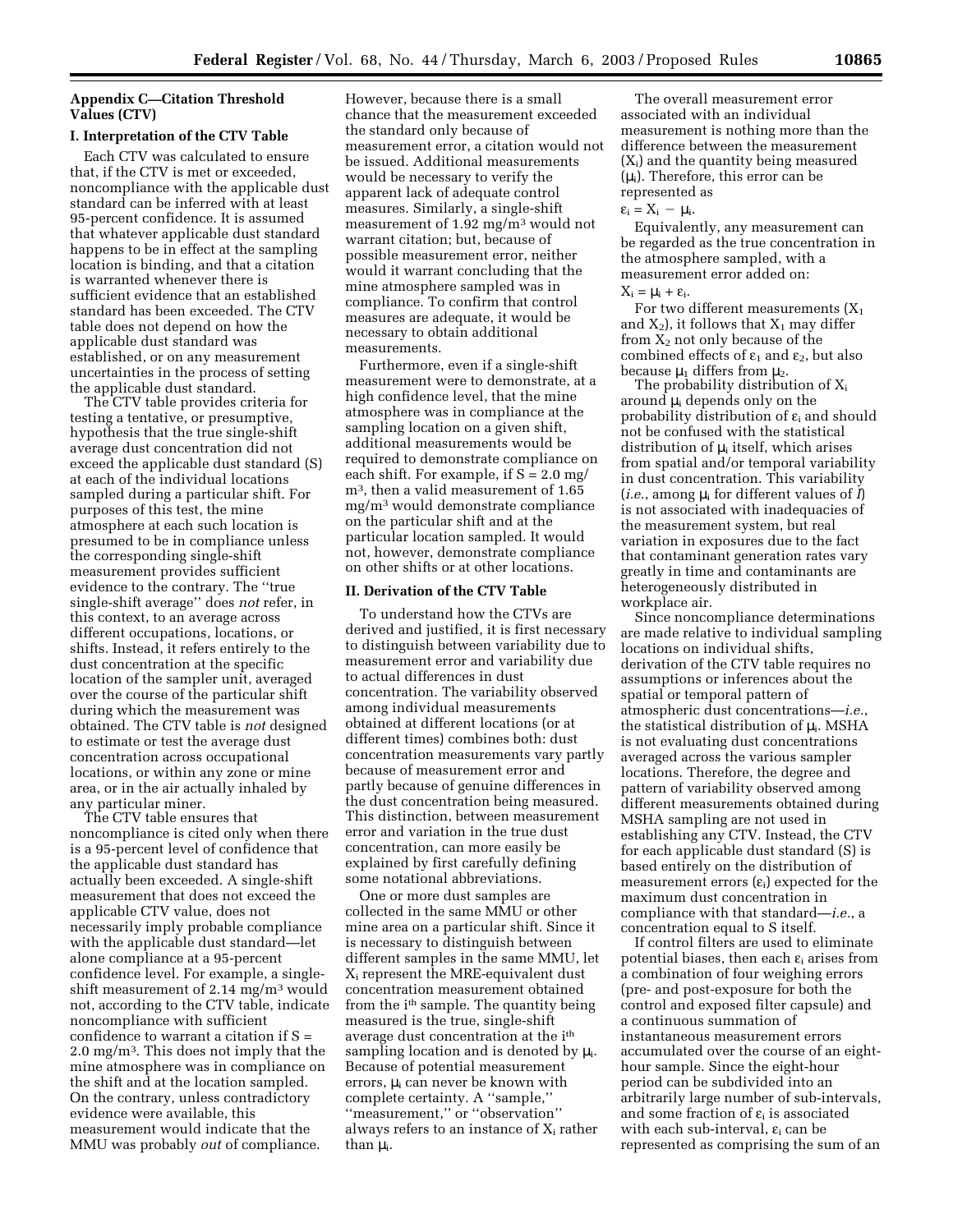# **Appendix C—Citation Threshold Values (CTV)**

## **I. Interpretation of the CTV Table**

Each CTV was calculated to ensure that, if the CTV is met or exceeded, noncompliance with the applicable dust standard can be inferred with at least 95-percent confidence. It is assumed that whatever applicable dust standard happens to be in effect at the sampling location is binding, and that a citation is warranted whenever there is sufficient evidence that an established standard has been exceeded. The CTV table does not depend on how the applicable dust standard was established, or on any measurement uncertainties in the process of setting the applicable dust standard.

The CTV table provides criteria for testing a tentative, or presumptive, hypothesis that the true single-shift average dust concentration did not exceed the applicable dust standard (S) at each of the individual locations sampled during a particular shift. For purposes of this test, the mine atmosphere at each such location is presumed to be in compliance unless the corresponding single-shift measurement provides sufficient evidence to the contrary. The ''true single-shift average'' does *not* refer, in this context, to an average across different occupations, locations, or shifts. Instead, it refers entirely to the dust concentration at the specific location of the sampler unit, averaged over the course of the particular shift during which the measurement was obtained. The CTV table is *not* designed to estimate or test the average dust concentration across occupational locations, or within any zone or mine area, or in the air actually inhaled by any particular miner.

The CTV table ensures that noncompliance is cited only when there is a 95-percent level of confidence that the applicable dust standard has actually been exceeded. A single-shift measurement that does not exceed the applicable CTV value, does not necessarily imply probable compliance with the applicable dust standard—let alone compliance at a 95-percent confidence level. For example, a singleshift measurement of 2.14 mg/m3 would not, according to the CTV table, indicate noncompliance with sufficient confidence to warrant a citation if  $S =$ 2.0 mg/m3. This does not imply that the mine atmosphere was in compliance on the shift and at the location sampled. On the contrary, unless contradictory evidence were available, this measurement would indicate that the MMU was probably *out* of compliance.

However, because there is a small chance that the measurement exceeded the standard only because of measurement error, a citation would not be issued. Additional measurements would be necessary to verify the apparent lack of adequate control measures. Similarly, a single-shift measurement of 1.92 mg/m3 would not warrant citation; but, because of possible measurement error, neither would it warrant concluding that the mine atmosphere sampled was in compliance. To confirm that control measures are adequate, it would be necessary to obtain additional measurements.

Furthermore, even if a single-shift measurement were to demonstrate, at a high confidence level, that the mine atmosphere was in compliance at the sampling location on a given shift, additional measurements would be required to demonstrate compliance on each shift. For example, if  $S = 2.0$  mg/ m3, then a valid measurement of 1.65 mg/m3 would demonstrate compliance on the particular shift and at the particular location sampled. It would not, however, demonstrate compliance on other shifts or at other locations.

## **II. Derivation of the CTV Table**

To understand how the CTVs are derived and justified, it is first necessary to distinguish between variability due to measurement error and variability due to actual differences in dust concentration. The variability observed among individual measurements obtained at different locations (or at different times) combines both: dust concentration measurements vary partly because of measurement error and partly because of genuine differences in the dust concentration being measured. This distinction, between measurement error and variation in the true dust concentration, can more easily be explained by first carefully defining some notational abbreviations.

One or more dust samples are collected in the same MMU or other mine area on a particular shift. Since it is necessary to distinguish between different samples in the same MMU, let Xi represent the MRE-equivalent dust concentration measurement obtained from the i<sup>th</sup> sample. The quantity being measured is the true, single-shift average dust concentration at the ith sampling location and is denoted by  $\mu_i$ . Because of potential measurement errors,  $\mu_i$  can never be known with complete certainty. A ''sample,'' ''measurement,'' or ''observation'' always refers to an instance of  $X_i$  rather than  $\mu_i$ .

The overall measurement error associated with an individual measurement is nothing more than the difference between the measurement (Xi) and the quantity being measured  $(\mu_i)$ . Therefore, this error can be represented as

#### $\varepsilon_i = X_i - \mu_i$ .

Equivalently, any measurement can be regarded as the true concentration in the atmosphere sampled, with a measurement error added on:

# $X_i = \mu_i + \varepsilon_i$ .

For two different measurements  $(X_1)$ and  $X_2$ ), it follows that  $X_1$  may differ from  $X_2$  not only because of the combined effects of  $\varepsilon_1$  and  $\varepsilon_2$ , but also because  $\mu_1$  differs from  $\mu_2$ .

The probability distribution of  $X_i$ around  $\mu_i$  depends only on the probability distribution of  $\varepsilon_i$  and should not be confused with the statistical distribution of  $\mu$ <sub>i</sub> itself, which arises from spatial and/or temporal variability in dust concentration. This variability (*i.e.*, among  $\mu_i$  for different values of *I*) is not associated with inadequacies of the measurement system, but real variation in exposures due to the fact that contaminant generation rates vary greatly in time and contaminants are heterogeneously distributed in workplace air.

Since noncompliance determinations are made relative to individual sampling locations on individual shifts, derivation of the CTV table requires no assumptions or inferences about the spatial or temporal pattern of atmospheric dust concentrations—*i.e.*, the statistical distribution of  $\mu_i$ . MSHA is not evaluating dust concentrations averaged across the various sampler locations. Therefore, the degree and pattern of variability observed among different measurements obtained during MSHA sampling are not used in establishing any CTV. Instead, the CTV for each applicable dust standard (S) is based entirely on the distribution of measurement errors  $(\varepsilon_i)$  expected for the maximum dust concentration in compliance with that standard—*i.e.*, a concentration equal to S itself.

If control filters are used to eliminate potential biases, then each  $\varepsilon_i$  arises from a combination of four weighing errors (pre- and post-exposure for both the control and exposed filter capsule) and a continuous summation of instantaneous measurement errors accumulated over the course of an eighthour sample. Since the eight-hour period can be subdivided into an arbitrarily large number of sub-intervals, and some fraction of  $\varepsilon_i$  is associated with each sub-interval,  $\varepsilon_i$  can be represented as comprising the sum of an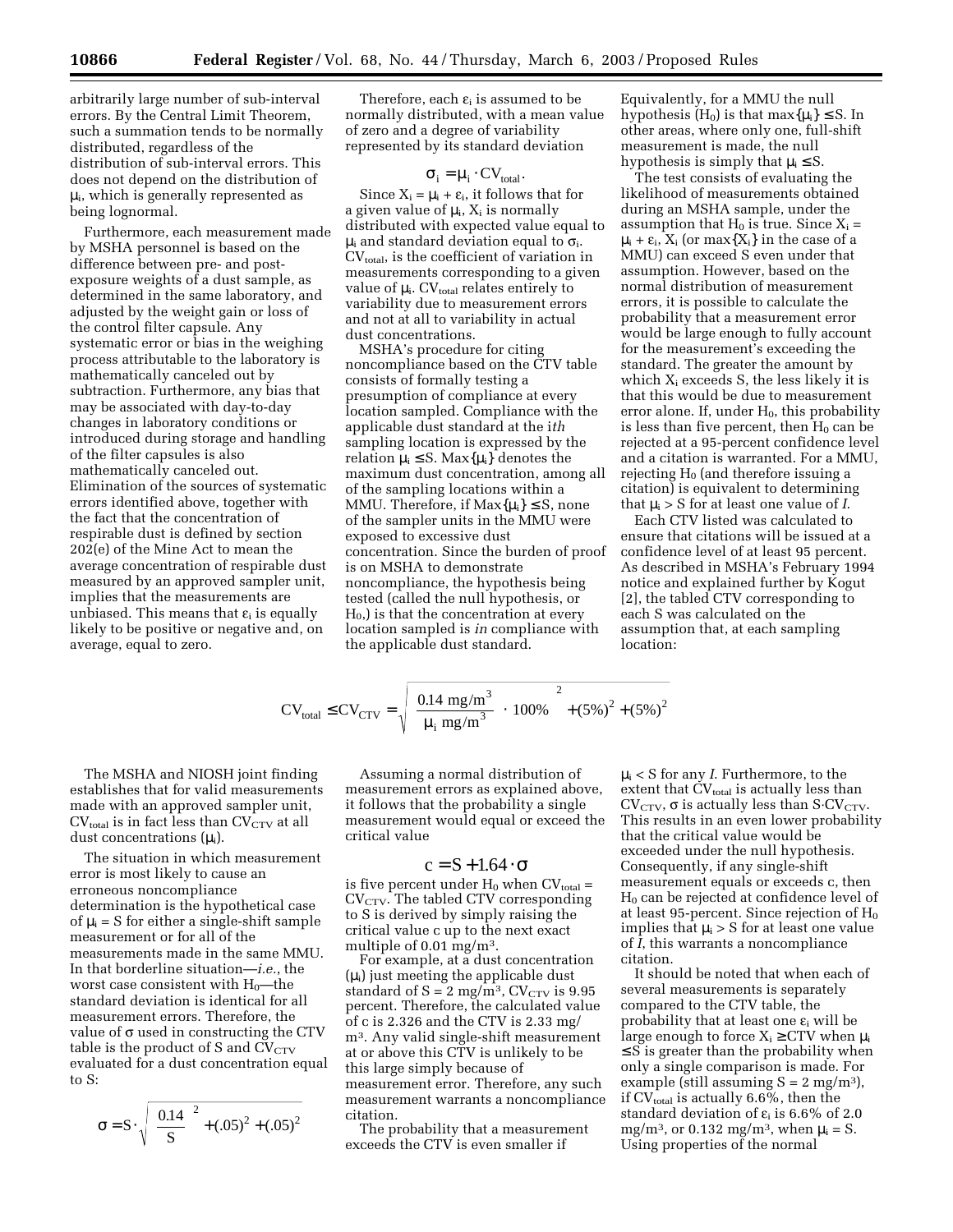errors. By the Central Limit Theorem, such a summation tends to be normally distributed, regardless of the distribution of sub-interval errors. This does not depend on the distribution of  $\mu_i$ , which is generally represented as being lognormal.

Furthermore, each measurement made by MSHA personnel is based on the difference between pre- and postexposure weights of a dust sample, as determined in the same laboratory, and adjusted by the weight gain or loss of the control filter capsule. Any systematic error or bias in the weighing process attributable to the laboratory is mathematically canceled out by subtraction. Furthermore, any bias that may be associated with day-to-day changes in laboratory conditions or introduced during storage and handling of the filter capsules is also mathematically canceled out. Elimination of the sources of systematic errors identified above, together with the fact that the concentration of respirable dust is defined by section 202(e) of the Mine Act to mean the average concentration of respirable dust measured by an approved sampler unit, implies that the measurements are unbiased. This means that  $\varepsilon_i$  is equally likely to be positive or negative and, on average, equal to zero.

Therefore, each  $\varepsilon_i$  is assumed to be normally distributed, with a mean value of zero and a degree of variability represented by its standard deviation

$$
\sigma_i = \mu_i \cdot CV_{total}.
$$

Since  $X_i = \mu_i + \varepsilon_i$ , it follows that for a given value of  $\mu_i$ ,  $X_i$  is normally distributed with expected value equal to  $\mu_i$  and standard deviation equal to  $\sigma_i$ .  $CV<sub>total</sub>$ , is the coefficient of variation in measurements corresponding to a given value of  $\mu_i$ . CV<sub>total</sub> relates entirely to variability due to measurement errors and not at all to variability in actual dust concentrations.

MSHA's procedure for citing noncompliance based on the CTV table consists of formally testing a presumption of compliance at every location sampled. Compliance with the applicable dust standard at the i*th* sampling location is expressed by the relation  $\mu_i \leq S$ . Max $\{\mu_i\}$  denotes the maximum dust concentration, among all of the sampling locations within a MMU. Therefore, if  $Max\{\mu_i\} \leq S$ , none of the sampler units in the MMU were exposed to excessive dust concentration. Since the burden of proof is on MSHA to demonstrate noncompliance, the hypothesis being tested (called the null hypothesis, or  $H<sub>0</sub>$ ) is that the concentration at every location sampled is *in* compliance with the applicable dust standard.

Equivalently, for a MMU the null hypothesis (H<sub>0</sub>) is that max $\{\mu_i\} \leq S$ . In other areas, where only one, full-shift measurement is made, the null hypothesis is simply that  $\mu_i \leq S$ .

The test consists of evaluating the likelihood of measurements obtained during an MSHA sample, under the assumption that  $H_0$  is true. Since  $X_i =$  $\mu_i + \varepsilon_i$ ,  $X_i$  (or max $\{X_i\}$  in the case of a MMU) can exceed S even under that assumption. However, based on the normal distribution of measurement errors, it is possible to calculate the probability that a measurement error would be large enough to fully account for the measurement's exceeding the standard. The greater the amount by which  $X_i$  exceeds S, the less likely it is that this would be due to measurement error alone. If, under  $H_0$ , this probability is less than five percent, then  $H_0$  can be rejected at a 95-percent confidence level and a citation is warranted. For a MMU, rejecting  $H_0$  (and therefore issuing a citation) is equivalent to determining that  $\mu_i > S$  for at least one value of *I*.

Each CTV listed was calculated to ensure that citations will be issued at a confidence level of at least 95 percent. As described in MSHA's February 1994 notice and explained further by Kogut [2], the tabled CTV corresponding to each S was calculated on the assumption that, at each sampling location:

$$
CV_{\text{total}} \leq CV_{\text{CTV}} = \sqrt{\left(\frac{0.14 \text{ mg/m}^3}{\mu_i \text{ mg/m}^3} \cdot 100\% \right)^2 + (5\%)^2 + (5\%)^2}
$$

The MSHA and NIOSH joint finding establishes that for valid measurements made with an approved sampler unit,  $CV<sub>total</sub>$  is in fact less than  $CV<sub>CTV</sub>$  at all dust concentrations  $(\mu_i)$ .

The situation in which measurement error is most likely to cause an erroneous noncompliance determination is the hypothetical case of  $\mu_i$  = S for either a single-shift sample measurement or for all of the measurements made in the same MMU. In that borderline situation—*i.e.*, the worst case consistent with  $H_0$ —the standard deviation is identical for all measurement errors. Therefore, the value of  $\sigma$  used in constructing the CTV table is the product of S and  $CV_{CTV}$ evaluated for a dust concentration equal to S:

$$
\sigma = S \cdot \sqrt{\left(\frac{0.14}{S}\right)^2 + (.05)^2 + (.05)^2}
$$

Assuming a normal distribution of measurement errors as explained above, it follows that the probability a single measurement would equal or exceed the critical value

# $c = S + 1.64 \cdot \sigma$

is five percent under  $H_0$  when  $CV_{total} =$  $CV<sub>CTV</sub>$ . The tabled CTV corresponding to S is derived by simply raising the critical value c up to the next exact multiple of 0.01 mg/m3.

For example, at a dust concentration  $(\mu_i)$  just meeting the applicable dust standard of  $S = 2$  mg/m<sup>3</sup>, CV<sub>CTV</sub> is 9.95 percent. Therefore, the calculated value of c is 2.326 and the CTV is 2.33 mg/ m3. Any valid single-shift measurement at or above this CTV is unlikely to be this large simply because of measurement error. Therefore, any such measurement warrants a noncompliance citation.

The probability that a measurement exceeds the CTV is even smaller if

µi < S for any *I*. Furthermore, to the extent that  $CV_{total}$  is actually less than  $CV_{CTV}$ ,  $\sigma$  is actually less than S·CV<sub>CTV</sub>. This results in an even lower probability that the critical value would be exceeded under the null hypothesis. Consequently, if any single-shift measurement equals or exceeds c, then H0 can be rejected at confidence level of at least 95-percent. Since rejection of  $H_0$ implies that  $\mu_i > S$  for at least one value of *I*, this warrants a noncompliance citation.

It should be noted that when each of several measurements is separately compared to the CTV table, the probability that at least one  $\varepsilon_i$  will be large enough to force  $X_i \geq CTV$  when  $\mu_i$  $\leq$  S is greater than the probability when only a single comparison is made. For example (still assuming  $S = 2$  mg/m<sup>3</sup>), if  $CV_{total}$  is actually 6.6%, then the standard deviation of  $\varepsilon_i$  is 6.6% of 2.0 mg/m<sup>3</sup>, or 0.132 mg/m<sup>3</sup>, when  $\mu_i = S$ . Using properties of the normal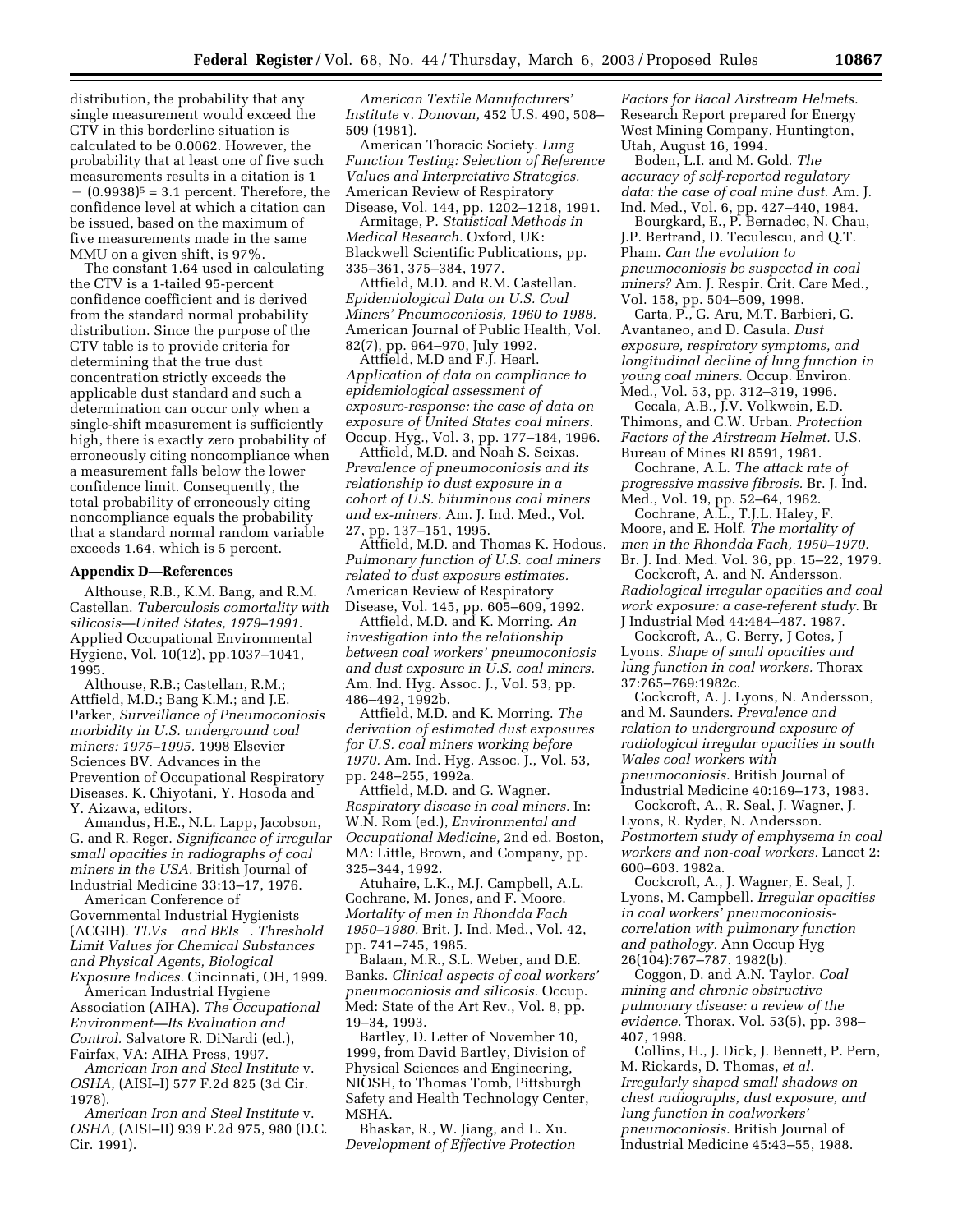distribution, the probability that any single measurement would exceed the CTV in this borderline situation is calculated to be 0.0062. However, the probability that at least one of five such measurements results in a citation is 1  $(0.9938)^5$  = 3.1 percent. Therefore, the confidence level at which a citation can be issued, based on the maximum of five measurements made in the same MMU on a given shift, is 97%.

The constant 1.64 used in calculating the CTV is a 1-tailed 95-percent confidence coefficient and is derived from the standard normal probability distribution. Since the purpose of the CTV table is to provide criteria for determining that the true dust concentration strictly exceeds the applicable dust standard and such a determination can occur only when a single-shift measurement is sufficiently high, there is exactly zero probability of erroneously citing noncompliance when a measurement falls below the lower confidence limit. Consequently, the total probability of erroneously citing noncompliance equals the probability that a standard normal random variable exceeds 1.64, which is 5 percent.

#### **Appendix D—References**

Althouse, R.B., K.M. Bang, and R.M. Castellan. *Tuberculosis comortality with silicosis—United States, 1979–1991*. Applied Occupational Environmental Hygiene, Vol. 10(12), pp.1037–1041, 1995.

Althouse, R.B.; Castellan, R.M.; Attfield, M.D.; Bang K.M.; and J.E. Parker, *Surveillance of Pneumoconiosis morbidity in U.S. underground coal miners: 1975–1995.* 1998 Elsevier Sciences BV. Advances in the Prevention of Occupational Respiratory Diseases. K. Chiyotani, Y. Hosoda and Y. Aizawa, editors.

Amandus, H.E., N.L. Lapp, Jacobson, G. and R. Reger. *Significance of irregular small opacities in radiographs of coal miners in the USA.* British Journal of Industrial Medicine 33:13–17, 1976.

American Conference of Governmental Industrial Hygienists (ACGIH). *TLVs and BEIs. Threshold Limit Values for Chemical Substances and Physical Agents, Biological Exposure Indices.* Cincinnati, OH, 1999.

American Industrial Hygiene Association (AIHA). *The Occupational Environment—Its Evaluation and Control.* Salvatore R. DiNardi (ed.), Fairfax, VA: AIHA Press, 1997.

*American Iron and Steel Institute* v. *OSHA,* (AISI–I) 577 F.2d 825 (3d Cir. 1978).

*American Iron and Steel Institute* v. *OSHA,* (AISI–II) 939 F.2d 975, 980 (D.C. Cir. 1991).

*American Textile Manufacturers' Institute* v. *Donovan,* 452 U.S. 490, 508– 509 (1981).

American Thoracic Society. *Lung Function Testing: Selection of Reference Values and Interpretative Strategies.* American Review of Respiratory Disease, Vol. 144, pp. 1202–1218, 1991.

Armitage, P. *Statistical Methods in Medical Research.* Oxford, UK: Blackwell Scientific Publications, pp. 335–361, 375–384, 1977.

Attfield, M.D. and R.M. Castellan. *Epidemiological Data on U.S. Coal Miners' Pneumoconiosis, 1960 to 1988.* American Journal of Public Health, Vol. 82(7), pp. 964–970, July 1992.

Attfield, M.D and F.J. Hearl. *Application of data on compliance to epidemiological assessment of exposure-response: the case of data on exposure of United States coal miners.* Occup. Hyg., Vol. 3, pp. 177–184, 1996.

Attfield, M.D. and Noah S. Seixas. *Prevalence of pneumoconiosis and its relationship to dust exposure in a cohort of U.S. bituminous coal miners and ex-miners.* Am. J. Ind. Med., Vol. 27, pp. 137–151, 1995.

Attfield, M.D. and Thomas K. Hodous. *Pulmonary function of U.S. coal miners related to dust exposure estimates.* American Review of Respiratory Disease, Vol. 145, pp. 605–609, 1992.

Attfield, M.D. and K. Morring. *An investigation into the relationship between coal workers' pneumoconiosis and dust exposure in U.S. coal miners.* Am. Ind. Hyg. Assoc. J., Vol. 53, pp. 486–492, 1992b.

Attfield, M.D. and K. Morring. *The derivation of estimated dust exposures for U.S. coal miners working before 1970.* Am. Ind. Hyg. Assoc. J., Vol. 53, pp. 248–255, 1992a.

Attfield, M.D. and G. Wagner. *Respiratory disease in coal miners.* In: W.N. Rom (ed.), *Environmental and Occupational Medicine,* 2nd ed. Boston, MA: Little, Brown, and Company, pp. 325–344, 1992.

Atuhaire, L.K., M.J. Campbell, A.L. Cochrane, M. Jones, and F. Moore. *Mortality of men in Rhondda Fach 1950–1980.* Brit. J. Ind. Med., Vol. 42, pp. 741–745, 1985.

Balaan, M.R., S.L. Weber, and D.E. Banks. *Clinical aspects of coal workers' pneumoconiosis and silicosis.* Occup. Med: State of the Art Rev., Vol. 8, pp. 19–34, 1993.

Bartley, D. Letter of November 10, 1999, from David Bartley, Division of Physical Sciences and Engineering, NIOSH, to Thomas Tomb, Pittsburgh Safety and Health Technology Center, MSHA.

Bhaskar, R., W. Jiang, and L. Xu. *Development of Effective Protection* 

*Factors for Racal Airstream Helmets.* Research Report prepared for Energy West Mining Company, Huntington, Utah, August 16, 1994.

Boden, L.I. and M. Gold. *The accuracy of self-reported regulatory data: the case of coal mine dust.* Am. J. Ind. Med., Vol. 6, pp. 427–440, 1984.

Bourgkard, E., P. Bernadec, N. Chau, J.P. Bertrand, D. Teculescu, and Q.T. Pham. *Can the evolution to pneumoconiosis be suspected in coal miners?* Am. J. Respir. Crit. Care Med., Vol. 158, pp. 504–509, 1998.

Carta, P., G. Aru, M.T. Barbieri, G. Avantaneo, and D. Casula. *Dust exposure, respiratory symptoms, and longitudinal decline of lung function in young coal miners.* Occup. Environ. Med., Vol. 53, pp. 312–319, 1996.

Cecala, A.B., J.V. Volkwein, E.D. Thimons, and C.W. Urban. *Protection Factors of the Airstream Helmet.* U.S. Bureau of Mines RI 8591, 1981.

Cochrane, A.L. *The attack rate of progressive massive fibrosis.* Br. J. Ind. Med., Vol. 19, pp. 52–64, 1962.

Cochrane, A.L., T.J.L. Haley, F. Moore, and E. Holf. *The mortality of men in the Rhondda Fach, 1950–1970.* Br. J. Ind. Med. Vol. 36, pp. 15–22, 1979.

Cockcroft, A. and N. Andersson. *Radiological irregular opacities and coal work exposure: a case-referent study.* Br J Industrial Med 44:484–487. 1987.

Cockcroft, A., G. Berry, J Cotes, J Lyons. *Shape of small opacities and lung function in coal workers.* Thorax 37:765–769:1982c.

Cockcroft, A. J. Lyons, N. Andersson, and M. Saunders. *Prevalence and relation to underground exposure of radiological irregular opacities in south Wales coal workers with pneumoconiosis.* British Journal of Industrial Medicine 40:169–173, 1983.

Cockcroft, A., R. Seal, J. Wagner, J. Lyons, R. Ryder, N. Andersson. *Postmortem study of emphysema in coal workers and non-coal workers.* Lancet 2: 600–603. 1982a.

Cockcroft, A., J. Wagner, E. Seal, J. Lyons, M. Campbell. *Irregular opacities in coal workers' pneumoconiosiscorrelation with pulmonary function and pathology.* Ann Occup Hyg 26(104):767–787. 1982(b).

Coggon, D. and A.N. Taylor. *Coal mining and chronic obstructive pulmonary disease: a review of the evidence.* Thorax. Vol. 53(5), pp. 398– 407, 1998.

Collins, H., J. Dick, J. Bennett, P. Pern, M. Rickards, D. Thomas, *et al. Irregularly shaped small shadows on chest radiographs, dust exposure, and lung function in coalworkers' pneumoconiosis.* British Journal of Industrial Medicine 45:43–55, 1988.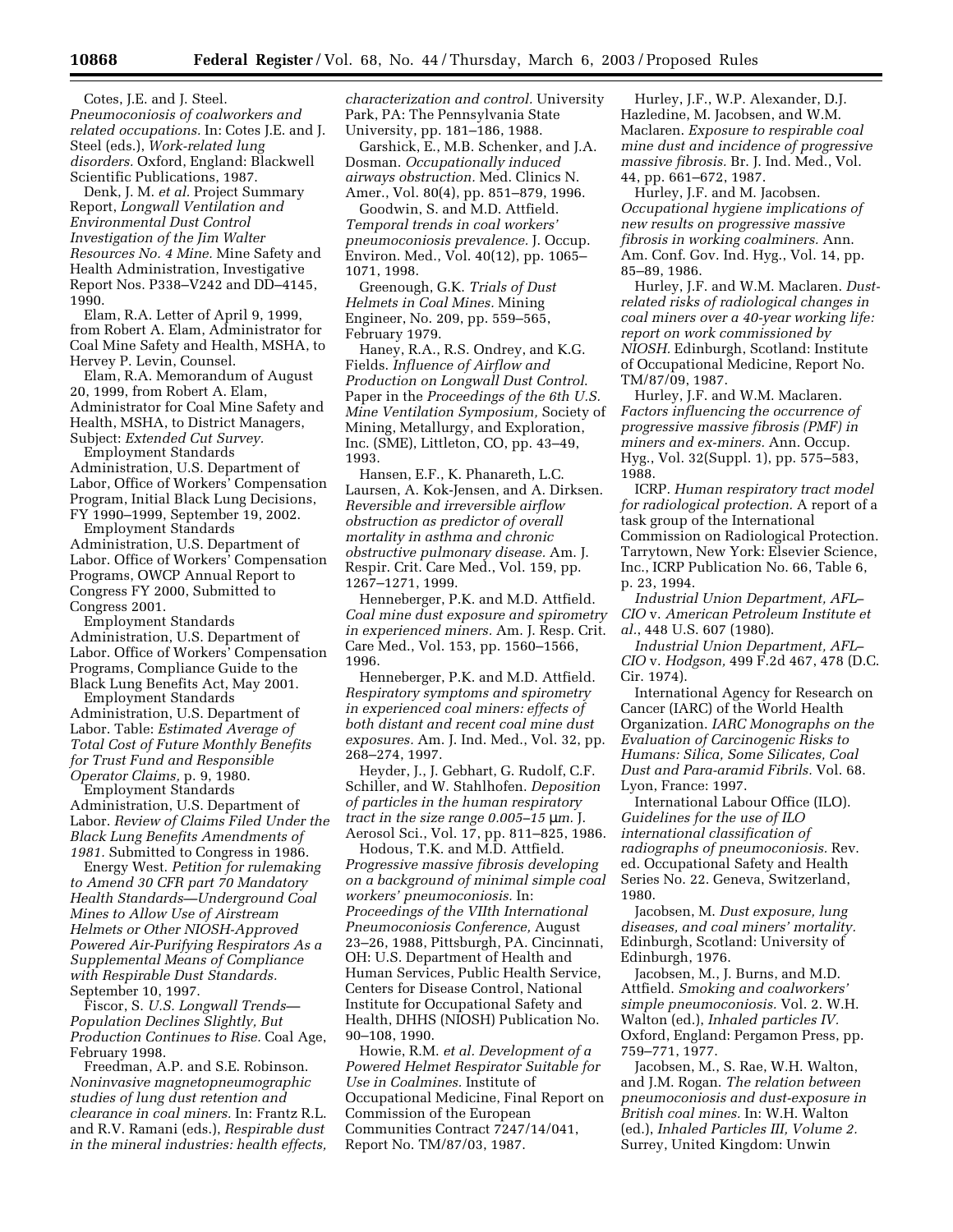Cotes, J.E. and J. Steel. *Pneumoconiosis of coalworkers and related occupations.* In: Cotes J.E. and J. Steel (eds.), *Work-related lung disorders.* Oxford, England: Blackwell Scientific Publications, 1987.

Denk, J. M. *et al.* Project Summary Report, *Longwall Ventilation and Environmental Dust Control Investigation of the Jim Walter Resources No. 4 Mine.* Mine Safety and Health Administration, Investigative Report Nos. P338–V242 and DD–4145, 1990.

Elam, R.A. Letter of April 9, 1999, from Robert A. Elam, Administrator for Coal Mine Safety and Health, MSHA, to Hervey P. Levin, Counsel.

Elam, R.A. Memorandum of August 20, 1999, from Robert A. Elam, Administrator for Coal Mine Safety and Health, MSHA, to District Managers, Subject: *Extended Cut Survey.*

Employment Standards Administration, U.S. Department of Labor, Office of Workers' Compensation Program, Initial Black Lung Decisions, FY 1990–1999, September 19, 2002.

Employment Standards Administration, U.S. Department of Labor. Office of Workers' Compensation Programs, OWCP Annual Report to Congress FY 2000, Submitted to Congress 2001.

Employment Standards Administration, U.S. Department of Labor. Office of Workers' Compensation Programs, Compliance Guide to the Black Lung Benefits Act, May 2001.

Employment Standards Administration, U.S. Department of Labor. Table: *Estimated Average of Total Cost of Future Monthly Benefits for Trust Fund and Responsible Operator Claims,* p. 9, 1980.

Employment Standards Administration, U.S. Department of Labor. *Review of Claims Filed Under the Black Lung Benefits Amendments of 1981.* Submitted to Congress in 1986.

Energy West. *Petition for rulemaking to Amend 30 CFR part 70 Mandatory Health Standards—Underground Coal Mines to Allow Use of Airstream Helmets or Other NIOSH-Approved Powered Air-Purifying Respirators As a Supplemental Means of Compliance with Respirable Dust Standards.* September 10, 1997.

Fiscor, S. *U.S. Longwall Trends— Population Declines Slightly, But Production Continues to Rise.* Coal Age, February 1998.

Freedman, A.P. and S.E. Robinson. *Noninvasive magnetopneumographic studies of lung dust retention and clearance in coal miners.* In: Frantz R.L. and R.V. Ramani (eds.), *Respirable dust in the mineral industries: health effects,*  *characterization and control.* University Park, PA: The Pennsylvania State University, pp. 181–186, 1988.

Garshick, E., M.B. Schenker, and J.A. Dosman. *Occupationally induced airways obstruction.* Med. Clinics N. Amer., Vol. 80(4), pp. 851–879, 1996.

Goodwin, S. and M.D. Attfield. *Temporal trends in coal workers' pneumoconiosis prevalence.* J. Occup. Environ. Med., Vol. 40(12), pp. 1065– 1071, 1998.

Greenough, G.K. *Trials of Dust Helmets in Coal Mines.* Mining Engineer, No. 209, pp. 559–565, February 1979.

Haney, R.A., R.S. Ondrey, and K.G. Fields. *Influence of Airflow and Production on Longwall Dust Control*. Paper in the *Proceedings of the 6th U.S. Mine Ventilation Symposium,* Society of Mining, Metallurgy, and Exploration, Inc. (SME), Littleton, CO, pp. 43–49, 1993.

Hansen, E.F., K. Phanareth, L.C. Laursen, A. Kok-Jensen, and A. Dirksen. *Reversible and irreversible airflow obstruction as predictor of overall mortality in asthma and chronic obstructive pulmonary disease.* Am. J. Respir. Crit. Care Med., Vol. 159, pp. 1267–1271, 1999.

Henneberger, P.K. and M.D. Attfield. *Coal mine dust exposure and spirometry in experienced miners.* Am. J. Resp. Crit. Care Med., Vol. 153, pp. 1560–1566, 1996.

Henneberger, P.K. and M.D. Attfield. *Respiratory symptoms and spirometry in experienced coal miners: effects of both distant and recent coal mine dust exposures.* Am. J. Ind. Med., Vol. 32, pp. 268–274, 1997.

Heyder, J., J. Gebhart, G. Rudolf, C.F. Schiller, and W. Stahlhofen. *Deposition of particles in the human respiratory tract in the size range 0.005–15* µ*m.* J. Aerosol Sci., Vol. 17, pp. 811–825, 1986.

Hodous, T.K. and M.D. Attfield. *Progressive massive fibrosis developing on a background of minimal simple coal workers' pneumoconiosis.* In: *Proceedings of the VIIth International Pneumoconiosis Conference,* August 23–26, 1988, Pittsburgh, PA. Cincinnati, OH: U.S. Department of Health and Human Services, Public Health Service, Centers for Disease Control, National Institute for Occupational Safety and Health, DHHS (NIOSH) Publication No. 90–108, 1990.

Howie, R.M. *et al. Development of a Powered Helmet Respirator Suitable for Use in Coalmines.* Institute of Occupational Medicine, Final Report on Commission of the European Communities Contract 7247/14/041, Report No. TM/87/03, 1987.

Hurley, J.F., W.P. Alexander, D.J. Hazledine, M. Jacobsen, and W.M. Maclaren. *Exposure to respirable coal mine dust and incidence of progressive massive fibrosis.* Br. J. Ind. Med., Vol. 44, pp. 661–672, 1987.

Hurley, J.F. and M. Jacobsen. *Occupational hygiene implications of new results on progressive massive fibrosis in working coalminers.* Ann. Am. Conf. Gov. Ind. Hyg., Vol. 14, pp. 85–89, 1986.

Hurley, J.F. and W.M. Maclaren. *Dustrelated risks of radiological changes in coal miners over a 40-year working life: report on work commissioned by NIOSH.* Edinburgh, Scotland: Institute of Occupational Medicine, Report No. TM/87/09, 1987.

Hurley, J.F. and W.M. Maclaren. *Factors influencing the occurrence of progressive massive fibrosis (PMF) in miners and ex-miners.* Ann. Occup. Hyg., Vol. 32(Suppl. 1), pp. 575–583, 1988.

ICRP. *Human respiratory tract model for radiological protection.* A report of a task group of the International Commission on Radiological Protection. Tarrytown, New York: Elsevier Science, Inc., ICRP Publication No. 66, Table 6, p. 23, 1994.

*Industrial Union Department, AFL– CIO* v. *American Petroleum Institute et al.*, 448 U.S. 607 (1980).

*Industrial Union Department, AFL– CIO* v. *Hodgson,* 499 F.2d 467, 478 (D.C. Cir. 1974).

International Agency for Research on Cancer (IARC) of the World Health Organization. *IARC Monographs on the Evaluation of Carcinogenic Risks to Humans: Silica, Some Silicates, Coal Dust and Para-aramid Fibrils.* Vol. 68. Lyon, France: 1997.

International Labour Office (ILO). *Guidelines for the use of ILO international classification of radiographs of pneumoconiosis.* Rev. ed. Occupational Safety and Health Series No. 22. Geneva, Switzerland, 1980.

Jacobsen, M. *Dust exposure, lung diseases, and coal miners' mortality.* Edinburgh, Scotland: University of Edinburgh, 1976.

Jacobsen, M., J. Burns, and M.D. Attfield. *Smoking and coalworkers' simple pneumoconiosis.* Vol. 2. W.H. Walton (ed.), *Inhaled particles IV.* Oxford, England: Pergamon Press, pp. 759–771, 1977.

Jacobsen, M., S. Rae, W.H. Walton, and J.M. Rogan. *The relation between pneumoconiosis and dust-exposure in British coal mines.* In: W.H. Walton (ed.), *Inhaled Particles III, Volume 2.* Surrey, United Kingdom: Unwin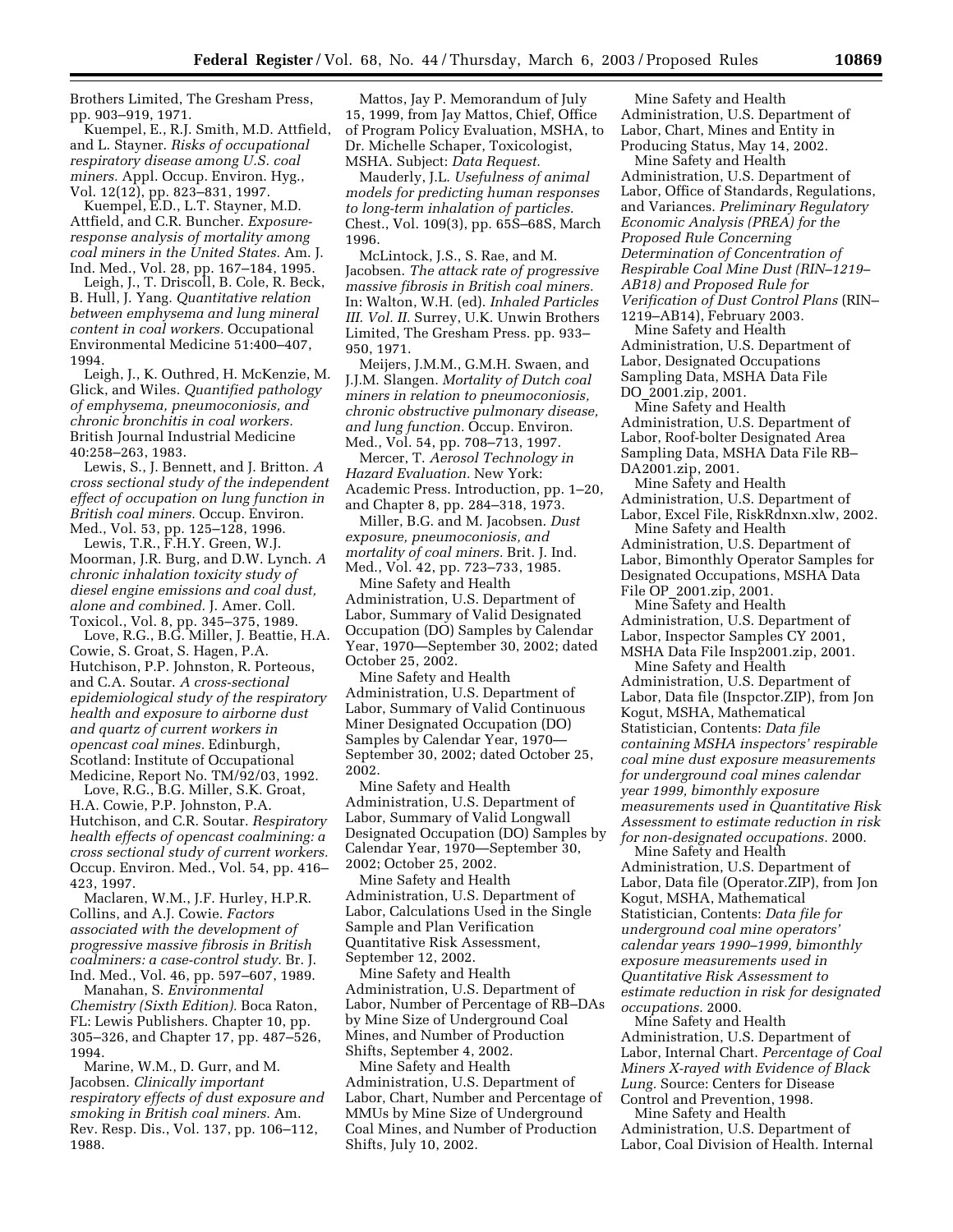Brothers Limited, The Gresham Press, pp. 903–919, 1971.

Kuempel, E., R.J. Smith, M.D. Attfield, and L. Stayner. *Risks of occupational respiratory disease among U.S. coal miners.* Appl. Occup. Environ. Hyg., Vol. 12(12), pp. 823–831, 1997.

Kuempel, E.D., L.T. Stayner, M.D. Attfield, and C.R. Buncher. *Exposureresponse analysis of mortality among coal miners in the United States.* Am. J. Ind. Med., Vol. 28, pp. 167–184, 1995.

Leigh, J., T. Driscoll, B. Cole, R. Beck, B. Hull, J. Yang. *Quantitative relation between emphysema and lung mineral content in coal workers.* Occupational Environmental Medicine 51:400–407, 1994.

Leigh, J., K. Outhred, H. McKenzie, M. Glick, and Wiles. *Quantified pathology of emphysema, pneumoconiosis, and chronic bronchitis in coal workers.* British Journal Industrial Medicine 40:258–263, 1983.

Lewis, S., J. Bennett, and J. Britton. *A cross sectional study of the independent effect of occupation on lung function in British coal miners.* Occup. Environ. Med., Vol. 53, pp. 125–128, 1996.

Lewis, T.R., F.H.Y. Green, W.J. Moorman, J.R. Burg, and D.W. Lynch. *A chronic inhalation toxicity study of diesel engine emissions and coal dust, alone and combined.* J. Amer. Coll. Toxicol., Vol. 8, pp. 345–375, 1989.

Love, R.G., B.G. Miller, J. Beattie, H.A. Cowie, S. Groat, S. Hagen, P.A. Hutchison, P.P. Johnston, R. Porteous, and C.A. Soutar. *A cross-sectional epidemiological study of the respiratory health and exposure to airborne dust and quartz of current workers in opencast coal mines.* Edinburgh, Scotland: Institute of Occupational Medicine, Report No. TM/92/03, 1992.

Love, R.G., B.G. Miller, S.K. Groat, H.A. Cowie, P.P. Johnston, P.A. Hutchison, and C.R. Soutar. *Respiratory health effects of opencast coalmining: a cross sectional study of current workers.* Occup. Environ. Med., Vol. 54, pp. 416– 423, 1997.

Maclaren, W.M., J.F. Hurley, H.P.R. Collins, and A.J. Cowie. *Factors associated with the development of progressive massive fibrosis in British coalminers: a case-control study.* Br. J. Ind. Med., Vol. 46, pp. 597–607, 1989.

Manahan, S. *Environmental Chemistry (Sixth Edition).* Boca Raton, FL: Lewis Publishers. Chapter 10, pp. 305–326, and Chapter 17, pp. 487–526, 1994.

Marine, W.M., D. Gurr, and M. Jacobsen. *Clinically important respiratory effects of dust exposure and smoking in British coal miners.* Am. Rev. Resp. Dis., Vol. 137, pp. 106–112, 1988.

Mattos, Jay P. Memorandum of July 15, 1999, from Jay Mattos, Chief, Office of Program Policy Evaluation, MSHA, to Dr. Michelle Schaper, Toxicologist, MSHA. Subject: *Data Request.*

Mauderly, J.L. *Usefulness of animal models for predicting human responses to long-term inhalation of particles.* Chest., Vol. 109(3), pp. 65S–68S, March 1996.

McLintock, J.S., S. Rae, and M. Jacobsen. *The attack rate of progressive massive fibrosis in British coal miners.* In: Walton, W.H. (ed). *Inhaled Particles III. Vol. II.* Surrey, U.K. Unwin Brothers Limited, The Gresham Press. pp. 933– 950, 1971.

Meijers, J.M.M., G.M.H. Swaen, and J.J.M. Slangen. *Mortality of Dutch coal miners in relation to pneumoconiosis, chronic obstructive pulmonary disease, and lung function.* Occup. Environ. Med., Vol. 54, pp. 708–713, 1997.

Mercer, T. *Aerosol Technology in Hazard Evaluation.* New York: Academic Press. Introduction, pp. 1–20, and Chapter 8, pp. 284–318, 1973.

Miller, B.G. and M. Jacobsen. *Dust exposure, pneumoconiosis, and mortality of coal miners.* Brit. J. Ind. Med., Vol. 42, pp. 723–733, 1985.

Mine Safety and Health Administration, U.S. Department of Labor, Summary of Valid Designated Occupation (DO) Samples by Calendar Year, 1970—September 30, 2002; dated October 25, 2002.

Mine Safety and Health Administration, U.S. Department of Labor, Summary of Valid Continuous Miner Designated Occupation (DO) Samples by Calendar Year, 1970— September 30, 2002; dated October 25, 2002.

Mine Safety and Health Administration, U.S. Department of Labor, Summary of Valid Longwall Designated Occupation (DO) Samples by Calendar Year, 1970—September 30, 2002; October 25, 2002.

Mine Safety and Health Administration, U.S. Department of Labor, Calculations Used in the Single Sample and Plan Verification Quantitative Risk Assessment, September 12, 2002.

Mine Safety and Health Administration, U.S. Department of Labor, Number of Percentage of RB–DAs by Mine Size of Underground Coal Mines, and Number of Production Shifts, September 4, 2002.

Mine Safety and Health Administration, U.S. Department of Labor, Chart, Number and Percentage of MMUs by Mine Size of Underground Coal Mines, and Number of Production Shifts, July 10, 2002.

Mine Safety and Health Administration, U.S. Department of Labor, Chart, Mines and Entity in Producing Status, May 14, 2002.

Mine Safety and Health Administration, U.S. Department of Labor, Office of Standards, Regulations, and Variances. *Preliminary Regulatory Economic Analysis (PREA) for the Proposed Rule Concerning Determination of Concentration of Respirable Coal Mine Dust (RIN–1219– AB18) and Proposed Rule for Verification of Dust Control Plans* (RIN– 1219–AB14), February 2003.

Mine Safety and Health Administration, U.S. Department of Labor, Designated Occupations Sampling Data, MSHA Data File DO\_2001.zip, 2001.

Mine Safety and Health Administration, U.S. Department of Labor, Roof-bolter Designated Area Sampling Data, MSHA Data File RB– DA2001.zip, 2001.

Mine Safety and Health Administration, U.S. Department of Labor, Excel File, RiskRdnxn.xlw, 2002. Mine Safety and Health

Administration, U.S. Department of Labor, Bimonthly Operator Samples for Designated Occupations, MSHA Data File OP\_2001.zip, 2001.

Mine Safety and Health Administration, U.S. Department of Labor, Inspector Samples CY 2001, MSHA Data File Insp2001.zip, 2001.

Mine Safety and Health Administration, U.S. Department of Labor, Data file (Inspctor.ZIP), from Jon Kogut, MSHA, Mathematical Statistician, Contents: *Data file containing MSHA inspectors' respirable coal mine dust exposure measurements for underground coal mines calendar year 1999, bimonthly exposure measurements used in Quantitative Risk Assessment to estimate reduction in risk for non-designated occupations.* 2000.

Mine Safety and Health Administration, U.S. Department of Labor, Data file (Operator.ZIP), from Jon Kogut, MSHA, Mathematical Statistician, Contents: *Data file for underground coal mine operators' calendar years 1990–1999, bimonthly exposure measurements used in Quantitative Risk Assessment to estimate reduction in risk for designated occupations.* 2000.

Mine Safety and Health Administration, U.S. Department of Labor, Internal Chart. *Percentage of Coal Miners X-rayed with Evidence of Black Lung.* Source: Centers for Disease Control and Prevention, 1998.

Mine Safety and Health Administration, U.S. Department of Labor, Coal Division of Health. Internal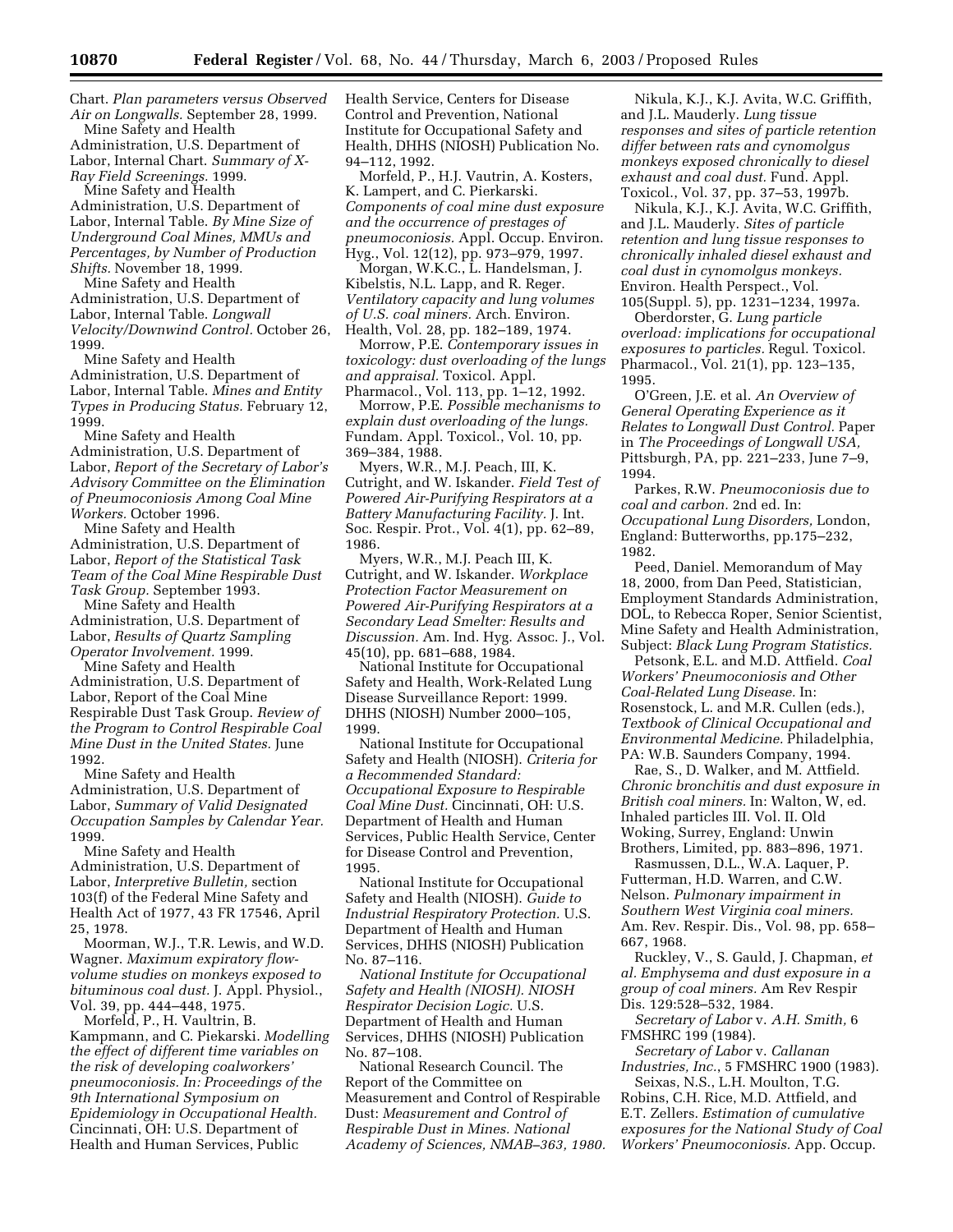Chart. *Plan parameters versus Observed Air on Longwalls.* September 28, 1999. Mine Safety and Health

Administration, U.S. Department of Labor, Internal Chart. *Summary of X-Ray Field Screenings.* 1999.

Mine Safety and Health Administration, U.S. Department of Labor, Internal Table. *By Mine Size of Underground Coal Mines, MMUs and Percentages, by Number of Production Shifts.* November 18, 1999.

Mine Safety and Health Administration, U.S. Department of Labor, Internal Table. *Longwall Velocity/Downwind Control.* October 26, 1999.

Mine Safety and Health Administration, U.S. Department of Labor, Internal Table. *Mines and Entity Types in Producing Status.* February 12, 1999.

Mine Safety and Health Administration, U.S. Department of Labor, *Report of the Secretary of Labor's Advisory Committee on the Elimination of Pneumoconiosis Among Coal Mine Workers.* October 1996.

Mine Safety and Health Administration, U.S. Department of Labor, *Report of the Statistical Task Team of the Coal Mine Respirable Dust Task Group.* September 1993.

Mine Safety and Health Administration, U.S. Department of Labor, *Results of Quartz Sampling Operator Involvement.* 1999. Mine Safety and Health

Administration, U.S. Department of Labor, Report of the Coal Mine Respirable Dust Task Group. *Review of the Program to Control Respirable Coal Mine Dust in the United States.* June 1992.

Mine Safety and Health Administration, U.S. Department of Labor, *Summary of Valid Designated Occupation Samples by Calendar Year.* 1999.

Mine Safety and Health Administration, U.S. Department of Labor, *Interpretive Bulletin,* section 103(f) of the Federal Mine Safety and Health Act of 1977, 43 FR 17546, April 25, 1978.

Moorman, W.J., T.R. Lewis, and W.D. Wagner. *Maximum expiratory flowvolume studies on monkeys exposed to bituminous coal dust.* J. Appl. Physiol., Vol. 39, pp. 444–448, 1975.

Morfeld, P., H. Vaultrin, B. Kampmann, and C. Piekarski. *Modelling the effect of different time variables on the risk of developing coalworkers' pneumoconiosis. In: Proceedings of the 9th International Symposium on Epidemiology in Occupational Health.* Cincinnati, OH: U.S. Department of Health and Human Services, Public

Health Service, Centers for Disease Control and Prevention, National Institute for Occupational Safety and Health, DHHS (NIOSH) Publication No. 94–112, 1992.

Morfeld, P., H.J. Vautrin, A. Kosters, K. Lampert, and C. Pierkarski. *Components of coal mine dust exposure and the occurrence of prestages of pneumoconiosis.* Appl. Occup. Environ. Hyg., Vol. 12(12), pp. 973–979, 1997.

Morgan, W.K.C., L. Handelsman, J. Kibelstis, N.L. Lapp, and R. Reger. *Ventilatory capacity and lung volumes of U.S. coal miners.* Arch. Environ. Health, Vol. 28, pp. 182–189, 1974.

Morrow, P.E. *Contemporary issues in toxicology: dust overloading of the lungs and appraisal.* Toxicol. Appl. Pharmacol., Vol. 113, pp. 1–12, 1992.

Morrow, P.E. *Possible mechanisms to explain dust overloading of the lungs.* Fundam. Appl. Toxicol., Vol. 10, pp. 369–384, 1988.

Myers, W.R., M.J. Peach, III, K. Cutright, and W. Iskander. *Field Test of Powered Air-Purifying Respirators at a Battery Manufacturing Facility.* J. Int. Soc. Respir. Prot., Vol. 4(1), pp. 62–89, 1986.

Myers, W.R., M.J. Peach III, K. Cutright, and W. Iskander. *Workplace Protection Factor Measurement on Powered Air-Purifying Respirators at a Secondary Lead Smelter: Results and Discussion.* Am. Ind. Hyg. Assoc. J., Vol. 45(10), pp. 681–688, 1984.

National Institute for Occupational Safety and Health, Work-Related Lung Disease Surveillance Report: 1999. DHHS (NIOSH) Number 2000–105, 1999.

National Institute for Occupational Safety and Health (NIOSH). *Criteria for a Recommended Standard: Occupational Exposure to Respirable Coal Mine Dust.* Cincinnati, OH: U.S. Department of Health and Human Services, Public Health Service, Center for Disease Control and Prevention, 1995.

National Institute for Occupational Safety and Health (NIOSH). *Guide to Industrial Respiratory Protection.* U.S. Department of Health and Human Services, DHHS (NIOSH) Publication No. 87–116.

*National Institute for Occupational Safety and Health (NIOSH). NIOSH Respirator Decision Logic.* U.S. Department of Health and Human Services, DHHS (NIOSH) Publication No. 87–108.

National Research Council. The Report of the Committee on Measurement and Control of Respirable Dust: *Measurement and Control of Respirable Dust in Mines. National Academy of Sciences, NMAB–363, 1980.*

Nikula, K.J., K.J. Avita, W.C. Griffith, and J.L. Mauderly. *Lung tissue responses and sites of particle retention differ between rats and cynomolgus monkeys exposed chronically to diesel exhaust and coal dust.* Fund. Appl. Toxicol., Vol. 37, pp. 37–53, 1997b.

Nikula, K.J., K.J. Avita, W.C. Griffith, and J.L. Mauderly. *Sites of particle retention and lung tissue responses to chronically inhaled diesel exhaust and coal dust in cynomolgus monkeys.* Environ. Health Perspect., Vol. 105(Suppl. 5), pp. 1231–1234, 1997a.

Oberdorster, G. *Lung particle overload: implications for occupational exposures to particles.* Regul. Toxicol. Pharmacol., Vol. 21(1), pp. 123–135, 1995.

O'Green, J.E. et al. *An Overview of General Operating Experience as it Relates to Longwall Dust Control.* Paper in *The Proceedings of Longwall USA,* Pittsburgh, PA, pp. 221–233, June 7–9, 1994.

Parkes, R.W. *Pneumoconiosis due to coal and carbon.* 2nd ed. In: *Occupational Lung Disorders,* London, England: Butterworths, pp.175–232, 1982.

Peed, Daniel. Memorandum of May 18, 2000, from Dan Peed, Statistician, Employment Standards Administration, DOL, to Rebecca Roper, Senior Scientist, Mine Safety and Health Administration, Subject: *Black Lung Program Statistics.*

Petsonk, E.L. and M.D. Attfield. *Coal Workers' Pneumoconiosis and Other Coal-Related Lung Disease.* In: Rosenstock, L. and M.R. Cullen (eds.), *Textbook of Clinical Occupational and Environmental Medicine.* Philadelphia, PA: W.B. Saunders Company, 1994.

Rae, S., D. Walker, and M. Attfield. *Chronic bronchitis and dust exposure in British coal miners.* In: Walton, W, ed. Inhaled particles III. Vol. II. Old Woking, Surrey, England: Unwin Brothers, Limited, pp. 883–896, 1971.

Rasmussen, D.L., W.A. Laquer, P. Futterman, H.D. Warren, and C.W. Nelson. *Pulmonary impairment in Southern West Virginia coal miners.* Am. Rev. Respir. Dis., Vol. 98, pp. 658– 667, 1968.

Ruckley, V., S. Gauld, J. Chapman, *et al. Emphysema and dust exposure in a group of coal miners.* Am Rev Respir Dis. 129:528–532, 1984.

*Secretary of Labor* v. *A.H. Smith,* 6 FMSHRC 199 (1984).

*Secretary of Labor* v. *Callanan Industries, Inc.*, 5 FMSHRC 1900 (1983).

Seixas, N.S., L.H. Moulton, T.G. Robins, C.H. Rice, M.D. Attfield, and E.T. Zellers. *Estimation of cumulative exposures for the National Study of Coal Workers' Pneumoconiosis.* App. Occup.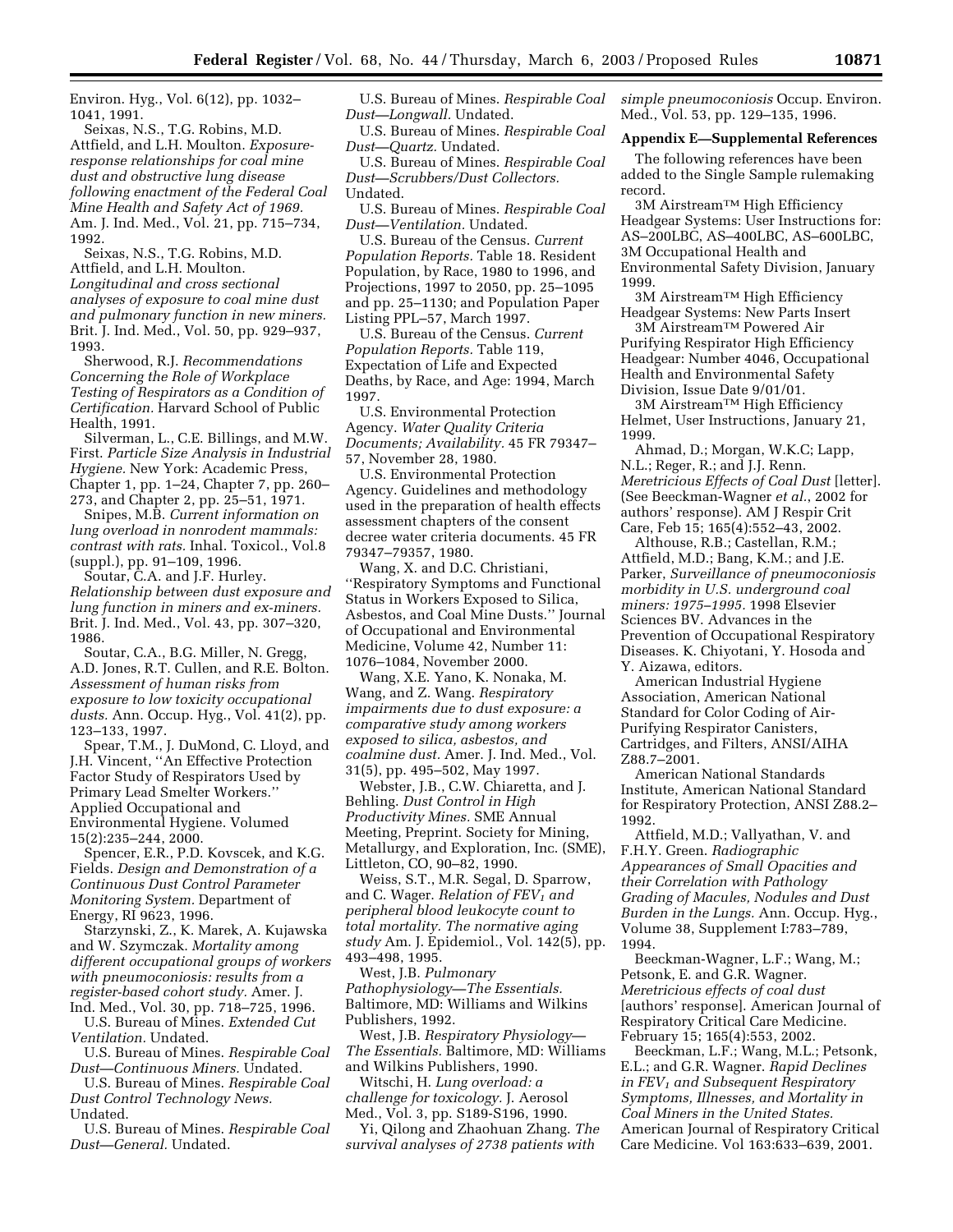Environ. Hyg., Vol. 6(12), pp. 1032– 1041, 1991.

Seixas, N.S., T.G. Robins, M.D. Attfield, and L.H. Moulton. *Exposureresponse relationships for coal mine dust and obstructive lung disease following enactment of the Federal Coal Mine Health and Safety Act of 1969.* Am. J. Ind. Med., Vol. 21, pp. 715–734, 1992.

Seixas, N.S., T.G. Robins, M.D. Attfield, and L.H. Moulton. *Longitudinal and cross sectional analyses of exposure to coal mine dust and pulmonary function in new miners.* Brit. J. Ind. Med., Vol. 50, pp. 929–937, 1993.

Sherwood, R.J. *Recommendations Concerning the Role of Workplace Testing of Respirators as a Condition of Certification.* Harvard School of Public Health, 1991.

Silverman, L., C.E. Billings, and M.W. First. *Particle Size Analysis in Industrial Hygiene.* New York: Academic Press, Chapter 1, pp. 1–24, Chapter 7, pp. 260– 273, and Chapter 2, pp. 25–51, 1971.

Snipes, M.B. *Current information on lung overload in nonrodent mammals: contrast with rats.* Inhal. Toxicol., Vol.8 (suppl.), pp. 91–109, 1996.

Soutar, C.A. and J.F. Hurley. *Relationship between dust exposure and lung function in miners and ex-miners.* Brit. J. Ind. Med., Vol. 43, pp. 307–320, 1986.

Soutar, C.A., B.G. Miller, N. Gregg, A.D. Jones, R.T. Cullen, and R.E. Bolton. *Assessment of human risks from exposure to low toxicity occupational dusts.* Ann. Occup. Hyg., Vol. 41(2), pp. 123–133, 1997.

Spear, T.M., J. DuMond, C. Lloyd, and J.H. Vincent, ''An Effective Protection Factor Study of Respirators Used by Primary Lead Smelter Workers.'' Applied Occupational and Environmental Hygiene. Volumed 15(2):235–244, 2000.

Spencer, E.R., P.D. Kovscek, and K.G. Fields. *Design and Demonstration of a Continuous Dust Control Parameter Monitoring System.* Department of Energy, RI 9623, 1996.

Starzynski, Z., K. Marek, A. Kujawska and W. Szymczak. *Mortality among different occupational groups of workers with pneumoconiosis: results from a register-based cohort study.* Amer. J. Ind. Med., Vol. 30, pp. 718–725, 1996.

U.S. Bureau of Mines. *Extended Cut Ventilation.* Undated.

U.S. Bureau of Mines. *Respirable Coal Dust—Continuous Miners.* Undated.

U.S. Bureau of Mines. *Respirable Coal Dust Control Technology News.* Undated.

U.S. Bureau of Mines. *Respirable Coal Dust—General.* Undated.

U.S. Bureau of Mines. *Respirable Coal Dust—Longwall.* Undated.

U.S. Bureau of Mines. *Respirable Coal Dust—Quartz.* Undated.

U.S. Bureau of Mines. *Respirable Coal Dust—Scrubbers/Dust Collectors.* Undated.

U.S. Bureau of Mines. *Respirable Coal Dust—Ventilation.* Undated.

U.S. Bureau of the Census. *Current Population Reports.* Table 18. Resident Population, by Race, 1980 to 1996, and Projections, 1997 to 2050, pp. 25–1095 and pp. 25–1130; and Population Paper Listing PPL–57, March 1997.

U.S. Bureau of the Census. *Current Population Reports.* Table 119, Expectation of Life and Expected Deaths, by Race, and Age: 1994, March 1997.

U.S. Environmental Protection Agency. *Water Quality Criteria Documents; Availability.* 45 FR 79347– 57, November 28, 1980.

U.S. Environmental Protection Agency. Guidelines and methodology used in the preparation of health effects assessment chapters of the consent decree water criteria documents. 45 FR 79347–79357, 1980.

Wang, X. and D.C. Christiani, ''Respiratory Symptoms and Functional Status in Workers Exposed to Silica, Asbestos, and Coal Mine Dusts.'' Journal of Occupational and Environmental Medicine, Volume 42, Number 11: 1076–1084, November 2000.

Wang, X.E. Yano, K. Nonaka, M. Wang, and Z. Wang. *Respiratory impairments due to dust exposure: a comparative study among workers exposed to silica, asbestos, and coalmine dust.* Amer. J. Ind. Med., Vol. 31(5), pp. 495–502, May 1997.

Webster, J.B., C.W. Chiaretta, and J. Behling. *Dust Control in High Productivity Mines.* SME Annual Meeting, Preprint. Society for Mining, Metallurgy, and Exploration, Inc. (SME), Littleton, CO, 90–82, 1990.

Weiss, S.T., M.R. Segal, D. Sparrow, and C. Wager. *Relation of FEV1 and peripheral blood leukocyte count to total mortality. The normative aging study* Am. J. Epidemiol., Vol. 142(5), pp. 493–498, 1995.

West, J.B. *Pulmonary Pathophysiology—The Essentials.* Baltimore, MD: Williams and Wilkins Publishers, 1992.

West, J.B. *Respiratory Physiology— The Essentials.* Baltimore, MD: Williams and Wilkins Publishers, 1990.

Witschi, H. *Lung overload: a challenge for toxicology.* J. Aerosol Med., Vol. 3, pp. S189-S196, 1990.

Yi, Qilong and Zhaohuan Zhang. *The survival analyses of 2738 patients with* 

*simple pneumoconiosis* Occup. Environ. Med., Vol. 53, pp. 129–135, 1996.

# **Appendix E—Supplemental References**

The following references have been added to the Single Sample rulemaking record.

3M Airstream™ High Efficiency Headgear Systems: User Instructions for: AS–200LBC, AS–400LBC, AS–600LBC, 3M Occupational Health and Environmental Safety Division, January 1999.

3M Airstream™ High Efficiency Headgear Systems: New Parts Insert

3M AirstreamTM Powered Air Purifying Respirator High Efficiency Headgear: Number 4046, Occupational Health and Environmental Safety Division, Issue Date 9/01/01.

3M Airstream<sup>™</sup> High Efficiency Helmet, User Instructions, January 21, 1999.

Ahmad, D.; Morgan, W.K.C; Lapp, N.L.; Reger, R.; and J.J. Renn. *Meretricious Effects of Coal Dust* [letter]. (See Beeckman-Wagner *et al.*, 2002 for authors' response). AM J Respir Crit Care, Feb 15; 165(4):552–43, 2002.

Althouse, R.B.; Castellan, R.M.; Attfield, M.D.; Bang, K.M.; and J.E. Parker, *Surveillance of pneumoconiosis morbidity in U.S. underground coal miners: 1975–1995.* 1998 Elsevier Sciences BV. Advances in the Prevention of Occupational Respiratory Diseases. K. Chiyotani, Y. Hosoda and Y. Aizawa, editors.

American Industrial Hygiene Association, American National Standard for Color Coding of Air-Purifying Respirator Canisters, Cartridges, and Filters, ANSI/AIHA Z88.7–2001.

American National Standards Institute, American National Standard for Respiratory Protection, ANSI Z88.2– 1992.

Attfield, M.D.; Vallyathan, V. and F.H.Y. Green. *Radiographic Appearances of Small Opacities and their Correlation with Pathology Grading of Macules, Nodules and Dust Burden in the Lungs.* Ann. Occup. Hyg., Volume 38, Supplement I:783–789, 1994.

Beeckman-Wagner, L.F.; Wang, M.; Petsonk, E. and G.R. Wagner. *Meretricious effects of coal dust* [authors' response]. American Journal of Respiratory Critical Care Medicine. February 15; 165(4):553, 2002.

Beeckman, L.F.; Wang, M.L.; Petsonk, E.L.; and G.R. Wagner. *Rapid Declines in FEV1 and Subsequent Respiratory Symptoms, Illnesses, and Mortality in Coal Miners in the United States.* American Journal of Respiratory Critical Care Medicine. Vol 163:633–639, 2001.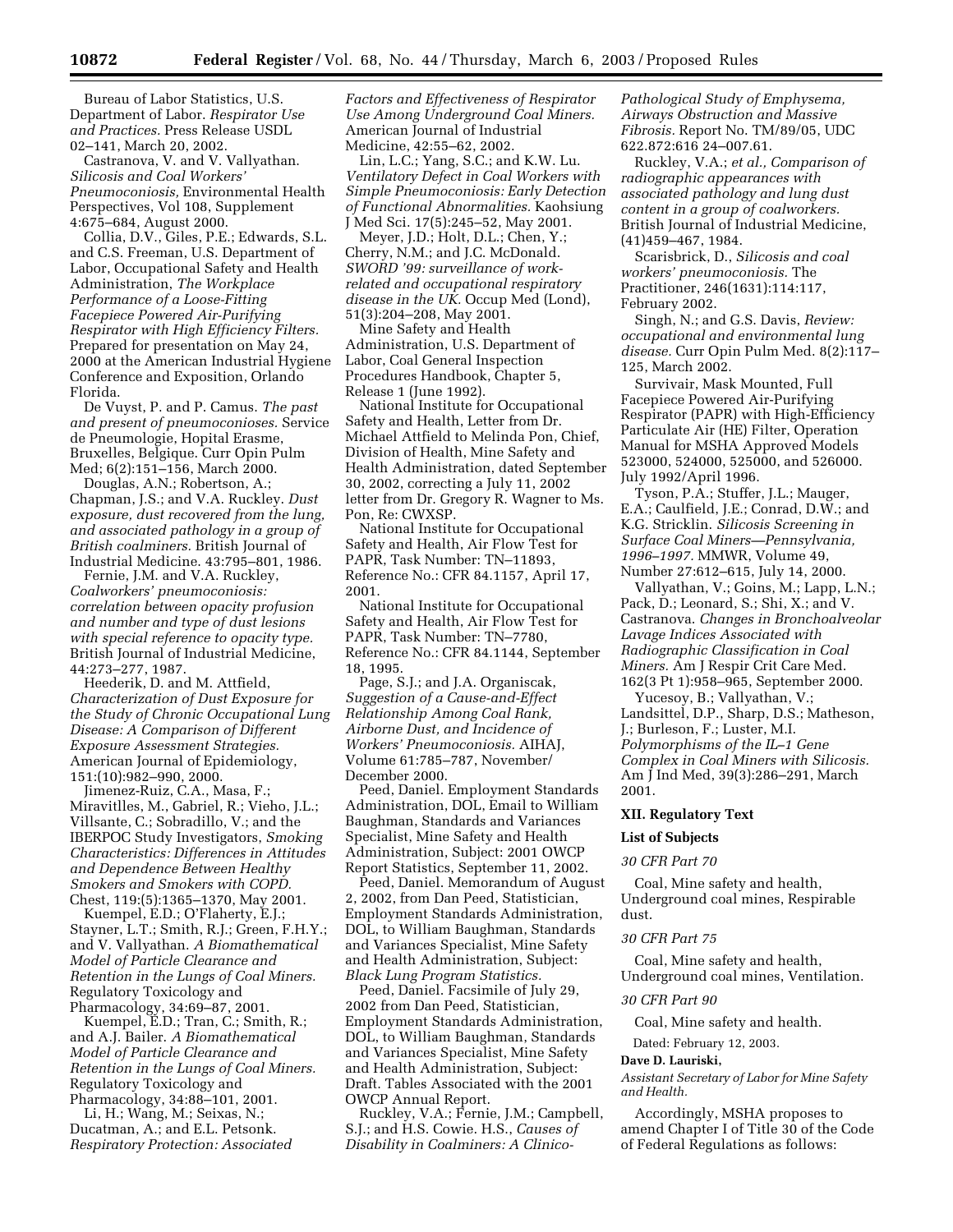Bureau of Labor Statistics, U.S. Department of Labor. *Respirator Use and Practices.* Press Release USDL 02–141, March 20, 2002.

Castranova, V. and V. Vallyathan. *Silicosis and Coal Workers' Pneumoconiosis,* Environmental Health Perspectives, Vol 108, Supplement 4:675–684, August 2000.

Collia, D.V., Giles, P.E.; Edwards, S.L. and C.S. Freeman, U.S. Department of Labor, Occupational Safety and Health Administration, *The Workplace Performance of a Loose-Fitting Facepiece Powered Air-Purifying Respirator with High Efficiency Filters.* Prepared for presentation on May 24, 2000 at the American Industrial Hygiene Conference and Exposition, Orlando Florida.

De Vuyst, P. and P. Camus. *The past and present of pneumoconioses.* Service de Pneumologie, Hopital Erasme, Bruxelles, Belgique. Curr Opin Pulm Med; 6(2):151–156, March 2000.

Douglas, A.N.; Robertson, A.; Chapman, J.S.; and V.A. Ruckley. *Dust exposure, dust recovered from the lung, and associated pathology in a group of British coalminers.* British Journal of Industrial Medicine. 43:795–801, 1986.

Fernie, J.M. and V.A. Ruckley, *Coalworkers' pneumoconiosis: correlation between opacity profusion and number and type of dust lesions with special reference to opacity type.* British Journal of Industrial Medicine, 44:273–277, 1987.

Heederik, D. and M. Attfield, *Characterization of Dust Exposure for the Study of Chronic Occupational Lung Disease: A Comparison of Different Exposure Assessment Strategies.* American Journal of Epidemiology, 151:(10):982–990, 2000.

Jimenez-Ruiz, C.A., Masa, F.; Miravitlles, M., Gabriel, R.; Vieho, J.L.; Villsante, C.; Sobradillo, V.; and the IBERPOC Study Investigators, *Smoking Characteristics: Differences in Attitudes and Dependence Between Healthy Smokers and Smokers with COPD.* Chest, 119:(5):1365–1370, May 2001.

Kuempel, E.D.; O'Flaherty, E.J.; Stayner, L.T.; Smith, R.J.; Green, F.H.Y.; and V. Vallyathan. *A Biomathematical Model of Particle Clearance and Retention in the Lungs of Coal Miners.* Regulatory Toxicology and Pharmacology, 34:69–87, 2001.

Kuempel, E.D.; Tran, C.; Smith, R.; and A.J. Bailer. *A Biomathematical Model of Particle Clearance and Retention in the Lungs of Coal Miners.* Regulatory Toxicology and Pharmacology, 34:88–101, 2001.

Li, H.; Wang, M.; Seixas, N.; Ducatman, A.; and E.L. Petsonk. *Respiratory Protection: Associated*  *Factors and Effectiveness of Respirator Use Among Underground Coal Miners.* American Journal of Industrial Medicine, 42:55–62, 2002.

Lin, L.C.; Yang, S.C.; and K.W. Lu. *Ventilatory Defect in Coal Workers with Simple Pneumoconiosis: Early Detection of Functional Abnormalities.* Kaohsiung J Med Sci. 17(5):245–52, May 2001.

Meyer, J.D.; Holt, D.L.; Chen, Y.; Cherry, N.M.; and J.C. McDonald. *SWORD '99: surveillance of workrelated and occupational respiratory disease in the UK.* Occup Med (Lond), 51(3):204–208, May 2001.

Mine Safety and Health Administration, U.S. Department of Labor, Coal General Inspection Procedures Handbook, Chapter 5, Release 1 (June 1992).

National Institute for Occupational Safety and Health, Letter from Dr. Michael Attfield to Melinda Pon, Chief, Division of Health, Mine Safety and Health Administration, dated September 30, 2002, correcting a July 11, 2002 letter from Dr. Gregory R. Wagner to Ms. Pon, Re: CWXSP.

National Institute for Occupational Safety and Health, Air Flow Test for PAPR, Task Number: TN–11893, Reference No.: CFR 84.1157, April 17, 2001.

National Institute for Occupational Safety and Health, Air Flow Test for PAPR, Task Number: TN–7780, Reference No.: CFR 84.1144, September 18, 1995.

Page, S.J.; and J.A. Organiscak, *Suggestion of a Cause-and-Effect Relationship Among Coal Rank, Airborne Dust, and Incidence of Workers' Pneumoconiosis.* AIHAJ, Volume 61:785–787, November/ December 2000.

Peed, Daniel. Employment Standards Administration, DOL, Email to William Baughman, Standards and Variances Specialist, Mine Safety and Health Administration, Subject: 2001 OWCP Report Statistics, September 11, 2002.

Peed, Daniel. Memorandum of August 2, 2002, from Dan Peed, Statistician, Employment Standards Administration, DOL, to William Baughman, Standards and Variances Specialist, Mine Safety and Health Administration, Subject: *Black Lung Program Statistics.*

Peed, Daniel. Facsimile of July 29, 2002 from Dan Peed, Statistician, Employment Standards Administration, DOL, to William Baughman, Standards and Variances Specialist, Mine Safety and Health Administration, Subject: Draft. Tables Associated with the 2001 OWCP Annual Report.

Ruckley, V.A.; Fernie, J.M.; Campbell, S.J.; and H.S. Cowie. H.S., *Causes of Disability in Coalminers: A Clinico-* *Pathological Study of Emphysema, Airways Obstruction and Massive Fibrosis.* Report No. TM/89/05, UDC 622.872:616 24–007.61.

Ruckley, V.A.; *et al., Comparison of radiographic appearances with associated pathology and lung dust content in a group of coalworkers.* British Journal of Industrial Medicine, (41)459–467, 1984.

Scarisbrick, D., *Silicosis and coal workers' pneumoconiosis.* The Practitioner, 246(1631):114:117, February 2002.

Singh, N.; and G.S. Davis, *Review: occupational and environmental lung disease.* Curr Opin Pulm Med. 8(2):117– 125, March 2002.

Survivair, Mask Mounted, Full Facepiece Powered Air-Purifying Respirator (PAPR) with High-Efficiency Particulate Air (HE) Filter, Operation Manual for MSHA Approved Models 523000, 524000, 525000, and 526000. July 1992/April 1996.

Tyson, P.A.; Stuffer, J.L.; Mauger, E.A.; Caulfield, J.E.; Conrad, D.W.; and K.G. Stricklin. *Silicosis Screening in Surface Coal Miners—Pennsylvania, 1996–1997.* MMWR, Volume 49, Number 27:612–615, July 14, 2000.

Vallyathan, V.; Goins, M.; Lapp, L.N.; Pack, D.; Leonard, S.; Shi, X.; and V. Castranova. *Changes in Bronchoalveolar Lavage Indices Associated with Radiographic Classification in Coal Miners.* Am J Respir Crit Care Med. 162(3 Pt 1):958–965, September 2000.

Yucesoy, B.; Vallyathan, V.; Landsittel, D.P., Sharp, D.S.; Matheson, J.; Burleson, F.; Luster, M.I. *Polymorphisms of the IL–1 Gene Complex in Coal Miners with Silicosis.* Am J Ind Med, 39(3):286–291, March 2001.

# **XII. Regulatory Text**

# **List of Subjects**

#### *30 CFR Part 70*

Coal, Mine safety and health, Underground coal mines, Respirable dust.

# *30 CFR Part 75*

Coal, Mine safety and health, Underground coal mines, Ventilation.

# *30 CFR Part 90*

Coal, Mine safety and health.

Dated: February 12, 2003.

#### **Dave D. Lauriski,**

*Assistant Secretary of Labor for Mine Safety and Health.*

Accordingly, MSHA proposes to amend Chapter I of Title 30 of the Code of Federal Regulations as follows: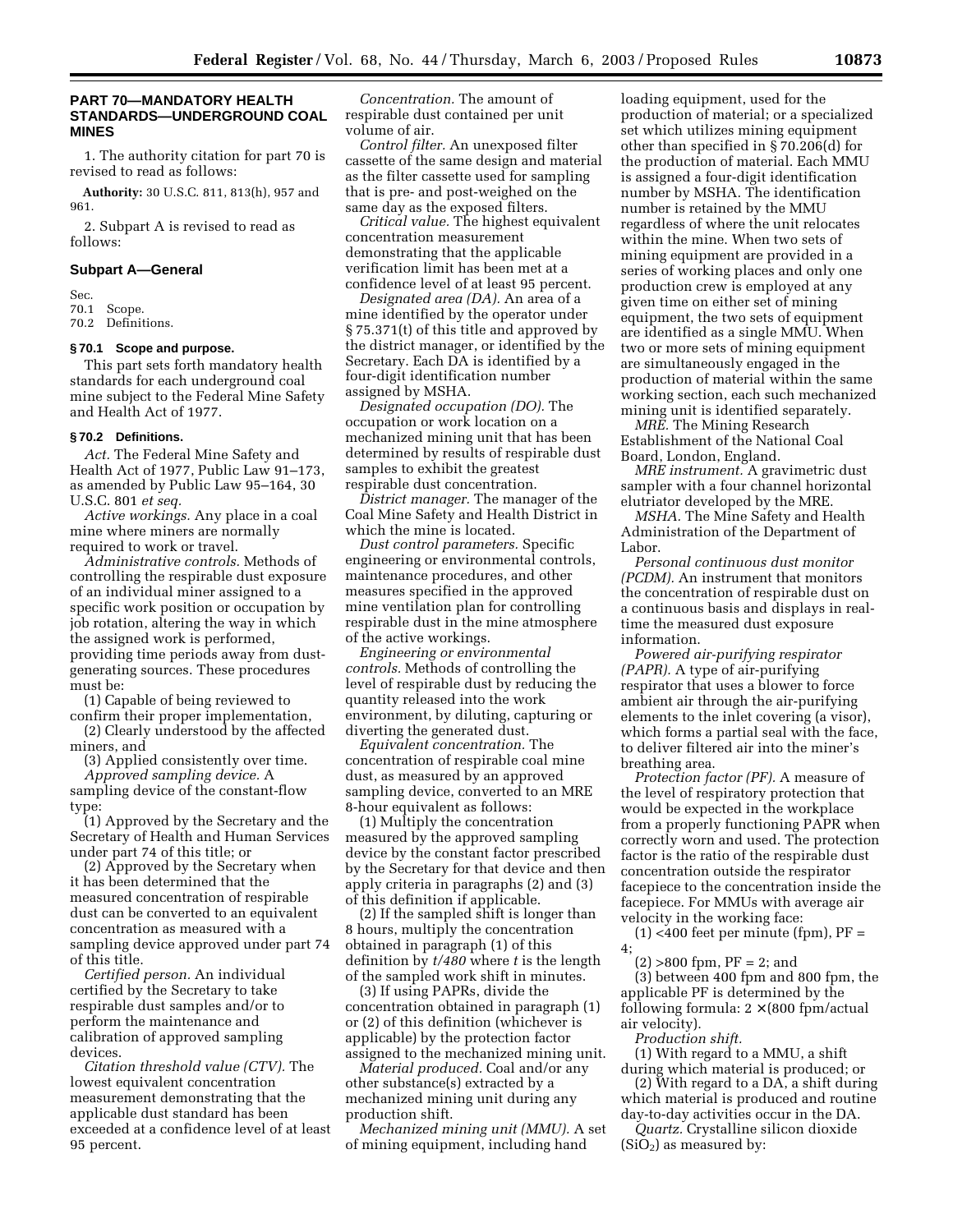# **PART 70—MANDATORY HEALTH STANDARDS—UNDERGROUND COAL MINES**

1. The authority citation for part 70 is revised to read as follows:

**Authority:** 30 U.S.C. 811, 813(h), 957 and 961.

2. Subpart A is revised to read as follows:

#### **Subpart A—General**

Sec.

70.1 Scope.

70.2 Definitions.

# **§ 70.1 Scope and purpose.**

This part sets forth mandatory health standards for each underground coal mine subject to the Federal Mine Safety and Health Act of 1977.

#### **§ 70.2 Definitions.**

*Act.* The Federal Mine Safety and Health Act of 1977, Public Law 91–173, as amended by Public Law 95–164, 30 U.S.C. 801 *et seq.*

*Active workings.* Any place in a coal mine where miners are normally required to work or travel.

*Administrative controls.* Methods of controlling the respirable dust exposure of an individual miner assigned to a specific work position or occupation by job rotation, altering the way in which the assigned work is performed, providing time periods away from dustgenerating sources. These procedures must be:

(1) Capable of being reviewed to

confirm their proper implementation, (2) Clearly understood by the affected

miners, and (3) Applied consistently over time.

*Approved sampling device.* A sampling device of the constant-flow type:

(1) Approved by the Secretary and the Secretary of Health and Human Services under part 74 of this title; or

(2) Approved by the Secretary when it has been determined that the measured concentration of respirable dust can be converted to an equivalent concentration as measured with a sampling device approved under part 74 of this title.

*Certified person.* An individual certified by the Secretary to take respirable dust samples and/or to perform the maintenance and calibration of approved sampling devices.

*Citation threshold value (CTV).* The lowest equivalent concentration measurement demonstrating that the applicable dust standard has been exceeded at a confidence level of at least 95 percent.

*Concentration.* The amount of respirable dust contained per unit volume of air.

*Control filter.* An unexposed filter cassette of the same design and material as the filter cassette used for sampling that is pre- and post-weighed on the same day as the exposed filters.

*Critical value.* The highest equivalent concentration measurement demonstrating that the applicable verification limit has been met at a confidence level of at least 95 percent.

*Designated area (DA).* An area of a mine identified by the operator under § 75.371(t) of this title and approved by the district manager, or identified by the Secretary. Each DA is identified by a four-digit identification number assigned by MSHA.

*Designated occupation (DO).* The occupation or work location on a mechanized mining unit that has been determined by results of respirable dust samples to exhibit the greatest respirable dust concentration.

*District manager.* The manager of the Coal Mine Safety and Health District in which the mine is located.

*Dust control parameters.* Specific engineering or environmental controls, maintenance procedures, and other measures specified in the approved mine ventilation plan for controlling respirable dust in the mine atmosphere of the active workings.

*Engineering or environmental controls.* Methods of controlling the level of respirable dust by reducing the quantity released into the work environment, by diluting, capturing or diverting the generated dust.

*Equivalent concentration.* The concentration of respirable coal mine dust, as measured by an approved sampling device, converted to an MRE 8-hour equivalent as follows:

(1) Multiply the concentration measured by the approved sampling device by the constant factor prescribed by the Secretary for that device and then apply criteria in paragraphs (2) and (3) of this definition if applicable.

(2) If the sampled shift is longer than 8 hours, multiply the concentration obtained in paragraph (1) of this definition by *t/480* where *t* is the length of the sampled work shift in minutes.

(3) If using PAPRs, divide the concentration obtained in paragraph (1) or (2) of this definition (whichever is applicable) by the protection factor assigned to the mechanized mining unit.

*Material produced.* Coal and/or any other substance(s) extracted by a mechanized mining unit during any production shift.

*Mechanized mining unit (MMU).* A set of mining equipment, including hand

loading equipment, used for the production of material; or a specialized set which utilizes mining equipment other than specified in § 70.206(d) for the production of material. Each MMU is assigned a four-digit identification number by MSHA. The identification number is retained by the MMU regardless of where the unit relocates within the mine. When two sets of mining equipment are provided in a series of working places and only one production crew is employed at any given time on either set of mining equipment, the two sets of equipment are identified as a single MMU. When two or more sets of mining equipment are simultaneously engaged in the production of material within the same working section, each such mechanized mining unit is identified separately.

*MRE.* The Mining Research Establishment of the National Coal Board, London, England.

*MRE instrument.* A gravimetric dust sampler with a four channel horizontal elutriator developed by the MRE.

*MSHA.* The Mine Safety and Health Administration of the Department of Labor.

*Personal continuous dust monitor (PCDM).* An instrument that monitors the concentration of respirable dust on a continuous basis and displays in realtime the measured dust exposure information.

*Powered air-purifying respirator (PAPR).* A type of air-purifying respirator that uses a blower to force ambient air through the air-purifying elements to the inlet covering (a visor), which forms a partial seal with the face, to deliver filtered air into the miner's breathing area.

*Protection factor (PF).* A measure of the level of respiratory protection that would be expected in the workplace from a properly functioning PAPR when correctly worn and used. The protection factor is the ratio of the respirable dust concentration outside the respirator facepiece to the concentration inside the facepiece. For MMUs with average air velocity in the working face:

 $(1)$  <400 feet per minute (fpm), PF =

 $(2) > 800$  fpm,  $PF = 2$ ; and

(3) between 400 fpm and 800 fpm, the applicable PF is determined by the following formula:  $2 \times (800 \text{ fm}/\text{actual})$ air velocity).

*Production shift.*

4;

(1) With regard to a MMU, a shift during which material is produced; or

(2) With regard to a DA, a shift during which material is produced and routine day-to-day activities occur in the DA.

*Quartz.* Crystalline silicon dioxide  $(SiO<sub>2</sub>)$  as measured by: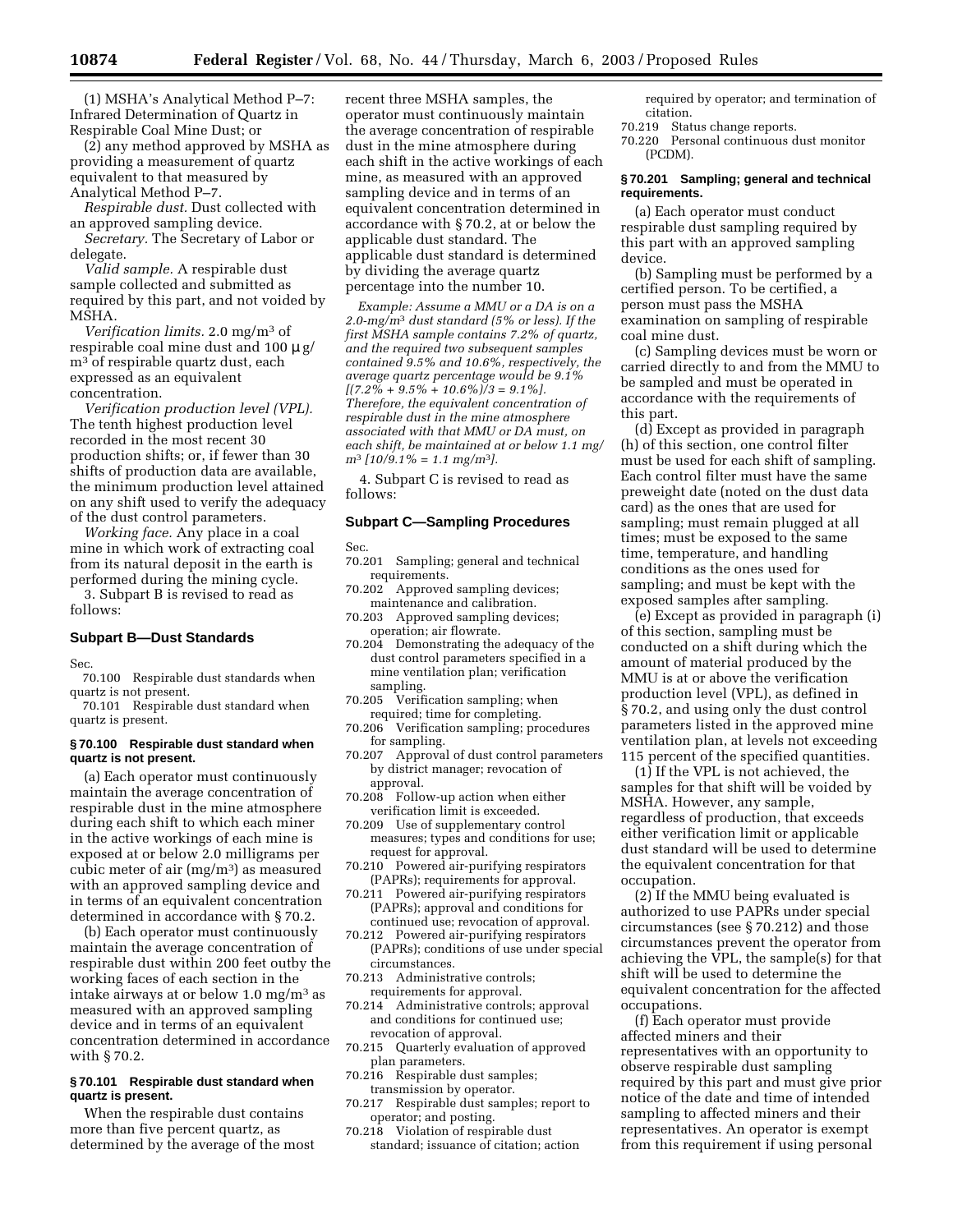(1) MSHA's Analytical Method P–7: Infrared Determination of Quartz in Respirable Coal Mine Dust; or

(2) any method approved by MSHA as providing a measurement of quartz equivalent to that measured by Analytical Method P–7.

*Respirable dust.* Dust collected with an approved sampling device.

*Secretary.* The Secretary of Labor or delegate.

*Valid sample.* A respirable dust sample collected and submitted as required by this part, and not voided by MSHA.

*Verification limits.* 2.0 mg/m3 of respirable coal mine dust and  $100 \mu$  g/ m3 of respirable quartz dust, each expressed as an equivalent concentration.

*Verification production level (VPL).* The tenth highest production level recorded in the most recent 30 production shifts; or, if fewer than 30 shifts of production data are available, the minimum production level attained on any shift used to verify the adequacy of the dust control parameters.

*Working face.* Any place in a coal mine in which work of extracting coal from its natural deposit in the earth is performed during the mining cycle. 3. Subpart B is revised to read as

follows:

# **Subpart B—Dust Standards**

Sec.

70.100 Respirable dust standards when quartz is not present.

70.101 Respirable dust standard when quartz is present.

#### **§ 70.100 Respirable dust standard when quartz is not present.**

(a) Each operator must continuously maintain the average concentration of respirable dust in the mine atmosphere during each shift to which each miner in the active workings of each mine is exposed at or below 2.0 milligrams per cubic meter of air (mg/m3) as measured with an approved sampling device and in terms of an equivalent concentration determined in accordance with § 70.2.

(b) Each operator must continuously maintain the average concentration of respirable dust within 200 feet outby the working faces of each section in the intake airways at or below 1.0 mg/m3 as measured with an approved sampling device and in terms of an equivalent concentration determined in accordance with § 70.2.

# **§ 70.101 Respirable dust standard when quartz is present.**

When the respirable dust contains more than five percent quartz, as determined by the average of the most recent three MSHA samples, the operator must continuously maintain the average concentration of respirable dust in the mine atmosphere during each shift in the active workings of each mine, as measured with an approved sampling device and in terms of an equivalent concentration determined in accordance with § 70.2, at or below the applicable dust standard. The applicable dust standard is determined by dividing the average quartz percentage into the number 10.

*Example: Assume a MMU or a DA is on a 2.0-mg/m*3 *dust standard (5% or less). If the first MSHA sample contains 7.2% of quartz, and the required two subsequent samples contained 9.5% and 10.6%, respectively, the average quartz percentage would be 9.1% [(7.2% + 9.5% + 10.6%)/3 = 9.1%]. Therefore, the equivalent concentration of respirable dust in the mine atmosphere associated with that MMU or DA must, on each shift, be maintained at or below 1.1 mg/ m*3 *[10/9.1% = 1.1 mg/m*3*].*

4. Subpart C is revised to read as follows:

# **Subpart C—Sampling Procedures**

Sec.

- 70.201 Sampling; general and technical requirements.
- 70.202 Approved sampling devices; maintenance and calibration.
- 70.203 Approved sampling devices; operation; air flowrate.
- 70.204 Demonstrating the adequacy of the dust control parameters specified in a mine ventilation plan; verification sampling.
- 70.205 Verification sampling; when required; time for completing.
- 70.206 Verification sampling; procedures for sampling.
- 70.207 Approval of dust control parameters by district manager; revocation of approval.
- 70.208 Follow-up action when either verification limit is exceeded.
- 70.209 Use of supplementary control measures; types and conditions for use; request for approval.
- 70.210 Powered air-purifying respirators (PAPRs); requirements for approval.
- 70.211 Powered air-purifying respirators (PAPRs); approval and conditions for continued use; revocation of approval.
- 70.212 Powered air-purifying respirators (PAPRs); conditions of use under special circumstances.
- 70.213 Administrative controls; requirements for approval.
- 70.214 Administrative controls; approval and conditions for continued use; revocation of approval.
- 70.215 Quarterly evaluation of approved plan parameters.
- 70.216 Respirable dust samples; transmission by operator.
- 70.217 Respirable dust samples; report to operator; and posting.
- 70.218 Violation of respirable dust standard; issuance of citation; action

required by operator; and termination of citation.

- 70.219 Status change reports.
- 70.220 Personal continuous dust monitor (PCDM).

#### **§ 70.201 Sampling; general and technical requirements.**

(a) Each operator must conduct respirable dust sampling required by this part with an approved sampling device.

(b) Sampling must be performed by a certified person. To be certified, a person must pass the MSHA examination on sampling of respirable coal mine dust.

(c) Sampling devices must be worn or carried directly to and from the MMU to be sampled and must be operated in accordance with the requirements of this part.

(d) Except as provided in paragraph (h) of this section, one control filter must be used for each shift of sampling. Each control filter must have the same preweight date (noted on the dust data card) as the ones that are used for sampling; must remain plugged at all times; must be exposed to the same time, temperature, and handling conditions as the ones used for sampling; and must be kept with the exposed samples after sampling.

(e) Except as provided in paragraph (i) of this section, sampling must be conducted on a shift during which the amount of material produced by the MMU is at or above the verification production level (VPL), as defined in § 70.2, and using only the dust control parameters listed in the approved mine ventilation plan, at levels not exceeding 115 percent of the specified quantities.

(1) If the VPL is not achieved, the samples for that shift will be voided by MSHA. However, any sample, regardless of production, that exceeds either verification limit or applicable dust standard will be used to determine the equivalent concentration for that occupation.

(2) If the MMU being evaluated is authorized to use PAPRs under special circumstances (see § 70.212) and those circumstances prevent the operator from achieving the VPL, the sample(s) for that shift will be used to determine the equivalent concentration for the affected occupations.

(f) Each operator must provide affected miners and their representatives with an opportunity to observe respirable dust sampling required by this part and must give prior notice of the date and time of intended sampling to affected miners and their representatives. An operator is exempt from this requirement if using personal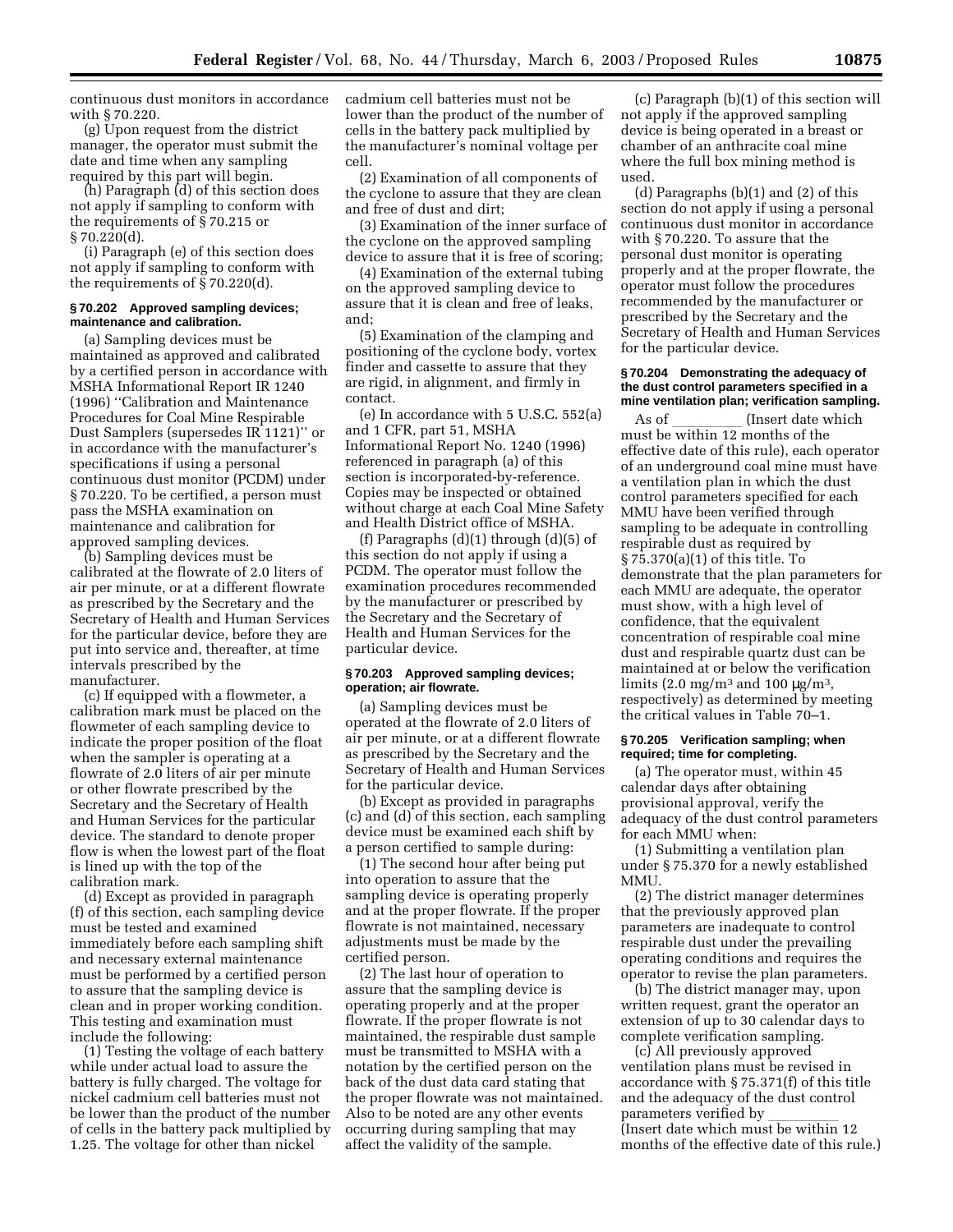continuous dust monitors in accordance with § 70.220.

(g) Upon request from the district manager, the operator must submit the date and time when any sampling required by this part will begin.

(h) Paragraph (d) of this section does not apply if sampling to conform with the requirements of § 70.215 or § 70.220(d).

(i) Paragraph (e) of this section does not apply if sampling to conform with the requirements of § 70.220(d).

#### **§ 70.202 Approved sampling devices; maintenance and calibration.**

(a) Sampling devices must be maintained as approved and calibrated by a certified person in accordance with MSHA Informational Report IR 1240 (1996) ''Calibration and Maintenance Procedures for Coal Mine Respirable Dust Samplers (supersedes IR 1121)'' or in accordance with the manufacturer's specifications if using a personal continuous dust monitor (PCDM) under § 70.220. To be certified, a person must pass the MSHA examination on maintenance and calibration for approved sampling devices.

(b) Sampling devices must be calibrated at the flowrate of 2.0 liters of air per minute, or at a different flowrate as prescribed by the Secretary and the Secretary of Health and Human Services for the particular device, before they are put into service and, thereafter, at time intervals prescribed by the manufacturer.

(c) If equipped with a flowmeter, a calibration mark must be placed on the flowmeter of each sampling device to indicate the proper position of the float when the sampler is operating at a flowrate of 2.0 liters of air per minute or other flowrate prescribed by the Secretary and the Secretary of Health and Human Services for the particular device. The standard to denote proper flow is when the lowest part of the float is lined up with the top of the calibration mark.

(d) Except as provided in paragraph (f) of this section, each sampling device must be tested and examined immediately before each sampling shift and necessary external maintenance must be performed by a certified person to assure that the sampling device is clean and in proper working condition. This testing and examination must include the following:

(1) Testing the voltage of each battery while under actual load to assure the battery is fully charged. The voltage for nickel cadmium cell batteries must not be lower than the product of the number of cells in the battery pack multiplied by 1.25. The voltage for other than nickel

cadmium cell batteries must not be lower than the product of the number of cells in the battery pack multiplied by the manufacturer's nominal voltage per cell.

(2) Examination of all components of the cyclone to assure that they are clean and free of dust and dirt;

(3) Examination of the inner surface of the cyclone on the approved sampling device to assure that it is free of scoring;

(4) Examination of the external tubing on the approved sampling device to assure that it is clean and free of leaks, and;

(5) Examination of the clamping and positioning of the cyclone body, vortex finder and cassette to assure that they are rigid, in alignment, and firmly in contact.

(e) In accordance with  $5 \text{ U.S.C. } 552(a)$ and 1 CFR, part 51, MSHA Informational Report No. 1240 (1996) referenced in paragraph (a) of this section is incorporated-by-reference. Copies may be inspected or obtained without charge at each Coal Mine Safety and Health District office of MSHA.

(f) Paragraphs  $(d)(1)$  through  $(d)(5)$  of this section do not apply if using a PCDM. The operator must follow the examination procedures recommended by the manufacturer or prescribed by the Secretary and the Secretary of Health and Human Services for the particular device.

#### **§ 70.203 Approved sampling devices; operation; air flowrate.**

(a) Sampling devices must be operated at the flowrate of 2.0 liters of air per minute, or at a different flowrate as prescribed by the Secretary and the Secretary of Health and Human Services for the particular device.

(b) Except as provided in paragraphs (c) and (d) of this section, each sampling device must be examined each shift by a person certified to sample during:

(1) The second hour after being put into operation to assure that the sampling device is operating properly and at the proper flowrate. If the proper flowrate is not maintained, necessary adjustments must be made by the certified person.

(2) The last hour of operation to assure that the sampling device is operating properly and at the proper flowrate. If the proper flowrate is not maintained, the respirable dust sample must be transmitted to MSHA with a notation by the certified person on the back of the dust data card stating that the proper flowrate was not maintained. Also to be noted are any other events occurring during sampling that may affect the validity of the sample.

(c) Paragraph (b)(1) of this section will not apply if the approved sampling device is being operated in a breast or chamber of an anthracite coal mine where the full box mining method is used.

(d) Paragraphs (b)(1) and (2) of this section do not apply if using a personal continuous dust monitor in accordance with § 70.220. To assure that the personal dust monitor is operating properly and at the proper flowrate, the operator must follow the procedures recommended by the manufacturer or prescribed by the Secretary and the Secretary of Health and Human Services for the particular device.

#### **§ 70.204 Demonstrating the adequacy of the dust control parameters specified in a mine ventilation plan; verification sampling.**

As of \_\_\_\_\_\_\_\_\_ (Insert date which<br>must be within 12 months of the effective date of this rule), each operator of an underground coal mine must have a ventilation plan in which the dust control parameters specified for each MMU have been verified through sampling to be adequate in controlling respirable dust as required by § 75.370(a)(1) of this title. To demonstrate that the plan parameters for each MMU are adequate, the operator must show, with a high level of confidence, that the equivalent concentration of respirable coal mine dust and respirable quartz dust can be maintained at or below the verification limits (2.0 mg/m<sup>3</sup> and 100  $\mu$ g/m<sup>3</sup>, respectively) as determined by meeting the critical values in Table 70–1.

#### **§ 70.205 Verification sampling; when required; time for completing.**

(a) The operator must, within 45 calendar days after obtaining provisional approval, verify the adequacy of the dust control parameters for each MMU when:

(1) Submitting a ventilation plan under § 75.370 for a newly established MMU.

(2) The district manager determines that the previously approved plan parameters are inadequate to control respirable dust under the prevailing operating conditions and requires the operator to revise the plan parameters.

(b) The district manager may, upon written request, grant the operator an extension of up to 30 calendar days to complete verification sampling.

(c) All previously approved ventilation plans must be revised in accordance with § 75.371(f) of this title and the adequacy of the dust control parameters verified by \_\_\_\_\_\_\_\_<br>(Insert date which must be within 12 months of the effective date of this rule.)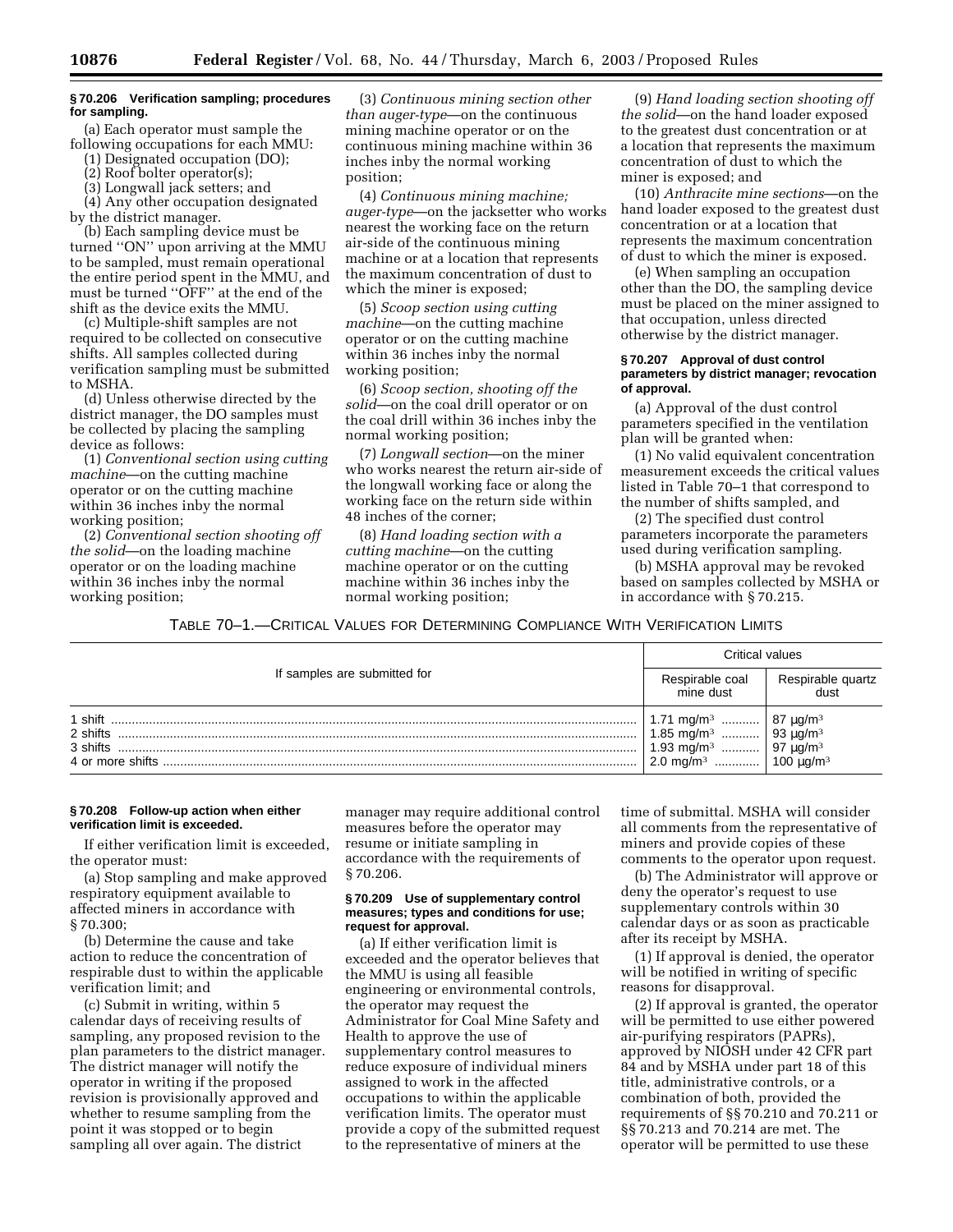# **§ 70.206 Verification sampling; procedures for sampling.**

(a) Each operator must sample the following occupations for each MMU:

(1) Designated occupation (DO);

(2) Roof bolter operator(s);

(3) Longwall jack setters; and

(4) Any other occupation designated by the district manager.

(b) Each sampling device must be turned ''ON'' upon arriving at the MMU to be sampled, must remain operational the entire period spent in the MMU, and must be turned ''OFF'' at the end of the shift as the device exits the MMU.

(c) Multiple-shift samples are not required to be collected on consecutive shifts. All samples collected during verification sampling must be submitted to MSHA.

(d) Unless otherwise directed by the district manager, the DO samples must be collected by placing the sampling device as follows:

(1) *Conventional section using cutting machine*—on the cutting machine operator or on the cutting machine within 36 inches inby the normal working position;

(2) *Conventional section shooting off the solid*—on the loading machine operator or on the loading machine within 36 inches inby the normal working position;

(3) *Continuous mining section other than auger-type*—on the continuous mining machine operator or on the continuous mining machine within 36 inches inby the normal working position;

(4) *Continuous mining machine; auger-type*—on the jacksetter who works nearest the working face on the return air-side of the continuous mining machine or at a location that represents the maximum concentration of dust to which the miner is exposed;

(5) *Scoop section using cutting machine*—on the cutting machine operator or on the cutting machine within 36 inches inby the normal working position;

(6) *Scoop section, shooting off the solid*—on the coal drill operator or on the coal drill within 36 inches inby the normal working position;

(7) *Longwall section*—on the miner who works nearest the return air-side of the longwall working face or along the working face on the return side within 48 inches of the corner;

(8) *Hand loading section with a cutting machine*—on the cutting machine operator or on the cutting machine within 36 inches inby the normal working position;

(9) *Hand loading section shooting off the solid*—on the hand loader exposed to the greatest dust concentration or at a location that represents the maximum concentration of dust to which the miner is exposed; and

(10) *Anthracite mine sections*—on the hand loader exposed to the greatest dust concentration or at a location that represents the maximum concentration of dust to which the miner is exposed.

(e) When sampling an occupation other than the DO, the sampling device must be placed on the miner assigned to that occupation, unless directed otherwise by the district manager.

#### **§ 70.207 Approval of dust control parameters by district manager; revocation of approval.**

(a) Approval of the dust control parameters specified in the ventilation plan will be granted when:

(1) No valid equivalent concentration measurement exceeds the critical values listed in Table 70–1 that correspond to the number of shifts sampled, and

(2) The specified dust control parameters incorporate the parameters used during verification sampling.

(b) MSHA approval may be revoked based on samples collected by MSHA or in accordance with § 70.215.

TABLE 70–1.—CRITICAL VALUES FOR DETERMINING COMPLIANCE WITH VERIFICATION LIMITS

|                                                     | Critical values                                                                                         |                                                                                                                                           |  |
|-----------------------------------------------------|---------------------------------------------------------------------------------------------------------|-------------------------------------------------------------------------------------------------------------------------------------------|--|
| If samples are submitted for                        | Respirable coal<br>mine dust                                                                            | Respirable quartz<br>dust                                                                                                                 |  |
| 1 shift<br>2 shifts<br>3 shifts<br>4 or more shifts | 1.71 mg/m <sup>3</sup><br>1.85 mg/m <sup>3</sup><br>1.93 mg/m <sup>3</sup><br>.<br>$2.0 \text{ mg/m}^3$ | $\begin{array}{ l} 87 \text{ }\mu\text{g/m}^3 \\ 93 \text{ }\mu\text{g/m}^3 \end{array}$<br>97 μg/m <sup>3</sup><br>100 μg/m <sup>3</sup> |  |

# **§ 70.208 Follow-up action when either verification limit is exceeded.**

If either verification limit is exceeded, the operator must:

(a) Stop sampling and make approved respiratory equipment available to affected miners in accordance with § 70.300;

(b) Determine the cause and take action to reduce the concentration of respirable dust to within the applicable verification limit; and

(c) Submit in writing, within 5 calendar days of receiving results of sampling, any proposed revision to the plan parameters to the district manager. The district manager will notify the operator in writing if the proposed revision is provisionally approved and whether to resume sampling from the point it was stopped or to begin sampling all over again. The district

manager may require additional control measures before the operator may resume or initiate sampling in accordance with the requirements of § 70.206.

#### **§ 70.209 Use of supplementary control measures; types and conditions for use; request for approval.**

(a) If either verification limit is exceeded and the operator believes that the MMU is using all feasible engineering or environmental controls, the operator may request the Administrator for Coal Mine Safety and Health to approve the use of supplementary control measures to reduce exposure of individual miners assigned to work in the affected occupations to within the applicable verification limits. The operator must provide a copy of the submitted request to the representative of miners at the

time of submittal. MSHA will consider all comments from the representative of miners and provide copies of these comments to the operator upon request.

(b) The Administrator will approve or deny the operator's request to use supplementary controls within 30 calendar days or as soon as practicable after its receipt by MSHA.

(1) If approval is denied, the operator will be notified in writing of specific reasons for disapproval.

(2) If approval is granted, the operator will be permitted to use either powered air-purifying respirators (PAPRs), approved by NIOSH under 42 CFR part 84 and by MSHA under part 18 of this title, administrative controls, or a combination of both, provided the requirements of §§ 70.210 and 70.211 or §§ 70.213 and 70.214 are met. The operator will be permitted to use these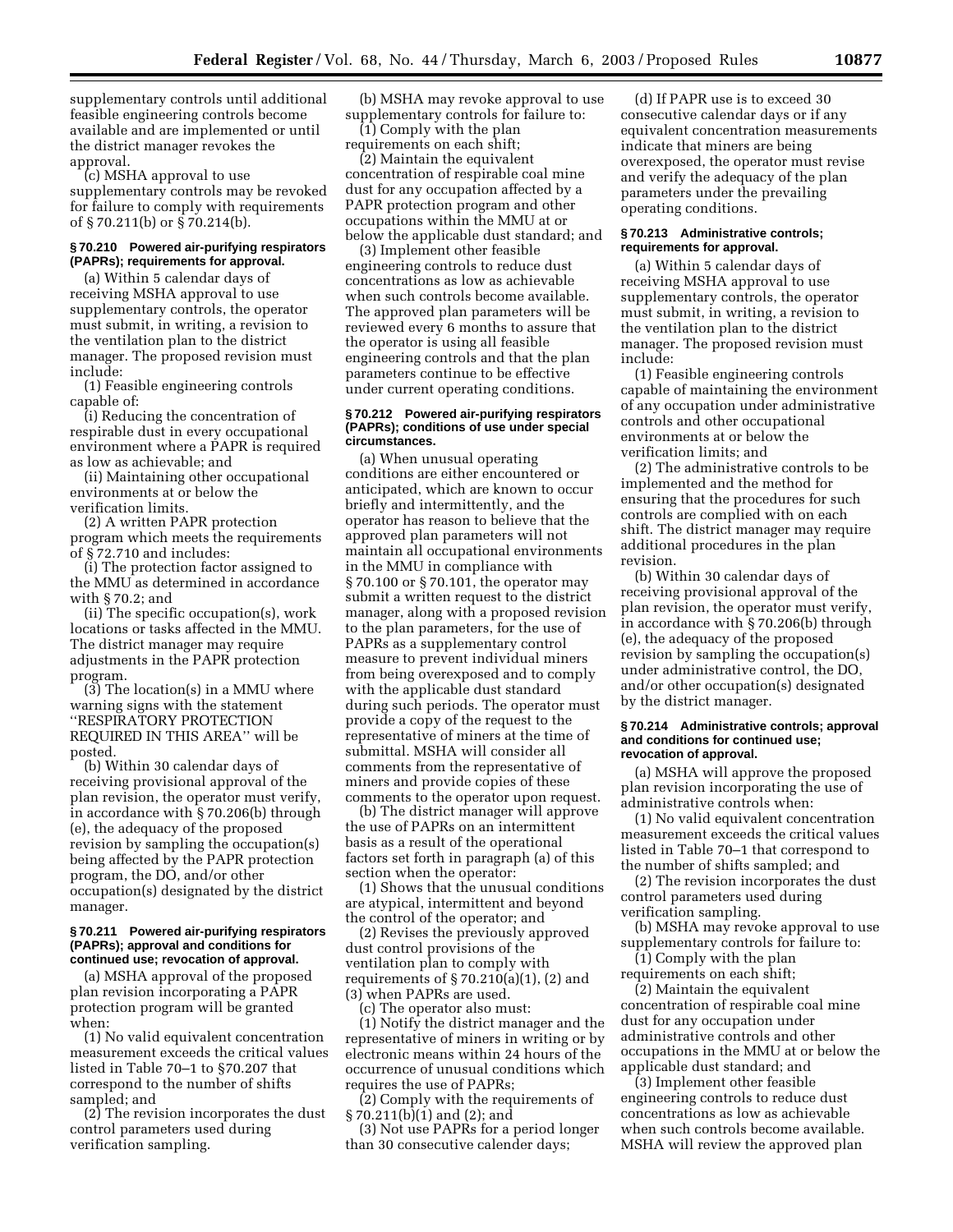supplementary controls until additional feasible engineering controls become available and are implemented or until the district manager revokes the approval.

(c) MSHA approval to use supplementary controls may be revoked for failure to comply with requirements of § 70.211(b) or § 70.214(b).

# **§ 70.210 Powered air-purifying respirators (PAPRs); requirements for approval.**

(a) Within 5 calendar days of receiving MSHA approval to use supplementary controls, the operator must submit, in writing, a revision to the ventilation plan to the district manager. The proposed revision must include:

(1) Feasible engineering controls capable of:

(i) Reducing the concentration of respirable dust in every occupational environment where a PAPR is required as low as achievable; and

(ii) Maintaining other occupational environments at or below the verification limits.

(2) A written PAPR protection program which meets the requirements of § 72.710 and includes:

(i) The protection factor assigned to the MMU as determined in accordance with § 70.2; and

(ii) The specific occupation(s), work locations or tasks affected in the MMU. The district manager may require adjustments in the PAPR protection program.

(3) The location(s) in a MMU where warning signs with the statement ''RESPIRATORY PROTECTION REQUIRED IN THIS AREA'' will be posted.

(b) Within 30 calendar days of receiving provisional approval of the plan revision, the operator must verify, in accordance with § 70.206(b) through (e), the adequacy of the proposed revision by sampling the occupation(s) being affected by the PAPR protection program, the DO, and/or other occupation(s) designated by the district manager.

#### **§ 70.211 Powered air-purifying respirators (PAPRs); approval and conditions for continued use; revocation of approval.**

(a) MSHA approval of the proposed plan revision incorporating a PAPR protection program will be granted when:

(1) No valid equivalent concentration measurement exceeds the critical values listed in Table 70–1 to §70.207 that correspond to the number of shifts sampled; and

(2) The revision incorporates the dust control parameters used during verification sampling.

(b) MSHA may revoke approval to use supplementary controls for failure to:

(1) Comply with the plan requirements on each shift;

(2) Maintain the equivalent concentration of respirable coal mine dust for any occupation affected by a PAPR protection program and other occupations within the MMU at or below the applicable dust standard; and

(3) Implement other feasible engineering controls to reduce dust concentrations as low as achievable when such controls become available. The approved plan parameters will be reviewed every 6 months to assure that the operator is using all feasible engineering controls and that the plan parameters continue to be effective under current operating conditions.

#### **§ 70.212 Powered air-purifying respirators (PAPRs); conditions of use under special circumstances.**

(a) When unusual operating conditions are either encountered or anticipated, which are known to occur briefly and intermittently, and the operator has reason to believe that the approved plan parameters will not maintain all occupational environments in the MMU in compliance with § 70.100 or § 70.101, the operator may submit a written request to the district manager, along with a proposed revision to the plan parameters, for the use of PAPRs as a supplementary control measure to prevent individual miners from being overexposed and to comply with the applicable dust standard during such periods. The operator must provide a copy of the request to the representative of miners at the time of submittal. MSHA will consider all comments from the representative of miners and provide copies of these comments to the operator upon request.

(b) The district manager will approve the use of PAPRs on an intermittent basis as a result of the operational factors set forth in paragraph (a) of this section when the operator:

(1) Shows that the unusual conditions are atypical, intermittent and beyond the control of the operator; and

(2) Revises the previously approved dust control provisions of the ventilation plan to comply with requirements of  $\S 70.210(a)(1)$ , (2) and (3) when PAPRs are used.

(c) The operator also must:

(1) Notify the district manager and the representative of miners in writing or by electronic means within 24 hours of the occurrence of unusual conditions which requires the use of PAPRs;

(2) Comply with the requirements of § 70.211(b)(1) and (2); and

(3) Not use PAPRs for a period longer than 30 consecutive calender days;

(d) If PAPR use is to exceed 30 consecutive calendar days or if any equivalent concentration measurements indicate that miners are being overexposed, the operator must revise and verify the adequacy of the plan parameters under the prevailing operating conditions.

# **§ 70.213 Administrative controls; requirements for approval.**

(a) Within 5 calendar days of receiving MSHA approval to use supplementary controls, the operator must submit, in writing, a revision to the ventilation plan to the district manager. The proposed revision must include:

(1) Feasible engineering controls capable of maintaining the environment of any occupation under administrative controls and other occupational environments at or below the verification limits; and

(2) The administrative controls to be implemented and the method for ensuring that the procedures for such controls are complied with on each shift. The district manager may require additional procedures in the plan revision.

(b) Within 30 calendar days of receiving provisional approval of the plan revision, the operator must verify, in accordance with § 70.206(b) through (e), the adequacy of the proposed revision by sampling the occupation(s) under administrative control, the DO, and/or other occupation(s) designated by the district manager.

#### **§ 70.214 Administrative controls; approval and conditions for continued use; revocation of approval.**

(a) MSHA will approve the proposed plan revision incorporating the use of administrative controls when:

(1) No valid equivalent concentration measurement exceeds the critical values listed in Table 70–1 that correspond to the number of shifts sampled; and

(2) The revision incorporates the dust control parameters used during verification sampling.

(b) MSHA may revoke approval to use supplementary controls for failure to:

(1) Comply with the plan requirements on each shift;

(2) Maintain the equivalent concentration of respirable coal mine dust for any occupation under administrative controls and other occupations in the MMU at or below the applicable dust standard; and

(3) Implement other feasible engineering controls to reduce dust concentrations as low as achievable when such controls become available. MSHA will review the approved plan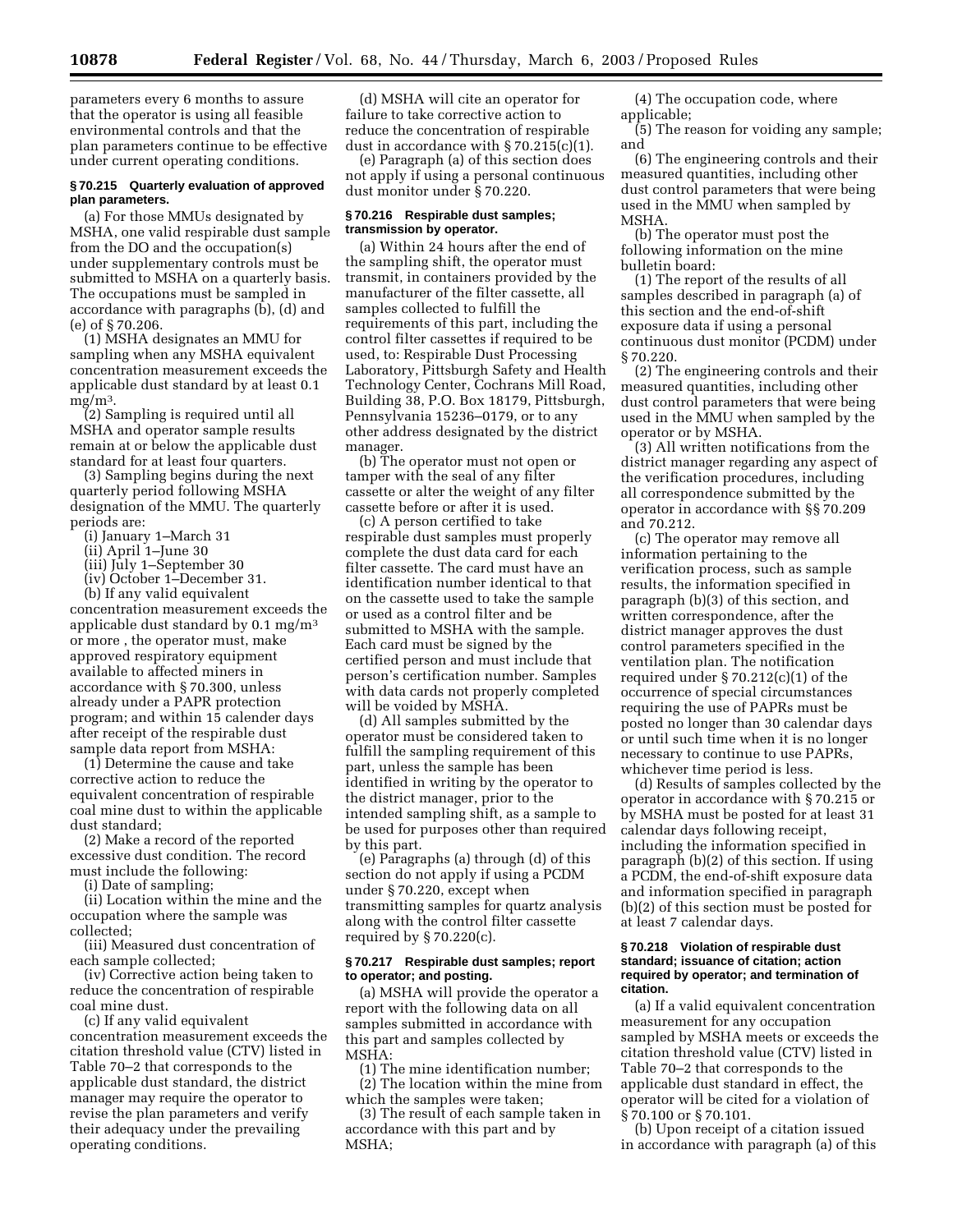parameters every 6 months to assure that the operator is using all feasible environmental controls and that the plan parameters continue to be effective under current operating conditions.

# **§ 70.215 Quarterly evaluation of approved plan parameters.**

(a) For those MMUs designated by MSHA, one valid respirable dust sample from the DO and the occupation(s) under supplementary controls must be submitted to MSHA on a quarterly basis. The occupations must be sampled in accordance with paragraphs (b), (d) and (e) of § 70.206.

(1) MSHA designates an MMU for sampling when any MSHA equivalent concentration measurement exceeds the applicable dust standard by at least 0.1  $me/m<sup>3</sup>$ .

(2) Sampling is required until all MSHA and operator sample results remain at or below the applicable dust standard for at least four quarters.

(3) Sampling begins during the next quarterly period following MSHA designation of the MMU. The quarterly periods are:

- (i) January 1–March 31
- (ii) April 1–June 30
- (iii) July 1–September 30
- (iv) October 1–December 31.

(b) If any valid equivalent concentration measurement exceeds the applicable dust standard by  $0.1 \text{ mg/m}^3$ or more , the operator must, make approved respiratory equipment available to affected miners in accordance with § 70.300, unless already under a PAPR protection program; and within 15 calender days after receipt of the respirable dust sample data report from MSHA:

(1) Determine the cause and take corrective action to reduce the equivalent concentration of respirable coal mine dust to within the applicable dust standard;

(2) Make a record of the reported excessive dust condition. The record must include the following:

(i) Date of sampling;

(ii) Location within the mine and the occupation where the sample was collected;

(iii) Measured dust concentration of each sample collected;

(iv) Corrective action being taken to reduce the concentration of respirable coal mine dust.

(c) If any valid equivalent concentration measurement exceeds the citation threshold value (CTV) listed in Table 70–2 that corresponds to the applicable dust standard, the district manager may require the operator to revise the plan parameters and verify their adequacy under the prevailing operating conditions.

(d) MSHA will cite an operator for failure to take corrective action to reduce the concentration of respirable dust in accordance with § 70.215(c)(1).

(e) Paragraph (a) of this section does not apply if using a personal continuous dust monitor under § 70.220.

#### **§ 70.216 Respirable dust samples; transmission by operator.**

(a) Within 24 hours after the end of the sampling shift, the operator must transmit, in containers provided by the manufacturer of the filter cassette, all samples collected to fulfill the requirements of this part, including the control filter cassettes if required to be used, to: Respirable Dust Processing Laboratory, Pittsburgh Safety and Health Technology Center, Cochrans Mill Road, Building 38, P.O. Box 18179, Pittsburgh, Pennsylvania 15236–0179, or to any other address designated by the district manager.

(b) The operator must not open or tamper with the seal of any filter cassette or alter the weight of any filter cassette before or after it is used.

(c) A person certified to take respirable dust samples must properly complete the dust data card for each filter cassette. The card must have an identification number identical to that on the cassette used to take the sample or used as a control filter and be submitted to MSHA with the sample. Each card must be signed by the certified person and must include that person's certification number. Samples with data cards not properly completed will be voided by MSHA.

(d) All samples submitted by the operator must be considered taken to fulfill the sampling requirement of this part, unless the sample has been identified in writing by the operator to the district manager, prior to the intended sampling shift, as a sample to be used for purposes other than required by this part.

(e) Paragraphs (a) through (d) of this section do not apply if using a PCDM under § 70.220, except when transmitting samples for quartz analysis along with the control filter cassette required by § 70.220(c).

# **§ 70.217 Respirable dust samples; report to operator; and posting.**

(a) MSHA will provide the operator a report with the following data on all samples submitted in accordance with this part and samples collected by MSHA:

(1) The mine identification number; (2) The location within the mine from which the samples were taken;

(3) The result of each sample taken in accordance with this part and by MSHA;

(4) The occupation code, where applicable;

(5) The reason for voiding any sample; and

(6) The engineering controls and their measured quantities, including other dust control parameters that were being used in the MMU when sampled by MSHA.

(b) The operator must post the following information on the mine bulletin board:

(1) The report of the results of all samples described in paragraph (a) of this section and the end-of-shift exposure data if using a personal continuous dust monitor (PCDM) under § 70.220.

(2) The engineering controls and their measured quantities, including other dust control parameters that were being used in the MMU when sampled by the operator or by MSHA.

(3) All written notifications from the district manager regarding any aspect of the verification procedures, including all correspondence submitted by the operator in accordance with §§ 70.209 and 70.212.

(c) The operator may remove all information pertaining to the verification process, such as sample results, the information specified in paragraph (b)(3) of this section, and written correspondence, after the district manager approves the dust control parameters specified in the ventilation plan. The notification required under  $\S 70.212(c)(1)$  of the occurrence of special circumstances requiring the use of PAPRs must be posted no longer than 30 calendar days or until such time when it is no longer necessary to continue to use PAPRs, whichever time period is less.

(d) Results of samples collected by the operator in accordance with § 70.215 or by MSHA must be posted for at least 31 calendar days following receipt, including the information specified in paragraph (b)(2) of this section. If using a PCDM, the end-of-shift exposure data and information specified in paragraph (b)(2) of this section must be posted for at least 7 calendar days.

#### **§ 70.218 Violation of respirable dust standard; issuance of citation; action required by operator; and termination of citation.**

(a) If a valid equivalent concentration measurement for any occupation sampled by MSHA meets or exceeds the citation threshold value (CTV) listed in Table 70–2 that corresponds to the applicable dust standard in effect, the operator will be cited for a violation of § 70.100 or § 70.101.

(b) Upon receipt of a citation issued in accordance with paragraph (a) of this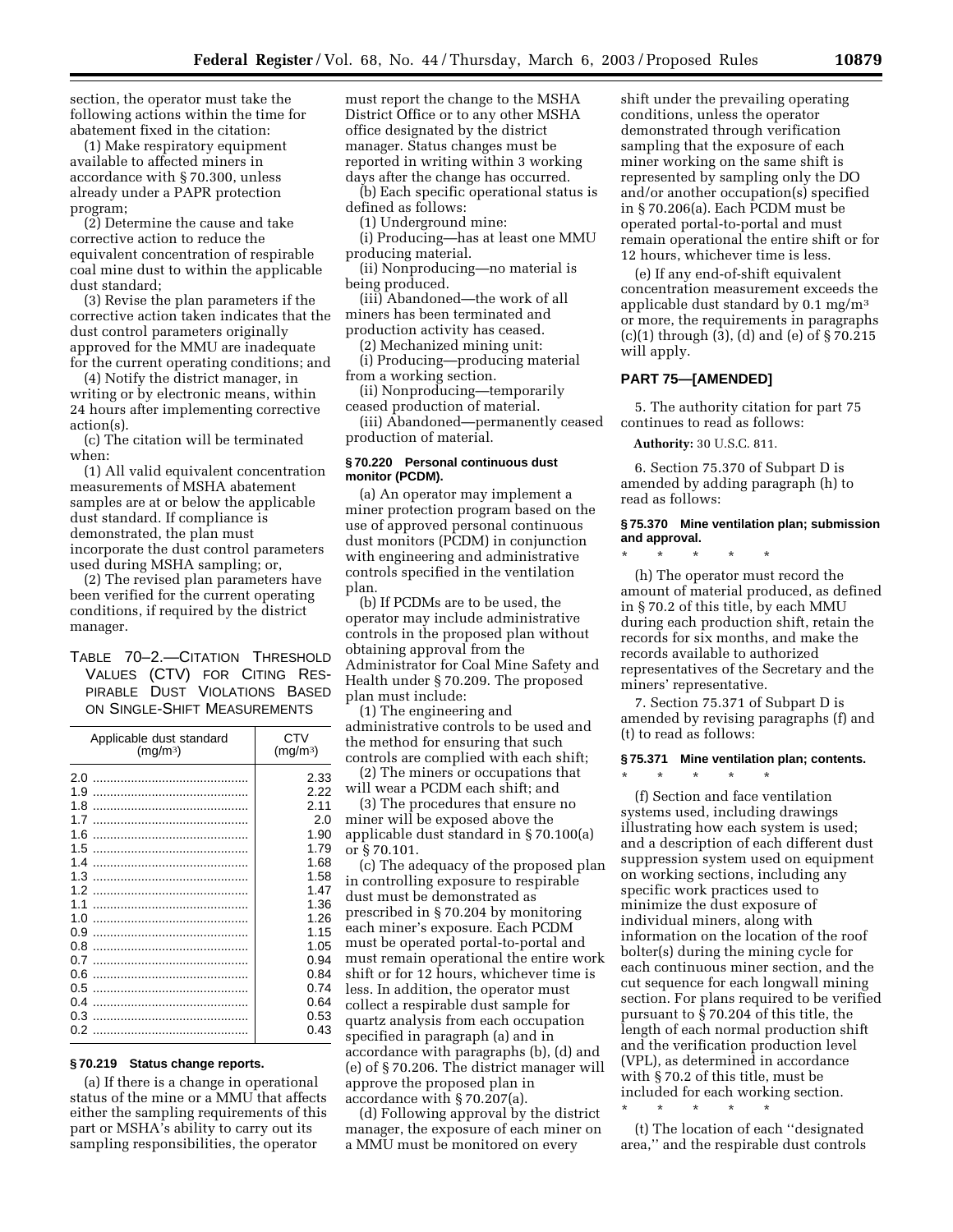section, the operator must take the following actions within the time for abatement fixed in the citation:

(1) Make respiratory equipment available to affected miners in accordance with § 70.300, unless already under a PAPR protection program;

(2) Determine the cause and take corrective action to reduce the equivalent concentration of respirable coal mine dust to within the applicable dust standard;

(3) Revise the plan parameters if the corrective action taken indicates that the dust control parameters originally approved for the MMU are inadequate for the current operating conditions; and

(4) Notify the district manager, in writing or by electronic means, within 24 hours after implementing corrective action(s).

(c) The citation will be terminated when:

(1) All valid equivalent concentration measurements of MSHA abatement samples are at or below the applicable dust standard. If compliance is demonstrated, the plan must incorporate the dust control parameters used during MSHA sampling; or,

(2) The revised plan parameters have been verified for the current operating conditions, if required by the district manager.

# TABLE 70–2.—CITATION THRESHOLD VALUES (CTV) FOR CITING RES-PIRABLE DUST VIOLATIONS BASED ON SINGLE-SHIFT MEASUREMENTS

| Applicable dust standard<br>(mg/m <sup>3</sup> ) | CTV<br>(mg/m <sup>3</sup> ) |
|--------------------------------------------------|-----------------------------|
| 2.0                                              | 2.33                        |
| 1.9                                              | 2.22                        |
| 1.8                                              | 2.11                        |
| 17                                               | 2.0                         |
| 1.6                                              | 1.90                        |
| 1.5                                              | 1.79                        |
| 1.4                                              | 1.68                        |
| 1.3                                              | 1.58                        |
| 1.2                                              | 1.47                        |
| 11                                               | 1.36                        |
| 1.0                                              | 1.26                        |
| 0.9                                              | 1.15                        |
| 0.8                                              | 1.05                        |
| በ 7                                              | 0.94                        |
| 0.6                                              | 0.84                        |
| 0.5                                              | 0.74                        |
| 0.4                                              | 0.64                        |
| 0.3                                              | 0.53                        |
| 0.2                                              | 0.43                        |

## **§ 70.219 Status change reports.**

(a) If there is a change in operational status of the mine or a MMU that affects either the sampling requirements of this part or MSHA's ability to carry out its sampling responsibilities, the operator

must report the change to the MSHA District Office or to any other MSHA office designated by the district manager. Status changes must be reported in writing within 3 working days after the change has occurred.

(b) Each specific operational status is defined as follows:

(1) Underground mine:

(i) Producing—has at least one MMU producing material.

(ii) Nonproducing—no material is being produced.

(iii) Abandoned—the work of all miners has been terminated and production activity has ceased.

(2) Mechanized mining unit:

(i) Producing—producing material from a working section.

(ii) Nonproducing—temporarily ceased production of material.

(iii) Abandoned—permanently ceased production of material.

# **§ 70.220 Personal continuous dust monitor (PCDM).**

(a) An operator may implement a miner protection program based on the use of approved personal continuous dust monitors (PCDM) in conjunction with engineering and administrative controls specified in the ventilation plan.

(b) If PCDMs are to be used, the operator may include administrative controls in the proposed plan without obtaining approval from the Administrator for Coal Mine Safety and Health under § 70.209. The proposed plan must include:

(1) The engineering and administrative controls to be used and the method for ensuring that such controls are complied with each shift;

(2) The miners or occupations that will wear a PCDM each shift; and

(3) The procedures that ensure no miner will be exposed above the applicable dust standard in § 70.100(a) or § 70.101.

(c) The adequacy of the proposed plan in controlling exposure to respirable dust must be demonstrated as prescribed in § 70.204 by monitoring each miner's exposure. Each PCDM must be operated portal-to-portal and must remain operational the entire work shift or for 12 hours, whichever time is less. In addition, the operator must collect a respirable dust sample for quartz analysis from each occupation specified in paragraph (a) and in accordance with paragraphs (b), (d) and (e) of § 70.206. The district manager will approve the proposed plan in accordance with § 70.207(a).

(d) Following approval by the district manager, the exposure of each miner on a MMU must be monitored on every

shift under the prevailing operating conditions, unless the operator demonstrated through verification sampling that the exposure of each miner working on the same shift is represented by sampling only the DO and/or another occupation(s) specified in § 70.206(a). Each PCDM must be operated portal-to-portal and must remain operational the entire shift or for 12 hours, whichever time is less.

(e) If any end-of-shift equivalent concentration measurement exceeds the applicable dust standard by 0.1 mg/m3 or more, the requirements in paragraphs (c)(1) through (3), (d) and (e) of § 70.215 will apply.

# **PART 75—[AMENDED]**

5. The authority citation for part 75 continues to read as follows:

**Authority:** 30 U.S.C. 811.

\* \* \* \* \*

6. Section 75.370 of Subpart D is amended by adding paragraph (h) to read as follows:

#### **§ 75.370 Mine ventilation plan; submission and approval.**

(h) The operator must record the amount of material produced, as defined in § 70.2 of this title, by each MMU during each production shift, retain the records for six months, and make the records available to authorized representatives of the Secretary and the miners' representative.

7. Section 75.371 of Subpart D is amended by revising paragraphs (f) and (t) to read as follows:

# **§ 75.371 Mine ventilation plan; contents.**

\* \* \* \* \*

(f) Section and face ventilation systems used, including drawings illustrating how each system is used; and a description of each different dust suppression system used on equipment on working sections, including any specific work practices used to minimize the dust exposure of individual miners, along with information on the location of the roof bolter(s) during the mining cycle for each continuous miner section, and the cut sequence for each longwall mining section. For plans required to be verified pursuant to § 70.204 of this title, the length of each normal production shift and the verification production level (VPL), as determined in accordance with § 70.2 of this title, must be included for each working section.

(t) The location of each ''designated area,'' and the respirable dust controls

\* \* \* \* \*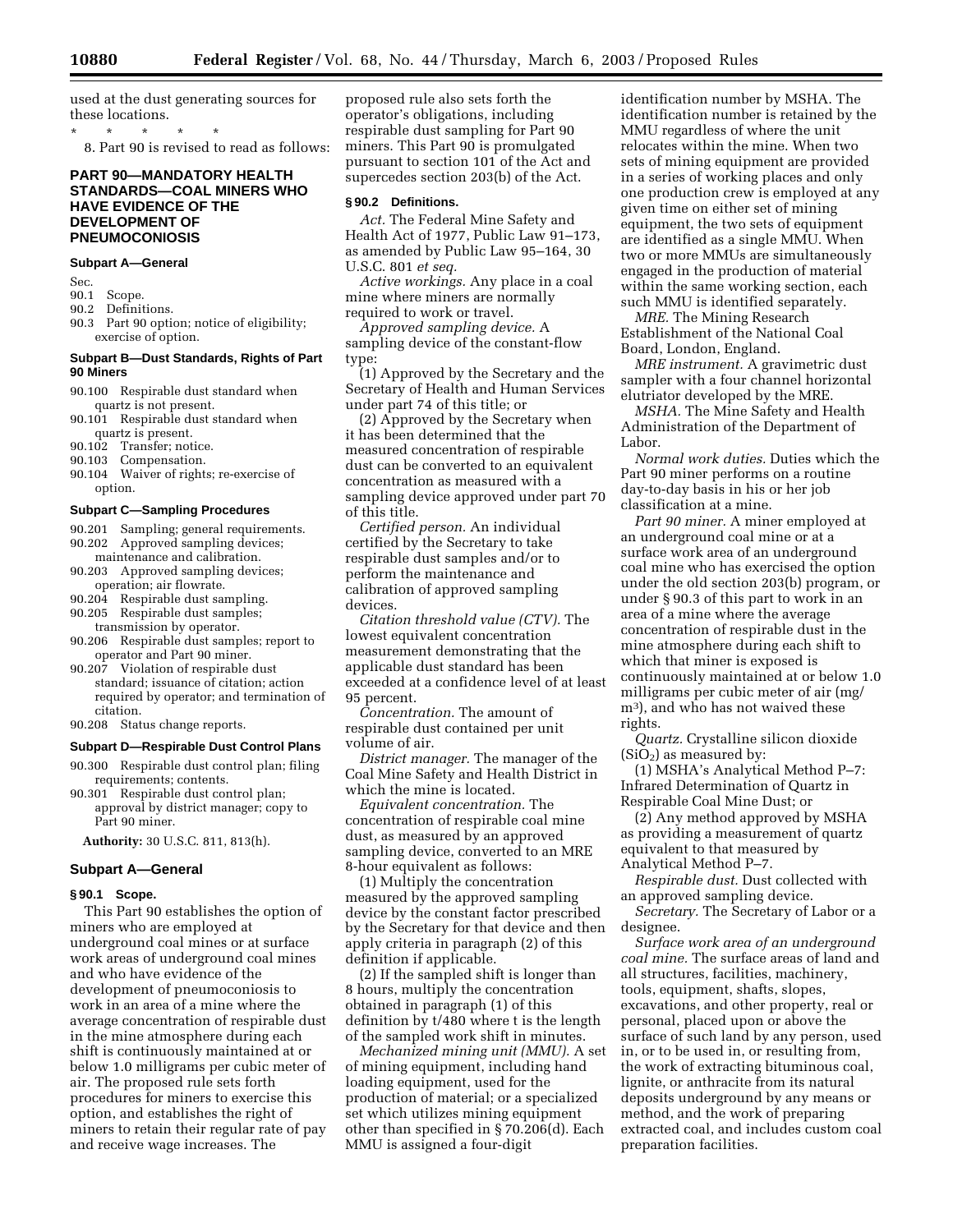used at the dust generating sources for these locations.

\* \* \* \* \*

8. Part 90 is revised to read as follows:

# **PART 90—MANDATORY HEALTH STANDARDS—COAL MINERS WHO HAVE EVIDENCE OF THE DEVELOPMENT OF PNEUMOCONIOSIS**

# **Subpart A—General**

Sec.

- 90.1 Scope.
- 90.2 Definitions.
- 90.3 Part 90 option; notice of eligibility; exercise of option.

# **Subpart B—Dust Standards, Rights of Part 90 Miners**

- 90.100 Respirable dust standard when quartz is not present.
- 90.101 Respirable dust standard when quartz is present.
- 90.102 Transfer; notice.<br>90.103 Compensation.
- Compensation.
- 90.104 Waiver of rights; re-exercise of option.

# **Subpart C—Sampling Procedures**

- 90.201 Sampling; general requirements. 90.202 Approved sampling devices;
- maintenance and calibration. 90.203 Approved sampling devices; operation; air flowrate.
- 90.204 Respirable dust sampling.
- 90.205 Respirable dust samples; transmission by operator.
- 90.206 Respirable dust samples; report to operator and Part 90 miner.
- 90.207 Violation of respirable dust standard; issuance of citation; action required by operator; and termination of citation.
- 90.208 Status change reports.

# **Subpart D—Respirable Dust Control Plans**

- 90.300 Respirable dust control plan; filing requirements; contents.
- 90.301 Respirable dust control plan; approval by district manager; copy to Part 90 miner.

**Authority:** 30 U.S.C. 811, 813(h).

#### **Subpart A—General**

#### **§ 90.1 Scope.**

This Part 90 establishes the option of miners who are employed at underground coal mines or at surface work areas of underground coal mines and who have evidence of the development of pneumoconiosis to work in an area of a mine where the average concentration of respirable dust in the mine atmosphere during each shift is continuously maintained at or below 1.0 milligrams per cubic meter of air. The proposed rule sets forth procedures for miners to exercise this option, and establishes the right of miners to retain their regular rate of pay and receive wage increases. The

proposed rule also sets forth the operator's obligations, including respirable dust sampling for Part 90 miners. This Part 90 is promulgated pursuant to section 101 of the Act and supercedes section 203(b) of the Act.

#### **§ 90.2 Definitions.**

*Act.* The Federal Mine Safety and Health Act of 1977, Public Law 91–173, as amended by Public Law 95–164, 30 U.S.C. 801 *et seq.*

*Active workings.* Any place in a coal mine where miners are normally required to work or travel.

*Approved sampling device.* A sampling device of the constant-flow type:

(1) Approved by the Secretary and the Secretary of Health and Human Services under part 74 of this title; or

(2) Approved by the Secretary when it has been determined that the measured concentration of respirable dust can be converted to an equivalent concentration as measured with a sampling device approved under part 70 of this title.

*Certified person.* An individual certified by the Secretary to take respirable dust samples and/or to perform the maintenance and calibration of approved sampling devices.

*Citation threshold value (CTV).* The lowest equivalent concentration measurement demonstrating that the applicable dust standard has been exceeded at a confidence level of at least 95 percent.

*Concentration.* The amount of respirable dust contained per unit volume of air.

*District manager.* The manager of the Coal Mine Safety and Health District in which the mine is located.

*Equivalent concentration.* The concentration of respirable coal mine dust, as measured by an approved sampling device, converted to an MRE 8-hour equivalent as follows:

(1) Multiply the concentration measured by the approved sampling device by the constant factor prescribed by the Secretary for that device and then apply criteria in paragraph (2) of this definition if applicable.

(2) If the sampled shift is longer than 8 hours, multiply the concentration obtained in paragraph (1) of this definition by t/480 where t is the length of the sampled work shift in minutes.

*Mechanized mining unit (MMU).* A set of mining equipment, including hand loading equipment, used for the production of material; or a specialized set which utilizes mining equipment other than specified in § 70.206(d). Each MMU is assigned a four-digit

identification number by MSHA. The identification number is retained by the MMU regardless of where the unit relocates within the mine. When two sets of mining equipment are provided in a series of working places and only one production crew is employed at any given time on either set of mining equipment, the two sets of equipment are identified as a single MMU. When two or more MMUs are simultaneously engaged in the production of material within the same working section, each such MMU is identified separately.

*MRE.* The Mining Research Establishment of the National Coal Board, London, England.

*MRE instrument.* A gravimetric dust sampler with a four channel horizontal elutriator developed by the MRE.

*MSHA.* The Mine Safety and Health Administration of the Department of Labor.

*Normal work duties.* Duties which the Part 90 miner performs on a routine day-to-day basis in his or her job classification at a mine.

*Part 90 miner.* A miner employed at an underground coal mine or at a surface work area of an underground coal mine who has exercised the option under the old section 203(b) program, or under § 90.3 of this part to work in an area of a mine where the average concentration of respirable dust in the mine atmosphere during each shift to which that miner is exposed is continuously maintained at or below 1.0 milligrams per cubic meter of air (mg/ m3), and who has not waived these rights.

*Quartz.* Crystalline silicon dioxide  $(SiO<sub>2</sub>)$  as measured by:

(1) MSHA's Analytical Method P–7: Infrared Determination of Quartz in Respirable Coal Mine Dust; or

(2) Any method approved by MSHA as providing a measurement of quartz equivalent to that measured by Analytical Method P–7.

*Respirable dust.* Dust collected with an approved sampling device.

*Secretary.* The Secretary of Labor or a designee.

*Surface work area of an underground coal mine.* The surface areas of land and all structures, facilities, machinery, tools, equipment, shafts, slopes, excavations, and other property, real or personal, placed upon or above the surface of such land by any person, used in, or to be used in, or resulting from, the work of extracting bituminous coal, lignite, or anthracite from its natural deposits underground by any means or method, and the work of preparing extracted coal, and includes custom coal preparation facilities.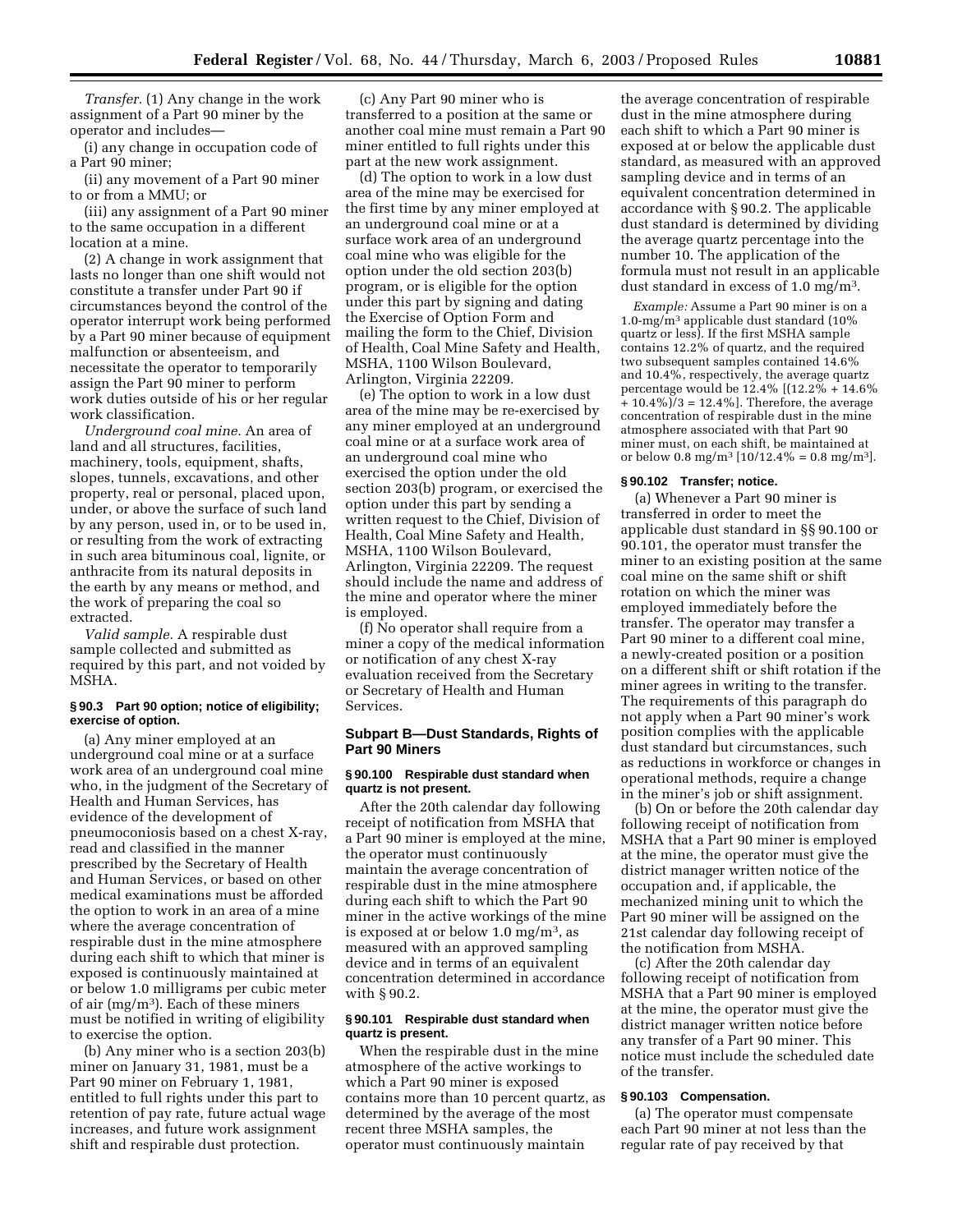*Transfer.* (1) Any change in the work assignment of a Part 90 miner by the operator and includes—

(i) any change in occupation code of a Part 90 miner;

(ii) any movement of a Part 90 miner to or from a MMU; or

(iii) any assignment of a Part 90 miner to the same occupation in a different location at a mine.

(2) A change in work assignment that lasts no longer than one shift would not constitute a transfer under Part 90 if circumstances beyond the control of the operator interrupt work being performed by a Part 90 miner because of equipment malfunction or absenteeism, and necessitate the operator to temporarily assign the Part 90 miner to perform work duties outside of his or her regular work classification.

*Underground coal mine.* An area of land and all structures, facilities, machinery, tools, equipment, shafts, slopes, tunnels, excavations, and other property, real or personal, placed upon, under, or above the surface of such land by any person, used in, or to be used in, or resulting from the work of extracting in such area bituminous coal, lignite, or anthracite from its natural deposits in the earth by any means or method, and the work of preparing the coal so extracted.

*Valid sample.* A respirable dust sample collected and submitted as required by this part, and not voided by MSHA.

#### **§ 90.3 Part 90 option; notice of eligibility; exercise of option.**

(a) Any miner employed at an underground coal mine or at a surface work area of an underground coal mine who, in the judgment of the Secretary of Health and Human Services, has evidence of the development of pneumoconiosis based on a chest X-ray, read and classified in the manner prescribed by the Secretary of Health and Human Services, or based on other medical examinations must be afforded the option to work in an area of a mine where the average concentration of respirable dust in the mine atmosphere during each shift to which that miner is exposed is continuously maintained at or below 1.0 milligrams per cubic meter of air (mg/m3). Each of these miners must be notified in writing of eligibility to exercise the option.

(b) Any miner who is a section 203(b) miner on January 31, 1981, must be a Part 90 miner on February 1, 1981, entitled to full rights under this part to retention of pay rate, future actual wage increases, and future work assignment shift and respirable dust protection.

(c) Any Part 90 miner who is transferred to a position at the same or another coal mine must remain a Part 90 miner entitled to full rights under this part at the new work assignment.

(d) The option to work in a low dust area of the mine may be exercised for the first time by any miner employed at an underground coal mine or at a surface work area of an underground coal mine who was eligible for the option under the old section 203(b) program, or is eligible for the option under this part by signing and dating the Exercise of Option Form and mailing the form to the Chief, Division of Health, Coal Mine Safety and Health, MSHA, 1100 Wilson Boulevard, Arlington, Virginia 22209.

(e) The option to work in a low dust area of the mine may be re-exercised by any miner employed at an underground coal mine or at a surface work area of an underground coal mine who exercised the option under the old section 203(b) program, or exercised the option under this part by sending a written request to the Chief, Division of Health, Coal Mine Safety and Health, MSHA, 1100 Wilson Boulevard, Arlington, Virginia 22209. The request should include the name and address of the mine and operator where the miner is employed.

(f) No operator shall require from a miner a copy of the medical information or notification of any chest X-ray evaluation received from the Secretary or Secretary of Health and Human Services.

# **Subpart B—Dust Standards, Rights of Part 90 Miners**

#### **§ 90.100 Respirable dust standard when quartz is not present.**

After the 20th calendar day following receipt of notification from MSHA that a Part 90 miner is employed at the mine, the operator must continuously maintain the average concentration of respirable dust in the mine atmosphere during each shift to which the Part 90 miner in the active workings of the mine is exposed at or below  $1.0 \text{ mg/m}^3$ , as measured with an approved sampling device and in terms of an equivalent concentration determined in accordance with § 90.2.

# **§ 90.101 Respirable dust standard when quartz is present.**

When the respirable dust in the mine atmosphere of the active workings to which a Part 90 miner is exposed contains more than 10 percent quartz, as determined by the average of the most recent three MSHA samples, the operator must continuously maintain

the average concentration of respirable dust in the mine atmosphere during each shift to which a Part 90 miner is exposed at or below the applicable dust standard, as measured with an approved sampling device and in terms of an equivalent concentration determined in accordance with § 90.2. The applicable dust standard is determined by dividing the average quartz percentage into the number 10. The application of the formula must not result in an applicable dust standard in excess of 1.0 mg/m3.

*Example:* Assume a Part 90 miner is on a 1.0-mg/m3 applicable dust standard (10% quartz or less). If the first MSHA sample contains 12.2% of quartz, and the required two subsequent samples contained 14.6% and 10.4%, respectively, the average quartz percentage would be 12.4% [(12.2% + 14.6%  $+ 10.4\%$ ) $/3 = 12.4\%$ . Therefore, the average concentration of respirable dust in the mine atmosphere associated with that Part 90 miner must, on each shift, be maintained at or below 0.8 mg/m<sup>3</sup> [10/12.4% = 0.8 mg/m<sup>3</sup>].

# **§ 90.102 Transfer; notice.**

(a) Whenever a Part 90 miner is transferred in order to meet the applicable dust standard in §§ 90.100 or 90.101, the operator must transfer the miner to an existing position at the same coal mine on the same shift or shift rotation on which the miner was employed immediately before the transfer. The operator may transfer a Part 90 miner to a different coal mine, a newly-created position or a position on a different shift or shift rotation if the miner agrees in writing to the transfer. The requirements of this paragraph do not apply when a Part 90 miner's work position complies with the applicable dust standard but circumstances, such as reductions in workforce or changes in operational methods, require a change in the miner's job or shift assignment.

(b) On or before the 20th calendar day following receipt of notification from MSHA that a Part 90 miner is employed at the mine, the operator must give the district manager written notice of the occupation and, if applicable, the mechanized mining unit to which the Part 90 miner will be assigned on the 21st calendar day following receipt of the notification from MSHA.

(c) After the 20th calendar day following receipt of notification from MSHA that a Part 90 miner is employed at the mine, the operator must give the district manager written notice before any transfer of a Part 90 miner. This notice must include the scheduled date of the transfer.

# **§ 90.103 Compensation.**

(a) The operator must compensate each Part 90 miner at not less than the regular rate of pay received by that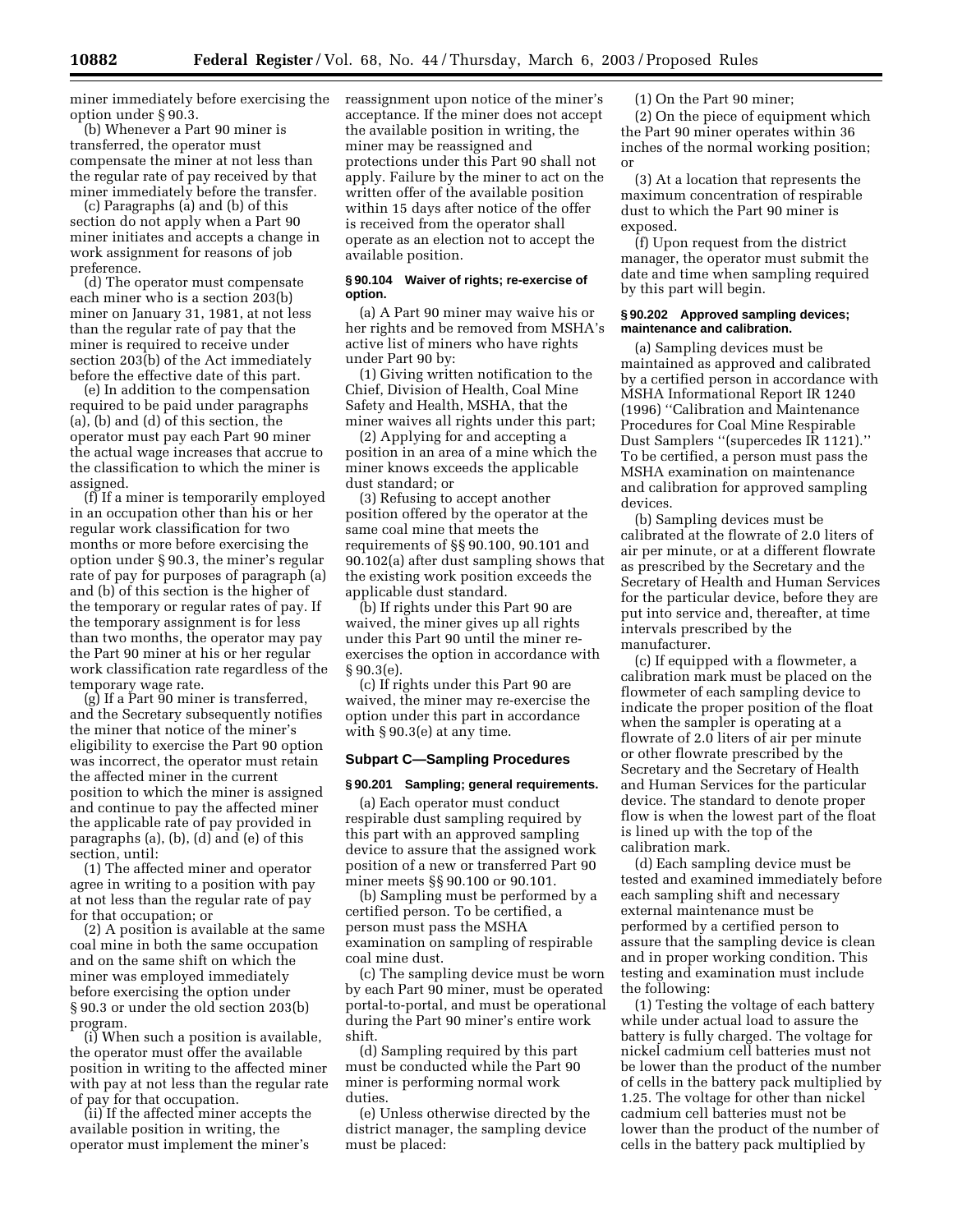miner immediately before exercising the option under § 90.3.

(b) Whenever a Part 90 miner is transferred, the operator must compensate the miner at not less than the regular rate of pay received by that miner immediately before the transfer.

(c) Paragraphs (a) and (b) of this section do not apply when a Part 90 miner initiates and accepts a change in work assignment for reasons of job preference.

(d) The operator must compensate each miner who is a section 203(b) miner on January 31, 1981, at not less than the regular rate of pay that the miner is required to receive under section 203(b) of the Act immediately before the effective date of this part.

(e) In addition to the compensation required to be paid under paragraphs (a), (b) and (d) of this section, the operator must pay each Part 90 miner the actual wage increases that accrue to the classification to which the miner is assigned.

(f) If a miner is temporarily employed in an occupation other than his or her regular work classification for two months or more before exercising the option under § 90.3, the miner's regular rate of pay for purposes of paragraph (a) and (b) of this section is the higher of the temporary or regular rates of pay. If the temporary assignment is for less than two months, the operator may pay the Part 90 miner at his or her regular work classification rate regardless of the temporary wage rate.

(g) If a Part 90 miner is transferred, and the Secretary subsequently notifies the miner that notice of the miner's eligibility to exercise the Part 90 option was incorrect, the operator must retain the affected miner in the current position to which the miner is assigned and continue to pay the affected miner the applicable rate of pay provided in paragraphs (a), (b), (d) and (e) of this section, until:

(1) The affected miner and operator agree in writing to a position with pay at not less than the regular rate of pay for that occupation; or

(2) A position is available at the same coal mine in both the same occupation and on the same shift on which the miner was employed immediately before exercising the option under § 90.3 or under the old section 203(b) program.

(i) When such a position is available, the operator must offer the available position in writing to the affected miner with pay at not less than the regular rate of pay for that occupation.

(ii) If the affected miner accepts the available position in writing, the operator must implement the miner's reassignment upon notice of the miner's acceptance. If the miner does not accept the available position in writing, the miner may be reassigned and protections under this Part 90 shall not apply. Failure by the miner to act on the written offer of the available position within 15 days after notice of the offer is received from the operator shall operate as an election not to accept the available position.

# **§ 90.104 Waiver of rights; re-exercise of option.**

(a) A Part 90 miner may waive his or her rights and be removed from MSHA's active list of miners who have rights under Part 90 by:

(1) Giving written notification to the Chief, Division of Health, Coal Mine Safety and Health, MSHA, that the miner waives all rights under this part;

(2) Applying for and accepting a position in an area of a mine which the miner knows exceeds the applicable dust standard; or

(3) Refusing to accept another position offered by the operator at the same coal mine that meets the requirements of §§ 90.100, 90.101 and 90.102(a) after dust sampling shows that the existing work position exceeds the applicable dust standard.

(b) If rights under this Part 90 are waived, the miner gives up all rights under this Part 90 until the miner reexercises the option in accordance with § 90.3(e).

(c) If rights under this Part 90 are waived, the miner may re-exercise the option under this part in accordance with § 90.3(e) at any time.

# **Subpart C—Sampling Procedures**

#### **§ 90.201 Sampling; general requirements.**

(a) Each operator must conduct respirable dust sampling required by this part with an approved sampling device to assure that the assigned work position of a new or transferred Part 90 miner meets §§ 90.100 or 90.101.

(b) Sampling must be performed by a certified person. To be certified, a person must pass the MSHA examination on sampling of respirable coal mine dust.

(c) The sampling device must be worn by each Part 90 miner, must be operated portal-to-portal, and must be operational during the Part 90 miner's entire work shift.

(d) Sampling required by this part must be conducted while the Part 90 miner is performing normal work duties.

(e) Unless otherwise directed by the district manager, the sampling device must be placed:

(1) On the Part 90 miner;

(2) On the piece of equipment which the Part 90 miner operates within 36 inches of the normal working position; or

(3) At a location that represents the maximum concentration of respirable dust to which the Part 90 miner is exposed.

(f) Upon request from the district manager, the operator must submit the date and time when sampling required by this part will begin.

#### **§ 90.202 Approved sampling devices; maintenance and calibration.**

(a) Sampling devices must be maintained as approved and calibrated by a certified person in accordance with MSHA Informational Report IR 1240 (1996) ''Calibration and Maintenance Procedures for Coal Mine Respirable Dust Samplers ''(supercedes IR 1121).'' To be certified, a person must pass the MSHA examination on maintenance and calibration for approved sampling devices.

(b) Sampling devices must be calibrated at the flowrate of 2.0 liters of air per minute, or at a different flowrate as prescribed by the Secretary and the Secretary of Health and Human Services for the particular device, before they are put into service and, thereafter, at time intervals prescribed by the manufacturer.

(c) If equipped with a flowmeter, a calibration mark must be placed on the flowmeter of each sampling device to indicate the proper position of the float when the sampler is operating at a flowrate of 2.0 liters of air per minute or other flowrate prescribed by the Secretary and the Secretary of Health and Human Services for the particular device. The standard to denote proper flow is when the lowest part of the float is lined up with the top of the calibration mark.

(d) Each sampling device must be tested and examined immediately before each sampling shift and necessary external maintenance must be performed by a certified person to assure that the sampling device is clean and in proper working condition. This testing and examination must include the following:

(1) Testing the voltage of each battery while under actual load to assure the battery is fully charged. The voltage for nickel cadmium cell batteries must not be lower than the product of the number of cells in the battery pack multiplied by 1.25. The voltage for other than nickel cadmium cell batteries must not be lower than the product of the number of cells in the battery pack multiplied by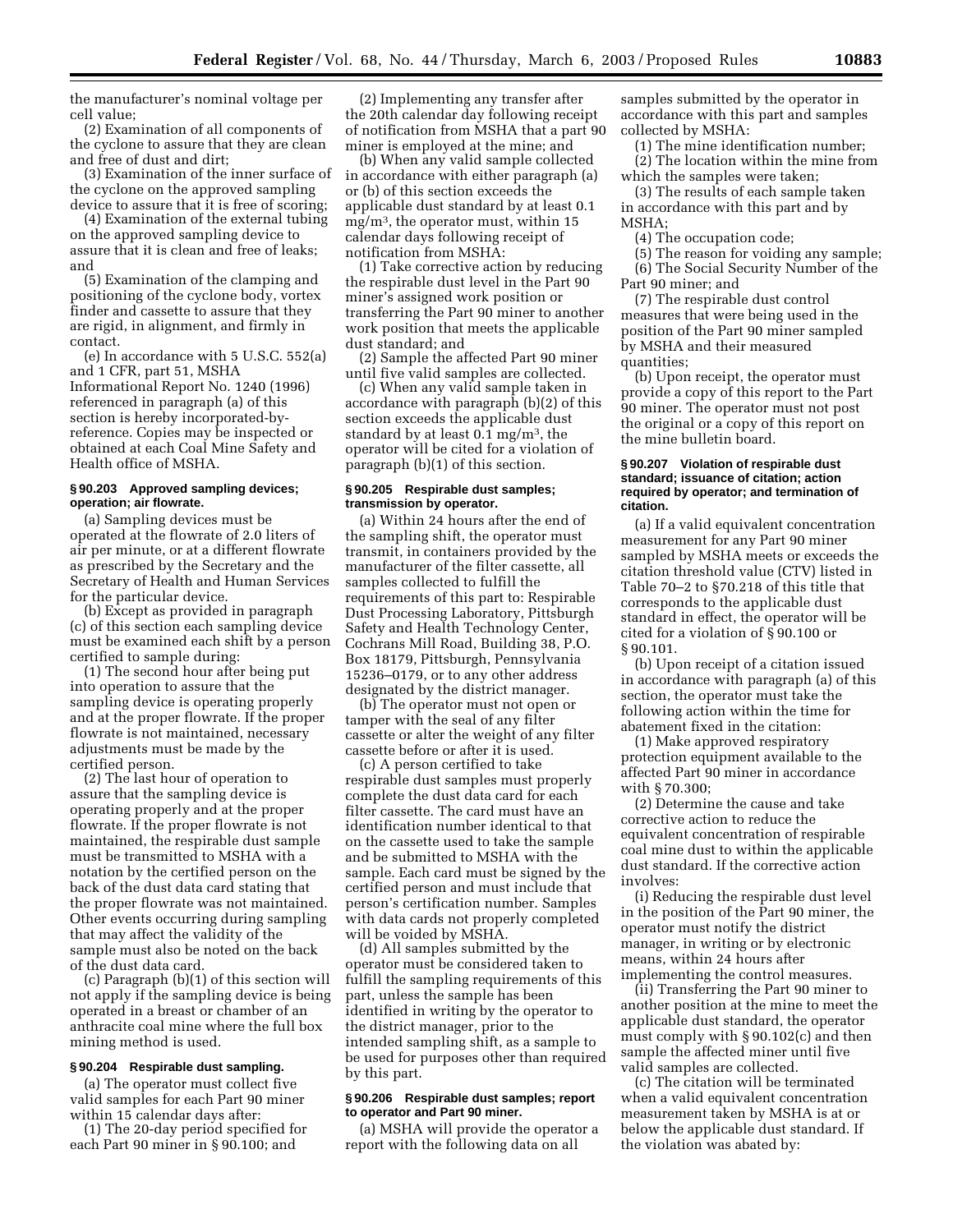the manufacturer's nominal voltage per cell value;

(2) Examination of all components of the cyclone to assure that they are clean and free of dust and dirt;

(3) Examination of the inner surface of the cyclone on the approved sampling device to assure that it is free of scoring;

(4) Examination of the external tubing on the approved sampling device to assure that it is clean and free of leaks; and

(5) Examination of the clamping and positioning of the cyclone body, vortex finder and cassette to assure that they are rigid, in alignment, and firmly in contact.

(e) In accordance with 5 U.S.C. 552(a) and 1 CFR, part 51, MSHA Informational Report No. 1240 (1996) referenced in paragraph (a) of this section is hereby incorporated-byreference. Copies may be inspected or obtained at each Coal Mine Safety and Health office of MSHA.

#### **§ 90.203 Approved sampling devices; operation; air flowrate.**

(a) Sampling devices must be operated at the flowrate of 2.0 liters of air per minute, or at a different flowrate as prescribed by the Secretary and the Secretary of Health and Human Services for the particular device.

(b) Except as provided in paragraph (c) of this section each sampling device must be examined each shift by a person certified to sample during:

(1) The second hour after being put into operation to assure that the sampling device is operating properly and at the proper flowrate. If the proper flowrate is not maintained, necessary adjustments must be made by the certified person.

(2) The last hour of operation to assure that the sampling device is operating properly and at the proper flowrate. If the proper flowrate is not maintained, the respirable dust sample must be transmitted to MSHA with a notation by the certified person on the back of the dust data card stating that the proper flowrate was not maintained. Other events occurring during sampling that may affect the validity of the sample must also be noted on the back of the dust data card.

(c) Paragraph (b)(1) of this section will not apply if the sampling device is being operated in a breast or chamber of an anthracite coal mine where the full box mining method is used.

# **§ 90.204 Respirable dust sampling.**

(a) The operator must collect five valid samples for each Part 90 miner within 15 calendar days after:

(1) The 20-day period specified for each Part 90 miner in § 90.100; and

(2) Implementing any transfer after the 20th calendar day following receipt of notification from MSHA that a part 90 miner is employed at the mine; and

(b) When any valid sample collected in accordance with either paragraph (a) or (b) of this section exceeds the applicable dust standard by at least 0.1  $mg/m<sup>3</sup>$ , the operator must, within 15 calendar days following receipt of notification from MSHA:

(1) Take corrective action by reducing the respirable dust level in the Part 90 miner's assigned work position or transferring the Part 90 miner to another work position that meets the applicable dust standard; and

(2) Sample the affected Part 90 miner until five valid samples are collected.

(c) When any valid sample taken in accordance with paragraph (b)(2) of this section exceeds the applicable dust standard by at least  $0.1 \text{ mg/m}^3$ , the operator will be cited for a violation of paragraph (b)(1) of this section.

## **§ 90.205 Respirable dust samples; transmission by operator.**

(a) Within 24 hours after the end of the sampling shift, the operator must transmit, in containers provided by the manufacturer of the filter cassette, all samples collected to fulfill the requirements of this part to: Respirable Dust Processing Laboratory, Pittsburgh Safety and Health Technology Center, Cochrans Mill Road, Building 38, P.O. Box 18179, Pittsburgh, Pennsylvania 15236–0179, or to any other address designated by the district manager.

(b) The operator must not open or tamper with the seal of any filter cassette or alter the weight of any filter cassette before or after it is used.

(c) A person certified to take respirable dust samples must properly complete the dust data card for each filter cassette. The card must have an identification number identical to that on the cassette used to take the sample and be submitted to MSHA with the sample. Each card must be signed by the certified person and must include that person's certification number. Samples with data cards not properly completed will be voided by MSHA.

(d) All samples submitted by the operator must be considered taken to fulfill the sampling requirements of this part, unless the sample has been identified in writing by the operator to the district manager, prior to the intended sampling shift, as a sample to be used for purposes other than required by this part.

# **§ 90.206 Respirable dust samples; report to operator and Part 90 miner.**

(a) MSHA will provide the operator a report with the following data on all

samples submitted by the operator in accordance with this part and samples collected by MSHA:

(1) The mine identification number;

(2) The location within the mine from which the samples were taken;

(3) The results of each sample taken in accordance with this part and by MSHA;

- (4) The occupation code;
- (5) The reason for voiding any sample; (6) The Social Security Number of the
- Part 90 miner; and

(7) The respirable dust control measures that were being used in the position of the Part 90 miner sampled by MSHA and their measured quantities;

(b) Upon receipt, the operator must provide a copy of this report to the Part 90 miner. The operator must not post the original or a copy of this report on the mine bulletin board.

## **§ 90.207 Violation of respirable dust standard; issuance of citation; action required by operator; and termination of citation.**

(a) If a valid equivalent concentration measurement for any Part 90 miner sampled by MSHA meets or exceeds the citation threshold value (CTV) listed in Table 70–2 to §70.218 of this title that corresponds to the applicable dust standard in effect, the operator will be cited for a violation of § 90.100 or § 90.101.

(b) Upon receipt of a citation issued in accordance with paragraph (a) of this section, the operator must take the following action within the time for abatement fixed in the citation:

(1) Make approved respiratory protection equipment available to the affected Part 90 miner in accordance with § 70.300;

(2) Determine the cause and take corrective action to reduce the equivalent concentration of respirable coal mine dust to within the applicable dust standard. If the corrective action involves:

(i) Reducing the respirable dust level in the position of the Part 90 miner, the operator must notify the district manager, in writing or by electronic means, within 24 hours after implementing the control measures.

(ii) Transferring the Part 90 miner to another position at the mine to meet the applicable dust standard, the operator must comply with § 90.102(c) and then sample the affected miner until five valid samples are collected.

(c) The citation will be terminated when a valid equivalent concentration measurement taken by MSHA is at or below the applicable dust standard. If the violation was abated by: